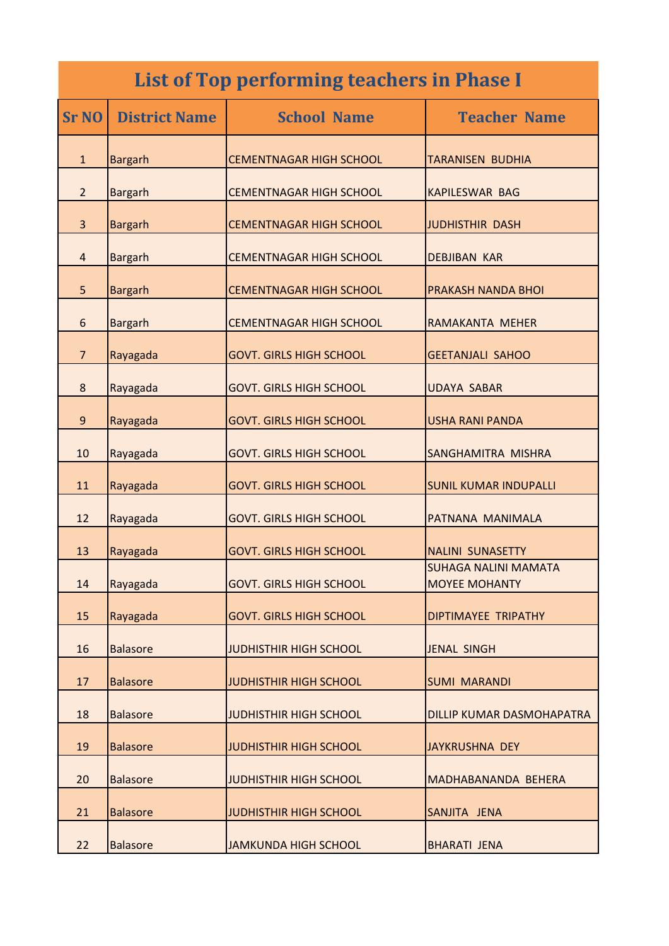| <b>List of Top performing teachers in Phase I</b> |                      |                                |                                                     |
|---------------------------------------------------|----------------------|--------------------------------|-----------------------------------------------------|
| <b>Sr NO</b>                                      | <b>District Name</b> | <b>School Name</b>             | <b>Teacher Name</b>                                 |
| $\mathbf{1}$                                      | <b>Bargarh</b>       | <b>CEMENTNAGAR HIGH SCHOOL</b> | <b>TARANISEN BUDHIA</b>                             |
| $\overline{2}$                                    | <b>Bargarh</b>       | <b>CEMENTNAGAR HIGH SCHOOL</b> | <b>KAPILESWAR BAG</b>                               |
| 3                                                 | <b>Bargarh</b>       | <b>CEMENTNAGAR HIGH SCHOOL</b> | JUDHISTHIR DASH                                     |
| 4                                                 | <b>Bargarh</b>       | <b>CEMENTNAGAR HIGH SCHOOL</b> | <b>DEBJIBAN KAR</b>                                 |
| 5                                                 | <b>Bargarh</b>       | <b>CEMENTNAGAR HIGH SCHOOL</b> | <b>PRAKASH NANDA BHOI</b>                           |
| 6                                                 | <b>Bargarh</b>       | <b>CEMENTNAGAR HIGH SCHOOL</b> | RAMAKANTA MEHER                                     |
| $\overline{7}$                                    | Rayagada             | <b>GOVT. GIRLS HIGH SCHOOL</b> | <b>GEETANJALI SAHOO</b>                             |
| 8                                                 | Rayagada             | <b>GOVT. GIRLS HIGH SCHOOL</b> | <b>UDAYA SABAR</b>                                  |
| 9                                                 | Rayagada             | <b>GOVT. GIRLS HIGH SCHOOL</b> | <b>USHA RANI PANDA</b>                              |
| 10                                                | Rayagada             | <b>GOVT. GIRLS HIGH SCHOOL</b> | SANGHAMITRA MISHRA                                  |
| 11                                                | Rayagada             | <b>GOVT. GIRLS HIGH SCHOOL</b> | <b>SUNIL KUMAR INDUPALLI</b>                        |
| 12                                                | Rayagada             | <b>GOVT. GIRLS HIGH SCHOOL</b> | PATNANA MANIMALA                                    |
| 13                                                | Rayagada             | <b>GOVT. GIRLS HIGH SCHOOL</b> | <b>NALINI SUNASETTY</b>                             |
| 14                                                | Rayagada             | <b>GOVT. GIRLS HIGH SCHOOL</b> | <b>SUHAGA NALINI MAMATA</b><br><b>MOYEE MOHANTY</b> |
| 15                                                | Rayagada             | <b>GOVT. GIRLS HIGH SCHOOL</b> | <b>DIPTIMAYEE TRIPATHY</b>                          |
| 16                                                | <b>Balasore</b>      | <b>JUDHISTHIR HIGH SCHOOL</b>  | <b>JENAL SINGH</b>                                  |
| 17                                                | <b>Balasore</b>      | <b>JUDHISTHIR HIGH SCHOOL</b>  | <b>SUMI MARANDI</b>                                 |
| 18                                                | <b>Balasore</b>      | <b>JUDHISTHIR HIGH SCHOOL</b>  | DILLIP KUMAR DASMOHAPATRA                           |
| 19                                                | <b>Balasore</b>      | <b>JUDHISTHIR HIGH SCHOOL</b>  | JAYKRUSHNA DEY                                      |
| 20                                                | <b>Balasore</b>      | <b>JUDHISTHIR HIGH SCHOOL</b>  | MADHABANANDA BEHERA                                 |
| 21                                                | <b>Balasore</b>      | <b>JUDHISTHIR HIGH SCHOOL</b>  | SANJITA JENA                                        |
| 22                                                | <b>Balasore</b>      | <b>JAMKUNDA HIGH SCHOOL</b>    | <b>BHARATI JENA</b>                                 |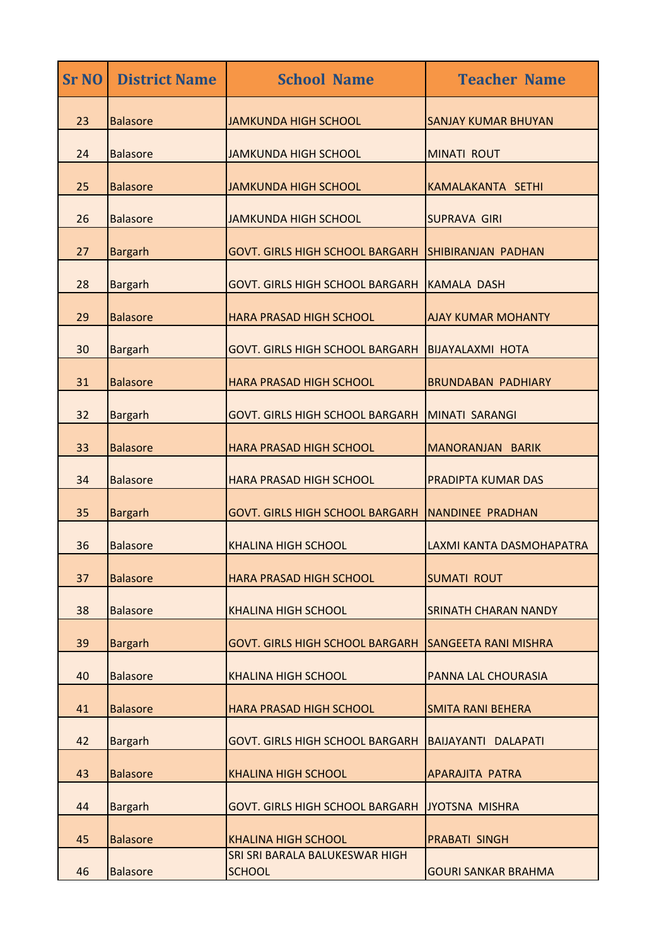| <b>Sr NO</b> | <b>District Name</b> | <b>School Name</b>                              | <b>Teacher Name</b>         |
|--------------|----------------------|-------------------------------------------------|-----------------------------|
| 23           | <b>Balasore</b>      | <b>JAMKUNDA HIGH SCHOOL</b>                     | <b>SANJAY KUMAR BHUYAN</b>  |
| 24           | <b>Balasore</b>      | <b>JAMKUNDA HIGH SCHOOL</b>                     | <b>MINATI ROUT</b>          |
| 25           | <b>Balasore</b>      | <b>JAMKUNDA HIGH SCHOOL</b>                     | KAMALAKANTA SETHI           |
| 26           | <b>Balasore</b>      | <b>JAMKUNDA HIGH SCHOOL</b>                     | <b>SUPRAVA GIRI</b>         |
| 27           | <b>Bargarh</b>       | <b>GOVT. GIRLS HIGH SCHOOL BARGARH</b>          | <b>SHIBIRANJAN PADHAN</b>   |
| 28           | <b>Bargarh</b>       | <b>GOVT. GIRLS HIGH SCHOOL BARGARH</b>          | <b>KAMALA DASH</b>          |
| 29           | <b>Balasore</b>      | <b>HARA PRASAD HIGH SCHOOL</b>                  | <b>AJAY KUMAR MOHANTY</b>   |
| 30           | <b>Bargarh</b>       | <b>GOVT. GIRLS HIGH SCHOOL BARGARH</b>          | <b>BIJAYALAXMI HOTA</b>     |
| 31           | <b>Balasore</b>      | <b>HARA PRASAD HIGH SCHOOL</b>                  | <b>BRUNDABAN PADHIARY</b>   |
| 32           | <b>Bargarh</b>       | <b>GOVT. GIRLS HIGH SCHOOL BARGARH</b>          | MINATI SARANGI              |
| 33           | <b>Balasore</b>      | <b>HARA PRASAD HIGH SCHOOL</b>                  | MANORANJAN BARIK            |
| 34           | <b>Balasore</b>      | <b>HARA PRASAD HIGH SCHOOL</b>                  | <b>PRADIPTA KUMAR DAS</b>   |
| 35           | <b>Bargarh</b>       | <b>GOVT. GIRLS HIGH SCHOOL BARGARH</b>          | <b>INANDINEE PRADHAN</b>    |
| 36           | <b>Balasore</b>      | <b>KHALINA HIGH SCHOOL</b>                      | LAXMI KANTA DASMOHAPATRA    |
| 37           | <b>Balasore</b>      | HARA PRASAD HIGH SCHOOL                         | <b>SUMATI ROUT</b>          |
| 38           | <b>Balasore</b>      | <b>KHALINA HIGH SCHOOL</b>                      | <b>SRINATH CHARAN NANDY</b> |
| 39           | <b>Bargarh</b>       | <b>GOVT. GIRLS HIGH SCHOOL BARGARH</b>          | <b>SANGEETA RANI MISHRA</b> |
| 40           | <b>Balasore</b>      | <b>KHALINA HIGH SCHOOL</b>                      | PANNA LAL CHOURASIA         |
| 41           | <b>Balasore</b>      | HARA PRASAD HIGH SCHOOL                         | <b>SMITA RANI BEHERA</b>    |
| 42           | <b>Bargarh</b>       | <b>GOVT. GIRLS HIGH SCHOOL BARGARH</b>          | BAIJAYANTI DALAPATI         |
| 43           | <b>Balasore</b>      | <b>KHALINA HIGH SCHOOL</b>                      | <b>APARAJITA PATRA</b>      |
| 44           | <b>Bargarh</b>       | <b>GOVT. GIRLS HIGH SCHOOL BARGARH</b>          | JYOTSNA MISHRA              |
| 45           | <b>Balasore</b>      | <b>KHALINA HIGH SCHOOL</b>                      | <b>PRABATI SINGH</b>        |
| 46           | <b>Balasore</b>      | SRI SRI BARALA BALUKESWAR HIGH<br><b>SCHOOL</b> | <b>GOURI SANKAR BRAHMA</b>  |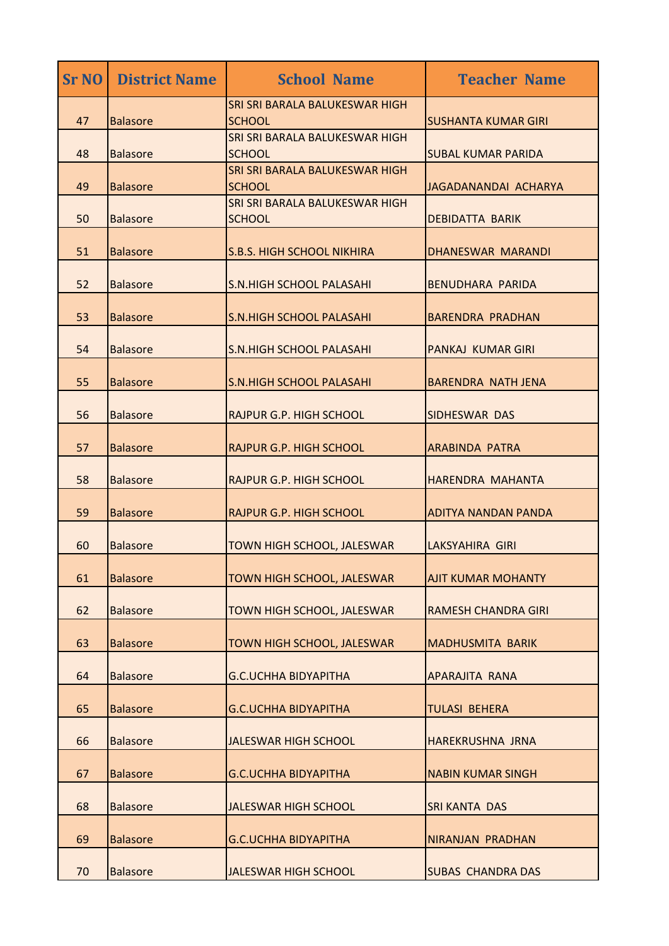| <b>Sr NO</b> | <b>District Name</b> | <b>School Name</b>                              | <b>Teacher Name</b>        |
|--------------|----------------------|-------------------------------------------------|----------------------------|
| 47           | <b>Balasore</b>      | SRI SRI BARALA BALUKESWAR HIGH<br><b>SCHOOL</b> | <b>SUSHANTA KUMAR GIRI</b> |
| 48           | <b>Balasore</b>      | SRI SRI BARALA BALUKESWAR HIGH<br><b>SCHOOL</b> | <b>SUBAL KUMAR PARIDA</b>  |
| 49           | <b>Balasore</b>      | SRI SRI BARALA BALUKESWAR HIGH<br><b>SCHOOL</b> | JAGADANANDAI ACHARYA       |
| 50           | <b>Balasore</b>      | SRI SRI BARALA BALUKESWAR HIGH<br><b>SCHOOL</b> | <b>DEBIDATTA BARIK</b>     |
| 51           | <b>Balasore</b>      | <b>S.B.S. HIGH SCHOOL NIKHIRA</b>               | DHANESWAR MARANDI          |
| 52           | <b>Balasore</b>      | <b>S.N.HIGH SCHOOL PALASAHI</b>                 | <b>BENUDHARA PARIDA</b>    |
| 53           | <b>Balasore</b>      | <b>S.N.HIGH SCHOOL PALASAHI</b>                 | <b>BARENDRA PRADHAN</b>    |
| 54           | <b>Balasore</b>      | <b>S.N.HIGH SCHOOL PALASAHI</b>                 | <b>PANKAJ KUMAR GIRI</b>   |
| 55           | <b>Balasore</b>      | <b>S.N.HIGH SCHOOL PALASAHI</b>                 | <b>BARENDRA NATH JENA</b>  |
| 56           | <b>Balasore</b>      | <b>RAJPUR G.P. HIGH SCHOOL</b>                  | SIDHESWAR DAS              |
| 57           | <b>Balasore</b>      | <b>RAJPUR G.P. HIGH SCHOOL</b>                  | <b>ARABINDA PATRA</b>      |
| 58           | <b>Balasore</b>      | <b>RAJPUR G.P. HIGH SCHOOL</b>                  | <b>HARENDRA MAHANTA</b>    |
| 59           | <b>Balasore</b>      | <b>RAJPUR G.P. HIGH SCHOOL</b>                  | <b>ADITYA NANDAN PANDA</b> |
| 60           | <b>Balasore</b>      | TOWN HIGH SCHOOL, JALESWAR                      | LAKSYAHIRA GIRI            |
| 61           | <b>Balasore</b>      | TOWN HIGH SCHOOL, JALESWAR                      | <b>AJIT KUMAR MOHANTY</b>  |
| 62           | <b>Balasore</b>      | TOWN HIGH SCHOOL, JALESWAR                      | <b>RAMESH CHANDRA GIRI</b> |
| 63           | <b>Balasore</b>      | TOWN HIGH SCHOOL, JALESWAR                      | <b>MADHUSMITA BARIK</b>    |
| 64           | <b>Balasore</b>      | <b>G.C.UCHHA BIDYAPITHA</b>                     | <b>APARAJITA RANA</b>      |
| 65           | <b>Balasore</b>      | <b>G.C.UCHHA BIDYAPITHA</b>                     | <b>TULASI BEHERA</b>       |
| 66           | <b>Balasore</b>      | <b>JALESWAR HIGH SCHOOL</b>                     | HAREKRUSHNA JRNA           |
| 67           | <b>Balasore</b>      | <b>G.C.UCHHA BIDYAPITHA</b>                     | <b>NABIN KUMAR SINGH</b>   |
| 68           | <b>Balasore</b>      | <b>JALESWAR HIGH SCHOOL</b>                     | <b>SRI KANTA DAS</b>       |
| 69           | <b>Balasore</b>      | <b>G.C.UCHHA BIDYAPITHA</b>                     | <b>NIRANJAN PRADHAN</b>    |
| 70           | <b>Balasore</b>      | <b>JALESWAR HIGH SCHOOL</b>                     | <b>SUBAS CHANDRA DAS</b>   |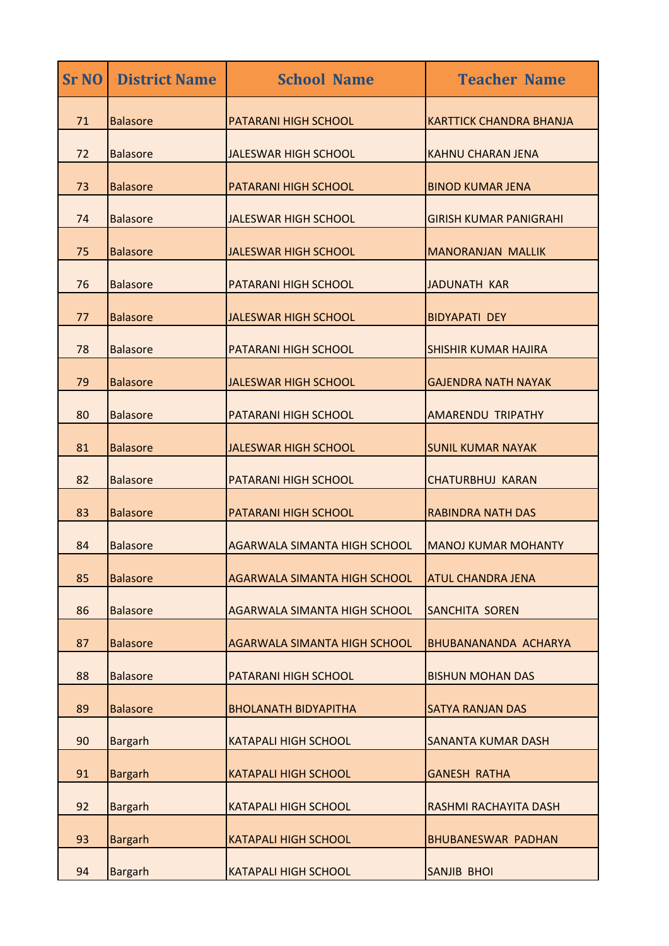| <b>Sr NO</b> | <b>District Name</b> | <b>School Name</b>                  | <b>Teacher Name</b>            |
|--------------|----------------------|-------------------------------------|--------------------------------|
| 71           | <b>Balasore</b>      | <b>PATARANI HIGH SCHOOL</b>         | <b>KARTTICK CHANDRA BHANJA</b> |
| 72           | <b>Balasore</b>      | <b>JALESWAR HIGH SCHOOL</b>         | KAHNU CHARAN JENA              |
| 73           | <b>Balasore</b>      | <b>PATARANI HIGH SCHOOL</b>         | <b>BINOD KUMAR JENA</b>        |
| 74           | <b>Balasore</b>      | <b>JALESWAR HIGH SCHOOL</b>         | <b>GIRISH KUMAR PANIGRAHI</b>  |
| 75           | <b>Balasore</b>      | <b>JALESWAR HIGH SCHOOL</b>         | <b>MANORANJAN MALLIK</b>       |
| 76           | <b>Balasore</b>      | <b>PATARANI HIGH SCHOOL</b>         | <b>JADUNATH KAR</b>            |
| 77           | <b>Balasore</b>      | <b>JALESWAR HIGH SCHOOL</b>         | <b>BIDYAPATI DEY</b>           |
| 78           | <b>Balasore</b>      | <b>PATARANI HIGH SCHOOL</b>         | <b>SHISHIR KUMAR HAJIRA</b>    |
| 79           | <b>Balasore</b>      | <b>JALESWAR HIGH SCHOOL</b>         | <b>GAJENDRA NATH NAYAK</b>     |
| 80           | <b>Balasore</b>      | <b>PATARANI HIGH SCHOOL</b>         | <b>AMARENDU TRIPATHY</b>       |
| 81           | <b>Balasore</b>      | <b>JALESWAR HIGH SCHOOL</b>         | <b>SUNIL KUMAR NAYAK</b>       |
| 82           | <b>Balasore</b>      | <b>PATARANI HIGH SCHOOL</b>         | <b>CHATURBHUJ KARAN</b>        |
| 83           | <b>Balasore</b>      | PATARANI HIGH SCHOOL                | <b>RABINDRA NATH DAS</b>       |
| 84           | <b>Balasore</b>      | AGARWALA SIMANTA HIGH SCHOOL        | IMANOJ KUMAR MOHANTY           |
| 85           | <b>Balasore</b>      | <b>AGARWALA SIMANTA HIGH SCHOOL</b> | <b>ATUL CHANDRA JENA</b>       |
| 86           | <b>Balasore</b>      | <b>AGARWALA SIMANTA HIGH SCHOOL</b> | <b>SANCHITA SOREN</b>          |
| 87           | <b>Balasore</b>      | <b>AGARWALA SIMANTA HIGH SCHOOL</b> | <b>BHUBANANANDA ACHARYA</b>    |
| 88           | <b>Balasore</b>      | PATARANI HIGH SCHOOL                | <b>BISHUN MOHAN DAS</b>        |
| 89           | <b>Balasore</b>      | <b>BHOLANATH BIDYAPITHA</b>         | <b>SATYA RANJAN DAS</b>        |
| 90           | <b>Bargarh</b>       | <b>KATAPALI HIGH SCHOOL</b>         | <b>SANANTA KUMAR DASH</b>      |
| 91           | <b>Bargarh</b>       | <b>KATAPALI HIGH SCHOOL</b>         | <b>GANESH RATHA</b>            |
| 92           | <b>Bargarh</b>       | <b>KATAPALI HIGH SCHOOL</b>         | RASHMI RACHAYITA DASH          |
| 93           | <b>Bargarh</b>       | <b>KATAPALI HIGH SCHOOL</b>         | <b>BHUBANESWAR PADHAN</b>      |
| 94           | <b>Bargarh</b>       | <b>KATAPALI HIGH SCHOOL</b>         | <b>SANJIB BHOI</b>             |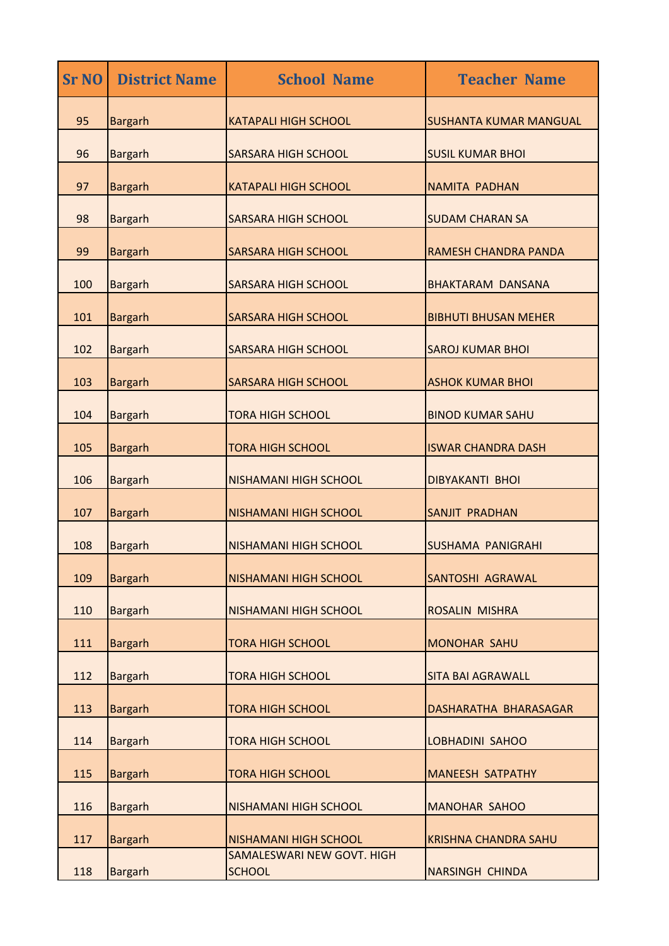| <b>Sr NO</b> | <b>District Name</b> | <b>School Name</b>                          | <b>Teacher Name</b>           |
|--------------|----------------------|---------------------------------------------|-------------------------------|
| 95           | <b>Bargarh</b>       | <b>KATAPALI HIGH SCHOOL</b>                 | <b>SUSHANTA KUMAR MANGUAL</b> |
| 96           | <b>Bargarh</b>       | <b>SARSARA HIGH SCHOOL</b>                  | <b>SUSIL KUMAR BHOI</b>       |
| 97           | <b>Bargarh</b>       | <b>KATAPALI HIGH SCHOOL</b>                 | NAMITA PADHAN                 |
| 98           | <b>Bargarh</b>       | <b>SARSARA HIGH SCHOOL</b>                  | <b>SUDAM CHARAN SA</b>        |
| 99           | <b>Bargarh</b>       | <b>SARSARA HIGH SCHOOL</b>                  | <b>RAMESH CHANDRA PANDA</b>   |
| 100          | <b>Bargarh</b>       | <b>SARSARA HIGH SCHOOL</b>                  | <b>BHAKTARAM DANSANA</b>      |
| 101          | <b>Bargarh</b>       | <b>SARSARA HIGH SCHOOL</b>                  | <b>BIBHUTI BHUSAN MEHER</b>   |
| 102          | <b>Bargarh</b>       | <b>SARSARA HIGH SCHOOL</b>                  | <b>SAROJ KUMAR BHOI</b>       |
| 103          | <b>Bargarh</b>       | <b>SARSARA HIGH SCHOOL</b>                  | <b>ASHOK KUMAR BHOI</b>       |
| 104          | <b>Bargarh</b>       | <b>TORA HIGH SCHOOL</b>                     | <b>BINOD KUMAR SAHU</b>       |
| 105          | <b>Bargarh</b>       | <b>TORA HIGH SCHOOL</b>                     | <b>ISWAR CHANDRA DASH</b>     |
| 106          | <b>Bargarh</b>       | <b>NISHAMANI HIGH SCHOOL</b>                | <b>DIBYAKANTI BHOI</b>        |
| 107          | <b>Bargarh</b>       | <b>NISHAMANI HIGH SCHOOL</b>                | <b>SANJIT PRADHAN</b>         |
| 108          | <b>Bargarh</b>       | <b>NISHAMANI HIGH SCHOOL</b>                | <b>SUSHAMA PANIGRAHI</b>      |
| 109          | <b>Bargarh</b>       | <b>NISHAMANI HIGH SCHOOL</b>                | SANTOSHI AGRAWAL              |
| 110          | <b>Bargarh</b>       | <b>NISHAMANI HIGH SCHOOL</b>                | ROSALIN MISHRA                |
| 111          | <b>Bargarh</b>       | <b>TORA HIGH SCHOOL</b>                     | <b>MONOHAR SAHU</b>           |
| 112          | <b>Bargarh</b>       | <b>TORA HIGH SCHOOL</b>                     | <b>SITA BAI AGRAWALL</b>      |
| 113          | <b>Bargarh</b>       | <b>TORA HIGH SCHOOL</b>                     | DASHARATHA BHARASAGAR         |
| 114          | <b>Bargarh</b>       | <b>TORA HIGH SCHOOL</b>                     | LOBHADINI SAHOO               |
| 115          | <b>Bargarh</b>       | <b>TORA HIGH SCHOOL</b>                     | <b>MANEESH SATPATHY</b>       |
| 116          | <b>Bargarh</b>       | <b>NISHAMANI HIGH SCHOOL</b>                | <b>MANOHAR SAHOO</b>          |
| 117          | <b>Bargarh</b>       | <b>NISHAMANI HIGH SCHOOL</b>                | <b>KRISHNA CHANDRA SAHU</b>   |
| 118          | <b>Bargarh</b>       | SAMALESWARI NEW GOVT. HIGH<br><b>SCHOOL</b> | <b>NARSINGH CHINDA</b>        |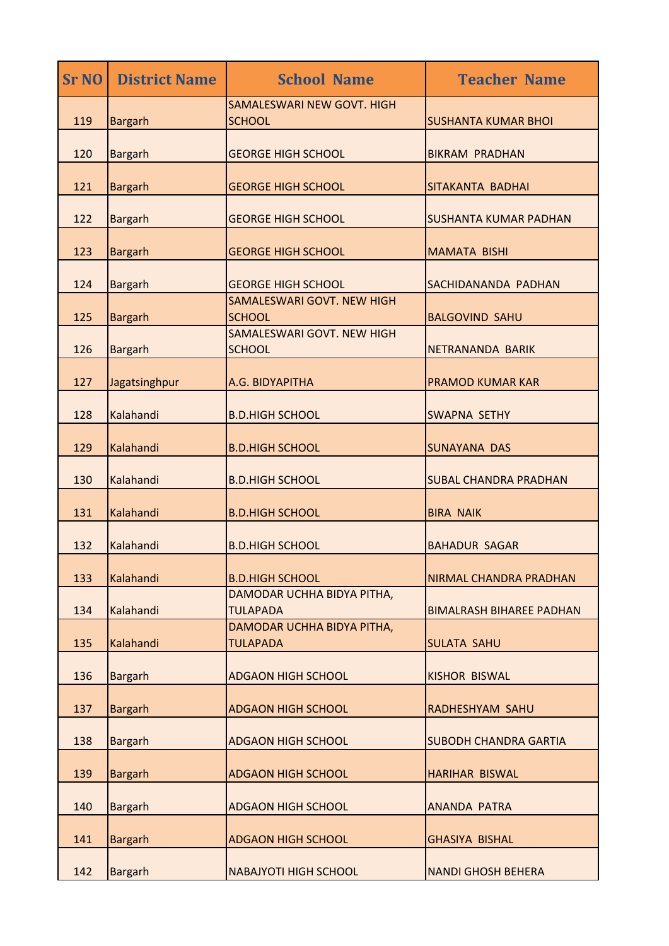| <b>Sr NO</b> | <b>District Name</b> | <b>School Name</b>                            | <b>Teacher Name</b>             |
|--------------|----------------------|-----------------------------------------------|---------------------------------|
| 119          | <b>Bargarh</b>       | SAMALESWARI NEW GOVT. HIGH<br><b>SCHOOL</b>   | <b>SUSHANTA KUMAR BHOI</b>      |
| 120          | <b>Bargarh</b>       | <b>GEORGE HIGH SCHOOL</b>                     | <b>BIKRAM PRADHAN</b>           |
| 121          | <b>Bargarh</b>       | <b>GEORGE HIGH SCHOOL</b>                     | SITAKANTA BADHAI                |
| 122          | <b>Bargarh</b>       | <b>GEORGE HIGH SCHOOL</b>                     | <b>SUSHANTA KUMAR PADHAN</b>    |
| 123          | <b>Bargarh</b>       | <b>GEORGE HIGH SCHOOL</b>                     | <b>MAMATA BISHI</b>             |
| 124          | <b>Bargarh</b>       | <b>GEORGE HIGH SCHOOL</b>                     | SACHIDANANDA PADHAN             |
| 125          | <b>Bargarh</b>       | SAMALESWARI GOVT. NEW HIGH<br><b>SCHOOL</b>   | <b>BALGOVIND SAHU</b>           |
| 126          | <b>Bargarh</b>       | SAMALESWARI GOVT. NEW HIGH<br><b>SCHOOL</b>   | NETRANANDA BARIK                |
| 127          | Jagatsinghpur        | A.G. BIDYAPITHA                               | <b>PRAMOD KUMAR KAR</b>         |
| 128          | Kalahandi            | <b>B.D.HIGH SCHOOL</b>                        | <b>SWAPNA SETHY</b>             |
| 129          | Kalahandi            | <b>B.D.HIGH SCHOOL</b>                        | <b>SUNAYANA DAS</b>             |
| 130          | Kalahandi            | <b>B.D.HIGH SCHOOL</b>                        | <b>SUBAL CHANDRA PRADHAN</b>    |
| 131          | Kalahandi            | <b>B.D.HIGH SCHOOL</b>                        | <b>BIRA NAIK</b>                |
| 132          | Kalahandi            | <b>B.D.HIGH SCHOOL</b>                        | <b>BAHADUR SAGAR</b>            |
| 133          | Kalahandi            | <b>B.D.HIGH SCHOOL</b>                        | NIRMAL CHANDRA PRADHAN          |
| 134          | Kalahandi            | DAMODAR UCHHA BIDYA PITHA,<br><b>TULAPADA</b> | <b>BIMALRASH BIHAREE PADHAN</b> |
| 135          | Kalahandi            | DAMODAR UCHHA BIDYA PITHA,<br><b>TULAPADA</b> | <b>SULATA SAHU</b>              |
| 136          | <b>Bargarh</b>       | <b>ADGAON HIGH SCHOOL</b>                     | <b>KISHOR BISWAL</b>            |
| 137          | <b>Bargarh</b>       | <b>ADGAON HIGH SCHOOL</b>                     | RADHESHYAM SAHU                 |
| 138          | <b>Bargarh</b>       | <b>ADGAON HIGH SCHOOL</b>                     | <b>SUBODH CHANDRA GARTIA</b>    |
| 139          | <b>Bargarh</b>       | <b>ADGAON HIGH SCHOOL</b>                     | <b>HARIHAR BISWAL</b>           |
| 140          | <b>Bargarh</b>       | <b>ADGAON HIGH SCHOOL</b>                     | <b>ANANDA PATRA</b>             |
| 141          | <b>Bargarh</b>       | <b>ADGAON HIGH SCHOOL</b>                     | <b>GHASIYA BISHAL</b>           |
| 142          | <b>Bargarh</b>       | <b>NABAJYOTI HIGH SCHOOL</b>                  | <b>NANDI GHOSH BEHERA</b>       |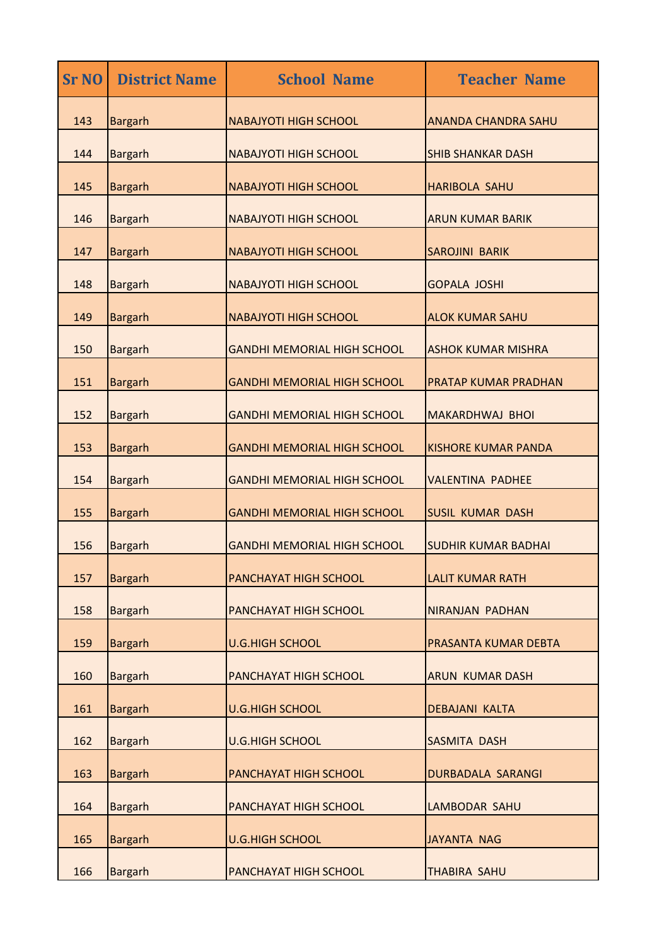| <b>Sr NO</b> | <b>District Name</b> | <b>School Name</b>                 | <b>Teacher Name</b>         |
|--------------|----------------------|------------------------------------|-----------------------------|
| 143          | <b>Bargarh</b>       | <b>NABAJYOTI HIGH SCHOOL</b>       | <b>ANANDA CHANDRA SAHU</b>  |
| 144          | <b>Bargarh</b>       | <b>NABAJYOTI HIGH SCHOOL</b>       | <b>SHIB SHANKAR DASH</b>    |
| 145          | <b>Bargarh</b>       | <b>NABAJYOTI HIGH SCHOOL</b>       | <b>HARIBOLA SAHU</b>        |
| 146          | <b>Bargarh</b>       | <b>NABAJYOTI HIGH SCHOOL</b>       | <b>ARUN KUMAR BARIK</b>     |
| 147          | <b>Bargarh</b>       | <b>NABAJYOTI HIGH SCHOOL</b>       | <b>SAROJINI BARIK</b>       |
| 148          | <b>Bargarh</b>       | <b>NABAJYOTI HIGH SCHOOL</b>       | <b>GOPALA JOSHI</b>         |
| 149          | <b>Bargarh</b>       | <b>NABAJYOTI HIGH SCHOOL</b>       | <b>ALOK KUMAR SAHU</b>      |
| 150          | <b>Bargarh</b>       | <b>GANDHI MEMORIAL HIGH SCHOOL</b> | <b>ASHOK KUMAR MISHRA</b>   |
| 151          | <b>Bargarh</b>       | <b>GANDHI MEMORIAL HIGH SCHOOL</b> | <b>PRATAP KUMAR PRADHAN</b> |
| 152          | <b>Bargarh</b>       | <b>GANDHI MEMORIAL HIGH SCHOOL</b> | <b>MAKARDHWAJ BHOI</b>      |
| 153          | <b>Bargarh</b>       | <b>GANDHI MEMORIAL HIGH SCHOOL</b> | <b>KISHORE KUMAR PANDA</b>  |
| 154          | <b>Bargarh</b>       | <b>GANDHI MEMORIAL HIGH SCHOOL</b> | <b>VALENTINA PADHEE</b>     |
| 155          | <b>Bargarh</b>       | <b>GANDHI MEMORIAL HIGH SCHOOL</b> | <b>SUSIL KUMAR DASH</b>     |
| 156          | <b>Bargarh</b>       | <b>GANDHI MEMORIAL HIGH SCHOOL</b> | <b>SUDHIR KUMAR BADHAI</b>  |
| 157          | <b>Bargarh</b>       | PANCHAYAT HIGH SCHOOL              | <b>LALIT KUMAR RATH</b>     |
| 158          | <b>Bargarh</b>       | PANCHAYAT HIGH SCHOOL              | NIRANJAN PADHAN             |
| 159          | <b>Bargarh</b>       | <b>U.G.HIGH SCHOOL</b>             | PRASANTA KUMAR DEBTA        |
| 160          | <b>Bargarh</b>       | PANCHAYAT HIGH SCHOOL              | <b>ARUN KUMAR DASH</b>      |
| 161          | <b>Bargarh</b>       | <b>U.G.HIGH SCHOOL</b>             | <b>DEBAJANI KALTA</b>       |
| 162          | <b>Bargarh</b>       | <b>U.G.HIGH SCHOOL</b>             | <b>SASMITA DASH</b>         |
| 163          | <b>Bargarh</b>       | PANCHAYAT HIGH SCHOOL              | DURBADALA SARANGI           |
| 164          | <b>Bargarh</b>       | PANCHAYAT HIGH SCHOOL              | LAMBODAR SAHU               |
| 165          | <b>Bargarh</b>       | <b>U.G.HIGH SCHOOL</b>             | <b>JAYANTA NAG</b>          |
| 166          | <b>Bargarh</b>       | PANCHAYAT HIGH SCHOOL              | <b>THABIRA SAHU</b>         |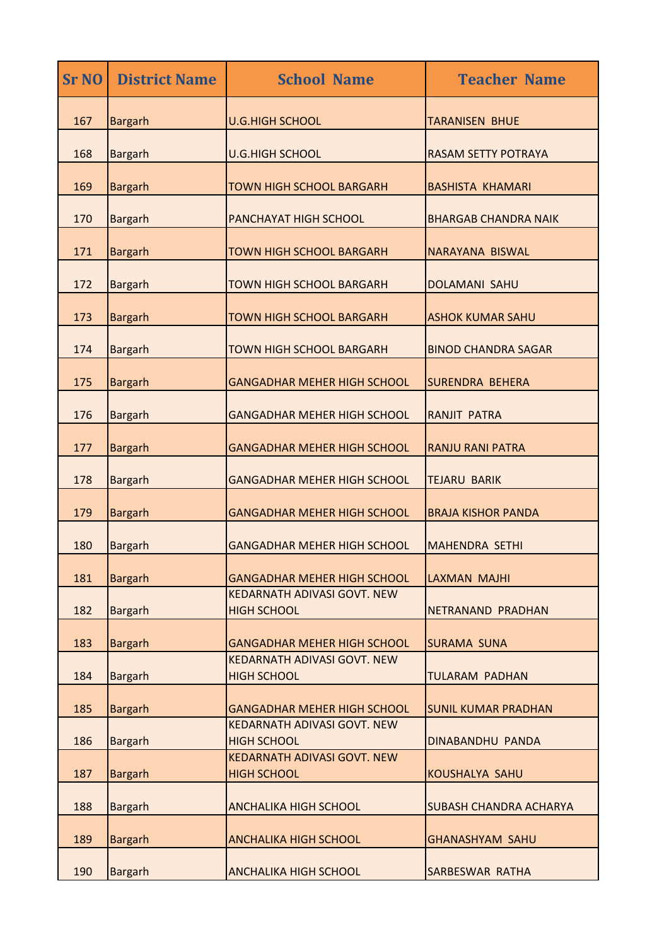| <b>Sr NO</b> | <b>District Name</b> | <b>School Name</b>                                       | <b>Teacher Name</b>           |
|--------------|----------------------|----------------------------------------------------------|-------------------------------|
| 167          | <b>Bargarh</b>       | <b>U.G.HIGH SCHOOL</b>                                   | <b>TARANISEN BHUE</b>         |
| 168          | <b>Bargarh</b>       | <b>U.G.HIGH SCHOOL</b>                                   | <b>RASAM SETTY POTRAYA</b>    |
| 169          | <b>Bargarh</b>       | <b>TOWN HIGH SCHOOL BARGARH</b>                          | <b>BASHISTA KHAMARI</b>       |
| 170          | <b>Bargarh</b>       | PANCHAYAT HIGH SCHOOL                                    | <b>BHARGAB CHANDRA NAIK</b>   |
| 171          | <b>Bargarh</b>       | <b>TOWN HIGH SCHOOL BARGARH</b>                          | NARAYANA BISWAL               |
| 172          | <b>Bargarh</b>       | <b>TOWN HIGH SCHOOL BARGARH</b>                          | <b>DOLAMANI SAHU</b>          |
| 173          | <b>Bargarh</b>       | <b>TOWN HIGH SCHOOL BARGARH</b>                          | <b>ASHOK KUMAR SAHU</b>       |
| 174          | <b>Bargarh</b>       | <b>TOWN HIGH SCHOOL BARGARH</b>                          | <b>BINOD CHANDRA SAGAR</b>    |
| 175          | <b>Bargarh</b>       | <b>GANGADHAR MEHER HIGH SCHOOL</b>                       | <b>SURENDRA BEHERA</b>        |
| 176          | <b>Bargarh</b>       | <b>GANGADHAR MEHER HIGH SCHOOL</b>                       | <b>RANJIT PATRA</b>           |
| 177          | <b>Bargarh</b>       | <b>GANGADHAR MEHER HIGH SCHOOL</b>                       | <b>RANJU RANI PATRA</b>       |
| 178          | <b>Bargarh</b>       | <b>GANGADHAR MEHER HIGH SCHOOL</b>                       | <b>TEJARU BARIK</b>           |
| 179          | <b>Bargarh</b>       | <b>GANGADHAR MEHER HIGH SCHOOL</b>                       | <b>BRAJA KISHOR PANDA</b>     |
| 180          | <b>Bargarh</b>       | <b>GANGADHAR MEHER HIGH SCHOOL</b>                       | <b>MAHENDRA SETHI</b>         |
| 181          | <b>Bargarh</b>       | <b>GANGADHAR MEHER HIGH SCHOOL</b>                       | LAXMAN MAJHI                  |
| 182          | <b>Bargarh</b>       | <b>KEDARNATH ADIVASI GOVT. NEW</b><br><b>HIGH SCHOOL</b> | NETRANAND PRADHAN             |
| 183          | <b>Bargarh</b>       | <b>GANGADHAR MEHER HIGH SCHOOL</b>                       | <b>SURAMA SUNA</b>            |
| 184          | <b>Bargarh</b>       | KEDARNATH ADIVASI GOVT. NEW<br><b>HIGH SCHOOL</b>        | <b>TULARAM PADHAN</b>         |
| 185          | <b>Bargarh</b>       | <b>GANGADHAR MEHER HIGH SCHOOL</b>                       | <b>SUNIL KUMAR PRADHAN</b>    |
| 186          | <b>Bargarh</b>       | KEDARNATH ADIVASI GOVT. NEW<br><b>HIGH SCHOOL</b>        | <b>DINABANDHU PANDA</b>       |
| 187          | <b>Bargarh</b>       | KEDARNATH ADIVASI GOVT. NEW<br><b>HIGH SCHOOL</b>        | <b>KOUSHALYA SAHU</b>         |
| 188          | <b>Bargarh</b>       | <b>ANCHALIKA HIGH SCHOOL</b>                             | <b>SUBASH CHANDRA ACHARYA</b> |
| 189          | <b>Bargarh</b>       | <b>ANCHALIKA HIGH SCHOOL</b>                             | <b>GHANASHYAM SAHU</b>        |
| 190          | <b>Bargarh</b>       | <b>ANCHALIKA HIGH SCHOOL</b>                             | SARBESWAR RATHA               |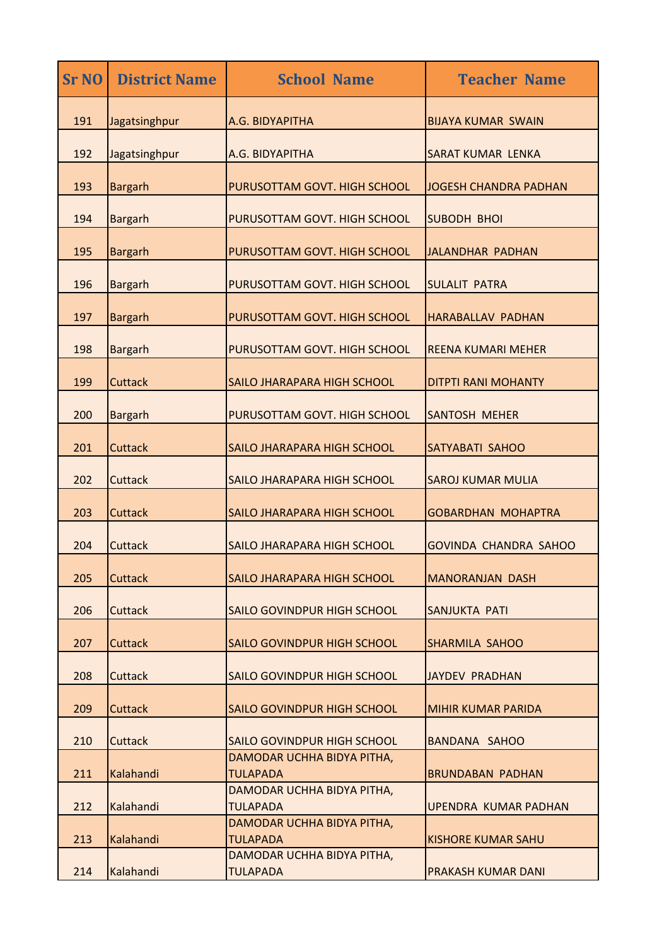| <b>Sr NO</b> | <b>District Name</b> | <b>School Name</b>                            | <b>Teacher Name</b>          |
|--------------|----------------------|-----------------------------------------------|------------------------------|
| 191          | Jagatsinghpur        | A.G. BIDYAPITHA                               | <b>BIJAYA KUMAR SWAIN</b>    |
| 192          | Jagatsinghpur        | A.G. BIDYAPITHA                               | <b>SARAT KUMAR LENKA</b>     |
| 193          | <b>Bargarh</b>       | PURUSOTTAM GOVT. HIGH SCHOOL                  | JOGESH CHANDRA PADHAN        |
| 194          | <b>Bargarh</b>       | PURUSOTTAM GOVT. HIGH SCHOOL                  | <b>SUBODH BHOI</b>           |
| 195          | <b>Bargarh</b>       | PURUSOTTAM GOVT. HIGH SCHOOL                  | <b>JALANDHAR PADHAN</b>      |
| 196          | <b>Bargarh</b>       | PURUSOTTAM GOVT. HIGH SCHOOL                  | <b>SULALIT PATRA</b>         |
| 197          | <b>Bargarh</b>       | PURUSOTTAM GOVT. HIGH SCHOOL                  | <b>HARABALLAV PADHAN</b>     |
| 198          | <b>Bargarh</b>       | PURUSOTTAM GOVT. HIGH SCHOOL                  | <b>REENA KUMARI MEHER</b>    |
|              |                      |                                               |                              |
| 199          | <b>Cuttack</b>       | SAILO JHARAPARA HIGH SCHOOL                   | <b>DITPTI RANI MOHANTY</b>   |
| 200          | <b>Bargarh</b>       | PURUSOTTAM GOVT. HIGH SCHOOL                  | <b>SANTOSH MEHER</b>         |
| 201          | <b>Cuttack</b>       | SAILO JHARAPARA HIGH SCHOOL                   | <b>SATYABATI SAHOO</b>       |
| 202          | Cuttack              | SAILO JHARAPARA HIGH SCHOOL                   | <b>SAROJ KUMAR MULIA</b>     |
| 203          | <b>Cuttack</b>       | SAILO JHARAPARA HIGH SCHOOL                   | <b>GOBARDHAN MOHAPTRA</b>    |
| 204          | <b>Cuttack</b>       | <b>SAILO JHARAPARA HIGH SCHOOL</b>            | <b>GOVINDA CHANDRA SAHOO</b> |
| 205          | <b>Cuttack</b>       | SAILO JHARAPARA HIGH SCHOOL                   | <b>MANORANJAN DASH</b>       |
| 206          | Cuttack              | SAILO GOVINDPUR HIGH SCHOOL                   | <b>SANJUKTA PATI</b>         |
| 207          | Cuttack              | SAILO GOVINDPUR HIGH SCHOOL                   | <b>SHARMILA SAHOO</b>        |
| 208          | <b>Cuttack</b>       | <b>SAILO GOVINDPUR HIGH SCHOOL</b>            | <b>JAYDEV PRADHAN</b>        |
| 209          | Cuttack              | <b>SAILO GOVINDPUR HIGH SCHOOL</b>            | <b>MIHIR KUMAR PARIDA</b>    |
| 210          | Cuttack              | SAILO GOVINDPUR HIGH SCHOOL                   | BANDANA SAHOO                |
| 211          | Kalahandi            | DAMODAR UCHHA BIDYA PITHA,<br><b>TULAPADA</b> | <b>BRUNDABAN PADHAN</b>      |
| 212          | Kalahandi            | DAMODAR UCHHA BIDYA PITHA,<br><b>TULAPADA</b> | UPENDRA KUMAR PADHAN         |
| 213          | Kalahandi            | DAMODAR UCHHA BIDYA PITHA,<br><b>TULAPADA</b> | <b>KISHORE KUMAR SAHU</b>    |
|              |                      | DAMODAR UCHHA BIDYA PITHA,                    |                              |
| 214          | Kalahandi            | <b>TULAPADA</b>                               | <b>PRAKASH KUMAR DANI</b>    |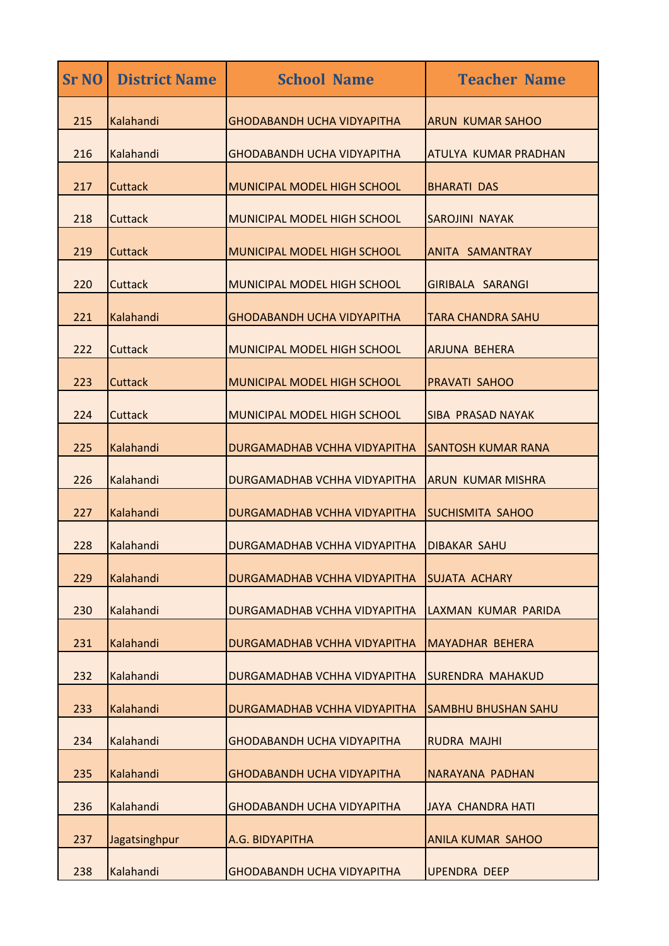| <b>Sr NO</b> | <b>District Name</b> | <b>School Name</b>                 | <b>Teacher Name</b>         |
|--------------|----------------------|------------------------------------|-----------------------------|
| 215          | Kalahandi            | <b>GHODABANDH UCHA VIDYAPITHA</b>  | <b>ARUN KUMAR SAHOO</b>     |
| 216          | Kalahandi            | <b>GHODABANDH UCHA VIDYAPITHA</b>  | <b>ATULYA KUMAR PRADHAN</b> |
| 217          | <b>Cuttack</b>       | MUNICIPAL MODEL HIGH SCHOOL        | <b>BHARATI DAS</b>          |
| 218          | Cuttack              | MUNICIPAL MODEL HIGH SCHOOL        | <b>SAROJINI NAYAK</b>       |
| 219          | Cuttack              | <b>MUNICIPAL MODEL HIGH SCHOOL</b> | <b>ANITA SAMANTRAY</b>      |
| 220          | Cuttack              | <b>MUNICIPAL MODEL HIGH SCHOOL</b> | GIRIBALA SARANGI            |
| 221          | Kalahandi            | <b>GHODABANDH UCHA VIDYAPITHA</b>  | <b>TARA CHANDRA SAHU</b>    |
| 222          | Cuttack              | <b>MUNICIPAL MODEL HIGH SCHOOL</b> | <b>ARJUNA BEHERA</b>        |
| 223          | <b>Cuttack</b>       | <b>MUNICIPAL MODEL HIGH SCHOOL</b> | <b>PRAVATI SAHOO</b>        |
| 224          | <b>Cuttack</b>       | MUNICIPAL MODEL HIGH SCHOOL        | <b>SIBA PRASAD NAYAK</b>    |
| 225          | Kalahandi            | DURGAMADHAB VCHHA VIDYAPITHA       | <b>SANTOSH KUMAR RANA</b>   |
| 226          | Kalahandi            | DURGAMADHAB VCHHA VIDYAPITHA       | <b>ARUN KUMAR MISHRA</b>    |
| 227          | Kalahandi            | DURGAMADHAB VCHHA VIDYAPITHA       | <b>SUCHISMITA SAHOO</b>     |
| 228          | Kalahandi            | DURGAMADHAB VCHHA VIDYAPITHA       | <b>DIBAKAR SAHU</b>         |
| 229          | Kalahandi            | DURGAMADHAB VCHHA VIDYAPITHA       | <b>SUJATA ACHARY</b>        |
| 230          | Kalahandi            | DURGAMADHAB VCHHA VIDYAPITHA       | LAXMAN KUMAR PARIDA         |
| 231          | Kalahandi            | DURGAMADHAB VCHHA VIDYAPITHA       | <b>MAYADHAR BEHERA</b>      |
| 232          | Kalahandi            | DURGAMADHAB VCHHA VIDYAPITHA       | <b>SURENDRA MAHAKUD</b>     |
| 233          | Kalahandi            | DURGAMADHAB VCHHA VIDYAPITHA       | <b>SAMBHU BHUSHAN SAHU</b>  |
| 234          | Kalahandi            | <b>GHODABANDH UCHA VIDYAPITHA</b>  | <b>RUDRA MAJHI</b>          |
| 235          | Kalahandi            | <b>GHODABANDH UCHA VIDYAPITHA</b>  | NARAYANA PADHAN             |
| 236          | Kalahandi            | <b>GHODABANDH UCHA VIDYAPITHA</b>  | <b>JAYA CHANDRA HATI</b>    |
| 237          | Jagatsinghpur        | A.G. BIDYAPITHA                    | <b>ANILA KUMAR SAHOO</b>    |
| 238          | Kalahandi            | <b>GHODABANDH UCHA VIDYAPITHA</b>  | <b>UPENDRA DEEP</b>         |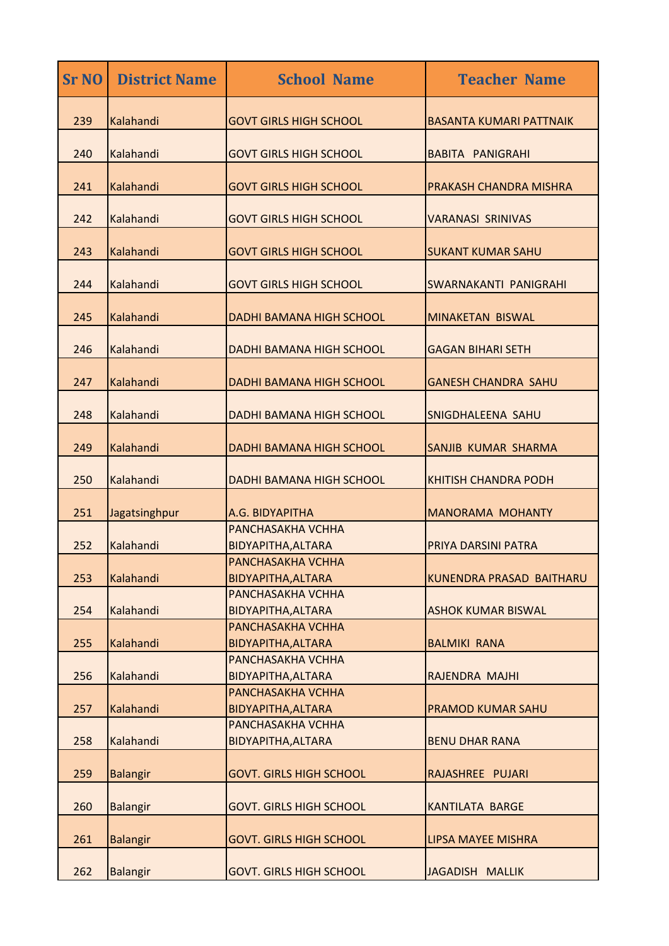| <b>Sr NO</b> | <b>District Name</b> | <b>School Name</b>                      | <b>Teacher Name</b>            |
|--------------|----------------------|-----------------------------------------|--------------------------------|
| 239          | Kalahandi            | <b>GOVT GIRLS HIGH SCHOOL</b>           | <b>BASANTA KUMARI PATTNAIK</b> |
| 240          | Kalahandi            | <b>GOVT GIRLS HIGH SCHOOL</b>           | <b>BABITA PANIGRAHI</b>        |
| 241          | Kalahandi            | <b>GOVT GIRLS HIGH SCHOOL</b>           | <b>PRAKASH CHANDRA MISHRA</b>  |
| 242          | Kalahandi            | <b>GOVT GIRLS HIGH SCHOOL</b>           | <b>VARANASI SRINIVAS</b>       |
| 243          | Kalahandi            | <b>GOVT GIRLS HIGH SCHOOL</b>           | <b>SUKANT KUMAR SAHU</b>       |
| 244          | Kalahandi            | <b>GOVT GIRLS HIGH SCHOOL</b>           | SWARNAKANTI PANIGRAHI          |
| 245          | Kalahandi            | <b>DADHI BAMANA HIGH SCHOOL</b>         | <b>MINAKETAN BISWAL</b>        |
| 246          | Kalahandi            | <b>DADHI BAMANA HIGH SCHOOL</b>         | <b>GAGAN BIHARI SETH</b>       |
| 247          | Kalahandi            | <b>DADHI BAMANA HIGH SCHOOL</b>         | <b>GANESH CHANDRA SAHU</b>     |
| 248          | Kalahandi            | <b>DADHI BAMANA HIGH SCHOOL</b>         | SNIGDHALEENA SAHU              |
| 249          | Kalahandi            | <b>DADHI BAMANA HIGH SCHOOL</b>         | <b>SANJIB KUMAR SHARMA</b>     |
| 250          | Kalahandi            | <b>DADHI BAMANA HIGH SCHOOL</b>         | <b>KHITISH CHANDRA PODH</b>    |
| 251          | Jagatsinghpur        | A.G. BIDYAPITHA                         | <b>MANORAMA MOHANTY</b>        |
| 252          | Kalahandi            | PANCHASAKHA VCHHA<br>BIDYAPITHA, ALTARA | PRIYA DARSINI PATRA            |
| 253          | Kalahandi            | PANCHASAKHA VCHHA<br>BIDYAPITHA, ALTARA | KUNENDRA PRASAD BAITHARU       |
| 254          | Kalahandi            | PANCHASAKHA VCHHA<br>BIDYAPITHA, ALTARA | <b>ASHOK KUMAR BISWAL</b>      |
| 255          | Kalahandi            | PANCHASAKHA VCHHA<br>BIDYAPITHA, ALTARA | <b>BALMIKI RANA</b>            |
| 256          | Kalahandi            | PANCHASAKHA VCHHA<br>BIDYAPITHA, ALTARA | RAJENDRA MAJHI                 |
| 257          | Kalahandi            | PANCHASAKHA VCHHA<br>BIDYAPITHA, ALTARA | <b>PRAMOD KUMAR SAHU</b>       |
| 258          | Kalahandi            | PANCHASAKHA VCHHA<br>BIDYAPITHA, ALTARA | <b>BENU DHAR RANA</b>          |
| 259          | <b>Balangir</b>      | <b>GOVT. GIRLS HIGH SCHOOL</b>          | RAJASHREE PUJARI               |
| 260          | <b>Balangir</b>      | <b>GOVT. GIRLS HIGH SCHOOL</b>          | <b>KANTILATA BARGE</b>         |
| 261          | <b>Balangir</b>      | <b>GOVT. GIRLS HIGH SCHOOL</b>          | LIPSA MAYEE MISHRA             |
| 262          | <b>Balangir</b>      | <b>GOVT. GIRLS HIGH SCHOOL</b>          | JAGADISH MALLIK                |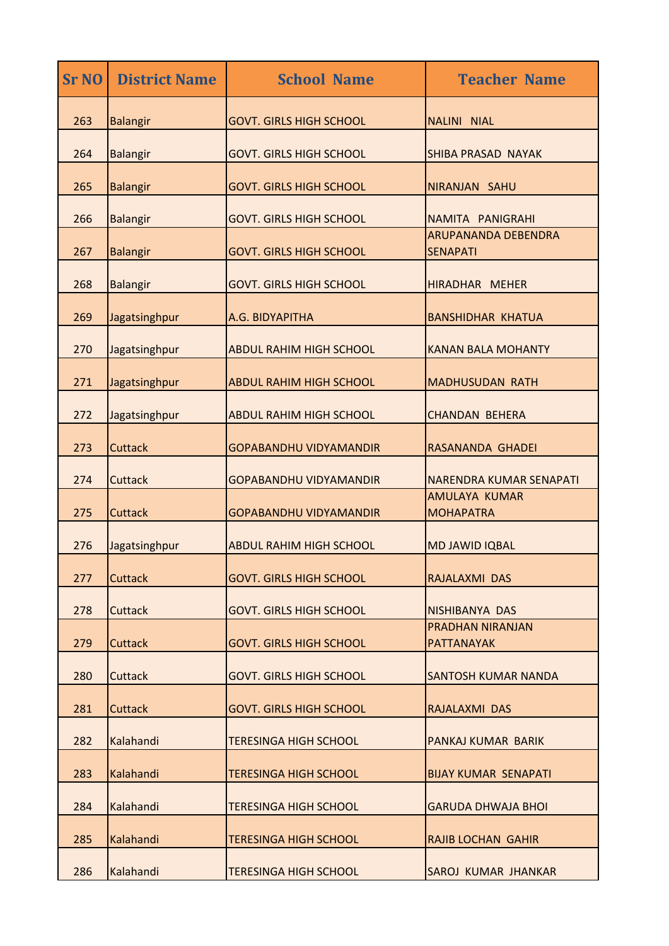| <b>Sr NO</b> | <b>District Name</b> | <b>School Name</b>             | <b>Teacher Name</b>                    |
|--------------|----------------------|--------------------------------|----------------------------------------|
| 263          | <b>Balangir</b>      | <b>GOVT. GIRLS HIGH SCHOOL</b> | <b>NALINI NIAL</b>                     |
| 264          | <b>Balangir</b>      | <b>GOVT. GIRLS HIGH SCHOOL</b> | SHIBA PRASAD NAYAK                     |
| 265          | <b>Balangir</b>      | <b>GOVT. GIRLS HIGH SCHOOL</b> | NIRANJAN SAHU                          |
| 266          | <b>Balangir</b>      | <b>GOVT. GIRLS HIGH SCHOOL</b> | NAMITA PANIGRAHI                       |
| 267          | <b>Balangir</b>      | <b>GOVT. GIRLS HIGH SCHOOL</b> | ARUPANANDA DEBENDRA<br><b>SENAPATI</b> |
| 268          | <b>Balangir</b>      | <b>GOVT. GIRLS HIGH SCHOOL</b> | HIRADHAR MEHER                         |
| 269          | Jagatsinghpur        | A.G. BIDYAPITHA                | <b>BANSHIDHAR KHATUA</b>               |
| 270          | Jagatsinghpur        | <b>ABDUL RAHIM HIGH SCHOOL</b> | <b>KANAN BALA MOHANTY</b>              |
| 271          | Jagatsinghpur        | <b>ABDUL RAHIM HIGH SCHOOL</b> | <b>MADHUSUDAN RATH</b>                 |
| 272          | Jagatsinghpur        | <b>ABDUL RAHIM HIGH SCHOOL</b> | <b>CHANDAN BEHERA</b>                  |
| 273          | <b>Cuttack</b>       | <b>GOPABANDHU VIDYAMANDIR</b>  | <b>RASANANDA GHADEI</b>                |
| 274          | <b>Cuttack</b>       | <b>GOPABANDHU VIDYAMANDIR</b>  | NARENDRA KUMAR SENAPATI                |
| 275          | <b>Cuttack</b>       | <b>GOPABANDHU VIDYAMANDIR</b>  | AMULAYA KUMAR<br><b>MOHAPATRA</b>      |
| 276          | Jagatsinghpur        | <b>ABDUL RAHIM HIGH SCHOOL</b> | <b>MD JAWID IQBAL</b>                  |
| 277          | Cuttack              | <b>GOVT. GIRLS HIGH SCHOOL</b> | <b>RAJALAXMI DAS</b>                   |
| 278          | Cuttack              | <b>GOVT. GIRLS HIGH SCHOOL</b> | NISHIBANYA DAS                         |
| 279          | <b>Cuttack</b>       | <b>GOVT. GIRLS HIGH SCHOOL</b> | PRADHAN NIRANJAN<br><b>PATTANAYAK</b>  |
| 280          | <b>Cuttack</b>       | <b>GOVT. GIRLS HIGH SCHOOL</b> | <b>SANTOSH KUMAR NANDA</b>             |
| 281          | <b>Cuttack</b>       | <b>GOVT. GIRLS HIGH SCHOOL</b> | RAJALAXMI DAS                          |
| 282          | Kalahandi            | <b>TERESINGA HIGH SCHOOL</b>   | PANKAJ KUMAR BARIK                     |
| 283          | Kalahandi            | <b>TERESINGA HIGH SCHOOL</b>   | <b>BIJAY KUMAR SENAPATI</b>            |
| 284          | Kalahandi            | <b>TERESINGA HIGH SCHOOL</b>   | <b>GARUDA DHWAJA BHOI</b>              |
| 285          | Kalahandi            | <b>TERESINGA HIGH SCHOOL</b>   | <b>RAJIB LOCHAN GAHIR</b>              |
| 286          | Kalahandi            | <b>TERESINGA HIGH SCHOOL</b>   | <b>SAROJ KUMAR JHANKAR</b>             |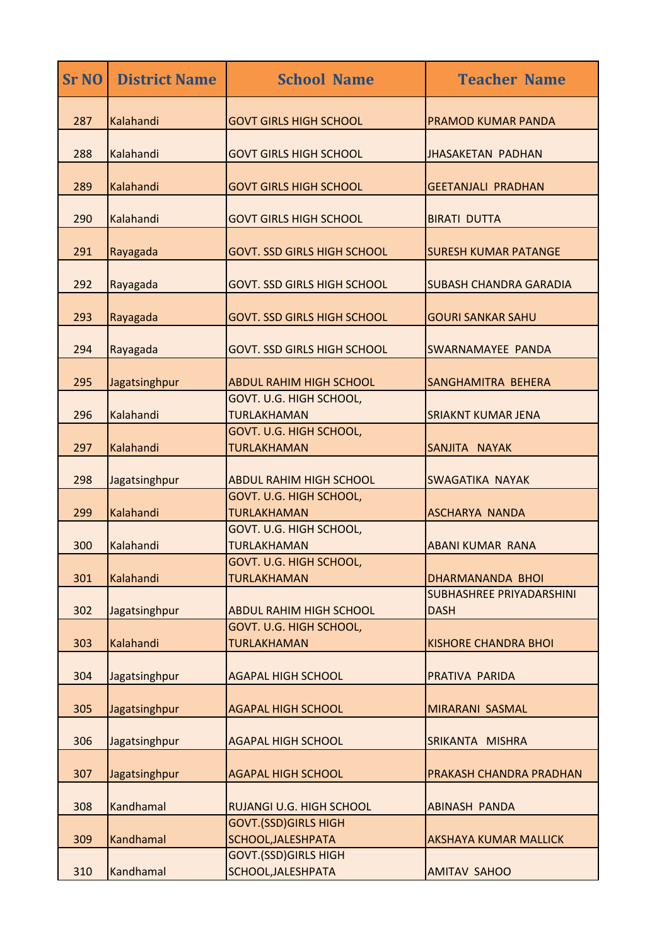| <b>Sr NO</b> | <b>District Name</b> | <b>School Name</b>                                | <b>Teacher Name</b>                            |
|--------------|----------------------|---------------------------------------------------|------------------------------------------------|
| 287          | Kalahandi            | <b>GOVT GIRLS HIGH SCHOOL</b>                     | <b>PRAMOD KUMAR PANDA</b>                      |
| 288          | Kalahandi            | <b>GOVT GIRLS HIGH SCHOOL</b>                     | <b>JHASAKETAN PADHAN</b>                       |
| 289          | Kalahandi            | <b>GOVT GIRLS HIGH SCHOOL</b>                     | <b>GEETANJALI PRADHAN</b>                      |
| 290          | Kalahandi            | <b>GOVT GIRLS HIGH SCHOOL</b>                     | <b>BIRATI DUTTA</b>                            |
| 291          | Rayagada             | <b>GOVT. SSD GIRLS HIGH SCHOOL</b>                | <b>SURESH KUMAR PATANGE</b>                    |
| 292          | Rayagada             | <b>GOVT. SSD GIRLS HIGH SCHOOL</b>                | <b>SUBASH CHANDRA GARADIA</b>                  |
| 293          | Rayagada             | <b>GOVT. SSD GIRLS HIGH SCHOOL</b>                | <b>GOURI SANKAR SAHU</b>                       |
| 294          | Rayagada             | <b>GOVT. SSD GIRLS HIGH SCHOOL</b>                | <b>SWARNAMAYEE PANDA</b>                       |
| 295          | Jagatsinghpur        | <b>ABDUL RAHIM HIGH SCHOOL</b>                    | SANGHAMITRA BEHERA                             |
| 296          | Kalahandi            | GOVT. U.G. HIGH SCHOOL,<br><b>TURLAKHAMAN</b>     | <b>SRIAKNT KUMAR JENA</b>                      |
| 297          | Kalahandi            | GOVT. U.G. HIGH SCHOOL,<br><b>TURLAKHAMAN</b>     | SANJITA NAYAK                                  |
| 298          | Jagatsinghpur        | <b>ABDUL RAHIM HIGH SCHOOL</b>                    | <b>SWAGATIKA NAYAK</b>                         |
| 299          | Kalahandi            | GOVT. U.G. HIGH SCHOOL,<br><b>TURLAKHAMAN</b>     | <b>ASCHARYA NANDA</b>                          |
| 300          | Kalahandi            | <b>GOVT. U.G. HIGH SCHOOL,</b><br>TURLAKHAMAN     | <b>ABANI KUMAR RANA</b>                        |
| 301          | Kalahandi            | GOVT. U.G. HIGH SCHOOL,<br><b>TURLAKHAMAN</b>     | DHARMANANDA BHOI                               |
| 302          | Jagatsinghpur        | <b>ABDUL RAHIM HIGH SCHOOL</b>                    | <b>SUBHASHREE PRIYADARSHINI</b><br><b>DASH</b> |
| 303          | Kalahandi            | GOVT. U.G. HIGH SCHOOL,<br><b>TURLAKHAMAN</b>     | <b>KISHORE CHANDRA BHOI</b>                    |
| 304          | Jagatsinghpur        | <b>AGAPAL HIGH SCHOOL</b>                         | PRATIVA PARIDA                                 |
| 305          | Jagatsinghpur        | <b>AGAPAL HIGH SCHOOL</b>                         | MIRARANI SASMAL                                |
| 306          | Jagatsinghpur        | <b>AGAPAL HIGH SCHOOL</b>                         | SRIKANTA MISHRA                                |
| 307          | Jagatsinghpur        | <b>AGAPAL HIGH SCHOOL</b>                         | PRAKASH CHANDRA PRADHAN                        |
| 308          | Kandhamal            | <b>RUJANGI U.G. HIGH SCHOOL</b>                   | <b>ABINASH PANDA</b>                           |
| 309          | Kandhamal            | <b>GOVT.(SSD)GIRLS HIGH</b><br>SCHOOL, JALESHPATA | <b>AKSHAYA KUMAR MALLICK</b>                   |
| 310          | Kandhamal            | <b>GOVT.(SSD)GIRLS HIGH</b><br>SCHOOL, JALESHPATA | <b>AMITAV SAHOO</b>                            |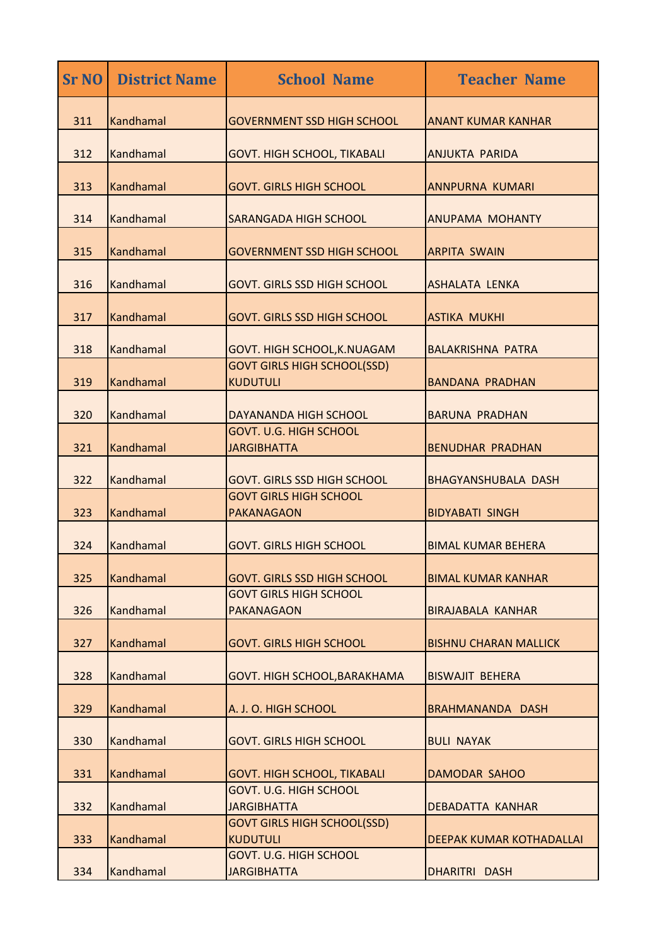| <b>District Name</b> | <b>School Name</b>                                    | <b>Teacher Name</b>          |
|----------------------|-------------------------------------------------------|------------------------------|
| <b>Kandhamal</b>     | <b>GOVERNMENT SSD HIGH SCHOOL</b>                     | <b>ANANT KUMAR KANHAR</b>    |
| Kandhamal            | <b>GOVT. HIGH SCHOOL, TIKABALI</b>                    | <b>ANJUKTA PARIDA</b>        |
| Kandhamal            | <b>GOVT. GIRLS HIGH SCHOOL</b>                        | <b>ANNPURNA KUMARI</b>       |
| Kandhamal            | <b>SARANGADA HIGH SCHOOL</b>                          | <b>ANUPAMA MOHANTY</b>       |
| Kandhamal            | <b>GOVERNMENT SSD HIGH SCHOOL</b>                     | <b>ARPITA SWAIN</b>          |
| Kandhamal            | <b>GOVT. GIRLS SSD HIGH SCHOOL</b>                    | <b>ASHALATA LENKA</b>        |
| Kandhamal            | <b>GOVT. GIRLS SSD HIGH SCHOOL</b>                    | <b>ASTIKA MUKHI</b>          |
| Kandhamal            | GOVT. HIGH SCHOOL, K. NUAGAM                          | <b>BALAKRISHNA PATRA</b>     |
| Kandhamal            | <b>GOVT GIRLS HIGH SCHOOL(SSD)</b><br><b>KUDUTULI</b> | <b>BANDANA PRADHAN</b>       |
| <b>Kandhamal</b>     | DAYANANDA HIGH SCHOOL                                 | <b>BARUNA PRADHAN</b>        |
| Kandhamal            | <b>GOVT. U.G. HIGH SCHOOL</b><br><b>JARGIBHATTA</b>   | <b>BENUDHAR PRADHAN</b>      |
| Kandhamal            | <b>GOVT. GIRLS SSD HIGH SCHOOL</b>                    | <b>BHAGYANSHUBALA DASH</b>   |
| Kandhamal            | <b>GOVT GIRLS HIGH SCHOOL</b><br>PAKANAGAON           | <b>BIDYABATI SINGH</b>       |
| Kandhamal            | <b>GOVT. GIRLS HIGH SCHOOL</b>                        | <b>BIMAL KUMAR BEHERA</b>    |
| Kandhamal            | <b>GOVT. GIRLS SSD HIGH SCHOOL</b>                    | <b>BIMAL KUMAR KANHAR</b>    |
| Kandhamal            | <b>GOVT GIRLS HIGH SCHOOL</b><br>PAKANAGAON           | <b>BIRAJABALA KANHAR</b>     |
| Kandhamal            | <b>GOVT. GIRLS HIGH SCHOOL</b>                        | <b>BISHNU CHARAN MALLICK</b> |
| Kandhamal            | GOVT. HIGH SCHOOL, BARAKHAMA                          | <b>BISWAJIT BEHERA</b>       |
| Kandhamal            | A. J. O. HIGH SCHOOL                                  | <b>BRAHMANANDA DASH</b>      |
| Kandhamal            | <b>GOVT. GIRLS HIGH SCHOOL</b>                        | <b>BULI NAYAK</b>            |
| Kandhamal            | <b>GOVT. HIGH SCHOOL, TIKABALI</b>                    | <b>DAMODAR SAHOO</b>         |
| Kandhamal            | <b>GOVT. U.G. HIGH SCHOOL</b><br><b>JARGIBHATTA</b>   | <b>DEBADATTA KANHAR</b>      |
| <b>Kandhamal</b>     | <b>GOVT GIRLS HIGH SCHOOL(SSD)</b><br><b>KUDUTULI</b> | DEEPAK KUMAR KOTHADALLAI     |
|                      | <b>GOVT. U.G. HIGH SCHOOL</b>                         | DHARITRI DASH                |
|                      | Kandhamal                                             | <b>JARGIBHATTA</b>           |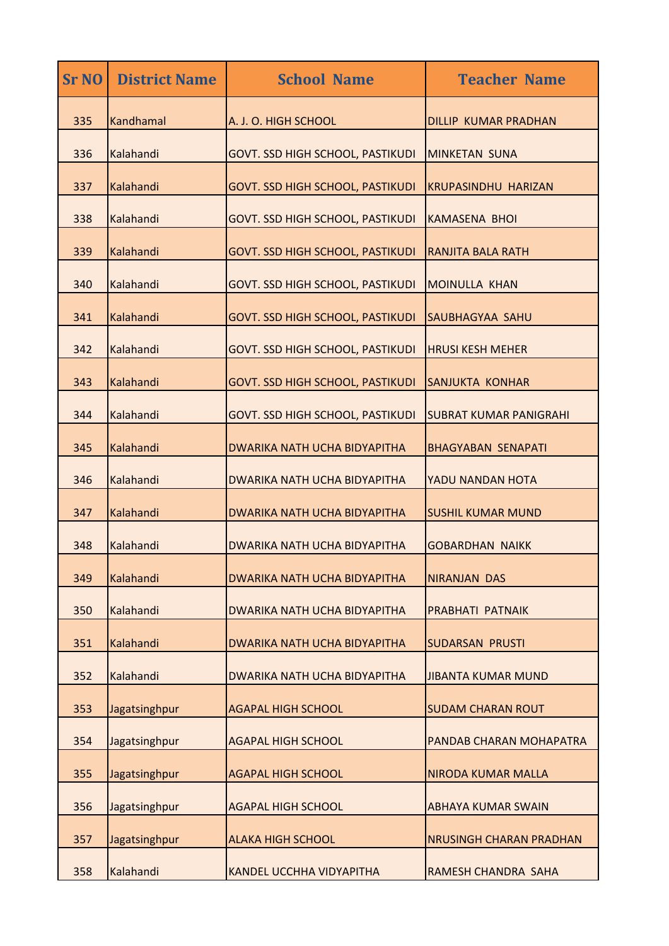| <b>Sr NO</b> | <b>District Name</b> | <b>School Name</b>                      | <b>Teacher Name</b>            |
|--------------|----------------------|-----------------------------------------|--------------------------------|
| 335          | Kandhamal            | A. J. O. HIGH SCHOOL                    | <b>DILLIP KUMAR PRADHAN</b>    |
| 336          | Kalahandi            | <b>GOVT. SSD HIGH SCHOOL, PASTIKUDI</b> | <b>MINKETAN SUNA</b>           |
| 337          | Kalahandi            | <b>GOVT. SSD HIGH SCHOOL, PASTIKUDI</b> | <b>KRUPASINDHU HARIZAN</b>     |
| 338          | Kalahandi            | <b>GOVT. SSD HIGH SCHOOL, PASTIKUDI</b> | <b>KAMASENA BHOI</b>           |
| 339          | Kalahandi            | <b>GOVT. SSD HIGH SCHOOL, PASTIKUDI</b> | <b>RANJITA BALA RATH</b>       |
| 340          | Kalahandi            | <b>GOVT. SSD HIGH SCHOOL, PASTIKUDI</b> | <b>MOINULLA KHAN</b>           |
| 341          | Kalahandi            | <b>GOVT. SSD HIGH SCHOOL, PASTIKUDI</b> | SAUBHAGYAA SAHU                |
| 342          | Kalahandi            | <b>GOVT. SSD HIGH SCHOOL, PASTIKUDI</b> | <b>HRUSI KESH MEHER</b>        |
| 343          | Kalahandi            | <b>GOVT. SSD HIGH SCHOOL, PASTIKUDI</b> | <b>SANJUKTA KONHAR</b>         |
| 344          | Kalahandi            | <b>GOVT. SSD HIGH SCHOOL, PASTIKUDI</b> | <b>SUBRAT KUMAR PANIGRAHI</b>  |
| 345          | Kalahandi            | DWARIKA NATH UCHA BIDYAPITHA            | <b>BHAGYABAN SENAPATI</b>      |
| 346          | Kalahandi            | <b>DWARIKA NATH UCHA BIDYAPITHA</b>     | YADU NANDAN HOTA               |
| 347          | Kalahandi            | DWARIKA NATH UCHA BIDYAPITHA            | <b>SUSHIL KUMAR MUND</b>       |
| 348          | Kalahandi            | DWARIKA NATH UCHA BIDYAPITHA            | <b>GOBARDHAN NAIKK</b>         |
| 349          | Kalahandi            | <b>DWARIKA NATH UCHA BIDYAPITHA</b>     | <b>NIRANJAN DAS</b>            |
| 350          | Kalahandi            | DWARIKA NATH UCHA BIDYAPITHA            | PRABHATI PATNAIK               |
| 351          | Kalahandi            | DWARIKA NATH UCHA BIDYAPITHA            | <b>SUDARSAN PRUSTI</b>         |
| 352          | Kalahandi            | DWARIKA NATH UCHA BIDYAPITHA            | <b>JIBANTA KUMAR MUND</b>      |
| 353          | Jagatsinghpur        | <b>AGAPAL HIGH SCHOOL</b>               | <b>SUDAM CHARAN ROUT</b>       |
| 354          | Jagatsinghpur        | <b>AGAPAL HIGH SCHOOL</b>               | PANDAB CHARAN MOHAPATRA        |
| 355          | Jagatsinghpur        | <b>AGAPAL HIGH SCHOOL</b>               | <b>NIRODA KUMAR MALLA</b>      |
| 356          | Jagatsinghpur        | <b>AGAPAL HIGH SCHOOL</b>               | <b>ABHAYA KUMAR SWAIN</b>      |
| 357          | Jagatsinghpur        | <b>ALAKA HIGH SCHOOL</b>                | <b>NRUSINGH CHARAN PRADHAN</b> |
| 358          | Kalahandi            | <b>KANDEL UCCHHA VIDYAPITHA</b>         | RAMESH CHANDRA SAHA            |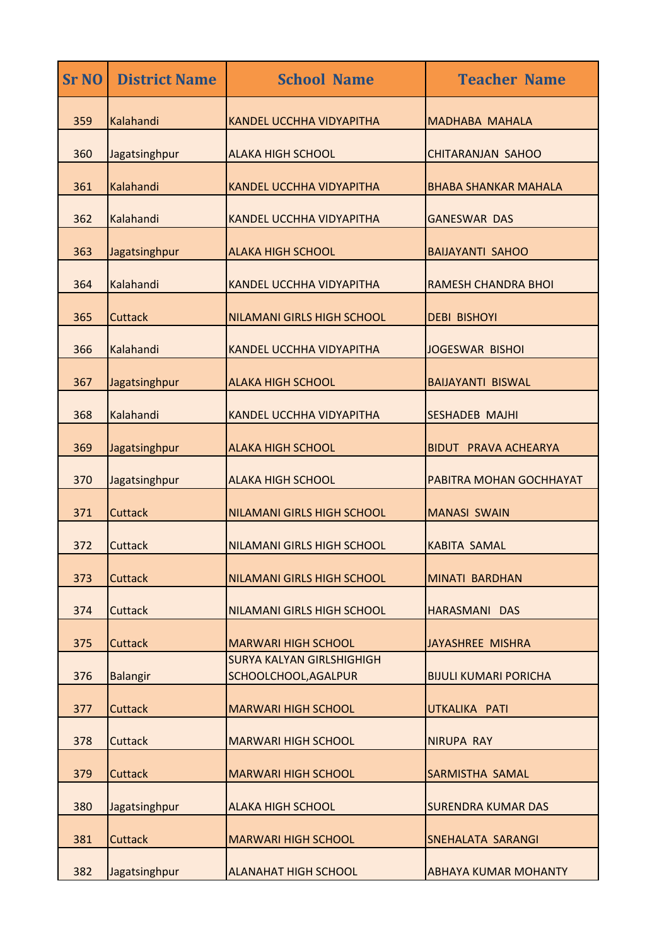| <b>Sr NO</b> | <b>District Name</b> | <b>School Name</b>                                       | <b>Teacher Name</b>          |
|--------------|----------------------|----------------------------------------------------------|------------------------------|
| 359          | Kalahandi            | <b>KANDEL UCCHHA VIDYAPITHA</b>                          | <b>MADHABA MAHALA</b>        |
| 360          | Jagatsinghpur        | <b>ALAKA HIGH SCHOOL</b>                                 | <b>CHITARANJAN SAHOO</b>     |
| 361          | Kalahandi            | <b>KANDEL UCCHHA VIDYAPITHA</b>                          | <b>BHABA SHANKAR MAHALA</b>  |
| 362          | Kalahandi            | <b>KANDEL UCCHHA VIDYAPITHA</b>                          | <b>GANESWAR DAS</b>          |
| 363          | Jagatsinghpur        | <b>ALAKA HIGH SCHOOL</b>                                 | <b>BAIJAYANTI SAHOO</b>      |
| 364          | Kalahandi            | <b>KANDEL UCCHHA VIDYAPITHA</b>                          | <b>RAMESH CHANDRA BHOI</b>   |
| 365          | <b>Cuttack</b>       | <b>NILAMANI GIRLS HIGH SCHOOL</b>                        | <b>DEBI BISHOYI</b>          |
| 366          | Kalahandi            | <b>KANDEL UCCHHA VIDYAPITHA</b>                          | JOGESWAR BISHOI              |
| 367          | Jagatsinghpur        | <b>ALAKA HIGH SCHOOL</b>                                 | <b>BAIJAYANTI BISWAL</b>     |
| 368          | Kalahandi            | <b>KANDEL UCCHHA VIDYAPITHA</b>                          | <b>SESHADEB MAJHI</b>        |
| 369          | Jagatsinghpur        | <b>ALAKA HIGH SCHOOL</b>                                 | <b>BIDUT PRAVA ACHEARYA</b>  |
| 370          | Jagatsinghpur        | <b>ALAKA HIGH SCHOOL</b>                                 | PABITRA MOHAN GOCHHAYAT      |
| 371          | <b>Cuttack</b>       | <b>NILAMANI GIRLS HIGH SCHOOL</b>                        | <b>MANASI SWAIN</b>          |
| 372          | <b>Cuttack</b>       | <b>NILAMANI GIRLS HIGH SCHOOL</b>                        | <b>KABITA SAMAL</b>          |
| 373          | <b>Cuttack</b>       | <b>NILAMANI GIRLS HIGH SCHOOL</b>                        | <b>MINATI BARDHAN</b>        |
| 374          | Cuttack              | <b>NILAMANI GIRLS HIGH SCHOOL</b>                        | HARASMANI DAS                |
| 375          | Cuttack              | <b>MARWARI HIGH SCHOOL</b>                               | JAYASHREE MISHRA             |
| 376          | <b>Balangir</b>      | <b>SURYA KALYAN GIRLSHIGHIGH</b><br>SCHOOLCHOOL, AGALPUR | <b>BIJULI KUMARI PORICHA</b> |
| 377          | Cuttack              | <b>MARWARI HIGH SCHOOL</b>                               | UTKALIKA PATI                |
| 378          | <b>Cuttack</b>       | <b>MARWARI HIGH SCHOOL</b>                               | <b>NIRUPA RAY</b>            |
| 379          | <b>Cuttack</b>       | <b>MARWARI HIGH SCHOOL</b>                               | <b>SARMISTHA SAMAL</b>       |
| 380          | Jagatsinghpur        | <b>ALAKA HIGH SCHOOL</b>                                 | <b>SURENDRA KUMAR DAS</b>    |
| 381          | <b>Cuttack</b>       | <b>MARWARI HIGH SCHOOL</b>                               | <b>SNEHALATA SARANGI</b>     |
| 382          | Jagatsinghpur        | <b>ALANAHAT HIGH SCHOOL</b>                              | <b>ABHAYA KUMAR MOHANTY</b>  |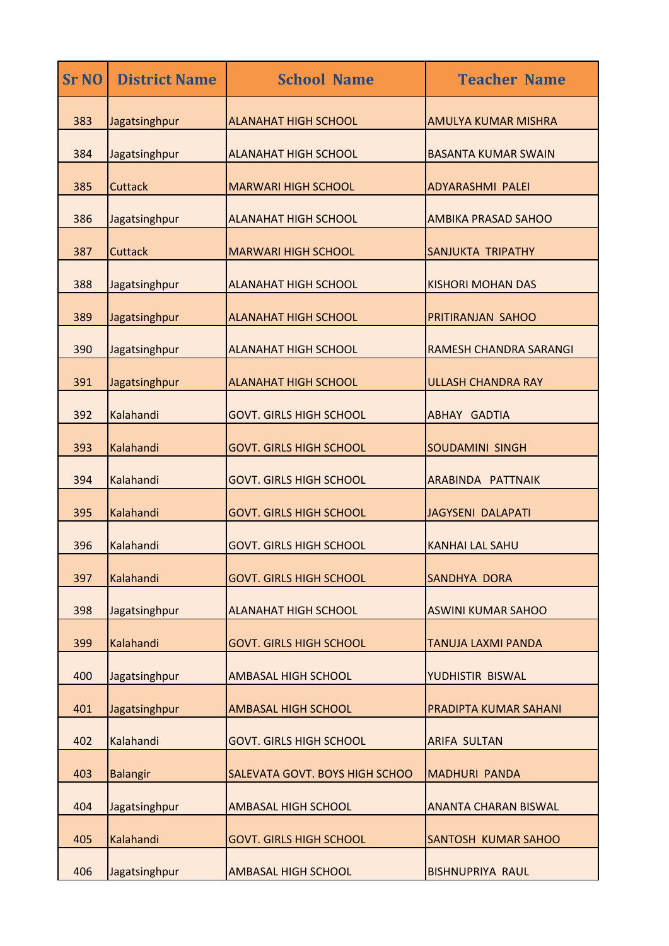| <b>Sr NO</b> | <b>District Name</b> | <b>School Name</b>             | <b>Teacher Name</b>           |
|--------------|----------------------|--------------------------------|-------------------------------|
| 383          | Jagatsinghpur        | <b>ALANAHAT HIGH SCHOOL</b>    | <b>AMULYA KUMAR MISHRA</b>    |
| 384          | Jagatsinghpur        | <b>ALANAHAT HIGH SCHOOL</b>    | <b>BASANTA KUMAR SWAIN</b>    |
| 385          | <b>Cuttack</b>       | <b>MARWARI HIGH SCHOOL</b>     | <b>ADYARASHMI PALEI</b>       |
| 386          | Jagatsinghpur        | <b>ALANAHAT HIGH SCHOOL</b>    | <b>AMBIKA PRASAD SAHOO</b>    |
| 387          | <b>Cuttack</b>       | <b>MARWARI HIGH SCHOOL</b>     | SANJUKTA TRIPATHY             |
| 388          | Jagatsinghpur        | <b>ALANAHAT HIGH SCHOOL</b>    | <b>KISHORI MOHAN DAS</b>      |
| 389          | Jagatsinghpur        | <b>ALANAHAT HIGH SCHOOL</b>    | <b>PRITIRANJAN SAHOO</b>      |
| 390          | Jagatsinghpur        | <b>ALANAHAT HIGH SCHOOL</b>    | <b>RAMESH CHANDRA SARANGI</b> |
| 391          | Jagatsinghpur        | <b>ALANAHAT HIGH SCHOOL</b>    | <b>ULLASH CHANDRA RAY</b>     |
| 392          | Kalahandi            | <b>GOVT. GIRLS HIGH SCHOOL</b> | <b>ABHAY GADTIA</b>           |
| 393          | Kalahandi            | <b>GOVT. GIRLS HIGH SCHOOL</b> | <b>SOUDAMINI SINGH</b>        |
| 394          | Kalahandi            | <b>GOVT. GIRLS HIGH SCHOOL</b> | ARABINDA PATTNAIK             |
| 395          | Kalahandi            | <b>GOVT. GIRLS HIGH SCHOOL</b> | JAGYSENI DALAPATI             |
| 396          | Kalahandi            | <b>GOVT. GIRLS HIGH SCHOOL</b> | <b>KANHAI LAL SAHU</b>        |
| 397          | Kalahandi            | <b>GOVT. GIRLS HIGH SCHOOL</b> | <b>SANDHYA DORA</b>           |
| 398          | Jagatsinghpur        | <b>ALANAHAT HIGH SCHOOL</b>    | <b>ASWINI KUMAR SAHOO</b>     |
| 399          | Kalahandi            | <b>GOVT. GIRLS HIGH SCHOOL</b> | TANUJA LAXMI PANDA            |
| 400          | Jagatsinghpur        | <b>AMBASAL HIGH SCHOOL</b>     | YUDHISTIR BISWAL              |
| 401          | Jagatsinghpur        | <b>AMBASAL HIGH SCHOOL</b>     | <b>PRADIPTA KUMAR SAHANI</b>  |
| 402          | Kalahandi            | <b>GOVT. GIRLS HIGH SCHOOL</b> | <b>ARIFA SULTAN</b>           |
| 403          | <b>Balangir</b>      | SALEVATA GOVT. BOYS HIGH SCHOO | <b>MADHURI PANDA</b>          |
| 404          | Jagatsinghpur        | <b>AMBASAL HIGH SCHOOL</b>     | <b>ANANTA CHARAN BISWAL</b>   |
| 405          | Kalahandi            | <b>GOVT. GIRLS HIGH SCHOOL</b> | <b>SANTOSH KUMAR SAHOO</b>    |
| 406          | Jagatsinghpur        | <b>AMBASAL HIGH SCHOOL</b>     | <b>BISHNUPRIYA RAUL</b>       |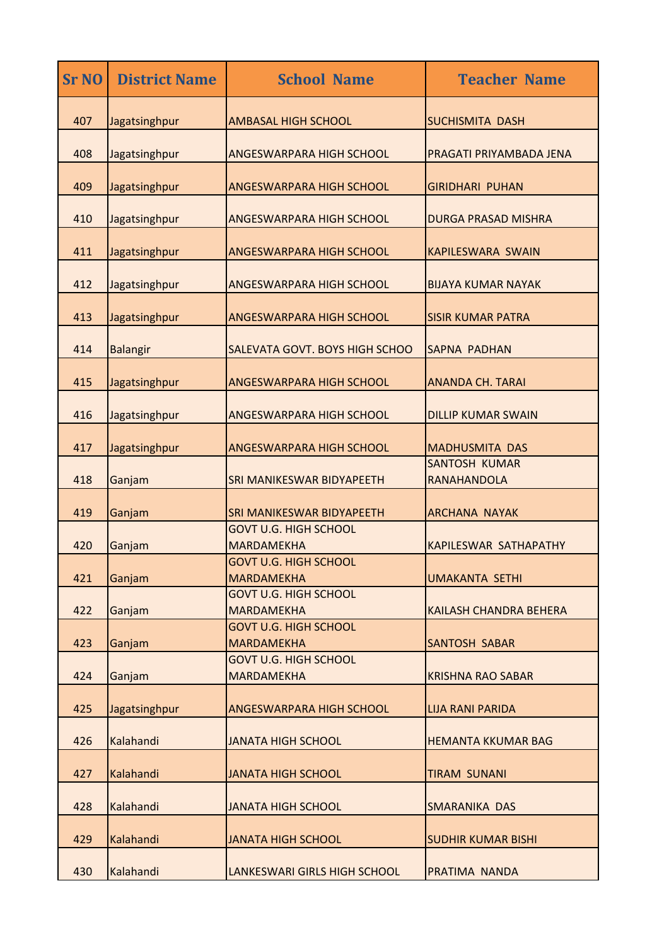| <b>Sr NO</b> | <b>District Name</b> | <b>School Name</b>                                | <b>Teacher Name</b>                        |
|--------------|----------------------|---------------------------------------------------|--------------------------------------------|
| 407          | Jagatsinghpur        | <b>AMBASAL HIGH SCHOOL</b>                        | <b>SUCHISMITA DASH</b>                     |
| 408          | Jagatsinghpur        | <b>ANGESWARPARA HIGH SCHOOL</b>                   | <b>PRAGATI PRIYAMBADA JENA</b>             |
| 409          | Jagatsinghpur        | <b>ANGESWARPARA HIGH SCHOOL</b>                   | <b>GIRIDHARI PUHAN</b>                     |
| 410          | Jagatsinghpur        | <b>ANGESWARPARA HIGH SCHOOL</b>                   | <b>DURGA PRASAD MISHRA</b>                 |
| 411          | Jagatsinghpur        | <b>ANGESWARPARA HIGH SCHOOL</b>                   | <b>KAPILESWARA SWAIN</b>                   |
| 412          | Jagatsinghpur        | <b>ANGESWARPARA HIGH SCHOOL</b>                   | <b>BIJAYA KUMAR NAYAK</b>                  |
| 413          | Jagatsinghpur        | <b>ANGESWARPARA HIGH SCHOOL</b>                   | <b>SISIR KUMAR PATRA</b>                   |
| 414          | <b>Balangir</b>      | SALEVATA GOVT. BOYS HIGH SCHOO                    | <b>SAPNA PADHAN</b>                        |
| 415          | Jagatsinghpur        | <b>ANGESWARPARA HIGH SCHOOL</b>                   | <b>ANANDA CH. TARAI</b>                    |
| 416          | Jagatsinghpur        | <b>ANGESWARPARA HIGH SCHOOL</b>                   | <b>DILLIP KUMAR SWAIN</b>                  |
| 417          | Jagatsinghpur        | <b>ANGESWARPARA HIGH SCHOOL</b>                   | <b>MADHUSMITA DAS</b>                      |
| 418          | Ganjam               | SRI MANIKESWAR BIDYAPEETH                         | <b>SANTOSH KUMAR</b><br><b>RANAHANDOLA</b> |
| 419          | Ganjam               | SRI MANIKESWAR BIDYAPEETH                         | <b>ARCHANA NAYAK</b>                       |
| 420          | Ganjam               | <b>GOVT U.G. HIGH SCHOOL</b><br><b>MARDAMEKHA</b> | <b>KAPILESWAR SATHAPATHY</b>               |
| 421          | Ganjam               | <b>GOVT U.G. HIGH SCHOOL</b><br><b>MARDAMEKHA</b> | <b>UMAKANTA SETHI</b>                      |
| 422          | Ganjam               | <b>GOVT U.G. HIGH SCHOOL</b><br><b>MARDAMEKHA</b> | <b>KAILASH CHANDRA BEHERA</b>              |
| 423          | Ganjam               | <b>GOVT U.G. HIGH SCHOOL</b><br><b>MARDAMEKHA</b> | <b>SANTOSH SABAR</b>                       |
| 424          | Ganjam               | <b>GOVT U.G. HIGH SCHOOL</b><br><b>MARDAMEKHA</b> | <b>KRISHNA RAO SABAR</b>                   |
| 425          | Jagatsinghpur        | <b>ANGESWARPARA HIGH SCHOOL</b>                   | <b>LIJA RANI PARIDA</b>                    |
| 426          | Kalahandi            | <b>JANATA HIGH SCHOOL</b>                         | <b>HEMANTA KKUMAR BAG</b>                  |
| 427          | Kalahandi            | <b>JANATA HIGH SCHOOL</b>                         | <b>TIRAM SUNANI</b>                        |
| 428          | Kalahandi            | <b>JANATA HIGH SCHOOL</b>                         | SMARANIKA DAS                              |
| 429          | Kalahandi            | <b>JANATA HIGH SCHOOL</b>                         | <b>SUDHIR KUMAR BISHI</b>                  |
| 430          | Kalahandi            | LANKESWARI GIRLS HIGH SCHOOL                      | PRATIMA NANDA                              |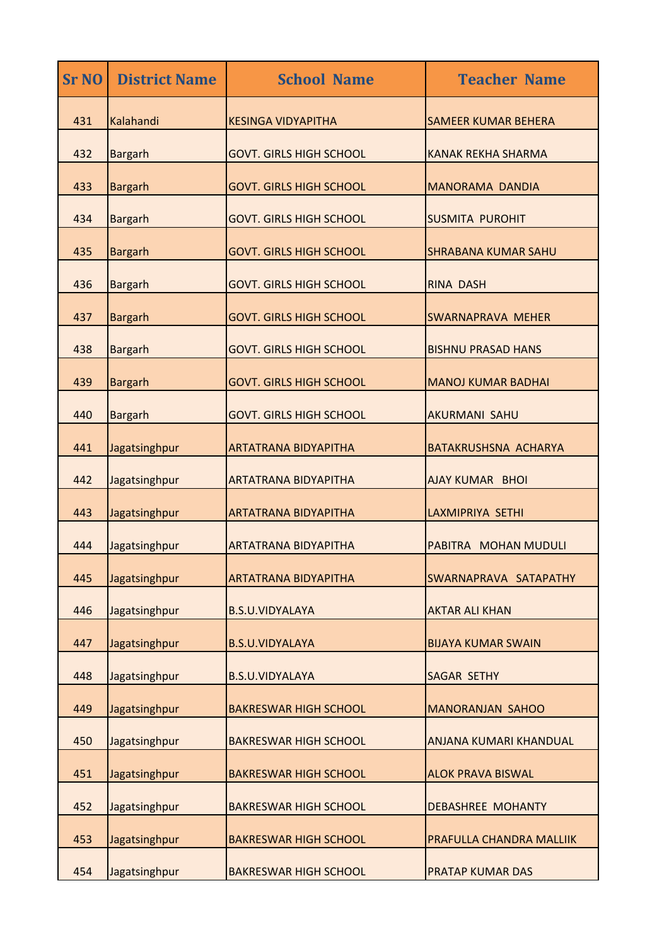| <b>Sr NO</b> | <b>District Name</b> | <b>School Name</b>             | <b>Teacher Name</b>         |
|--------------|----------------------|--------------------------------|-----------------------------|
| 431          | Kalahandi            | <b>KESINGA VIDYAPITHA</b>      | <b>SAMEER KUMAR BEHERA</b>  |
| 432          | <b>Bargarh</b>       | <b>GOVT. GIRLS HIGH SCHOOL</b> | <b>KANAK REKHA SHARMA</b>   |
| 433          | <b>Bargarh</b>       | <b>GOVT. GIRLS HIGH SCHOOL</b> | <b>MANORAMA DANDIA</b>      |
| 434          | <b>Bargarh</b>       | <b>GOVT. GIRLS HIGH SCHOOL</b> | <b>SUSMITA PUROHIT</b>      |
| 435          | <b>Bargarh</b>       | <b>GOVT. GIRLS HIGH SCHOOL</b> | <b>SHRABANA KUMAR SAHU</b>  |
| 436          | <b>Bargarh</b>       | <b>GOVT. GIRLS HIGH SCHOOL</b> | <b>RINA DASH</b>            |
| 437          | <b>Bargarh</b>       | <b>GOVT. GIRLS HIGH SCHOOL</b> | SWARNAPRAVA MEHER           |
| 438          | <b>Bargarh</b>       | <b>GOVT. GIRLS HIGH SCHOOL</b> | <b>BISHNU PRASAD HANS</b>   |
| 439          | <b>Bargarh</b>       | <b>GOVT. GIRLS HIGH SCHOOL</b> | <b>MANOJ KUMAR BADHAI</b>   |
| 440          | <b>Bargarh</b>       | <b>GOVT. GIRLS HIGH SCHOOL</b> | <b>AKURMANI SAHU</b>        |
| 441          | Jagatsinghpur        | <b>ARTATRANA BIDYAPITHA</b>    | <b>BATAKRUSHSNA ACHARYA</b> |
| 442          | Jagatsinghpur        | <b>ARTATRANA BIDYAPITHA</b>    | AJAY KUMAR BHOI             |
| 443          | Jagatsinghpur        | <b>ARTATRANA BIDYAPITHA</b>    | <b>LAXMIPRIYA SETHI</b>     |
| 444          | Jagatsinghpur        | <b>ARTATRANA BIDYAPITHA</b>    | PABITRA MOHAN MUDULI        |
| 445          | Jagatsinghpur        | <b>ARTATRANA BIDYAPITHA</b>    | SWARNAPRAVA SATAPATHY       |
| 446          | Jagatsinghpur        | <b>B.S.U.VIDYALAYA</b>         | <b>AKTAR ALI KHAN</b>       |
| 447          | Jagatsinghpur        | <b>B.S.U.VIDYALAYA</b>         | <b>BIJAYA KUMAR SWAIN</b>   |
| 448          | Jagatsinghpur        | <b>B.S.U.VIDYALAYA</b>         | <b>SAGAR SETHY</b>          |
| 449          | Jagatsinghpur        | <b>BAKRESWAR HIGH SCHOOL</b>   | <b>MANORANJAN SAHOO</b>     |
| 450          | Jagatsinghpur        | <b>BAKRESWAR HIGH SCHOOL</b>   | ANJANA KUMARI KHANDUAL      |
| 451          | Jagatsinghpur        | <b>BAKRESWAR HIGH SCHOOL</b>   | <b>ALOK PRAVA BISWAL</b>    |
| 452          | Jagatsinghpur        | <b>BAKRESWAR HIGH SCHOOL</b>   | <b>DEBASHREE MOHANTY</b>    |
| 453          | Jagatsinghpur        | <b>BAKRESWAR HIGH SCHOOL</b>   | PRAFULLA CHANDRA MALLIIK    |
| 454          | Jagatsinghpur        | <b>BAKRESWAR HIGH SCHOOL</b>   | <b>PRATAP KUMAR DAS</b>     |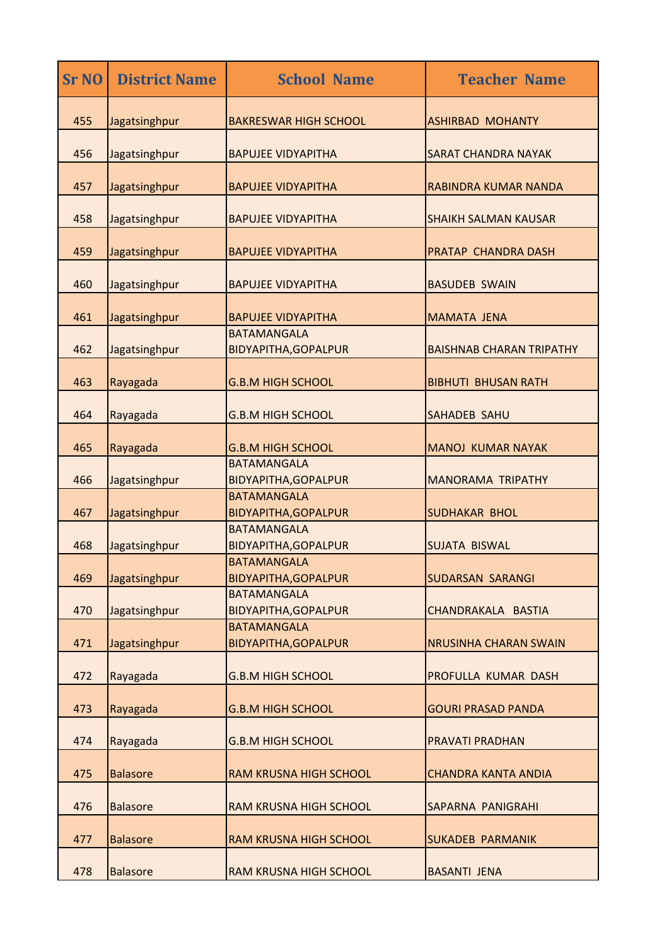| <b>Sr NO</b> | <b>District Name</b> | <b>School Name</b>                                | <b>Teacher Name</b>             |
|--------------|----------------------|---------------------------------------------------|---------------------------------|
| 455          | Jagatsinghpur        | <b>BAKRESWAR HIGH SCHOOL</b>                      | <b>ASHIRBAD MOHANTY</b>         |
| 456          | Jagatsinghpur        | <b>BAPUJEE VIDYAPITHA</b>                         | <b>SARAT CHANDRA NAYAK</b>      |
| 457          | Jagatsinghpur        | <b>BAPUJEE VIDYAPITHA</b>                         | RABINDRA KUMAR NANDA            |
| 458          |                      | <b>BAPUJEE VIDYAPITHA</b>                         | <b>SHAIKH SALMAN KAUSAR</b>     |
|              | Jagatsinghpur        |                                                   |                                 |
| 459          | Jagatsinghpur        | <b>BAPUJEE VIDYAPITHA</b>                         | PRATAP CHANDRA DASH             |
| 460          | Jagatsinghpur        | <b>BAPUJEE VIDYAPITHA</b>                         | <b>BASUDEB SWAIN</b>            |
| 461          | Jagatsinghpur        | <b>BAPUJEE VIDYAPITHA</b>                         | <b>MAMATA JENA</b>              |
| 462          | Jagatsinghpur        | <b>BATAMANGALA</b><br><b>BIDYAPITHA, GOPALPUR</b> | <b>BAISHNAB CHARAN TRIPATHY</b> |
| 463          | Rayagada             | <b>G.B.M HIGH SCHOOL</b>                          | <b>BIBHUTI BHUSAN RATH</b>      |
|              |                      |                                                   |                                 |
| 464          | Rayagada             | <b>G.B.M HIGH SCHOOL</b>                          | <b>SAHADEB SAHU</b>             |
| 465          | Rayagada             | <b>G.B.M HIGH SCHOOL</b><br><b>BATAMANGALA</b>    | <b>MANOJ KUMAR NAYAK</b>        |
| 466          | Jagatsinghpur        | <b>BIDYAPITHA, GOPALPUR</b>                       | <b>MANORAMA TRIPATHY</b>        |
| 467          | Jagatsinghpur        | <b>BATAMANGALA</b><br><b>BIDYAPITHA, GOPALPUR</b> | <b>SUDHAKAR BHOL</b>            |
|              |                      | <b>BATAMANGALA</b>                                |                                 |
| 468          | Jagatsinghpur        | <b>BIDYAPITHA, GOPALPUR</b><br><b>BATAMANGALA</b> | <b>SUJATA BISWAL</b>            |
| 469          | Jagatsinghpur        | <b>BIDYAPITHA, GOPALPUR</b>                       | <b>SUDARSAN SARANGI</b>         |
|              |                      | <b>BATAMANGALA</b>                                |                                 |
| 470          | Jagatsinghpur        | <b>BIDYAPITHA, GOPALPUR</b><br><b>BATAMANGALA</b> | CHANDRAKALA BASTIA              |
| 471          | Jagatsinghpur        | <b>BIDYAPITHA, GOPALPUR</b>                       | <b>NRUSINHA CHARAN SWAIN</b>    |
| 472          | Rayagada             | <b>G.B.M HIGH SCHOOL</b>                          | PROFULLA KUMAR DASH             |
| 473          | Rayagada             | <b>G.B.M HIGH SCHOOL</b>                          | <b>GOURI PRASAD PANDA</b>       |
| 474          | Rayagada             | <b>G.B.M HIGH SCHOOL</b>                          | <b>PRAVATI PRADHAN</b>          |
| 475          | <b>Balasore</b>      | <b>RAM KRUSNA HIGH SCHOOL</b>                     | <b>CHANDRA KANTA ANDIA</b>      |
| 476          | <b>Balasore</b>      | <b>RAM KRUSNA HIGH SCHOOL</b>                     | SAPARNA PANIGRAHI               |
| 477          | <b>Balasore</b>      | RAM KRUSNA HIGH SCHOOL                            | <b>SUKADEB PARMANIK</b>         |
|              |                      |                                                   |                                 |
| 478          | <b>Balasore</b>      | <b>RAM KRUSNA HIGH SCHOOL</b>                     | <b>BASANTI JENA</b>             |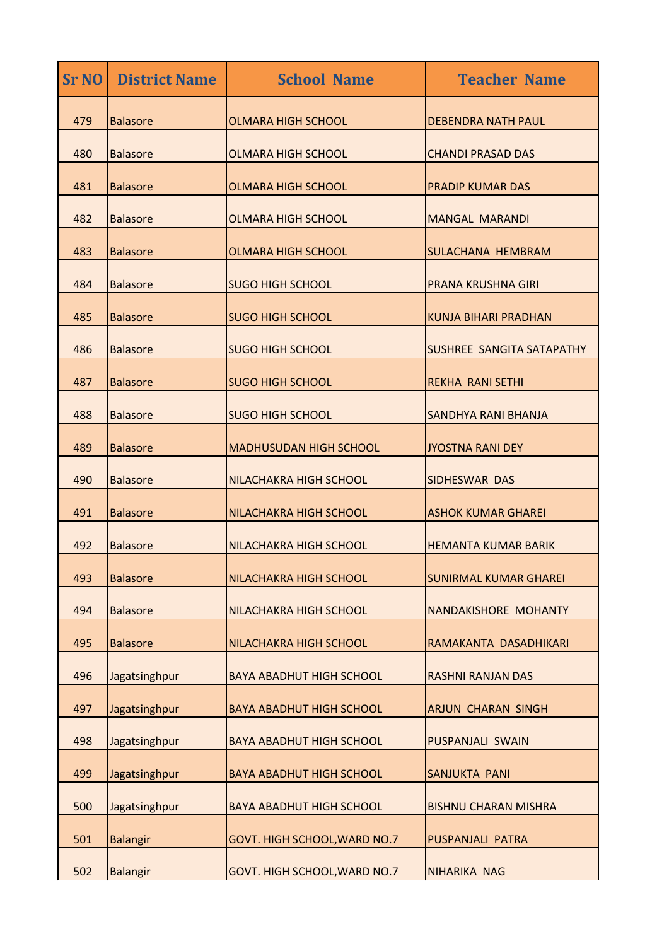| <b>Sr NO</b> | <b>District Name</b> | <b>School Name</b>              | <b>Teacher Name</b>              |
|--------------|----------------------|---------------------------------|----------------------------------|
| 479          | <b>Balasore</b>      | <b>OLMARA HIGH SCHOOL</b>       | <b>DEBENDRA NATH PAUL</b>        |
| 480          | <b>Balasore</b>      | <b>OLMARA HIGH SCHOOL</b>       | <b>CHANDI PRASAD DAS</b>         |
| 481          | <b>Balasore</b>      | <b>OLMARA HIGH SCHOOL</b>       | <b>PRADIP KUMAR DAS</b>          |
| 482          | <b>Balasore</b>      | <b>OLMARA HIGH SCHOOL</b>       | <b>MANGAL MARANDI</b>            |
| 483          | <b>Balasore</b>      | <b>OLMARA HIGH SCHOOL</b>       | <b>SULACHANA HEMBRAM</b>         |
| 484          | <b>Balasore</b>      | <b>SUGO HIGH SCHOOL</b>         | <b>PRANA KRUSHNA GIRI</b>        |
| 485          | <b>Balasore</b>      | <b>SUGO HIGH SCHOOL</b>         | KUNJA BIHARI PRADHAN             |
| 486          | <b>Balasore</b>      | <b>SUGO HIGH SCHOOL</b>         | <b>SUSHREE SANGITA SATAPATHY</b> |
| 487          | <b>Balasore</b>      | <b>SUGO HIGH SCHOOL</b>         | <b>REKHA RANI SETHI</b>          |
| 488          | <b>Balasore</b>      | <b>SUGO HIGH SCHOOL</b>         | <b>SANDHYA RANI BHANJA</b>       |
| 489          | <b>Balasore</b>      | <b>MADHUSUDAN HIGH SCHOOL</b>   | JYOSTNA RANI DEY                 |
| 490          | <b>Balasore</b>      | NILACHAKRA HIGH SCHOOL          | <b>SIDHESWAR DAS</b>             |
| 491          | <b>Balasore</b>      | NILACHAKRA HIGH SCHOOL          | <b>ASHOK KUMAR GHAREI</b>        |
| 492          | <b>Balasore</b>      | NILACHAKRA HIGH SCHOOL          | IHEMANTA KUMAR BARIK             |
| 493          | <b>Balasore</b>      | NILACHAKRA HIGH SCHOOL          | <b>SUNIRMAL KUMAR GHAREI</b>     |
| 494          | <b>Balasore</b>      | NILACHAKRA HIGH SCHOOL          | <b>NANDAKISHORE MOHANTY</b>      |
| 495          | <b>Balasore</b>      | NILACHAKRA HIGH SCHOOL          | RAMAKANTA DASADHIKARI            |
| 496          | Jagatsinghpur        | <b>BAYA ABADHUT HIGH SCHOOL</b> | <b>RASHNI RANJAN DAS</b>         |
| 497          | Jagatsinghpur        | <b>BAYA ABADHUT HIGH SCHOOL</b> | <b>ARJUN CHARAN SINGH</b>        |
| 498          | Jagatsinghpur        | <b>BAYA ABADHUT HIGH SCHOOL</b> | <b>PUSPANJALI SWAIN</b>          |
| 499          | Jagatsinghpur        | <b>BAYA ABADHUT HIGH SCHOOL</b> | <b>SANJUKTA PANI</b>             |
| 500          | Jagatsinghpur        | <b>BAYA ABADHUT HIGH SCHOOL</b> | <b>BISHNU CHARAN MISHRA</b>      |
| 501          | <b>Balangir</b>      | GOVT. HIGH SCHOOL, WARD NO.7    | PUSPANJALI PATRA                 |
| 502          | <b>Balangir</b>      | GOVT. HIGH SCHOOL, WARD NO.7    | NIHARIKA NAG                     |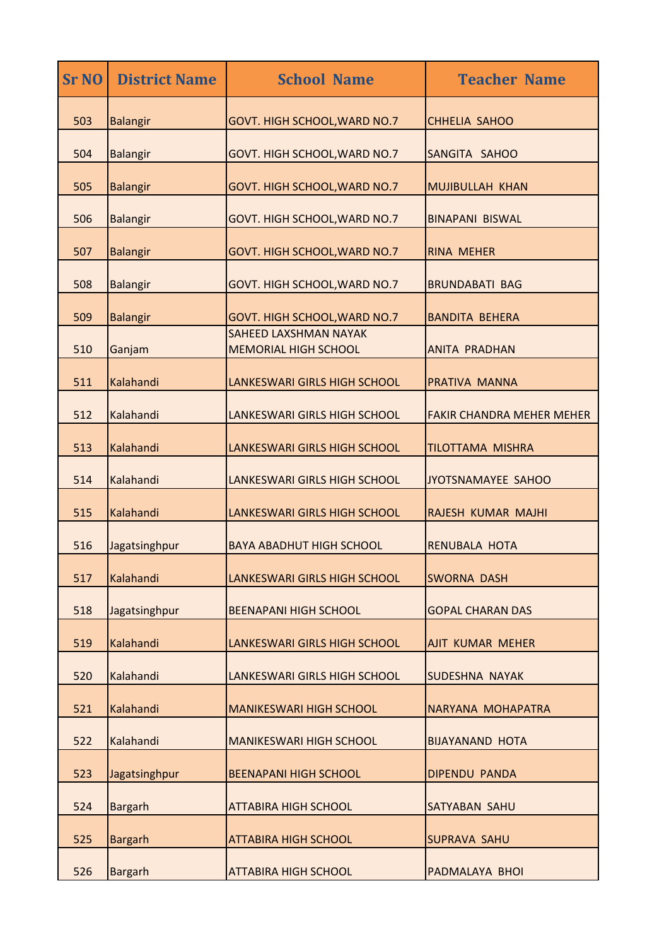| <b>Sr NO</b> | <b>District Name</b> | <b>School Name</b>                                   | <b>Teacher Name</b>              |
|--------------|----------------------|------------------------------------------------------|----------------------------------|
| 503          | <b>Balangir</b>      | GOVT. HIGH SCHOOL, WARD NO.7                         | <b>CHHELIA SAHOO</b>             |
| 504          | <b>Balangir</b>      | GOVT. HIGH SCHOOL, WARD NO.7                         | SANGITA SAHOO                    |
| 505          | <b>Balangir</b>      | GOVT. HIGH SCHOOL, WARD NO.7                         | <b>MUJIBULLAH KHAN</b>           |
| 506          | <b>Balangir</b>      | GOVT. HIGH SCHOOL, WARD NO.7                         | <b>BINAPANI BISWAL</b>           |
| 507          | <b>Balangir</b>      | GOVT. HIGH SCHOOL, WARD NO.7                         | <b>RINA MEHER</b>                |
| 508          | <b>Balangir</b>      | GOVT. HIGH SCHOOL, WARD NO.7                         | <b>BRUNDABATI BAG</b>            |
| 509          | <b>Balangir</b>      | GOVT. HIGH SCHOOL, WARD NO.7                         | <b>BANDITA BEHERA</b>            |
| 510          | Ganjam               | SAHEED LAXSHMAN NAYAK<br><b>MEMORIAL HIGH SCHOOL</b> | <b>ANITA PRADHAN</b>             |
| 511          | Kalahandi            | LANKESWARI GIRLS HIGH SCHOOL                         | PRATIVA MANNA                    |
| 512          | Kalahandi            | LANKESWARI GIRLS HIGH SCHOOL                         | <b>FAKIR CHANDRA MEHER MEHER</b> |
| 513          | Kalahandi            | <b>LANKESWARI GIRLS HIGH SCHOOL</b>                  | <b>TILOTTAMA MISHRA</b>          |
| 514          | Kalahandi            | LANKESWARI GIRLS HIGH SCHOOL                         | JYOTSNAMAYEE SAHOO               |
| 515          | Kalahandi            | LANKESWARI GIRLS HIGH SCHOOL                         | RAJESH KUMAR MAJHI               |
| 516          | Jagatsinghpur        | <b>BAYA ABADHUT HIGH SCHOOL</b>                      | <b>RENUBALA HOTA</b>             |
| 517          | Kalahandi            | <b>LANKESWARI GIRLS HIGH SCHOOL</b>                  | <b>SWORNA DASH</b>               |
| 518          | Jagatsinghpur        | <b>BEENAPANI HIGH SCHOOL</b>                         | <b>GOPAL CHARAN DAS</b>          |
| 519          | Kalahandi            | <b>LANKESWARI GIRLS HIGH SCHOOL</b>                  | <b>AJIT KUMAR MEHER</b>          |
| 520          | Kalahandi            | LANKESWARI GIRLS HIGH SCHOOL                         | <b>SUDESHNA NAYAK</b>            |
| 521          | Kalahandi            | <b>MANIKESWARI HIGH SCHOOL</b>                       | NARYANA MOHAPATRA                |
| 522          | Kalahandi            | <b>MANIKESWARI HIGH SCHOOL</b>                       | <b>BIJAYANAND HOTA</b>           |
| 523          | Jagatsinghpur        | <b>BEENAPANI HIGH SCHOOL</b>                         | <b>DIPENDU PANDA</b>             |
| 524          | <b>Bargarh</b>       | <b>ATTABIRA HIGH SCHOOL</b>                          | <b>SATYABAN SAHU</b>             |
| 525          | <b>Bargarh</b>       | <b>ATTABIRA HIGH SCHOOL</b>                          | <b>SUPRAVA SAHU</b>              |
| 526          | <b>Bargarh</b>       | <b>ATTABIRA HIGH SCHOOL</b>                          | PADMALAYA BHOI                   |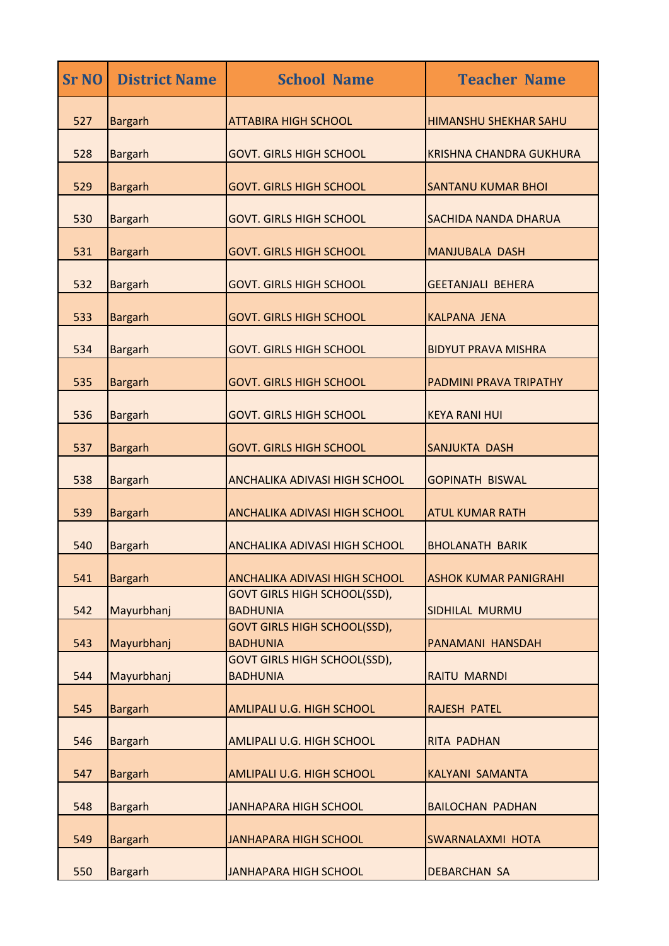| <b>Sr NO</b> | <b>District Name</b> | <b>School Name</b>                                     | <b>Teacher Name</b>            |
|--------------|----------------------|--------------------------------------------------------|--------------------------------|
| 527          | <b>Bargarh</b>       | <b>ATTABIRA HIGH SCHOOL</b>                            | <b>HIMANSHU SHEKHAR SAHU</b>   |
| 528          | <b>Bargarh</b>       | <b>GOVT. GIRLS HIGH SCHOOL</b>                         | <b>KRISHNA CHANDRA GUKHURA</b> |
| 529          | <b>Bargarh</b>       | <b>GOVT. GIRLS HIGH SCHOOL</b>                         | <b>SANTANU KUMAR BHOI</b>      |
| 530          | <b>Bargarh</b>       | <b>GOVT. GIRLS HIGH SCHOOL</b>                         | <b>SACHIDA NANDA DHARUA</b>    |
| 531          | <b>Bargarh</b>       | <b>GOVT. GIRLS HIGH SCHOOL</b>                         | <b>MANJUBALA DASH</b>          |
| 532          | <b>Bargarh</b>       | <b>GOVT. GIRLS HIGH SCHOOL</b>                         | <b>GEETANJALI BEHERA</b>       |
| 533          | <b>Bargarh</b>       | <b>GOVT. GIRLS HIGH SCHOOL</b>                         | <b>KALPANA JENA</b>            |
| 534          | <b>Bargarh</b>       | <b>GOVT. GIRLS HIGH SCHOOL</b>                         | <b>BIDYUT PRAVA MISHRA</b>     |
| 535          | <b>Bargarh</b>       | <b>GOVT. GIRLS HIGH SCHOOL</b>                         | PADMINI PRAVA TRIPATHY         |
| 536          | <b>Bargarh</b>       | <b>GOVT. GIRLS HIGH SCHOOL</b>                         | <b>KEYA RANI HUI</b>           |
| 537          | <b>Bargarh</b>       | <b>GOVT. GIRLS HIGH SCHOOL</b>                         | <b>SANJUKTA DASH</b>           |
| 538          | <b>Bargarh</b>       | <b>ANCHALIKA ADIVASI HIGH SCHOOL</b>                   | <b>GOPINATH BISWAL</b>         |
| 539          | <b>Bargarh</b>       | <b>ANCHALIKA ADIVASI HIGH SCHOOL</b>                   | <b>ATUL KUMAR RATH</b>         |
| 540          | <b>Bargarh</b>       | <b>ANCHALIKA ADIVASI HIGH SCHOOL</b>                   | <b>BHOLANATH BARIK</b>         |
| 541          | <b>Bargarh</b>       | ANCHALIKA ADIVASI HIGH SCHOOL                          | <b>ASHOK KUMAR PANIGRAHI</b>   |
| 542          | Mayurbhanj           | <b>GOVT GIRLS HIGH SCHOOL(SSD),</b><br><b>BADHUNIA</b> | SIDHILAL MURMU                 |
| 543          | Mayurbhanj           | <b>GOVT GIRLS HIGH SCHOOL(SSD),</b><br><b>BADHUNIA</b> | PANAMANI HANSDAH               |
| 544          | Mayurbhanj           | <b>GOVT GIRLS HIGH SCHOOL(SSD),</b><br><b>BADHUNIA</b> | <b>RAITU MARNDI</b>            |
| 545          | <b>Bargarh</b>       | AMLIPALI U.G. HIGH SCHOOL                              | <b>RAJESH PATEL</b>            |
| 546          | <b>Bargarh</b>       | <b>AMLIPALI U.G. HIGH SCHOOL</b>                       | RITA PADHAN                    |
| 547          | <b>Bargarh</b>       | <b>AMLIPALI U.G. HIGH SCHOOL</b>                       | <b>KALYANI SAMANTA</b>         |
| 548          | <b>Bargarh</b>       | <b>JANHAPARA HIGH SCHOOL</b>                           | <b>BAILOCHAN PADHAN</b>        |
| 549          | <b>Bargarh</b>       | <b>JANHAPARA HIGH SCHOOL</b>                           | <b>SWARNALAXMI HOTA</b>        |
| 550          | <b>Bargarh</b>       | <b>JANHAPARA HIGH SCHOOL</b>                           | <b>DEBARCHAN SA</b>            |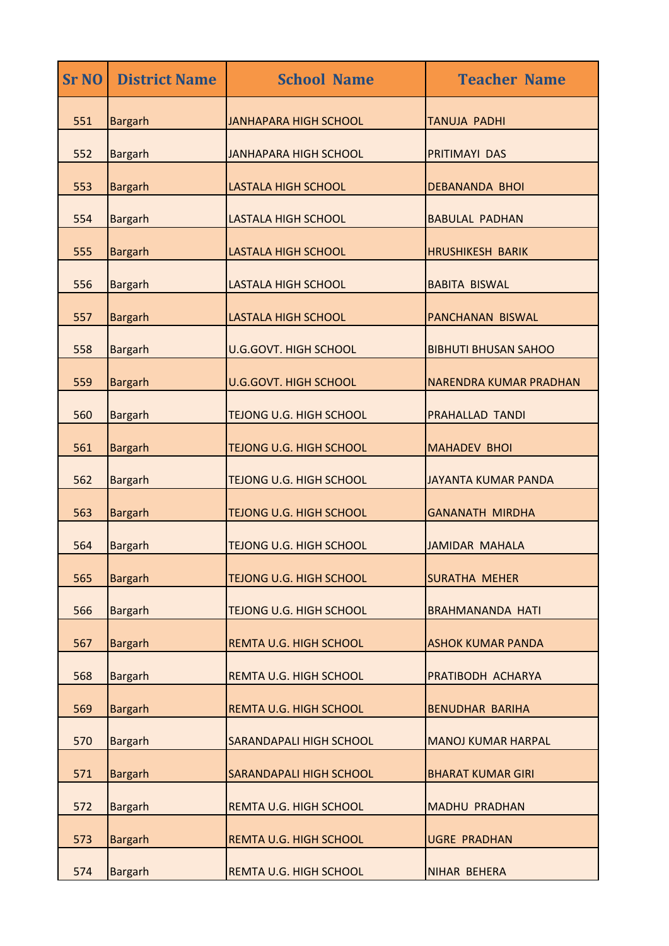| <b>Sr NO</b> | <b>District Name</b> | <b>School Name</b>             | <b>Teacher Name</b>           |
|--------------|----------------------|--------------------------------|-------------------------------|
| 551          | <b>Bargarh</b>       | <b>JANHAPARA HIGH SCHOOL</b>   | TANUJA PADHI                  |
| 552          | <b>Bargarh</b>       | <b>JANHAPARA HIGH SCHOOL</b>   | <b>PRITIMAYI DAS</b>          |
| 553          | <b>Bargarh</b>       | <b>LASTALA HIGH SCHOOL</b>     | <b>DEBANANDA BHOI</b>         |
| 554          | <b>Bargarh</b>       | <b>LASTALA HIGH SCHOOL</b>     | <b>BABULAL PADHAN</b>         |
| 555          | <b>Bargarh</b>       | <b>LASTALA HIGH SCHOOL</b>     | <b>HRUSHIKESH BARIK</b>       |
| 556          | <b>Bargarh</b>       | <b>LASTALA HIGH SCHOOL</b>     | <b>BABITA BISWAL</b>          |
| 557          | <b>Bargarh</b>       | <b>LASTALA HIGH SCHOOL</b>     | PANCHANAN BISWAL              |
| 558          | <b>Bargarh</b>       | <b>U.G.GOVT. HIGH SCHOOL</b>   | <b>BIBHUTI BHUSAN SAHOO</b>   |
| 559          | <b>Bargarh</b>       | <b>U.G.GOVT. HIGH SCHOOL</b>   | <b>NARENDRA KUMAR PRADHAN</b> |
| 560          | <b>Bargarh</b>       | <b>TEJONG U.G. HIGH SCHOOL</b> | <b>PRAHALLAD TANDI</b>        |
| 561          | <b>Bargarh</b>       | <b>TEJONG U.G. HIGH SCHOOL</b> | <b>MAHADEV BHOI</b>           |
| 562          | <b>Bargarh</b>       | <b>TEJONG U.G. HIGH SCHOOL</b> | JAYANTA KUMAR PANDA           |
| 563          | <b>Bargarh</b>       | <b>TEJONG U.G. HIGH SCHOOL</b> | <b>GANANATH MIRDHA</b>        |
| 564          | <b>Bargarh</b>       | <b>TEJONG U.G. HIGH SCHOOL</b> | <b>JAMIDAR MAHALA</b>         |
| 565          | <b>Bargarh</b>       | <b>TEJONG U.G. HIGH SCHOOL</b> | <b>SURATHA MEHER</b>          |
| 566          | <b>Bargarh</b>       | <b>TEJONG U.G. HIGH SCHOOL</b> | <b>BRAHMANANDA HATI</b>       |
| 567          | <b>Bargarh</b>       | <b>REMTA U.G. HIGH SCHOOL</b>  | <b>ASHOK KUMAR PANDA</b>      |
| 568          | <b>Bargarh</b>       | <b>REMTA U.G. HIGH SCHOOL</b>  | PRATIBODH ACHARYA             |
| 569          | <b>Bargarh</b>       | <b>REMTA U.G. HIGH SCHOOL</b>  | <b>BENUDHAR BARIHA</b>        |
| 570          | <b>Bargarh</b>       | SARANDAPALI HIGH SCHOOL        | <b>MANOJ KUMAR HARPAL</b>     |
| 571          | <b>Bargarh</b>       | <b>SARANDAPALI HIGH SCHOOL</b> | <b>BHARAT KUMAR GIRI</b>      |
| 572          | <b>Bargarh</b>       | <b>REMTA U.G. HIGH SCHOOL</b>  | <b>MADHU PRADHAN</b>          |
| 573          | <b>Bargarh</b>       | <b>REMTA U.G. HIGH SCHOOL</b>  | <b>UGRE PRADHAN</b>           |
| 574          | <b>Bargarh</b>       | <b>REMTA U.G. HIGH SCHOOL</b>  | <b>NIHAR BEHERA</b>           |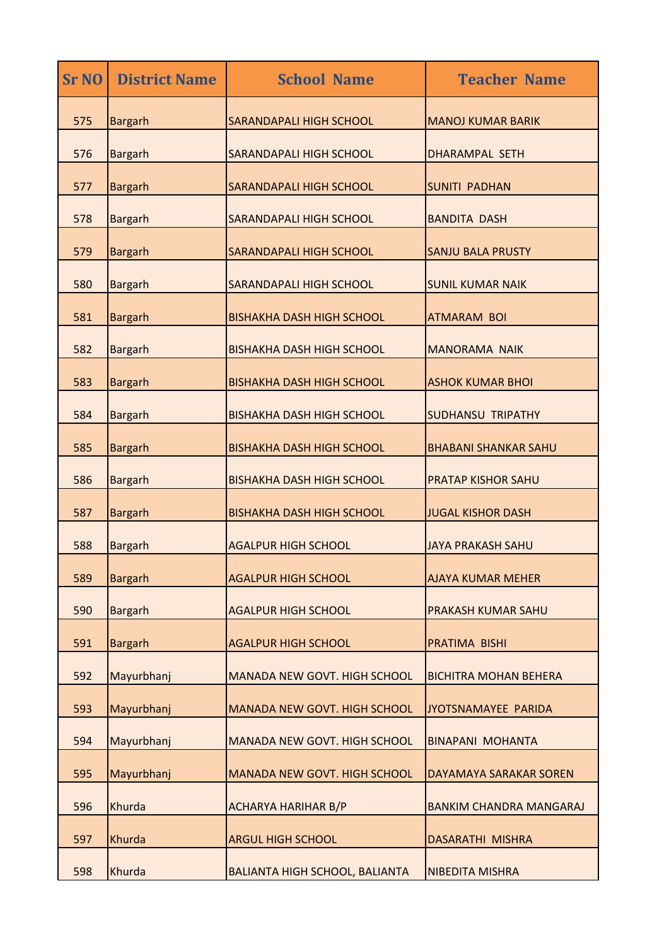| <b>Sr NO</b> | <b>District Name</b> | <b>School Name</b>                    | <b>Teacher Name</b>            |
|--------------|----------------------|---------------------------------------|--------------------------------|
| 575          | <b>Bargarh</b>       | <b>SARANDAPALI HIGH SCHOOL</b>        | <b>MANOJ KUMAR BARIK</b>       |
| 576          | <b>Bargarh</b>       | <b>SARANDAPALI HIGH SCHOOL</b>        | <b>DHARAMPAL SETH</b>          |
| 577          | <b>Bargarh</b>       | <b>SARANDAPALI HIGH SCHOOL</b>        | <b>SUNITI PADHAN</b>           |
| 578          | <b>Bargarh</b>       | <b>SARANDAPALI HIGH SCHOOL</b>        | <b>BANDITA DASH</b>            |
| 579          | <b>Bargarh</b>       | <b>SARANDAPALI HIGH SCHOOL</b>        | <b>SANJU BALA PRUSTY</b>       |
| 580          | <b>Bargarh</b>       | <b>SARANDAPALI HIGH SCHOOL</b>        | <b>SUNIL KUMAR NAIK</b>        |
| 581          | <b>Bargarh</b>       | <b>BISHAKHA DASH HIGH SCHOOL</b>      | <b>ATMARAM BOI</b>             |
| 582          | <b>Bargarh</b>       | <b>BISHAKHA DASH HIGH SCHOOL</b>      | <b>MANORAMA NAIK</b>           |
| 583          | <b>Bargarh</b>       | <b>BISHAKHA DASH HIGH SCHOOL</b>      | <b>ASHOK KUMAR BHOI</b>        |
| 584          | <b>Bargarh</b>       | <b>BISHAKHA DASH HIGH SCHOOL</b>      | <b>SUDHANSU TRIPATHY</b>       |
| 585          | <b>Bargarh</b>       | <b>BISHAKHA DASH HIGH SCHOOL</b>      | <b>BHABANI SHANKAR SAHU</b>    |
| 586          | <b>Bargarh</b>       | <b>BISHAKHA DASH HIGH SCHOOL</b>      | <b>PRATAP KISHOR SAHU</b>      |
| 587          | <b>Bargarh</b>       | <b>BISHAKHA DASH HIGH SCHOOL</b>      | <b>JUGAL KISHOR DASH</b>       |
| 588          | <b>Bargarh</b>       | <b>AGALPUR HIGH SCHOOL</b>            | <b>JAYA PRAKASH SAHU</b>       |
| 589          | <b>Bargarh</b>       | <b>AGALPUR HIGH SCHOOL</b>            | <b>AJAYA KUMAR MEHER</b>       |
| 590          | <b>Bargarh</b>       | <b>AGALPUR HIGH SCHOOL</b>            | <b>PRAKASH KUMAR SAHU</b>      |
| 591          | <b>Bargarh</b>       | <b>AGALPUR HIGH SCHOOL</b>            | <b>PRATIMA BISHI</b>           |
| 592          | Mayurbhanj           | MANADA NEW GOVT. HIGH SCHOOL          | <b>BICHITRA MOHAN BEHERA</b>   |
| 593          | Mayurbhanj           | MANADA NEW GOVT. HIGH SCHOOL          | JYOTSNAMAYEE PARIDA            |
| 594          | Mayurbhanj           | MANADA NEW GOVT. HIGH SCHOOL          | <b>BINAPANI MOHANTA</b>        |
| 595          | Mayurbhanj           | MANADA NEW GOVT. HIGH SCHOOL          | DAYAMAYA SARAKAR SOREN         |
| 596          | Khurda               | <b>ACHARYA HARIHAR B/P</b>            | <b>BANKIM CHANDRA MANGARAJ</b> |
| 597          | Khurda               | <b>ARGUL HIGH SCHOOL</b>              | <b>DASARATHI MISHRA</b>        |
| 598          | Khurda               | <b>BALIANTA HIGH SCHOOL, BALIANTA</b> | <b>NIBEDITA MISHRA</b>         |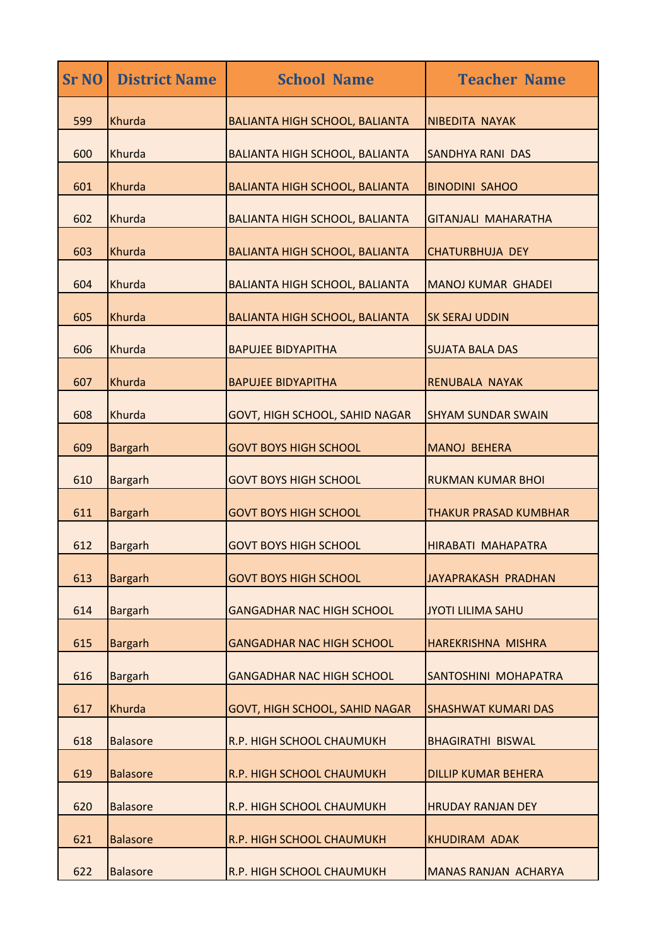| <b>Sr NO</b> | <b>District Name</b> | <b>School Name</b>                    | <b>Teacher Name</b>          |
|--------------|----------------------|---------------------------------------|------------------------------|
| 599          | Khurda               | <b>BALIANTA HIGH SCHOOL, BALIANTA</b> | <b>NIBEDITA NAYAK</b>        |
| 600          | Khurda               | <b>BALIANTA HIGH SCHOOL, BALIANTA</b> | <b>SANDHYA RANI DAS</b>      |
| 601          | Khurda               | <b>BALIANTA HIGH SCHOOL, BALIANTA</b> | <b>BINODINI SAHOO</b>        |
| 602          | Khurda               | <b>BALIANTA HIGH SCHOOL, BALIANTA</b> | <b>GITANJALI MAHARATHA</b>   |
| 603          | Khurda               | <b>BALIANTA HIGH SCHOOL, BALIANTA</b> | <b>CHATURBHUJA DEY</b>       |
| 604          | Khurda               | <b>BALIANTA HIGH SCHOOL, BALIANTA</b> | <b>MANOJ KUMAR GHADEI</b>    |
| 605          | Khurda               | <b>BALIANTA HIGH SCHOOL, BALIANTA</b> | <b>SK SERAJ UDDIN</b>        |
| 606          | Khurda               | <b>BAPUJEE BIDYAPITHA</b>             | <b>SUJATA BALA DAS</b>       |
| 607          | Khurda               | <b>BAPUJEE BIDYAPITHA</b>             | RENUBALA NAYAK               |
| 608          | Khurda               | GOVT, HIGH SCHOOL, SAHID NAGAR        | <b>SHYAM SUNDAR SWAIN</b>    |
| 609          | <b>Bargarh</b>       | <b>GOVT BOYS HIGH SCHOOL</b>          | <b>MANOJ BEHERA</b>          |
| 610          | <b>Bargarh</b>       | <b>GOVT BOYS HIGH SCHOOL</b>          | <b>RUKMAN KUMAR BHOI</b>     |
| 611          | <b>Bargarh</b>       | <b>GOVT BOYS HIGH SCHOOL</b>          | <b>THAKUR PRASAD KUMBHAR</b> |
| 612          | <b>Bargarh</b>       | <b>GOVT BOYS HIGH SCHOOL</b>          | <b>HIRABATI MAHAPATRA</b>    |
| 613          | <b>Bargarh</b>       | <b>GOVT BOYS HIGH SCHOOL</b>          | <b>JAYAPRAKASH PRADHAN</b>   |
| 614          | <b>Bargarh</b>       | <b>GANGADHAR NAC HIGH SCHOOL</b>      | <b>JYOTI LILIMA SAHU</b>     |
| 615          | <b>Bargarh</b>       | <b>GANGADHAR NAC HIGH SCHOOL</b>      | HAREKRISHNA MISHRA           |
| 616          | <b>Bargarh</b>       | <b>GANGADHAR NAC HIGH SCHOOL</b>      | SANTOSHINI MOHAPATRA         |
| 617          | Khurda               | GOVT, HIGH SCHOOL, SAHID NAGAR        | <b>SHASHWAT KUMARI DAS</b>   |
| 618          | <b>Balasore</b>      | R.P. HIGH SCHOOL CHAUMUKH             | <b>BHAGIRATHI BISWAL</b>     |
| 619          | <b>Balasore</b>      | R.P. HIGH SCHOOL CHAUMUKH             | <b>DILLIP KUMAR BEHERA</b>   |
| 620          | <b>Balasore</b>      | R.P. HIGH SCHOOL CHAUMUKH             | <b>HRUDAY RANJAN DEY</b>     |
| 621          | <b>Balasore</b>      | R.P. HIGH SCHOOL CHAUMUKH             | <b>KHUDIRAM ADAK</b>         |
| 622          | <b>Balasore</b>      | R.P. HIGH SCHOOL CHAUMUKH             | <b>MANAS RANJAN ACHARYA</b>  |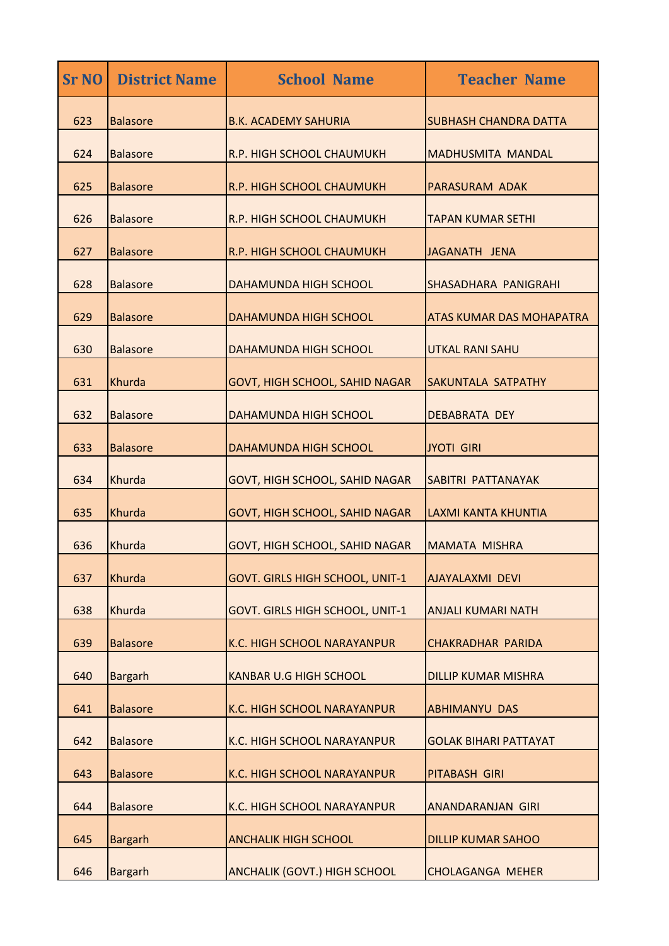| <b>Sr NO</b> | <b>District Name</b> | <b>School Name</b>                    | <b>Teacher Name</b>             |
|--------------|----------------------|---------------------------------------|---------------------------------|
| 623          | <b>Balasore</b>      | <b>B.K. ACADEMY SAHURIA</b>           | <b>SUBHASH CHANDRA DATTA</b>    |
| 624          | <b>Balasore</b>      | R.P. HIGH SCHOOL CHAUMUKH             | <b>MADHUSMITA MANDAL</b>        |
| 625          | <b>Balasore</b>      | R.P. HIGH SCHOOL CHAUMUKH             | <b>PARASURAM ADAK</b>           |
| 626          | <b>Balasore</b>      | R.P. HIGH SCHOOL CHAUMUKH             | <b>TAPAN KUMAR SETHI</b>        |
| 627          | <b>Balasore</b>      | R.P. HIGH SCHOOL CHAUMUKH             | JAGANATH JENA                   |
| 628          | <b>Balasore</b>      | DAHAMUNDA HIGH SCHOOL                 | <b>SHASADHARA PANIGRAHI</b>     |
| 629          | <b>Balasore</b>      | <b>DAHAMUNDA HIGH SCHOOL</b>          | <b>ATAS KUMAR DAS MOHAPATRA</b> |
| 630          | <b>Balasore</b>      | <b>DAHAMUNDA HIGH SCHOOL</b>          | <b>UTKAL RANI SAHU</b>          |
| 631          | Khurda               | GOVT, HIGH SCHOOL, SAHID NAGAR        | <b>SAKUNTALA SATPATHY</b>       |
| 632          | <b>Balasore</b>      | <b>DAHAMUNDA HIGH SCHOOL</b>          | <b>DEBABRATA DEY</b>            |
| 633          | <b>Balasore</b>      | DAHAMUNDA HIGH SCHOOL                 | <b>JYOTI GIRI</b>               |
| 634          | Khurda               | GOVT, HIGH SCHOOL, SAHID NAGAR        | <b>SABITRI PATTANAYAK</b>       |
| 635          | Khurda               | GOVT, HIGH SCHOOL, SAHID NAGAR        | ILAXMI KANTA KHUNTIA            |
| 636          | Khurda               | <b>GOVT, HIGH SCHOOL, SAHID NAGAR</b> | <b>MAMATA MISHRA</b>            |
| 637          | Khurda               | GOVT. GIRLS HIGH SCHOOL, UNIT-1       | <b>AJAYALAXMI DEVI</b>          |
| 638          | Khurda               | GOVT. GIRLS HIGH SCHOOL, UNIT-1       | <b>ANJALI KUMARI NATH</b>       |
| 639          | <b>Balasore</b>      | K.C. HIGH SCHOOL NARAYANPUR           | <b>CHAKRADHAR PARIDA</b>        |
| 640          | <b>Bargarh</b>       | <b>KANBAR U.G HIGH SCHOOL</b>         | <b>DILLIP KUMAR MISHRA</b>      |
| 641          | <b>Balasore</b>      | K.C. HIGH SCHOOL NARAYANPUR           | <b>ABHIMANYU DAS</b>            |
| 642          | <b>Balasore</b>      | K.C. HIGH SCHOOL NARAYANPUR           | <b>GOLAK BIHARI PATTAYAT</b>    |
| 643          | <b>Balasore</b>      | K.C. HIGH SCHOOL NARAYANPUR           | <b>PITABASH GIRI</b>            |
| 644          | <b>Balasore</b>      | K.C. HIGH SCHOOL NARAYANPUR           | <b>ANANDARANJAN GIRI</b>        |
| 645          | <b>Bargarh</b>       | <b>ANCHALIK HIGH SCHOOL</b>           | <b>DILLIP KUMAR SAHOO</b>       |
| 646          | <b>Bargarh</b>       | ANCHALIK (GOVT.) HIGH SCHOOL          | <b>CHOLAGANGA MEHER</b>         |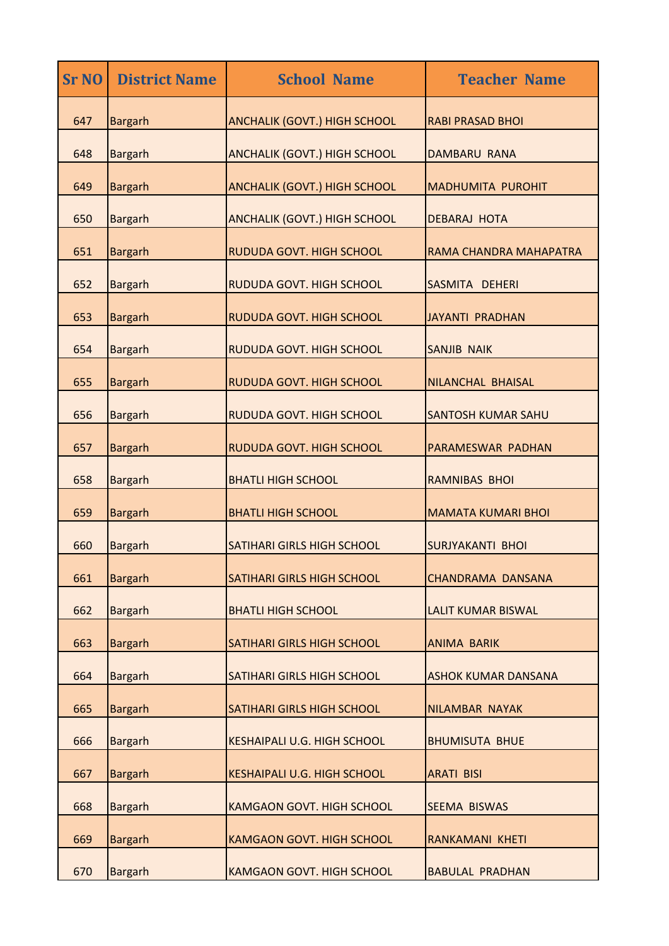| <b>Sr NO</b> | <b>District Name</b> | <b>School Name</b>                  | <b>Teacher Name</b>        |
|--------------|----------------------|-------------------------------------|----------------------------|
| 647          | <b>Bargarh</b>       | <b>ANCHALIK (GOVT.) HIGH SCHOOL</b> | <b>RABI PRASAD BHOI</b>    |
| 648          | <b>Bargarh</b>       | <b>ANCHALIK (GOVT.) HIGH SCHOOL</b> | <b>DAMBARU RANA</b>        |
| 649          | <b>Bargarh</b>       | <b>ANCHALIK (GOVT.) HIGH SCHOOL</b> | <b>MADHUMITA PUROHIT</b>   |
| 650          | <b>Bargarh</b>       | <b>ANCHALIK (GOVT.) HIGH SCHOOL</b> | <b>DEBARAJ HOTA</b>        |
| 651          | <b>Bargarh</b>       | <b>RUDUDA GOVT. HIGH SCHOOL</b>     | RAMA CHANDRA MAHAPATRA     |
| 652          | <b>Bargarh</b>       | <b>RUDUDA GOVT. HIGH SCHOOL</b>     | SASMITA DEHERI             |
| 653          | <b>Bargarh</b>       | <b>RUDUDA GOVT. HIGH SCHOOL</b>     | <b>JAYANTI PRADHAN</b>     |
| 654          | <b>Bargarh</b>       | <b>RUDUDA GOVT. HIGH SCHOOL</b>     | <b>SANJIB NAIK</b>         |
| 655          | <b>Bargarh</b>       | <b>RUDUDA GOVT. HIGH SCHOOL</b>     | <b>NILANCHAL BHAISAL</b>   |
| 656          | <b>Bargarh</b>       | <b>RUDUDA GOVT. HIGH SCHOOL</b>     | <b>SANTOSH KUMAR SAHU</b>  |
| 657          | <b>Bargarh</b>       | RUDUDA GOVT. HIGH SCHOOL            | PARAMESWAR PADHAN          |
| 658          | <b>Bargarh</b>       | <b>BHATLI HIGH SCHOOL</b>           | <b>RAMNIBAS BHOI</b>       |
| 659          | <b>Bargarh</b>       | <b>BHATLI HIGH SCHOOL</b>           | <b>MAMATA KUMARI BHOI</b>  |
| 660          | <b>Bargarh</b>       | SATIHARI GIRLS HIGH SCHOOL          | <b>SURJYAKANTI BHOI</b>    |
| 661          | <b>Bargarh</b>       | <b>SATIHARI GIRLS HIGH SCHOOL</b>   | <b>CHANDRAMA DANSANA</b>   |
| 662          | <b>Bargarh</b>       | <b>BHATLI HIGH SCHOOL</b>           | <b>LALIT KUMAR BISWAL</b>  |
| 663          | <b>Bargarh</b>       | SATIHARI GIRLS HIGH SCHOOL          | <b>ANIMA BARIK</b>         |
| 664          | <b>Bargarh</b>       | SATIHARI GIRLS HIGH SCHOOL          | <b>ASHOK KUMAR DANSANA</b> |
| 665          | <b>Bargarh</b>       | <b>SATIHARI GIRLS HIGH SCHOOL</b>   | NILAMBAR NAYAK             |
| 666          | <b>Bargarh</b>       | <b>KESHAIPALI U.G. HIGH SCHOOL</b>  | <b>BHUMISUTA BHUE</b>      |
| 667          | <b>Bargarh</b>       | <b>KESHAIPALI U.G. HIGH SCHOOL</b>  | <b>ARATI BISI</b>          |
| 668          | <b>Bargarh</b>       | <b>KAMGAON GOVT. HIGH SCHOOL</b>    | <b>SEEMA BISWAS</b>        |
| 669          | <b>Bargarh</b>       | <b>KAMGAON GOVT. HIGH SCHOOL</b>    | RANKAMANI KHETI            |
| 670          | <b>Bargarh</b>       | <b>KAMGAON GOVT. HIGH SCHOOL</b>    | <b>BABULAL PRADHAN</b>     |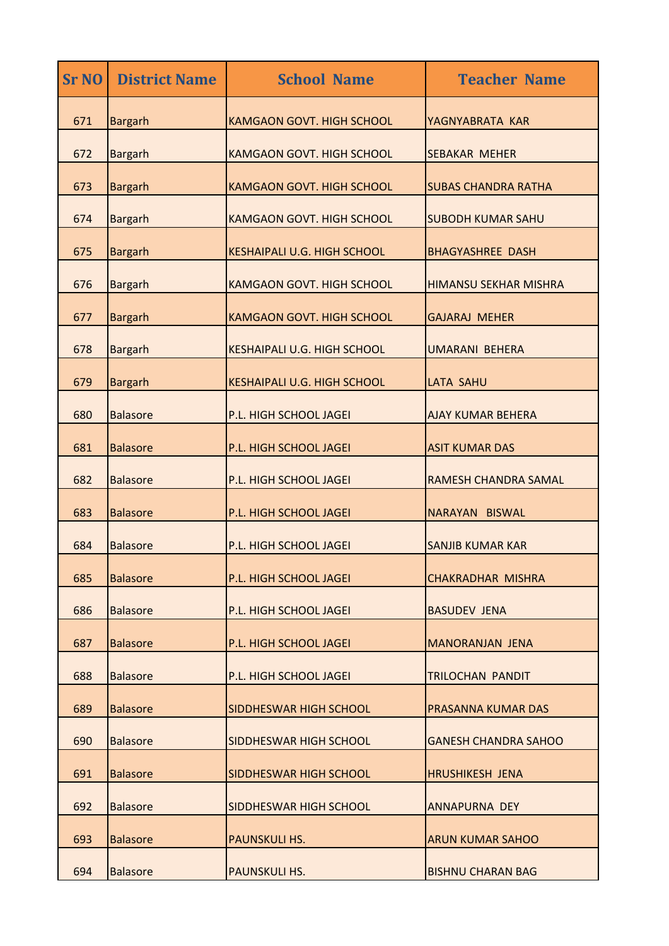| <b>Sr NO</b> | <b>District Name</b> | <b>School Name</b>                 | <b>Teacher Name</b>          |
|--------------|----------------------|------------------------------------|------------------------------|
| 671          | <b>Bargarh</b>       | <b>KAMGAON GOVT. HIGH SCHOOL</b>   | YAGNYABRATA KAR              |
| 672          | <b>Bargarh</b>       | <b>KAMGAON GOVT. HIGH SCHOOL</b>   | <b>SEBAKAR MEHER</b>         |
| 673          | <b>Bargarh</b>       | <b>KAMGAON GOVT. HIGH SCHOOL</b>   | <b>SUBAS CHANDRA RATHA</b>   |
| 674          | <b>Bargarh</b>       | <b>KAMGAON GOVT. HIGH SCHOOL</b>   | <b>SUBODH KUMAR SAHU</b>     |
| 675          | <b>Bargarh</b>       | <b>KESHAIPALI U.G. HIGH SCHOOL</b> | <b>BHAGYASHREE DASH</b>      |
| 676          | <b>Bargarh</b>       | <b>KAMGAON GOVT. HIGH SCHOOL</b>   | <b>HIMANSU SEKHAR MISHRA</b> |
| 677          | <b>Bargarh</b>       | <b>KAMGAON GOVT. HIGH SCHOOL</b>   | <b>GAJARAJ MEHER</b>         |
| 678          | <b>Bargarh</b>       | <b>KESHAIPALI U.G. HIGH SCHOOL</b> | <b>UMARANI BEHERA</b>        |
| 679          | <b>Bargarh</b>       | <b>KESHAIPALI U.G. HIGH SCHOOL</b> | <b>LATA SAHU</b>             |
| 680          | <b>Balasore</b>      | P.L. HIGH SCHOOL JAGEI             | <b>AJAY KUMAR BEHERA</b>     |
| 681          | <b>Balasore</b>      | P.L. HIGH SCHOOL JAGEI             | <b>ASIT KUMAR DAS</b>        |
| 682          | <b>Balasore</b>      | P.L. HIGH SCHOOL JAGEI             | <b>RAMESH CHANDRA SAMAL</b>  |
| 683          | <b>Balasore</b>      | P.L. HIGH SCHOOL JAGEI             | NARAYAN BISWAL               |
| 684          | <b>Balasore</b>      | P.L. HIGH SCHOOL JAGEI             | <b>SANJIB KUMAR KAR</b>      |
| 685          | <b>Balasore</b>      | P.L. HIGH SCHOOL JAGEI             | <b>CHAKRADHAR MISHRA</b>     |
| 686          | <b>Balasore</b>      | P.L. HIGH SCHOOL JAGEI             | <b>BASUDEV JENA</b>          |
| 687          | <b>Balasore</b>      | <b>P.L. HIGH SCHOOL JAGEI</b>      | <b>MANORANJAN JENA</b>       |
| 688          | <b>Balasore</b>      | P.L. HIGH SCHOOL JAGEI             | <b>TRILOCHAN PANDIT</b>      |
| 689          | <b>Balasore</b>      | <b>SIDDHESWAR HIGH SCHOOL</b>      | <b>PRASANNA KUMAR DAS</b>    |
| 690          | <b>Balasore</b>      | SIDDHESWAR HIGH SCHOOL             | <b>GANESH CHANDRA SAHOO</b>  |
| 691          | <b>Balasore</b>      | SIDDHESWAR HIGH SCHOOL             | <b>HRUSHIKESH JENA</b>       |
| 692          | <b>Balasore</b>      | <b>SIDDHESWAR HIGH SCHOOL</b>      | <b>ANNAPURNA DEY</b>         |
| 693          | <b>Balasore</b>      | <b>PAUNSKULI HS.</b>               | <b>ARUN KUMAR SAHOO</b>      |
| 694          | <b>Balasore</b>      | <b>PAUNSKULI HS.</b>               | <b>BISHNU CHARAN BAG</b>     |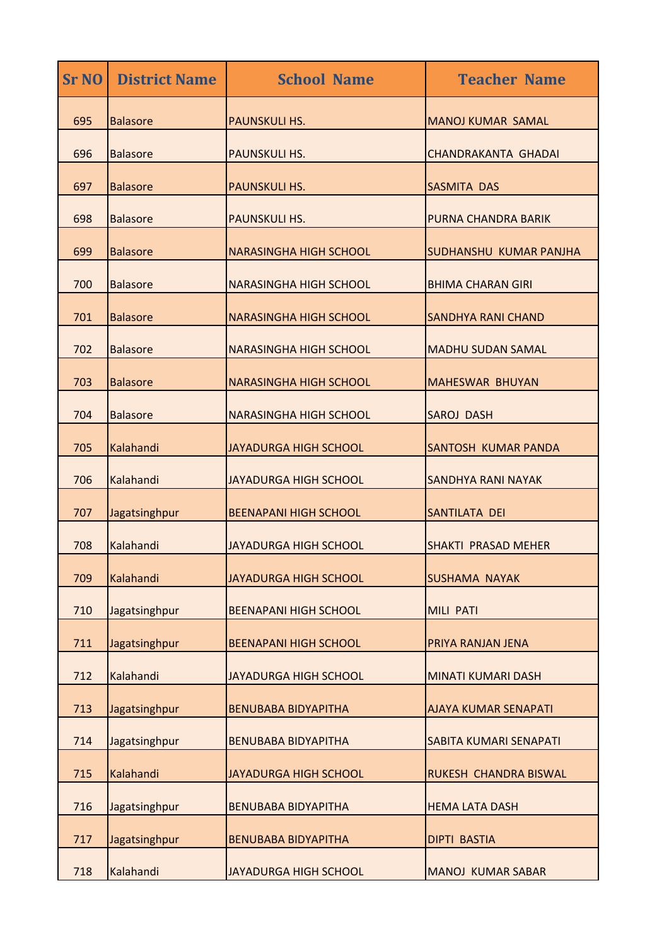| <b>Sr NO</b> | <b>District Name</b> | <b>School Name</b>            | <b>Teacher Name</b>           |
|--------------|----------------------|-------------------------------|-------------------------------|
| 695          | <b>Balasore</b>      | <b>PAUNSKULI HS.</b>          | <b>MANOJ KUMAR SAMAL</b>      |
| 696          | <b>Balasore</b>      | PAUNSKULI HS.                 | <b>CHANDRAKANTA GHADAI</b>    |
| 697          | <b>Balasore</b>      | <b>PAUNSKULI HS.</b>          | <b>SASMITA DAS</b>            |
| 698          | <b>Balasore</b>      | PAUNSKULI HS.                 | PURNA CHANDRA BARIK           |
| 699          | <b>Balasore</b>      | <b>NARASINGHA HIGH SCHOOL</b> | <b>SUDHANSHU KUMAR PANJHA</b> |
| 700          | <b>Balasore</b>      | <b>NARASINGHA HIGH SCHOOL</b> | <b>BHIMA CHARAN GIRL</b>      |
| 701          | <b>Balasore</b>      | <b>NARASINGHA HIGH SCHOOL</b> | <b>SANDHYA RANI CHAND</b>     |
| 702          | <b>Balasore</b>      | <b>NARASINGHA HIGH SCHOOL</b> | <b>MADHU SUDAN SAMAL</b>      |
| 703          | <b>Balasore</b>      | <b>NARASINGHA HIGH SCHOOL</b> | <b>MAHESWAR BHUYAN</b>        |
| 704          | <b>Balasore</b>      | <b>NARASINGHA HIGH SCHOOL</b> | <b>SAROJ DASH</b>             |
| 705          | Kalahandi            | <b>JAYADURGA HIGH SCHOOL</b>  | <b>SANTOSH KUMAR PANDA</b>    |
| 706          | Kalahandi            | <b>JAYADURGA HIGH SCHOOL</b>  | <b>SANDHYA RANI NAYAK</b>     |
| 707          | Jagatsinghpur        | <b>BEENAPANI HIGH SCHOOL</b>  | SANTILATA DEI                 |
| 708          | Kalahandi            | JAYADURGA HIGH SCHOOL         | <b>SHAKTI PRASAD MEHER</b>    |
| 709          | Kalahandi            | <b>JAYADURGA HIGH SCHOOL</b>  | <b>SUSHAMA NAYAK</b>          |
| 710          | Jagatsinghpur        | <b>BEENAPANI HIGH SCHOOL</b>  | <b>MILI PATI</b>              |
| 711          | Jagatsinghpur        | <b>BEENAPANI HIGH SCHOOL</b>  | PRIYA RANJAN JENA             |
| 712          | Kalahandi            | JAYADURGA HIGH SCHOOL         | <b>MINATI KUMARI DASH</b>     |
| 713          | Jagatsinghpur        | <b>BENUBABA BIDYAPITHA</b>    | <b>AJAYA KUMAR SENAPATI</b>   |
| 714          | Jagatsinghpur        | <b>BENUBABA BIDYAPITHA</b>    | SABITA KUMARI SENAPATI        |
| 715          | Kalahandi            | <b>JAYADURGA HIGH SCHOOL</b>  | RUKESH CHANDRA BISWAL         |
| 716          | Jagatsinghpur        | <b>BENUBABA BIDYAPITHA</b>    | <b>HEMA LATA DASH</b>         |
| 717          | Jagatsinghpur        | <b>BENUBABA BIDYAPITHA</b>    | <b>DIPTI BASTIA</b>           |
| 718          | Kalahandi            | JAYADURGA HIGH SCHOOL         | <b>MANOJ KUMAR SABAR</b>      |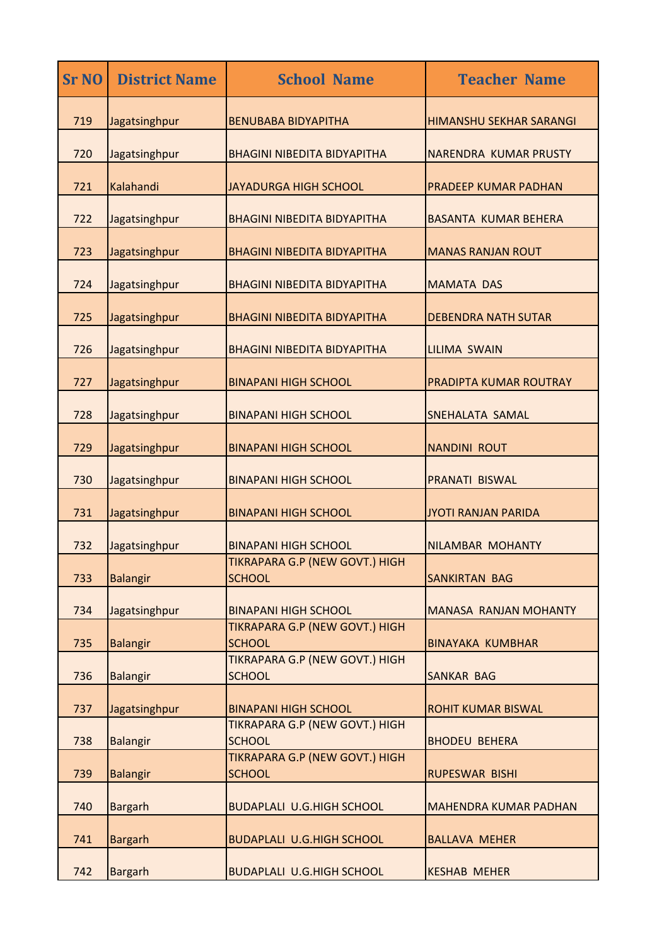| <b>Sr NO</b> | <b>District Name</b> | <b>School Name</b>                              | <b>Teacher Name</b>          |
|--------------|----------------------|-------------------------------------------------|------------------------------|
| 719          | Jagatsinghpur        | <b>BENUBABA BIDYAPITHA</b>                      | HIMANSHU SEKHAR SARANGI      |
| 720          | Jagatsinghpur        | <b>BHAGINI NIBEDITA BIDYAPITHA</b>              | <b>NARENDRA KUMAR PRUSTY</b> |
| 721          | Kalahandi            | JAYADURGA HIGH SCHOOL                           | PRADEEP KUMAR PADHAN         |
| 722          | Jagatsinghpur        | <b>BHAGINI NIBEDITA BIDYAPITHA</b>              | <b>BASANTA KUMAR BEHERA</b>  |
| 723          | Jagatsinghpur        | <b>BHAGINI NIBEDITA BIDYAPITHA</b>              | <b>MANAS RANJAN ROUT</b>     |
| 724          | Jagatsinghpur        | <b>BHAGINI NIBEDITA BIDYAPITHA</b>              | <b>MAMATA DAS</b>            |
| 725          | Jagatsinghpur        | <b>BHAGINI NIBEDITA BIDYAPITHA</b>              | <b>DEBENDRA NATH SUTAR</b>   |
| 726          | Jagatsinghpur        | <b>BHAGINI NIBEDITA BIDYAPITHA</b>              | <b>LILIMA SWAIN</b>          |
| 727          | Jagatsinghpur        | <b>BINAPANI HIGH SCHOOL</b>                     | PRADIPTA KUMAR ROUTRAY       |
| 728          | Jagatsinghpur        | <b>BINAPANI HIGH SCHOOL</b>                     | SNEHALATA SAMAL              |
| 729          | Jagatsinghpur        | <b>BINAPANI HIGH SCHOOL</b>                     | <b>NANDINI ROUT</b>          |
| 730          | Jagatsinghpur        | <b>BINAPANI HIGH SCHOOL</b>                     | <b>PRANATI BISWAL</b>        |
| 731          | Jagatsinghpur        | <b>BINAPANI HIGH SCHOOL</b>                     | <b>JYOTI RANJAN PARIDA</b>   |
| 732          | Jagatsinghpur        | <b>BINAPANI HIGH SCHOOL</b>                     | <b>NILAMBAR MOHANTY</b>      |
| 733          | <b>Balangir</b>      | TIKRAPARA G.P (NEW GOVT.) HIGH<br><b>SCHOOL</b> | <b>SANKIRTAN BAG</b>         |
| 734          | Jagatsinghpur        | <b>BINAPANI HIGH SCHOOL</b>                     | <b>MANASA RANJAN MOHANTY</b> |
| 735          | <b>Balangir</b>      | TIKRAPARA G.P (NEW GOVT.) HIGH<br><b>SCHOOL</b> | <b>BINAYAKA KUMBHAR</b>      |
| 736          | <b>Balangir</b>      | TIKRAPARA G.P (NEW GOVT.) HIGH<br><b>SCHOOL</b> | <b>SANKAR BAG</b>            |
| 737          | Jagatsinghpur        | <b>BINAPANI HIGH SCHOOL</b>                     | ROHIT KUMAR BISWAL           |
| 738          | <b>Balangir</b>      | TIKRAPARA G.P (NEW GOVT.) HIGH<br><b>SCHOOL</b> | <b>BHODEU BEHERA</b>         |
| 739          | <b>Balangir</b>      | TIKRAPARA G.P (NEW GOVT.) HIGH<br><b>SCHOOL</b> | <b>RUPESWAR BISHI</b>        |
| 740          | <b>Bargarh</b>       | <b>BUDAPLALI U.G.HIGH SCHOOL</b>                | <b>MAHENDRA KUMAR PADHAN</b> |
| 741          | <b>Bargarh</b>       | <b>BUDAPLALI U.G.HIGH SCHOOL</b>                | <b>BALLAVA MEHER</b>         |
| 742          | <b>Bargarh</b>       | <b>BUDAPLALI U.G.HIGH SCHOOL</b>                | <b>KESHAB MEHER</b>          |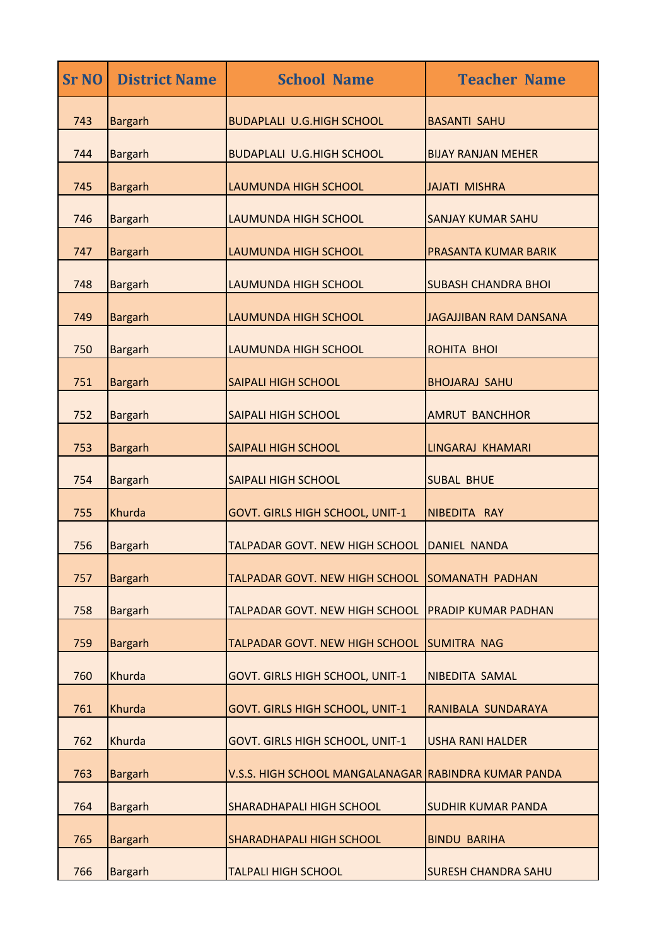| <b>Sr NO</b> | <b>District Name</b> | <b>School Name</b>                                   | <b>Teacher Name</b>         |
|--------------|----------------------|------------------------------------------------------|-----------------------------|
| 743          | <b>Bargarh</b>       | <b>BUDAPLALI U.G.HIGH SCHOOL</b>                     | <b>BASANTI SAHU</b>         |
| 744          | <b>Bargarh</b>       | <b>BUDAPLALI U.G.HIGH SCHOOL</b>                     | <b>BIJAY RANJAN MEHER</b>   |
| 745          | <b>Bargarh</b>       | <b>LAUMUNDA HIGH SCHOOL</b>                          | <b>JAJATI MISHRA</b>        |
| 746          | <b>Bargarh</b>       | <b>LAUMUNDA HIGH SCHOOL</b>                          | <b>SANJAY KUMAR SAHU</b>    |
| 747          | <b>Bargarh</b>       | LAUMUNDA HIGH SCHOOL                                 | <b>PRASANTA KUMAR BARIK</b> |
| 748          | <b>Bargarh</b>       | LAUMUNDA HIGH SCHOOL                                 | <b>SUBASH CHANDRA BHOI</b>  |
| 749          | <b>Bargarh</b>       | <b>LAUMUNDA HIGH SCHOOL</b>                          | JAGAJJIBAN RAM DANSANA      |
| 750          | <b>Bargarh</b>       | LAUMUNDA HIGH SCHOOL                                 | <b>ROHITA BHOI</b>          |
| 751          | <b>Bargarh</b>       | <b>SAIPALI HIGH SCHOOL</b>                           | <b>BHOJARAJ SAHU</b>        |
| 752          | <b>Bargarh</b>       | <b>SAIPALI HIGH SCHOOL</b>                           | <b>AMRUT BANCHHOR</b>       |
| 753          | <b>Bargarh</b>       | <b>SAIPALI HIGH SCHOOL</b>                           | LINGARAJ KHAMARI            |
| 754          | <b>Bargarh</b>       | <b>SAIPALI HIGH SCHOOL</b>                           | <b>SUBAL BHUE</b>           |
| 755          | Khurda               | <b>GOVT. GIRLS HIGH SCHOOL, UNIT-1</b>               | NIBEDITA RAY                |
| 756          | <b>Bargarh</b>       | TALPADAR GOVT. NEW HIGH SCHOOL                       | DANIEL NANDA                |
| 757          | <b>Bargarh</b>       | TALPADAR GOVT. NEW HIGH SCHOOL【SOMANATH_PADHAN       |                             |
| 758          | <b>Bargarh</b>       | <b>TALPADAR GOVT. NEW HIGH SCHOOL</b>                | <b>PRADIP KUMAR PADHAN</b>  |
| 759          | <b>Bargarh</b>       | <b>TALPADAR GOVT. NEW HIGH SCHOOL</b>                | <b>SUMITRA NAG</b>          |
| 760          | Khurda               | GOVT. GIRLS HIGH SCHOOL, UNIT-1                      | <b>NIBEDITA SAMAL</b>       |
| 761          | Khurda               | <b>GOVT. GIRLS HIGH SCHOOL, UNIT-1</b>               | RANIBALA SUNDARAYA          |
| 762          | Khurda               | GOVT. GIRLS HIGH SCHOOL, UNIT-1                      | <b>USHA RANI HALDER</b>     |
| 763          | <b>Bargarh</b>       | V.S.S. HIGH SCHOOL MANGALANAGAR RABINDRA KUMAR PANDA |                             |
| 764          | <b>Bargarh</b>       | SHARADHAPALI HIGH SCHOOL                             | <b>SUDHIR KUMAR PANDA</b>   |
| 765          | <b>Bargarh</b>       | SHARADHAPALI HIGH SCHOOL                             | <b>BINDU BARIHA</b>         |
| 766          | <b>Bargarh</b>       | <b>TALPALI HIGH SCHOOL</b>                           | <b>SURESH CHANDRA SAHU</b>  |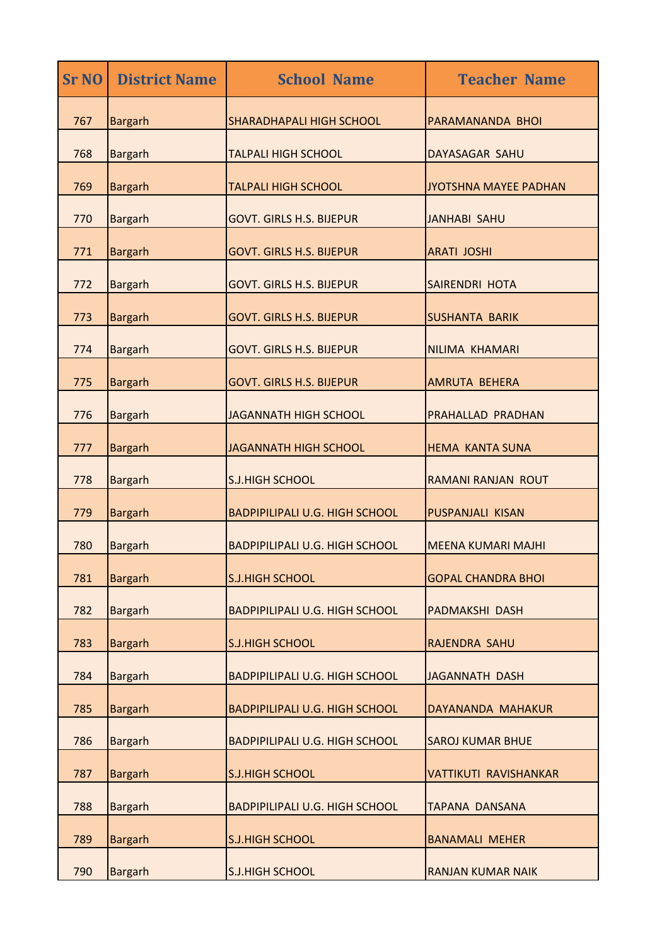| <b>Sr NO</b> | <b>District Name</b> | <b>School Name</b>                    | <b>Teacher Name</b>          |
|--------------|----------------------|---------------------------------------|------------------------------|
| 767          | <b>Bargarh</b>       | SHARADHAPALI HIGH SCHOOL              | PARAMANANDA BHOI             |
| 768          | <b>Bargarh</b>       | <b>TALPALI HIGH SCHOOL</b>            | DAYASAGAR SAHU               |
| 769          | <b>Bargarh</b>       | <b>TALPALI HIGH SCHOOL</b>            | JYOTSHNA MAYEE PADHAN        |
| 770          | <b>Bargarh</b>       | <b>GOVT. GIRLS H.S. BIJEPUR</b>       | <b>JANHABI SAHU</b>          |
| 771          | <b>Bargarh</b>       | <b>GOVT. GIRLS H.S. BIJEPUR</b>       | <b>ARATI JOSHI</b>           |
| 772          | <b>Bargarh</b>       | <b>GOVT. GIRLS H.S. BIJEPUR</b>       | SAIRENDRI HOTA               |
| 773          | <b>Bargarh</b>       | <b>GOVT. GIRLS H.S. BIJEPUR</b>       | <b>SUSHANTA BARIK</b>        |
| 774          | <b>Bargarh</b>       | <b>GOVT. GIRLS H.S. BIJEPUR</b>       | NILIMA KHAMARI               |
| 775          | <b>Bargarh</b>       | <b>GOVT. GIRLS H.S. BIJEPUR</b>       | <b>AMRUTA BEHERA</b>         |
| 776          | <b>Bargarh</b>       | <b>JAGANNATH HIGH SCHOOL</b>          | <b>PRAHALLAD PRADHAN</b>     |
| 777          | <b>Bargarh</b>       | <b>JAGANNATH HIGH SCHOOL</b>          | <b>HEMA KANTA SUNA</b>       |
| 778          | <b>Bargarh</b>       | <b>S.J.HIGH SCHOOL</b>                | <b>RAMANI RANJAN ROUT</b>    |
| 779          | <b>Bargarh</b>       | <b>BADPIPILIPALI U.G. HIGH SCHOOL</b> | <b>PUSPANJALI KISAN</b>      |
| 780          | <b>Bargarh</b>       | <b>BADPIPILIPALI U.G. HIGH SCHOOL</b> | <b>MEENA KUMARI MAJHI</b>    |
| 781          | <b>Bargarh</b>       | <b>S.J.HIGH SCHOOL</b>                | <b>GOPAL CHANDRA BHOI</b>    |
| 782          | <b>Bargarh</b>       | <b>BADPIPILIPALI U.G. HIGH SCHOOL</b> | <b>PADMAKSHI DASH</b>        |
| 783          | <b>Bargarh</b>       | <b>S.J.HIGH SCHOOL</b>                | RAJENDRA SAHU                |
| 784          | <b>Bargarh</b>       | <b>BADPIPILIPALI U.G. HIGH SCHOOL</b> | <b>JAGANNATH DASH</b>        |
| 785          | <b>Bargarh</b>       | <b>BADPIPILIPALI U.G. HIGH SCHOOL</b> | DAYANANDA MAHAKUR            |
| 786          | <b>Bargarh</b>       | <b>BADPIPILIPALI U.G. HIGH SCHOOL</b> | <b>SAROJ KUMAR BHUE</b>      |
| 787          | <b>Bargarh</b>       | <b>S.J.HIGH SCHOOL</b>                | <b>VATTIKUTI RAVISHANKAR</b> |
| 788          | <b>Bargarh</b>       | <b>BADPIPILIPALI U.G. HIGH SCHOOL</b> | <b>TAPANA DANSANA</b>        |
| 789          | <b>Bargarh</b>       | <b>S.J.HIGH SCHOOL</b>                | <b>BANAMALI MEHER</b>        |
| 790          | <b>Bargarh</b>       | S.J.HIGH SCHOOL                       | <b>RANJAN KUMAR NAIK</b>     |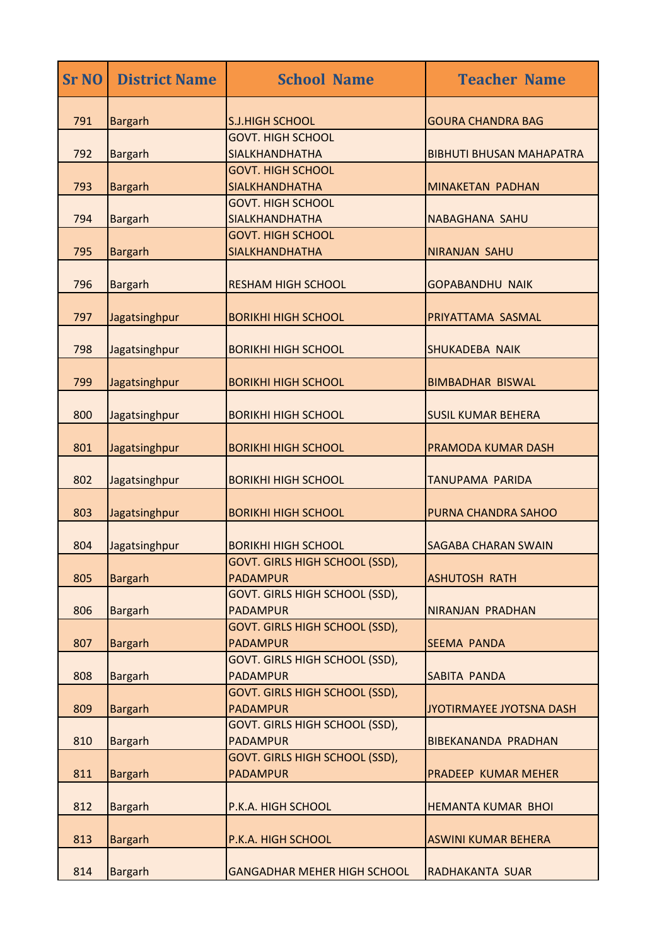| <b>Sr NO</b> | <b>District Name</b> | <b>School Name</b>                                       | <b>Teacher Name</b>             |
|--------------|----------------------|----------------------------------------------------------|---------------------------------|
| 791          | <b>Bargarh</b>       | <b>S.J.HIGH SCHOOL</b>                                   | <b>GOURA CHANDRA BAG</b>        |
| 792          | <b>Bargarh</b>       | <b>GOVT. HIGH SCHOOL</b><br><b>SIALKHANDHATHA</b>        | <b>BIBHUTI BHUSAN MAHAPATRA</b> |
| 793          | <b>Bargarh</b>       | <b>GOVT. HIGH SCHOOL</b><br><b>SIALKHANDHATHA</b>        | <b>MINAKETAN PADHAN</b>         |
| 794          | <b>Bargarh</b>       | <b>GOVT. HIGH SCHOOL</b><br><b>SIALKHANDHATHA</b>        | <b>NABAGHANA SAHU</b>           |
| 795          | <b>Bargarh</b>       | <b>GOVT. HIGH SCHOOL</b><br><b>SIALKHANDHATHA</b>        | <b>NIRANJAN SAHU</b>            |
| 796          | <b>Bargarh</b>       | <b>RESHAM HIGH SCHOOL</b>                                | <b>GOPABANDHU NAIK</b>          |
| 797          | Jagatsinghpur        | <b>BORIKHI HIGH SCHOOL</b>                               | PRIYATTAMA SASMAL               |
| 798          | Jagatsinghpur        | <b>BORIKHI HIGH SCHOOL</b>                               | <b>SHUKADEBA NAIK</b>           |
| 799          | Jagatsinghpur        | <b>BORIKHI HIGH SCHOOL</b>                               | <b>BIMBADHAR BISWAL</b>         |
| 800          | Jagatsinghpur        | <b>BORIKHI HIGH SCHOOL</b>                               | <b>SUSIL KUMAR BEHERA</b>       |
| 801          | Jagatsinghpur        | <b>BORIKHI HIGH SCHOOL</b>                               | <b>PRAMODA KUMAR DASH</b>       |
| 802          | Jagatsinghpur        | <b>BORIKHI HIGH SCHOOL</b>                               | TANUPAMA PARIDA                 |
| 803          | Jagatsinghpur        | <b>BORIKHI HIGH SCHOOL</b>                               | PURNA CHANDRA SAHOO             |
| 804          | Jagatsinghpur        | <b>BORIKHI HIGH SCHOOL</b>                               | <b>SAGABA CHARAN SWAIN</b>      |
| 805          | <b>Bargarh</b>       | <b>GOVT. GIRLS HIGH SCHOOL (SSD),</b><br><b>PADAMPUR</b> | <b>ASHUTOSH RATH</b>            |
| 806          | <b>Bargarh</b>       | GOVT. GIRLS HIGH SCHOOL (SSD),<br><b>PADAMPUR</b>        | <b>NIRANJAN PRADHAN</b>         |
| 807          | <b>Bargarh</b>       | GOVT. GIRLS HIGH SCHOOL (SSD),<br><b>PADAMPUR</b>        | <b>SEEMA PANDA</b>              |
| 808          | <b>Bargarh</b>       | GOVT. GIRLS HIGH SCHOOL (SSD),<br><b>PADAMPUR</b>        | SABITA PANDA                    |
| 809          | <b>Bargarh</b>       | GOVT. GIRLS HIGH SCHOOL (SSD),<br><b>PADAMPUR</b>        | <b>JYOTIRMAYEE JYOTSNA DASH</b> |
| 810          | <b>Bargarh</b>       | GOVT. GIRLS HIGH SCHOOL (SSD),<br><b>PADAMPUR</b>        | <b>BIBEKANANDA PRADHAN</b>      |
| 811          | <b>Bargarh</b>       | GOVT. GIRLS HIGH SCHOOL (SSD),<br><b>PADAMPUR</b>        | <b>PRADEEP KUMAR MEHER</b>      |
| 812          | <b>Bargarh</b>       | P.K.A. HIGH SCHOOL                                       | <b>HEMANTA KUMAR BHOI</b>       |
| 813          | <b>Bargarh</b>       | P.K.A. HIGH SCHOOL                                       | <b>ASWINI KUMAR BEHERA</b>      |
| 814          | <b>Bargarh</b>       | <b>GANGADHAR MEHER HIGH SCHOOL</b>                       | <b>RADHAKANTA SUAR</b>          |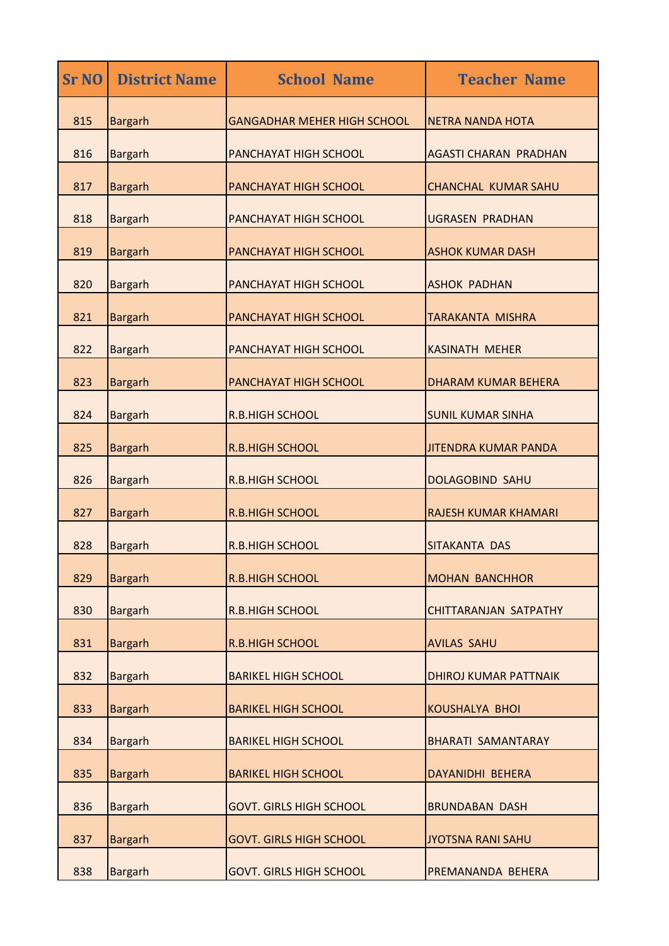| <b>Sr NO</b> | <b>District Name</b> | <b>School Name</b>                 | <b>Teacher Name</b>          |
|--------------|----------------------|------------------------------------|------------------------------|
| 815          | <b>Bargarh</b>       | <b>GANGADHAR MEHER HIGH SCHOOL</b> | <b>NETRA NANDA HOTA</b>      |
| 816          | <b>Bargarh</b>       | PANCHAYAT HIGH SCHOOL              | <b>AGASTI CHARAN PRADHAN</b> |
| 817          | <b>Bargarh</b>       | PANCHAYAT HIGH SCHOOL              | <b>CHANCHAL KUMAR SAHU</b>   |
| 818          | <b>Bargarh</b>       | PANCHAYAT HIGH SCHOOL              | <b>UGRASEN PRADHAN</b>       |
| 819          | <b>Bargarh</b>       | PANCHAYAT HIGH SCHOOL              | <b>ASHOK KUMAR DASH</b>      |
| 820          | <b>Bargarh</b>       | PANCHAYAT HIGH SCHOOL              | <b>ASHOK PADHAN</b>          |
| 821          | <b>Bargarh</b>       | PANCHAYAT HIGH SCHOOL              | TARAKANTA MISHRA             |
| 822          | <b>Bargarh</b>       | PANCHAYAT HIGH SCHOOL              | <b>KASINATH MEHER</b>        |
| 823          | <b>Bargarh</b>       | PANCHAYAT HIGH SCHOOL              | <b>DHARAM KUMAR BEHERA</b>   |
| 824          | <b>Bargarh</b>       | <b>R.B.HIGH SCHOOL</b>             | <b>SUNIL KUMAR SINHA</b>     |
| 825          | <b>Bargarh</b>       | <b>R.B.HIGH SCHOOL</b>             | <b>JITENDRA KUMAR PANDA</b>  |
| 826          | <b>Bargarh</b>       | <b>R.B.HIGH SCHOOL</b>             | <b>DOLAGOBIND SAHU</b>       |
| 827          | <b>Bargarh</b>       | <b>R.B.HIGH SCHOOL</b>             | <b>RAJESH KUMAR KHAMARI</b>  |
| 828          | <b>Bargarh</b>       | <b>R.B.HIGH SCHOOL</b>             | SITAKANTA DAS                |
| 829          | <b>Bargarh</b>       | <b>R.B.HIGH SCHOOL</b>             | <b>MOHAN BANCHHOR</b>        |
| 830          | <b>Bargarh</b>       | <b>R.B.HIGH SCHOOL</b>             | CHITTARANJAN SATPATHY        |
| 831          | <b>Bargarh</b>       | <b>R.B.HIGH SCHOOL</b>             | <b>AVILAS SAHU</b>           |
| 832          | <b>Bargarh</b>       | <b>BARIKEL HIGH SCHOOL</b>         | <b>DHIROJ KUMAR PATTNAIK</b> |
| 833          | <b>Bargarh</b>       | <b>BARIKEL HIGH SCHOOL</b>         | KOUSHALYA BHOI               |
| 834          | <b>Bargarh</b>       | <b>BARIKEL HIGH SCHOOL</b>         | <b>BHARATI SAMANTARAY</b>    |
| 835          | <b>Bargarh</b>       | <b>BARIKEL HIGH SCHOOL</b>         | DAYANIDHI BEHERA             |
| 836          | <b>Bargarh</b>       | <b>GOVT. GIRLS HIGH SCHOOL</b>     | <b>BRUNDABAN DASH</b>        |
| 837          | <b>Bargarh</b>       | <b>GOVT. GIRLS HIGH SCHOOL</b>     | JYOTSNA RANI SAHU            |
| 838          | <b>Bargarh</b>       | <b>GOVT. GIRLS HIGH SCHOOL</b>     | PREMANANDA BEHERA            |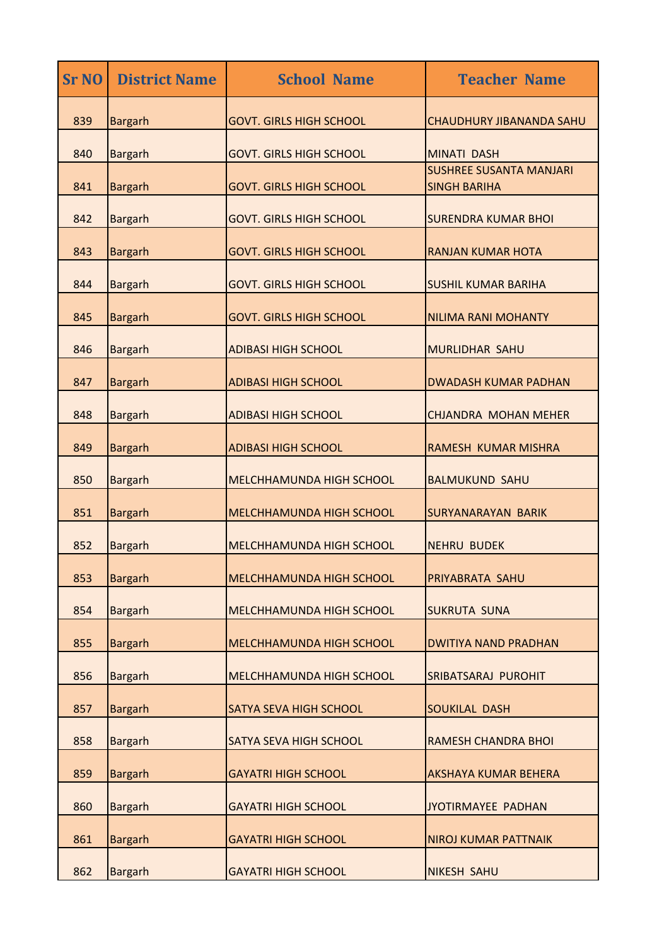| <b>Sr NO</b> | <b>District Name</b> | <b>School Name</b>              | <b>Teacher Name</b>                                   |
|--------------|----------------------|---------------------------------|-------------------------------------------------------|
| 839          | <b>Bargarh</b>       | <b>GOVT. GIRLS HIGH SCHOOL</b>  | <b>CHAUDHURY JIBANANDA SAHU</b>                       |
| 840          | <b>Bargarh</b>       | <b>GOVT. GIRLS HIGH SCHOOL</b>  | <b>MINATI DASH</b>                                    |
| 841          | <b>Bargarh</b>       | <b>GOVT. GIRLS HIGH SCHOOL</b>  | <b>SUSHREE SUSANTA MANJARI</b><br><b>SINGH BARIHA</b> |
| 842          | <b>Bargarh</b>       | <b>GOVT. GIRLS HIGH SCHOOL</b>  | <b>SURENDRA KUMAR BHOI</b>                            |
| 843          | <b>Bargarh</b>       | <b>GOVT. GIRLS HIGH SCHOOL</b>  | <b>RANJAN KUMAR HOTA</b>                              |
| 844          | <b>Bargarh</b>       | <b>GOVT. GIRLS HIGH SCHOOL</b>  | <b>SUSHIL KUMAR BARIHA</b>                            |
| 845          | <b>Bargarh</b>       | <b>GOVT. GIRLS HIGH SCHOOL</b>  | NILIMA RANI MOHANTY                                   |
| 846          | <b>Bargarh</b>       | <b>ADIBASI HIGH SCHOOL</b>      | <b>MURLIDHAR SAHU</b>                                 |
| 847          | <b>Bargarh</b>       | <b>ADIBASI HIGH SCHOOL</b>      | <b>DWADASH KUMAR PADHAN</b>                           |
| 848          | <b>Bargarh</b>       | <b>ADIBASI HIGH SCHOOL</b>      | <b>CHJANDRA MOHAN MEHER</b>                           |
| 849          | <b>Bargarh</b>       | <b>ADIBASI HIGH SCHOOL</b>      | <b>RAMESH KUMAR MISHRA</b>                            |
| 850          | <b>Bargarh</b>       | <b>MELCHHAMUNDA HIGH SCHOOL</b> | <b>BALMUKUND SAHU</b>                                 |
| 851          | <b>Bargarh</b>       | MELCHHAMUNDA HIGH SCHOOL        | <b>SURYANARAYAN BARIK</b>                             |
| 852          | <b>Bargarh</b>       | <b>MELCHHAMUNDA HIGH SCHOOL</b> | <b>NEHRU BUDEK</b>                                    |
| 853          | <b>Bargarh</b>       | MELCHHAMUNDA HIGH SCHOOL        | PRIYABRATA SAHU                                       |
| 854          | <b>Bargarh</b>       | MELCHHAMUNDA HIGH SCHOOL        | <b>SUKRUTA SUNA</b>                                   |
| 855          | <b>Bargarh</b>       | MELCHHAMUNDA HIGH SCHOOL        | <b>DWITIYA NAND PRADHAN</b>                           |
| 856          | <b>Bargarh</b>       | MELCHHAMUNDA HIGH SCHOOL        | <b>SRIBATSARAJ PUROHIT</b>                            |
| 857          | <b>Bargarh</b>       | <b>SATYA SEVA HIGH SCHOOL</b>   | SOUKILAL DASH                                         |
| 858          | <b>Bargarh</b>       | <b>SATYA SEVA HIGH SCHOOL</b>   | <b>RAMESH CHANDRA BHOI</b>                            |
| 859          | <b>Bargarh</b>       | <b>GAYATRI HIGH SCHOOL</b>      | <b>AKSHAYA KUMAR BEHERA</b>                           |
| 860          | <b>Bargarh</b>       | <b>GAYATRI HIGH SCHOOL</b>      | JYOTIRMAYEE PADHAN                                    |
| 861          | <b>Bargarh</b>       | <b>GAYATRI HIGH SCHOOL</b>      | <b>NIROJ KUMAR PATTNAIK</b>                           |
| 862          | <b>Bargarh</b>       | <b>GAYATRI HIGH SCHOOL</b>      | <b>NIKESH SAHU</b>                                    |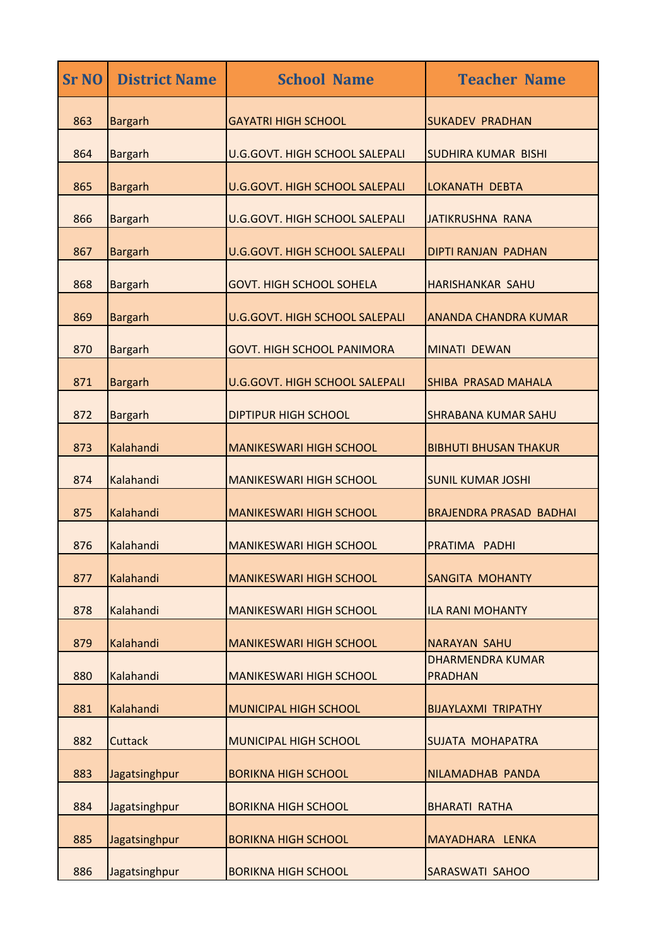| <b>Sr NO</b> | <b>District Name</b> | <b>School Name</b>                    | <b>Teacher Name</b>                       |
|--------------|----------------------|---------------------------------------|-------------------------------------------|
| 863          | <b>Bargarh</b>       | <b>GAYATRI HIGH SCHOOL</b>            | <b>SUKADEV PRADHAN</b>                    |
| 864          | <b>Bargarh</b>       | <b>U.G.GOVT. HIGH SCHOOL SALEPALI</b> | <b>SUDHIRA KUMAR BISHI</b>                |
| 865          | <b>Bargarh</b>       | <b>U.G.GOVT. HIGH SCHOOL SALEPALI</b> | <b>LOKANATH DEBTA</b>                     |
| 866          | <b>Bargarh</b>       | <b>U.G.GOVT. HIGH SCHOOL SALEPALI</b> | JATIKRUSHNA RANA                          |
| 867          | <b>Bargarh</b>       | <b>U.G.GOVT. HIGH SCHOOL SALEPALI</b> | <b>DIPTI RANJAN PADHAN</b>                |
| 868          | <b>Bargarh</b>       | <b>GOVT. HIGH SCHOOL SOHELA</b>       | <b>HARISHANKAR SAHU</b>                   |
| 869          | <b>Bargarh</b>       | <b>U.G.GOVT. HIGH SCHOOL SALEPALI</b> | <b>ANANDA CHANDRA KUMAR</b>               |
| 870          | <b>Bargarh</b>       | <b>GOVT. HIGH SCHOOL PANIMORA</b>     | <b>MINATI DEWAN</b>                       |
| 871          | <b>Bargarh</b>       | <b>U.G.GOVT. HIGH SCHOOL SALEPALI</b> | SHIBA PRASAD MAHALA                       |
| 872          | <b>Bargarh</b>       | <b>DIPTIPUR HIGH SCHOOL</b>           | <b>SHRABANA KUMAR SAHU</b>                |
| 873          | Kalahandi            | <b>MANIKESWARI HIGH SCHOOL</b>        | <b>BIBHUTI BHUSAN THAKUR</b>              |
| 874          | Kalahandi            | <b>MANIKESWARI HIGH SCHOOL</b>        | <b>SUNIL KUMAR JOSHI</b>                  |
| 875          | Kalahandi            | <b>MANIKESWARI HIGH SCHOOL</b>        | <b>BRAJENDRA PRASAD BADHAI</b>            |
| 876          | Kalahandi            | <b>MANIKESWARI HIGH SCHOOL</b>        | PRATIMA PADHI                             |
| 877          | Kalahandi            | <b>MANIKESWARI HIGH SCHOOL</b>        | <b>SANGITA MOHANTY</b>                    |
| 878          | Kalahandi            | <b>MANIKESWARI HIGH SCHOOL</b>        | <b>ILA RANI MOHANTY</b>                   |
| 879          | Kalahandi            | <b>MANIKESWARI HIGH SCHOOL</b>        | <b>NARAYAN SAHU</b>                       |
| 880          | Kalahandi            | <b>MANIKESWARI HIGH SCHOOL</b>        | <b>DHARMENDRA KUMAR</b><br><b>PRADHAN</b> |
| 881          | Kalahandi            | <b>MUNICIPAL HIGH SCHOOL</b>          | <b>BIJAYLAXMI TRIPATHY</b>                |
| 882          | Cuttack              | <b>MUNICIPAL HIGH SCHOOL</b>          | <b>SUJATA MOHAPATRA</b>                   |
| 883          | Jagatsinghpur        | <b>BORIKNA HIGH SCHOOL</b>            | NILAMADHAB PANDA                          |
| 884          | Jagatsinghpur        | <b>BORIKNA HIGH SCHOOL</b>            | <b>BHARATI RATHA</b>                      |
| 885          | Jagatsinghpur        | <b>BORIKNA HIGH SCHOOL</b>            | MAYADHARA LENKA                           |
| 886          | Jagatsinghpur        | <b>BORIKNA HIGH SCHOOL</b>            | SARASWATI SAHOO                           |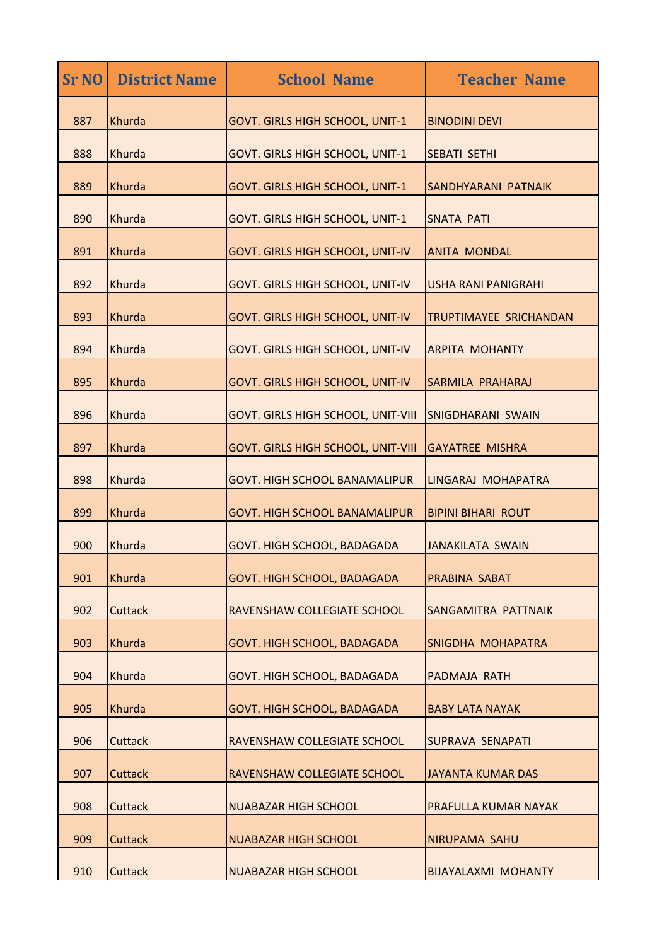| <b>Sr NO</b> | <b>District Name</b> | <b>School Name</b>                        | <b>Teacher Name</b>           |
|--------------|----------------------|-------------------------------------------|-------------------------------|
| 887          | Khurda               | <b>GOVT. GIRLS HIGH SCHOOL, UNIT-1</b>    | <b>BINODINI DEVI</b>          |
| 888          | Khurda               | <b>GOVT. GIRLS HIGH SCHOOL, UNIT-1</b>    | <b>SEBATI SETHI</b>           |
| 889          | Khurda               | <b>GOVT. GIRLS HIGH SCHOOL, UNIT-1</b>    | <b>SANDHYARANI PATNAIK</b>    |
| 890          | Khurda               | GOVT. GIRLS HIGH SCHOOL, UNIT-1           | <b>SNATA PATI</b>             |
| 891          | Khurda               | GOVT. GIRLS HIGH SCHOOL, UNIT-IV          | <b>ANITA MONDAL</b>           |
| 892          | Khurda               | <b>GOVT. GIRLS HIGH SCHOOL, UNIT-IV</b>   | USHA RANI PANIGRAHI           |
| 893          | Khurda               | GOVT. GIRLS HIGH SCHOOL, UNIT-IV          | <b>TRUPTIMAYEE SRICHANDAN</b> |
| 894          | Khurda               | <b>GOVT. GIRLS HIGH SCHOOL, UNIT-IV</b>   | <b>ARPITA MOHANTY</b>         |
| 895          | Khurda               | <b>GOVT. GIRLS HIGH SCHOOL, UNIT-IV</b>   | <b>SARMILA PRAHARAJ</b>       |
| 896          | Khurda               | <b>GOVT. GIRLS HIGH SCHOOL, UNIT-VIII</b> | <b>SNIGDHARANI SWAIN</b>      |
| 897          | Khurda               | <b>GOVT. GIRLS HIGH SCHOOL, UNIT-VIII</b> | <b>GAYATREE MISHRA</b>        |
| 898          | Khurda               | <b>GOVT. HIGH SCHOOL BANAMALIPUR</b>      | LINGARAJ MOHAPATRA            |
| 899          | Khurda               | <b>GOVT. HIGH SCHOOL BANAMALIPUR</b>      | <b>BIPINI BIHARI ROUT</b>     |
| 900          | Khurda               | GOVT. HIGH SCHOOL, BADAGADA               | <b>JANAKILATA SWAIN</b>       |
| 901          | Khurda               | GOVT. HIGH SCHOOL, BADAGADA               | <b>PRABINA SABAT</b>          |
| 902          | <b>Cuttack</b>       | RAVENSHAW COLLEGIATE SCHOOL               | <b>SANGAMITRA PATTNAIK</b>    |
| 903          | Khurda               | GOVT. HIGH SCHOOL, BADAGADA               | <b>SNIGDHA MOHAPATRA</b>      |
| 904          | Khurda               | GOVT. HIGH SCHOOL, BADAGADA               | <b>PADMAJA RATH</b>           |
| 905          | Khurda               | GOVT. HIGH SCHOOL, BADAGADA               | <b>BABY LATA NAYAK</b>        |
| 906          | Cuttack              | RAVENSHAW COLLEGIATE SCHOOL               | <b>SUPRAVA SENAPATI</b>       |
| 907          | Cuttack              | RAVENSHAW COLLEGIATE SCHOOL               | <b>JAYANTA KUMAR DAS</b>      |
| 908          | Cuttack              | <b>NUABAZAR HIGH SCHOOL</b>               | <b>PRAFULLA KUMAR NAYAK</b>   |
| 909          | Cuttack              | <b>NUABAZAR HIGH SCHOOL</b>               | <b>NIRUPAMA SAHU</b>          |
| 910          | Cuttack              | <b>NUABAZAR HIGH SCHOOL</b>               | <b>BIJAYALAXMI MOHANTY</b>    |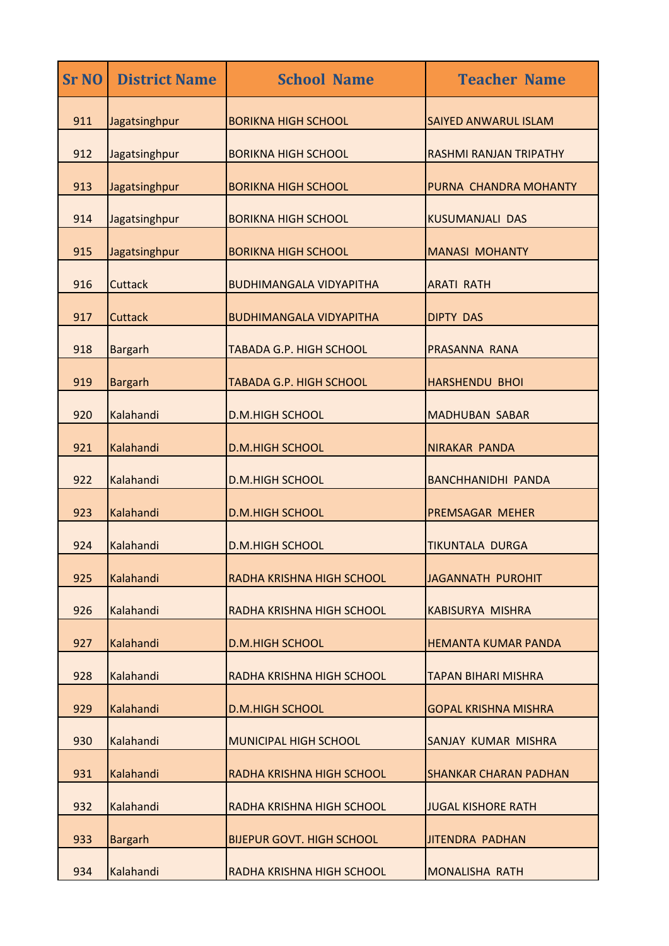| <b>Sr NO</b> | <b>District Name</b> | <b>School Name</b>               | <b>Teacher Name</b>           |
|--------------|----------------------|----------------------------------|-------------------------------|
| 911          | Jagatsinghpur        | <b>BORIKNA HIGH SCHOOL</b>       | <b>SAIYED ANWARUL ISLAM</b>   |
| 912          | Jagatsinghpur        | <b>BORIKNA HIGH SCHOOL</b>       | <b>RASHMI RANJAN TRIPATHY</b> |
| 913          | Jagatsinghpur        | <b>BORIKNA HIGH SCHOOL</b>       | PURNA CHANDRA MOHANTY         |
| 914          | Jagatsinghpur        | <b>BORIKNA HIGH SCHOOL</b>       | <b>KUSUMANJALI DAS</b>        |
| 915          | Jagatsinghpur        | <b>BORIKNA HIGH SCHOOL</b>       | <b>MANASI MOHANTY</b>         |
| 916          | <b>Cuttack</b>       | <b>BUDHIMANGALA VIDYAPITHA</b>   | <b>ARATI RATH</b>             |
| 917          | <b>Cuttack</b>       | <b>BUDHIMANGALA VIDYAPITHA</b>   | <b>DIPTY DAS</b>              |
| 918          | <b>Bargarh</b>       | TABADA G.P. HIGH SCHOOL          | <b>PRASANNA RANA</b>          |
| 919          | <b>Bargarh</b>       | TABADA G.P. HIGH SCHOOL          | <b>HARSHENDU BHOI</b>         |
| 920          | Kalahandi            | <b>D.M.HIGH SCHOOL</b>           | <b>MADHUBAN SABAR</b>         |
| 921          | Kalahandi            | <b>D.M.HIGH SCHOOL</b>           | <b>NIRAKAR PANDA</b>          |
| 922          | Kalahandi            | <b>D.M.HIGH SCHOOL</b>           | <b>BANCHHANIDHI PANDA</b>     |
| 923          | Kalahandi            | <b>D.M.HIGH SCHOOL</b>           | <b>PREMSAGAR MEHER</b>        |
| 924          | Kalahandi            | <b>D.M.HIGH SCHOOL</b>           | TIKUNTALA DURGA               |
| 925          | Kalahandi            | RADHA KRISHNA HIGH SCHOOL        | JAGANNATH PUROHIT             |
| 926          | Kalahandi            | RADHA KRISHNA HIGH SCHOOL        | <b>KABISURYA MISHRA</b>       |
| 927          | Kalahandi            | <b>D.M.HIGH SCHOOL</b>           | <b>HEMANTA KUMAR PANDA</b>    |
| 928          | Kalahandi            | RADHA KRISHNA HIGH SCHOOL        | <b>TAPAN BIHARI MISHRA</b>    |
| 929          | Kalahandi            | <b>D.M.HIGH SCHOOL</b>           | <b>GOPAL KRISHNA MISHRA</b>   |
| 930          | Kalahandi            | <b>MUNICIPAL HIGH SCHOOL</b>     | <b>SANJAY KUMAR MISHRA</b>    |
| 931          | Kalahandi            | RADHA KRISHNA HIGH SCHOOL        | <b>SHANKAR CHARAN PADHAN</b>  |
| 932          | Kalahandi            | RADHA KRISHNA HIGH SCHOOL        | <b>JUGAL KISHORE RATH</b>     |
| 933          | <b>Bargarh</b>       | <b>BIJEPUR GOVT. HIGH SCHOOL</b> | <b>JITENDRA PADHAN</b>        |
| 934          | Kalahandi            | RADHA KRISHNA HIGH SCHOOL        | <b>MONALISHA RATH</b>         |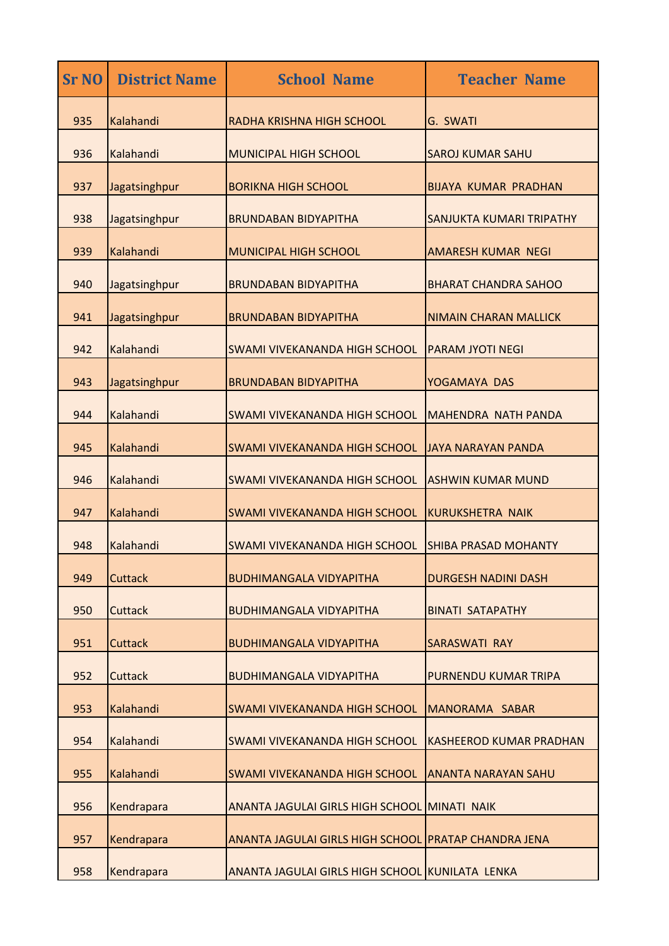| <b>Sr NO</b> | <b>District Name</b> | <b>School Name</b>                                   | <b>Teacher Name</b>             |
|--------------|----------------------|------------------------------------------------------|---------------------------------|
| 935          | Kalahandi            | RADHA KRISHNA HIGH SCHOOL                            | G. SWATI                        |
| 936          | Kalahandi            | <b>MUNICIPAL HIGH SCHOOL</b>                         | <b>SAROJ KUMAR SAHU</b>         |
| 937          | Jagatsinghpur        | <b>BORIKNA HIGH SCHOOL</b>                           | <b>BIJAYA KUMAR PRADHAN</b>     |
| 938          | Jagatsinghpur        | <b>BRUNDABAN BIDYAPITHA</b>                          | <b>SANJUKTA KUMARI TRIPATHY</b> |
| 939          | Kalahandi            | <b>MUNICIPAL HIGH SCHOOL</b>                         | <b>AMARESH KUMAR NEGI</b>       |
| 940          | Jagatsinghpur        | <b>BRUNDABAN BIDYAPITHA</b>                          | <b>BHARAT CHANDRA SAHOO</b>     |
| 941          | Jagatsinghpur        | <b>BRUNDABAN BIDYAPITHA</b>                          | <b>NIMAIN CHARAN MALLICK</b>    |
| 942          | Kalahandi            | SWAMI VIVEKANANDA HIGH SCHOOL                        | <b>PARAM JYOTI NEGI</b>         |
| 943          | Jagatsinghpur        | <b>BRUNDABAN BIDYAPITHA</b>                          | YOGAMAYA DAS                    |
| 944          | Kalahandi            | SWAMI VIVEKANANDA HIGH SCHOOL                        | <b>MAHENDRA NATH PANDA</b>      |
| 945          | Kalahandi            | SWAMI VIVEKANANDA HIGH SCHOOL                        | IJAYA NARAYAN PANDA             |
| 946          | Kalahandi            | SWAMI VIVEKANANDA HIGH SCHOOL                        | <b>ASHWIN KUMAR MUND</b>        |
| 947          | Kalahandi            | SWAMI VIVEKANANDA HIGH SCHOOL                        | <b>KURUKSHETRA NAIK</b>         |
| 948          | Kalahandi            | SWAMI VIVEKANANDA HIGH SCHOOL                        | <b>SHIBA PRASAD MOHANTY</b>     |
| 949          | <b>Cuttack</b>       | <b>BUDHIMANGALA VIDYAPITHA</b>                       | <b>DURGESH NADINI DASH</b>      |
| 950          | Cuttack              | <b>BUDHIMANGALA VIDYAPITHA</b>                       | <b>BINATI SATAPATHY</b>         |
| 951          | Cuttack              | <b>BUDHIMANGALA VIDYAPITHA</b>                       | <b>SARASWATI RAY</b>            |
| 952          | Cuttack              | <b>BUDHIMANGALA VIDYAPITHA</b>                       | PURNENDU KUMAR TRIPA            |
| 953          | Kalahandi            | SWAMI VIVEKANANDA HIGH SCHOOL                        | MANORAMA SABAR                  |
| 954          | Kalahandi            | SWAMI VIVEKANANDA HIGH SCHOOL                        | <b>KASHEEROD KUMAR PRADHAN</b>  |
| 955          | Kalahandi            | SWAMI VIVEKANANDA HIGH SCHOOL                        | <b>ANANTA NARAYAN SAHU</b>      |
| 956          | Kendrapara           | ANANTA JAGULAI GIRLS HIGH SCHOOL MINATI NAIK         |                                 |
| 957          | Kendrapara           | ANANTA JAGULAI GIRLS HIGH SCHOOL PRATAP CHANDRA JENA |                                 |
| 958          | Kendrapara           | ANANTA JAGULAI GIRLS HIGH SCHOOL KUNILATA LENKA      |                                 |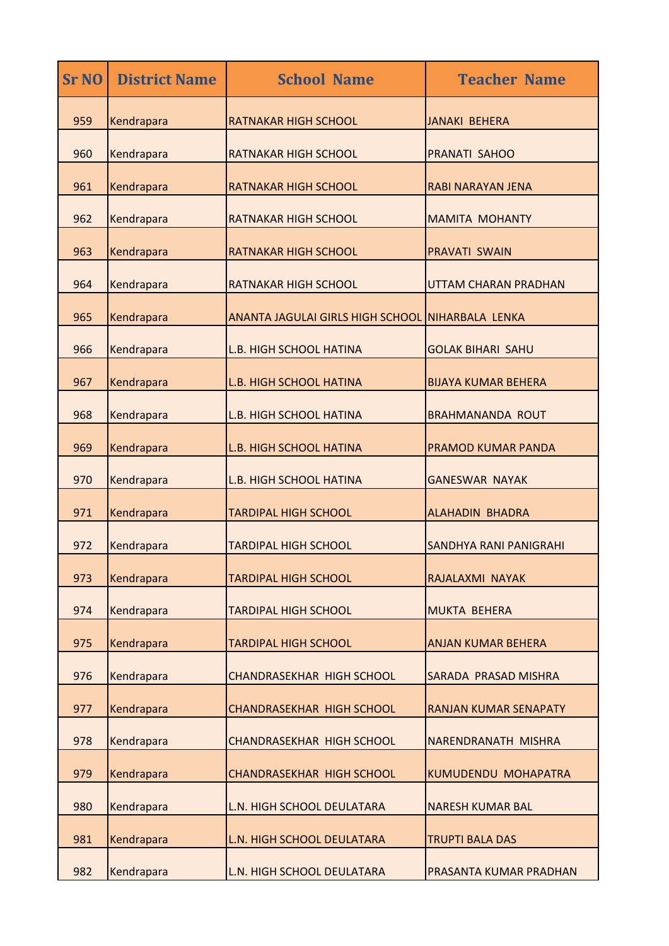| <b>Sr NO</b> | <b>District Name</b> | <b>School Name</b>                               | <b>Teacher Name</b>           |
|--------------|----------------------|--------------------------------------------------|-------------------------------|
| 959          | Kendrapara           | <b>RATNAKAR HIGH SCHOOL</b>                      | <b>JANAKI BEHERA</b>          |
| 960          | Kendrapara           | <b>RATNAKAR HIGH SCHOOL</b>                      | <b>PRANATI SAHOO</b>          |
| 961          | Kendrapara           | <b>RATNAKAR HIGH SCHOOL</b>                      | RABI NARAYAN JENA             |
| 962          | Kendrapara           | <b>RATNAKAR HIGH SCHOOL</b>                      | <b>MAMITA MOHANTY</b>         |
| 963          | Kendrapara           | <b>RATNAKAR HIGH SCHOOL</b>                      | <b>PRAVATI SWAIN</b>          |
| 964          | Kendrapara           | <b>RATNAKAR HIGH SCHOOL</b>                      | UTTAM CHARAN PRADHAN          |
| 965          | Kendrapara           | ANANTA JAGULAI GIRLS HIGH SCHOOL NIHARBALA LENKA |                               |
| 966          | Kendrapara           | <b>L.B. HIGH SCHOOL HATINA</b>                   | <b>GOLAK BIHARI SAHU</b>      |
| 967          | Kendrapara           | <b>L.B. HIGH SCHOOL HATINA</b>                   | <b>BIJAYA KUMAR BEHERA</b>    |
| 968          | Kendrapara           | <b>L.B. HIGH SCHOOL HATINA</b>                   | <b>BRAHMANANDA ROUT</b>       |
| 969          | Kendrapara           | <b>L.B. HIGH SCHOOL HATINA</b>                   | <b>PRAMOD KUMAR PANDA</b>     |
| 970          | Kendrapara           | <b>L.B. HIGH SCHOOL HATINA</b>                   | <b>GANESWAR NAYAK</b>         |
| 971          | Kendrapara           | <b>TARDIPAL HIGH SCHOOL</b>                      | <b>ALAHADIN BHADRA</b>        |
| 972          | Kendrapara           | <b>TARDIPAL HIGH SCHOOL</b>                      | <b>SANDHYA RANI PANIGRAHI</b> |
| 973          | Kendrapara           | <b>TARDIPAL HIGH SCHOOL</b>                      | RAJALAXMI NAYAK               |
| 974          | Kendrapara           | <b>TARDIPAL HIGH SCHOOL</b>                      | <b>MUKTA BEHERA</b>           |
| 975          | Kendrapara           | <b>TARDIPAL HIGH SCHOOL</b>                      | <b>ANJAN KUMAR BEHERA</b>     |
| 976          | Kendrapara           | <b>CHANDRASEKHAR HIGH SCHOOL</b>                 | <b>SARADA PRASAD MISHRA</b>   |
| 977          | Kendrapara           | <b>CHANDRASEKHAR HIGH SCHOOL</b>                 | <b>RANJAN KUMAR SENAPATY</b>  |
| 978          | Kendrapara           | <b>CHANDRASEKHAR HIGH SCHOOL</b>                 | NARENDRANATH MISHRA           |
| 979          | Kendrapara           | <b>CHANDRASEKHAR HIGH SCHOOL</b>                 | KUMUDENDU MOHAPATRA           |
| 980          | Kendrapara           | L.N. HIGH SCHOOL DEULATARA                       | <b>NARESH KUMAR BAL</b>       |
| 981          | Kendrapara           | L.N. HIGH SCHOOL DEULATARA                       | <b>TRUPTI BALA DAS</b>        |
| 982          | Kendrapara           | L.N. HIGH SCHOOL DEULATARA                       | <b>PRASANTA KUMAR PRADHAN</b> |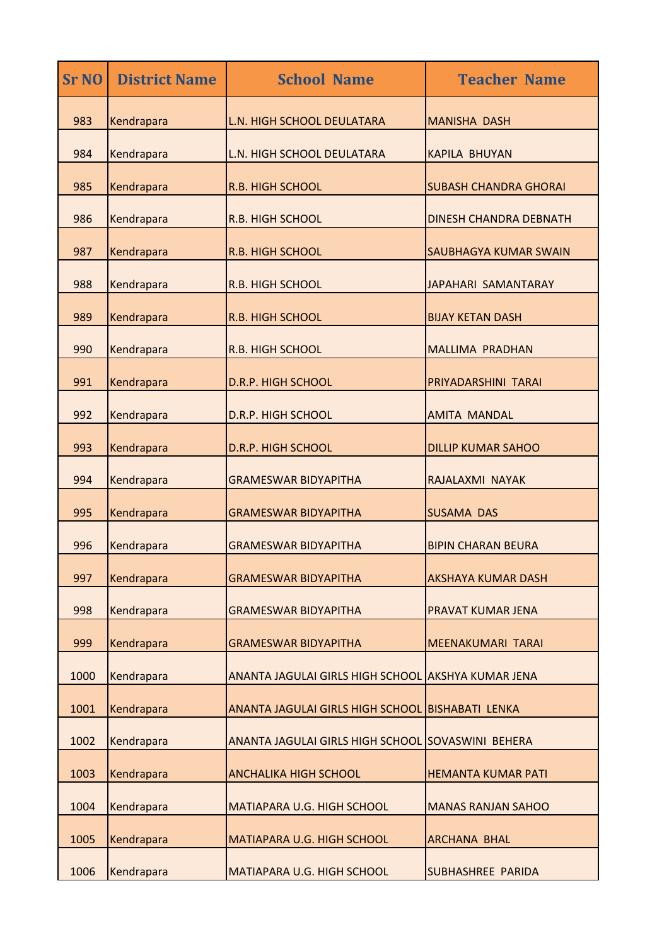| <b>Sr NO</b> | <b>District Name</b> | <b>School Name</b>                                 | <b>Teacher Name</b>          |
|--------------|----------------------|----------------------------------------------------|------------------------------|
| 983          | Kendrapara           | L.N. HIGH SCHOOL DEULATARA                         | <b>MANISHA DASH</b>          |
| 984          | Kendrapara           | L.N. HIGH SCHOOL DEULATARA                         | <b>KAPILA BHUYAN</b>         |
| 985          | Kendrapara           | <b>R.B. HIGH SCHOOL</b>                            | <b>SUBASH CHANDRA GHORAI</b> |
| 986          | Kendrapara           | <b>R.B. HIGH SCHOOL</b>                            | DINESH CHANDRA DEBNATH       |
| 987          | Kendrapara           | <b>R.B. HIGH SCHOOL</b>                            | <b>SAUBHAGYA KUMAR SWAIN</b> |
| 988          | Kendrapara           | <b>R.B. HIGH SCHOOL</b>                            | JAPAHARI SAMANTARAY          |
| 989          | Kendrapara           | <b>R.B. HIGH SCHOOL</b>                            | <b>BIJAY KETAN DASH</b>      |
| 990          | Kendrapara           | <b>R.B. HIGH SCHOOL</b>                            | <b>MALLIMA PRADHAN</b>       |
| 991          | Kendrapara           | <b>D.R.P. HIGH SCHOOL</b>                          | PRIYADARSHINI TARAI          |
| 992          | Kendrapara           | <b>D.R.P. HIGH SCHOOL</b>                          | <b>AMITA MANDAL</b>          |
| 993          | Kendrapara           | <b>D.R.P. HIGH SCHOOL</b>                          | <b>DILLIP KUMAR SAHOO</b>    |
| 994          | Kendrapara           | <b>GRAMESWAR BIDYAPITHA</b>                        | RAJALAXMI NAYAK              |
| 995          | Kendrapara           | <b>GRAMESWAR BIDYAPITHA</b>                        | <b>SUSAMA DAS</b>            |
| 996          | Kendrapara           | <b>GRAMESWAR BIDYAPITHA</b>                        | <b>BIPIN CHARAN BEURA</b>    |
| 997          | Kendrapara           | <b>GRAMESWAR BIDYAPITHA</b>                        | <b>AKSHAYA KUMAR DASH</b>    |
| 998          | Kendrapara           | <b>GRAMESWAR BIDYAPITHA</b>                        | PRAVAT KUMAR JENA            |
| 999          | Kendrapara           | <b>GRAMESWAR BIDYAPITHA</b>                        | MEENAKUMARI TARAI            |
| 1000         | Kendrapara           | ANANTA JAGULAI GIRLS HIGH SCHOOL AKSHYA KUMAR JENA |                              |
| 1001         | Kendrapara           | ANANTA JAGULAI GIRLS HIGH SCHOOL BISHABATI LENKA   |                              |
| 1002         | Kendrapara           | ANANTA JAGULAI GIRLS HIGH SCHOOL SOVASWINI BEHERA  |                              |
| 1003         | Kendrapara           | <b>ANCHALIKA HIGH SCHOOL</b>                       | <b>HEMANTA KUMAR PATI</b>    |
| 1004         | Kendrapara           | <b>MATIAPARA U.G. HIGH SCHOOL</b>                  | <b>MANAS RANJAN SAHOO</b>    |
| 1005         | Kendrapara           | MATIAPARA U.G. HIGH SCHOOL                         | <b>ARCHANA BHAL</b>          |
| 1006         | Kendrapara           | <b>MATIAPARA U.G. HIGH SCHOOL</b>                  | <b>SUBHASHREE PARIDA</b>     |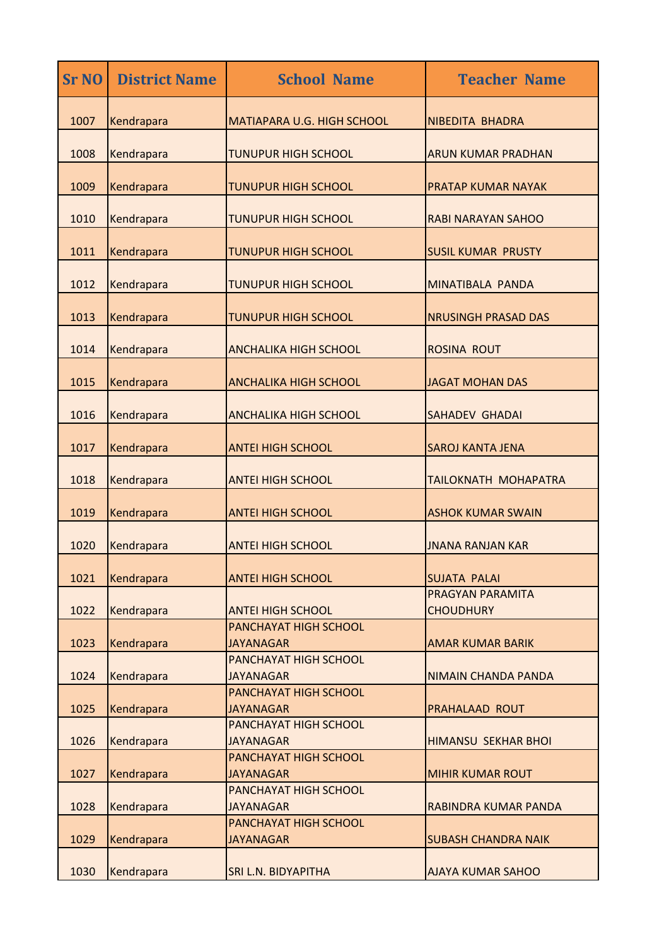| <b>Sr NO</b> | <b>District Name</b> | <b>School Name</b>                        | <b>Teacher Name</b>                  |
|--------------|----------------------|-------------------------------------------|--------------------------------------|
| 1007         | Kendrapara           | <b>MATIAPARA U.G. HIGH SCHOOL</b>         | NIBEDITA BHADRA                      |
| 1008         | Kendrapara           | <b>TUNUPUR HIGH SCHOOL</b>                | <b>ARUN KUMAR PRADHAN</b>            |
| 1009         | Kendrapara           | <b>TUNUPUR HIGH SCHOOL</b>                | PRATAP KUMAR NAYAK                   |
| 1010         | Kendrapara           | <b>TUNUPUR HIGH SCHOOL</b>                | <b>RABI NARAYAN SAHOO</b>            |
| 1011         | Kendrapara           | <b>TUNUPUR HIGH SCHOOL</b>                | <b>SUSIL KUMAR PRUSTY</b>            |
| 1012         | Kendrapara           | <b>TUNUPUR HIGH SCHOOL</b>                | MINATIBALA PANDA                     |
| 1013         | Kendrapara           | <b>TUNUPUR HIGH SCHOOL</b>                | <b>NRUSINGH PRASAD DAS</b>           |
| 1014         | Kendrapara           | <b>ANCHALIKA HIGH SCHOOL</b>              | <b>ROSINA ROUT</b>                   |
| 1015         | Kendrapara           | <b>ANCHALIKA HIGH SCHOOL</b>              | <b>JAGAT MOHAN DAS</b>               |
| 1016         | Kendrapara           | <b>ANCHALIKA HIGH SCHOOL</b>              | <b>SAHADEV GHADAI</b>                |
| 1017         | Kendrapara           | <b>ANTEI HIGH SCHOOL</b>                  | <b>SAROJ KANTA JENA</b>              |
| 1018         | Kendrapara           | <b>ANTEI HIGH SCHOOL</b>                  | <b>TAILOKNATH MOHAPATRA</b>          |
| 1019         | Kendrapara           | <b>ANTEI HIGH SCHOOL</b>                  | <b>ASHOK KUMAR SWAIN</b>             |
| 1020         | Kendrapara           | <b>ANTEI HIGH SCHOOL</b>                  | <b>JNANA RANJAN KAR</b>              |
| 1021         | Kendrapara           | <b>ANTEI HIGH SCHOOL</b>                  | <b>SUJATA PALAI</b>                  |
| 1022         | Kendrapara           | <b>ANTEI HIGH SCHOOL</b>                  | PRAGYAN PARAMITA<br><b>CHOUDHURY</b> |
| 1023         | Kendrapara           | PANCHAYAT HIGH SCHOOL<br><b>JAYANAGAR</b> | <b>AMAR KUMAR BARIK</b>              |
| 1024         | Kendrapara           | PANCHAYAT HIGH SCHOOL<br><b>JAYANAGAR</b> | NIMAIN CHANDA PANDA                  |
| 1025         | Kendrapara           | PANCHAYAT HIGH SCHOOL<br><b>JAYANAGAR</b> | PRAHALAAD ROUT                       |
| 1026         | Kendrapara           | PANCHAYAT HIGH SCHOOL<br><b>JAYANAGAR</b> | <b>HIMANSU SEKHAR BHOI</b>           |
| 1027         | Kendrapara           | PANCHAYAT HIGH SCHOOL<br><b>JAYANAGAR</b> | <b>MIHIR KUMAR ROUT</b>              |
| 1028         | Kendrapara           | PANCHAYAT HIGH SCHOOL<br><b>JAYANAGAR</b> | RABINDRA KUMAR PANDA                 |
| 1029         | Kendrapara           | PANCHAYAT HIGH SCHOOL<br><b>JAYANAGAR</b> | <b>SUBASH CHANDRA NAIK</b>           |
| 1030         | Kendrapara           | SRI L.N. BIDYAPITHA                       | <b>AJAYA KUMAR SAHOO</b>             |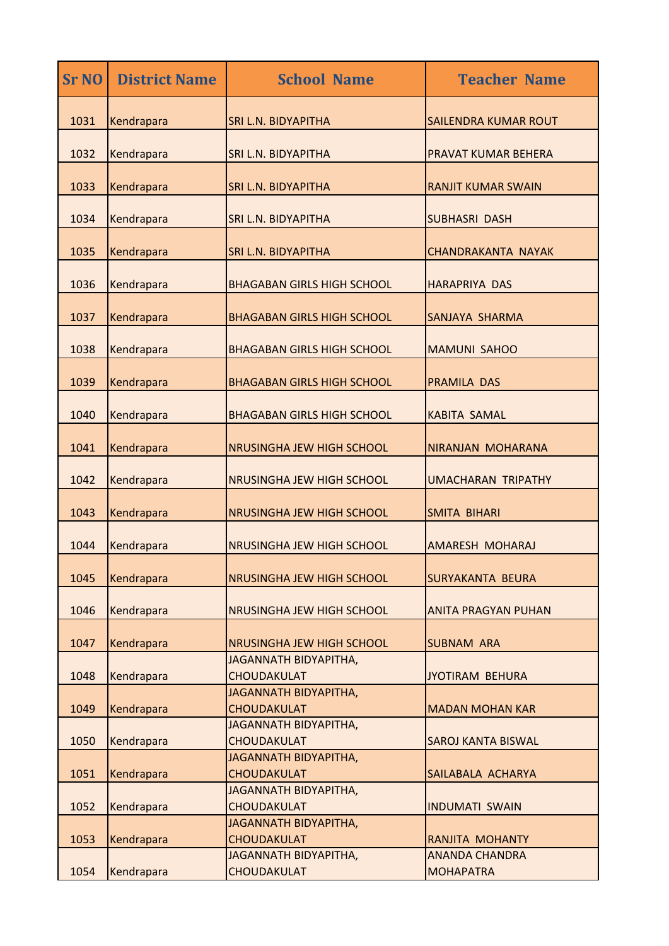| <b>Sr NO</b> | <b>District Name</b> | <b>School Name</b>                                               | <b>Teacher Name</b>                             |
|--------------|----------------------|------------------------------------------------------------------|-------------------------------------------------|
| 1031         | Kendrapara           | <b>SRI L.N. BIDYAPITHA</b>                                       | <b>SAILENDRA KUMAR ROUT</b>                     |
| 1032         | Kendrapara           | <b>SRI L.N. BIDYAPITHA</b>                                       | <b>PRAVAT KUMAR BEHERA</b>                      |
| 1033         | Kendrapara           | <b>SRI L.N. BIDYAPITHA</b>                                       | <b>RANJIT KUMAR SWAIN</b>                       |
| 1034         | Kendrapara           | <b>SRI L.N. BIDYAPITHA</b>                                       | <b>SUBHASRI DASH</b>                            |
| 1035         | Kendrapara           | <b>SRI L.N. BIDYAPITHA</b>                                       | <b>CHANDRAKANTA NAYAK</b>                       |
| 1036         | Kendrapara           | <b>BHAGABAN GIRLS HIGH SCHOOL</b>                                | <b>HARAPRIYA DAS</b>                            |
| 1037         | Kendrapara           | <b>BHAGABAN GIRLS HIGH SCHOOL</b>                                | <b>SANJAYA SHARMA</b>                           |
| 1038         | Kendrapara           | <b>BHAGABAN GIRLS HIGH SCHOOL</b>                                | <b>MAMUNI SAHOO</b>                             |
| 1039         | Kendrapara           | <b>BHAGABAN GIRLS HIGH SCHOOL</b>                                | <b>PRAMILA DAS</b>                              |
| 1040         | Kendrapara           | <b>BHAGABAN GIRLS HIGH SCHOOL</b>                                | <b>KABITA SAMAL</b>                             |
| 1041         | Kendrapara           | <b>NRUSINGHA JEW HIGH SCHOOL</b>                                 | NIRANJAN MOHARANA                               |
| 1042         | Kendrapara           | <b>NRUSINGHA JEW HIGH SCHOOL</b>                                 | <b>UMACHARAN TRIPATHY</b>                       |
| 1043         | Kendrapara           | <b>NRUSINGHA JEW HIGH SCHOOL</b>                                 | <b>SMITA BIHARI</b>                             |
| 1044         | Kendrapara           | <b>NRUSINGHA JEW HIGH SCHOOL</b>                                 | <b>AMARESH MOHARAJ</b>                          |
| 1045         | Kendrapara           | <b>NRUSINGHA JEW HIGH SCHOOL</b>                                 | <b>SURYAKANTA BEURA</b>                         |
| 1046         | Kendrapara           | <b>NRUSINGHA JEW HIGH SCHOOL</b>                                 | <b>ANITA PRAGYAN PUHAN</b>                      |
| 1047         | Kendrapara           | <b>NRUSINGHA JEW HIGH SCHOOL</b><br><b>JAGANNATH BIDYAPITHA,</b> | <b>SUBNAM ARA</b>                               |
| 1048         | Kendrapara           | <b>CHOUDAKULAT</b><br><b>JAGANNATH BIDYAPITHA,</b>               | JYOTIRAM BEHURA                                 |
| 1049         | Kendrapara           | <b>CHOUDAKULAT</b><br><b>JAGANNATH BIDYAPITHA,</b>               | <b>MADAN MOHAN KAR</b>                          |
| 1050         | Kendrapara           | <b>CHOUDAKULAT</b><br><b>JAGANNATH BIDYAPITHA,</b>               | <b>SAROJ KANTA BISWAL</b>                       |
| 1051         | Kendrapara           | <b>CHOUDAKULAT</b><br><b>JAGANNATH BIDYAPITHA,</b>               | SAILABALA ACHARYA                               |
| 1052         | Kendrapara           | <b>CHOUDAKULAT</b><br><b>JAGANNATH BIDYAPITHA,</b>               | <b>INDUMATI SWAIN</b>                           |
| 1053         | Kendrapara           | <b>CHOUDAKULAT</b><br><b>JAGANNATH BIDYAPITHA,</b>               | <b>RANJITA MOHANTY</b><br><b>ANANDA CHANDRA</b> |
| 1054         | Kendrapara           | CHOUDAKULAT                                                      | <b>MOHAPATRA</b>                                |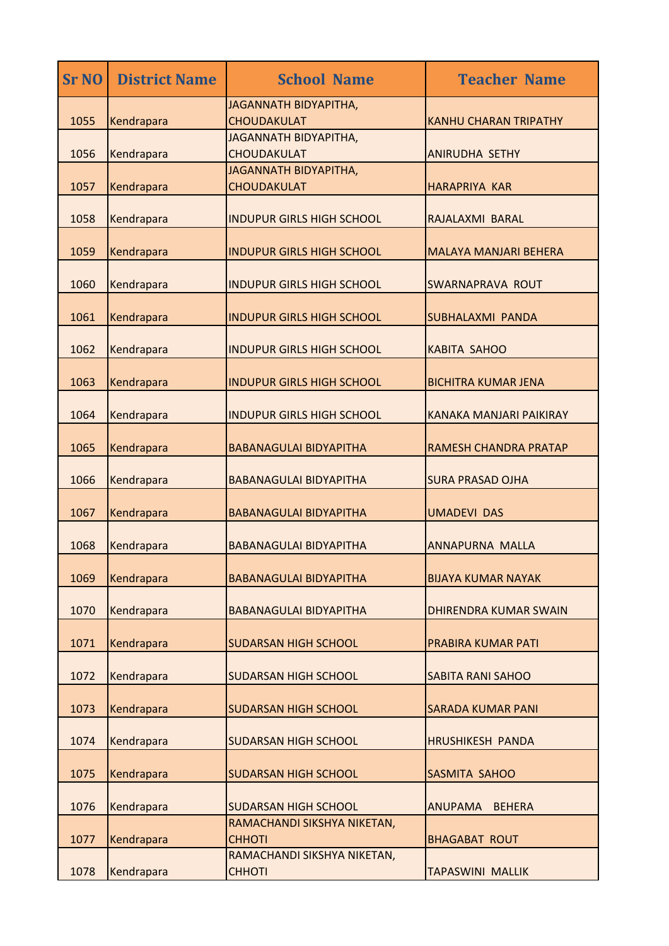| <b>Sr NO</b> | <b>District Name</b> | <b>School Name</b>                                 | <b>Teacher Name</b>             |
|--------------|----------------------|----------------------------------------------------|---------------------------------|
| 1055         | Kendrapara           | <b>JAGANNATH BIDYAPITHA,</b><br>CHOUDAKULAT        | <b>KANHU CHARAN TRIPATHY</b>    |
| 1056         | Kendrapara           | <b>JAGANNATH BIDYAPITHA,</b><br><b>CHOUDAKULAT</b> | <b>ANIRUDHA SETHY</b>           |
| 1057         | Kendrapara           | <b>JAGANNATH BIDYAPITHA,</b><br><b>CHOUDAKULAT</b> | <b>HARAPRIYA KAR</b>            |
| 1058         | Kendrapara           | <b>INDUPUR GIRLS HIGH SCHOOL</b>                   | RAJALAXMI BARAL                 |
| 1059         | Kendrapara           | <b>INDUPUR GIRLS HIGH SCHOOL</b>                   | <b>MALAYA MANJARI BEHERA</b>    |
| 1060         | Kendrapara           | <b>INDUPUR GIRLS HIGH SCHOOL</b>                   | <b>SWARNAPRAVA ROUT</b>         |
| 1061         | Kendrapara           | <b>INDUPUR GIRLS HIGH SCHOOL</b>                   | <b>SUBHALAXMI PANDA</b>         |
| 1062         | Kendrapara           | <b>INDUPUR GIRLS HIGH SCHOOL</b>                   | <b>KABITA SAHOO</b>             |
| 1063         | Kendrapara           | <b>INDUPUR GIRLS HIGH SCHOOL</b>                   | <b>BICHITRA KUMAR JENA</b>      |
| 1064         | Kendrapara           | <b>INDUPUR GIRLS HIGH SCHOOL</b>                   | KANAKA MANJARI PAIKIRAY         |
| 1065         | Kendrapara           | <b>BABANAGULAI BIDYAPITHA</b>                      | <b>RAMESH CHANDRA PRATAP</b>    |
| 1066         | Kendrapara           | <b>BABANAGULAI BIDYAPITHA</b>                      | <b>SURA PRASAD OJHA</b>         |
| 1067         | Kendrapara           | <b>BABANAGULAI BIDYAPITHA</b>                      | <b>UMADEVI DAS</b>              |
| 1068         | Kendrapara           | <b>BABANAGULAI BIDYAPITHA</b>                      | ANNAPURNA MALLA                 |
| 1069         | Kendrapara           | <b>BABANAGULAI BIDYAPITHA</b>                      | <b>BIJAYA KUMAR NAYAK</b>       |
| 1070         | Kendrapara           | <b>BABANAGULAI BIDYAPITHA</b>                      | <b>DHIRENDRA KUMAR SWAIN</b>    |
| 1071         | Kendrapara           | <b>SUDARSAN HIGH SCHOOL</b>                        | <b>PRABIRA KUMAR PATI</b>       |
| 1072         | Kendrapara           | <b>SUDARSAN HIGH SCHOOL</b>                        | <b>SABITA RANI SAHOO</b>        |
| 1073         | Kendrapara           | <b>SUDARSAN HIGH SCHOOL</b>                        | <b>SARADA KUMAR PANI</b>        |
| 1074         | Kendrapara           | <b>SUDARSAN HIGH SCHOOL</b>                        | <b>HRUSHIKESH PANDA</b>         |
| 1075         | Kendrapara           | <b>SUDARSAN HIGH SCHOOL</b>                        | <b>SASMITA SAHOO</b>            |
| 1076         | Kendrapara           | <b>SUDARSAN HIGH SCHOOL</b>                        | <b>ANUPAMA</b><br><b>BEHERA</b> |
| 1077         | Kendrapara           | RAMACHANDI SIKSHYA NIKETAN,<br><b>CHHOTI</b>       | <b>BHAGABAT ROUT</b>            |
| 1078         | Kendrapara           | RAMACHANDI SIKSHYA NIKETAN,<br><b>CHHOTI</b>       | <b>TAPASWINI MALLIK</b>         |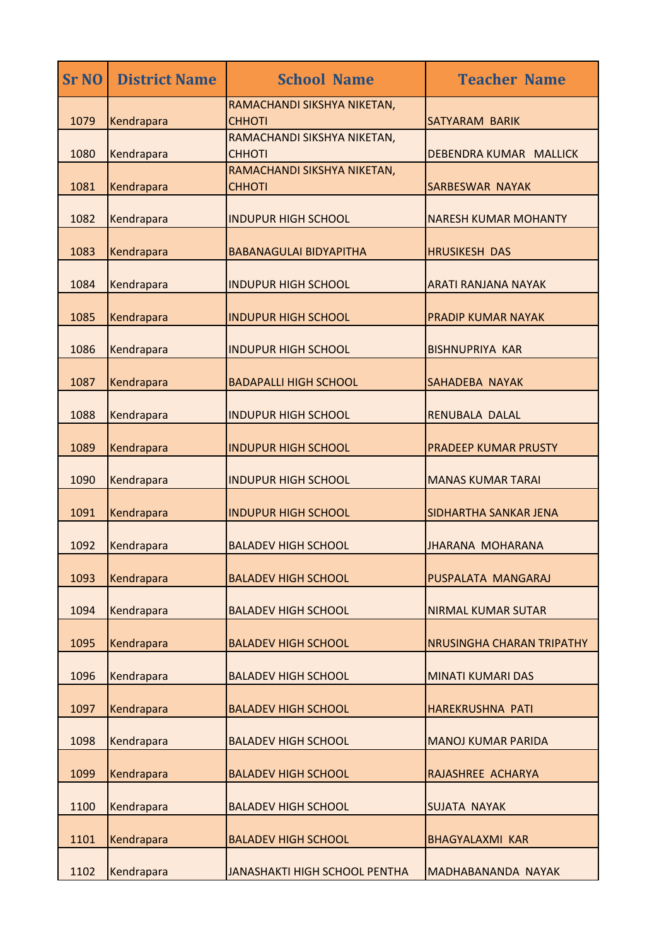| <b>Sr NO</b> | <b>District Name</b> | <b>School Name</b>                           | <b>Teacher Name</b>         |
|--------------|----------------------|----------------------------------------------|-----------------------------|
| 1079         | Kendrapara           | RAMACHANDI SIKSHYA NIKETAN,<br><b>CHHOTI</b> | <b>SATYARAM BARIK</b>       |
| 1080         | Kendrapara           | RAMACHANDI SIKSHYA NIKETAN,<br><b>CHHOTI</b> | DEBENDRA KUMAR MALLICK      |
| 1081         | Kendrapara           | RAMACHANDI SIKSHYA NIKETAN,<br><b>CHHOTI</b> | SARBESWAR NAYAK             |
| 1082         | Kendrapara           | <b>INDUPUR HIGH SCHOOL</b>                   | <b>NARESH KUMAR MOHANTY</b> |
| 1083         | Kendrapara           | <b>BABANAGULAI BIDYAPITHA</b>                | <b>HRUSIKESH DAS</b>        |
| 1084         | Kendrapara           | <b>INDUPUR HIGH SCHOOL</b>                   | <b>ARATI RANJANA NAYAK</b>  |
| 1085         | Kendrapara           | <b>INDUPUR HIGH SCHOOL</b>                   | <b>PRADIP KUMAR NAYAK</b>   |
| 1086         | Kendrapara           | <b>INDUPUR HIGH SCHOOL</b>                   | <b>BISHNUPRIYA KAR</b>      |
| 1087         | Kendrapara           | <b>BADAPALLI HIGH SCHOOL</b>                 | <b>SAHADEBA NAYAK</b>       |
| 1088         | Kendrapara           | <b>INDUPUR HIGH SCHOOL</b>                   | RENUBALA DALAL              |
| 1089         | Kendrapara           | <b>INDUPUR HIGH SCHOOL</b>                   | <b>PRADEEP KUMAR PRUSTY</b> |
| 1090         | Kendrapara           | <b>INDUPUR HIGH SCHOOL</b>                   | <b>MANAS KUMAR TARAI</b>    |
| 1091         | Kendrapara           | <b>INDUPUR HIGH SCHOOL</b>                   | SIDHARTHA SANKAR JENA       |
| 1092         | Kendrapara           | <b>BALADEV HIGH SCHOOL</b>                   | <b>JHARANA MOHARANA</b>     |
| 1093         | Kendrapara           | <b>BALADEV HIGH SCHOOL</b>                   | PUSPALATA MANGARAJ          |
| 1094         | Kendrapara           | <b>BALADEV HIGH SCHOOL</b>                   | <b>NIRMAL KUMAR SUTAR</b>   |
| 1095         | Kendrapara           | <b>BALADEV HIGH SCHOOL</b>                   | NRUSINGHA CHARAN TRIPATHY   |
| 1096         | Kendrapara           | <b>BALADEV HIGH SCHOOL</b>                   | <b>MINATI KUMARI DAS</b>    |
| 1097         | Kendrapara           | <b>BALADEV HIGH SCHOOL</b>                   | HAREKRUSHNA PATI            |
| 1098         | Kendrapara           | <b>BALADEV HIGH SCHOOL</b>                   | <b>MANOJ KUMAR PARIDA</b>   |
| 1099         | Kendrapara           | <b>BALADEV HIGH SCHOOL</b>                   | RAJASHREE ACHARYA           |
| 1100         | Kendrapara           | <b>BALADEV HIGH SCHOOL</b>                   | <b>SUJATA NAYAK</b>         |
| 1101         | Kendrapara           | <b>BALADEV HIGH SCHOOL</b>                   | <b>BHAGYALAXMI KAR</b>      |
| 1102         | Kendrapara           | <b>JANASHAKTI HIGH SCHOOL PENTHA</b>         | <b>MADHABANANDA NAYAK</b>   |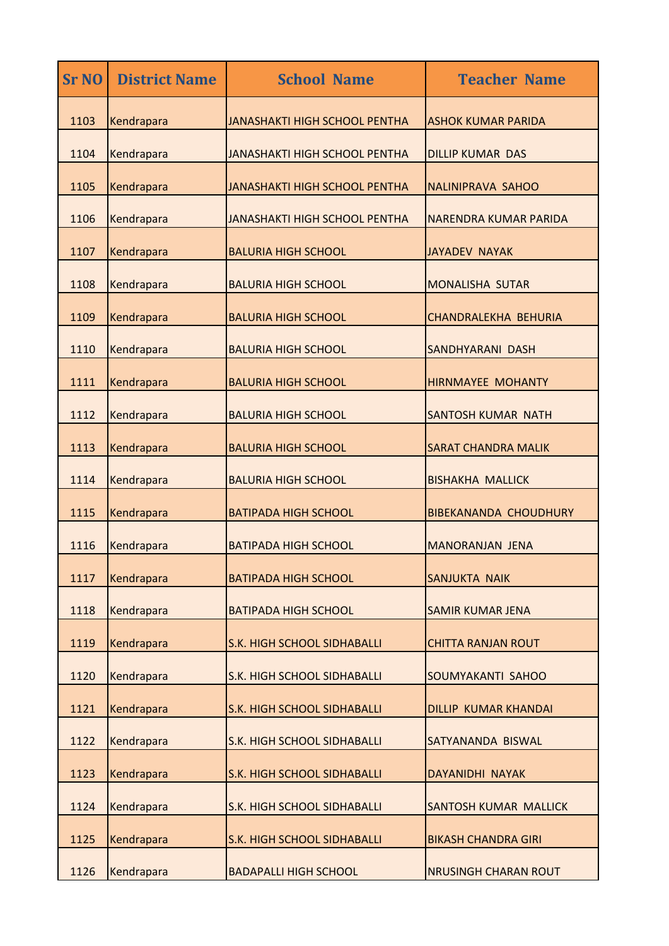| <b>Sr NO</b> | <b>District Name</b> | <b>School Name</b>                   | <b>Teacher Name</b>          |
|--------------|----------------------|--------------------------------------|------------------------------|
| 1103         | Kendrapara           | <b>JANASHAKTI HIGH SCHOOL PENTHA</b> | <b>ASHOK KUMAR PARIDA</b>    |
| 1104         | Kendrapara           | <b>JANASHAKTI HIGH SCHOOL PENTHA</b> | <b>DILLIP KUMAR DAS</b>      |
| 1105         | Kendrapara           | <b>JANASHAKTI HIGH SCHOOL PENTHA</b> | NALINIPRAVA SAHOO            |
| 1106         | Kendrapara           | <b>JANASHAKTI HIGH SCHOOL PENTHA</b> | NARENDRA KUMAR PARIDA        |
| 1107         | Kendrapara           | <b>BALURIA HIGH SCHOOL</b>           | <b>JAYADEV NAYAK</b>         |
| 1108         | Kendrapara           | <b>BALURIA HIGH SCHOOL</b>           | <b>MONALISHA SUTAR</b>       |
| 1109         | Kendrapara           | <b>BALURIA HIGH SCHOOL</b>           | CHANDRALEKHA BEHURIA         |
| 1110         | Kendrapara           | <b>BALURIA HIGH SCHOOL</b>           | SANDHYARANI DASH             |
| 1111         | Kendrapara           | <b>BALURIA HIGH SCHOOL</b>           | <b>HIRNMAYEE MOHANTY</b>     |
| 1112         | Kendrapara           | <b>BALURIA HIGH SCHOOL</b>           | <b>SANTOSH KUMAR NATH</b>    |
| 1113         | Kendrapara           | <b>BALURIA HIGH SCHOOL</b>           | <b>SARAT CHANDRA MALIK</b>   |
| 1114         | Kendrapara           | <b>BALURIA HIGH SCHOOL</b>           | <b>BISHAKHA MALLICK</b>      |
| 1115         | Kendrapara           | <b>BATIPADA HIGH SCHOOL</b>          | <b>BIBEKANANDA CHOUDHURY</b> |
| 1116         | Kendrapara           | <b>BATIPADA HIGH SCHOOL</b>          | <b>MANORANJAN JENA</b>       |
| 1117         | Kendrapara           | <b>BATIPADA HIGH SCHOOL</b>          | <b>SANJUKTA NAIK</b>         |
| 1118         | Kendrapara           | <b>BATIPADA HIGH SCHOOL</b>          | <b>SAMIR KUMAR JENA</b>      |
| 1119         | Kendrapara           | S.K. HIGH SCHOOL SIDHABALLI          | <b>CHITTA RANJAN ROUT</b>    |
| 1120         | Kendrapara           | S.K. HIGH SCHOOL SIDHABALLI          | SOUMYAKANTI SAHOO            |
| 1121         | Kendrapara           | S.K. HIGH SCHOOL SIDHABALLI          | <b>DILLIP KUMAR KHANDAI</b>  |
| 1122         | Kendrapara           | S.K. HIGH SCHOOL SIDHABALLI          | SATYANANDA BISWAL            |
| 1123         | Kendrapara           | S.K. HIGH SCHOOL SIDHABALLI          | <b>DAYANIDHI NAYAK</b>       |
| 1124         | Kendrapara           | S.K. HIGH SCHOOL SIDHABALLI          | <b>SANTOSH KUMAR MALLICK</b> |
| 1125         | Kendrapara           | S.K. HIGH SCHOOL SIDHABALLI          | <b>BIKASH CHANDRA GIRI</b>   |
| 1126         | Kendrapara           | <b>BADAPALLI HIGH SCHOOL</b>         | <b>NRUSINGH CHARAN ROUT</b>  |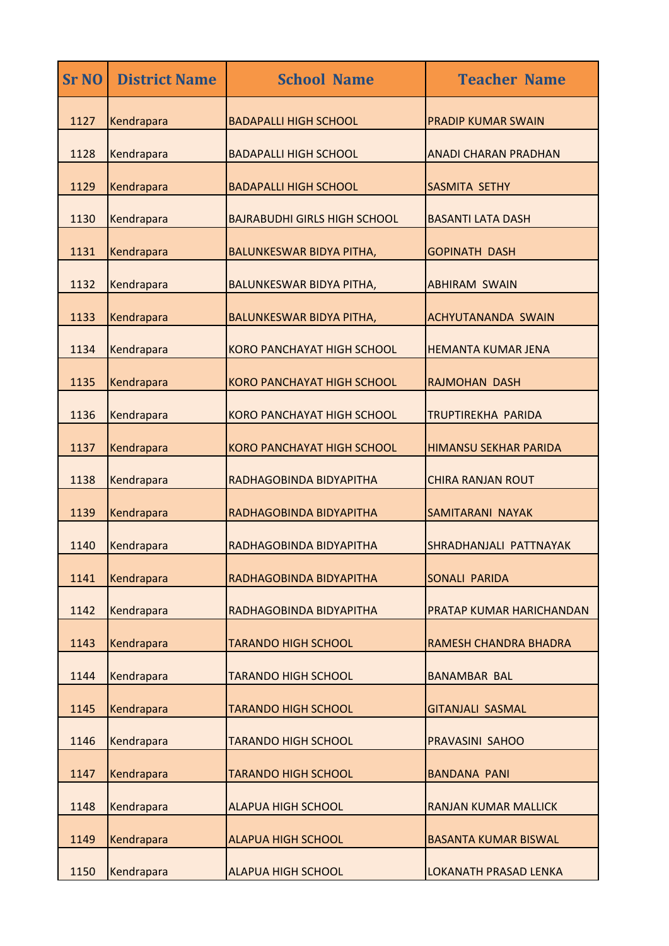| <b>Sr NO</b> | <b>District Name</b> | <b>School Name</b>                  | <b>Teacher Name</b>           |
|--------------|----------------------|-------------------------------------|-------------------------------|
| 1127         | Kendrapara           | <b>BADAPALLI HIGH SCHOOL</b>        | <b>PRADIP KUMAR SWAIN</b>     |
| 1128         | Kendrapara           | <b>BADAPALLI HIGH SCHOOL</b>        | <b>ANADI CHARAN PRADHAN</b>   |
| 1129         | Kendrapara           | <b>BADAPALLI HIGH SCHOOL</b>        | <b>SASMITA SETHY</b>          |
| 1130         | Kendrapara           | <b>BAJRABUDHI GIRLS HIGH SCHOOL</b> | <b>BASANTI LATA DASH</b>      |
| 1131         | Kendrapara           | BALUNKESWAR BIDYA PITHA,            | <b>GOPINATH DASH</b>          |
| 1132         | Kendrapara           | <b>BALUNKESWAR BIDYA PITHA,</b>     | <b>ABHIRAM SWAIN</b>          |
| 1133         | Kendrapara           | BALUNKESWAR BIDYA PITHA,            | <b>ACHYUTANANDA SWAIN</b>     |
| 1134         | Kendrapara           | <b>KORO PANCHAYAT HIGH SCHOOL</b>   | <b>HEMANTA KUMAR JENA</b>     |
| 1135         | Kendrapara           | <b>KORO PANCHAYAT HIGH SCHOOL</b>   | <b>RAJMOHAN DASH</b>          |
| 1136         | Kendrapara           | <b>KORO PANCHAYAT HIGH SCHOOL</b>   | <b>TRUPTIREKHA PARIDA</b>     |
| 1137         | Kendrapara           | <b>KORO PANCHAYAT HIGH SCHOOL</b>   | <b>HIMANSU SEKHAR PARIDA</b>  |
| 1138         | Kendrapara           | RADHAGOBINDA BIDYAPITHA             | <b>CHIRA RANJAN ROUT</b>      |
| 1139         | Kendrapara           | RADHAGOBINDA BIDYAPITHA             | SAMITARANI NAYAK              |
| 1140         | Kendrapara           | RADHAGOBINDA BIDYAPITHA             | <b>SHRADHANJALI PATTNAYAK</b> |
| 1141         | Kendrapara           | RADHAGOBINDA BIDYAPITHA             | <b>SONALI PARIDA</b>          |
| 1142         | Kendrapara           | RADHAGOBINDA BIDYAPITHA             | PRATAP KUMAR HARICHANDAN      |
| 1143         | Kendrapara           | <b>TARANDO HIGH SCHOOL</b>          | RAMESH CHANDRA BHADRA         |
| 1144         | Kendrapara           | <b>TARANDO HIGH SCHOOL</b>          | <b>BANAMBAR BAL</b>           |
| 1145         | Kendrapara           | <b>TARANDO HIGH SCHOOL</b>          | <b>GITANJALI SASMAL</b>       |
| 1146         | Kendrapara           | <b>TARANDO HIGH SCHOOL</b>          | PRAVASINI SAHOO               |
| 1147         | Kendrapara           | <b>TARANDO HIGH SCHOOL</b>          | <b>BANDANA PANI</b>           |
| 1148         | Kendrapara           | <b>ALAPUA HIGH SCHOOL</b>           | <b>RANJAN KUMAR MALLICK</b>   |
| 1149         | Kendrapara           | <b>ALAPUA HIGH SCHOOL</b>           | <b>BASANTA KUMAR BISWAL</b>   |
| 1150         | Kendrapara           | <b>ALAPUA HIGH SCHOOL</b>           | LOKANATH PRASAD LENKA         |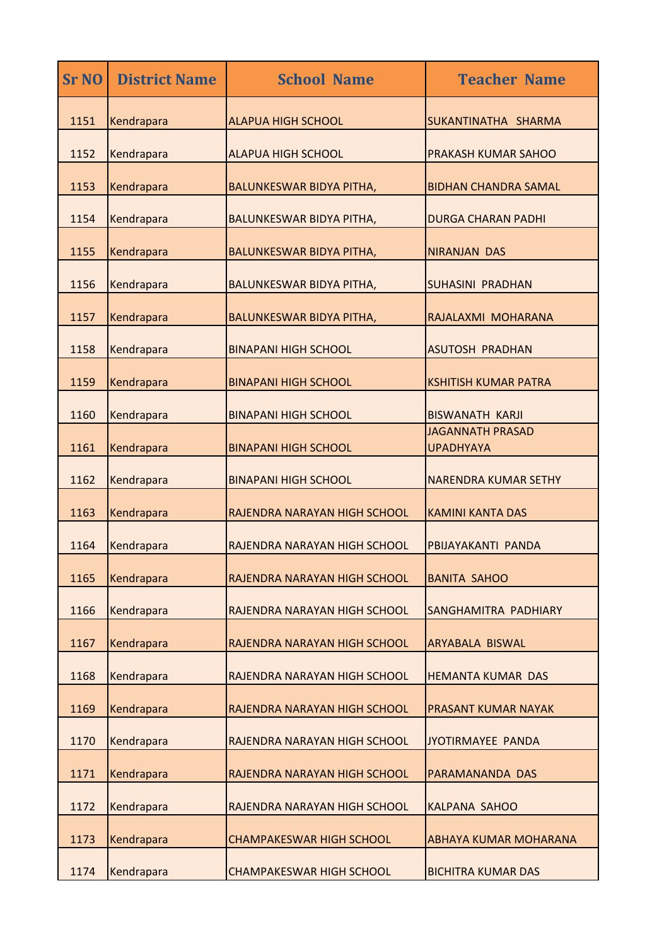| <b>Sr NO</b> | <b>District Name</b> | <b>School Name</b>              | <b>Teacher Name</b>                         |
|--------------|----------------------|---------------------------------|---------------------------------------------|
| 1151         | Kendrapara           | <b>ALAPUA HIGH SCHOOL</b>       | SUKANTINATHA SHARMA                         |
| 1152         | Kendrapara           | <b>ALAPUA HIGH SCHOOL</b>       | <b>PRAKASH KUMAR SAHOO</b>                  |
| 1153         | Kendrapara           | <b>BALUNKESWAR BIDYA PITHA,</b> | <b>BIDHAN CHANDRA SAMAL</b>                 |
| 1154         | Kendrapara           | BALUNKESWAR BIDYA PITHA,        | <b>DURGA CHARAN PADHI</b>                   |
| 1155         | Kendrapara           | BALUNKESWAR BIDYA PITHA,        | <b>NIRANJAN DAS</b>                         |
| 1156         | Kendrapara           | <b>BALUNKESWAR BIDYA PITHA,</b> | <b>SUHASINI PRADHAN</b>                     |
| 1157         | Kendrapara           | BALUNKESWAR BIDYA PITHA,        | RAJALAXMI MOHARANA                          |
| 1158         | Kendrapara           | <b>BINAPANI HIGH SCHOOL</b>     | <b>ASUTOSH PRADHAN</b>                      |
| 1159         | Kendrapara           | <b>BINAPANI HIGH SCHOOL</b>     | <b>KSHITISH KUMAR PATRA</b>                 |
| 1160         | Kendrapara           | <b>BINAPANI HIGH SCHOOL</b>     | <b>BISWANATH KARJI</b>                      |
| 1161         | Kendrapara           | <b>BINAPANI HIGH SCHOOL</b>     | <b>JAGANNATH PRASAD</b><br><b>UPADHYAYA</b> |
| 1162         | Kendrapara           | <b>BINAPANI HIGH SCHOOL</b>     | <b>NARENDRA KUMAR SETHY</b>                 |
| 1163         | Kendrapara           | RAJENDRA NARAYAN HIGH SCHOOL    | <b>KAMINI KANTA DAS</b>                     |
| 1164         | Kendrapara           | RAJENDRA NARAYAN HIGH SCHOOL    | PBIJAYAKANTI PANDA                          |
| 1165         | Kendrapara           | RAJENDRA NARAYAN HIGH SCHOOL    | <b>BANITA SAHOO</b>                         |
| 1166         | Kendrapara           | RAJENDRA NARAYAN HIGH SCHOOL    | <b>SANGHAMITRA PADHIARY</b>                 |
| 1167         | Kendrapara           | RAJENDRA NARAYAN HIGH SCHOOL    | <b>ARYABALA BISWAL</b>                      |
| 1168         | Kendrapara           | RAJENDRA NARAYAN HIGH SCHOOL    | <b>HEMANTA KUMAR DAS</b>                    |
| 1169         | Kendrapara           | RAJENDRA NARAYAN HIGH SCHOOL    | PRASANT KUMAR NAYAK                         |
| 1170         | Kendrapara           | RAJENDRA NARAYAN HIGH SCHOOL    | JYOTIRMAYEE PANDA                           |
| 1171         | Kendrapara           | RAJENDRA NARAYAN HIGH SCHOOL    | PARAMANANDA DAS                             |
| 1172         | Kendrapara           | RAJENDRA NARAYAN HIGH SCHOOL    | KALPANA SAHOO                               |
| 1173         | Kendrapara           | <b>CHAMPAKESWAR HIGH SCHOOL</b> | <b>ABHAYA KUMAR MOHARANA</b>                |
| 1174         | Kendrapara           | <b>CHAMPAKESWAR HIGH SCHOOL</b> | <b>BICHITRA KUMAR DAS</b>                   |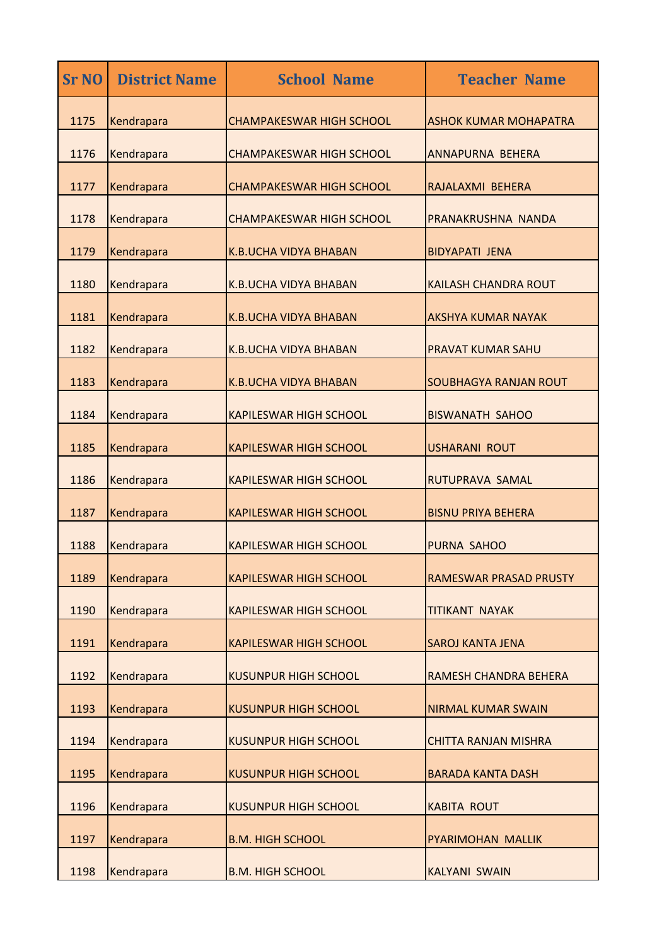| <b>Sr NO</b> | <b>District Name</b> | <b>School Name</b>              | <b>Teacher Name</b>          |
|--------------|----------------------|---------------------------------|------------------------------|
| 1175         | Kendrapara           | <b>CHAMPAKESWAR HIGH SCHOOL</b> | <b>ASHOK KUMAR MOHAPATRA</b> |
| 1176         | Kendrapara           | <b>CHAMPAKESWAR HIGH SCHOOL</b> | ANNAPURNA BEHERA             |
| 1177         | Kendrapara           | <b>CHAMPAKESWAR HIGH SCHOOL</b> | RAJALAXMI BEHERA             |
| 1178         | Kendrapara           | <b>CHAMPAKESWAR HIGH SCHOOL</b> | PRANAKRUSHNA NANDA           |
| 1179         | Kendrapara           | <b>K.B.UCHA VIDYA BHABAN</b>    | <b>BIDYAPATI JENA</b>        |
| 1180         | Kendrapara           | <b>K.B.UCHA VIDYA BHABAN</b>    | <b>KAILASH CHANDRA ROUT</b>  |
| 1181         | Kendrapara           | <b>K.B.UCHA VIDYA BHABAN</b>    | <b>AKSHYA KUMAR NAYAK</b>    |
| 1182         | Kendrapara           | <b>K.B.UCHA VIDYA BHABAN</b>    | <b>PRAVAT KUMAR SAHU</b>     |
| 1183         | Kendrapara           | <b>K.B.UCHA VIDYA BHABAN</b>    | <b>SOUBHAGYA RANJAN ROUT</b> |
| 1184         | Kendrapara           | <b>KAPILESWAR HIGH SCHOOL</b>   | <b>BISWANATH SAHOO</b>       |
| 1185         | Kendrapara           | <b>KAPILESWAR HIGH SCHOOL</b>   | <b>USHARANI ROUT</b>         |
| 1186         | Kendrapara           | <b>KAPILESWAR HIGH SCHOOL</b>   | RUTUPRAVA SAMAL              |
| 1187         | Kendrapara           | <b>KAPILESWAR HIGH SCHOOL</b>   | <b>BISNU PRIYA BEHERA</b>    |
| 1188         | Kendrapara           | <b>KAPILESWAR HIGH SCHOOL</b>   | <b>PURNA SAHOO</b>           |
| 1189         | Kendrapara           | <b>KAPILESWAR HIGH SCHOOL</b>   | RAMESWAR PRASAD PRUSTY       |
| 1190         | Kendrapara           | <b>KAPILESWAR HIGH SCHOOL</b>   | <b>TITIKANT NAYAK</b>        |
| 1191         | Kendrapara           | <b>KAPILESWAR HIGH SCHOOL</b>   | <b>SAROJ KANTA JENA</b>      |
| 1192         | Kendrapara           | <b>KUSUNPUR HIGH SCHOOL</b>     | RAMESH CHANDRA BEHERA        |
| 1193         | Kendrapara           | <b>KUSUNPUR HIGH SCHOOL</b>     | <b>NIRMAL KUMAR SWAIN</b>    |
| 1194         | Kendrapara           | <b>KUSUNPUR HIGH SCHOOL</b>     | <b>CHITTA RANJAN MISHRA</b>  |
| 1195         | Kendrapara           | <b>KUSUNPUR HIGH SCHOOL</b>     | <b>BARADA KANTA DASH</b>     |
| 1196         | Kendrapara           | <b>KUSUNPUR HIGH SCHOOL</b>     | <b>KABITA ROUT</b>           |
| 1197         | Kendrapara           | <b>B.M. HIGH SCHOOL</b>         | PYARIMOHAN MALLIK            |
| 1198         | Kendrapara           | <b>B.M. HIGH SCHOOL</b>         | KALYANI SWAIN                |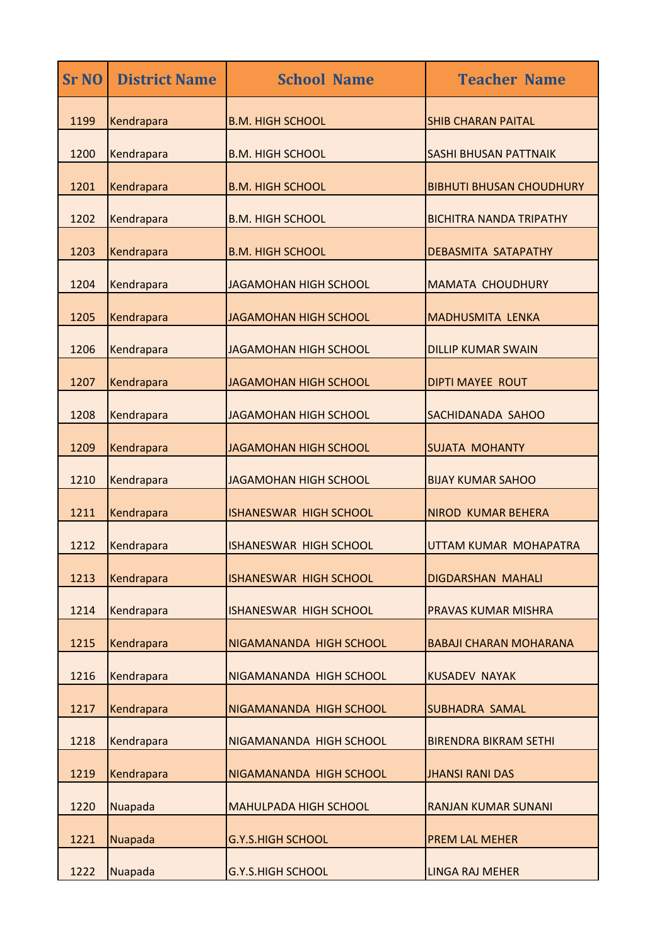| <b>Sr NO</b> | <b>District Name</b> | <b>School Name</b>            | <b>Teacher Name</b>             |
|--------------|----------------------|-------------------------------|---------------------------------|
| 1199         | Kendrapara           | <b>B.M. HIGH SCHOOL</b>       | <b>SHIB CHARAN PAITAL</b>       |
| 1200         | Kendrapara           | <b>B.M. HIGH SCHOOL</b>       | <b>SASHI BHUSAN PATTNAIK</b>    |
| 1201         | Kendrapara           | <b>B.M. HIGH SCHOOL</b>       | <b>BIBHUTI BHUSAN CHOUDHURY</b> |
| 1202         | Kendrapara           | <b>B.M. HIGH SCHOOL</b>       | <b>BICHITRA NANDA TRIPATHY</b>  |
| 1203         | Kendrapara           | <b>B.M. HIGH SCHOOL</b>       | <b>DEBASMITA SATAPATHY</b>      |
| 1204         | Kendrapara           | <b>JAGAMOHAN HIGH SCHOOL</b>  | <b>MAMATA CHOUDHURY</b>         |
| 1205         | Kendrapara           | <b>JAGAMOHAN HIGH SCHOOL</b>  | <b>MADHUSMITA LENKA</b>         |
| 1206         | Kendrapara           | <b>JAGAMOHAN HIGH SCHOOL</b>  | <b>DILLIP KUMAR SWAIN</b>       |
| 1207         | Kendrapara           | <b>JAGAMOHAN HIGH SCHOOL</b>  | <b>DIPTI MAYEE ROUT</b>         |
| 1208         | Kendrapara           | <b>JAGAMOHAN HIGH SCHOOL</b>  | <b>SACHIDANADA SAHOO</b>        |
| 1209         | Kendrapara           | <b>JAGAMOHAN HIGH SCHOOL</b>  | <b>SUJATA MOHANTY</b>           |
| 1210         | Kendrapara           | <b>JAGAMOHAN HIGH SCHOOL</b>  | <b>BIJAY KUMAR SAHOO</b>        |
| 1211         | Kendrapara           | <b>ISHANESWAR HIGH SCHOOL</b> | <b>NIROD KUMAR BEHERA</b>       |
| 1212         | Kendrapara           | <b>ISHANESWAR HIGH SCHOOL</b> | UTTAM KUMAR MOHAPATRA           |
| 1213         | Kendrapara           | <b>ISHANESWAR HIGH SCHOOL</b> | <b>DIGDARSHAN MAHALI</b>        |
| 1214         | Kendrapara           | <b>ISHANESWAR HIGH SCHOOL</b> | <b>PRAVAS KUMAR MISHRA</b>      |
| 1215         | Kendrapara           | NIGAMANANDA HIGH SCHOOL       | <b>BABAJI CHARAN MOHARANA</b>   |
| 1216         | Kendrapara           | NIGAMANANDA HIGH SCHOOL       | <b>KUSADEV NAYAK</b>            |
| 1217         | Kendrapara           | NIGAMANANDA HIGH SCHOOL       | <b>SUBHADRA SAMAL</b>           |
| 1218         | Kendrapara           | NIGAMANANDA HIGH SCHOOL       | <b>BIRENDRA BIKRAM SETHI</b>    |
| 1219         | Kendrapara           | NIGAMANANDA HIGH SCHOOL       | <b>JHANSI RANI DAS</b>          |
| 1220         | Nuapada              | <b>MAHULPADA HIGH SCHOOL</b>  | <b>RANJAN KUMAR SUNANI</b>      |
| 1221         | Nuapada              | <b>G.Y.S.HIGH SCHOOL</b>      | PREM LAL MEHER                  |
| 1222         | Nuapada              | <b>G.Y.S.HIGH SCHOOL</b>      | <b>LINGA RAJ MEHER</b>          |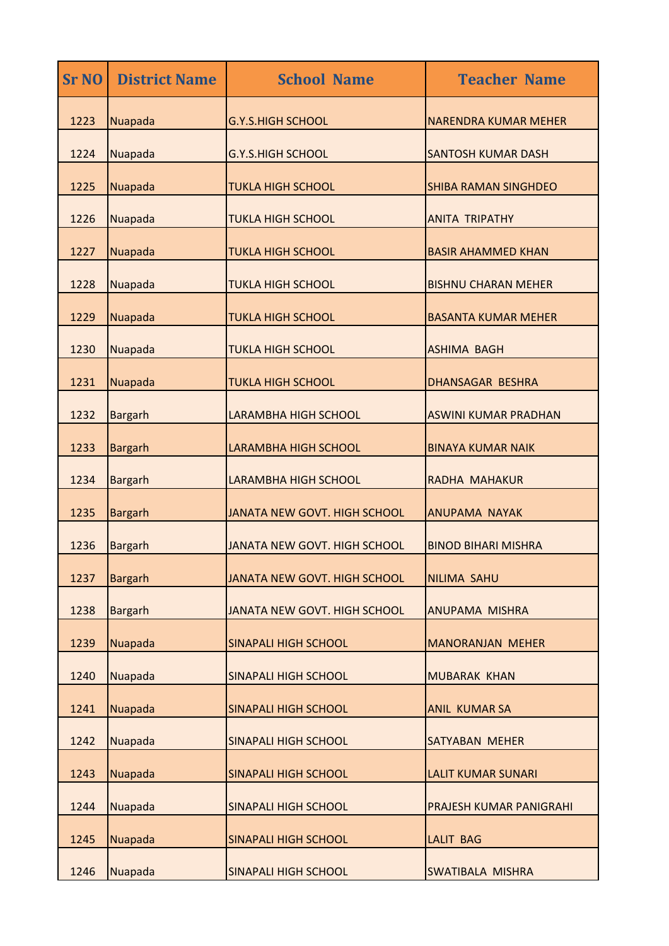| <b>Sr NO</b> | <b>District Name</b> | <b>School Name</b>           | <b>Teacher Name</b>         |
|--------------|----------------------|------------------------------|-----------------------------|
| 1223         | Nuapada              | <b>G.Y.S.HIGH SCHOOL</b>     | <b>NARENDRA KUMAR MEHER</b> |
| 1224         | Nuapada              | <b>G.Y.S.HIGH SCHOOL</b>     | <b>SANTOSH KUMAR DASH</b>   |
| 1225         | Nuapada              | <b>TUKLA HIGH SCHOOL</b>     | <b>SHIBA RAMAN SINGHDEO</b> |
| 1226         | Nuapada              | <b>TUKLA HIGH SCHOOL</b>     | <b>ANITA TRIPATHY</b>       |
| 1227         | Nuapada              | <b>TUKLA HIGH SCHOOL</b>     | <b>BASIR AHAMMED KHAN</b>   |
| 1228         | Nuapada              | <b>TUKLA HIGH SCHOOL</b>     | <b>BISHNU CHARAN MEHER</b>  |
| 1229         | Nuapada              | <b>TUKLA HIGH SCHOOL</b>     | <b>BASANTA KUMAR MEHER</b>  |
| 1230         | Nuapada              | <b>TUKLA HIGH SCHOOL</b>     | <b>ASHIMA BAGH</b>          |
| 1231         | Nuapada              | <b>TUKLA HIGH SCHOOL</b>     | <b>DHANSAGAR BESHRA</b>     |
| 1232         | <b>Bargarh</b>       | <b>LARAMBHA HIGH SCHOOL</b>  | <b>ASWINI KUMAR PRADHAN</b> |
| 1233         | <b>Bargarh</b>       | <b>LARAMBHA HIGH SCHOOL</b>  | <b>BINAYA KUMAR NAIK</b>    |
| 1234         | <b>Bargarh</b>       | <b>LARAMBHA HIGH SCHOOL</b>  | RADHA MAHAKUR               |
| 1235         | <b>Bargarh</b>       | JANATA NEW GOVT. HIGH SCHOOL | <b>ANUPAMA NAYAK</b>        |
| 1236         | <b>Bargarh</b>       | JANATA NEW GOVT. HIGH SCHOOL | <b>BINOD BIHARI MISHRA</b>  |
| 1237         | <b>Bargarh</b>       | JANATA NEW GOVT. HIGH SCHOOL | <b>NILIMA SAHU</b>          |
| 1238         | <b>Bargarh</b>       | JANATA NEW GOVT. HIGH SCHOOL | <b>ANUPAMA MISHRA</b>       |
| 1239         | Nuapada              | <b>SINAPALI HIGH SCHOOL</b>  | <b>MANORANJAN MEHER</b>     |
| 1240         | Nuapada              | <b>SINAPALI HIGH SCHOOL</b>  | <b>MUBARAK KHAN</b>         |
| 1241         | Nuapada              | <b>SINAPALI HIGH SCHOOL</b>  | <b>ANIL KUMAR SA</b>        |
| 1242         | Nuapada              | <b>SINAPALI HIGH SCHOOL</b>  | <b>SATYABAN MEHER</b>       |
| 1243         | Nuapada              | <b>SINAPALI HIGH SCHOOL</b>  | <b>LALIT KUMAR SUNARI</b>   |
| 1244         | Nuapada              | <b>SINAPALI HIGH SCHOOL</b>  | PRAJESH KUMAR PANIGRAHI     |
| 1245         | Nuapada              | <b>SINAPALI HIGH SCHOOL</b>  | <b>LALIT BAG</b>            |
| 1246         | Nuapada              | <b>SINAPALI HIGH SCHOOL</b>  | <b>SWATIBALA MISHRA</b>     |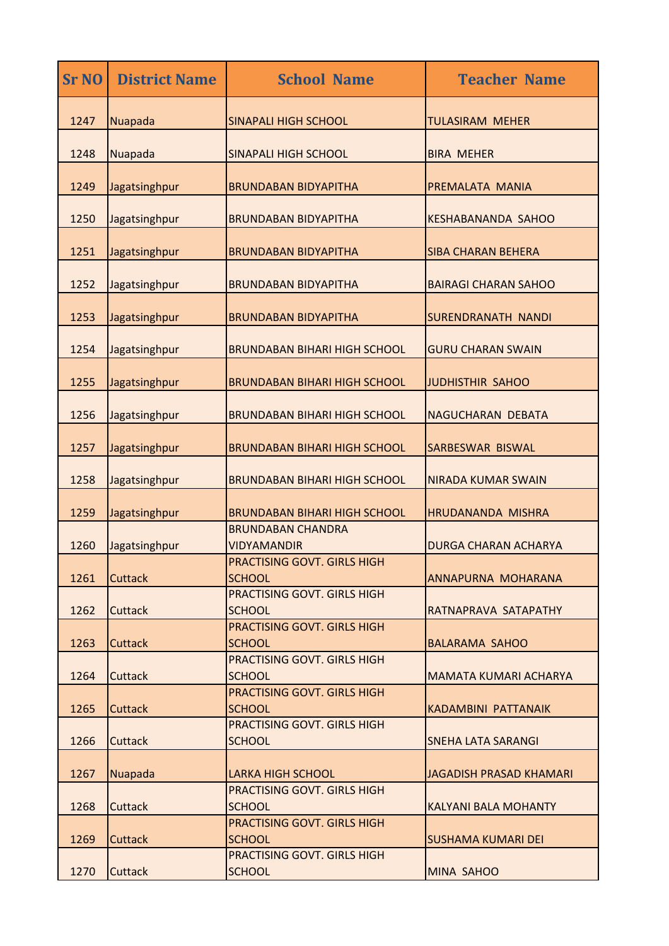| <b>Sr NO</b> | <b>District Name</b> | <b>School Name</b>                                  | <b>Teacher Name</b>            |
|--------------|----------------------|-----------------------------------------------------|--------------------------------|
| 1247         | Nuapada              | <b>SINAPALI HIGH SCHOOL</b>                         | <b>TULASIRAM MEHER</b>         |
| 1248         | Nuapada              | <b>SINAPALI HIGH SCHOOL</b>                         | <b>BIRA MEHER</b>              |
| 1249         | Jagatsinghpur        | <b>BRUNDABAN BIDYAPITHA</b>                         | PREMALATA MANIA                |
| 1250         | Jagatsinghpur        | <b>BRUNDABAN BIDYAPITHA</b>                         | <b>KESHABANANDA SAHOO</b>      |
| 1251         | Jagatsinghpur        | <b>BRUNDABAN BIDYAPITHA</b>                         | <b>SIBA CHARAN BEHERA</b>      |
| 1252         | Jagatsinghpur        | <b>BRUNDABAN BIDYAPITHA</b>                         | <b>BAIRAGI CHARAN SAHOO</b>    |
| 1253         | Jagatsinghpur        | <b>BRUNDABAN BIDYAPITHA</b>                         | <b>SURENDRANATH NANDI</b>      |
| 1254         | Jagatsinghpur        | <b>BRUNDABAN BIHARI HIGH SCHOOL</b>                 | <b>GURU CHARAN SWAIN</b>       |
| 1255         | Jagatsinghpur        | <b>BRUNDABAN BIHARI HIGH SCHOOL</b>                 | <b>JUDHISTHIR SAHOO</b>        |
| 1256         | Jagatsinghpur        | <b>BRUNDABAN BIHARI HIGH SCHOOL</b>                 | <b>NAGUCHARAN DEBATA</b>       |
| 1257         | Jagatsinghpur        | <b>BRUNDABAN BIHARI HIGH SCHOOL</b>                 | <b>SARBESWAR BISWAL</b>        |
| 1258         | Jagatsinghpur        | <b>BRUNDABAN BIHARI HIGH SCHOOL</b>                 | <b>NIRADA KUMAR SWAIN</b>      |
| 1259         | Jagatsinghpur        | <b>BRUNDABAN BIHARI HIGH SCHOOL</b>                 | HRUDANANDA MISHRA              |
| 1260         | Jagatsinghpur        | <b>BRUNDABAN CHANDRA</b><br><b>VIDYAMANDIR</b>      | <b>DURGA CHARAN ACHARYA</b>    |
| 1261         | <b>Cuttack</b>       | <b>PRACTISING GOVT. GIRLS HIGH</b><br><b>SCHOOL</b> | ANNAPURNA MOHARANA             |
| 1262         | Cuttack              | PRACTISING GOVT. GIRLS HIGH<br><b>SCHOOL</b>        | RATNAPRAVA SATAPATHY           |
| 1263         | <b>Cuttack</b>       | PRACTISING GOVT. GIRLS HIGH<br><b>SCHOOL</b>        | <b>BALARAMA SAHOO</b>          |
| 1264         | <b>Cuttack</b>       | PRACTISING GOVT. GIRLS HIGH<br><b>SCHOOL</b>        | <b>MAMATA KUMARI ACHARYA</b>   |
| 1265         | Cuttack              | PRACTISING GOVT. GIRLS HIGH<br><b>SCHOOL</b>        | <b>KADAMBINI PATTANAIK</b>     |
| 1266         | <b>Cuttack</b>       | PRACTISING GOVT. GIRLS HIGH<br><b>SCHOOL</b>        | SNEHA LATA SARANGI             |
| 1267         | Nuapada              | <b>LARKA HIGH SCHOOL</b>                            | <b>JAGADISH PRASAD KHAMARI</b> |
| 1268         | Cuttack              | PRACTISING GOVT. GIRLS HIGH<br><b>SCHOOL</b>        | <b>KALYANI BALA MOHANTY</b>    |
| 1269         | <b>Cuttack</b>       | PRACTISING GOVT. GIRLS HIGH<br><b>SCHOOL</b>        | <b>SUSHAMA KUMARI DEI</b>      |
| 1270         | <b>Cuttack</b>       | PRACTISING GOVT. GIRLS HIGH<br><b>SCHOOL</b>        | <b>MINA SAHOO</b>              |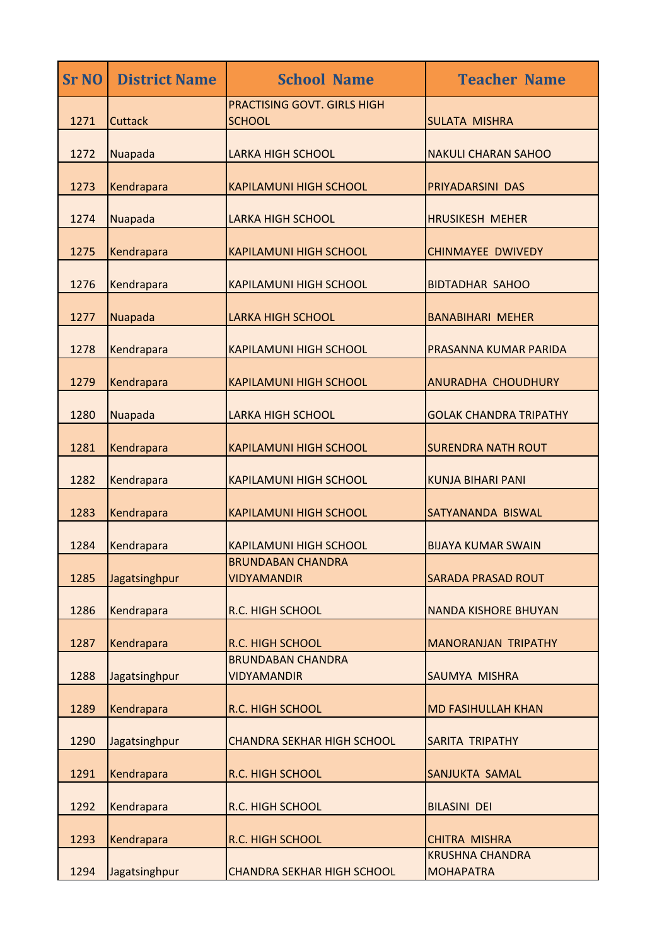| <b>Sr NO</b> | <b>District Name</b> | <b>School Name</b>                                  | <b>Teacher Name</b>                        |
|--------------|----------------------|-----------------------------------------------------|--------------------------------------------|
| 1271         | <b>Cuttack</b>       | <b>PRACTISING GOVT. GIRLS HIGH</b><br><b>SCHOOL</b> | <b>SULATA MISHRA</b>                       |
| 1272         | Nuapada              | <b>LARKA HIGH SCHOOL</b>                            | <b>NAKULI CHARAN SAHOO</b>                 |
| 1273         | Kendrapara           | <b>KAPILAMUNI HIGH SCHOOL</b>                       | PRIYADARSINI DAS                           |
| 1274         | Nuapada              | <b>LARKA HIGH SCHOOL</b>                            | <b>HRUSIKESH MEHER</b>                     |
| 1275         | Kendrapara           | <b>KAPILAMUNI HIGH SCHOOL</b>                       | <b>CHINMAYEE DWIVEDY</b>                   |
| 1276         | Kendrapara           | <b>KAPILAMUNI HIGH SCHOOL</b>                       | <b>BIDTADHAR SAHOO</b>                     |
| 1277         | Nuapada              | <b>LARKA HIGH SCHOOL</b>                            | <b>BANABIHARI MEHER</b>                    |
| 1278         | Kendrapara           | <b>KAPILAMUNI HIGH SCHOOL</b>                       | <b>PRASANNA KUMAR PARIDA</b>               |
| 1279         | Kendrapara           | <b>KAPILAMUNI HIGH SCHOOL</b>                       | <b>ANURADHA CHOUDHURY</b>                  |
| 1280         | Nuapada              | <b>LARKA HIGH SCHOOL</b>                            | <b>GOLAK CHANDRA TRIPATHY</b>              |
| 1281         | Kendrapara           | <b>KAPILAMUNI HIGH SCHOOL</b>                       | <b>SURENDRA NATH ROUT</b>                  |
| 1282         | Kendrapara           | <b>KAPILAMUNI HIGH SCHOOL</b>                       | <b>KUNJA BIHARI PANI</b>                   |
| 1283         | Kendrapara           | <b>KAPILAMUNI HIGH SCHOOL</b>                       | SATYANANDA BISWAL                          |
| 1284         | Kendrapara           | <b>KAPILAMUNI HIGH SCHOOL</b>                       | <b>BIJAYA KUMAR SWAIN</b>                  |
| 1285         | Jagatsinghpur        | <b>BRUNDABAN CHANDRA</b><br><b>VIDYAMANDIR</b>      | <b>SARADA PRASAD ROUT</b>                  |
| 1286         | Kendrapara           | <b>R.C. HIGH SCHOOL</b>                             | <b>NANDA KISHORE BHUYAN</b>                |
| 1287         | Kendrapara           | <b>R.C. HIGH SCHOOL</b>                             | <b>MANORANJAN TRIPATHY</b>                 |
| 1288         | Jagatsinghpur        | <b>BRUNDABAN CHANDRA</b><br><b>VIDYAMANDIR</b>      | SAUMYA MISHRA                              |
| 1289         | Kendrapara           | <b>R.C. HIGH SCHOOL</b>                             | <b>MD FASIHULLAH KHAN</b>                  |
| 1290         | Jagatsinghpur        | <b>CHANDRA SEKHAR HIGH SCHOOL</b>                   | <b>SARITA TRIPATHY</b>                     |
| 1291         | Kendrapara           | <b>R.C. HIGH SCHOOL</b>                             | SANJUKTA SAMAL                             |
| 1292         | Kendrapara           | <b>R.C. HIGH SCHOOL</b>                             | <b>BILASINI DEI</b>                        |
| 1293         | Kendrapara           | R.C. HIGH SCHOOL                                    | CHITRA MISHRA                              |
| 1294         | Jagatsinghpur        | <b>CHANDRA SEKHAR HIGH SCHOOL</b>                   | <b>KRUSHNA CHANDRA</b><br><b>MOHAPATRA</b> |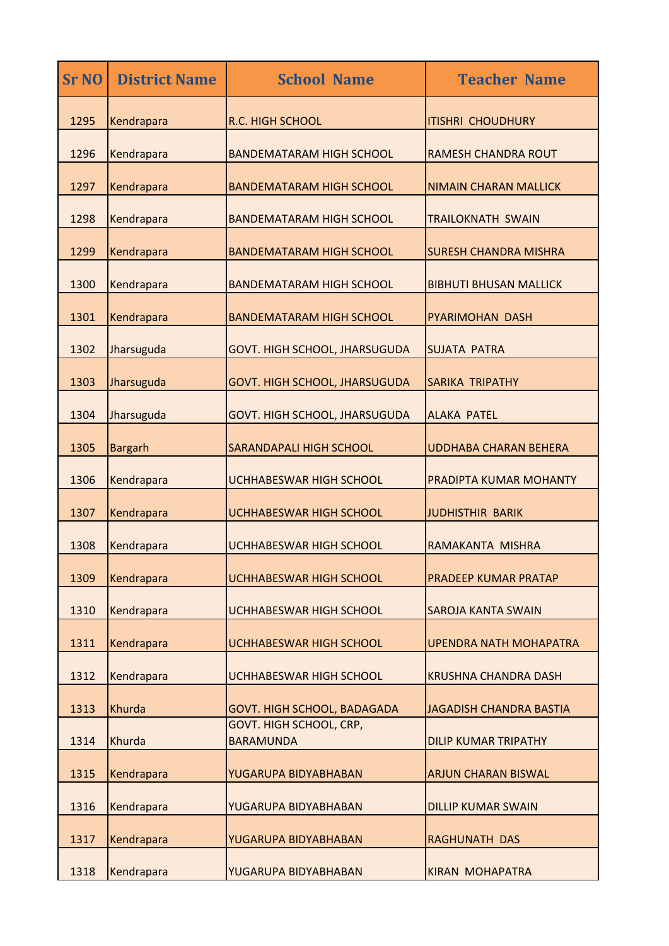| <b>Sr NO</b> | <b>District Name</b> | <b>School Name</b>                                 | <b>Teacher Name</b>            |
|--------------|----------------------|----------------------------------------------------|--------------------------------|
| 1295         | Kendrapara           | <b>R.C. HIGH SCHOOL</b>                            | <b>ITISHRI CHOUDHURY</b>       |
| 1296         | Kendrapara           | <b>BANDEMATARAM HIGH SCHOOL</b>                    | <b>RAMESH CHANDRA ROUT</b>     |
| 1297         | Kendrapara           | <b>BANDEMATARAM HIGH SCHOOL</b>                    | <b>NIMAIN CHARAN MALLICK</b>   |
| 1298         | Kendrapara           | <b>BANDEMATARAM HIGH SCHOOL</b>                    | <b>TRAILOKNATH SWAIN</b>       |
| 1299         | Kendrapara           | <b>BANDEMATARAM HIGH SCHOOL</b>                    | <b>SURESH CHANDRA MISHRA</b>   |
| 1300         | Kendrapara           | <b>BANDEMATARAM HIGH SCHOOL</b>                    | <b>BIBHUTI BHUSAN MALLICK</b>  |
| 1301         | Kendrapara           | <b>BANDEMATARAM HIGH SCHOOL</b>                    | PYARIMOHAN DASH                |
| 1302         | Jharsuguda           | GOVT. HIGH SCHOOL, JHARSUGUDA                      | <b>SUJATA PATRA</b>            |
| 1303         | Jharsuguda           | GOVT. HIGH SCHOOL, JHARSUGUDA                      | <b>SARIKA TRIPATHY</b>         |
| 1304         | Jharsuguda           | GOVT. HIGH SCHOOL, JHARSUGUDA                      | <b>ALAKA PATEL</b>             |
| 1305         | <b>Bargarh</b>       | <b>SARANDAPALI HIGH SCHOOL</b>                     | <b>UDDHABA CHARAN BEHERA</b>   |
| 1306         | Kendrapara           | <b>UCHHABESWAR HIGH SCHOOL</b>                     | PRADIPTA KUMAR MOHANTY         |
| 1307         | Kendrapara           | <b>UCHHABESWAR HIGH SCHOOL</b>                     | <b>JUDHISTHIR BARIK</b>        |
| 1308         | Kendrapara           | <b>UCHHABESWAR HIGH SCHOOL</b>                     | RAMAKANTA MISHRA               |
| 1309         | Kendrapara           | <b>UCHHABESWAR HIGH SCHOOL</b>                     | PRADEEP KUMAR PRATAP           |
| 1310         | Kendrapara           | <b>UCHHABESWAR HIGH SCHOOL</b>                     | <b>SAROJA KANTA SWAIN</b>      |
| 1311         | Kendrapara           | UCHHABESWAR HIGH SCHOOL                            | UPENDRA NATH MOHAPATRA         |
| 1312         | Kendrapara           | <b>UCHHABESWAR HIGH SCHOOL</b>                     | <b>KRUSHNA CHANDRA DASH</b>    |
| 1313         | Khurda               | <b>GOVT. HIGH SCHOOL, BADAGADA</b>                 | <b>JAGADISH CHANDRA BASTIA</b> |
| 1314         | Khurda               | <b>GOVT. HIGH SCHOOL, CRP,</b><br><b>BARAMUNDA</b> | <b>DILIP KUMAR TRIPATHY</b>    |
| 1315         | Kendrapara           | YUGARUPA BIDYABHABAN                               | <b>ARJUN CHARAN BISWAL</b>     |
| 1316         | Kendrapara           | YUGARUPA BIDYABHABAN                               | <b>DILLIP KUMAR SWAIN</b>      |
| 1317         | Kendrapara           | YUGARUPA BIDYABHABAN                               | <b>RAGHUNATH DAS</b>           |
| 1318         | Kendrapara           | YUGARUPA BIDYABHABAN                               | <b>KIRAN MOHAPATRA</b>         |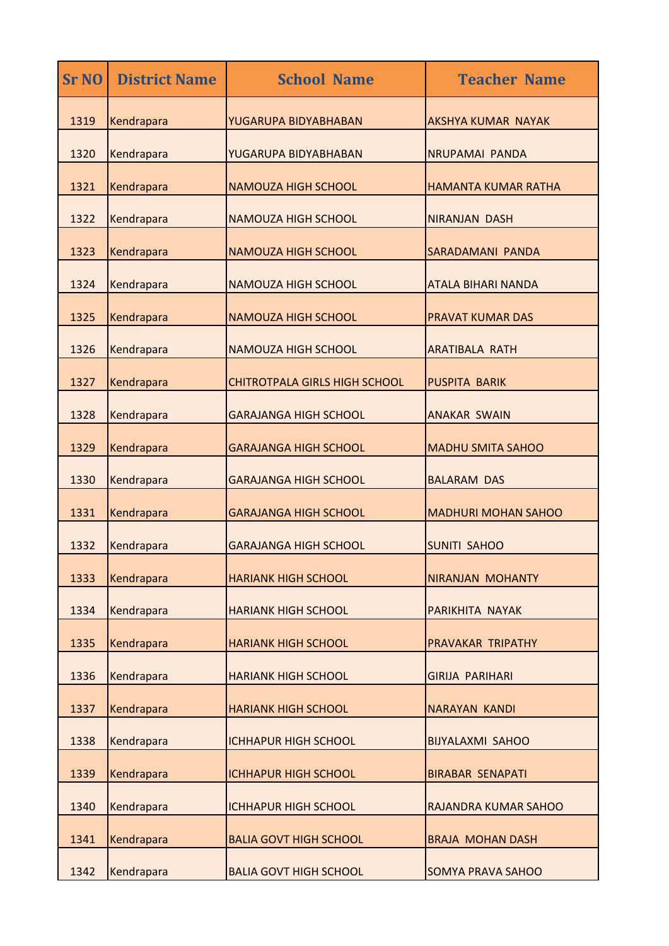| <b>Sr NO</b> | <b>District Name</b> | <b>School Name</b>                   | <b>Teacher Name</b>        |
|--------------|----------------------|--------------------------------------|----------------------------|
| 1319         | Kendrapara           | YUGARUPA BIDYABHABAN                 | AKSHYA KUMAR NAYAK         |
| 1320         | Kendrapara           | YUGARUPA BIDYABHABAN                 | NRUPAMAI PANDA             |
| 1321         | Kendrapara           | <b>NAMOUZA HIGH SCHOOL</b>           | HAMANTA KUMAR RATHA        |
| 1322         | Kendrapara           | <b>NAMOUZA HIGH SCHOOL</b>           | <b>NIRANJAN DASH</b>       |
| 1323         | Kendrapara           | <b>NAMOUZA HIGH SCHOOL</b>           | SARADAMANI PANDA           |
| 1324         | Kendrapara           | <b>NAMOUZA HIGH SCHOOL</b>           | <b>ATALA BIHARI NANDA</b>  |
| 1325         | Kendrapara           | <b>NAMOUZA HIGH SCHOOL</b>           | <b>PRAVAT KUMAR DAS</b>    |
| 1326         | Kendrapara           | <b>NAMOUZA HIGH SCHOOL</b>           | <b>ARATIBALA RATH</b>      |
| 1327         | Kendrapara           | <b>CHITROTPALA GIRLS HIGH SCHOOL</b> | <b>PUSPITA BARIK</b>       |
| 1328         | Kendrapara           | <b>GARAJANGA HIGH SCHOOL</b>         | <b>ANAKAR SWAIN</b>        |
| 1329         | Kendrapara           | <b>GARAJANGA HIGH SCHOOL</b>         | <b>MADHU SMITA SAHOO</b>   |
| 1330         | Kendrapara           | <b>GARAJANGA HIGH SCHOOL</b>         | <b>BALARAM DAS</b>         |
| 1331         | Kendrapara           | <b>GARAJANGA HIGH SCHOOL</b>         | <b>MADHURI MOHAN SAHOO</b> |
| 1332         | Kendrapara           | <b>GARAJANGA HIGH SCHOOL</b>         | <b>SUNITI SAHOO</b>        |
| 1333         | Kendrapara           | <b>HARIANK HIGH SCHOOL</b>           | <b>NIRANJAN MOHANTY</b>    |
| 1334         | Kendrapara           | <b>HARIANK HIGH SCHOOL</b>           | PARIKHITA NAYAK            |
| 1335         | Kendrapara           | <b>HARIANK HIGH SCHOOL</b>           | PRAVAKAR TRIPATHY          |
| 1336         | Kendrapara           | <b>HARIANK HIGH SCHOOL</b>           | <b>GIRIJA PARIHARI</b>     |
| 1337         | Kendrapara           | <b>HARIANK HIGH SCHOOL</b>           | NARAYAN KANDI              |
| 1338         | Kendrapara           | <b>ICHHAPUR HIGH SCHOOL</b>          | <b>BIJYALAXMI SAHOO</b>    |
| 1339         | Kendrapara           | <b>ICHHAPUR HIGH SCHOOL</b>          | <b>BIRABAR SENAPATI</b>    |
| 1340         | Kendrapara           | <b>ICHHAPUR HIGH SCHOOL</b>          | RAJANDRA KUMAR SAHOO       |
| 1341         | Kendrapara           | <b>BALIA GOVT HIGH SCHOOL</b>        | <b>BRAJA MOHAN DASH</b>    |
| 1342         | Kendrapara           | <b>BALIA GOVT HIGH SCHOOL</b>        | <b>SOMYA PRAVA SAHOO</b>   |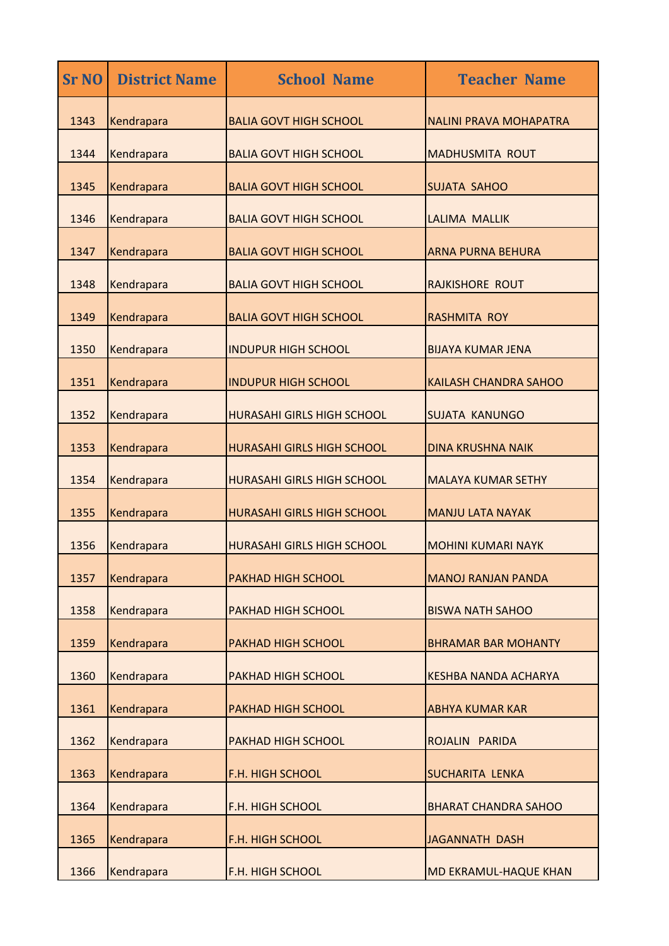| <b>Sr NO</b> | <b>District Name</b> | <b>School Name</b>                | <b>Teacher Name</b>          |
|--------------|----------------------|-----------------------------------|------------------------------|
| 1343         | Kendrapara           | <b>BALIA GOVT HIGH SCHOOL</b>     | NALINI PRAVA MOHAPATRA       |
| 1344         | Kendrapara           | <b>BALIA GOVT HIGH SCHOOL</b>     | <b>MADHUSMITA ROUT</b>       |
| 1345         | Kendrapara           | <b>BALIA GOVT HIGH SCHOOL</b>     | <b>SUJATA SAHOO</b>          |
| 1346         | Kendrapara           | <b>BALIA GOVT HIGH SCHOOL</b>     | <b>LALIMA MALLIK</b>         |
| 1347         | Kendrapara           | <b>BALIA GOVT HIGH SCHOOL</b>     | <b>ARNA PURNA BEHURA</b>     |
| 1348         | Kendrapara           | <b>BALIA GOVT HIGH SCHOOL</b>     | <b>RAJKISHORE ROUT</b>       |
| 1349         | Kendrapara           | <b>BALIA GOVT HIGH SCHOOL</b>     | <b>RASHMITA ROY</b>          |
| 1350         | Kendrapara           | <b>INDUPUR HIGH SCHOOL</b>        | <b>BIJAYA KUMAR JENA</b>     |
| 1351         | Kendrapara           | <b>INDUPUR HIGH SCHOOL</b>        | <b>KAILASH CHANDRA SAHOO</b> |
| 1352         | Kendrapara           | <b>HURASAHI GIRLS HIGH SCHOOL</b> | <b>SUJATA KANUNGO</b>        |
| 1353         | Kendrapara           | <b>HURASAHI GIRLS HIGH SCHOOL</b> | <b>DINA KRUSHNA NAIK</b>     |
| 1354         | Kendrapara           | <b>HURASAHI GIRLS HIGH SCHOOL</b> | <b>MALAYA KUMAR SETHY</b>    |
| 1355         | Kendrapara           | <b>HURASAHI GIRLS HIGH SCHOOL</b> | <b>MANJU LATA NAYAK</b>      |
| 1356         | Kendrapara           | <b>HURASAHI GIRLS HIGH SCHOOL</b> | <b>MOHINI KUMARI NAYK</b>    |
| 1357         | Kendrapara           | PAKHAD HIGH SCHOOL                | <b>MANOJ RANJAN PANDA</b>    |
| 1358         | Kendrapara           | PAKHAD HIGH SCHOOL                | <b>BISWA NATH SAHOO</b>      |
| 1359         | Kendrapara           | <b>PAKHAD HIGH SCHOOL</b>         | <b>BHRAMAR BAR MOHANTY</b>   |
| 1360         | Kendrapara           | <b>PAKHAD HIGH SCHOOL</b>         | <b>KESHBA NANDA ACHARYA</b>  |
| 1361         | Kendrapara           | <b>PAKHAD HIGH SCHOOL</b>         | <b>ABHYA KUMAR KAR</b>       |
| 1362         | Kendrapara           | <b>PAKHAD HIGH SCHOOL</b>         | ROJALIN PARIDA               |
| 1363         | Kendrapara           | F.H. HIGH SCHOOL                  | <b>SUCHARITA LENKA</b>       |
| 1364         | Kendrapara           | F.H. HIGH SCHOOL                  | <b>BHARAT CHANDRA SAHOO</b>  |
| 1365         | Kendrapara           | F.H. HIGH SCHOOL                  | <b>JAGANNATH DASH</b>        |
| 1366         | Kendrapara           | <b>F.H. HIGH SCHOOL</b>           | MD EKRAMUL-HAQUE KHAN        |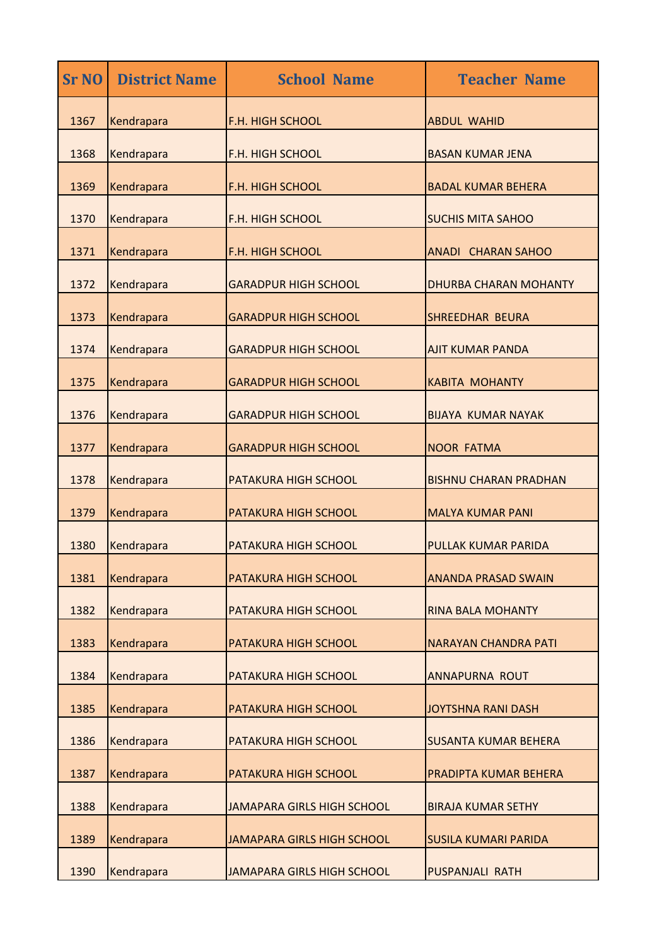| <b>Sr NO</b> | <b>District Name</b> | <b>School Name</b>                | <b>Teacher Name</b>          |
|--------------|----------------------|-----------------------------------|------------------------------|
| 1367         | Kendrapara           | <b>F.H. HIGH SCHOOL</b>           | <b>ABDUL WAHID</b>           |
| 1368         | Kendrapara           | <b>F.H. HIGH SCHOOL</b>           | <b>BASAN KUMAR JENA</b>      |
| 1369         | Kendrapara           | <b>F.H. HIGH SCHOOL</b>           | <b>BADAL KUMAR BEHERA</b>    |
| 1370         | Kendrapara           | <b>F.H. HIGH SCHOOL</b>           | <b>SUCHIS MITA SAHOO</b>     |
| 1371         | Kendrapara           | <b>F.H. HIGH SCHOOL</b>           | <b>ANADI CHARAN SAHOO</b>    |
| 1372         | Kendrapara           | <b>GARADPUR HIGH SCHOOL</b>       | <b>DHURBA CHARAN MOHANTY</b> |
| 1373         | Kendrapara           | <b>GARADPUR HIGH SCHOOL</b>       | <b>SHREEDHAR BEURA</b>       |
| 1374         | Kendrapara           | <b>GARADPUR HIGH SCHOOL</b>       | <b>AJIT KUMAR PANDA</b>      |
| 1375         | Kendrapara           | <b>GARADPUR HIGH SCHOOL</b>       | <b>KABITA MOHANTY</b>        |
| 1376         | Kendrapara           | <b>GARADPUR HIGH SCHOOL</b>       | <b>BIJAYA KUMAR NAYAK</b>    |
| 1377         | Kendrapara           | <b>GARADPUR HIGH SCHOOL</b>       | <b>NOOR FATMA</b>            |
| 1378         | Kendrapara           | PATAKURA HIGH SCHOOL              | <b>BISHNU CHARAN PRADHAN</b> |
| 1379         | Kendrapara           | PATAKURA HIGH SCHOOL              | <b>MALYA KUMAR PANI</b>      |
| 1380         | Kendrapara           | <b>PATAKURA HIGH SCHOOL</b>       | PULLAK KUMAR PARIDA          |
| 1381         | Kendrapara           | PATAKURA HIGH SCHOOL              | <b>ANANDA PRASAD SWAIN</b>   |
| 1382         | Kendrapara           | PATAKURA HIGH SCHOOL              | <b>RINA BALA MOHANTY</b>     |
| 1383         | Kendrapara           | PATAKURA HIGH SCHOOL              | <b>NARAYAN CHANDRA PATI</b>  |
| 1384         | Kendrapara           | PATAKURA HIGH SCHOOL              | <b>ANNAPURNA ROUT</b>        |
| 1385         | Kendrapara           | PATAKURA HIGH SCHOOL              | <b>JOYTSHNA RANI DASH</b>    |
| 1386         | Kendrapara           | PATAKURA HIGH SCHOOL              | <b>SUSANTA KUMAR BEHERA</b>  |
| 1387         | Kendrapara           | PATAKURA HIGH SCHOOL              | PRADIPTA KUMAR BEHERA        |
| 1388         | Kendrapara           | <b>JAMAPARA GIRLS HIGH SCHOOL</b> | <b>BIRAJA KUMAR SETHY</b>    |
| 1389         | Kendrapara           | <b>JAMAPARA GIRLS HIGH SCHOOL</b> | <b>SUSILA KUMARI PARIDA</b>  |
| 1390         | Kendrapara           | <b>JAMAPARA GIRLS HIGH SCHOOL</b> | PUSPANJALI RATH              |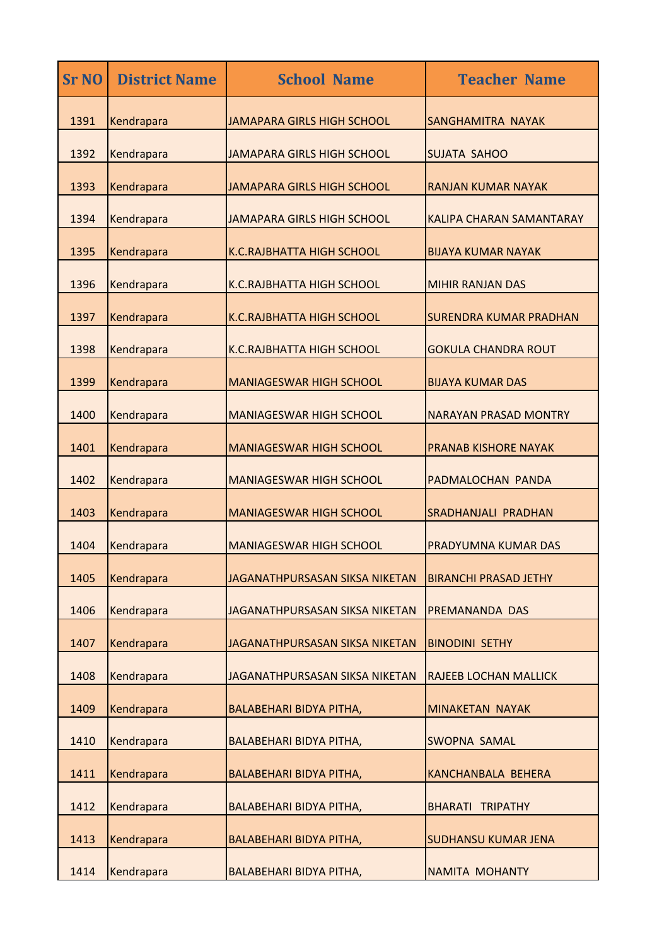| <b>Sr NO</b> | <b>District Name</b> | <b>School Name</b>                | <b>Teacher Name</b>             |
|--------------|----------------------|-----------------------------------|---------------------------------|
| 1391         | Kendrapara           | <b>JAMAPARA GIRLS HIGH SCHOOL</b> | SANGHAMITRA NAYAK               |
| 1392         | Kendrapara           | <b>JAMAPARA GIRLS HIGH SCHOOL</b> | <b>SUJATA SAHOO</b>             |
| 1393         | Kendrapara           | <b>JAMAPARA GIRLS HIGH SCHOOL</b> | <b>RANJAN KUMAR NAYAK</b>       |
| 1394         | Kendrapara           | <b>JAMAPARA GIRLS HIGH SCHOOL</b> | <b>KALIPA CHARAN SAMANTARAY</b> |
| 1395         | Kendrapara           | <b>K.C.RAJBHATTA HIGH SCHOOL</b>  | <b>BIJAYA KUMAR NAYAK</b>       |
| 1396         | Kendrapara           | <b>K.C.RAJBHATTA HIGH SCHOOL</b>  | <b>MIHIR RANJAN DAS</b>         |
| 1397         | Kendrapara           | <b>K.C.RAJBHATTA HIGH SCHOOL</b>  | <b>SURENDRA KUMAR PRADHAN</b>   |
| 1398         | Kendrapara           | <b>K.C.RAJBHATTA HIGH SCHOOL</b>  | <b>GOKULA CHANDRA ROUT</b>      |
| 1399         | Kendrapara           | <b>MANIAGESWAR HIGH SCHOOL</b>    | <b>BIJAYA KUMAR DAS</b>         |
| 1400         | Kendrapara           | <b>MANIAGESWAR HIGH SCHOOL</b>    | <b>NARAYAN PRASAD MONTRY</b>    |
| 1401         | Kendrapara           | <b>MANIAGESWAR HIGH SCHOOL</b>    | <b>PRANAB KISHORE NAYAK</b>     |
| 1402         | Kendrapara           | <b>MANIAGESWAR HIGH SCHOOL</b>    | PADMALOCHAN PANDA               |
| 1403         | Kendrapara           | <b>MANIAGESWAR HIGH SCHOOL</b>    | SRADHANJALI PRADHAN             |
| 1404         | Kendrapara           | <b>MANIAGESWAR HIGH SCHOOL</b>    | PRADYUMNA KUMAR DAS             |
| 1405         | Kendrapara           | JAGANATHPURSASAN SIKSA NIKETAN    | <b>BIRANCHI PRASAD JETHY</b>    |
| 1406         | Kendrapara           | JAGANATHPURSASAN SIKSA NIKETAN    | PREMANANDA DAS                  |
| 1407         | Kendrapara           | JAGANATHPURSASAN SIKSA NIKETAN    | <b>BINODINI SETHY</b>           |
| 1408         | Kendrapara           | JAGANATHPURSASAN SIKSA NIKETAN    | <b>RAJEEB LOCHAN MALLICK</b>    |
| 1409         | Kendrapara           | BALABEHARI BIDYA PITHA,           | <b>MINAKETAN NAYAK</b>          |
| 1410         | Kendrapara           | BALABEHARI BIDYA PITHA,           | <b>SWOPNA SAMAL</b>             |
| 1411         | Kendrapara           | BALABEHARI BIDYA PITHA,           | KANCHANBALA BEHERA              |
| 1412         | Kendrapara           | BALABEHARI BIDYA PITHA,           | <b>BHARATI TRIPATHY</b>         |
| 1413         | Kendrapara           | BALABEHARI BIDYA PITHA,           | <b>SUDHANSU KUMAR JENA</b>      |
| 1414         | Kendrapara           | BALABEHARI BIDYA PITHA,           | NAMITA MOHANTY                  |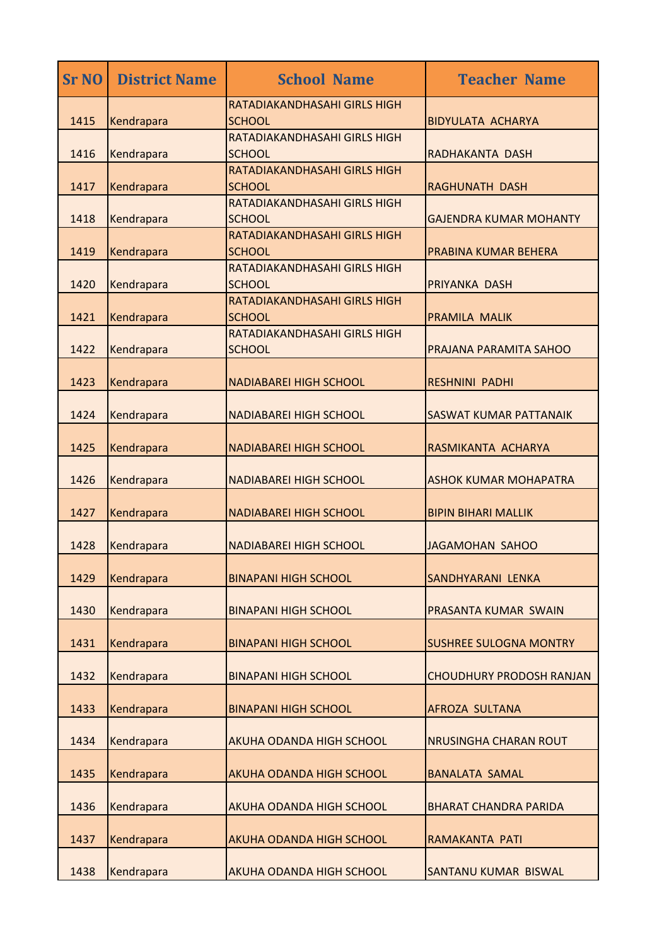| <b>Sr NO</b> | <b>District Name</b> | <b>School Name</b>                            | <b>Teacher Name</b>             |
|--------------|----------------------|-----------------------------------------------|---------------------------------|
| 1415         | Kendrapara           | RATADIAKANDHASAHI GIRLS HIGH<br><b>SCHOOL</b> | <b>BIDYULATA ACHARYA</b>        |
| 1416         | Kendrapara           | RATADIAKANDHASAHI GIRLS HIGH<br><b>SCHOOL</b> | RADHAKANTA DASH                 |
| 1417         | Kendrapara           | RATADIAKANDHASAHI GIRLS HIGH<br><b>SCHOOL</b> | <b>RAGHUNATH DASH</b>           |
| 1418         | Kendrapara           | RATADIAKANDHASAHI GIRLS HIGH<br><b>SCHOOL</b> | <b>GAJENDRA KUMAR MOHANTY</b>   |
| 1419         | Kendrapara           | RATADIAKANDHASAHI GIRLS HIGH<br><b>SCHOOL</b> | <b>PRABINA KUMAR BEHERA</b>     |
| 1420         | Kendrapara           | RATADIAKANDHASAHI GIRLS HIGH<br><b>SCHOOL</b> | PRIYANKA DASH                   |
| 1421         | Kendrapara           | RATADIAKANDHASAHI GIRLS HIGH<br><b>SCHOOL</b> | PRAMILA MALIK                   |
| 1422         | Kendrapara           | RATADIAKANDHASAHI GIRLS HIGH<br><b>SCHOOL</b> | PRAJANA PARAMITA SAHOO          |
| 1423         | Kendrapara           | <b>NADIABAREI HIGH SCHOOL</b>                 | <b>RESHNINI PADHI</b>           |
| 1424         | Kendrapara           | <b>NADIABAREI HIGH SCHOOL</b>                 | <b>SASWAT KUMAR PATTANAIK</b>   |
| 1425         | Kendrapara           | <b>NADIABAREI HIGH SCHOOL</b>                 | RASMIKANTA ACHARYA              |
| 1426         | Kendrapara           | <b>NADIABAREI HIGH SCHOOL</b>                 | <b>ASHOK KUMAR MOHAPATRA</b>    |
| 1427         | Kendrapara           | <b>NADIABAREI HIGH SCHOOL</b>                 | <b>BIPIN BIHARI MALLIK</b>      |
| 1428         | Kendrapara           | <b>NADIABAREI HIGH SCHOOL</b>                 | JAGAMOHAN SAHOO                 |
| 1429         | Kendrapara           | <b>BINAPANI HIGH SCHOOL</b>                   | SANDHYARANI LENKA               |
| 1430         | Kendrapara           | <b>BINAPANI HIGH SCHOOL</b>                   | PRASANTA KUMAR SWAIN            |
| 1431         | Kendrapara           | <b>BINAPANI HIGH SCHOOL</b>                   | <b>SUSHREE SULOGNA MONTRY</b>   |
| 1432         | Kendrapara           | <b>BINAPANI HIGH SCHOOL</b>                   | <b>CHOUDHURY PRODOSH RANJAN</b> |
| 1433         | Kendrapara           | <b>BINAPANI HIGH SCHOOL</b>                   | AFROZA SULTANA                  |
| 1434         | Kendrapara           | <b>AKUHA ODANDA HIGH SCHOOL</b>               | <b>NRUSINGHA CHARAN ROUT</b>    |
| 1435         | Kendrapara           | AKUHA ODANDA HIGH SCHOOL                      | <b>BANALATA SAMAL</b>           |
| 1436         | Kendrapara           | <b>AKUHA ODANDA HIGH SCHOOL</b>               | <b>BHARAT CHANDRA PARIDA</b>    |
| 1437         | Kendrapara           | AKUHA ODANDA HIGH SCHOOL                      | RAMAKANTA PATI                  |
| 1438         | Kendrapara           | AKUHA ODANDA HIGH SCHOOL                      | <b>SANTANU KUMAR BISWAL</b>     |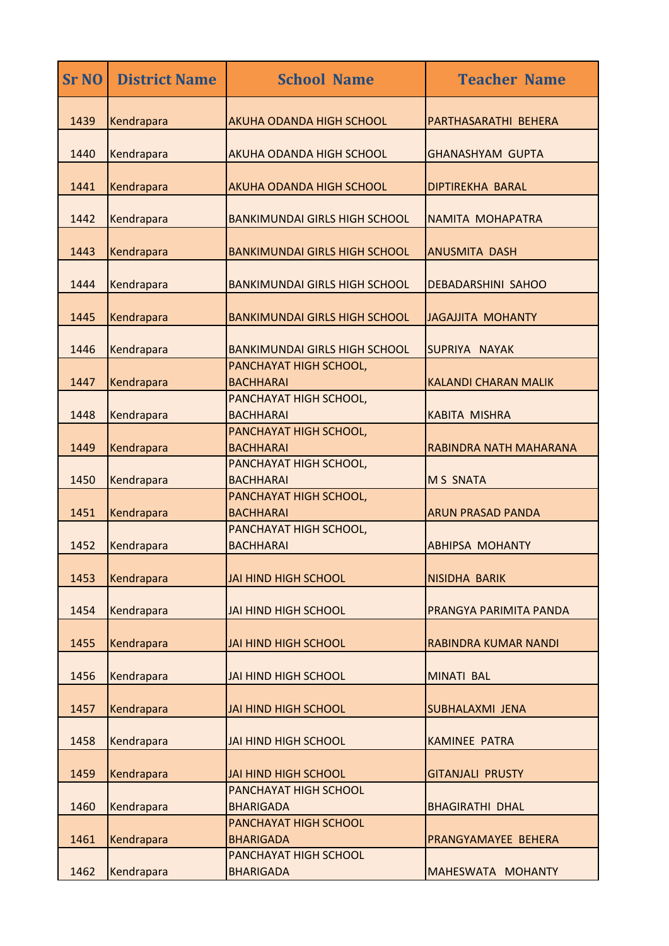| <b>Sr NO</b> | <b>District Name</b> | <b>School Name</b>                         | <b>Teacher Name</b>         |
|--------------|----------------------|--------------------------------------------|-----------------------------|
| 1439         | Kendrapara           | <b>AKUHA ODANDA HIGH SCHOOL</b>            | PARTHASARATHI BEHERA        |
| 1440         | Kendrapara           | <b>AKUHA ODANDA HIGH SCHOOL</b>            | <b>GHANASHYAM GUPTA</b>     |
| 1441         | Kendrapara           | <b>AKUHA ODANDA HIGH SCHOOL</b>            | DIPTIREKHA BARAL            |
| 1442         | Kendrapara           | <b>BANKIMUNDAI GIRLS HIGH SCHOOL</b>       | NAMITA MOHAPATRA            |
| 1443         | Kendrapara           | <b>BANKIMUNDAI GIRLS HIGH SCHOOL</b>       | <b>ANUSMITA DASH</b>        |
| 1444         | Kendrapara           | <b>BANKIMUNDAI GIRLS HIGH SCHOOL</b>       | <b>DEBADARSHINI SAHOO</b>   |
| 1445         | Kendrapara           | <b>BANKIMUNDAI GIRLS HIGH SCHOOL</b>       | <b>JAGAJJITA MOHANTY</b>    |
| 1446         | Kendrapara           | <b>BANKIMUNDAI GIRLS HIGH SCHOOL</b>       | SUPRIYA NAYAK               |
| 1447         | Kendrapara           | PANCHAYAT HIGH SCHOOL,<br><b>BACHHARAI</b> | <b>KALANDI CHARAN MALIK</b> |
| 1448         | Kendrapara           | PANCHAYAT HIGH SCHOOL,<br><b>BACHHARAI</b> | <b>KABITA MISHRA</b>        |
| 1449         | Kendrapara           | PANCHAYAT HIGH SCHOOL,<br><b>BACHHARAI</b> | RABINDRA NATH MAHARANA      |
| 1450         | Kendrapara           | PANCHAYAT HIGH SCHOOL,<br><b>BACHHARAI</b> | <b>MS SNATA</b>             |
| 1451         | Kendrapara           | PANCHAYAT HIGH SCHOOL,<br><b>BACHHARAI</b> | <b>ARUN PRASAD PANDA</b>    |
| 1452         | Kendrapara           | PANCHAYAT HIGH SCHOOL,<br><b>BACHHARAI</b> | <b>ABHIPSA MOHANTY</b>      |
| 1453         | Kendrapara           | <b>JAI HIND HIGH SCHOOL</b>                | <b>NISIDHA BARIK</b>        |
| 1454         | Kendrapara           | <b>JAI HIND HIGH SCHOOL</b>                | PRANGYA PARIMITA PANDA      |
| 1455         | Kendrapara           | JAI HIND HIGH SCHOOL                       | RABINDRA KUMAR NANDI        |
| 1456         | Kendrapara           | <b>JAI HIND HIGH SCHOOL</b>                | <b>MINATI BAL</b>           |
| 1457         | Kendrapara           | JAI HIND HIGH SCHOOL                       | SUBHALAXMI JENA             |
| 1458         | Kendrapara           | JAI HIND HIGH SCHOOL                       | <b>KAMINEE PATRA</b>        |
| 1459         | Kendrapara           | <b>JAI HIND HIGH SCHOOL</b>                | <b>GITANJALI PRUSTY</b>     |
| 1460         | Kendrapara           | PANCHAYAT HIGH SCHOOL<br><b>BHARIGADA</b>  | <b>BHAGIRATHI DHAL</b>      |
| 1461         | Kendrapara           | PANCHAYAT HIGH SCHOOL<br><b>BHARIGADA</b>  | PRANGYAMAYEE BEHERA         |
| 1462         | Kendrapara           | PANCHAYAT HIGH SCHOOL<br><b>BHARIGADA</b>  | MAHESWATA MOHANTY           |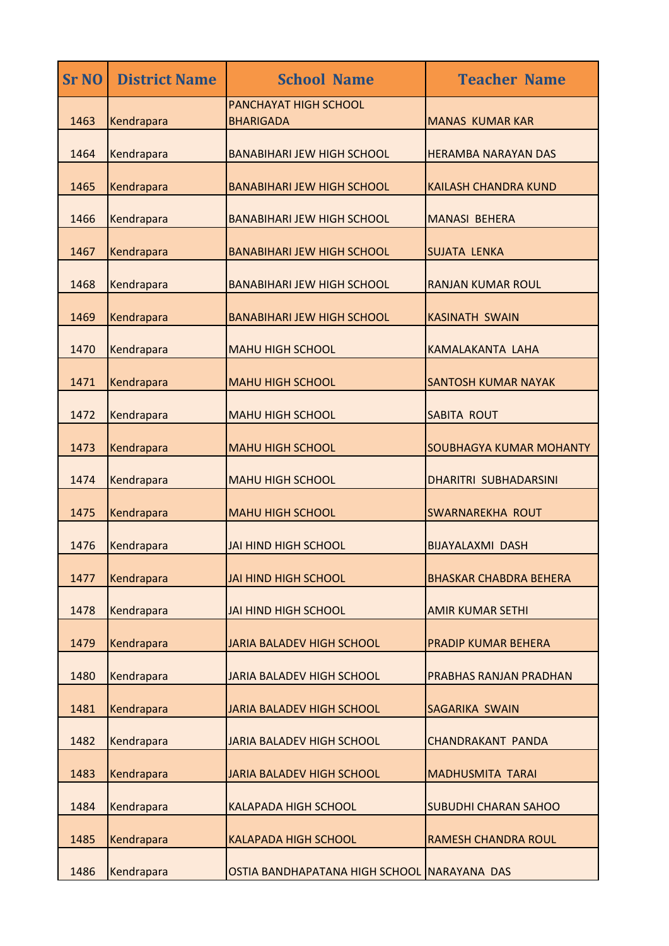| <b>Sr NO</b> | <b>District Name</b> | <b>School Name</b>                          | <b>Teacher Name</b>           |
|--------------|----------------------|---------------------------------------------|-------------------------------|
| 1463         | Kendrapara           | PANCHAYAT HIGH SCHOOL<br><b>BHARIGADA</b>   | <b>MANAS KUMAR KAR</b>        |
| 1464         | Kendrapara           | <b>BANABIHARI JEW HIGH SCHOOL</b>           | <b>HERAMBA NARAYAN DAS</b>    |
| 1465         | Kendrapara           | <b>BANABIHARI JEW HIGH SCHOOL</b>           | <b>KAILASH CHANDRA KUND</b>   |
| 1466         | Kendrapara           | <b>BANABIHARI JEW HIGH SCHOOL</b>           | <b>MANASI BEHERA</b>          |
| 1467         | Kendrapara           | <b>BANABIHARI JEW HIGH SCHOOL</b>           | <b>SUJATA LENKA</b>           |
| 1468         | Kendrapara           | <b>BANABIHARI JEW HIGH SCHOOL</b>           | <b>RANJAN KUMAR ROUL</b>      |
| 1469         | Kendrapara           | <b>BANABIHARI JEW HIGH SCHOOL</b>           | <b>KASINATH SWAIN</b>         |
| 1470         | Kendrapara           | <b>MAHU HIGH SCHOOL</b>                     | <b>KAMALAKANTA LAHA</b>       |
| 1471         | Kendrapara           | <b>MAHU HIGH SCHOOL</b>                     | <b>SANTOSH KUMAR NAYAK</b>    |
| 1472         | Kendrapara           | <b>MAHU HIGH SCHOOL</b>                     | <b>SABITA ROUT</b>            |
| 1473         | Kendrapara           | <b>MAHU HIGH SCHOOL</b>                     | SOUBHAGYA KUMAR MOHANTY       |
| 1474         | Kendrapara           | <b>MAHU HIGH SCHOOL</b>                     | <b>DHARITRI SUBHADARSINI</b>  |
| 1475         | Kendrapara           | <b>MAHU HIGH SCHOOL</b>                     | <b>SWARNAREKHA ROUT</b>       |
| 1476         | Kendrapara           | <b>JAI HIND HIGH SCHOOL</b>                 | <b>BIJAYALAXMI DASH</b>       |
| 1477         | Kendrapara           | <b>JAI HIND HIGH SCHOOL</b>                 | <b>BHASKAR CHABDRA BEHERA</b> |
| 1478         | Kendrapara           | <b>JAI HIND HIGH SCHOOL</b>                 | <b>AMIR KUMAR SETHI</b>       |
| 1479         | Kendrapara           | <b>JARIA BALADEV HIGH SCHOOL</b>            | PRADIP KUMAR BEHERA           |
| 1480         | Kendrapara           | <b>JARIA BALADEV HIGH SCHOOL</b>            | PRABHAS RANJAN PRADHAN        |
| 1481         | Kendrapara           | JARIA BALADEV HIGH SCHOOL                   | SAGARIKA SWAIN                |
| 1482         | Kendrapara           | <b>JARIA BALADEV HIGH SCHOOL</b>            | <b>CHANDRAKANT PANDA</b>      |
| 1483         | Kendrapara           | <b>JARIA BALADEV HIGH SCHOOL</b>            | <b>MADHUSMITA TARAI</b>       |
| 1484         | Kendrapara           | <b>KALAPADA HIGH SCHOOL</b>                 | <b>SUBUDHI CHARAN SAHOO</b>   |
| 1485         | Kendrapara           | <b>KALAPADA HIGH SCHOOL</b>                 | <b>RAMESH CHANDRA ROUL</b>    |
| 1486         | Kendrapara           | OSTIA BANDHAPATANA HIGH SCHOOL NARAYANA DAS |                               |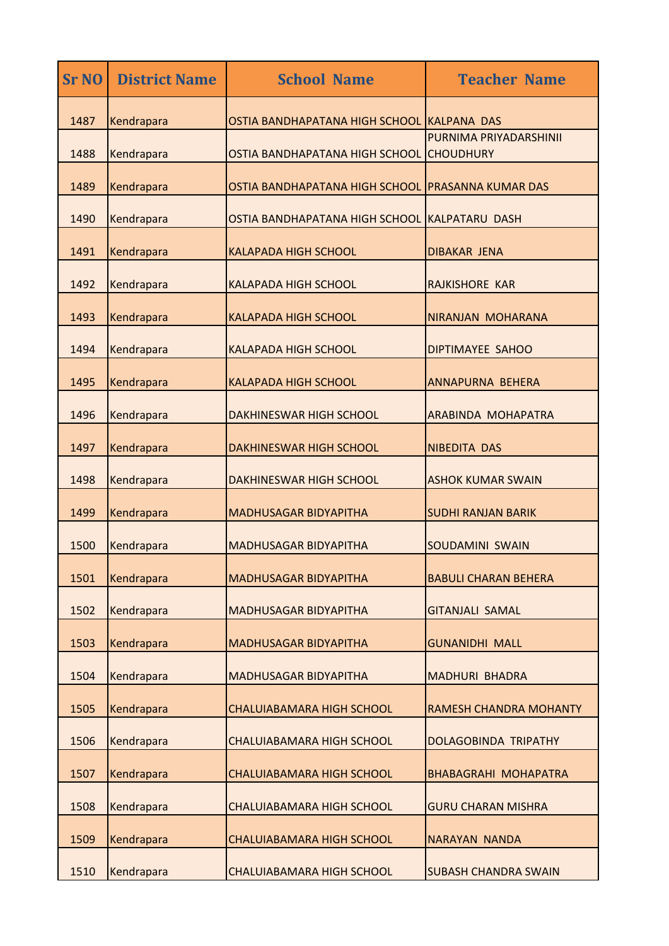| <b>Sr NO</b> | <b>District Name</b> | <b>School Name</b>                         | <b>Teacher Name</b>                        |
|--------------|----------------------|--------------------------------------------|--------------------------------------------|
| 1487         | Kendrapara           | OSTIA BANDHAPATANA HIGH SCHOOL KALPANA DAS |                                            |
| 1488         | Kendrapara           | OSTIA BANDHAPATANA HIGH SCHOOL             | PURNIMA PRIYADARSHINII<br><b>CHOUDHURY</b> |
| 1489         | Kendrapara           | OSTIA BANDHAPATANA HIGH SCHOOL             | <b>PRASANNA KUMAR DAS</b>                  |
| 1490         | Kendrapara           | OSTIA BANDHAPATANA HIGH SCHOOL             | <b>KALPATARU DASH</b>                      |
| 1491         | Kendrapara           | <b>KALAPADA HIGH SCHOOL</b>                | <b>DIBAKAR JENA</b>                        |
| 1492         | Kendrapara           | <b>KALAPADA HIGH SCHOOL</b>                | RAJKISHORE KAR                             |
| 1493         | Kendrapara           | <b>KALAPADA HIGH SCHOOL</b>                | NIRANJAN MOHARANA                          |
| 1494         | Kendrapara           | <b>KALAPADA HIGH SCHOOL</b>                | <b>DIPTIMAYEE SAHOO</b>                    |
| 1495         | Kendrapara           | <b>KALAPADA HIGH SCHOOL</b>                | ANNAPURNA BEHERA                           |
| 1496         | Kendrapara           | <b>DAKHINESWAR HIGH SCHOOL</b>             | ARABINDA MOHAPATRA                         |
| 1497         | Kendrapara           | DAKHINESWAR HIGH SCHOOL                    | <b>NIBEDITA DAS</b>                        |
| 1498         | Kendrapara           | <b>DAKHINESWAR HIGH SCHOOL</b>             | <b>ASHOK KUMAR SWAIN</b>                   |
| 1499         | Kendrapara           | <b>MADHUSAGAR BIDYAPITHA</b>               | <b>SUDHI RANJAN BARIK</b>                  |
| 1500         | Kendrapara           | <b>MADHUSAGAR BIDYAPITHA</b>               | <b>SOUDAMINI SWAIN</b>                     |
| 1501         | Kendrapara           | <b>MADHUSAGAR BIDYAPITHA</b>               | <b>BABULI CHARAN BEHERA</b>                |
| 1502         | Kendrapara           | <b>MADHUSAGAR BIDYAPITHA</b>               | <b>GITANJALI SAMAL</b>                     |
| 1503         | Kendrapara           | <b>MADHUSAGAR BIDYAPITHA</b>               | <b>GUNANIDHI MALL</b>                      |
| 1504         | Kendrapara           | <b>MADHUSAGAR BIDYAPITHA</b>               | <b>MADHURI BHADRA</b>                      |
| 1505         | Kendrapara           | CHALUIABAMARA HIGH SCHOOL                  | <b>RAMESH CHANDRA MOHANTY</b>              |
| 1506         | Kendrapara           | <b>CHALUIABAMARA HIGH SCHOOL</b>           | <b>DOLAGOBINDA TRIPATHY</b>                |
| 1507         | Kendrapara           | <b>CHALUIABAMARA HIGH SCHOOL</b>           | <b>BHABAGRAHI MOHAPATRA</b>                |
| 1508         | Kendrapara           | CHALUIABAMARA HIGH SCHOOL                  | <b>GURU CHARAN MISHRA</b>                  |
| 1509         | Kendrapara           | CHALUIABAMARA HIGH SCHOOL                  | NARAYAN NANDA                              |
| 1510         | Kendrapara           | CHALUIABAMARA HIGH SCHOOL                  | <b>SUBASH CHANDRA SWAIN</b>                |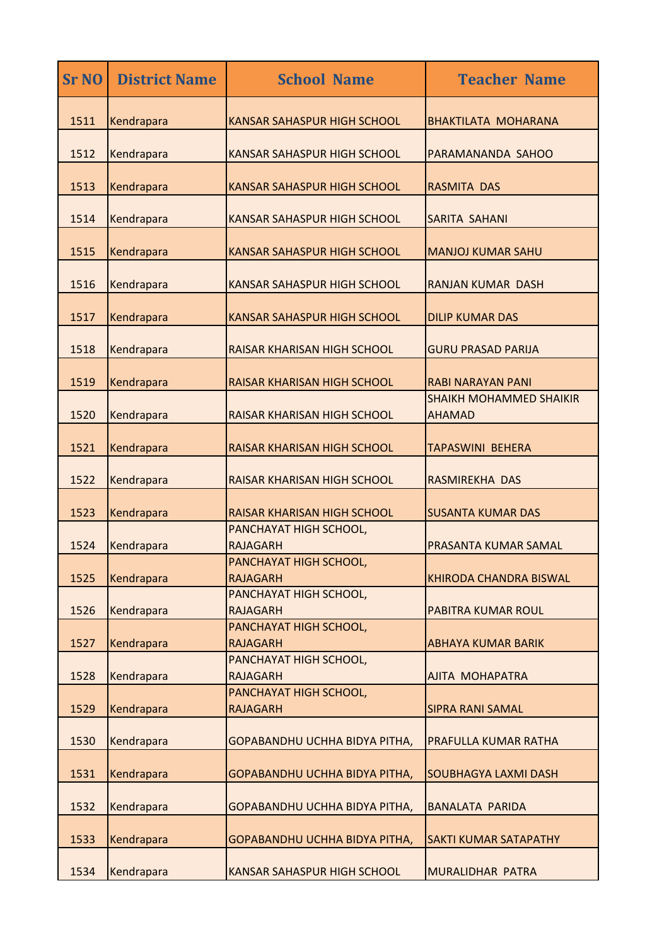| <b>Sr NO</b> | <b>District Name</b> | <b>School Name</b>                        | <b>Teacher Name</b>                             |
|--------------|----------------------|-------------------------------------------|-------------------------------------------------|
| 1511         | Kendrapara           | <b>KANSAR SAHASPUR HIGH SCHOOL</b>        | <b>BHAKTILATA MOHARANA</b>                      |
| 1512         | Kendrapara           | <b>KANSAR SAHASPUR HIGH SCHOOL</b>        | PARAMANANDA SAHOO                               |
| 1513         | Kendrapara           | <b>KANSAR SAHASPUR HIGH SCHOOL</b>        | RASMITA DAS                                     |
| 1514         | Kendrapara           | <b>KANSAR SAHASPUR HIGH SCHOOL</b>        | <b>SARITA SAHANI</b>                            |
| 1515         | Kendrapara           | <b>KANSAR SAHASPUR HIGH SCHOOL</b>        | <b>MANJOJ KUMAR SAHU</b>                        |
| 1516         | Kendrapara           | <b>KANSAR SAHASPUR HIGH SCHOOL</b>        | <b>RANJAN KUMAR DASH</b>                        |
| 1517         | Kendrapara           | <b>KANSAR SAHASPUR HIGH SCHOOL</b>        | <b>DILIP KUMAR DAS</b>                          |
| 1518         | Kendrapara           | RAISAR KHARISAN HIGH SCHOOL               | <b>GURU PRASAD PARIJA</b>                       |
| 1519         | Kendrapara           | <b>RAISAR KHARISAN HIGH SCHOOL</b>        | <b>RABI NARAYAN PANI</b>                        |
| 1520         | Kendrapara           | RAISAR KHARISAN HIGH SCHOOL               | <b>SHAIKH MOHAMMED SHAIKIR</b><br><b>AHAMAD</b> |
| 1521         | Kendrapara           | RAISAR KHARISAN HIGH SCHOOL               | <b>TAPASWINI BEHERA</b>                         |
| 1522         | Kendrapara           | <b>RAISAR KHARISAN HIGH SCHOOL</b>        | RASMIREKHA DAS                                  |
| 1523         | Kendrapara           | <b>RAISAR KHARISAN HIGH SCHOOL</b>        | <b>SUSANTA KUMAR DAS</b>                        |
| 1524         | Kendrapara           | PANCHAYAT HIGH SCHOOL,<br><b>RAJAGARH</b> | PRASANTA KUMAR SAMAL                            |
| 1525         | Kendrapara           | PANCHAYAT HIGH SCHOOL,<br><b>RAJAGARH</b> | KHIRODA CHANDRA BISWAL                          |
| 1526         | Kendrapara           | PANCHAYAT HIGH SCHOOL,<br><b>RAJAGARH</b> | <b>PABITRA KUMAR ROUL</b>                       |
| 1527         | Kendrapara           | PANCHAYAT HIGH SCHOOL,<br><b>RAJAGARH</b> | <b>ABHAYA KUMAR BARIK</b>                       |
| 1528         | Kendrapara           | PANCHAYAT HIGH SCHOOL,<br><b>RAJAGARH</b> | AJITA MOHAPATRA                                 |
| 1529         | Kendrapara           | PANCHAYAT HIGH SCHOOL,<br><b>RAJAGARH</b> | <b>SIPRA RANI SAMAL</b>                         |
| 1530         | Kendrapara           | GOPABANDHU UCHHA BIDYA PITHA,             | <b>PRAFULLA KUMAR RATHA</b>                     |
| 1531         | Kendrapara           | GOPABANDHU UCHHA BIDYA PITHA,             | <b>SOUBHAGYA LAXMI DASH</b>                     |
| 1532         | Kendrapara           | GOPABANDHU UCHHA BIDYA PITHA,             | <b>BANALATA PARIDA</b>                          |
| 1533         | Kendrapara           | GOPABANDHU UCHHA BIDYA PITHA,             | <b>SAKTI KUMAR SATAPATHY</b>                    |
| 1534         | Kendrapara           | <b>KANSAR SAHASPUR HIGH SCHOOL</b>        | <b>MURALIDHAR PATRA</b>                         |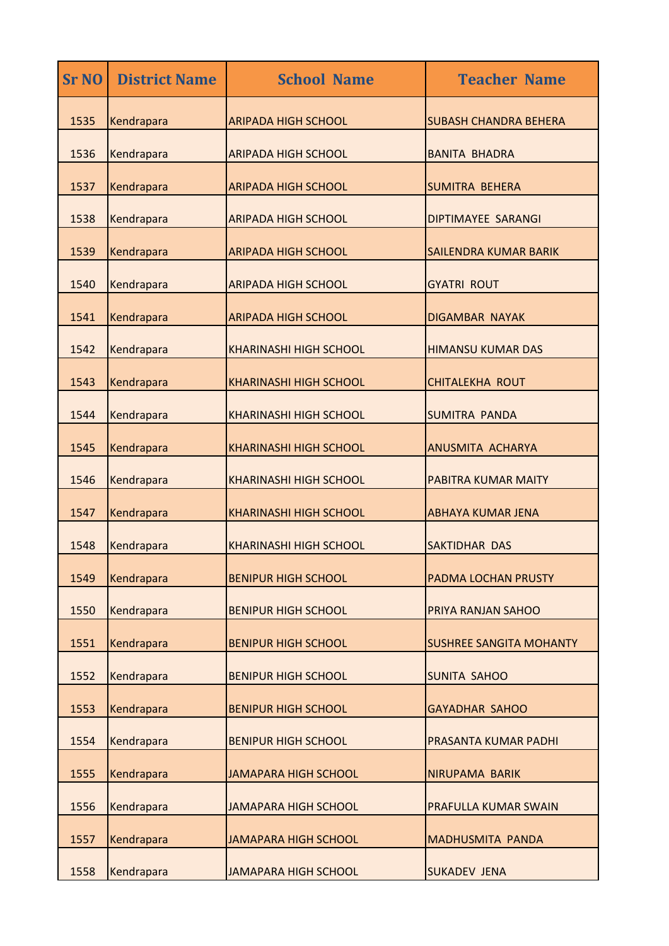| <b>Sr NO</b> | <b>District Name</b> | <b>School Name</b>            | <b>Teacher Name</b>            |
|--------------|----------------------|-------------------------------|--------------------------------|
| 1535         | Kendrapara           | <b>ARIPADA HIGH SCHOOL</b>    | <b>SUBASH CHANDRA BEHERA</b>   |
| 1536         | Kendrapara           | <b>ARIPADA HIGH SCHOOL</b>    | <b>BANITA BHADRA</b>           |
| 1537         | Kendrapara           | <b>ARIPADA HIGH SCHOOL</b>    | <b>SUMITRA BEHERA</b>          |
| 1538         | Kendrapara           | <b>ARIPADA HIGH SCHOOL</b>    | DIPTIMAYEE SARANGI             |
| 1539         | Kendrapara           | <b>ARIPADA HIGH SCHOOL</b>    | <b>SAILENDRA KUMAR BARIK</b>   |
| 1540         | Kendrapara           | <b>ARIPADA HIGH SCHOOL</b>    | <b>GYATRI ROUT</b>             |
| 1541         | Kendrapara           | <b>ARIPADA HIGH SCHOOL</b>    | <b>DIGAMBAR NAYAK</b>          |
| 1542         | Kendrapara           | <b>KHARINASHI HIGH SCHOOL</b> | <b>HIMANSU KUMAR DAS</b>       |
| 1543         | Kendrapara           | <b>KHARINASHI HIGH SCHOOL</b> | <b>CHITALEKHA ROUT</b>         |
| 1544         | Kendrapara           | <b>KHARINASHI HIGH SCHOOL</b> | <b>SUMITRA PANDA</b>           |
| 1545         | Kendrapara           | <b>KHARINASHI HIGH SCHOOL</b> | ANUSMITA ACHARYA               |
| 1546         | Kendrapara           | <b>KHARINASHI HIGH SCHOOL</b> | <b>PABITRA KUMAR MAITY</b>     |
| 1547         | Kendrapara           | <b>KHARINASHI HIGH SCHOOL</b> | <b>ABHAYA KUMAR JENA</b>       |
| 1548         | Kendrapara           | <b>KHARINASHI HIGH SCHOOL</b> | <b>SAKTIDHAR DAS</b>           |
| 1549         | Kendrapara           | <b>BENIPUR HIGH SCHOOL</b>    | PADMA LOCHAN PRUSTY            |
| 1550         | Kendrapara           | <b>BENIPUR HIGH SCHOOL</b>    | PRIYA RANJAN SAHOO             |
| 1551         | Kendrapara           | <b>BENIPUR HIGH SCHOOL</b>    | <b>SUSHREE SANGITA MOHANTY</b> |
| 1552         | Kendrapara           | <b>BENIPUR HIGH SCHOOL</b>    | <b>SUNITA SAHOO</b>            |
| 1553         | Kendrapara           | <b>BENIPUR HIGH SCHOOL</b>    | <b>GAYADHAR SAHOO</b>          |
| 1554         | Kendrapara           | <b>BENIPUR HIGH SCHOOL</b>    | PRASANTA KUMAR PADHI           |
| 1555         | Kendrapara           | <b>JAMAPARA HIGH SCHOOL</b>   | <b>NIRUPAMA BARIK</b>          |
| 1556         | Kendrapara           | <b>JAMAPARA HIGH SCHOOL</b>   | PRAFULLA KUMAR SWAIN           |
| 1557         | Kendrapara           | <b>JAMAPARA HIGH SCHOOL</b>   | <b>MADHUSMITA PANDA</b>        |
| 1558         | Kendrapara           | <b>JAMAPARA HIGH SCHOOL</b>   | <b>SUKADEV JENA</b>            |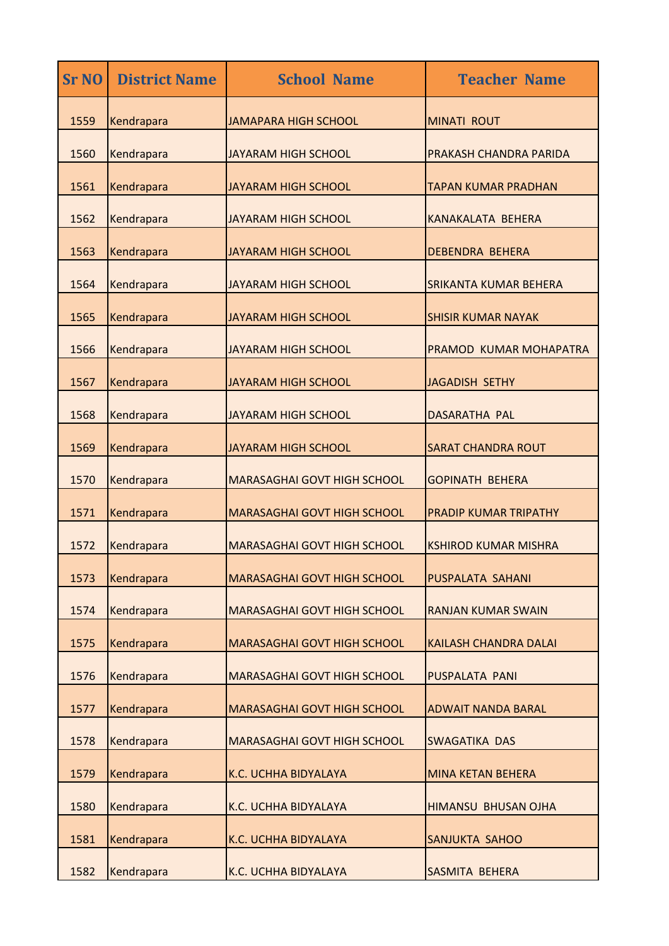| <b>Sr NO</b> | <b>District Name</b> | <b>School Name</b>                 | <b>Teacher Name</b>          |
|--------------|----------------------|------------------------------------|------------------------------|
| 1559         | Kendrapara           | <b>JAMAPARA HIGH SCHOOL</b>        | <b>MINATI ROUT</b>           |
| 1560         | Kendrapara           | <b>JAYARAM HIGH SCHOOL</b>         | PRAKASH CHANDRA PARIDA       |
| 1561         | Kendrapara           | <b>JAYARAM HIGH SCHOOL</b>         | <b>TAPAN KUMAR PRADHAN</b>   |
| 1562         | Kendrapara           | JAYARAM HIGH SCHOOL                | <b>KANAKALATA BEHERA</b>     |
| 1563         | Kendrapara           | <b>JAYARAM HIGH SCHOOL</b>         | <b>DEBENDRA BEHERA</b>       |
| 1564         | Kendrapara           | <b>JAYARAM HIGH SCHOOL</b>         | SRIKANTA KUMAR BEHERA        |
| 1565         | Kendrapara           | <b>JAYARAM HIGH SCHOOL</b>         | <b>SHISIR KUMAR NAYAK</b>    |
| 1566         | Kendrapara           | <b>JAYARAM HIGH SCHOOL</b>         | PRAMOD KUMAR MOHAPATRA       |
| 1567         | Kendrapara           | <b>JAYARAM HIGH SCHOOL</b>         | <b>JAGADISH SETHY</b>        |
| 1568         | Kendrapara           | <b>JAYARAM HIGH SCHOOL</b>         | <b>DASARATHA PAL</b>         |
| 1569         | Kendrapara           | JAYARAM HIGH SCHOOL                | <b>SARAT CHANDRA ROUT</b>    |
| 1570         | Kendrapara           | <b>MARASAGHAI GOVT HIGH SCHOOL</b> | <b>GOPINATH BEHERA</b>       |
| 1571         | Kendrapara           | <b>MARASAGHAI GOVT HIGH SCHOOL</b> | PRADIP KUMAR TRIPATHY        |
| 1572         | Kendrapara           | <b>MARASAGHAI GOVT HIGH SCHOOL</b> | <b>KSHIROD KUMAR MISHRA</b>  |
| 1573         | Kendrapara           | <b>MARASAGHAI GOVT HIGH SCHOOL</b> | PUSPALATA SAHANI             |
| 1574         | Kendrapara           | <b>MARASAGHAI GOVT HIGH SCHOOL</b> | <b>RANJAN KUMAR SWAIN</b>    |
| 1575         | Kendrapara           | <b>MARASAGHAI GOVT HIGH SCHOOL</b> | <b>KAILASH CHANDRA DALAI</b> |
| 1576         | Kendrapara           | <b>MARASAGHAI GOVT HIGH SCHOOL</b> | <b>PUSPALATA PANI</b>        |
| 1577         | Kendrapara           | <b>MARASAGHAI GOVT HIGH SCHOOL</b> | <b>ADWAIT NANDA BARAL</b>    |
| 1578         | Kendrapara           | <b>MARASAGHAI GOVT HIGH SCHOOL</b> | <b>SWAGATIKA DAS</b>         |
| 1579         | Kendrapara           | K.C. UCHHA BIDYALAYA               | <b>MINA KETAN BEHERA</b>     |
| 1580         | Kendrapara           | K.C. UCHHA BIDYALAYA               | <b>HIMANSU BHUSAN OJHA</b>   |
| 1581         | Kendrapara           | K.C. UCHHA BIDYALAYA               | SANJUKTA SAHOO               |
| 1582         | Kendrapara           | K.C. UCHHA BIDYALAYA               | SASMITA BEHERA               |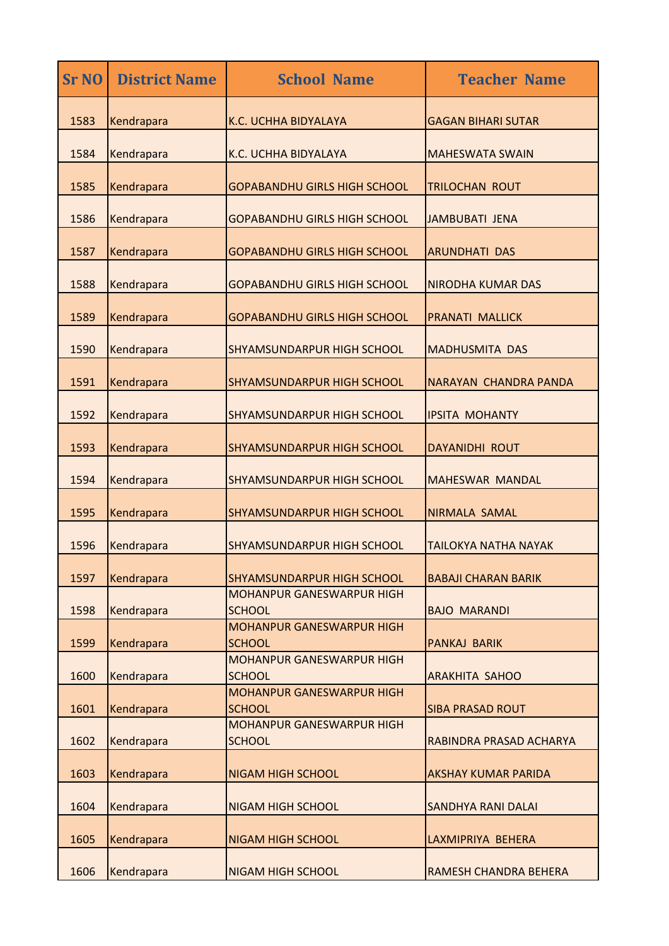| <b>Sr NO</b> | <b>District Name</b> | <b>School Name</b>                                | <b>Teacher Name</b>          |
|--------------|----------------------|---------------------------------------------------|------------------------------|
| 1583         | Kendrapara           | K.C. UCHHA BIDYALAYA                              | <b>GAGAN BIHARI SUTAR</b>    |
| 1584         | Kendrapara           | K.C. UCHHA BIDYALAYA                              | <b>MAHESWATA SWAIN</b>       |
| 1585         | Kendrapara           | <b>GOPABANDHU GIRLS HIGH SCHOOL</b>               | <b>TRILOCHAN ROUT</b>        |
| 1586         | Kendrapara           | <b>GOPABANDHU GIRLS HIGH SCHOOL</b>               | <b>JAMBUBATI JENA</b>        |
| 1587         | Kendrapara           | <b>GOPABANDHU GIRLS HIGH SCHOOL</b>               | <b>ARUNDHATI DAS</b>         |
| 1588         | Kendrapara           | <b>GOPABANDHU GIRLS HIGH SCHOOL</b>               | <b>NIRODHA KUMAR DAS</b>     |
| 1589         | Kendrapara           | <b>GOPABANDHU GIRLS HIGH SCHOOL</b>               | <b>PRANATI MALLICK</b>       |
| 1590         | Kendrapara           | <b>SHYAMSUNDARPUR HIGH SCHOOL</b>                 | <b>MADHUSMITA DAS</b>        |
| 1591         | Kendrapara           | <b>SHYAMSUNDARPUR HIGH SCHOOL</b>                 | <b>NARAYAN CHANDRA PANDA</b> |
| 1592         | Kendrapara           | <b>SHYAMSUNDARPUR HIGH SCHOOL</b>                 | <b>IPSITA MOHANTY</b>        |
| 1593         | Kendrapara           | <b>SHYAMSUNDARPUR HIGH SCHOOL</b>                 | <b>DAYANIDHI ROUT</b>        |
| 1594         | Kendrapara           | SHYAMSUNDARPUR HIGH SCHOOL                        | <b>MAHESWAR MANDAL</b>       |
| 1595         | Kendrapara           | SHYAMSUNDARPUR HIGH SCHOOL                        | <b>NIRMALA SAMAL</b>         |
| 1596         | Kendrapara           | <b>SHYAMSUNDARPUR HIGH SCHOOL</b>                 | <b>TAILOKYA NATHA NAYAK</b>  |
| 1597         | Kendrapara           | <b>SHYAMSUNDARPUR HIGH SCHOOL</b>                 | <b>BABAJI CHARAN BARIK</b>   |
| 1598         | Kendrapara           | <b>MOHANPUR GANESWARPUR HIGH</b><br><b>SCHOOL</b> | <b>BAJO MARANDI</b>          |
| 1599         | Kendrapara           | <b>MOHANPUR GANESWARPUR HIGH</b><br><b>SCHOOL</b> | <b>PANKAJ BARIK</b>          |
| 1600         | Kendrapara           | <b>MOHANPUR GANESWARPUR HIGH</b><br><b>SCHOOL</b> | <b>ARAKHITA SAHOO</b>        |
| 1601         | Kendrapara           | <b>MOHANPUR GANESWARPUR HIGH</b><br><b>SCHOOL</b> | <b>SIBA PRASAD ROUT</b>      |
| 1602         | Kendrapara           | <b>MOHANPUR GANESWARPUR HIGH</b><br><b>SCHOOL</b> | RABINDRA PRASAD ACHARYA      |
| 1603         | Kendrapara           | <b>NIGAM HIGH SCHOOL</b>                          | <b>AKSHAY KUMAR PARIDA</b>   |
| 1604         | Kendrapara           | <b>NIGAM HIGH SCHOOL</b>                          | <b>SANDHYA RANI DALAI</b>    |
| 1605         | Kendrapara           | <b>NIGAM HIGH SCHOOL</b>                          | LAXMIPRIYA BEHERA            |
| 1606         | Kendrapara           | <b>NIGAM HIGH SCHOOL</b>                          | RAMESH CHANDRA BEHERA        |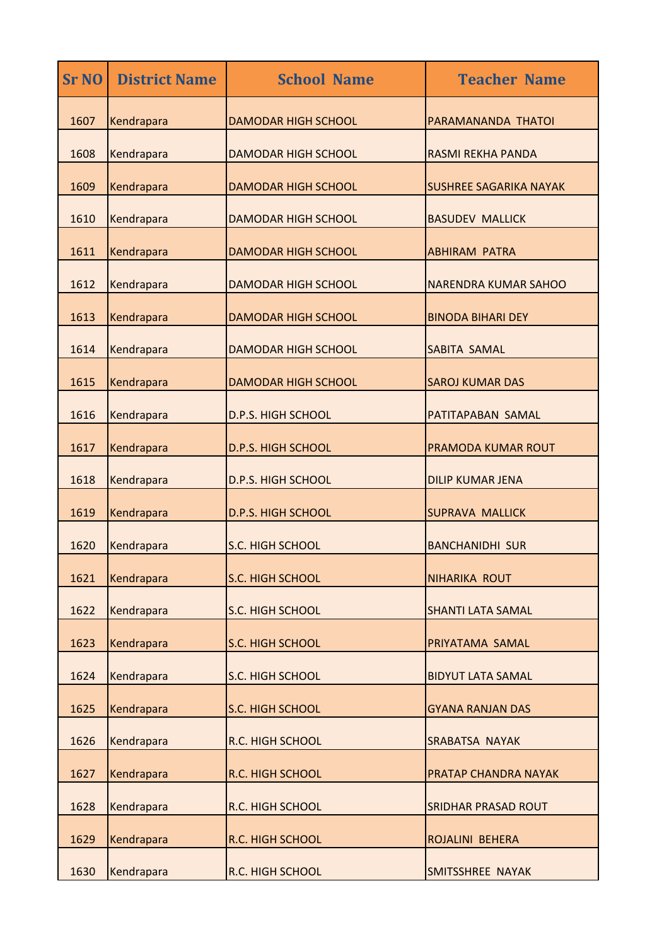| <b>Sr NO</b> | <b>District Name</b> | <b>School Name</b>         | <b>Teacher Name</b>           |
|--------------|----------------------|----------------------------|-------------------------------|
| 1607         | Kendrapara           | <b>DAMODAR HIGH SCHOOL</b> | PARAMANANDA THATOI            |
| 1608         | Kendrapara           | <b>DAMODAR HIGH SCHOOL</b> | RASMI REKHA PANDA             |
| 1609         | Kendrapara           | <b>DAMODAR HIGH SCHOOL</b> | <b>SUSHREE SAGARIKA NAYAK</b> |
| 1610         | Kendrapara           | <b>DAMODAR HIGH SCHOOL</b> | <b>BASUDEV MALLICK</b>        |
| 1611         | Kendrapara           | <b>DAMODAR HIGH SCHOOL</b> | <b>ABHIRAM PATRA</b>          |
| 1612         | Kendrapara           | <b>DAMODAR HIGH SCHOOL</b> | <b>NARENDRA KUMAR SAHOO</b>   |
| 1613         | Kendrapara           | <b>DAMODAR HIGH SCHOOL</b> | <b>BINODA BIHARI DEY</b>      |
| 1614         | Kendrapara           | <b>DAMODAR HIGH SCHOOL</b> | SABITA SAMAL                  |
| 1615         | Kendrapara           | <b>DAMODAR HIGH SCHOOL</b> | <b>SAROJ KUMAR DAS</b>        |
| 1616         | Kendrapara           | <b>D.P.S. HIGH SCHOOL</b>  | PATITAPABAN SAMAL             |
| 1617         | Kendrapara           | <b>D.P.S. HIGH SCHOOL</b>  | <b>PRAMODA KUMAR ROUT</b>     |
| 1618         | Kendrapara           | <b>D.P.S. HIGH SCHOOL</b>  | <b>DILIP KUMAR JENA</b>       |
| 1619         | Kendrapara           | <b>D.P.S. HIGH SCHOOL</b>  | <b>SUPRAVA MALLICK</b>        |
| 1620         | Kendrapara           | S.C. HIGH SCHOOL           | <b>BANCHANIDHI SUR</b>        |
| 1621         | Kendrapara           | S.C. HIGH SCHOOL           | NIHARIKA ROUT                 |
| 1622         | Kendrapara           | S.C. HIGH SCHOOL           | <b>SHANTI LATA SAMAL</b>      |
| 1623         | Kendrapara           | S.C. HIGH SCHOOL           | PRIYATAMA SAMAL               |
| 1624         | Kendrapara           | S.C. HIGH SCHOOL           | <b>BIDYUT LATA SAMAL</b>      |
| 1625         | Kendrapara           | S.C. HIGH SCHOOL           | <b>GYANA RANJAN DAS</b>       |
| 1626         | Kendrapara           | <b>R.C. HIGH SCHOOL</b>    | SRABATSA NAYAK                |
| 1627         | Kendrapara           | R.C. HIGH SCHOOL           | PRATAP CHANDRA NAYAK          |
| 1628         | Kendrapara           | R.C. HIGH SCHOOL           | <b>SRIDHAR PRASAD ROUT</b>    |
| 1629         | Kendrapara           | R.C. HIGH SCHOOL           | ROJALINI BEHERA               |
| 1630         | Kendrapara           | R.C. HIGH SCHOOL           | SMITSSHREE NAYAK              |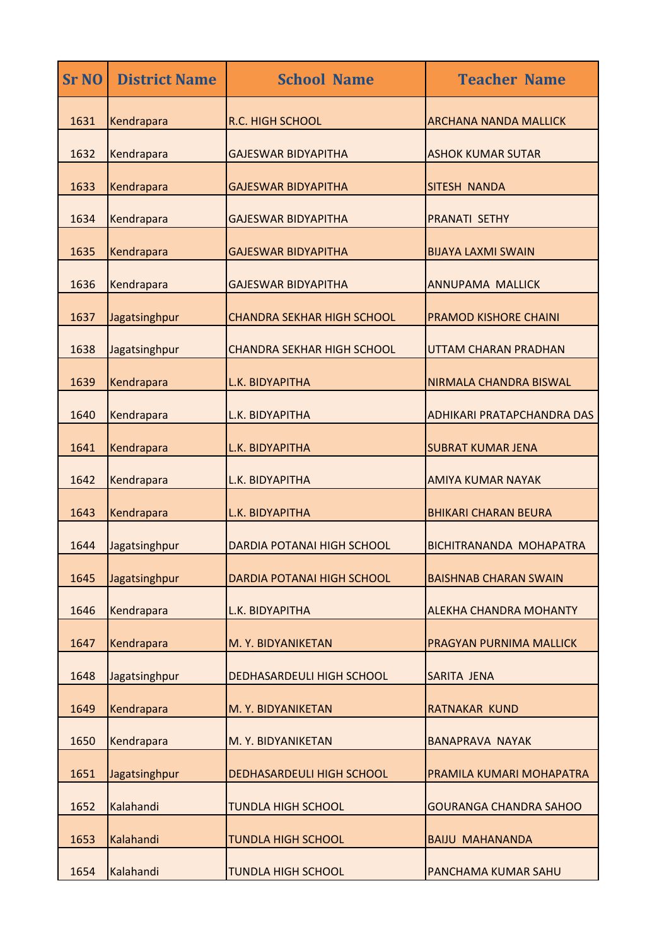| <b>Sr NO</b> | <b>District Name</b> | <b>School Name</b>                | <b>Teacher Name</b>               |
|--------------|----------------------|-----------------------------------|-----------------------------------|
| 1631         | Kendrapara           | <b>R.C. HIGH SCHOOL</b>           | <b>ARCHANA NANDA MALLICK</b>      |
| 1632         | Kendrapara           | <b>GAJESWAR BIDYAPITHA</b>        | <b>ASHOK KUMAR SUTAR</b>          |
| 1633         | Kendrapara           | <b>GAJESWAR BIDYAPITHA</b>        | SITESH NANDA                      |
| 1634         | Kendrapara           | <b>GAJESWAR BIDYAPITHA</b>        | <b>PRANATI SETHY</b>              |
| 1635         | Kendrapara           | <b>GAJESWAR BIDYAPITHA</b>        | <b>BIJAYA LAXMI SWAIN</b>         |
| 1636         | Kendrapara           | <b>GAJESWAR BIDYAPITHA</b>        | <b>ANNUPAMA MALLICK</b>           |
| 1637         | Jagatsinghpur        | <b>CHANDRA SEKHAR HIGH SCHOOL</b> | <b>PRAMOD KISHORE CHAINI</b>      |
| 1638         | Jagatsinghpur        | <b>CHANDRA SEKHAR HIGH SCHOOL</b> | UTTAM CHARAN PRADHAN              |
| 1639         | Kendrapara           | L.K. BIDYAPITHA                   | NIRMALA CHANDRA BISWAL            |
| 1640         | Kendrapara           | L.K. BIDYAPITHA                   | <b>ADHIKARI PRATAPCHANDRA DAS</b> |
| 1641         | Kendrapara           | L.K. BIDYAPITHA                   | <b>SUBRAT KUMAR JENA</b>          |
| 1642         | Kendrapara           | L.K. BIDYAPITHA                   | <b>AMIYA KUMAR NAYAK</b>          |
| 1643         | Kendrapara           | L.K. BIDYAPITHA                   | <b>BHIKARI CHARAN BEURA</b>       |
| 1644         | Jagatsinghpur        | DARDIA POTANAI HIGH SCHOOL        | <b>BICHITRANANDA MOHAPATRA</b>    |
| 1645         | Jagatsinghpur        | <b>DARDIA POTANAI HIGH SCHOOL</b> | <b>BAISHNAB CHARAN SWAIN</b>      |
| 1646         | Kendrapara           | L.K. BIDYAPITHA                   | <b>ALEKHA CHANDRA MOHANTY</b>     |
| 1647         | Kendrapara           | M. Y. BIDYANIKETAN                | PRAGYAN PURNIMA MALLICK           |
| 1648         | Jagatsinghpur        | <b>DEDHASARDEULI HIGH SCHOOL</b>  | SARITA JENA                       |
| 1649         | Kendrapara           | M. Y. BIDYANIKETAN                | RATNAKAR KUND                     |
| 1650         | Kendrapara           | M. Y. BIDYANIKETAN                | <b>BANAPRAVA NAYAK</b>            |
| 1651         | Jagatsinghpur        | <b>DEDHASARDEULI HIGH SCHOOL</b>  | PRAMILA KUMARI MOHAPATRA          |
| 1652         | Kalahandi            | <b>TUNDLA HIGH SCHOOL</b>         | <b>GOURANGA CHANDRA SAHOO</b>     |
| 1653         | Kalahandi            | <b>TUNDLA HIGH SCHOOL</b>         | <b>BAIJU MAHANANDA</b>            |
| 1654         | Kalahandi            | <b>TUNDLA HIGH SCHOOL</b>         | PANCHAMA KUMAR SAHU               |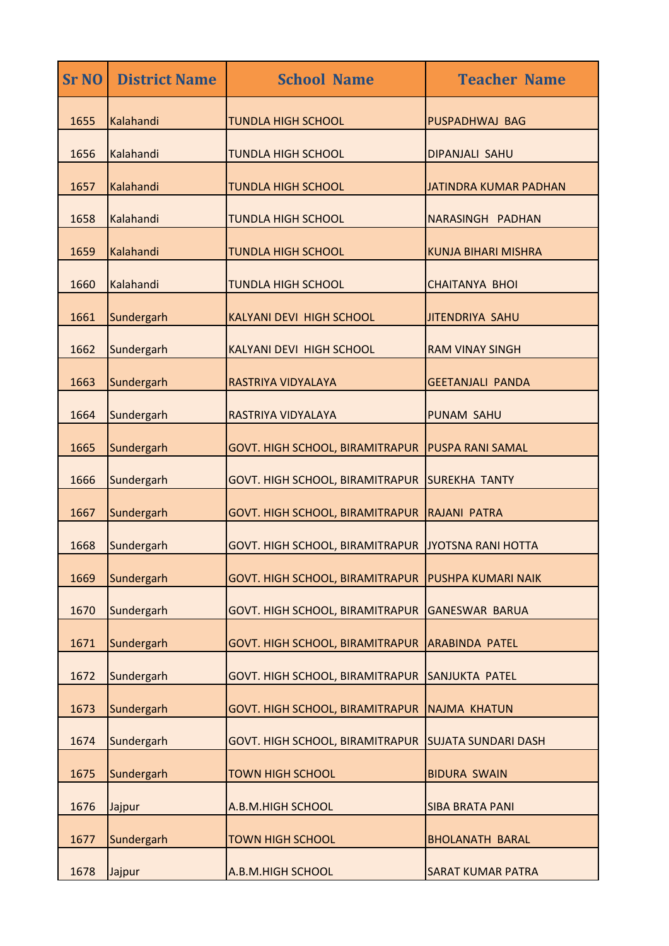| <b>Sr NO</b> | <b>District Name</b> | <b>School Name</b>                               | <b>Teacher Name</b>        |
|--------------|----------------------|--------------------------------------------------|----------------------------|
| 1655         | Kalahandi            | <b>TUNDLA HIGH SCHOOL</b>                        | PUSPADHWAJ BAG             |
| 1656         | Kalahandi            | <b>TUNDLA HIGH SCHOOL</b>                        | <b>DIPANJALI SAHU</b>      |
| 1657         | Kalahandi            | <b>TUNDLA HIGH SCHOOL</b>                        | JATINDRA KUMAR PADHAN      |
| 1658         | Kalahandi            | <b>TUNDLA HIGH SCHOOL</b>                        | NARASINGH PADHAN           |
| 1659         | Kalahandi            | <b>TUNDLA HIGH SCHOOL</b>                        | <b>KUNJA BIHARI MISHRA</b> |
| 1660         | Kalahandi            | <b>TUNDLA HIGH SCHOOL</b>                        | <b>CHAITANYA BHOI</b>      |
| 1661         | Sundergarh           | <b>KALYANI DEVI HIGH SCHOOL</b>                  | <b>JITENDRIYA SAHU</b>     |
| 1662         | Sundergarh           | <b>KALYANI DEVI HIGH SCHOOL</b>                  | <b>RAM VINAY SINGH</b>     |
| 1663         | Sundergarh           | RASTRIYA VIDYALAYA                               | <b>GEETANJALI PANDA</b>    |
| 1664         | Sundergarh           | RASTRIYA VIDYALAYA                               | <b>PUNAM SAHU</b>          |
| 1665         | Sundergarh           | GOVT. HIGH SCHOOL, BIRAMITRAPUR PUSPA RANI SAMAL |                            |
| 1666         | Sundergarh           | <b>GOVT. HIGH SCHOOL, BIRAMITRAPUR</b>           | <b>SUREKHA TANTY</b>       |
| 1667         | Sundergarh           | GOVT. HIGH SCHOOL, BIRAMITRAPUR                  | <b>RAJANI PATRA</b>        |
| 1668         | Sundergarh           | <b>GOVT. HIGH SCHOOL, BIRAMITRAPUR</b>           | JYOTSNA RANI HOTTA         |
| 1669         | Sundergarh           | <b>GOVT. HIGH SCHOOL, BIRAMITRAPUR</b>           | <b>PUSHPA KUMARI NAIK</b>  |
| 1670         | Sundergarh           | <b>GOVT. HIGH SCHOOL, BIRAMITRAPUR</b>           | <b>GANESWAR BARUA</b>      |
| 1671         | Sundergarh           | <b>GOVT. HIGH SCHOOL, BIRAMITRAPUR</b>           | <b>ARABINDA PATEL</b>      |
| 1672         | Sundergarh           | <b>GOVT. HIGH SCHOOL, BIRAMITRAPUR</b>           | <b>SANJUKTA PATEL</b>      |
| 1673         | Sundergarh           | <b>GOVT. HIGH SCHOOL, BIRAMITRAPUR</b>           | <b>NAJMA KHATUN</b>        |
| 1674         | Sundergarh           | <b>GOVT. HIGH SCHOOL, BIRAMITRAPUR</b>           | <b>SUJATA SUNDARI DASH</b> |
| 1675         | Sundergarh           | <b>TOWN HIGH SCHOOL</b>                          | <b>BIDURA SWAIN</b>        |
| 1676         | Jajpur               | A.B.M.HIGH SCHOOL                                | <b>SIBA BRATA PANI</b>     |
| 1677         | Sundergarh           | <b>TOWN HIGH SCHOOL</b>                          | <b>BHOLANATH BARAL</b>     |
| 1678         | Jajpur               | A.B.M.HIGH SCHOOL                                | <b>SARAT KUMAR PATRA</b>   |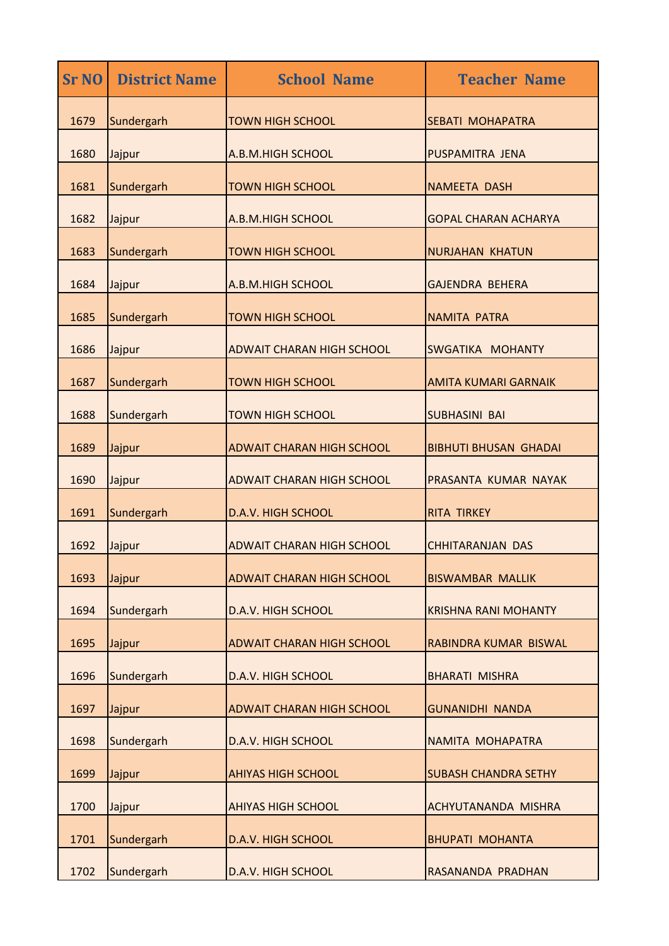| <b>Sr NO</b> | <b>District Name</b> | <b>School Name</b>               | <b>Teacher Name</b>          |
|--------------|----------------------|----------------------------------|------------------------------|
| 1679         | Sundergarh           | <b>TOWN HIGH SCHOOL</b>          | <b>SEBATI MOHAPATRA</b>      |
| 1680         | Jajpur               | A.B.M.HIGH SCHOOL                | PUSPAMITRA JENA              |
| 1681         | Sundergarh           | <b>TOWN HIGH SCHOOL</b>          | <b>NAMEETA DASH</b>          |
| 1682         | Jajpur               | A.B.M.HIGH SCHOOL                | <b>GOPAL CHARAN ACHARYA</b>  |
| 1683         | Sundergarh           | <b>TOWN HIGH SCHOOL</b>          | <b>NURJAHAN KHATUN</b>       |
| 1684         | Jajpur               | A.B.M.HIGH SCHOOL                | <b>GAJENDRA BEHERA</b>       |
| 1685         | Sundergarh           | <b>TOWN HIGH SCHOOL</b>          | <b>NAMITA PATRA</b>          |
| 1686         | Jajpur               | <b>ADWAIT CHARAN HIGH SCHOOL</b> | SWGATIKA MOHANTY             |
| 1687         | Sundergarh           | <b>TOWN HIGH SCHOOL</b>          | <b>AMITA KUMARI GARNAIK</b>  |
| 1688         | Sundergarh           | <b>TOWN HIGH SCHOOL</b>          | <b>SUBHASINI BAI</b>         |
| 1689         | Jajpur               | <b>ADWAIT CHARAN HIGH SCHOOL</b> | <b>BIBHUTI BHUSAN GHADAI</b> |
| 1690         | Jajpur               | <b>ADWAIT CHARAN HIGH SCHOOL</b> | PRASANTA KUMAR NAYAK         |
| 1691         | Sundergarh           | <b>D.A.V. HIGH SCHOOL</b>        | <b>RITA TIRKEY</b>           |
| 1692         | Jajpur               | <b>ADWAIT CHARAN HIGH SCHOOL</b> | <b>CHHITARANJAN DAS</b>      |
| 1693         | Jajpur               | <b>ADWAIT CHARAN HIGH SCHOOL</b> | <b>BISWAMBAR MALLIK</b>      |
| 1694         | Sundergarh           | <b>D.A.V. HIGH SCHOOL</b>        | <b>KRISHNA RANI MOHANTY</b>  |
| 1695         | Jajpur               | <b>ADWAIT CHARAN HIGH SCHOOL</b> | RABINDRA KUMAR BISWAL        |
| 1696         | Sundergarh           | <b>D.A.V. HIGH SCHOOL</b>        | <b>BHARATI MISHRA</b>        |
| 1697         | Jajpur               | <b>ADWAIT CHARAN HIGH SCHOOL</b> | <b>GUNANIDHI NANDA</b>       |
| 1698         | Sundergarh           | D.A.V. HIGH SCHOOL               | NAMITA MOHAPATRA             |
| 1699         | Jajpur               | <b>AHIYAS HIGH SCHOOL</b>        | <b>SUBASH CHANDRA SETHY</b>  |
| 1700         | Jajpur               | <b>AHIYAS HIGH SCHOOL</b>        | ACHYUTANANDA MISHRA          |
| 1701         | Sundergarh           | <b>D.A.V. HIGH SCHOOL</b>        | <b>BHUPATI MOHANTA</b>       |
| 1702         | Sundergarh           | D.A.V. HIGH SCHOOL               | RASANANDA PRADHAN            |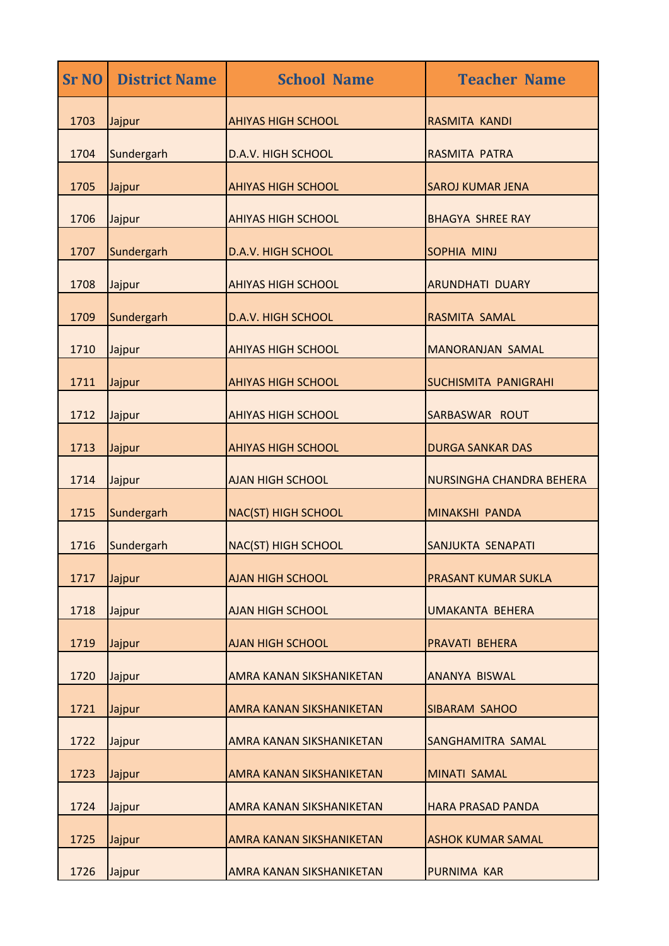| <b>Sr NO</b> | <b>District Name</b> | <b>School Name</b>              | <b>Teacher Name</b>             |
|--------------|----------------------|---------------------------------|---------------------------------|
| 1703         | Jajpur               | <b>AHIYAS HIGH SCHOOL</b>       | RASMITA KANDI                   |
| 1704         | Sundergarh           | D.A.V. HIGH SCHOOL              | RASMITA PATRA                   |
| 1705         | Jajpur               | <b>AHIYAS HIGH SCHOOL</b>       | <b>SAROJ KUMAR JENA</b>         |
| 1706         | Jajpur               | <b>AHIYAS HIGH SCHOOL</b>       | <b>BHAGYA SHREE RAY</b>         |
| 1707         | Sundergarh           | <b>D.A.V. HIGH SCHOOL</b>       | SOPHIA MINJ                     |
| 1708         | Jajpur               | <b>AHIYAS HIGH SCHOOL</b>       | <b>ARUNDHATI DUARY</b>          |
| 1709         | Sundergarh           | D.A.V. HIGH SCHOOL              | RASMITA SAMAL                   |
| 1710         | Jajpur               | <b>AHIYAS HIGH SCHOOL</b>       | <b>MANORANJAN SAMAL</b>         |
| 1711         | Jajpur               | <b>AHIYAS HIGH SCHOOL</b>       | <b>SUCHISMITA PANIGRAHI</b>     |
| 1712         | Jajpur               | <b>AHIYAS HIGH SCHOOL</b>       | SARBASWAR ROUT                  |
| 1713         | Jajpur               | <b>AHIYAS HIGH SCHOOL</b>       | <b>DURGA SANKAR DAS</b>         |
| 1714         | Jajpur               | <b>AJAN HIGH SCHOOL</b>         | <b>NURSINGHA CHANDRA BEHERA</b> |
| 1715         | Sundergarh           | <b>NAC(ST) HIGH SCHOOL</b>      | <b>MINAKSHI PANDA</b>           |
| 1716         | Sundergarh           | <b>NAC(ST) HIGH SCHOOL</b>      | <b>SANJUKTA SENAPATI</b>        |
| 1717         | Jajpur               | <b>AJAN HIGH SCHOOL</b>         | <b>PRASANT KUMAR SUKLA</b>      |
| 1718         | Jajpur               | <b>AJAN HIGH SCHOOL</b>         | <b>UMAKANTA BEHERA</b>          |
| 1719         | Jajpur               | <b>AJAN HIGH SCHOOL</b>         | <b>PRAVATI BEHERA</b>           |
| 1720         | Jajpur               | AMRA KANAN SIKSHANIKETAN        | <b>ANANYA BISWAL</b>            |
| 1721         | Jajpur               | <b>AMRA KANAN SIKSHANIKETAN</b> | SIBARAM SAHOO                   |
| 1722         | Jajpur               | AMRA KANAN SIKSHANIKETAN        | SANGHAMITRA SAMAL               |
| 1723         | Jajpur               | AMRA KANAN SIKSHANIKETAN        | <b>MINATI SAMAL</b>             |
| 1724         | Jajpur               | AMRA KANAN SIKSHANIKETAN        | <b>HARA PRASAD PANDA</b>        |
| 1725         | Jajpur               | AMRA KANAN SIKSHANIKETAN        | <b>ASHOK KUMAR SAMAL</b>        |
| 1726         | Jajpur               | AMRA KANAN SIKSHANIKETAN        | PURNIMA KAR                     |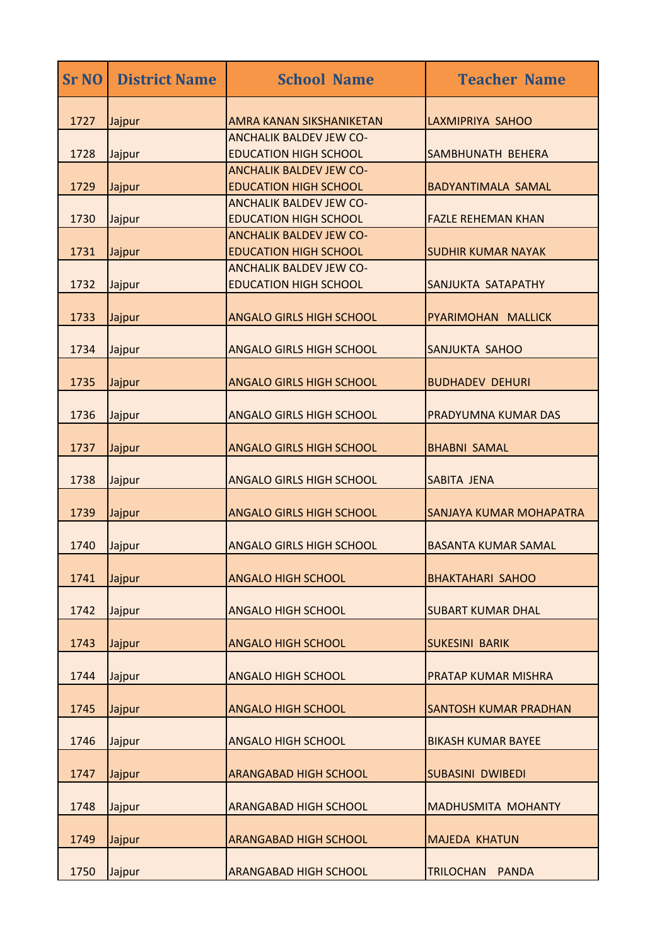| <b>Sr NO</b> | <b>District Name</b> | <b>School Name</b>                                             | <b>Teacher Name</b>              |
|--------------|----------------------|----------------------------------------------------------------|----------------------------------|
| 1727         | Jajpur               | AMRA KANAN SIKSHANIKETAN                                       | LAXMIPRIYA SAHOO                 |
| 1728         | Jajpur               | <b>ANCHALIK BALDEV JEW CO-</b><br><b>EDUCATION HIGH SCHOOL</b> | SAMBHUNATH BEHERA                |
| 1729         | Jajpur               | <b>ANCHALIK BALDEV JEW CO-</b><br><b>EDUCATION HIGH SCHOOL</b> | <b>BADYANTIMALA SAMAL</b>        |
| 1730         | Jajpur               | <b>ANCHALIK BALDEV JEW CO-</b><br><b>EDUCATION HIGH SCHOOL</b> | <b>FAZLE REHEMAN KHAN</b>        |
| 1731         | Jajpur               | <b>ANCHALIK BALDEV JEW CO-</b><br><b>EDUCATION HIGH SCHOOL</b> | <b>SUDHIR KUMAR NAYAK</b>        |
| 1732         | Jajpur               | <b>ANCHALIK BALDEV JEW CO-</b><br><b>EDUCATION HIGH SCHOOL</b> | <b>SANJUKTA SATAPATHY</b>        |
| 1733         | Jajpur               | <b>ANGALO GIRLS HIGH SCHOOL</b>                                | PYARIMOHAN MALLICK               |
| 1734         | Jajpur               | <b>ANGALO GIRLS HIGH SCHOOL</b>                                | SANJUKTA SAHOO                   |
| 1735         | Jajpur               | <b>ANGALO GIRLS HIGH SCHOOL</b>                                | <b>BUDHADEV DEHURI</b>           |
| 1736         | Jajpur               | <b>ANGALO GIRLS HIGH SCHOOL</b>                                | <b>PRADYUMNA KUMAR DAS</b>       |
| 1737         | Jajpur               | <b>ANGALO GIRLS HIGH SCHOOL</b>                                | <b>BHABNI SAMAL</b>              |
| 1738         | Jajpur               | <b>ANGALO GIRLS HIGH SCHOOL</b>                                | <b>SABITA JENA</b>               |
| 1739         | Jajpur               | <b>ANGALO GIRLS HIGH SCHOOL</b>                                | <b>SANJAYA KUMAR MOHAPATRA</b>   |
| 1740         | Jajpur               | <b>ANGALO GIRLS HIGH SCHOOL</b>                                | <b>BASANTA KUMAR SAMAL</b>       |
| 1741         | Jajpur               | <b>ANGALO HIGH SCHOOL</b>                                      | <b>BHAKTAHARI SAHOO</b>          |
| 1742         | Jajpur               | <b>ANGALO HIGH SCHOOL</b>                                      | <b>SUBART KUMAR DHAL</b>         |
| 1743         | Jajpur               | <b>ANGALO HIGH SCHOOL</b>                                      | <b>SUKESINI BARIK</b>            |
| 1744         | Jajpur               | <b>ANGALO HIGH SCHOOL</b>                                      | <b>PRATAP KUMAR MISHRA</b>       |
| 1745         | Jajpur               | <b>ANGALO HIGH SCHOOL</b>                                      | <b>SANTOSH KUMAR PRADHAN</b>     |
| 1746         | Jajpur               | <b>ANGALO HIGH SCHOOL</b>                                      | <b>BIKASH KUMAR BAYEE</b>        |
| 1747         | Jajpur               | <b>ARANGABAD HIGH SCHOOL</b>                                   | <b>SUBASINI DWIBEDI</b>          |
| 1748         | Jajpur               | <b>ARANGABAD HIGH SCHOOL</b>                                   | <b>MADHUSMITA MOHANTY</b>        |
| 1749         | Jajpur               | <b>ARANGABAD HIGH SCHOOL</b>                                   | <b>MAJEDA KHATUN</b>             |
| 1750         | Jajpur               | <b>ARANGABAD HIGH SCHOOL</b>                                   | <b>TRILOCHAN</b><br><b>PANDA</b> |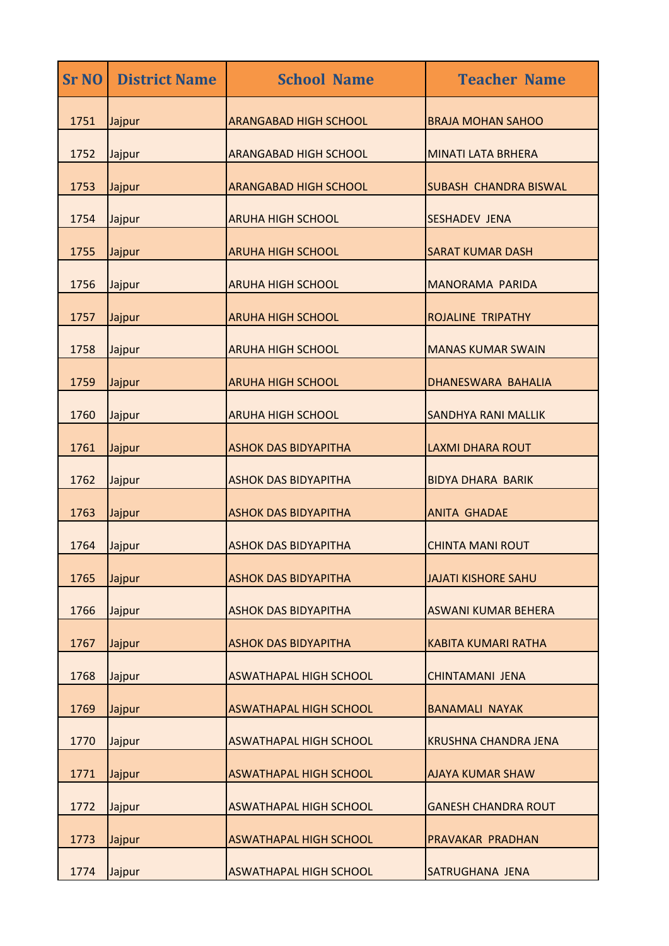| <b>Sr NO</b> | <b>District Name</b> | <b>School Name</b>            | <b>Teacher Name</b>          |
|--------------|----------------------|-------------------------------|------------------------------|
| 1751         | Jajpur               | <b>ARANGABAD HIGH SCHOOL</b>  | <b>BRAJA MOHAN SAHOO</b>     |
| 1752         | Jajpur               | <b>ARANGABAD HIGH SCHOOL</b>  | <b>MINATI LATA BRHERA</b>    |
| 1753         | Jajpur               | <b>ARANGABAD HIGH SCHOOL</b>  | <b>SUBASH CHANDRA BISWAL</b> |
| 1754         | Jajpur               | <b>ARUHA HIGH SCHOOL</b>      | <b>SESHADEV JENA</b>         |
| 1755         | Jajpur               | <b>ARUHA HIGH SCHOOL</b>      | <b>SARAT KUMAR DASH</b>      |
| 1756         | Jajpur               | <b>ARUHA HIGH SCHOOL</b>      | <b>MANORAMA PARIDA</b>       |
| 1757         | Jajpur               | <b>ARUHA HIGH SCHOOL</b>      | <b>ROJALINE TRIPATHY</b>     |
| 1758         | Jajpur               | <b>ARUHA HIGH SCHOOL</b>      | <b>MANAS KUMAR SWAIN</b>     |
| 1759         | Jajpur               | <b>ARUHA HIGH SCHOOL</b>      | DHANESWARA BAHALIA           |
| 1760         | Jajpur               | <b>ARUHA HIGH SCHOOL</b>      | <b>SANDHYA RANI MALLIK</b>   |
| 1761         | Jajpur               | <b>ASHOK DAS BIDYAPITHA</b>   | <b>LAXMI DHARA ROUT</b>      |
| 1762         | Jajpur               | <b>ASHOK DAS BIDYAPITHA</b>   | <b>BIDYA DHARA BARIK</b>     |
| 1763         | Jajpur               | <b>ASHOK DAS BIDYAPITHA</b>   | <b>ANITA GHADAE</b>          |
| 1764         | Jajpur               | <b>ASHOK DAS BIDYAPITHA</b>   | <b>CHINTA MANI ROUT</b>      |
| 1765         | Jajpur               | <b>ASHOK DAS BIDYAPITHA</b>   | <b>JAJATI KISHORE SAHU</b>   |
| 1766         | Jajpur               | <b>ASHOK DAS BIDYAPITHA</b>   | <b>ASWANI KUMAR BEHERA</b>   |
| 1767         | Jajpur               | <b>ASHOK DAS BIDYAPITHA</b>   | <b>KABITA KUMARI RATHA</b>   |
| 1768         | Jajpur               | <b>ASWATHAPAL HIGH SCHOOL</b> | <b>CHINTAMANI JENA</b>       |
| 1769         | Jajpur               | <b>ASWATHAPAL HIGH SCHOOL</b> | <b>BANAMALI NAYAK</b>        |
| 1770         | Jajpur               | <b>ASWATHAPAL HIGH SCHOOL</b> | <b>KRUSHNA CHANDRA JENA</b>  |
| 1771         | Jajpur               | <b>ASWATHAPAL HIGH SCHOOL</b> | <b>AJAYA KUMAR SHAW</b>      |
| 1772         | Jajpur               | <b>ASWATHAPAL HIGH SCHOOL</b> | <b>GANESH CHANDRA ROUT</b>   |
| 1773         | Jajpur               | <b>ASWATHAPAL HIGH SCHOOL</b> | <b>PRAVAKAR PRADHAN</b>      |
| 1774         | Jajpur               | <b>ASWATHAPAL HIGH SCHOOL</b> | <b>SATRUGHANA JENA</b>       |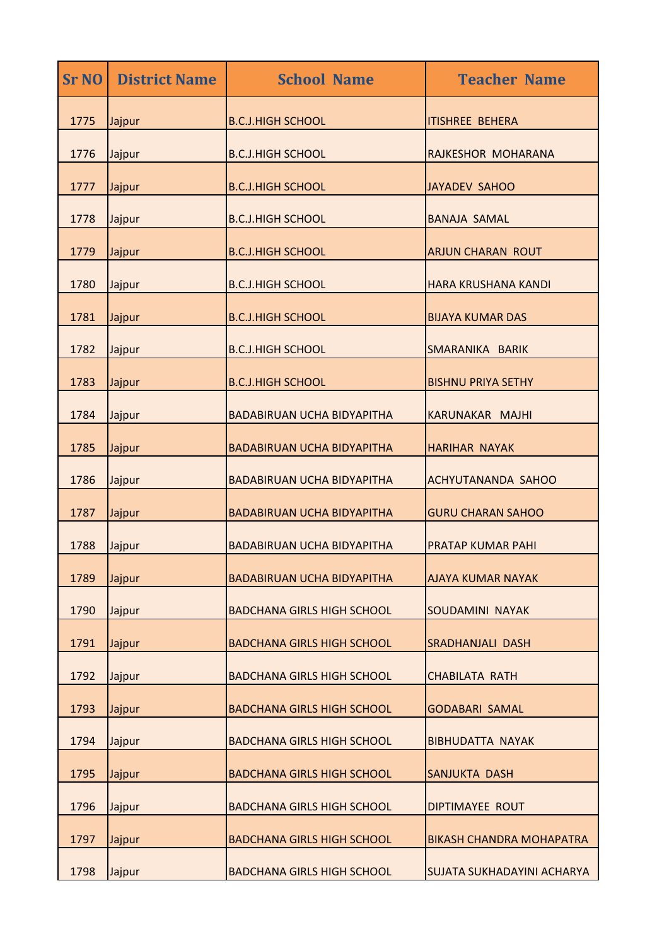| <b>Sr NO</b> | <b>District Name</b> | <b>School Name</b>                | <b>Teacher Name</b>               |
|--------------|----------------------|-----------------------------------|-----------------------------------|
| 1775         | Jajpur               | <b>B.C.J.HIGH SCHOOL</b>          | <b>ITISHREE BEHERA</b>            |
| 1776         | Jajpur               | <b>B.C.J.HIGH SCHOOL</b>          | RAJKESHOR MOHARANA                |
| 1777         | Jajpur               | <b>B.C.J.HIGH SCHOOL</b>          | JAYADEV SAHOO                     |
| 1778         | Jajpur               | <b>B.C.J.HIGH SCHOOL</b>          | <b>BANAJA SAMAL</b>               |
| 1779         | Jajpur               | <b>B.C.J.HIGH SCHOOL</b>          | <b>ARJUN CHARAN ROUT</b>          |
| 1780         | Jajpur               | <b>B.C.J.HIGH SCHOOL</b>          | <b>HARA KRUSHANA KANDI</b>        |
| 1781         | Jajpur               | <b>B.C.J.HIGH SCHOOL</b>          | <b>BIJAYA KUMAR DAS</b>           |
| 1782         | Jajpur               | <b>B.C.J.HIGH SCHOOL</b>          | SMARANIKA BARIK                   |
| 1783         | Jajpur               | <b>B.C.J.HIGH SCHOOL</b>          | <b>BISHNU PRIYA SETHY</b>         |
| 1784         | Jajpur               | <b>BADABIRUAN UCHA BIDYAPITHA</b> | KARUNAKAR MAJHI                   |
| 1785         | Jajpur               | <b>BADABIRUAN UCHA BIDYAPITHA</b> | <b>HARIHAR NAYAK</b>              |
| 1786         | Jajpur               | <b>BADABIRUAN UCHA BIDYAPITHA</b> | <b>ACHYUTANANDA SAHOO</b>         |
| 1787         | Jajpur               | <b>BADABIRUAN UCHA BIDYAPITHA</b> | <b>GURU CHARAN SAHOO</b>          |
| 1788         | Jajpur               | <b>BADABIRUAN UCHA BIDYAPITHA</b> | <b>PRATAP KUMAR PAHI</b>          |
| 1789         | Jajpur               | <b>BADABIRUAN UCHA BIDYAPITHA</b> | <b>AJAYA KUMAR NAYAK</b>          |
| 1790         | Jajpur               | <b>BADCHANA GIRLS HIGH SCHOOL</b> | <b>SOUDAMINI NAYAK</b>            |
| 1791         | Jajpur               | <b>BADCHANA GIRLS HIGH SCHOOL</b> | <b>SRADHANJALI DASH</b>           |
| 1792         | Jajpur               | <b>BADCHANA GIRLS HIGH SCHOOL</b> | <b>CHABILATA RATH</b>             |
| 1793         | Jajpur               | <b>BADCHANA GIRLS HIGH SCHOOL</b> | <b>GODABARI SAMAL</b>             |
| 1794         | Jajpur               | <b>BADCHANA GIRLS HIGH SCHOOL</b> | <b>BIBHUDATTA NAYAK</b>           |
| 1795         | Jajpur               | <b>BADCHANA GIRLS HIGH SCHOOL</b> | <b>SANJUKTA DASH</b>              |
| 1796         | Jajpur               | <b>BADCHANA GIRLS HIGH SCHOOL</b> | <b>DIPTIMAYEE ROUT</b>            |
| 1797         | Jajpur               | <b>BADCHANA GIRLS HIGH SCHOOL</b> | <b>BIKASH CHANDRA MOHAPATRA</b>   |
| 1798         | Jajpur               | <b>BADCHANA GIRLS HIGH SCHOOL</b> | <b>SUJATA SUKHADAYINI ACHARYA</b> |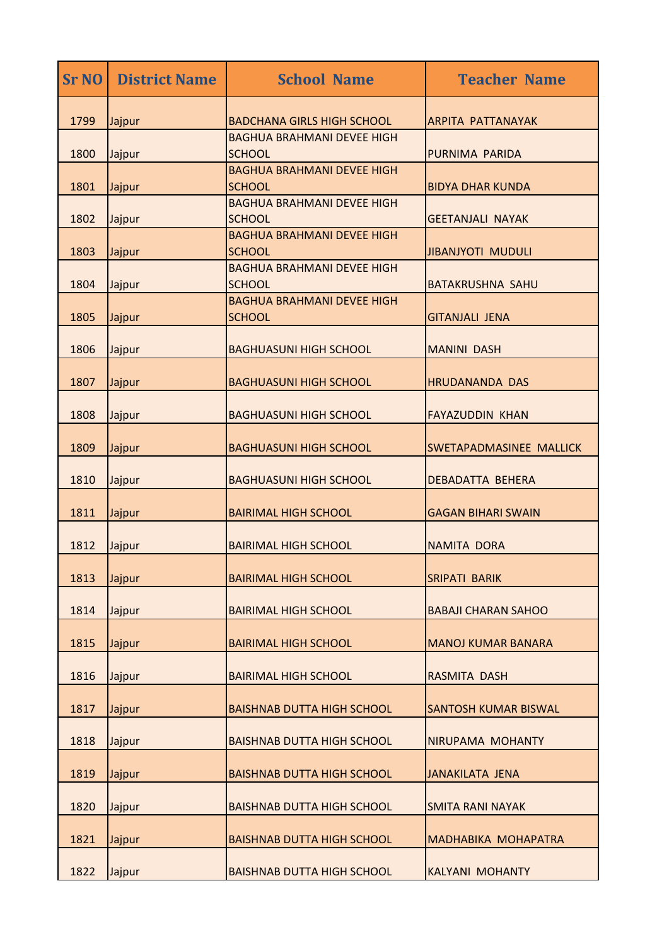| <b>Sr NO</b> | <b>District Name</b> | <b>School Name</b>                                 | <b>Teacher Name</b>         |
|--------------|----------------------|----------------------------------------------------|-----------------------------|
| 1799         | Jajpur               | <b>BADCHANA GIRLS HIGH SCHOOL</b>                  | <b>ARPITA PATTANAYAK</b>    |
| 1800         | Jajpur               | <b>BAGHUA BRAHMANI DEVEE HIGH</b><br><b>SCHOOL</b> | PURNIMA PARIDA              |
| 1801         | Jajpur               | <b>BAGHUA BRAHMANI DEVEE HIGH</b><br><b>SCHOOL</b> | <b>BIDYA DHAR KUNDA</b>     |
| 1802         | Jajpur               | <b>BAGHUA BRAHMANI DEVEE HIGH</b><br><b>SCHOOL</b> | <b>GEETANJALI NAYAK</b>     |
| 1803         | Jajpur               | <b>BAGHUA BRAHMANI DEVEE HIGH</b><br><b>SCHOOL</b> | <b>JIBANJYOTI MUDULI</b>    |
| 1804         | Jajpur               | <b>BAGHUA BRAHMANI DEVEE HIGH</b><br><b>SCHOOL</b> | <b>BATAKRUSHNA SAHU</b>     |
| 1805         | Jajpur               | <b>BAGHUA BRAHMANI DEVEE HIGH</b><br><b>SCHOOL</b> | <b>GITANJALI JENA</b>       |
| 1806         | Jajpur               | <b>BAGHUASUNI HIGH SCHOOL</b>                      | <b>MANINI DASH</b>          |
| 1807         | Jajpur               | <b>BAGHUASUNI HIGH SCHOOL</b>                      | <b>HRUDANANDA DAS</b>       |
| 1808         | Jajpur               | <b>BAGHUASUNI HIGH SCHOOL</b>                      | <b>FAYAZUDDIN KHAN</b>      |
| 1809         | Jajpur               | <b>BAGHUASUNI HIGH SCHOOL</b>                      | SWETAPADMASINEE MALLICK     |
| 1810         | Jajpur               | <b>BAGHUASUNI HIGH SCHOOL</b>                      | <b>DEBADATTA BEHERA</b>     |
| 1811         | Jajpur               | <b>BAIRIMAL HIGH SCHOOL</b>                        | <b>GAGAN BIHARI SWAIN</b>   |
| 1812         | Jajpur               | <b>BAIRIMAL HIGH SCHOOL</b>                        | <b>NAMITA DORA</b>          |
| 1813         | Jajpur               | <b>BAIRIMAL HIGH SCHOOL</b>                        | <b>SRIPATI BARIK</b>        |
| 1814         |                      | <b>BAIRIMAL HIGH SCHOOL</b>                        | <b>BABAJI CHARAN SAHOO</b>  |
| 1815         | Jajpur               | <b>BAIRIMAL HIGH SCHOOL</b>                        | <b>MANOJ KUMAR BANARA</b>   |
| 1816         | Jajpur               |                                                    |                             |
|              | Jajpur               | <b>BAIRIMAL HIGH SCHOOL</b>                        | RASMITA DASH                |
| 1817         | Jajpur               | <b>BAISHNAB DUTTA HIGH SCHOOL</b>                  | <b>SANTOSH KUMAR BISWAL</b> |
| 1818         | Jajpur               | <b>BAISHNAB DUTTA HIGH SCHOOL</b>                  | NIRUPAMA MOHANTY            |
| 1819         | Jajpur               | <b>BAISHNAB DUTTA HIGH SCHOOL</b>                  | <b>JANAKILATA JENA</b>      |
| 1820         | Jajpur               | <b>BAISHNAB DUTTA HIGH SCHOOL</b>                  | <b>SMITA RANI NAYAK</b>     |
| 1821         | Jajpur               | <b>BAISHNAB DUTTA HIGH SCHOOL</b>                  | <b>MADHABIKA MOHAPATRA</b>  |
| 1822         | Jajpur               | <b>BAISHNAB DUTTA HIGH SCHOOL</b>                  | <b>KALYANI MOHANTY</b>      |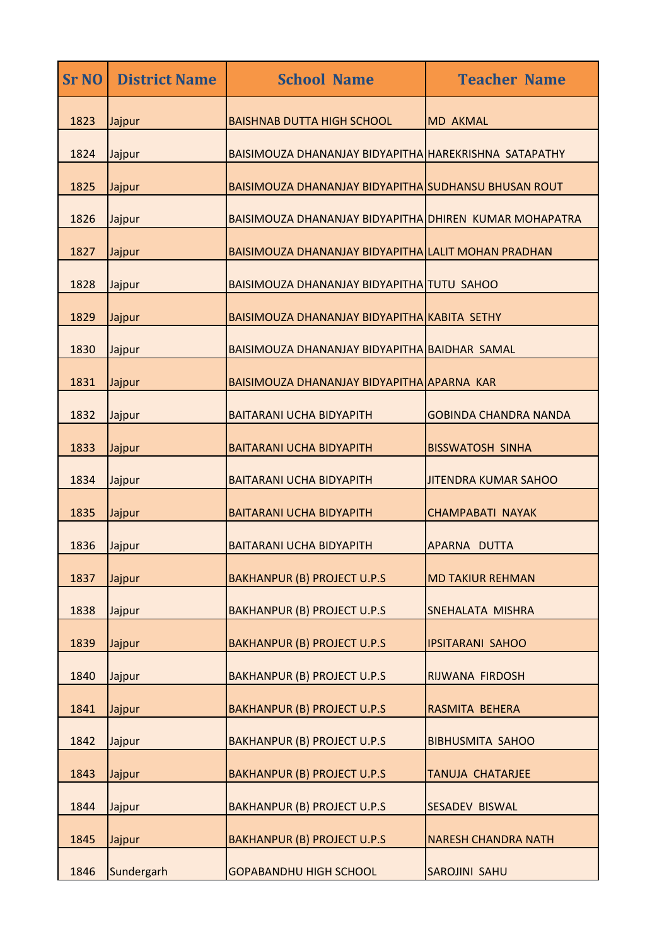| <b>Sr NO</b> | <b>District Name</b> | <b>School Name</b>                                     | <b>Teacher Name</b>          |
|--------------|----------------------|--------------------------------------------------------|------------------------------|
| 1823         | Jajpur               | <b>BAISHNAB DUTTA HIGH SCHOOL</b>                      | <b>MD AKMAL</b>              |
| 1824         | Jajpur               | BAISIMOUZA DHANANJAY BIDYAPITHA HAREKRISHNA SATAPATHY  |                              |
| 1825         | Jajpur               | BAISIMOUZA DHANANJAY BIDYAPITHA SUDHANSU BHUSAN ROUT   |                              |
| 1826         | Jajpur               | BAISIMOUZA DHANANJAY BIDYAPITHA DHIREN KUMAR MOHAPATRA |                              |
| 1827         | Jajpur               | BAISIMOUZA DHANANJAY BIDYAPITHA LALIT MOHAN PRADHAN    |                              |
| 1828         | Jajpur               | BAISIMOUZA DHANANJAY BIDYAPITHA TUTU SAHOO             |                              |
| 1829         | Jajpur               | BAISIMOUZA DHANANJAY BIDYAPITHA KABITA SETHY           |                              |
| 1830         | Jajpur               | BAISIMOUZA DHANANJAY BIDYAPITHA BAIDHAR SAMAL          |                              |
| 1831         | Jajpur               | BAISIMOUZA DHANANJAY BIDYAPITHA APARNA KAR             |                              |
| 1832         | Jajpur               | <b>BAITARANI UCHA BIDYAPITH</b>                        | <b>GOBINDA CHANDRA NANDA</b> |
| 1833         | Jajpur               | <b>BAITARANI UCHA BIDYAPITH</b>                        | <b>BISSWATOSH SINHA</b>      |
| 1834         | Jajpur               | <b>BAITARANI UCHA BIDYAPITH</b>                        | <b>JITENDRA KUMAR SAHOO</b>  |
| 1835         | Jajpur               | <b>BAITARANI UCHA BIDYAPITH</b>                        | <b>CHAMPABATI NAYAK</b>      |
| 1836         | Jajpur               | <b>BAITARANI UCHA BIDYAPITH</b>                        | APARNA DUTTA                 |
| 1837         | Jajpur               | <b>BAKHANPUR (B) PROJECT U.P.S</b>                     | <b>MD TAKIUR REHMAN</b>      |
| 1838         | Jajpur               | <b>BAKHANPUR (B) PROJECT U.P.S</b>                     | SNEHALATA MISHRA             |
| 1839         | Jajpur               | <b>BAKHANPUR (B) PROJECT U.P.S</b>                     | <b>IPSITARANI SAHOO</b>      |
| 1840         | Jajpur               | <b>BAKHANPUR (B) PROJECT U.P.S</b>                     | RIJWANA FIRDOSH              |
| 1841         | Jajpur               | <b>BAKHANPUR (B) PROJECT U.P.S</b>                     | RASMITA BEHERA               |
| 1842         | Jajpur               | <b>BAKHANPUR (B) PROJECT U.P.S</b>                     | <b>BIBHUSMITA SAHOO</b>      |
| 1843         | Jajpur               | <b>BAKHANPUR (B) PROJECT U.P.S</b>                     | <b>TANUJA CHATARJEE</b>      |
| 1844         | Jajpur               | <b>BAKHANPUR (B) PROJECT U.P.S</b>                     | <b>SESADEV BISWAL</b>        |
| 1845         | Jajpur               | <b>BAKHANPUR (B) PROJECT U.P.S</b>                     | <b>NARESH CHANDRA NATH</b>   |
| 1846         | Sundergarh           | <b>GOPABANDHU HIGH SCHOOL</b>                          | <b>SAROJINI SAHU</b>         |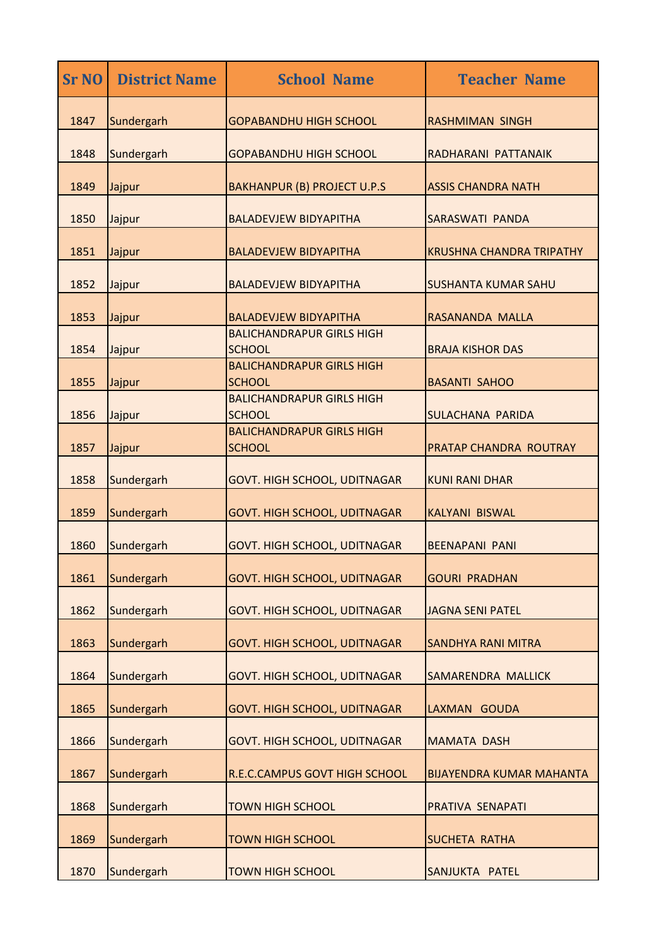| <b>Sr NO</b> | <b>District Name</b> | <b>School Name</b>                                | <b>Teacher Name</b>             |
|--------------|----------------------|---------------------------------------------------|---------------------------------|
| 1847         | Sundergarh           | <b>GOPABANDHU HIGH SCHOOL</b>                     | <b>RASHMIMAN SINGH</b>          |
| 1848         | Sundergarh           | <b>GOPABANDHU HIGH SCHOOL</b>                     | RADHARANI PATTANAIK             |
| 1849         | Jajpur               | <b>BAKHANPUR (B) PROJECT U.P.S</b>                | <b>ASSIS CHANDRA NATH</b>       |
| 1850         | Jajpur               | <b>BALADEVJEW BIDYAPITHA</b>                      | <b>SARASWATI PANDA</b>          |
| 1851         | Jajpur               | <b>BALADEVJEW BIDYAPITHA</b>                      | <b>KRUSHNA CHANDRA TRIPATHY</b> |
| 1852         | Jajpur               | <b>BALADEVJEW BIDYAPITHA</b>                      | <b>SUSHANTA KUMAR SAHU</b>      |
| 1853         | Jajpur               | <b>BALADEVJEW BIDYAPITHA</b>                      | RASANANDA MALLA                 |
| 1854         | Jajpur               | <b>BALICHANDRAPUR GIRLS HIGH</b><br><b>SCHOOL</b> | <b>BRAJA KISHOR DAS</b>         |
| 1855         | Jajpur               | <b>BALICHANDRAPUR GIRLS HIGH</b><br><b>SCHOOL</b> | <b>BASANTI SAHOO</b>            |
| 1856         | Jajpur               | <b>BALICHANDRAPUR GIRLS HIGH</b><br><b>SCHOOL</b> | <b>SULACHANA PARIDA</b>         |
| 1857         | Jajpur               | <b>BALICHANDRAPUR GIRLS HIGH</b><br><b>SCHOOL</b> | <b>PRATAP CHANDRA ROUTRAY</b>   |
| 1858         | Sundergarh           | <b>GOVT. HIGH SCHOOL, UDITNAGAR</b>               | <b>KUNI RANI DHAR</b>           |
| 1859         | Sundergarh           | <b>GOVT. HIGH SCHOOL, UDITNAGAR</b>               | <b>KALYANI BISWAL</b>           |
| 1860         | Sundergarh           | <b>GOVT. HIGH SCHOOL, UDITNAGAR</b>               | <b>BEENAPANI PANI</b>           |
| 1861         | Sundergarh           | <b>GOVT. HIGH SCHOOL, UDITNAGAR</b>               | <b>GOURI PRADHAN</b>            |
| 1862         | Sundergarh           | <b>GOVT. HIGH SCHOOL, UDITNAGAR</b>               | <b>JAGNA SENI PATEL</b>         |
| 1863         | Sundergarh           | <b>GOVT. HIGH SCHOOL, UDITNAGAR</b>               | <b>SANDHYA RANI MITRA</b>       |
| 1864         | Sundergarh           | <b>GOVT. HIGH SCHOOL, UDITNAGAR</b>               | SAMARENDRA MALLICK              |
| 1865         | Sundergarh           | <b>GOVT. HIGH SCHOOL, UDITNAGAR</b>               | LAXMAN GOUDA                    |
| 1866         | Sundergarh           | GOVT. HIGH SCHOOL, UDITNAGAR                      | <b>MAMATA DASH</b>              |
| 1867         | Sundergarh           | R.E.C.CAMPUS GOVT HIGH SCHOOL                     | <b>BIJAYENDRA KUMAR MAHANTA</b> |
| 1868         | Sundergarh           | <b>TOWN HIGH SCHOOL</b>                           | PRATIVA SENAPATI                |
| 1869         | Sundergarh           | <b>TOWN HIGH SCHOOL</b>                           | <b>SUCHETA RATHA</b>            |
| 1870         | Sundergarh           | <b>TOWN HIGH SCHOOL</b>                           | SANJUKTA PATEL                  |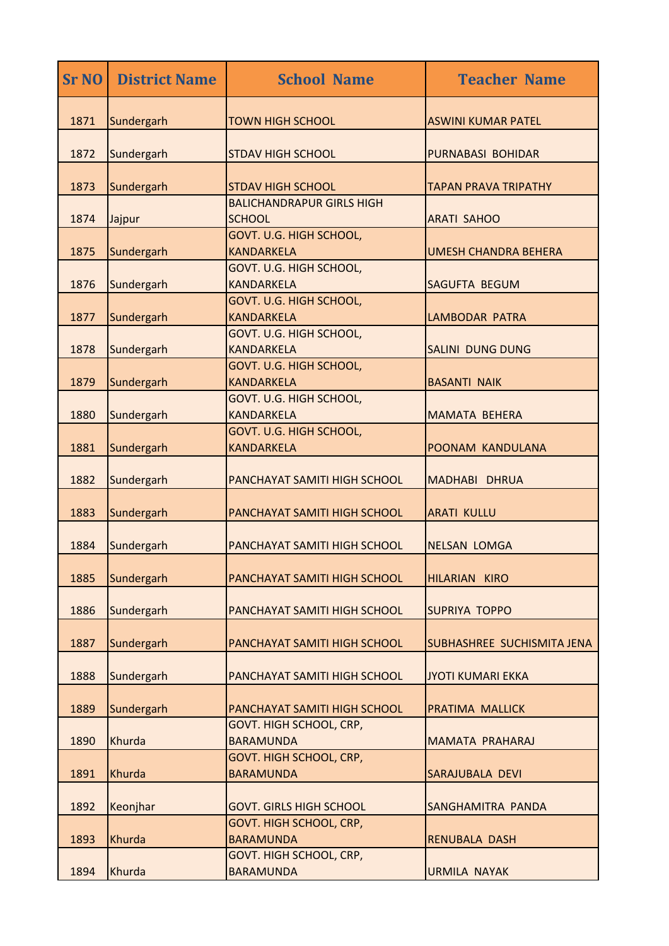| <b>Sr NO</b> | <b>District Name</b> | <b>School Name</b>                                | <b>Teacher Name</b>         |
|--------------|----------------------|---------------------------------------------------|-----------------------------|
| 1871         | Sundergarh           | <b>TOWN HIGH SCHOOL</b>                           | <b>ASWINI KUMAR PATEL</b>   |
| 1872         | Sundergarh           | <b>STDAV HIGH SCHOOL</b>                          | PURNABASI BOHIDAR           |
|              |                      |                                                   |                             |
| 1873         | Sundergarh           | <b>STDAV HIGH SCHOOL</b>                          | <b>TAPAN PRAVA TRIPATHY</b> |
| 1874         | Jajpur               | <b>BALICHANDRAPUR GIRLS HIGH</b><br><b>SCHOOL</b> | <b>ARATI SAHOO</b>          |
|              |                      | GOVT. U.G. HIGH SCHOOL,                           |                             |
| 1875         | Sundergarh           | <b>KANDARKELA</b>                                 | <b>UMESH CHANDRA BEHERA</b> |
|              |                      | GOVT. U.G. HIGH SCHOOL,                           |                             |
| 1876         | Sundergarh           | <b>KANDARKELA</b>                                 | SAGUFTA BEGUM               |
|              |                      | GOVT. U.G. HIGH SCHOOL,                           |                             |
| 1877         | Sundergarh           | <b>KANDARKELA</b><br>GOVT. U.G. HIGH SCHOOL,      | <b>LAMBODAR PATRA</b>       |
| 1878         | Sundergarh           | <b>KANDARKELA</b>                                 | SALINI DUNG DUNG            |
|              |                      | GOVT. U.G. HIGH SCHOOL,                           |                             |
| 1879         | Sundergarh           | <b>KANDARKELA</b>                                 | <b>BASANTI NAIK</b>         |
|              |                      | GOVT. U.G. HIGH SCHOOL,                           |                             |
| 1880         | Sundergarh           | <b>KANDARKELA</b>                                 | <b>MAMATA BEHERA</b>        |
|              |                      | GOVT. U.G. HIGH SCHOOL,                           |                             |
| 1881         | Sundergarh           | <b>KANDARKELA</b>                                 | POONAM KANDULANA            |
| 1882         | Sundergarh           | PANCHAYAT SAMITI HIGH SCHOOL                      | MADHABI DHRUA               |
| 1883         | Sundergarh           | PANCHAYAT SAMITI HIGH SCHOOL                      | <b>ARATI KULLU</b>          |
| 1884         | Sundergarh           | PANCHAYAT SAMITI HIGH SCHOOL                      | <b>NELSAN LOMGA</b>         |
|              |                      |                                                   |                             |
| 1885         | Sundergarh           | PANCHAYAT SAMITI HIGH SCHOOL                      | <b>HILARIAN KIRO</b>        |
|              |                      |                                                   |                             |
| 1886         | Sundergarh           | PANCHAYAT SAMITI HIGH SCHOOL                      | <b>SUPRIYA TOPPO</b>        |
| 1887         | Sundergarh           | PANCHAYAT SAMITI HIGH SCHOOL                      | SUBHASHREE SUCHISMITA JENA  |
| 1888         | Sundergarh           | PANCHAYAT SAMITI HIGH SCHOOL                      | JYOTI KUMARI EKKA           |
|              |                      |                                                   |                             |
| 1889         | Sundergarh           | PANCHAYAT SAMITI HIGH SCHOOL                      | PRATIMA MALLICK             |
| 1890         | Khurda               | GOVT. HIGH SCHOOL, CRP,<br><b>BARAMUNDA</b>       | <b>MAMATA PRAHARAJ</b>      |
|              |                      | GOVT. HIGH SCHOOL, CRP,                           |                             |
| 1891         | Khurda               | <b>BARAMUNDA</b>                                  | SARAJUBALA DEVI             |
| 1892         | Keonjhar             | <b>GOVT. GIRLS HIGH SCHOOL</b>                    | SANGHAMITRA PANDA           |
|              |                      | GOVT. HIGH SCHOOL, CRP,                           |                             |
| 1893         | Khurda               | <b>BARAMUNDA</b>                                  | <b>RENUBALA DASH</b>        |
|              |                      | <b>GOVT. HIGH SCHOOL, CRP,</b>                    |                             |
| 1894         | Khurda               | <b>BARAMUNDA</b>                                  | <b>URMILA NAYAK</b>         |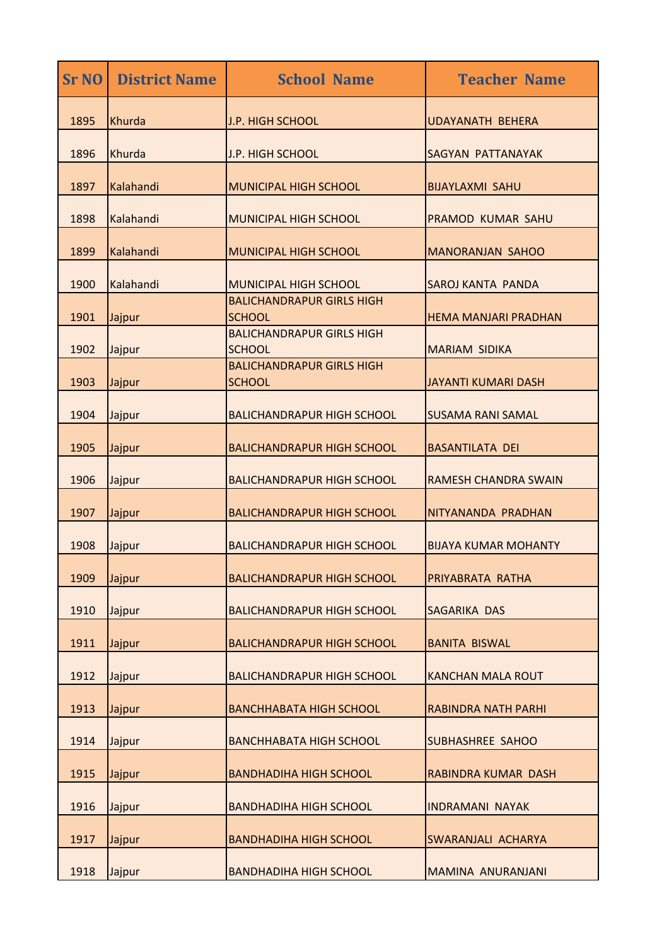| <b>Sr NO</b> | <b>District Name</b> | <b>School Name</b>                                | <b>Teacher Name</b>         |
|--------------|----------------------|---------------------------------------------------|-----------------------------|
| 1895         | Khurda               | <b>J.P. HIGH SCHOOL</b>                           | <b>UDAYANATH BEHERA</b>     |
| 1896         | Khurda               | J.P. HIGH SCHOOL                                  | <b>SAGYAN PATTANAYAK</b>    |
| 1897         | Kalahandi            | <b>MUNICIPAL HIGH SCHOOL</b>                      | <b>BIJAYLAXMI SAHU</b>      |
| 1898         | Kalahandi            | <b>MUNICIPAL HIGH SCHOOL</b>                      | <b>PRAMOD KUMAR SAHU</b>    |
| 1899         | Kalahandi            | <b>MUNICIPAL HIGH SCHOOL</b>                      | <b>MANORANJAN SAHOO</b>     |
| 1900         | Kalahandi            | <b>MUNICIPAL HIGH SCHOOL</b>                      | <b>SAROJ KANTA PANDA</b>    |
| 1901         | Jajpur               | <b>BALICHANDRAPUR GIRLS HIGH</b><br><b>SCHOOL</b> | <b>HEMA MANJARI PRADHAN</b> |
| 1902         | Jajpur               | <b>BALICHANDRAPUR GIRLS HIGH</b><br><b>SCHOOL</b> | <b>MARIAM SIDIKA</b>        |
| 1903         | Jajpur               | <b>BALICHANDRAPUR GIRLS HIGH</b><br><b>SCHOOL</b> | <b>JAYANTI KUMARI DASH</b>  |
| 1904         | Jajpur               | <b>BALICHANDRAPUR HIGH SCHOOL</b>                 | <b>SUSAMA RANI SAMAL</b>    |
| 1905         | Jajpur               | <b>BALICHANDRAPUR HIGH SCHOOL</b>                 | <b>BASANTILATA DEI</b>      |
| 1906         | Jajpur               | <b>BALICHANDRAPUR HIGH SCHOOL</b>                 | <b>RAMESH CHANDRA SWAIN</b> |
| 1907         | Jajpur               | <b>BALICHANDRAPUR HIGH SCHOOL</b>                 | NITYANANDA PRADHAN          |
| 1908         | Jajpur               | <b>BALICHANDRAPUR HIGH SCHOOL</b>                 | <b>BIJAYA KUMAR MOHANTY</b> |
| 1909         | Jajpur               | <b>BALICHANDRAPUR HIGH SCHOOL</b>                 | PRIYABRATA RATHA            |
| 1910         | Jajpur               | <b>BALICHANDRAPUR HIGH SCHOOL</b>                 | <b>SAGARIKA DAS</b>         |
| 1911         | Jajpur               | <b>BALICHANDRAPUR HIGH SCHOOL</b>                 | <b>BANITA BISWAL</b>        |
| 1912         | Jajpur               | <b>BALICHANDRAPUR HIGH SCHOOL</b>                 | <b>KANCHAN MALA ROUT</b>    |
| 1913         | Jajpur               | <b>BANCHHABATA HIGH SCHOOL</b>                    | <b>RABINDRA NATH PARHI</b>  |
| 1914         | Jajpur               | <b>BANCHHABATA HIGH SCHOOL</b>                    | <b>SUBHASHREE SAHOO</b>     |
| 1915         | Jajpur               | <b>BANDHADIHA HIGH SCHOOL</b>                     | RABINDRA KUMAR DASH         |
| 1916         | Jajpur               | <b>BANDHADIHA HIGH SCHOOL</b>                     | <b>INDRAMANI NAYAK</b>      |
| 1917         | Jajpur               | <b>BANDHADIHA HIGH SCHOOL</b>                     | <b>SWARANJALI ACHARYA</b>   |
| 1918         | Jajpur               | <b>BANDHADIHA HIGH SCHOOL</b>                     | MAMINA ANURANJANI           |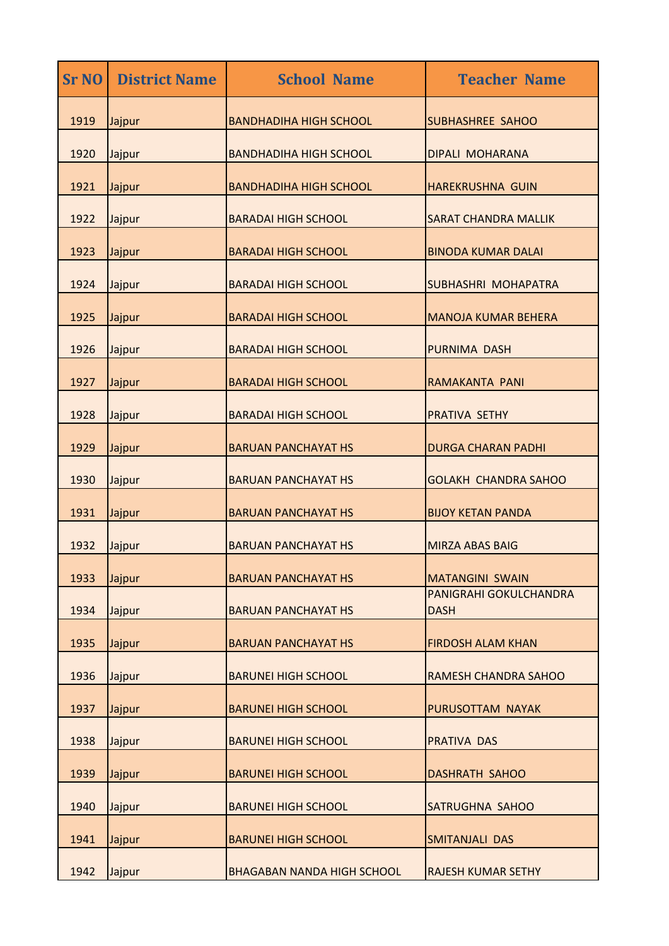| <b>Sr NO</b> | <b>District Name</b> | <b>School Name</b>                | <b>Teacher Name</b>                   |
|--------------|----------------------|-----------------------------------|---------------------------------------|
| 1919         | Jajpur               | <b>BANDHADIHA HIGH SCHOOL</b>     | <b>SUBHASHREE SAHOO</b>               |
| 1920         | Jajpur               | <b>BANDHADIHA HIGH SCHOOL</b>     | <b>DIPALI MOHARANA</b>                |
| 1921         | Jajpur               | <b>BANDHADIHA HIGH SCHOOL</b>     | <b>HAREKRUSHNA GUIN</b>               |
| 1922         | Jajpur               | <b>BARADAI HIGH SCHOOL</b>        | <b>SARAT CHANDRA MALLIK</b>           |
| 1923         | Jajpur               | <b>BARADAI HIGH SCHOOL</b>        | <b>BINODA KUMAR DALAI</b>             |
| 1924         | Jajpur               | <b>BARADAI HIGH SCHOOL</b>        | SUBHASHRI MOHAPATRA                   |
| 1925         | Jajpur               | <b>BARADAI HIGH SCHOOL</b>        | <b>MANOJA KUMAR BEHERA</b>            |
| 1926         | Jajpur               | <b>BARADAI HIGH SCHOOL</b>        | <b>PURNIMA DASH</b>                   |
| 1927         | Jajpur               | <b>BARADAI HIGH SCHOOL</b>        | RAMAKANTA PANI                        |
| 1928         | Jajpur               | <b>BARADAI HIGH SCHOOL</b>        | <b>PRATIVA SETHY</b>                  |
| 1929         | Jajpur               | <b>BARUAN PANCHAYAT HS</b>        | <b>DURGA CHARAN PADHI</b>             |
| 1930         | Jajpur               | <b>BARUAN PANCHAYAT HS</b>        | <b>GOLAKH CHANDRA SAHOO</b>           |
| 1931         | Jajpur               | <b>BARUAN PANCHAYAT HS</b>        | <b>BIJOY KETAN PANDA</b>              |
| 1932         | Jajpur               | <b>BARUAN PANCHAYAT HS</b>        | <b>MIRZA ABAS BAIG</b>                |
| 1933         | Jajpur               | <b>BARUAN PANCHAYAT HS</b>        | <b>MATANGINI SWAIN</b>                |
| 1934         | Jajpur               | <b>BARUAN PANCHAYAT HS</b>        | PANIGRAHI GOKULCHANDRA<br><b>DASH</b> |
| 1935         | Jajpur               | <b>BARUAN PANCHAYAT HS</b>        | <b>FIRDOSH ALAM KHAN</b>              |
| 1936         | Jajpur               | <b>BARUNEI HIGH SCHOOL</b>        | <b>RAMESH CHANDRA SAHOO</b>           |
| 1937         | Jajpur               | <b>BARUNEI HIGH SCHOOL</b>        | PURUSOTTAM NAYAK                      |
| 1938         | Jajpur               | <b>BARUNEI HIGH SCHOOL</b>        | PRATIVA DAS                           |
| 1939         | Jajpur               | <b>BARUNEI HIGH SCHOOL</b>        | <b>DASHRATH SAHOO</b>                 |
| 1940         | Jajpur               | <b>BARUNEI HIGH SCHOOL</b>        | SATRUGHNA SAHOO                       |
| 1941         | Jajpur               | <b>BARUNEI HIGH SCHOOL</b>        | SMITANJALI DAS                        |
| 1942         | Jajpur               | <b>BHAGABAN NANDA HIGH SCHOOL</b> | <b>RAJESH KUMAR SETHY</b>             |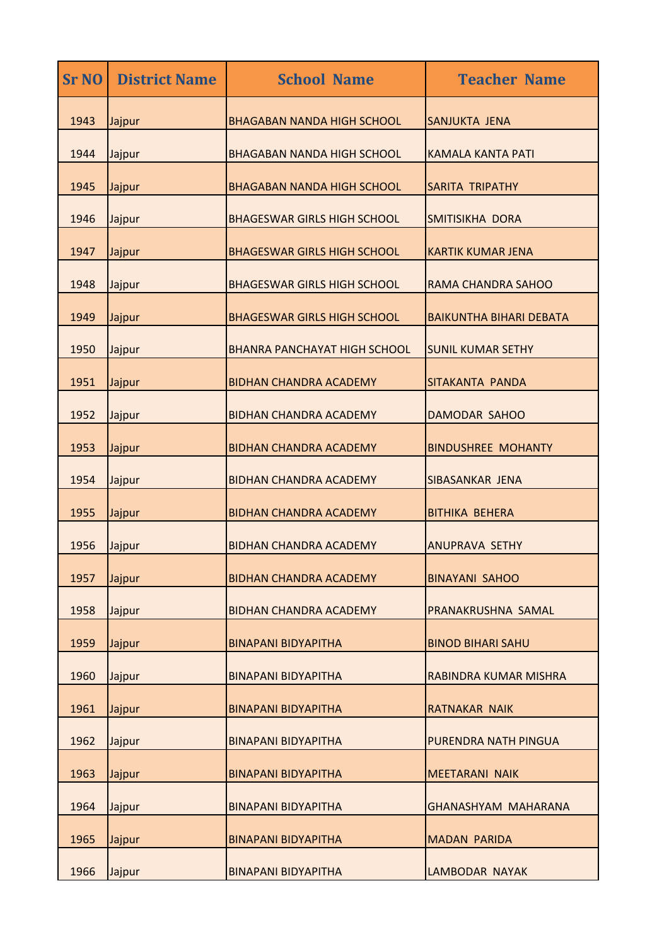| <b>Sr NO</b> | <b>District Name</b> | <b>School Name</b>                  | <b>Teacher Name</b>            |
|--------------|----------------------|-------------------------------------|--------------------------------|
| 1943         | Jajpur               | <b>BHAGABAN NANDA HIGH SCHOOL</b>   | <b>SANJUKTA JENA</b>           |
| 1944         | Jajpur               | <b>BHAGABAN NANDA HIGH SCHOOL</b>   | <b>KAMALA KANTA PATI</b>       |
| 1945         | Jajpur               | <b>BHAGABAN NANDA HIGH SCHOOL</b>   | <b>SARITA TRIPATHY</b>         |
| 1946         | Jajpur               | <b>BHAGESWAR GIRLS HIGH SCHOOL</b>  | <b>SMITISIKHA DORA</b>         |
| 1947         | Jajpur               | <b>BHAGESWAR GIRLS HIGH SCHOOL</b>  | <b>KARTIK KUMAR JENA</b>       |
| 1948         | Jajpur               | <b>BHAGESWAR GIRLS HIGH SCHOOL</b>  | <b>RAMA CHANDRA SAHOO</b>      |
| 1949         | Jajpur               | <b>BHAGESWAR GIRLS HIGH SCHOOL</b>  | <b>BAIKUNTHA BIHARI DEBATA</b> |
| 1950         | Jajpur               | <b>BHANRA PANCHAYAT HIGH SCHOOL</b> | <b>SUNIL KUMAR SETHY</b>       |
| 1951         | Jajpur               | <b>BIDHAN CHANDRA ACADEMY</b>       | SITAKANTA PANDA                |
| 1952         | Jajpur               | <b>BIDHAN CHANDRA ACADEMY</b>       | <b>DAMODAR SAHOO</b>           |
| 1953         | Jajpur               | <b>BIDHAN CHANDRA ACADEMY</b>       | <b>BINDUSHREE MOHANTY</b>      |
| 1954         | Jajpur               | <b>BIDHAN CHANDRA ACADEMY</b>       | <b>SIBASANKAR JENA</b>         |
| 1955         | Jajpur               | <b>BIDHAN CHANDRA ACADEMY</b>       | <b>BITHIKA BEHERA</b>          |
| 1956         | Jajpur               | <b>BIDHAN CHANDRA ACADEMY</b>       | <b>ANUPRAVA SETHY</b>          |
| 1957         | Jajpur               | <b>BIDHAN CHANDRA ACADEMY</b>       | <b>BINAYANI SAHOO</b>          |
| 1958         | Jajpur               | <b>BIDHAN CHANDRA ACADEMY</b>       | PRANAKRUSHNA SAMAL             |
| 1959         | Jajpur               | <b>BINAPANI BIDYAPITHA</b>          | <b>BINOD BIHARI SAHU</b>       |
| 1960         | Jajpur               | <b>BINAPANI BIDYAPITHA</b>          | RABINDRA KUMAR MISHRA          |
| 1961         | Jajpur               | <b>BINAPANI BIDYAPITHA</b>          | <b>RATNAKAR NAIK</b>           |
| 1962         | Jajpur               | <b>BINAPANI BIDYAPITHA</b>          | PURENDRA NATH PINGUA           |
| 1963         | Jajpur               | <b>BINAPANI BIDYAPITHA</b>          | <b>MEETARANI NAIK</b>          |
| 1964         | Jajpur               | <b>BINAPANI BIDYAPITHA</b>          | <b>GHANASHYAM MAHARANA</b>     |
| 1965         | Jajpur               | <b>BINAPANI BIDYAPITHA</b>          | <b>MADAN PARIDA</b>            |
| 1966         | Jajpur               | <b>BINAPANI BIDYAPITHA</b>          | <b>LAMBODAR NAYAK</b>          |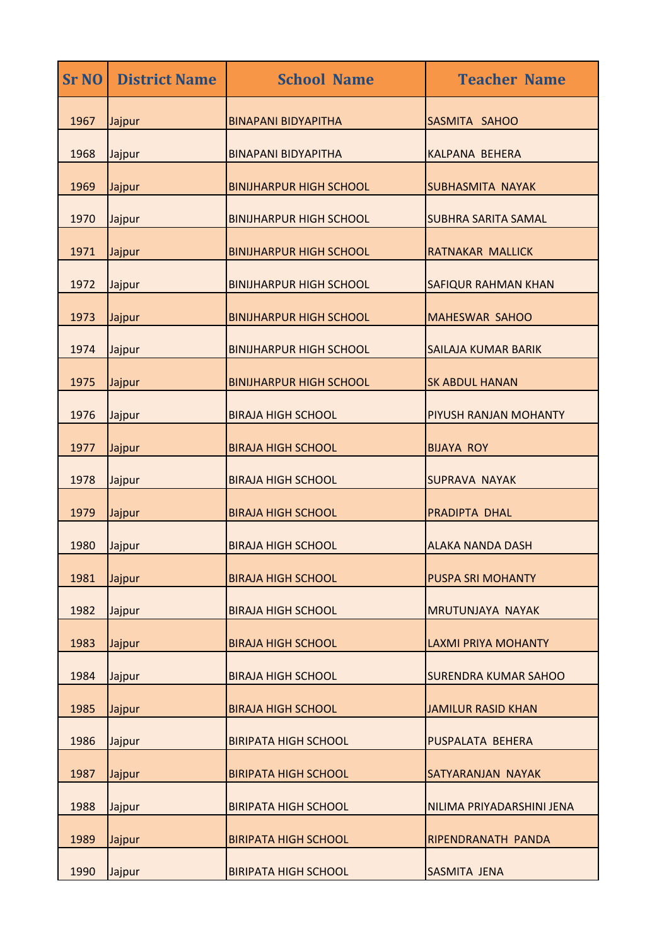| <b>Sr NO</b> | <b>District Name</b> | <b>School Name</b>             | <b>Teacher Name</b>         |
|--------------|----------------------|--------------------------------|-----------------------------|
| 1967         | Jajpur               | <b>BINAPANI BIDYAPITHA</b>     | SASMITA SAHOO               |
| 1968         | Jajpur               | <b>BINAPANI BIDYAPITHA</b>     | <b>KALPANA BEHERA</b>       |
| 1969         | Jajpur               | <b>BINIJHARPUR HIGH SCHOOL</b> | <b>SUBHASMITA NAYAK</b>     |
| 1970         | Jajpur               | <b>BINIJHARPUR HIGH SCHOOL</b> | <b>SUBHRA SARITA SAMAL</b>  |
| 1971         | Jajpur               | <b>BINIJHARPUR HIGH SCHOOL</b> | <b>RATNAKAR MALLICK</b>     |
| 1972         | Jajpur               | <b>BINIJHARPUR HIGH SCHOOL</b> | <b>SAFIQUR RAHMAN KHAN</b>  |
| 1973         | Jajpur               | <b>BINIJHARPUR HIGH SCHOOL</b> | <b>MAHESWAR SAHOO</b>       |
| 1974         | Jajpur               | <b>BINIJHARPUR HIGH SCHOOL</b> | <b>SAILAJA KUMAR BARIK</b>  |
| 1975         | Jajpur               | <b>BINIJHARPUR HIGH SCHOOL</b> | <b>SK ABDUL HANAN</b>       |
| 1976         | Jajpur               | <b>BIRAJA HIGH SCHOOL</b>      | PIYUSH RANJAN MOHANTY       |
| 1977         | Jajpur               | <b>BIRAJA HIGH SCHOOL</b>      | <b>BIJAYA ROY</b>           |
| 1978         | Jajpur               | <b>BIRAJA HIGH SCHOOL</b>      | <b>SUPRAVA NAYAK</b>        |
| 1979         | Jajpur               | <b>BIRAJA HIGH SCHOOL</b>      | <b>PRADIPTA DHAL</b>        |
| 1980         | Jajpur               | <b>BIRAJA HIGH SCHOOL</b>      | <b>ALAKA NANDA DASH</b>     |
| 1981         | Jajpur               | <b>BIRAJA HIGH SCHOOL</b>      | <b>PUSPA SRI MOHANTY</b>    |
| 1982         | Jajpur               | <b>BIRAJA HIGH SCHOOL</b>      | <b>MRUTUNJAYA NAYAK</b>     |
| 1983         | Jajpur               | <b>BIRAJA HIGH SCHOOL</b>      | <b>LAXMI PRIYA MOHANTY</b>  |
| 1984         | Jajpur               | <b>BIRAJA HIGH SCHOOL</b>      | <b>SURENDRA KUMAR SAHOO</b> |
| 1985         | Jajpur               | <b>BIRAJA HIGH SCHOOL</b>      | <b>JAMILUR RASID KHAN</b>   |
| 1986         | Jajpur               | <b>BIRIPATA HIGH SCHOOL</b>    | PUSPALATA BEHERA            |
| 1987         | Jajpur               | <b>BIRIPATA HIGH SCHOOL</b>    | <b>SATYARANJAN NAYAK</b>    |
| 1988         | Jajpur               | <b>BIRIPATA HIGH SCHOOL</b>    | NILIMA PRIYADARSHINI JENA   |
| 1989         | Jajpur               | <b>BIRIPATA HIGH SCHOOL</b>    | RIPENDRANATH PANDA          |
| 1990         | Jajpur               | <b>BIRIPATA HIGH SCHOOL</b>    | SASMITA JENA                |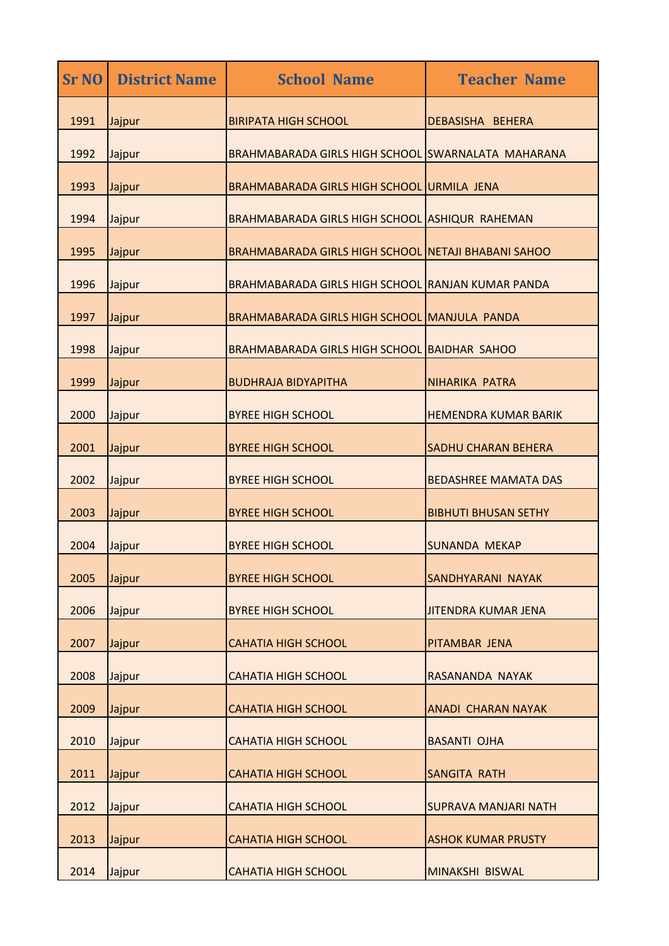| <b>Sr NO</b> | <b>District Name</b> | <b>School Name</b>                                  | <b>Teacher Name</b>         |
|--------------|----------------------|-----------------------------------------------------|-----------------------------|
| 1991         | Jajpur               | <b>BIRIPATA HIGH SCHOOL</b>                         | DEBASISHA BEHERA            |
| 1992         | Jajpur               | BRAHMABARADA GIRLS HIGH SCHOOL SWARNALATA MAHARANA  |                             |
| 1993         | Jajpur               | BRAHMABARADA GIRLS HIGH SCHOOL URMILA JENA          |                             |
| 1994         | Jajpur               | BRAHMABARADA GIRLS HIGH SCHOOL ASHIQUR RAHEMAN      |                             |
| 1995         | Jajpur               | BRAHMABARADA GIRLS HIGH SCHOOL NETAJI BHABANI SAHOO |                             |
| 1996         | Jajpur               | BRAHMABARADA GIRLS HIGH SCHOOL RANJAN KUMAR PANDA   |                             |
| 1997         | Jajpur               | BRAHMABARADA GIRLS HIGH SCHOOL MANJULA PANDA        |                             |
| 1998         | Jajpur               | BRAHMABARADA GIRLS HIGH SCHOOL BAIDHAR SAHOO        |                             |
| 1999         | Jajpur               | <b>BUDHRAJA BIDYAPITHA</b>                          | <b>NIHARIKA PATRA</b>       |
| 2000         | Jajpur               | <b>BYREE HIGH SCHOOL</b>                            | <b>HEMENDRA KUMAR BARIK</b> |
| 2001         | Jajpur               | <b>BYREE HIGH SCHOOL</b>                            | <b>SADHU CHARAN BEHERA</b>  |
| 2002         | Jajpur               | <b>BYREE HIGH SCHOOL</b>                            | <b>BEDASHREE MAMATA DAS</b> |
| 2003         | Jajpur               | <b>BYREE HIGH SCHOOL</b>                            | <b>BIBHUTI BHUSAN SETHY</b> |
| 2004         | Jajpur               | <b>BYREE HIGH SCHOOL</b>                            | <b>SUNANDA MEKAP</b>        |
| 2005         | Jajpur               | <b>BYREE HIGH SCHOOL</b>                            | SANDHYARANI NAYAK           |
| 2006         | Jajpur               | <b>BYREE HIGH SCHOOL</b>                            | <b>JITENDRA KUMAR JENA</b>  |
| 2007         | Jajpur               | <b>CAHATIA HIGH SCHOOL</b>                          | PITAMBAR JENA               |
| 2008         | Jajpur               | <b>CAHATIA HIGH SCHOOL</b>                          | RASANANDA NAYAK             |
| 2009         | Jajpur               | <b>CAHATIA HIGH SCHOOL</b>                          | <b>ANADI CHARAN NAYAK</b>   |
| 2010         | Jajpur               | <b>CAHATIA HIGH SCHOOL</b>                          | <b>BASANTI OJHA</b>         |
| 2011         | Jajpur               | <b>CAHATIA HIGH SCHOOL</b>                          | <b>SANGITA RATH</b>         |
| 2012         | Jajpur               | <b>CAHATIA HIGH SCHOOL</b>                          | <b>SUPRAVA MANJARI NATH</b> |
| 2013         | Jajpur               | <b>CAHATIA HIGH SCHOOL</b>                          | <b>ASHOK KUMAR PRUSTY</b>   |
| 2014         | Jajpur               | <b>CAHATIA HIGH SCHOOL</b>                          | MINAKSHI BISWAL             |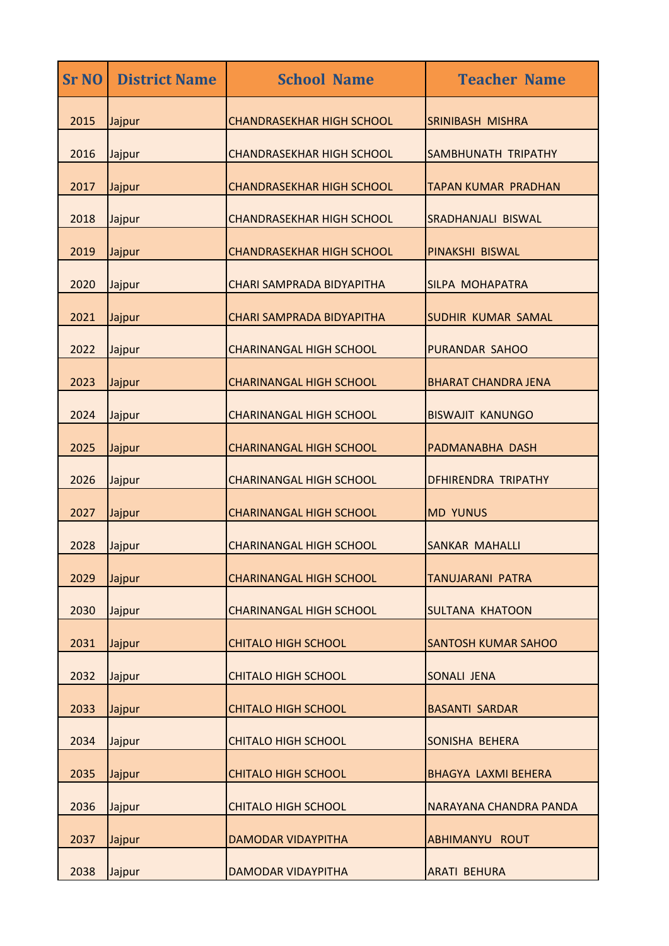| <b>Sr NO</b> | <b>District Name</b> | <b>School Name</b>               | <b>Teacher Name</b>        |
|--------------|----------------------|----------------------------------|----------------------------|
| 2015         | Jajpur               | <b>CHANDRASEKHAR HIGH SCHOOL</b> | <b>SRINIBASH MISHRA</b>    |
| 2016         | Jajpur               | <b>CHANDRASEKHAR HIGH SCHOOL</b> | <b>SAMBHUNATH TRIPATHY</b> |
| 2017         | Jajpur               | <b>CHANDRASEKHAR HIGH SCHOOL</b> | <b>TAPAN KUMAR PRADHAN</b> |
| 2018         | Jajpur               | <b>CHANDRASEKHAR HIGH SCHOOL</b> | <b>SRADHANJALI BISWAL</b>  |
| 2019         | Jajpur               | <b>CHANDRASEKHAR HIGH SCHOOL</b> | <b>PINAKSHI BISWAL</b>     |
| 2020         | Jajpur               | <b>CHARI SAMPRADA BIDYAPITHA</b> | <b>SILPA MOHAPATRA</b>     |
| 2021         | Jajpur               | <b>CHARI SAMPRADA BIDYAPITHA</b> | <b>SUDHIR KUMAR SAMAL</b>  |
| 2022         | Jajpur               | <b>CHARINANGAL HIGH SCHOOL</b>   | <b>PURANDAR SAHOO</b>      |
| 2023         | Jajpur               | <b>CHARINANGAL HIGH SCHOOL</b>   | <b>BHARAT CHANDRA JENA</b> |
| 2024         | Jajpur               | <b>CHARINANGAL HIGH SCHOOL</b>   | <b>BISWAJIT KANUNGO</b>    |
| 2025         | Jajpur               | <b>CHARINANGAL HIGH SCHOOL</b>   | <b>PADMANABHA DASH</b>     |
| 2026         | Jajpur               | <b>CHARINANGAL HIGH SCHOOL</b>   | <b>DFHIRENDRA TRIPATHY</b> |
| 2027         | Jajpur               | <b>CHARINANGAL HIGH SCHOOL</b>   | <b>MD YUNUS</b>            |
| 2028         | Jajpur               | <b>CHARINANGAL HIGH SCHOOL</b>   | <b>SANKAR MAHALLI</b>      |
| 2029         | Jajpur               | <b>CHARINANGAL HIGH SCHOOL</b>   | <b>TANUJARANI PATRA</b>    |
| 2030         | Jajpur               | <b>CHARINANGAL HIGH SCHOOL</b>   | <b>SULTANA KHATOON</b>     |
| 2031         | Jajpur               | <b>CHITALO HIGH SCHOOL</b>       | <b>SANTOSH KUMAR SAHOO</b> |
| 2032         | Jajpur               | <b>CHITALO HIGH SCHOOL</b>       | <b>SONALI JENA</b>         |
| 2033         | Jajpur               | <b>CHITALO HIGH SCHOOL</b>       | <b>BASANTI SARDAR</b>      |
| 2034         | Jajpur               | <b>CHITALO HIGH SCHOOL</b>       | <b>SONISHA BEHERA</b>      |
| 2035         | Jajpur               | <b>CHITALO HIGH SCHOOL</b>       | <b>BHAGYA LAXMI BEHERA</b> |
| 2036         | Jajpur               | <b>CHITALO HIGH SCHOOL</b>       | NARAYANA CHANDRA PANDA     |
| 2037         | Jajpur               | <b>DAMODAR VIDAYPITHA</b>        | <b>ABHIMANYU ROUT</b>      |
| 2038         | Jajpur               | <b>DAMODAR VIDAYPITHA</b>        | <b>ARATI BEHURA</b>        |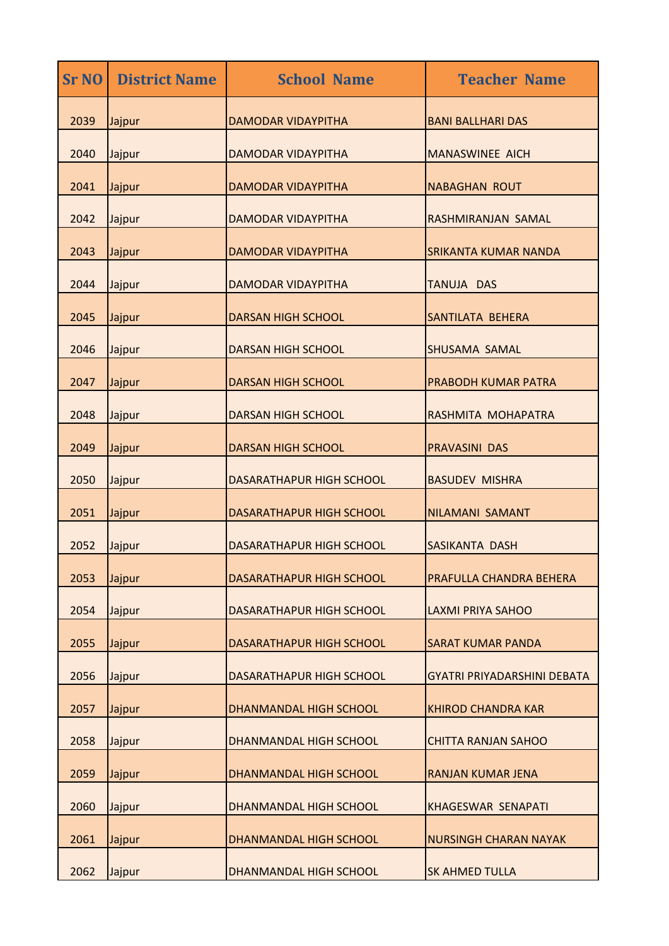| <b>Sr NO</b> | <b>District Name</b> | <b>School Name</b>              | <b>Teacher Name</b>                |
|--------------|----------------------|---------------------------------|------------------------------------|
| 2039         | Jajpur               | <b>DAMODAR VIDAYPITHA</b>       | <b>BANI BALLHARI DAS</b>           |
| 2040         | Jajpur               | <b>DAMODAR VIDAYPITHA</b>       | <b>MANASWINEE AICH</b>             |
| 2041         | Jajpur               | <b>DAMODAR VIDAYPITHA</b>       | <b>NABAGHAN ROUT</b>               |
| 2042         | Jajpur               | <b>DAMODAR VIDAYPITHA</b>       | RASHMIRANJAN SAMAL                 |
| 2043         | Jajpur               | <b>DAMODAR VIDAYPITHA</b>       | <b>SRIKANTA KUMAR NANDA</b>        |
| 2044         | Jajpur               | <b>DAMODAR VIDAYPITHA</b>       | <b>TANUJA DAS</b>                  |
| 2045         | Jajpur               | <b>DARSAN HIGH SCHOOL</b>       | <b>SANTILATA BEHERA</b>            |
| 2046         | Jajpur               | <b>DARSAN HIGH SCHOOL</b>       | <b>SHUSAMA SAMAL</b>               |
| 2047         | Jajpur               | <b>DARSAN HIGH SCHOOL</b>       | <b>PRABODH KUMAR PATRA</b>         |
| 2048         | Jajpur               | <b>DARSAN HIGH SCHOOL</b>       | RASHMITA MOHAPATRA                 |
| 2049         | Jajpur               | <b>DARSAN HIGH SCHOOL</b>       | <b>PRAVASINI DAS</b>               |
| 2050         | Jajpur               | <b>DASARATHAPUR HIGH SCHOOL</b> | <b>BASUDEV MISHRA</b>              |
| 2051         | Jajpur               | <b>DASARATHAPUR HIGH SCHOOL</b> | <b>NILAMANI SAMANT</b>             |
| 2052         | Jajpur               | <b>DASARATHAPUR HIGH SCHOOL</b> | <b>SASIKANTA DASH</b>              |
| 2053         | Jajpur               | <b>DASARATHAPUR HIGH SCHOOL</b> | PRAFULLA CHANDRA BEHERA            |
| 2054         | Jajpur               | <b>DASARATHAPUR HIGH SCHOOL</b> | <b>LAXMI PRIYA SAHOO</b>           |
| 2055         | Jajpur               | DASARATHAPUR HIGH SCHOOL        | <b>SARAT KUMAR PANDA</b>           |
| 2056         | Jajpur               | <b>DASARATHAPUR HIGH SCHOOL</b> | <b>GYATRI PRIYADARSHINI DEBATA</b> |
| 2057         | Jajpur               | DHANMANDAL HIGH SCHOOL          | <b>KHIROD CHANDRA KAR</b>          |
| 2058         | Jajpur               | DHANMANDAL HIGH SCHOOL          | <b>CHITTA RANJAN SAHOO</b>         |
| 2059         | Jajpur               | DHANMANDAL HIGH SCHOOL          | <b>RANJAN KUMAR JENA</b>           |
| 2060         | Jajpur               | DHANMANDAL HIGH SCHOOL          | <b>KHAGESWAR SENAPATI</b>          |
| 2061         | Jajpur               | DHANMANDAL HIGH SCHOOL          | <b>NURSINGH CHARAN NAYAK</b>       |
| 2062         | Jajpur               | DHANMANDAL HIGH SCHOOL          | <b>SK AHMED TULLA</b>              |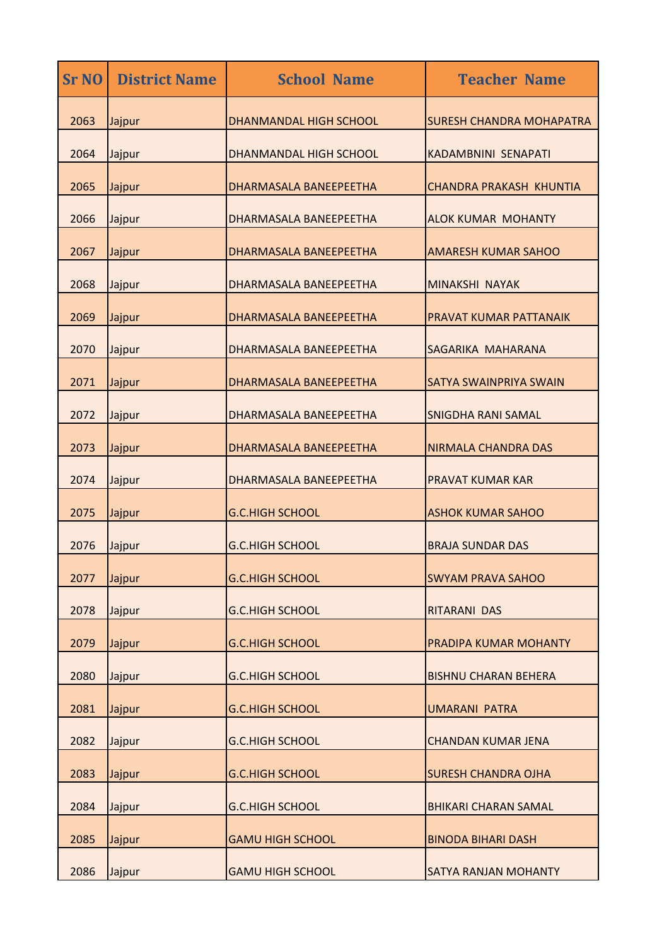| <b>Sr NO</b> | <b>District Name</b> | <b>School Name</b>            | <b>Teacher Name</b>             |
|--------------|----------------------|-------------------------------|---------------------------------|
| 2063         | Jajpur               | <b>DHANMANDAL HIGH SCHOOL</b> | <b>SURESH CHANDRA MOHAPATRA</b> |
| 2064         | Jajpur               | <b>DHANMANDAL HIGH SCHOOL</b> | KADAMBNINI SENAPATI             |
| 2065         | Jajpur               | DHARMASALA BANEEPEETHA        | <b>CHANDRA PRAKASH KHUNTIA</b>  |
| 2066         | Jajpur               | DHARMASALA BANEEPEETHA        | <b>ALOK KUMAR MOHANTY</b>       |
| 2067         | Jajpur               | DHARMASALA BANEEPEETHA        | <b>AMARESH KUMAR SAHOO</b>      |
| 2068         | Jajpur               | <b>DHARMASALA BANEEPEETHA</b> | <b>MINAKSHI NAYAK</b>           |
| 2069         | Jajpur               | <b>DHARMASALA BANEEPEETHA</b> | <b>PRAVAT KUMAR PATTANAIK</b>   |
| 2070         | Jajpur               | DHARMASALA BANEEPEETHA        | <b>SAGARIKA MAHARANA</b>        |
| 2071         | Jajpur               | <b>DHARMASALA BANEEPEETHA</b> | <b>SATYA SWAINPRIYA SWAIN</b>   |
| 2072         | Jajpur               | DHARMASALA BANEEPEETHA        | <b>SNIGDHA RANI SAMAL</b>       |
| 2073         | Jajpur               | DHARMASALA BANEEPEETHA        | NIRMALA CHANDRA DAS             |
| 2074         | Jajpur               | DHARMASALA BANEEPEETHA        | <b>PRAVAT KUMAR KAR</b>         |
| 2075         | Jajpur               | <b>G.C.HIGH SCHOOL</b>        | <b>ASHOK KUMAR SAHOO</b>        |
| 2076         | Jajpur               | <b>G.C.HIGH SCHOOL</b>        | <b>BRAJA SUNDAR DAS</b>         |
| 2077         | Jajpur               | <b>G.C.HIGH SCHOOL</b>        | <b>SWYAM PRAVA SAHOO</b>        |
| 2078         | Jajpur               | <b>G.C.HIGH SCHOOL</b>        | <b>RITARANI DAS</b>             |
| 2079         | Jajpur               | <b>G.C.HIGH SCHOOL</b>        | <b>PRADIPA KUMAR MOHANTY</b>    |
| 2080         | Jajpur               | <b>G.C.HIGH SCHOOL</b>        | <b>BISHNU CHARAN BEHERA</b>     |
| 2081         | Jajpur               | <b>G.C.HIGH SCHOOL</b>        | <b>UMARANI PATRA</b>            |
| 2082         | Jajpur               | <b>G.C.HIGH SCHOOL</b>        | <b>CHANDAN KUMAR JENA</b>       |
| 2083         | Jajpur               | <b>G.C.HIGH SCHOOL</b>        | <b>SURESH CHANDRA OJHA</b>      |
| 2084         | Jajpur               | <b>G.C.HIGH SCHOOL</b>        | <b>BHIKARI CHARAN SAMAL</b>     |
| 2085         | Jajpur               | <b>GAMU HIGH SCHOOL</b>       | <b>BINODA BIHARI DASH</b>       |
| 2086         | Jajpur               | <b>GAMU HIGH SCHOOL</b>       | <b>SATYA RANJAN MOHANTY</b>     |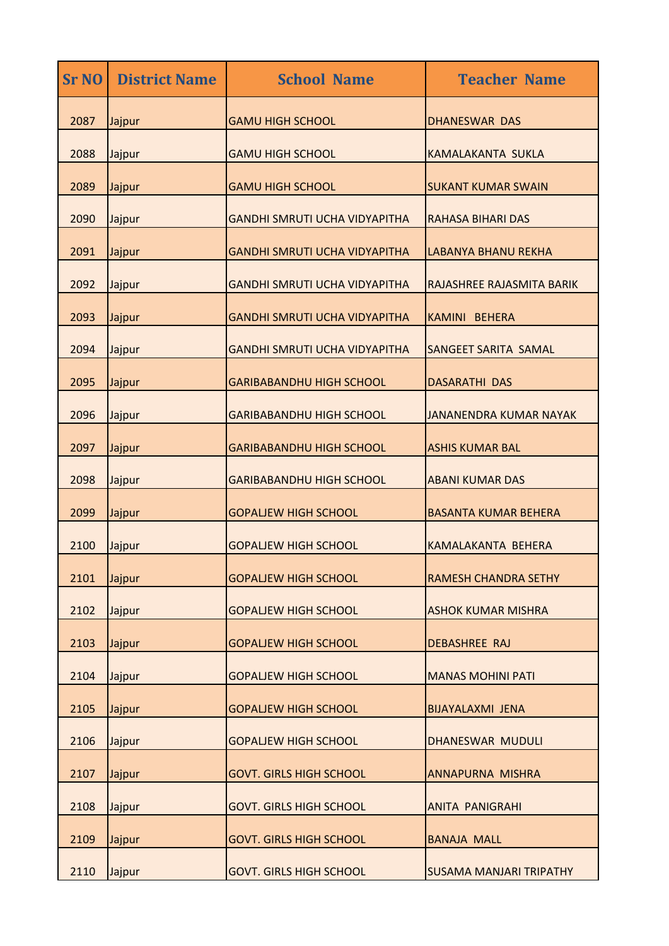| <b>Sr NO</b> | <b>District Name</b> | <b>School Name</b>                   | <b>Teacher Name</b>              |
|--------------|----------------------|--------------------------------------|----------------------------------|
| 2087         | Jajpur               | <b>GAMU HIGH SCHOOL</b>              | <b>DHANESWAR DAS</b>             |
| 2088         | Jajpur               | <b>GAMU HIGH SCHOOL</b>              | <b>KAMALAKANTA SUKLA</b>         |
| 2089         | Jajpur               | <b>GAMU HIGH SCHOOL</b>              | <b>SUKANT KUMAR SWAIN</b>        |
| 2090         | Jajpur               | <b>GANDHI SMRUTI UCHA VIDYAPITHA</b> | <b>RAHASA BIHARI DAS</b>         |
| 2091         | Jajpur               | <b>GANDHI SMRUTI UCHA VIDYAPITHA</b> | <b>LABANYA BHANU REKHA</b>       |
| 2092         | Jajpur               | <b>GANDHI SMRUTI UCHA VIDYAPITHA</b> | <b>RAJASHREE RAJASMITA BARIK</b> |
| 2093         | Jajpur               | <b>GANDHI SMRUTI UCHA VIDYAPITHA</b> | KAMINI BEHERA                    |
| 2094         | Jajpur               | <b>GANDHI SMRUTI UCHA VIDYAPITHA</b> | <b>SANGEET SARITA SAMAL</b>      |
| 2095         | Jajpur               | <b>GARIBABANDHU HIGH SCHOOL</b>      | <b>DASARATHI DAS</b>             |
| 2096         | Jajpur               | <b>GARIBABANDHU HIGH SCHOOL</b>      | <b>JANANENDRA KUMAR NAYAK</b>    |
| 2097         | Jajpur               | <b>GARIBABANDHU HIGH SCHOOL</b>      | <b>ASHIS KUMAR BAL</b>           |
| 2098         | Jajpur               | <b>GARIBABANDHU HIGH SCHOOL</b>      | <b>ABANI KUMAR DAS</b>           |
| 2099         | Jajpur               | <b>GOPALIEW HIGH SCHOOL</b>          | <b>BASANTA KUMAR BEHERA</b>      |
| 2100         | Jajpur               | <b>GOPALJEW HIGH SCHOOL</b>          | <b>KAMALAKANTA BEHERA</b>        |
| 2101         | Jajpur               | <b>GOPALIEW HIGH SCHOOL</b>          | <b>RAMESH CHANDRA SETHY</b>      |
| 2102         | Jajpur               | <b>GOPALIEW HIGH SCHOOL</b>          | <b>ASHOK KUMAR MISHRA</b>        |
| 2103         | Jajpur               | <b>GOPALJEW HIGH SCHOOL</b>          | <b>DEBASHREE RAJ</b>             |
| 2104         | Jajpur               | <b>GOPALIEW HIGH SCHOOL</b>          | <b>MANAS MOHINI PATI</b>         |
| 2105         | Jajpur               | <b>GOPALIEW HIGH SCHOOL</b>          | <b>BIJAYALAXMI JENA</b>          |
| 2106         | Jajpur               | <b>GOPALIEW HIGH SCHOOL</b>          | <b>DHANESWAR MUDULI</b>          |
| 2107         | Jajpur               | <b>GOVT. GIRLS HIGH SCHOOL</b>       | <b>ANNAPURNA MISHRA</b>          |
| 2108         | Jajpur               | <b>GOVT. GIRLS HIGH SCHOOL</b>       | <b>ANITA PANIGRAHI</b>           |
| 2109         | Jajpur               | <b>GOVT. GIRLS HIGH SCHOOL</b>       | <b>BANAJA MALL</b>               |
| 2110         | Jajpur               | <b>GOVT. GIRLS HIGH SCHOOL</b>       | <b>SUSAMA MANJARI TRIPATHY</b>   |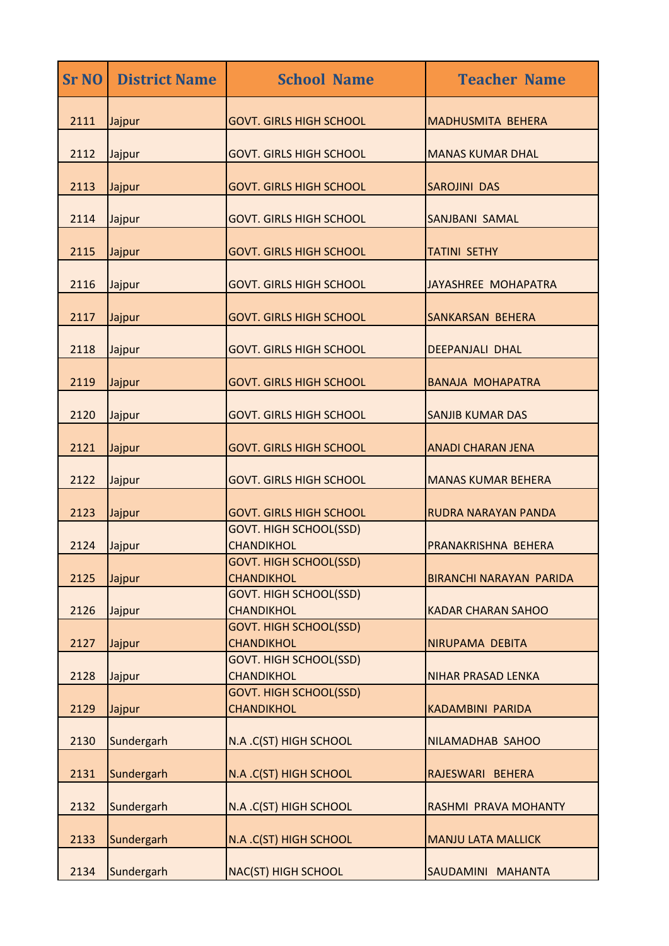| <b>Sr NO</b> | <b>District Name</b> | <b>School Name</b>                                 | <b>Teacher Name</b>            |
|--------------|----------------------|----------------------------------------------------|--------------------------------|
| 2111         | Jajpur               | <b>GOVT. GIRLS HIGH SCHOOL</b>                     | <b>MADHUSMITA BEHERA</b>       |
| 2112         | Jajpur               | <b>GOVT. GIRLS HIGH SCHOOL</b>                     | <b>MANAS KUMAR DHAL</b>        |
| 2113         | Jajpur               | <b>GOVT. GIRLS HIGH SCHOOL</b>                     | <b>SAROJINI DAS</b>            |
| 2114         | Jajpur               | <b>GOVT. GIRLS HIGH SCHOOL</b>                     | <b>SANJBANI SAMAL</b>          |
| 2115         | Jajpur               | <b>GOVT. GIRLS HIGH SCHOOL</b>                     | <b>TATINI SETHY</b>            |
| 2116         | Jajpur               | <b>GOVT. GIRLS HIGH SCHOOL</b>                     | JAYASHREE MOHAPATRA            |
| 2117         | Jajpur               | <b>GOVT. GIRLS HIGH SCHOOL</b>                     | SANKARSAN BEHERA               |
| 2118         | Jajpur               | <b>GOVT. GIRLS HIGH SCHOOL</b>                     | <b>DEEPANJALI DHAL</b>         |
| 2119         | Jajpur               | <b>GOVT. GIRLS HIGH SCHOOL</b>                     | <b>BANAJA MOHAPATRA</b>        |
| 2120         | Jajpur               | <b>GOVT. GIRLS HIGH SCHOOL</b>                     | <b>SANJIB KUMAR DAS</b>        |
| 2121         | Jajpur               | <b>GOVT. GIRLS HIGH SCHOOL</b>                     | <b>ANADI CHARAN JENA</b>       |
| 2122         | Jajpur               | <b>GOVT. GIRLS HIGH SCHOOL</b>                     | <b>MANAS KUMAR BEHERA</b>      |
| 2123         | Jajpur               | <b>GOVT. GIRLS HIGH SCHOOL</b>                     | RUDRA NARAYAN PANDA            |
| 2124         | Jajpur               | <b>GOVT. HIGH SCHOOL(SSD)</b><br><b>CHANDIKHOL</b> | PRANAKRISHNA BEHERA            |
| 2125         | Jajpur               | GOVT. HIGH SCHOOL(SSD)<br><b>CHANDIKHOL</b>        | <b>BIRANCHI NARAYAN PARIDA</b> |
| 2126         | Jajpur               | <b>GOVT. HIGH SCHOOL(SSD)</b><br><b>CHANDIKHOL</b> | <b>KADAR CHARAN SAHOO</b>      |
| 2127         | Jajpur               | <b>GOVT. HIGH SCHOOL(SSD)</b><br><b>CHANDIKHOL</b> | NIRUPAMA DEBITA                |
| 2128         | Jajpur               | <b>GOVT. HIGH SCHOOL(SSD)</b><br><b>CHANDIKHOL</b> | NIHAR PRASAD LENKA             |
| 2129         | Jajpur               | <b>GOVT. HIGH SCHOOL(SSD)</b><br><b>CHANDIKHOL</b> | <b>KADAMBINI PARIDA</b>        |
| 2130         | Sundergarh           | N.A.C(ST) HIGH SCHOOL                              | NILAMADHAB SAHOO               |
| 2131         | Sundergarh           | N.A.C(ST) HIGH SCHOOL                              | RAJESWARI BEHERA               |
| 2132         | Sundergarh           | N.A.C(ST) HIGH SCHOOL                              | RASHMI PRAVA MOHANTY           |
| 2133         | Sundergarh           | N.A.C(ST) HIGH SCHOOL                              | <b>MANJU LATA MALLICK</b>      |
| 2134         | Sundergarh           | <b>NAC(ST) HIGH SCHOOL</b>                         | SAUDAMINI MAHANTA              |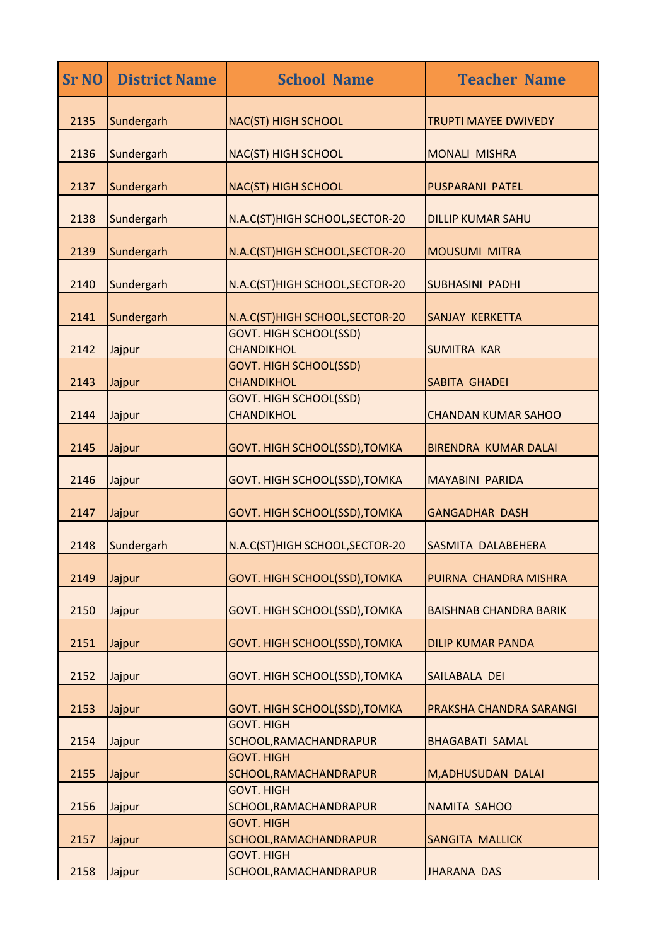| <b>Sr NO</b> | <b>District Name</b> | <b>School Name</b>                                 | <b>Teacher Name</b>           |
|--------------|----------------------|----------------------------------------------------|-------------------------------|
| 2135         | Sundergarh           | <b>NAC(ST) HIGH SCHOOL</b>                         | <b>TRUPTI MAYEE DWIVEDY</b>   |
| 2136         | Sundergarh           | <b>NAC(ST) HIGH SCHOOL</b>                         | <b>MONALI MISHRA</b>          |
| 2137         | Sundergarh           | <b>NAC(ST) HIGH SCHOOL</b>                         | PUSPARANI PATEL               |
|              |                      |                                                    |                               |
| 2138         | Sundergarh           | N.A.C(ST)HIGH SCHOOL, SECTOR-20                    | <b>DILLIP KUMAR SAHU</b>      |
| 2139         | Sundergarh           | N.A.C(ST)HIGH SCHOOL, SECTOR-20                    | <b>MOUSUMI MITRA</b>          |
| 2140         | Sundergarh           | N.A.C(ST)HIGH SCHOOL, SECTOR-20                    | <b>SUBHASINI PADHI</b>        |
| 2141         | Sundergarh           | N.A.C(ST)HIGH SCHOOL, SECTOR-20                    | <b>SANJAY KERKETTA</b>        |
| 2142         | Jajpur               | <b>GOVT. HIGH SCHOOL(SSD)</b><br><b>CHANDIKHOL</b> | <b>SUMITRA KAR</b>            |
| 2143         | Jajpur               | <b>GOVT. HIGH SCHOOL(SSD)</b><br><b>CHANDIKHOL</b> | <b>SABITA GHADEI</b>          |
| 2144         | Jajpur               | <b>GOVT. HIGH SCHOOL(SSD)</b><br><b>CHANDIKHOL</b> | <b>CHANDAN KUMAR SAHOO</b>    |
| 2145         | Jajpur               | <b>GOVT. HIGH SCHOOL(SSD), TOMKA</b>               | <b>BIRENDRA KUMAR DALAI</b>   |
|              |                      |                                                    |                               |
| 2146         | Jajpur               | GOVT. HIGH SCHOOL(SSD), TOMKA                      | <b>MAYABINI PARIDA</b>        |
| 2147         | Jajpur               | GOVT. HIGH SCHOOL(SSD), TOMKA                      | <b>GANGADHAR DASH</b>         |
| 2148         | Sundergarh           | N.A.C(ST)HIGH SCHOOL, SECTOR-20                    | SASMITA DALABEHERA            |
| 2149         | Jajpur               | <b>GOVT. HIGH SCHOOL(SSD), TOMKA</b>               | PUIRNA CHANDRA MISHRA         |
| 2150         | Jajpur               | GOVT. HIGH SCHOOL(SSD), TOMKA                      | <b>BAISHNAB CHANDRA BARIK</b> |
| 2151         | Jajpur               | GOVT. HIGH SCHOOL(SSD), TOMKA                      | <b>DILIP KUMAR PANDA</b>      |
|              |                      |                                                    |                               |
| 2152         | Jajpur               | <b>GOVT. HIGH SCHOOL(SSD), TOMKA</b>               | SAILABALA DEI                 |
| 2153         | Jajpur               | <b>GOVT. HIGH SCHOOL(SSD), TOMKA</b>               | PRAKSHA CHANDRA SARANGI       |
| 2154         | Jajpur               | <b>GOVT. HIGH</b><br>SCHOOL, RAMACHANDRAPUR        | <b>BHAGABATI SAMAL</b>        |
| 2155         | Jajpur               | <b>GOVT. HIGH</b><br>SCHOOL, RAMACHANDRAPUR        | M, ADHUSUDAN DALAI            |
| 2156         | Jajpur               | <b>GOVT. HIGH</b><br>SCHOOL, RAMACHANDRAPUR        | <b>NAMITA SAHOO</b>           |
|              |                      | <b>GOVT. HIGH</b>                                  |                               |
| 2157         | Jajpur               | SCHOOL, RAMACHANDRAPUR<br><b>GOVT. HIGH</b>        | <b>SANGITA MALLICK</b>        |
| 2158         | Jajpur               | SCHOOL, RAMACHANDRAPUR                             | <b>JHARANA DAS</b>            |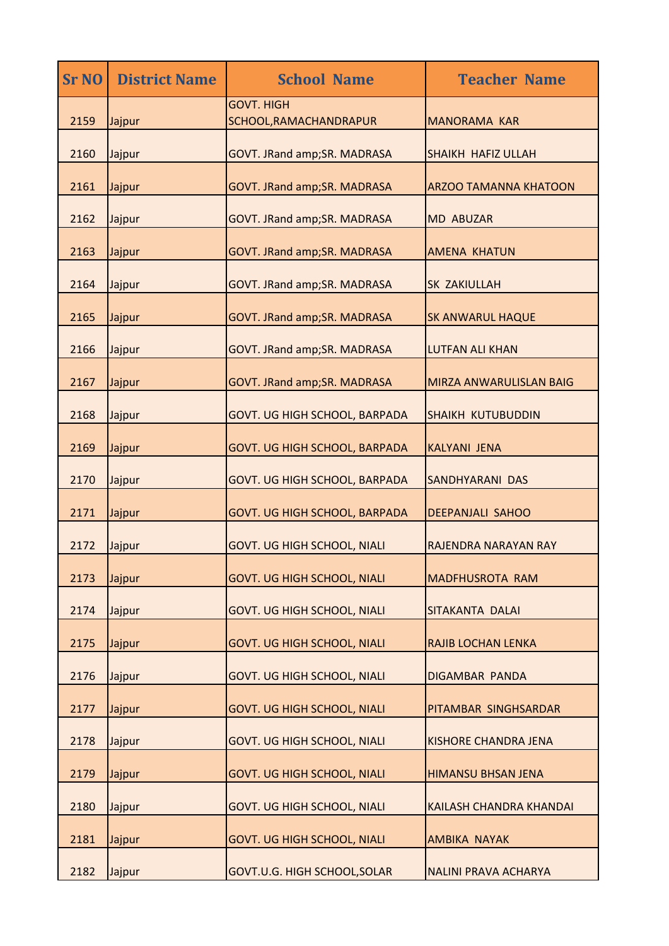| <b>Sr NO</b> | <b>District Name</b> | <b>School Name</b>                          | <b>Teacher Name</b>            |
|--------------|----------------------|---------------------------------------------|--------------------------------|
| 2159         | Jajpur               | <b>GOVT. HIGH</b><br>SCHOOL, RAMACHANDRAPUR | <b>MANORAMA KAR</b>            |
| 2160         | Jajpur               | GOVT. JRand amp; SR. MADRASA                | <b>SHAIKH HAFIZ ULLAH</b>      |
| 2161         | Jajpur               | GOVT. JRand amp; SR. MADRASA                | <b>ARZOO TAMANNA KHATOON</b>   |
| 2162         | Jajpur               | <b>GOVT. JRand amp;SR. MADRASA</b>          | <b>MD ABUZAR</b>               |
| 2163         | Jajpur               | GOVT. JRand amp; SR. MADRASA                | <b>AMENA KHATUN</b>            |
| 2164         | Jajpur               | GOVT. JRand amp; SR. MADRASA                | <b>SK ZAKIULLAH</b>            |
| 2165         | Jajpur               | <b>GOVT. JRand amp;SR. MADRASA</b>          | <b>SK ANWARUL HAQUE</b>        |
| 2166         | Jajpur               | GOVT. JRand amp; SR. MADRASA                | <b>LUTFAN ALI KHAN</b>         |
| 2167         | Jajpur               | <b>GOVT. JRand amp;SR. MADRASA</b>          | <b>MIRZA ANWARULISLAN BAIG</b> |
| 2168         | Jajpur               | GOVT. UG HIGH SCHOOL, BARPADA               | <b>SHAIKH KUTUBUDDIN</b>       |
| 2169         | Jajpur               | GOVT. UG HIGH SCHOOL, BARPADA               | <b>KALYANI JENA</b>            |
| 2170         | Jajpur               | GOVT. UG HIGH SCHOOL, BARPADA               | <b>SANDHYARANI DAS</b>         |
| 2171         | Jajpur               | GOVT. UG HIGH SCHOOL, BARPADA               | <b>DEEPANJALI SAHOO</b>        |
| 2172         | Jajpur               | <b>GOVT. UG HIGH SCHOOL, NIALI</b>          | RAJENDRA NARAYAN RAY           |
| 2173         | Jajpur               | <b>GOVT. UG HIGH SCHOOL, NIALI</b>          | <b>MADFHUSROTA RAM</b>         |
| 2174         | Jajpur               | <b>GOVT. UG HIGH SCHOOL, NIALI</b>          | SITAKANTA DALAI                |
| 2175         | Jajpur               | <b>GOVT. UG HIGH SCHOOL, NIALI</b>          | RAJIB LOCHAN LENKA             |
| 2176         | Jajpur               | <b>GOVT. UG HIGH SCHOOL, NIALI</b>          | <b>DIGAMBAR PANDA</b>          |
| 2177         | Jajpur               | <b>GOVT. UG HIGH SCHOOL, NIALI</b>          | PITAMBAR SINGHSARDAR           |
| 2178         | Jajpur               | <b>GOVT. UG HIGH SCHOOL, NIALI</b>          | <b>KISHORE CHANDRA JENA</b>    |
| 2179         | Jajpur               | <b>GOVT. UG HIGH SCHOOL, NIALI</b>          | <b>HIMANSU BHSAN JENA</b>      |
| 2180         | Jajpur               | <b>GOVT. UG HIGH SCHOOL, NIALI</b>          | <b>KAILASH CHANDRA KHANDAI</b> |
| 2181         | Jajpur               | <b>GOVT. UG HIGH SCHOOL, NIALI</b>          | <b>AMBIKA NAYAK</b>            |
| 2182         | Jajpur               | GOVT.U.G. HIGH SCHOOL, SOLAR                | <b>NALINI PRAVA ACHARYA</b>    |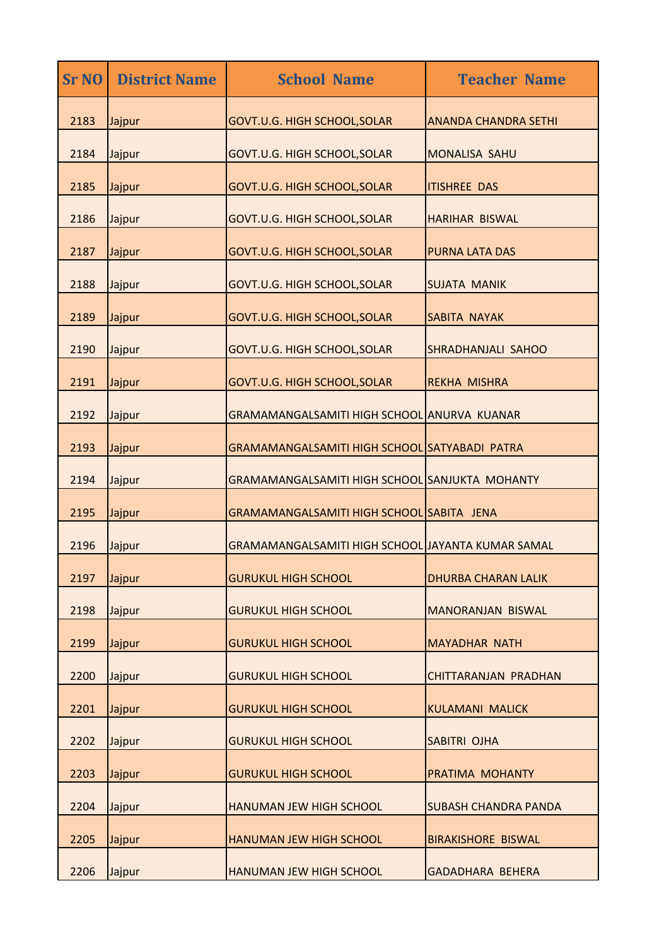| <b>Sr NO</b> | <b>District Name</b> | <b>School Name</b>                                       | <b>Teacher Name</b>         |
|--------------|----------------------|----------------------------------------------------------|-----------------------------|
| 2183         | Jajpur               | GOVT.U.G. HIGH SCHOOL, SOLAR                             | <b>ANANDA CHANDRA SETHI</b> |
| 2184         | Jajpur               | GOVT.U.G. HIGH SCHOOL, SOLAR                             | <b>MONALISA SAHU</b>        |
| 2185         | Jajpur               | GOVT.U.G. HIGH SCHOOL, SOLAR                             | <b>ITISHREE DAS</b>         |
| 2186         | Jajpur               | GOVT.U.G. HIGH SCHOOL, SOLAR                             | <b>HARIHAR BISWAL</b>       |
| 2187         | Jajpur               | GOVT.U.G. HIGH SCHOOL, SOLAR                             | <b>PURNA LATA DAS</b>       |
| 2188         | Jajpur               | GOVT.U.G. HIGH SCHOOL, SOLAR                             | <b>SUJATA MANIK</b>         |
| 2189         | Jajpur               | GOVT.U.G. HIGH SCHOOL, SOLAR                             | SABITA NAYAK                |
| 2190         | Jajpur               | GOVT.U.G. HIGH SCHOOL, SOLAR                             | <b>SHRADHANJALI SAHOO</b>   |
| 2191         | Jajpur               | GOVT.U.G. HIGH SCHOOL, SOLAR                             | <b>REKHA MISHRA</b>         |
| 2192         | Jajpur               | GRAMAMANGALSAMITI HIGH SCHOOL ANURVA KUANAR              |                             |
| 2193         | Jajpur               | GRAMAMANGALSAMITI HIGH SCHOOL SATYABADI PATRA            |                             |
| 2194         | Jajpur               | GRAMAMANGALSAMITI HIGH SCHOOL SANJUKTA MOHANTY           |                             |
| 2195         | Jajpur               | GRAMAMANGALSAMITI HIGH SCHOOL SABITA JENA                |                             |
| 2196         | Jajpur               | <b>GRAMAMANGALSAMITI HIGH SCHOOL JAYANTA KUMAR SAMAL</b> |                             |
| 2197         | Jajpur               | <b>GURUKUL HIGH SCHOOL</b>                               | <b>DHURBA CHARAN LALIK</b>  |
| 2198         | Jajpur               | <b>GURUKUL HIGH SCHOOL</b>                               | <b>MANORANJAN BISWAL</b>    |
| 2199         | Jajpur               | <b>GURUKUL HIGH SCHOOL</b>                               | <b>MAYADHAR NATH</b>        |
| 2200         | Jajpur               | <b>GURUKUL HIGH SCHOOL</b>                               | CHITTARANJAN PRADHAN        |
| 2201         | Jajpur               | <b>GURUKUL HIGH SCHOOL</b>                               | <b>KULAMANI MALICK</b>      |
| 2202         | Jajpur               | <b>GURUKUL HIGH SCHOOL</b>                               | <b>SABITRI OJHA</b>         |
| 2203         | Jajpur               | <b>GURUKUL HIGH SCHOOL</b>                               | PRATIMA MOHANTY             |
| 2204         | Jajpur               | <b>HANUMAN JEW HIGH SCHOOL</b>                           | <b>SUBASH CHANDRA PANDA</b> |
| 2205         | Jajpur               | HANUMAN JEW HIGH SCHOOL                                  | <b>BIRAKISHORE BISWAL</b>   |
| 2206         | Jajpur               | <b>HANUMAN JEW HIGH SCHOOL</b>                           | <b>GADADHARA BEHERA</b>     |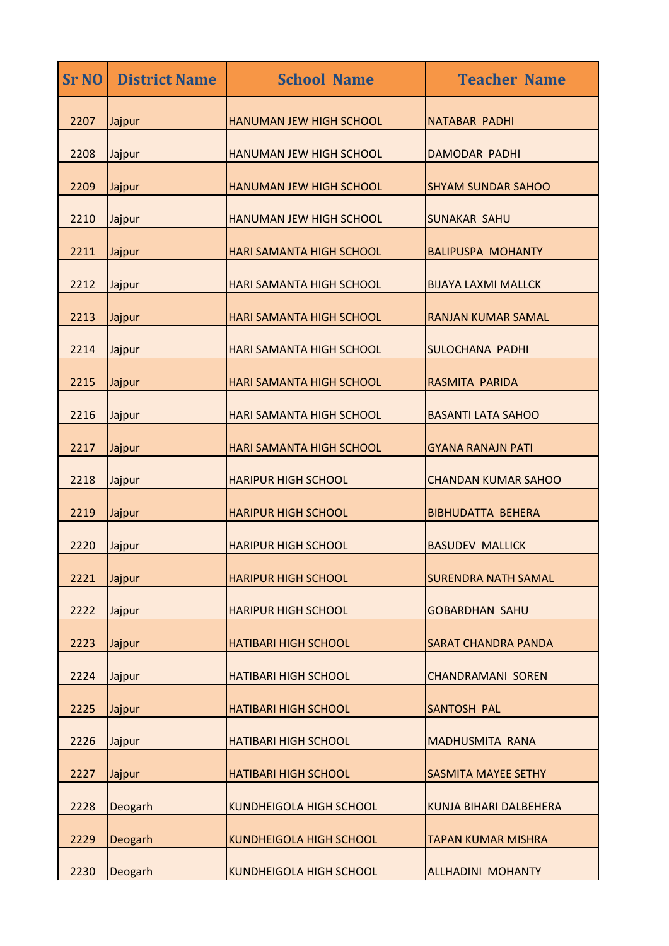| <b>Sr NO</b> | <b>District Name</b> | <b>School Name</b>              | <b>Teacher Name</b>        |
|--------------|----------------------|---------------------------------|----------------------------|
| 2207         | Jajpur               | <b>HANUMAN JEW HIGH SCHOOL</b>  | <b>NATABAR PADHI</b>       |
| 2208         | Jajpur               | <b>HANUMAN JEW HIGH SCHOOL</b>  | <b>DAMODAR PADHI</b>       |
| 2209         | Jajpur               | <b>HANUMAN JEW HIGH SCHOOL</b>  | <b>SHYAM SUNDAR SAHOO</b>  |
| 2210         | Jajpur               | <b>HANUMAN JEW HIGH SCHOOL</b>  | <b>SUNAKAR SAHU</b>        |
| 2211         | Jajpur               | <b>HARI SAMANTA HIGH SCHOOL</b> | <b>BALIPUSPA MOHANTY</b>   |
| 2212         | Jajpur               | <b>HARI SAMANTA HIGH SCHOOL</b> | <b>BIJAYA LAXMI MALLCK</b> |
| 2213         | Jajpur               | <b>HARI SAMANTA HIGH SCHOOL</b> | <b>RANJAN KUMAR SAMAL</b>  |
| 2214         | Jajpur               | <b>HARI SAMANTA HIGH SCHOOL</b> | <b>SULOCHANA PADHI</b>     |
| 2215         | Jajpur               | <b>HARI SAMANTA HIGH SCHOOL</b> | RASMITA PARIDA             |
| 2216         | Jajpur               | <b>HARI SAMANTA HIGH SCHOOL</b> | <b>BASANTI LATA SAHOO</b>  |
| 2217         | Jajpur               | <b>HARI SAMANTA HIGH SCHOOL</b> | <b>GYANA RANAJN PATI</b>   |
| 2218         | Jajpur               | <b>HARIPUR HIGH SCHOOL</b>      | <b>CHANDAN KUMAR SAHOO</b> |
| 2219         | Jajpur               | <b>HARIPUR HIGH SCHOOL</b>      | <b>BIBHUDATTA BEHERA</b>   |
| 2220         | Jajpur               | <b>HARIPUR HIGH SCHOOL</b>      | <b>BASUDEV MALLICK</b>     |
| 2221         | Jajpur               | <b>HARIPUR HIGH SCHOOL</b>      | <b>SURENDRA NATH SAMAL</b> |
| 2222         | Jajpur               | <b>HARIPUR HIGH SCHOOL</b>      | <b>GOBARDHAN SAHU</b>      |
| 2223         | Jajpur               | <b>HATIBARI HIGH SCHOOL</b>     | <b>SARAT CHANDRA PANDA</b> |
| 2224         | Jajpur               | <b>HATIBARI HIGH SCHOOL</b>     | <b>CHANDRAMANI SOREN</b>   |
| 2225         | Jajpur               | <b>HATIBARI HIGH SCHOOL</b>     | SANTOSH PAL                |
| 2226         | Jajpur               | <b>HATIBARI HIGH SCHOOL</b>     | <b>MADHUSMITA RANA</b>     |
| 2227         | Jajpur               | <b>HATIBARI HIGH SCHOOL</b>     | <b>SASMITA MAYEE SETHY</b> |
| 2228         | Deogarh              | <b>KUNDHEIGOLA HIGH SCHOOL</b>  | KUNJA BIHARI DALBEHERA     |
| 2229         | Deogarh              | <b>KUNDHEIGOLA HIGH SCHOOL</b>  | <b>TAPAN KUMAR MISHRA</b>  |
| 2230         | Deogarh              | <b>KUNDHEIGOLA HIGH SCHOOL</b>  | <b>ALLHADINI MOHANTY</b>   |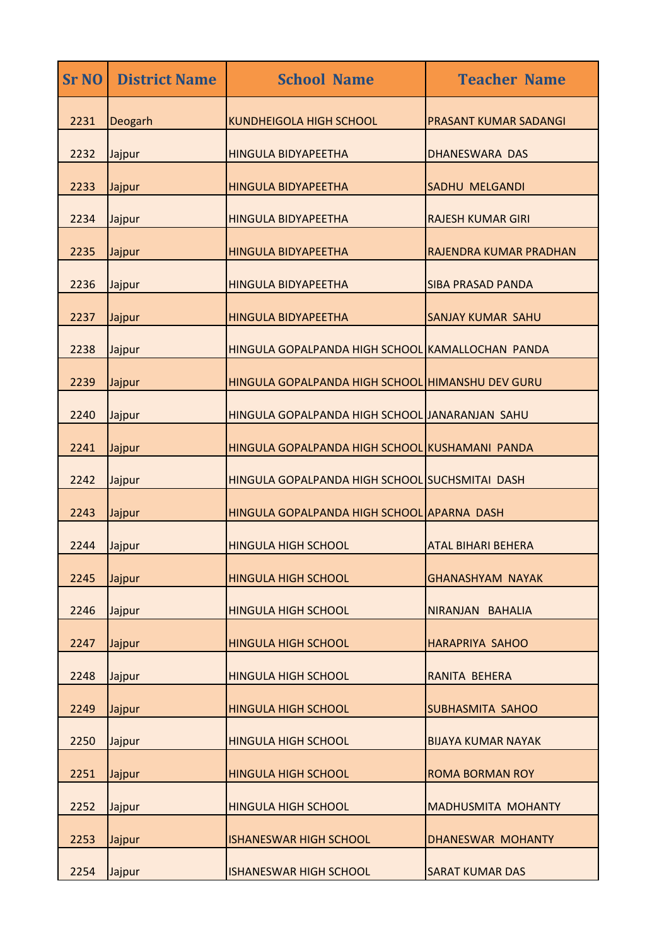| <b>Sr NO</b> | <b>District Name</b> | <b>School Name</b>                               | <b>Teacher Name</b>          |
|--------------|----------------------|--------------------------------------------------|------------------------------|
| 2231         | Deogarh              | <b>KUNDHEIGOLA HIGH SCHOOL</b>                   | <b>PRASANT KUMAR SADANGI</b> |
| 2232         | Jajpur               | <b>HINGULA BIDYAPEETHA</b>                       | <b>DHANESWARA DAS</b>        |
| 2233         | Jajpur               | <b>HINGULA BIDYAPEETHA</b>                       | <b>SADHU MELGANDI</b>        |
| 2234         | Jajpur               | <b>HINGULA BIDYAPEETHA</b>                       | <b>RAJESH KUMAR GIRI</b>     |
| 2235         | Jajpur               | <b>HINGULA BIDYAPEETHA</b>                       | RAJENDRA KUMAR PRADHAN       |
| 2236         | Jajpur               | <b>HINGULA BIDYAPEETHA</b>                       | <b>SIBA PRASAD PANDA</b>     |
| 2237         | Jajpur               | <b>HINGULA BIDYAPEETHA</b>                       | <b>SANJAY KUMAR SAHU</b>     |
| 2238         | Jajpur               | HINGULA GOPALPANDA HIGH SCHOOL KAMALLOCHAN PANDA |                              |
| 2239         | Jajpur               | HINGULA GOPALPANDA HIGH SCHOOL HIMANSHU DEV GURU |                              |
| 2240         | Jajpur               | HINGULA GOPALPANDA HIGH SCHOOL JANARANJAN SAHU   |                              |
| 2241         | Jajpur               | HINGULA GOPALPANDA HIGH SCHOOL KUSHAMANI PANDA   |                              |
| 2242         | Jajpur               | HINGULA GOPALPANDA HIGH SCHOOL SUCHSMITAI DASH   |                              |
| 2243         | Jajpur               | HINGULA GOPALPANDA HIGH SCHOOL APARNA DASH       |                              |
| 2244         | Jajpur               | <b>HINGULA HIGH SCHOOL</b>                       | <b>ATAL BIHARI BEHERA</b>    |
| 2245         | Jajpur               | <b>HINGULA HIGH SCHOOL</b>                       | <b>GHANASHYAM NAYAK</b>      |
| 2246         | Jajpur               | <b>HINGULA HIGH SCHOOL</b>                       | NIRANJAN BAHALIA             |
| 2247         | Jajpur               | <b>HINGULA HIGH SCHOOL</b>                       | HARAPRIYA SAHOO              |
| 2248         | Jajpur               | <b>HINGULA HIGH SCHOOL</b>                       | RANITA BEHERA                |
| 2249         | Jajpur               | <b>HINGULA HIGH SCHOOL</b>                       | <b>SUBHASMITA SAHOO</b>      |
| 2250         | Jajpur               | <b>HINGULA HIGH SCHOOL</b>                       | <b>BIJAYA KUMAR NAYAK</b>    |
| 2251         | Jajpur               | <b>HINGULA HIGH SCHOOL</b>                       | <b>ROMA BORMAN ROY</b>       |
| 2252         | Jajpur               | <b>HINGULA HIGH SCHOOL</b>                       | <b>MADHUSMITA MOHANTY</b>    |
| 2253         | Jajpur               | <b>ISHANESWAR HIGH SCHOOL</b>                    | <b>DHANESWAR MOHANTY</b>     |
| 2254         | Jajpur               | <b>ISHANESWAR HIGH SCHOOL</b>                    | <b>SARAT KUMAR DAS</b>       |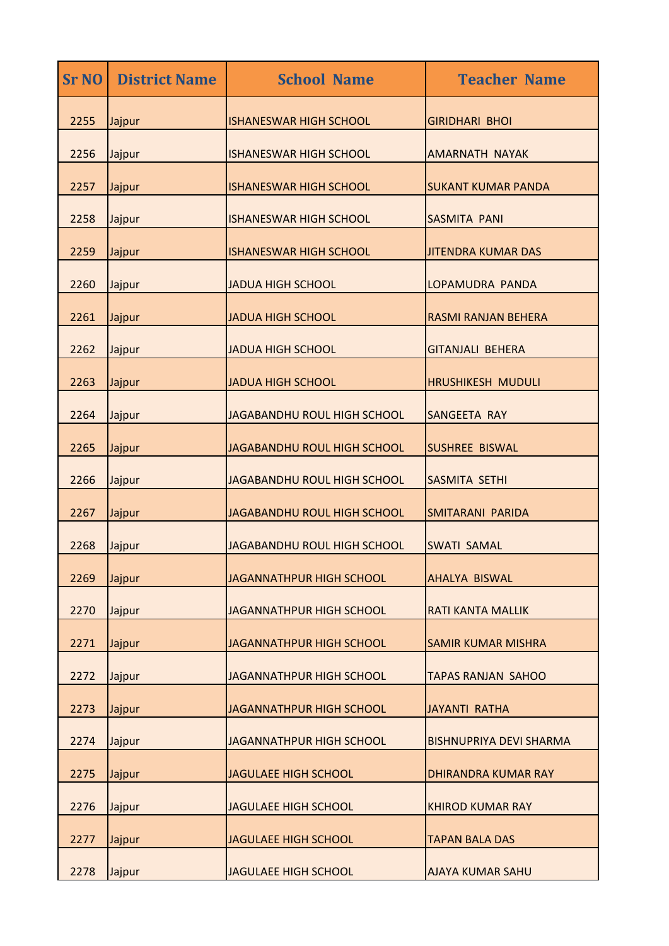| <b>Sr NO</b> | <b>District Name</b> | <b>School Name</b>              | <b>Teacher Name</b>            |
|--------------|----------------------|---------------------------------|--------------------------------|
| 2255         | Jajpur               | <b>ISHANESWAR HIGH SCHOOL</b>   | <b>GIRIDHARI BHOI</b>          |
| 2256         | Jajpur               | <b>ISHANESWAR HIGH SCHOOL</b>   | <b>AMARNATH NAYAK</b>          |
| 2257         | Jajpur               | <b>ISHANESWAR HIGH SCHOOL</b>   | <b>SUKANT KUMAR PANDA</b>      |
| 2258         | Jajpur               | <b>ISHANESWAR HIGH SCHOOL</b>   | <b>SASMITA PANI</b>            |
| 2259         | Jajpur               | <b>ISHANESWAR HIGH SCHOOL</b>   | <b>JITENDRA KUMAR DAS</b>      |
| 2260         | Jajpur               | <b>JADUA HIGH SCHOOL</b>        | LOPAMUDRA PANDA                |
| 2261         | Jajpur               | <b>JADUA HIGH SCHOOL</b>        | RASMI RANJAN BEHERA            |
| 2262         | Jajpur               | <b>JADUA HIGH SCHOOL</b>        | <b>GITANJALI BEHERA</b>        |
| 2263         | Jajpur               | <b>JADUA HIGH SCHOOL</b>        | <b>HRUSHIKESH MUDULI</b>       |
| 2264         | Jajpur               | JAGABANDHU ROUL HIGH SCHOOL     | SANGEETA RAY                   |
| 2265         | Jajpur               | JAGABANDHU ROUL HIGH SCHOOL     | <b>SUSHREE BISWAL</b>          |
| 2266         | Jajpur               | JAGABANDHU ROUL HIGH SCHOOL     | <b>SASMITA SETHI</b>           |
| 2267         | Jajpur               | JAGABANDHU ROUL HIGH SCHOOL     | <b>SMITARANI PARIDA</b>        |
| 2268         | Jajpur               | JAGABANDHU ROUL HIGH SCHOOL     | <b>SWATI SAMAL</b>             |
| 2269         | Jajpur               | <b>JAGANNATHPUR HIGH SCHOOL</b> | <b>AHALYA BISWAL</b>           |
| 2270         | Jajpur               | <b>JAGANNATHPUR HIGH SCHOOL</b> | <b>RATI KANTA MALLIK</b>       |
| 2271         | Jajpur               | <b>JAGANNATHPUR HIGH SCHOOL</b> | <b>SAMIR KUMAR MISHRA</b>      |
| 2272         | Jajpur               | <b>JAGANNATHPUR HIGH SCHOOL</b> | <b>TAPAS RANJAN SAHOO</b>      |
| 2273         | Jajpur               | <b>JAGANNATHPUR HIGH SCHOOL</b> | <b>JAYANTI RATHA</b>           |
| 2274         | Jajpur               | <b>JAGANNATHPUR HIGH SCHOOL</b> | <b>BISHNUPRIYA DEVI SHARMA</b> |
| 2275         | Jajpur               | <b>JAGULAEE HIGH SCHOOL</b>     | <b>DHIRANDRA KUMAR RAY</b>     |
| 2276         | Jajpur               | <b>JAGULAEE HIGH SCHOOL</b>     | <b>KHIROD KUMAR RAY</b>        |
| 2277         | Jajpur               | <b>JAGULAEE HIGH SCHOOL</b>     | <b>TAPAN BALA DAS</b>          |
| 2278         | Jajpur               | <b>JAGULAEE HIGH SCHOOL</b>     | <b>AJAYA KUMAR SAHU</b>        |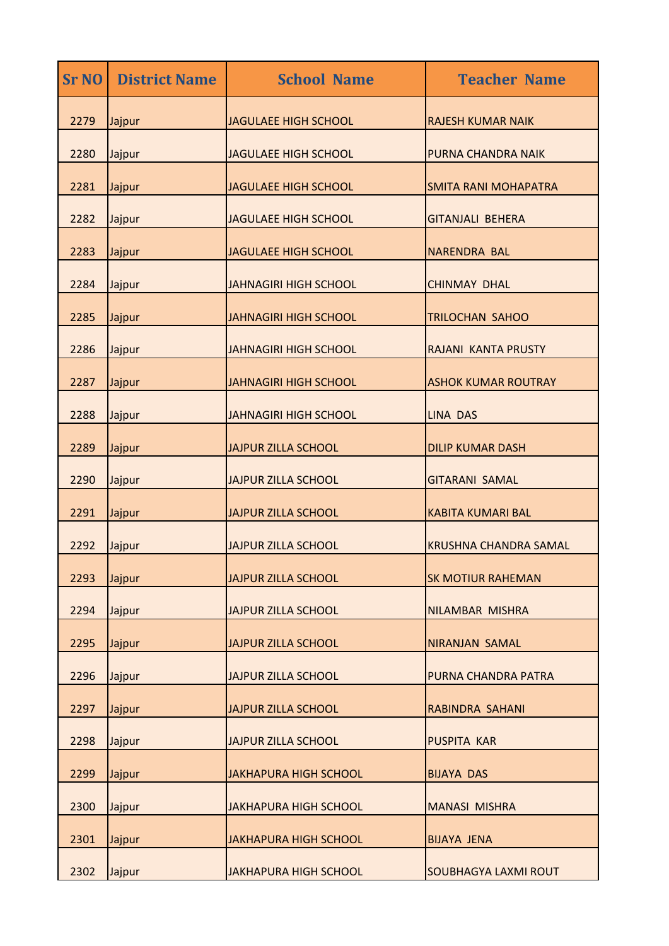| <b>Sr NO</b> | <b>District Name</b> | <b>School Name</b>           | <b>Teacher Name</b>          |
|--------------|----------------------|------------------------------|------------------------------|
| 2279         | Jajpur               | <b>JAGULAEE HIGH SCHOOL</b>  | <b>RAJESH KUMAR NAIK</b>     |
| 2280         | Jajpur               | <b>JAGULAEE HIGH SCHOOL</b>  | PURNA CHANDRA NAIK           |
| 2281         | Jajpur               | <b>JAGULAEE HIGH SCHOOL</b>  | <b>SMITA RANI MOHAPATRA</b>  |
| 2282         | Jajpur               | <b>JAGULAEE HIGH SCHOOL</b>  | <b>GITANJALI BEHERA</b>      |
| 2283         | Jajpur               | <b>JAGULAEE HIGH SCHOOL</b>  | <b>NARENDRA BAL</b>          |
| 2284         | Jajpur               | <b>JAHNAGIRI HIGH SCHOOL</b> | <b>CHINMAY DHAL</b>          |
| 2285         | Jajpur               | <b>JAHNAGIRI HIGH SCHOOL</b> | TRILOCHAN SAHOO              |
| 2286         | Jajpur               | <b>JAHNAGIRI HIGH SCHOOL</b> | RAJANI KANTA PRUSTY          |
| 2287         | Jajpur               | <b>JAHNAGIRI HIGH SCHOOL</b> | <b>ASHOK KUMAR ROUTRAY</b>   |
| 2288         | Jajpur               | <b>JAHNAGIRI HIGH SCHOOL</b> | <b>LINA DAS</b>              |
| 2289         | Jajpur               | <b>JAJPUR ZILLA SCHOOL</b>   | <b>DILIP KUMAR DASH</b>      |
| 2290         | Jajpur               | <b>JAJPUR ZILLA SCHOOL</b>   | <b>GITARANI SAMAL</b>        |
| 2291         | Jajpur               | <b>JAJPUR ZILLA SCHOOL</b>   | <b>KABITA KUMARI BAL</b>     |
| 2292         | Jajpur               | <b>JAJPUR ZILLA SCHOOL</b>   | <b>KRUSHNA CHANDRA SAMAL</b> |
| 2293         | Jajpur               | <b>JAJPUR ZILLA SCHOOL</b>   | <b>SK MOTIUR RAHEMAN</b>     |
| 2294         | Jajpur               | <b>JAJPUR ZILLA SCHOOL</b>   | NILAMBAR MISHRA              |
| 2295         | Jajpur               | <b>JAJPUR ZILLA SCHOOL</b>   | <b>NIRANJAN SAMAL</b>        |
| 2296         | Jajpur               | <b>JAJPUR ZILLA SCHOOL</b>   | PURNA CHANDRA PATRA          |
| 2297         | Jajpur               | <b>JAJPUR ZILLA SCHOOL</b>   | <b>RABINDRA SAHANI</b>       |
| 2298         | Jajpur               | <b>JAJPUR ZILLA SCHOOL</b>   | <b>PUSPITA KAR</b>           |
| 2299         | Jajpur               | <b>JAKHAPURA HIGH SCHOOL</b> | <b>BIJAYA DAS</b>            |
| 2300         | Jajpur               | <b>JAKHAPURA HIGH SCHOOL</b> | <b>MANASI MISHRA</b>         |
| 2301         | Jajpur               | <b>JAKHAPURA HIGH SCHOOL</b> | <b>BIJAYA JENA</b>           |
| 2302         | Jajpur               | <b>JAKHAPURA HIGH SCHOOL</b> | <b>SOUBHAGYA LAXMI ROUT</b>  |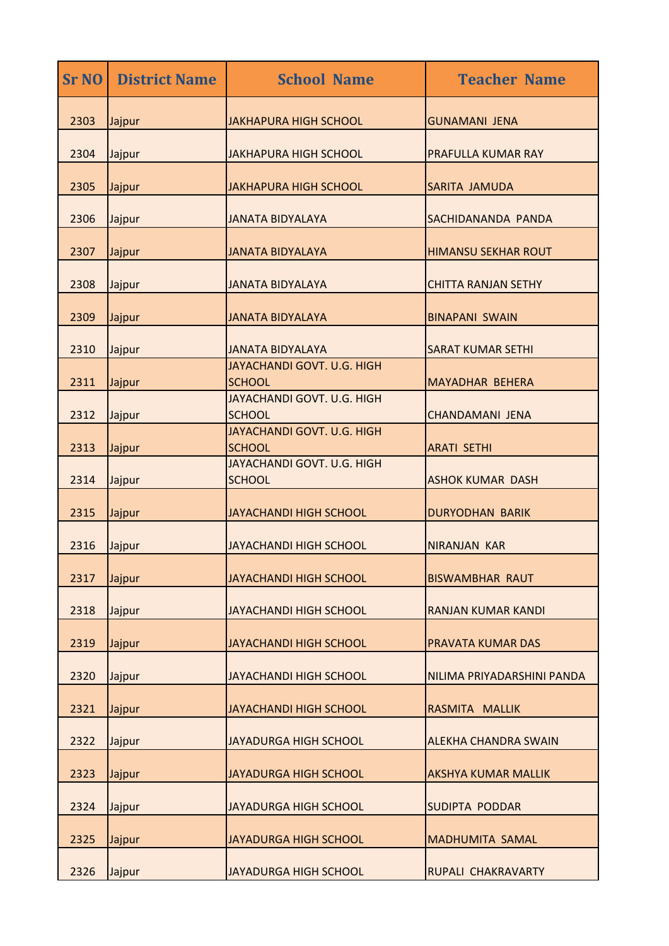| <b>Sr NO</b> | <b>District Name</b> | <b>School Name</b>                          | <b>Teacher Name</b>         |
|--------------|----------------------|---------------------------------------------|-----------------------------|
| 2303         | Jajpur               | <b>JAKHAPURA HIGH SCHOOL</b>                | <b>GUNAMANI JENA</b>        |
| 2304         | Jajpur               | <b>JAKHAPURA HIGH SCHOOL</b>                | <b>PRAFULLA KUMAR RAY</b>   |
| 2305         | Jajpur               | <b>JAKHAPURA HIGH SCHOOL</b>                | SARITA JAMUDA               |
| 2306         | Jajpur               | <b>JANATA BIDYALAYA</b>                     | <b>SACHIDANANDA PANDA</b>   |
| 2307         | Jajpur               | <b>JANATA BIDYALAYA</b>                     | <b>HIMANSU SEKHAR ROUT</b>  |
| 2308         | Jajpur               | <b>JANATA BIDYALAYA</b>                     | <b>CHITTA RANJAN SETHY</b>  |
| 2309         | Jajpur               | <b>JANATA BIDYALAYA</b>                     | <b>BINAPANI SWAIN</b>       |
| 2310         | Jajpur               | <b>JANATA BIDYALAYA</b>                     | <b>SARAT KUMAR SETHI</b>    |
| 2311         | Jajpur               | JAYACHANDI GOVT. U.G. HIGH<br><b>SCHOOL</b> | <b>MAYADHAR BEHERA</b>      |
| 2312         | Jajpur               | JAYACHANDI GOVT. U.G. HIGH<br><b>SCHOOL</b> | <b>CHANDAMANI JENA</b>      |
| 2313         | Jajpur               | JAYACHANDI GOVT. U.G. HIGH<br><b>SCHOOL</b> | <b>ARATI SETHI</b>          |
| 2314         | Jajpur               | JAYACHANDI GOVT. U.G. HIGH<br><b>SCHOOL</b> | <b>ASHOK KUMAR DASH</b>     |
| 2315         | Jajpur               | <b>JAYACHANDI HIGH SCHOOL</b>               | <b>DURYODHAN BARIK</b>      |
| 2316         | Jajpur               | <b>JAYACHANDI HIGH SCHOOL</b>               | <b>NIRANJAN KAR</b>         |
| 2317         | Jajpur               | <b>JAYACHANDI HIGH SCHOOL</b>               | <b>BISWAMBHAR RAUT</b>      |
| 2318         | Jajpur               | <b>JAYACHANDI HIGH SCHOOL</b>               | <b>RANJAN KUMAR KANDI</b>   |
| 2319         | Jajpur               | <b>JAYACHANDI HIGH SCHOOL</b>               | <b>PRAVATA KUMAR DAS</b>    |
| 2320         | Jajpur               | JAYACHANDI HIGH SCHOOL                      | NILIMA PRIYADARSHINI PANDA  |
| 2321         | Jajpur               | <b>JAYACHANDI HIGH SCHOOL</b>               | RASMITA MALLIK              |
| 2322         | Jajpur               | <b>JAYADURGA HIGH SCHOOL</b>                | <b>ALEKHA CHANDRA SWAIN</b> |
| 2323         | Jajpur               | <b>JAYADURGA HIGH SCHOOL</b>                | <b>AKSHYA KUMAR MALLIK</b>  |
| 2324         | Jajpur               | JAYADURGA HIGH SCHOOL                       | <b>SUDIPTA PODDAR</b>       |
| 2325         | Jajpur               | <b>JAYADURGA HIGH SCHOOL</b>                | <b>MADHUMITA SAMAL</b>      |
| 2326         | Jajpur               | JAYADURGA HIGH SCHOOL                       | <b>RUPALI CHAKRAVARTY</b>   |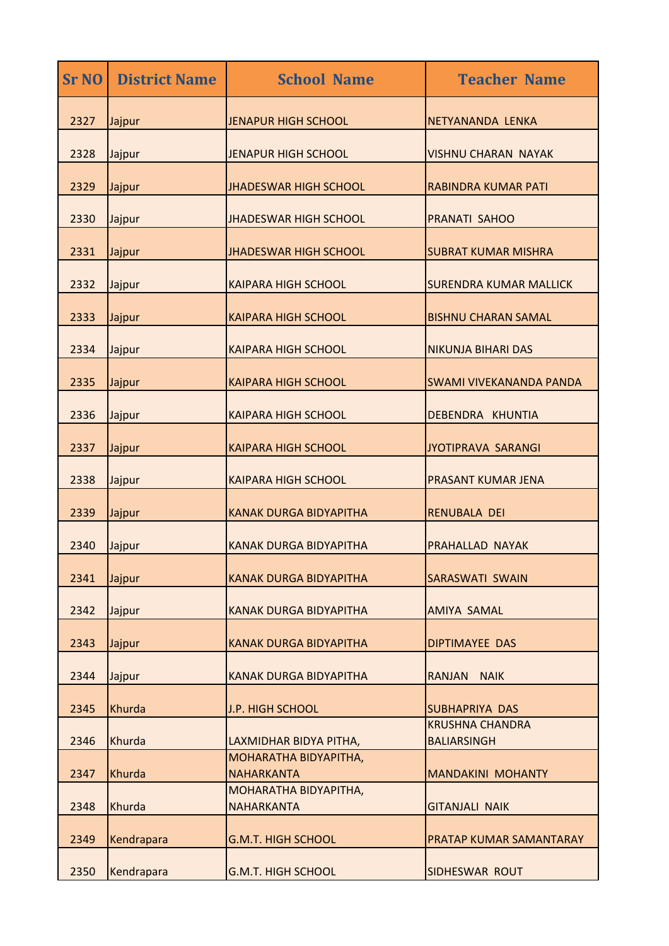| <b>Sr NO</b> | <b>District Name</b> | <b>School Name</b>                         | <b>Teacher Name</b>                          |
|--------------|----------------------|--------------------------------------------|----------------------------------------------|
| 2327         | Jajpur               | <b>JENAPUR HIGH SCHOOL</b>                 | NETYANANDA LENKA                             |
| 2328         | Jajpur               | <b>JENAPUR HIGH SCHOOL</b>                 | <b>VISHNU CHARAN NAYAK</b>                   |
| 2329         | Jajpur               | <b>JHADESWAR HIGH SCHOOL</b>               | <b>RABINDRA KUMAR PATI</b>                   |
| 2330         | Jajpur               | <b>JHADESWAR HIGH SCHOOL</b>               | <b>PRANATI SAHOO</b>                         |
| 2331         | Jajpur               | <b>JHADESWAR HIGH SCHOOL</b>               | <b>SUBRAT KUMAR MISHRA</b>                   |
| 2332         | Jajpur               | <b>KAIPARA HIGH SCHOOL</b>                 | <b>SURENDRA KUMAR MALLICK</b>                |
| 2333         | Jajpur               | <b>KAIPARA HIGH SCHOOL</b>                 | <b>BISHNU CHARAN SAMAL</b>                   |
| 2334         | Jajpur               | <b>KAIPARA HIGH SCHOOL</b>                 | <b>NIKUNJA BIHARI DAS</b>                    |
| 2335         | Jajpur               | <b>KAIPARA HIGH SCHOOL</b>                 | SWAMI VIVEKANANDA PANDA                      |
| 2336         | Jajpur               | <b>KAIPARA HIGH SCHOOL</b>                 | DEBENDRA KHUNTIA                             |
| 2337         | Jajpur               | <b>KAIPARA HIGH SCHOOL</b>                 | JYOTIPRAVA SARANGI                           |
| 2338         | Jajpur               | <b>KAIPARA HIGH SCHOOL</b>                 | PRASANT KUMAR JENA                           |
| 2339         | Jajpur               | <b>KANAK DURGA BIDYAPITHA</b>              | <b>RENUBALA DEI</b>                          |
| 2340         | Jajpur               | <b>KANAK DURGA BIDYAPITHA</b>              | PRAHALLAD NAYAK                              |
| 2341         | Jajpur               | <b>KANAK DURGA BIDYAPITHA</b>              | SARASWATI SWAIN                              |
| 2342         | Jajpur               | <b>KANAK DURGA BIDYAPITHA</b>              | AMIYA SAMAL                                  |
| 2343         | Jajpur               | <b>KANAK DURGA BIDYAPITHA</b>              | <b>DIPTIMAYEE DAS</b>                        |
| 2344         | Jajpur               | <b>KANAK DURGA BIDYAPITHA</b>              | <b>RANJAN</b><br><b>NAIK</b>                 |
| 2345         | Khurda               | J.P. HIGH SCHOOL                           | <b>SUBHAPRIYA DAS</b>                        |
| 2346         | Khurda               | LAXMIDHAR BIDYA PITHA,                     | <b>KRUSHNA CHANDRA</b><br><b>BALIARSINGH</b> |
| 2347         | Khurda               | MOHARATHA BIDYAPITHA,<br><b>NAHARKANTA</b> | <b>MANDAKINI MOHANTY</b>                     |
| 2348         | Khurda               | MOHARATHA BIDYAPITHA,<br><b>NAHARKANTA</b> | <b>GITANJALI NAIK</b>                        |
| 2349         | Kendrapara           | <b>G.M.T. HIGH SCHOOL</b>                  | <b>PRATAP KUMAR SAMANTARAY</b>               |
| 2350         | Kendrapara           | <b>G.M.T. HIGH SCHOOL</b>                  | <b>SIDHESWAR ROUT</b>                        |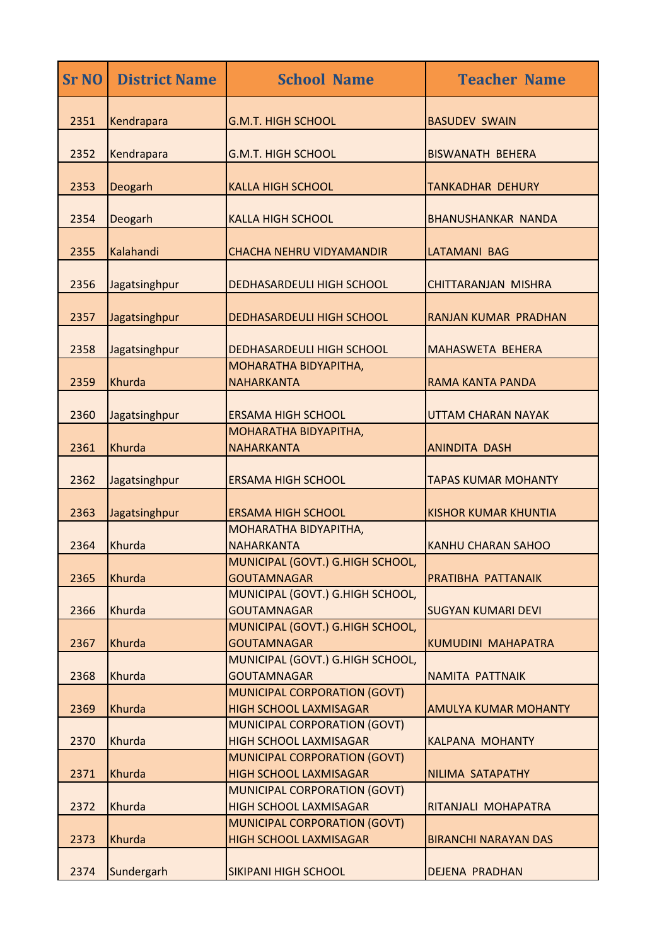| <b>Sr NO</b> | <b>District Name</b> | <b>School Name</b>                                                   | <b>Teacher Name</b>         |
|--------------|----------------------|----------------------------------------------------------------------|-----------------------------|
| 2351         | Kendrapara           | <b>G.M.T. HIGH SCHOOL</b>                                            | <b>BASUDEV SWAIN</b>        |
| 2352         | Kendrapara           | <b>G.M.T. HIGH SCHOOL</b>                                            | <b>BISWANATH BEHERA</b>     |
| 2353         | Deogarh              | <b>KALLA HIGH SCHOOL</b>                                             | <b>TANKADHAR DEHURY</b>     |
| 2354         | Deogarh              | <b>KALLA HIGH SCHOOL</b>                                             | <b>BHANUSHANKAR NANDA</b>   |
| 2355         | Kalahandi            | CHACHA NEHRU VIDYAMANDIR                                             | LATAMANI BAG                |
| 2356         | Jagatsinghpur        | <b>DEDHASARDEULI HIGH SCHOOL</b>                                     | <b>CHITTARANJAN MISHRA</b>  |
| 2357         | Jagatsinghpur        | <b>DEDHASARDEULI HIGH SCHOOL</b>                                     | RANJAN KUMAR PRADHAN        |
| 2358         | Jagatsinghpur        | <b>DEDHASARDEULI HIGH SCHOOL</b>                                     | <b>MAHASWETA BEHERA</b>     |
| 2359         | Khurda               | MOHARATHA BIDYAPITHA,<br><b>NAHARKANTA</b>                           | RAMA KANTA PANDA            |
| 2360         | Jagatsinghpur        | <b>ERSAMA HIGH SCHOOL</b><br>MOHARATHA BIDYAPITHA,                   | <b>UTTAM CHARAN NAYAK</b>   |
| 2361         | Khurda               | <b>NAHARKANTA</b>                                                    | <b>ANINDITA DASH</b>        |
| 2362         | Jagatsinghpur        | <b>ERSAMA HIGH SCHOOL</b>                                            | <b>TAPAS KUMAR MOHANTY</b>  |
| 2363         | Jagatsinghpur        | <b>ERSAMA HIGH SCHOOL</b><br>MOHARATHA BIDYAPITHA,                   | <b>KISHOR KUMAR KHUNTIA</b> |
| 2364         | Khurda               | <b>NAHARKANTA</b><br>MUNICIPAL (GOVT.) G.HIGH SCHOOL                 | <b>KANHU CHARAN SAHOO</b>   |
| 2365         | Khurda               | <b>GOUTAMNAGAR</b><br>MUNICIPAL (GOVT.) G.HIGH SCHOOL,               | PRATIBHA PATTANAIK          |
| 2366         | Khurda               | <b>GOUTAMNAGAR</b><br>MUNICIPAL (GOVT.) G.HIGH SCHOOL,               | <b>SUGYAN KUMARI DEVI</b>   |
| 2367         | Khurda               | <b>GOUTAMNAGAR</b><br>MUNICIPAL (GOVT.) G.HIGH SCHOOL,               | KUMUDINI MAHAPATRA          |
| 2368         | Khurda               | <b>GOUTAMNAGAR</b><br>MUNICIPAL CORPORATION (GOVT)                   | NAMITA PATTNAIK             |
| 2369         | Khurda               | <b>HIGH SCHOOL LAXMISAGAR</b><br>MUNICIPAL CORPORATION (GOVT)        | <b>AMULYA KUMAR MOHANTY</b> |
| 2370         | Khurda               | <b>HIGH SCHOOL LAXMISAGAR</b><br>MUNICIPAL CORPORATION (GOVT)        | <b>KALPANA MOHANTY</b>      |
| 2371         | Khurda               | <b>HIGH SCHOOL LAXMISAGAR</b>                                        | NILIMA SATAPATHY            |
| 2372         | Khurda               | <b>MUNICIPAL CORPORATION (GOVT)</b><br><b>HIGH SCHOOL LAXMISAGAR</b> | RITANJALI MOHAPATRA         |
| 2373         | Khurda               | MUNICIPAL CORPORATION (GOVT)<br><b>HIGH SCHOOL LAXMISAGAR</b>        | <b>BIRANCHI NARAYAN DAS</b> |
| 2374         | Sundergarh           | <b>SIKIPANI HIGH SCHOOL</b>                                          | <b>DEJENA PRADHAN</b>       |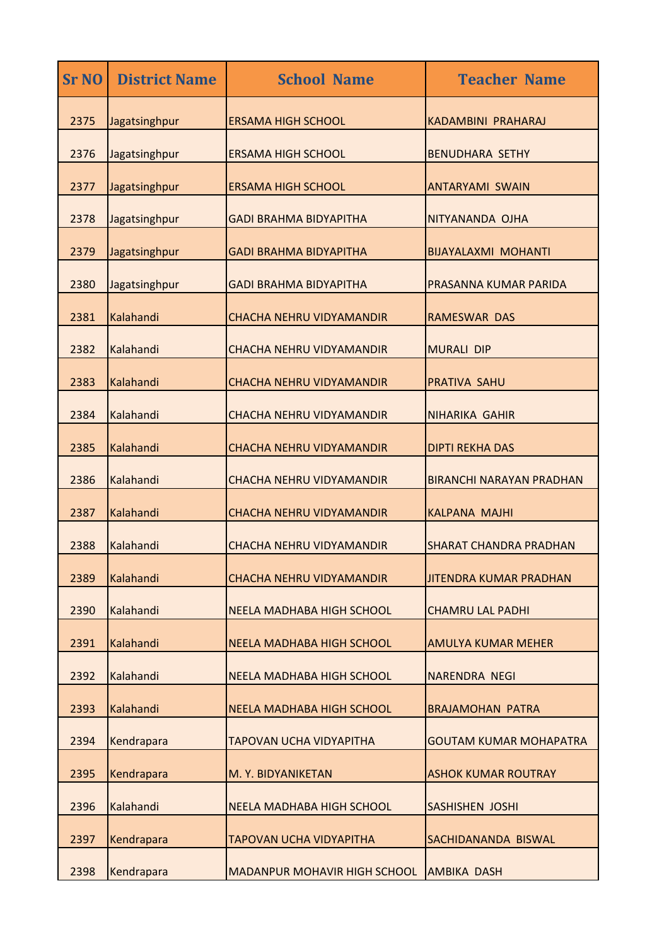| <b>Sr NO</b> | <b>District Name</b> | <b>School Name</b>                  | <b>Teacher Name</b>             |
|--------------|----------------------|-------------------------------------|---------------------------------|
| 2375         | Jagatsinghpur        | <b>ERSAMA HIGH SCHOOL</b>           | KADAMBINI PRAHARAJ              |
| 2376         | Jagatsinghpur        | <b>ERSAMA HIGH SCHOOL</b>           | <b>BENUDHARA SETHY</b>          |
| 2377         | Jagatsinghpur        | <b>ERSAMA HIGH SCHOOL</b>           | <b>ANTARYAMI SWAIN</b>          |
| 2378         | Jagatsinghpur        | <b>GADI BRAHMA BIDYAPITHA</b>       | NITYANANDA OJHA                 |
| 2379         | Jagatsinghpur        | <b>GADI BRAHMA BIDYAPITHA</b>       | <b>BIJAYALAXMI MOHANTI</b>      |
| 2380         | Jagatsinghpur        | <b>GADI BRAHMA BIDYAPITHA</b>       | PRASANNA KUMAR PARIDA           |
| 2381         | Kalahandi            | CHACHA NEHRU VIDYAMANDIR            | <b>RAMESWAR DAS</b>             |
| 2382         | Kalahandi            | <b>CHACHA NEHRU VIDYAMANDIR</b>     | <b>MURALI DIP</b>               |
| 2383         | Kalahandi            | CHACHA NEHRU VIDYAMANDIR            | <b>PRATIVA SAHU</b>             |
| 2384         | Kalahandi            | <b>CHACHA NEHRU VIDYAMANDIR</b>     | <b>NIHARIKA GAHIR</b>           |
| 2385         | Kalahandi            | CHACHA NEHRU VIDYAMANDIR            | <b>DIPTI REKHA DAS</b>          |
| 2386         | Kalahandi            | <b>CHACHA NEHRU VIDYAMANDIR</b>     | <b>BIRANCHI NARAYAN PRADHAN</b> |
| 2387         | Kalahandi            | <b>CHACHA NEHRU VIDYAMANDIR</b>     | <b>KALPANA MAJHI</b>            |
| 2388         | Kalahandi            | <b>CHACHA NEHRU VIDYAMANDIR</b>     | <b>SHARAT CHANDRA PRADHAN</b>   |
| 2389         | Kalahandi            | CHACHA NEHRU VIDYAMANDIR            | <b>JITENDRA KUMAR PRADHAN</b>   |
| 2390         | Kalahandi            | <b>NEELA MADHABA HIGH SCHOOL</b>    | <b>CHAMRU LAL PADHI</b>         |
| 2391         | Kalahandi            | <b>NEELA MADHABA HIGH SCHOOL</b>    | <b>AMULYA KUMAR MEHER</b>       |
| 2392         | Kalahandi            | <b>NEELA MADHABA HIGH SCHOOL</b>    | <b>NARENDRA NEGI</b>            |
| 2393         | Kalahandi            | NEELA MADHABA HIGH SCHOOL           | <b>BRAJAMOHAN PATRA</b>         |
| 2394         | Kendrapara           | TAPOVAN UCHA VIDYAPITHA             | <b>GOUTAM KUMAR MOHAPATRA</b>   |
| 2395         | Kendrapara           | M. Y. BIDYANIKETAN                  | <b>ASHOK KUMAR ROUTRAY</b>      |
| 2396         | Kalahandi            | NEELA MADHABA HIGH SCHOOL           | <b>SASHISHEN JOSHI</b>          |
| 2397         | Kendrapara           | TAPOVAN UCHA VIDYAPITHA             | <b>SACHIDANANDA BISWAL</b>      |
| 2398         | Kendrapara           | <b>MADANPUR MOHAVIR HIGH SCHOOL</b> | <b>AMBIKA DASH</b>              |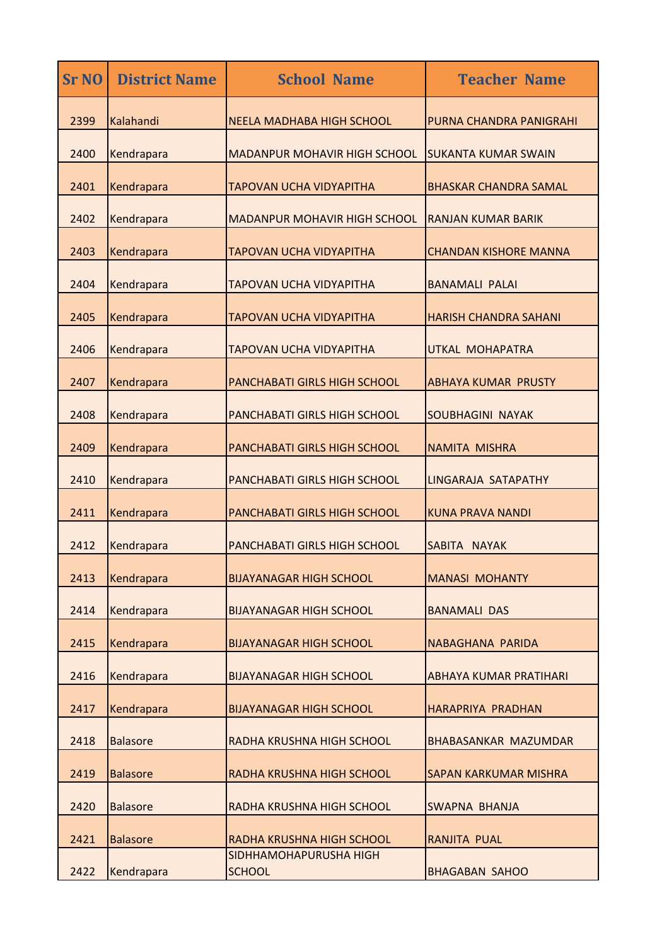| <b>Sr NO</b> | <b>District Name</b> | <b>School Name</b>                      | <b>Teacher Name</b>            |
|--------------|----------------------|-----------------------------------------|--------------------------------|
| 2399         | Kalahandi            | <b>NEELA MADHABA HIGH SCHOOL</b>        | <b>PURNA CHANDRA PANIGRAHI</b> |
| 2400         | Kendrapara           | <b>MADANPUR MOHAVIR HIGH SCHOOL</b>     | <b>SUKANTA KUMAR SWAIN</b>     |
| 2401         | Kendrapara           | <b>TAPOVAN UCHA VIDYAPITHA</b>          | <b>BHASKAR CHANDRA SAMAL</b>   |
| 2402         | Kendrapara           | <b>MADANPUR MOHAVIR HIGH SCHOOL</b>     | <b>RANJAN KUMAR BARIK</b>      |
| 2403         | Kendrapara           | TAPOVAN UCHA VIDYAPITHA                 | <b>CHANDAN KISHORE MANNA</b>   |
| 2404         | Kendrapara           | TAPOVAN UCHA VIDYAPITHA                 | <b>BANAMALI PALAI</b>          |
| 2405         | Kendrapara           | TAPOVAN UCHA VIDYAPITHA                 | <b>HARISH CHANDRA SAHANI</b>   |
| 2406         | Kendrapara           | <b>TAPOVAN UCHA VIDYAPITHA</b>          | UTKAL MOHAPATRA                |
| 2407         | Kendrapara           | <b>PANCHABATI GIRLS HIGH SCHOOL</b>     | <b>ABHAYA KUMAR PRUSTY</b>     |
| 2408         | Kendrapara           | PANCHABATI GIRLS HIGH SCHOOL            | <b>SOUBHAGINI NAYAK</b>        |
| 2409         | Kendrapara           | PANCHABATI GIRLS HIGH SCHOOL            | <b>NAMITA MISHRA</b>           |
| 2410         | Kendrapara           | PANCHABATI GIRLS HIGH SCHOOL            | LINGARAJA SATAPATHY            |
| 2411         | Kendrapara           | PANCHABATI GIRLS HIGH SCHOOL            | <b>KUNA PRAVA NANDI</b>        |
| 2412         | Kendrapara           | <b>PANCHABATI GIRLS HIGH SCHOOL</b>     | SABITA NAYAK                   |
| 2413         | Kendrapara           | <b>BIJAYANAGAR HIGH SCHOOL</b>          | <b>MANASI MOHANTY</b>          |
| 2414         | Kendrapara           | <b>BIJAYANAGAR HIGH SCHOOL</b>          | <b>BANAMALI DAS</b>            |
| 2415         | Kendrapara           | <b>BIJAYANAGAR HIGH SCHOOL</b>          | NABAGHANA PARIDA               |
| 2416         | Kendrapara           | <b>BIJAYANAGAR HIGH SCHOOL</b>          | <b>ABHAYA KUMAR PRATIHARI</b>  |
| 2417         | Kendrapara           | <b>BIJAYANAGAR HIGH SCHOOL</b>          | HARAPRIYA PRADHAN              |
| 2418         | <b>Balasore</b>      | RADHA KRUSHNA HIGH SCHOOL               | <b>BHABASANKAR MAZUMDAR</b>    |
| 2419         | <b>Balasore</b>      | RADHA KRUSHNA HIGH SCHOOL               | <b>SAPAN KARKUMAR MISHRA</b>   |
| 2420         | <b>Balasore</b>      | RADHA KRUSHNA HIGH SCHOOL               | SWAPNA BHANJA                  |
| 2421         | <b>Balasore</b>      | RADHA KRUSHNA HIGH SCHOOL               | RANJITA PUAL                   |
| 2422         | Kendrapara           | SIDHHAMOHAPURUSHA HIGH<br><b>SCHOOL</b> | <b>BHAGABAN SAHOO</b>          |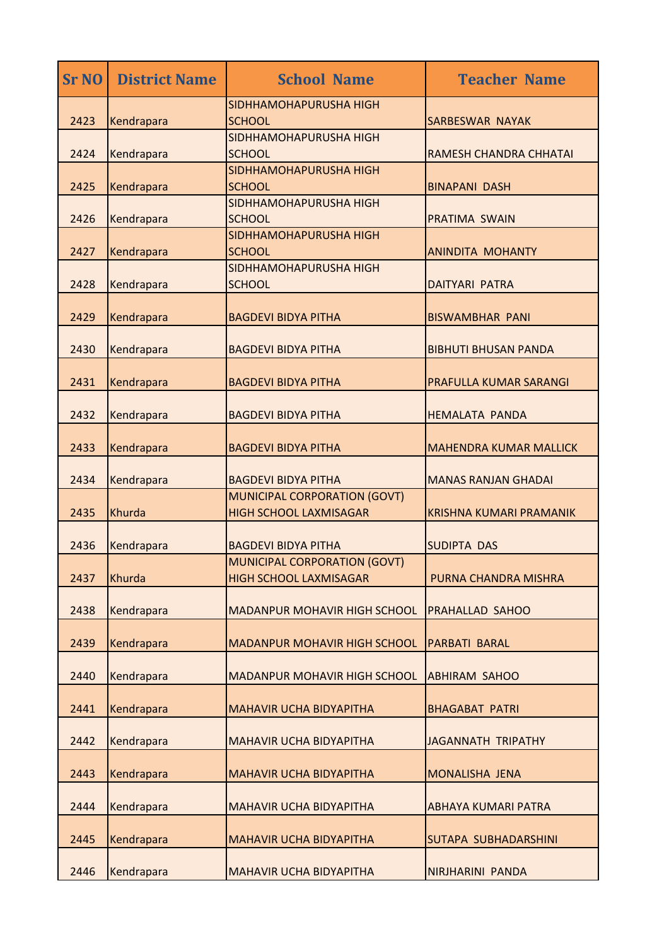| <b>Sr NO</b> | <b>District Name</b> | <b>School Name</b>                                                   | <b>Teacher Name</b>            |
|--------------|----------------------|----------------------------------------------------------------------|--------------------------------|
| 2423         | Kendrapara           | SIDHHAMOHAPURUSHA HIGH<br><b>SCHOOL</b>                              | <b>SARBESWAR NAYAK</b>         |
| 2424         | Kendrapara           | SIDHHAMOHAPURUSHA HIGH<br><b>SCHOOL</b>                              | RAMESH CHANDRA CHHATAI         |
| 2425         | Kendrapara           | SIDHHAMOHAPURUSHA HIGH<br><b>SCHOOL</b>                              | <b>BINAPANI DASH</b>           |
| 2426         | Kendrapara           | SIDHHAMOHAPURUSHA HIGH<br><b>SCHOOL</b>                              | <b>PRATIMA SWAIN</b>           |
| 2427         | Kendrapara           | SIDHHAMOHAPURUSHA HIGH<br><b>SCHOOL</b>                              | <b>ANINDITA MOHANTY</b>        |
| 2428         | Kendrapara           | SIDHHAMOHAPURUSHA HIGH<br><b>SCHOOL</b>                              | <b>DAITYARI PATRA</b>          |
| 2429         | Kendrapara           | <b>BAGDEVI BIDYA PITHA</b>                                           | <b>BISWAMBHAR PANI</b>         |
| 2430         | Kendrapara           | <b>BAGDEVI BIDYA PITHA</b>                                           | <b>BIBHUTI BHUSAN PANDA</b>    |
| 2431         | Kendrapara           | <b>BAGDEVI BIDYA PITHA</b>                                           | PRAFULLA KUMAR SARANGI         |
| 2432         | Kendrapara           | <b>BAGDEVI BIDYA PITHA</b>                                           | <b>HEMALATA PANDA</b>          |
| 2433         | Kendrapara           | <b>BAGDEVI BIDYA PITHA</b>                                           | <b>MAHENDRA KUMAR MALLICK</b>  |
| 2434         | Kendrapara           | <b>BAGDEVI BIDYA PITHA</b>                                           | <b>MANAS RANJAN GHADAI</b>     |
| 2435         | Khurda               | MUNICIPAL CORPORATION (GOVT)<br><b>HIGH SCHOOL LAXMISAGAR</b>        | <b>KRISHNA KUMARI PRAMANIK</b> |
| 2436         | Kendrapara           | <b>BAGDEVI BIDYA PITHA</b>                                           | <b>SUDIPTA DAS</b>             |
| 2437         | <b>Khurda</b>        | <b>MUNICIPAL CORPORATION (GOVT)</b><br><b>HIGH SCHOOL LAXMISAGAR</b> | PURNA CHANDRA MISHRA           |
| 2438         | Kendrapara           | <b>MADANPUR MOHAVIR HIGH SCHOOL</b>                                  | <b>PRAHALLAD SAHOO</b>         |
| 2439         | Kendrapara           | <b>MADANPUR MOHAVIR HIGH SCHOOL</b>                                  | <b>PARBATI BARAL</b>           |
| 2440         | Kendrapara           | <b>MADANPUR MOHAVIR HIGH SCHOOL</b>                                  | <b>ABHIRAM SAHOO</b>           |
| 2441         | Kendrapara           | <b>MAHAVIR UCHA BIDYAPITHA</b>                                       | <b>BHAGABAT PATRI</b>          |
| 2442         | Kendrapara           | <b>MAHAVIR UCHA BIDYAPITHA</b>                                       | <b>JAGANNATH TRIPATHY</b>      |
| 2443         | Kendrapara           | <b>MAHAVIR UCHA BIDYAPITHA</b>                                       | <b>MONALISHA JENA</b>          |
| 2444         | Kendrapara           | <b>MAHAVIR UCHA BIDYAPITHA</b>                                       | <b>ABHAYA KUMARI PATRA</b>     |
| 2445         | Kendrapara           | <b>MAHAVIR UCHA BIDYAPITHA</b>                                       | <b>SUTAPA SUBHADARSHINI</b>    |
| 2446         | Kendrapara           | <b>MAHAVIR UCHA BIDYAPITHA</b>                                       | <b>NIRJHARINI PANDA</b>        |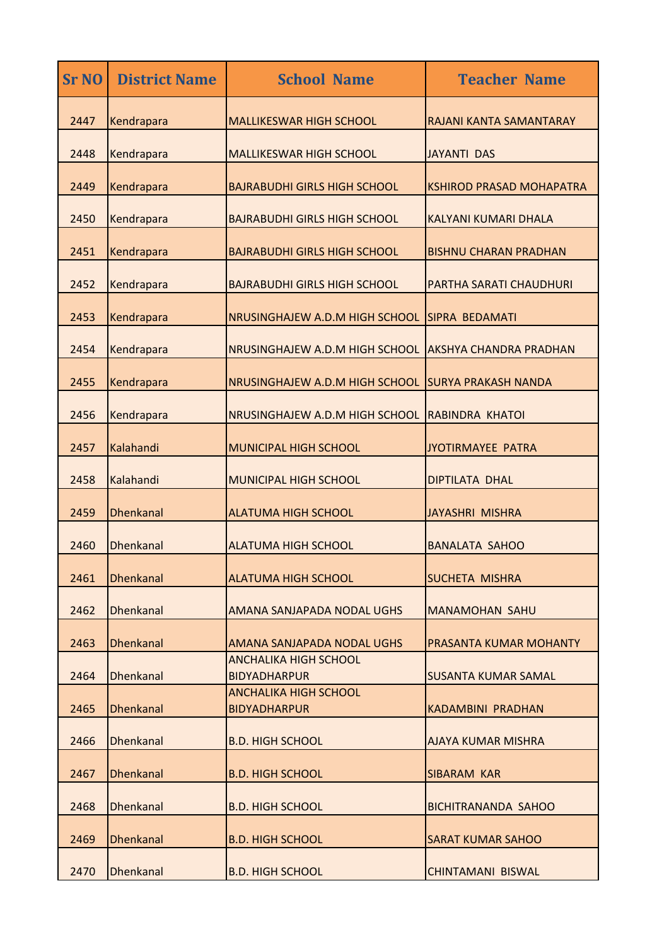| <b>Sr NO</b> | <b>District Name</b> | <b>School Name</b>                                  | <b>Teacher Name</b>             |
|--------------|----------------------|-----------------------------------------------------|---------------------------------|
| 2447         | Kendrapara           | <b>MALLIKESWAR HIGH SCHOOL</b>                      | RAJANI KANTA SAMANTARAY         |
| 2448         | Kendrapara           | <b>MALLIKESWAR HIGH SCHOOL</b>                      | <b>JAYANTI DAS</b>              |
| 2449         | Kendrapara           | <b>BAJRABUDHI GIRLS HIGH SCHOOL</b>                 | <b>KSHIROD PRASAD MOHAPATRA</b> |
| 2450         | Kendrapara           | <b>BAJRABUDHI GIRLS HIGH SCHOOL</b>                 | KALYANI KUMARI DHALA            |
| 2451         | Kendrapara           | <b>BAJRABUDHI GIRLS HIGH SCHOOL</b>                 | <b>BISHNU CHARAN PRADHAN</b>    |
| 2452         | Kendrapara           | <b>BAJRABUDHI GIRLS HIGH SCHOOL</b>                 | <b>PARTHA SARATI CHAUDHURI</b>  |
| 2453         | Kendrapara           | NRUSINGHAJEW A.D.M HIGH SCHOOL                      | <b>SIPRA BEDAMATI</b>           |
| 2454         | Kendrapara           | NRUSINGHAJEW A.D.M HIGH SCHOOL                      | <b>AKSHYA CHANDRA PRADHAN</b>   |
| 2455         | Kendrapara           | NRUSINGHAJEW A.D.M HIGH SCHOOL                      | <b>SURYA PRAKASH NANDA</b>      |
| 2456         | Kendrapara           | NRUSINGHAJEW A.D.M HIGH SCHOOL                      | RABINDRA KHATOI                 |
| 2457         | Kalahandi            | <b>MUNICIPAL HIGH SCHOOL</b>                        | JYOTIRMAYEE PATRA               |
| 2458         | Kalahandi            | <b>MUNICIPAL HIGH SCHOOL</b>                        | <b>DIPTILATA DHAL</b>           |
| 2459         | <b>Dhenkanal</b>     | <b>ALATUMA HIGH SCHOOL</b>                          | <b>JAYASHRI MISHRA</b>          |
| 2460         | <b>Dhenkanal</b>     | <b>ALATUMA HIGH SCHOOL</b>                          | <b>BANALATA SAHOO</b>           |
| 2461         | <b>Dhenkanal</b>     | <b>ALATUMA HIGH SCHOOL</b>                          | <b>SUCHETA MISHRA</b>           |
| 2462         | <b>Dhenkanal</b>     | AMANA SANJAPADA NODAL UGHS                          | <b>MANAMOHAN SAHU</b>           |
| 2463         | <b>Dhenkanal</b>     | AMANA SANJAPADA NODAL UGHS                          | PRASANTA KUMAR MOHANTY          |
| 2464         | <b>Dhenkanal</b>     | <b>ANCHALIKA HIGH SCHOOL</b><br><b>BIDYADHARPUR</b> | <b>SUSANTA KUMAR SAMAL</b>      |
| 2465         | <b>Dhenkanal</b>     | <b>ANCHALIKA HIGH SCHOOL</b><br><b>BIDYADHARPUR</b> | <b>KADAMBINI PRADHAN</b>        |
| 2466         | <b>Dhenkanal</b>     | <b>B.D. HIGH SCHOOL</b>                             | <b>AJAYA KUMAR MISHRA</b>       |
| 2467         | <b>Dhenkanal</b>     | <b>B.D. HIGH SCHOOL</b>                             | <b>SIBARAM KAR</b>              |
| 2468         | <b>Dhenkanal</b>     | <b>B.D. HIGH SCHOOL</b>                             | <b>BICHITRANANDA SAHOO</b>      |
| 2469         | <b>Dhenkanal</b>     | <b>B.D. HIGH SCHOOL</b>                             | <b>SARAT KUMAR SAHOO</b>        |
| 2470         | Dhenkanal            | <b>B.D. HIGH SCHOOL</b>                             | <b>CHINTAMANI BISWAL</b>        |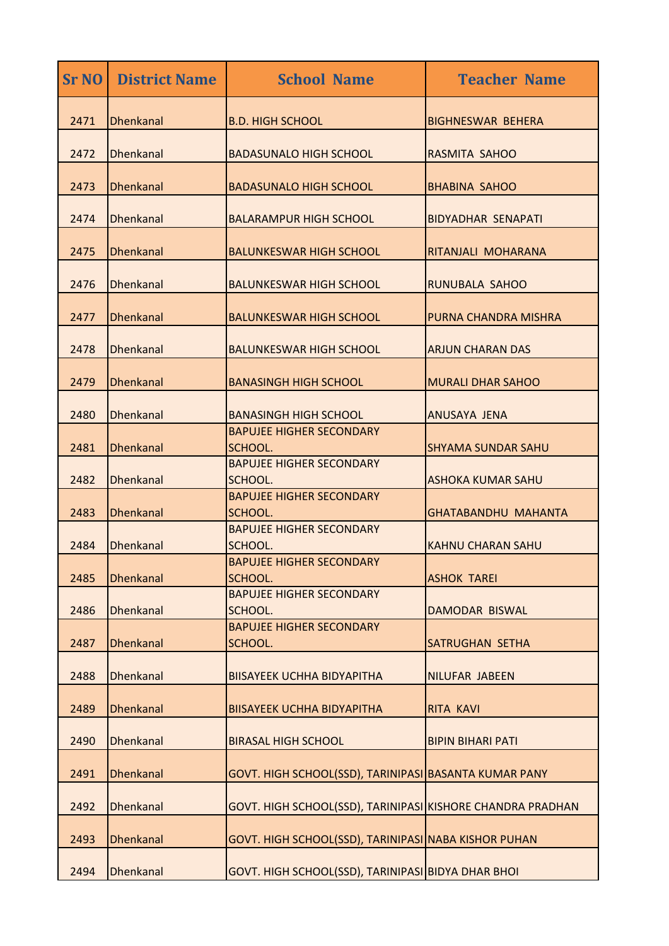| <b>Sr NO</b> | <b>District Name</b> | <b>School Name</b>                                         | <b>Teacher Name</b>       |
|--------------|----------------------|------------------------------------------------------------|---------------------------|
| 2471         | <b>Dhenkanal</b>     | <b>B.D. HIGH SCHOOL</b>                                    | <b>BIGHNESWAR BEHERA</b>  |
| 2472         | <b>Dhenkanal</b>     | <b>BADASUNALO HIGH SCHOOL</b>                              | <b>RASMITA SAHOO</b>      |
| 2473         | <b>Dhenkanal</b>     | <b>BADASUNALO HIGH SCHOOL</b>                              | <b>BHABINA SAHOO</b>      |
| 2474         | <b>Dhenkanal</b>     | <b>BALARAMPUR HIGH SCHOOL</b>                              | <b>BIDYADHAR SENAPATI</b> |
| 2475         | <b>Dhenkanal</b>     | <b>BALUNKESWAR HIGH SCHOOL</b>                             | RITANJALI MOHARANA        |
| 2476         | <b>Dhenkanal</b>     | <b>BALUNKESWAR HIGH SCHOOL</b>                             | <b>RUNUBALA SAHOO</b>     |
| 2477         | <b>Dhenkanal</b>     | <b>BALUNKESWAR HIGH SCHOOL</b>                             | PURNA CHANDRA MISHRA      |
| 2478         | <b>Dhenkanal</b>     | <b>BALUNKESWAR HIGH SCHOOL</b>                             | <b>ARJUN CHARAN DAS</b>   |
| 2479         | <b>Dhenkanal</b>     | <b>BANASINGH HIGH SCHOOL</b>                               | <b>MURALI DHAR SAHOO</b>  |
| 2480         | <b>Dhenkanal</b>     | <b>BANASINGH HIGH SCHOOL</b>                               | <b>ANUSAYA JENA</b>       |
| 2481         | <b>Dhenkanal</b>     | <b>BAPUJEE HIGHER SECONDARY</b><br>SCHOOL.                 | <b>SHYAMA SUNDAR SAHU</b> |
| 2482         | <b>Dhenkanal</b>     | <b>BAPUJEE HIGHER SECONDARY</b><br>SCHOOL.                 | <b>ASHOKA KUMAR SAHU</b>  |
| 2483         | <b>Dhenkanal</b>     | <b>BAPUJEE HIGHER SECONDARY</b><br>SCHOOL.                 | GHATABANDHU MAHANTA       |
| 2484         | <b>Dhenkanal</b>     | <b>BAPUJEE HIGHER SECONDARY</b><br>SCHOOL.                 | KAHNU CHARAN SAHU         |
| 2485         | <b>Dhenkanal</b>     | <b>BAPUJEE HIGHER SECONDARY</b><br>SCHOOL.                 | <b>ASHOK TAREI</b>        |
| 2486         | <b>Dhenkanal</b>     | <b>BAPUJEE HIGHER SECONDARY</b><br>SCHOOL.                 | <b>DAMODAR BISWAL</b>     |
| 2487         | <b>Dhenkanal</b>     | <b>BAPUJEE HIGHER SECONDARY</b><br>SCHOOL.                 | <b>SATRUGHAN SETHA</b>    |
| 2488         | <b>Dhenkanal</b>     | <b>BIISAYEEK UCHHA BIDYAPITHA</b>                          | NILUFAR JABEEN            |
| 2489         | <b>Dhenkanal</b>     | <b>BIISAYEEK UCHHA BIDYAPITHA</b>                          | <b>RITA KAVI</b>          |
| 2490         | <b>Dhenkanal</b>     | <b>BIRASAL HIGH SCHOOL</b>                                 | <b>BIPIN BIHARI PATI</b>  |
| 2491         | <b>Dhenkanal</b>     | GOVT. HIGH SCHOOL(SSD), TARINIPASI BASANTA KUMAR PANY      |                           |
| 2492         | <b>Dhenkanal</b>     | GOVT. HIGH SCHOOL(SSD), TARINIPASI KISHORE CHANDRA PRADHAN |                           |
| 2493         | <b>Dhenkanal</b>     | GOVT. HIGH SCHOOL(SSD), TARINIPASI NABA KISHOR PUHAN       |                           |
| 2494         | <b>Dhenkanal</b>     | GOVT. HIGH SCHOOL(SSD), TARINIPASI BIDYA DHAR BHOI         |                           |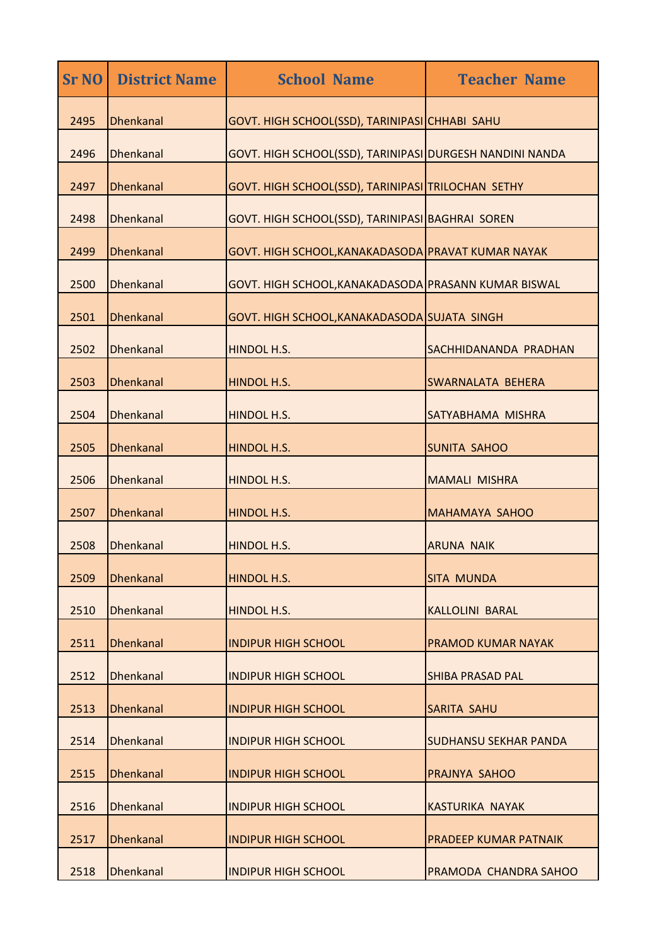| <b>Sr NO</b> | <b>District Name</b> | <b>School Name</b>                                       | <b>Teacher Name</b>          |
|--------------|----------------------|----------------------------------------------------------|------------------------------|
| 2495         | <b>Dhenkanal</b>     | GOVT. HIGH SCHOOL(SSD), TARINIPASI CHHABI SAHU           |                              |
| 2496         | <b>Dhenkanal</b>     | GOVT. HIGH SCHOOL(SSD), TARINIPASI DURGESH NANDINI NANDA |                              |
| 2497         | Dhenkanal            | GOVT. HIGH SCHOOL(SSD), TARINIPASI TRILOCHAN SETHY       |                              |
| 2498         | Dhenkanal            | GOVT. HIGH SCHOOL(SSD), TARINIPASI BAGHRAI SOREN         |                              |
| 2499         | <b>Dhenkanal</b>     | GOVT. HIGH SCHOOL, KANAKADASODA PRAVAT KUMAR NAYAK       |                              |
| 2500         | <b>Dhenkanal</b>     | GOVT. HIGH SCHOOL, KANAKADASODA PRASANN KUMAR BISWAL     |                              |
| 2501         | <b>Dhenkanal</b>     | GOVT. HIGH SCHOOL, KANAKADASODA SUJATA SINGH             |                              |
| 2502         | <b>Dhenkanal</b>     | HINDOL H.S.                                              | SACHHIDANANDA PRADHAN        |
| 2503         | Dhenkanal            | HINDOL H.S.                                              | SWARNALATA BEHERA            |
| 2504         | Dhenkanal            | HINDOL H.S.                                              | SATYABHAMA MISHRA            |
| 2505         | Dhenkanal            | HINDOL H.S.                                              | <b>SUNITA SAHOO</b>          |
| 2506         | <b>Dhenkanal</b>     | HINDOL H.S.                                              | <b>MAMALI MISHRA</b>         |
| 2507         | <b>Dhenkanal</b>     | HINDOL H.S.                                              | <b>MAHAMAYA SAHOO</b>        |
| 2508         | <b>Dhenkanal</b>     | HINDOL H.S.                                              | <b>ARUNA NAIK</b>            |
| 2509         | <b>Dhenkanal</b>     | HINDOL H.S.                                              | <b>SITA MUNDA</b>            |
| 2510         | Dhenkanal            | HINDOL H.S.                                              | <b>KALLOLINI BARAL</b>       |
| 2511         | <b>Dhenkanal</b>     | <b>INDIPUR HIGH SCHOOL</b>                               | <b>PRAMOD KUMAR NAYAK</b>    |
| 2512         | <b>Dhenkanal</b>     | <b>INDIPUR HIGH SCHOOL</b>                               | <b>SHIBA PRASAD PAL</b>      |
| 2513         | <b>Dhenkanal</b>     | <b>INDIPUR HIGH SCHOOL</b>                               | <b>SARITA SAHU</b>           |
| 2514         | <b>Dhenkanal</b>     | <b>INDIPUR HIGH SCHOOL</b>                               | <b>SUDHANSU SEKHAR PANDA</b> |
| 2515         | <b>Dhenkanal</b>     | <b>INDIPUR HIGH SCHOOL</b>                               | PRAJNYA SAHOO                |
| 2516         | <b>Dhenkanal</b>     | <b>INDIPUR HIGH SCHOOL</b>                               | <b>KASTURIKA NAYAK</b>       |
| 2517         | <b>Dhenkanal</b>     | <b>INDIPUR HIGH SCHOOL</b>                               | <b>PRADEEP KUMAR PATNAIK</b> |
| 2518         | <b>Dhenkanal</b>     | <b>INDIPUR HIGH SCHOOL</b>                               | PRAMODA CHANDRA SAHOO        |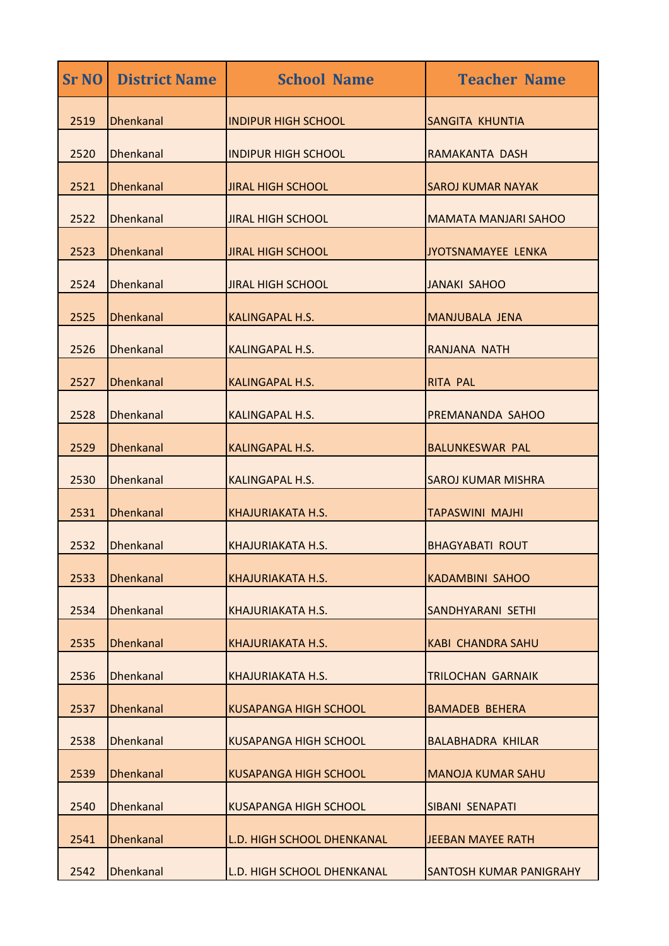| <b>Sr NO</b> | <b>District Name</b> | <b>School Name</b>                | <b>Teacher Name</b>            |
|--------------|----------------------|-----------------------------------|--------------------------------|
| 2519         | <b>Dhenkanal</b>     | <b>INDIPUR HIGH SCHOOL</b>        | <b>SANGITA KHUNTIA</b>         |
| 2520         | <b>Dhenkanal</b>     | <b>INDIPUR HIGH SCHOOL</b>        | RAMAKANTA DASH                 |
| 2521         | Dhenkanal            | <b>JIRAL HIGH SCHOOL</b>          | <b>SAROJ KUMAR NAYAK</b>       |
| 2522         | <b>Dhenkanal</b>     | <b>JIRAL HIGH SCHOOL</b>          | <b>MAMATA MANJARI SAHOO</b>    |
| 2523         | <b>Dhenkanal</b>     | <b>JIRAL HIGH SCHOOL</b>          | JYOTSNAMAYEE LENKA             |
| 2524         | <b>Dhenkanal</b>     | <b>JIRAL HIGH SCHOOL</b>          | <b>JANAKI SAHOO</b>            |
| 2525         | <b>Dhenkanal</b>     | <b>KALINGAPAL H.S.</b>            | <b>MANJUBALA JENA</b>          |
| 2526         | <b>Dhenkanal</b>     | <b>KALINGAPAL H.S.</b>            | RANJANA NATH                   |
| 2527         | <b>Dhenkanal</b>     | <b>KALINGAPAL H.S.</b>            | <b>RITA PAL</b>                |
| 2528         | Dhenkanal            | <b>KALINGAPAL H.S.</b>            | PREMANANDA SAHOO               |
| 2529         | <b>Dhenkanal</b>     | <b>KALINGAPAL H.S.</b>            | <b>BALUNKESWAR PAL</b>         |
| 2530         | <b>Dhenkanal</b>     | <b>KALINGAPAL H.S.</b>            | <b>SAROJ KUMAR MISHRA</b>      |
| 2531         | <b>Dhenkanal</b>     | KHAJURIAKATA H.S.                 | <b>TAPASWINI MAJHI</b>         |
| 2532         | <b>Dhenkanal</b>     | KHAJURIAKATA H.S.                 | <b>BHAGYABATI ROUT</b>         |
| 2533         | <b>Dhenkanal</b>     | KHAJURIAKATA H.S.                 | <b>KADAMBINI SAHOO</b>         |
| 2534         | <b>Dhenkanal</b>     | KHAJURIAKATA H.S.                 | SANDHYARANI SETHI              |
| 2535         | <b>Dhenkanal</b>     | KHAJURIAKATA H.S.                 | <b>KABI CHANDRA SAHU</b>       |
| 2536         | <b>Dhenkanal</b>     | KHAJURIAKATA H.S.                 | <b>TRILOCHAN GARNAIK</b>       |
| 2537         | <b>Dhenkanal</b>     | <b>KUSAPANGA HIGH SCHOOL</b>      | <b>BAMADEB BEHERA</b>          |
| 2538         | <b>Dhenkanal</b>     | <b>KUSAPANGA HIGH SCHOOL</b>      | <b>BALABHADRA KHILAR</b>       |
| 2539         | <b>Dhenkanal</b>     | <b>KUSAPANGA HIGH SCHOOL</b>      | <b>MANOJA KUMAR SAHU</b>       |
| 2540         | <b>Dhenkanal</b>     | <b>KUSAPANGA HIGH SCHOOL</b>      | SIBANI SENAPATI                |
| 2541         | <b>Dhenkanal</b>     | <b>L.D. HIGH SCHOOL DHENKANAL</b> | <b>JEEBAN MAYEE RATH</b>       |
| 2542         | <b>Dhenkanal</b>     | <b>L.D. HIGH SCHOOL DHENKANAL</b> | <b>SANTOSH KUMAR PANIGRAHY</b> |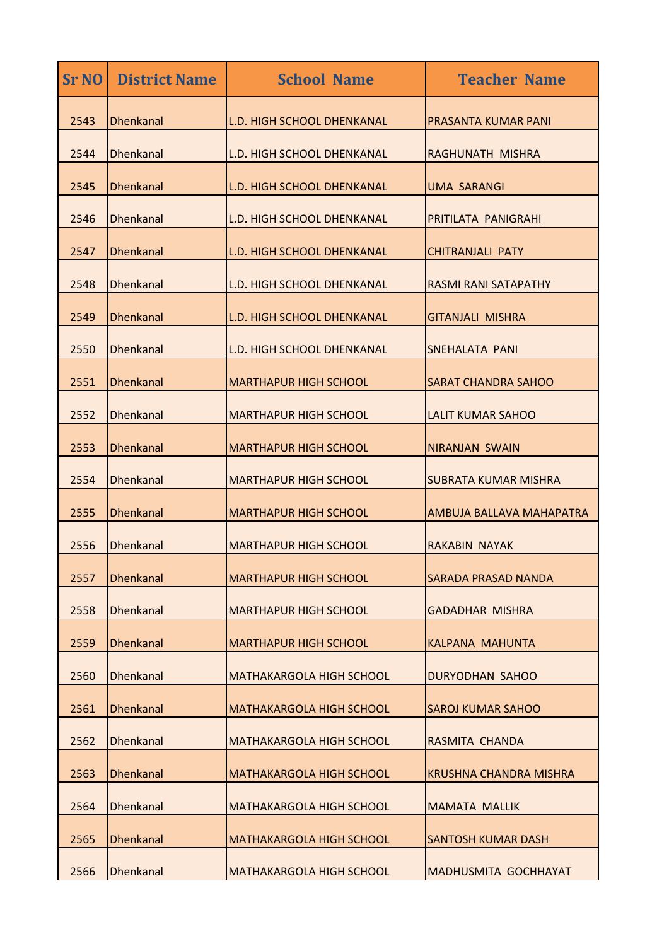| <b>Sr NO</b> | <b>District Name</b> | <b>School Name</b>                | <b>Teacher Name</b>           |
|--------------|----------------------|-----------------------------------|-------------------------------|
| 2543         | <b>Dhenkanal</b>     | <b>L.D. HIGH SCHOOL DHENKANAL</b> | <b>PRASANTA KUMAR PANI</b>    |
| 2544         | <b>Dhenkanal</b>     | <b>L.D. HIGH SCHOOL DHENKANAL</b> | RAGHUNATH MISHRA              |
| 2545         | <b>Dhenkanal</b>     | <b>L.D. HIGH SCHOOL DHENKANAL</b> | <b>UMA SARANGI</b>            |
| 2546         | Dhenkanal            | <b>L.D. HIGH SCHOOL DHENKANAL</b> | PRITILATA PANIGRAHI           |
| 2547         | <b>Dhenkanal</b>     | <b>L.D. HIGH SCHOOL DHENKANAL</b> | <b>CHITRANJALI PATY</b>       |
| 2548         | <b>Dhenkanal</b>     | <b>L.D. HIGH SCHOOL DHENKANAL</b> | <b>RASMI RANI SATAPATHY</b>   |
| 2549         | <b>Dhenkanal</b>     | <b>L.D. HIGH SCHOOL DHENKANAL</b> | <b>GITANJALI MISHRA</b>       |
| 2550         | <b>Dhenkanal</b>     | <b>L.D. HIGH SCHOOL DHENKANAL</b> | <b>SNEHALATA PANI</b>         |
| 2551         | <b>Dhenkanal</b>     | <b>MARTHAPUR HIGH SCHOOL</b>      | <b>SARAT CHANDRA SAHOO</b>    |
| 2552         | <b>Dhenkanal</b>     | <b>MARTHAPUR HIGH SCHOOL</b>      | <b>LALIT KUMAR SAHOO</b>      |
| 2553         | <b>Dhenkanal</b>     | <b>MARTHAPUR HIGH SCHOOL</b>      | <b>NIRANJAN SWAIN</b>         |
| 2554         | <b>Dhenkanal</b>     | <b>MARTHAPUR HIGH SCHOOL</b>      | <b>SUBRATA KUMAR MISHRA</b>   |
| 2555         | <b>Dhenkanal</b>     | <b>MARTHAPUR HIGH SCHOOL</b>      | AMBUJA BALLAVA MAHAPATRA      |
| 2556         | <b>Dhenkanal</b>     | <b>MARTHAPUR HIGH SCHOOL</b>      | <b>RAKABIN NAYAK</b>          |
| 2557         | <b>Dhenkanal</b>     | <b>MARTHAPUR HIGH SCHOOL</b>      | <b>SARADA PRASAD NANDA</b>    |
| 2558         | <b>Dhenkanal</b>     | <b>MARTHAPUR HIGH SCHOOL</b>      | <b>GADADHAR MISHRA</b>        |
| 2559         | Dhenkanal            | <b>MARTHAPUR HIGH SCHOOL</b>      | <b>KALPANA MAHUNTA</b>        |
| 2560         | <b>Dhenkanal</b>     | <b>MATHAKARGOLA HIGH SCHOOL</b>   | <b>DURYODHAN SAHOO</b>        |
| 2561         | <b>Dhenkanal</b>     | <b>MATHAKARGOLA HIGH SCHOOL</b>   | <b>SAROJ KUMAR SAHOO</b>      |
| 2562         | <b>Dhenkanal</b>     | <b>MATHAKARGOLA HIGH SCHOOL</b>   | RASMITA CHANDA                |
| 2563         | <b>Dhenkanal</b>     | <b>MATHAKARGOLA HIGH SCHOOL</b>   | <b>KRUSHNA CHANDRA MISHRA</b> |
| 2564         | <b>Dhenkanal</b>     | <b>MATHAKARGOLA HIGH SCHOOL</b>   | <b>MAMATA MALLIK</b>          |
| 2565         | <b>Dhenkanal</b>     | <b>MATHAKARGOLA HIGH SCHOOL</b>   | <b>SANTOSH KUMAR DASH</b>     |
| 2566         | <b>Dhenkanal</b>     | <b>MATHAKARGOLA HIGH SCHOOL</b>   | <b>MADHUSMITA GOCHHAYAT</b>   |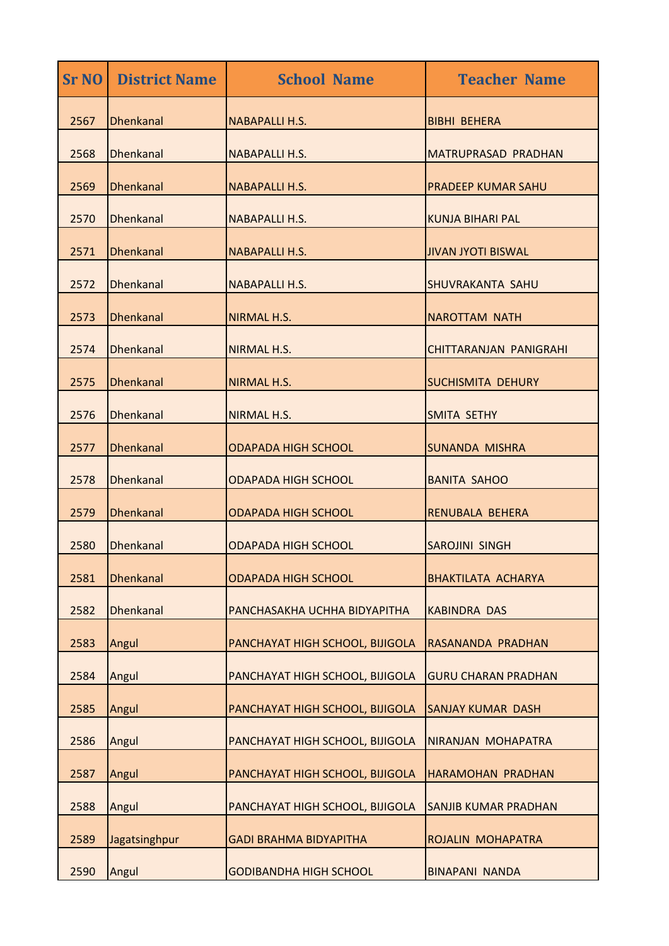| <b>Sr NO</b> | <b>District Name</b> | <b>School Name</b>              | <b>Teacher Name</b>         |
|--------------|----------------------|---------------------------------|-----------------------------|
| 2567         | <b>Dhenkanal</b>     | <b>NABAPALLI H.S.</b>           | <b>BIBHI BEHERA</b>         |
| 2568         | <b>Dhenkanal</b>     | NABAPALLI H.S.                  | <b>MATRUPRASAD PRADHAN</b>  |
| 2569         | <b>Dhenkanal</b>     | <b>NABAPALLI H.S.</b>           | <b>PRADEEP KUMAR SAHU</b>   |
| 2570         | <b>Dhenkanal</b>     | NABAPALLI H.S.                  | <b>KUNJA BIHARI PAL</b>     |
| 2571         | <b>Dhenkanal</b>     | <b>NABAPALLI H.S.</b>           | <b>JIVAN JYOTI BISWAL</b>   |
| 2572         | <b>Dhenkanal</b>     | NABAPALLI H.S.                  | <b>SHUVRAKANTA SAHU</b>     |
| 2573         | <b>Dhenkanal</b>     | NIRMAL H.S.                     | <b>NAROTTAM NATH</b>        |
| 2574         | <b>Dhenkanal</b>     | NIRMAL H.S.                     | CHITTARANJAN PANIGRAHI      |
| 2575         | <b>Dhenkanal</b>     | NIRMAL H.S.                     | <b>SUCHISMITA DEHURY</b>    |
| 2576         | <b>Dhenkanal</b>     | NIRMAL H.S.                     | <b>SMITA SETHY</b>          |
| 2577         | <b>Dhenkanal</b>     | <b>ODAPADA HIGH SCHOOL</b>      | <b>SUNANDA MISHRA</b>       |
| 2578         | <b>Dhenkanal</b>     | <b>ODAPADA HIGH SCHOOL</b>      | <b>BANITA SAHOO</b>         |
| 2579         | <b>Dhenkanal</b>     | <b>ODAPADA HIGH SCHOOL</b>      | <b>RENUBALA BEHERA</b>      |
| 2580         | <b>Dhenkanal</b>     | <b>ODAPADA HIGH SCHOOL</b>      | <b>SAROJINI SINGH</b>       |
| 2581         | <b>Dhenkanal</b>     | <b>ODAPADA HIGH SCHOOL</b>      | <b>BHAKTILATA ACHARYA</b>   |
| 2582         | <b>Dhenkanal</b>     | PANCHASAKHA UCHHA BIDYAPITHA    | <b>KABINDRA DAS</b>         |
| 2583         | Angul                | PANCHAYAT HIGH SCHOOL, BIJIGOLA | RASANANDA PRADHAN           |
| 2584         | Angul                | PANCHAYAT HIGH SCHOOL, BIJIGOLA | <b>GURU CHARAN PRADHAN</b>  |
| 2585         | Angul                | PANCHAYAT HIGH SCHOOL, BIJIGOLA | <b>SANJAY KUMAR DASH</b>    |
| 2586         | Angul                | PANCHAYAT HIGH SCHOOL, BIJIGOLA | NIRANJAN MOHAPATRA          |
| 2587         | Angul                | PANCHAYAT HIGH SCHOOL, BIJIGOLA | <b>HARAMOHAN PRADHAN</b>    |
| 2588         | Angul                | PANCHAYAT HIGH SCHOOL, BIJIGOLA | <b>SANJIB KUMAR PRADHAN</b> |
| 2589         | Jagatsinghpur        | <b>GADI BRAHMA BIDYAPITHA</b>   | ROJALIN MOHAPATRA           |
| 2590         | Angul                | <b>GODIBANDHA HIGH SCHOOL</b>   | <b>BINAPANI NANDA</b>       |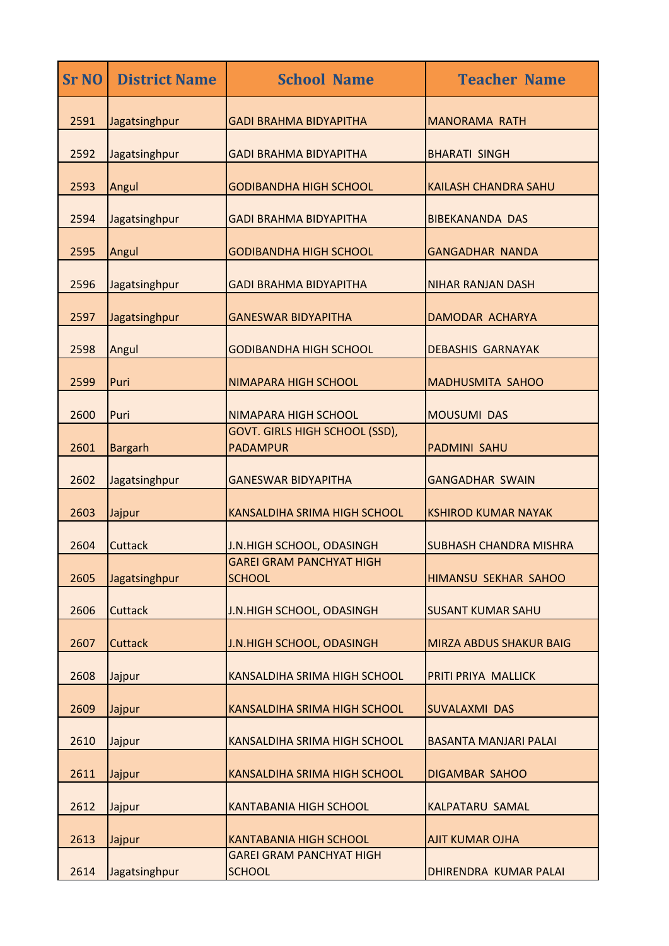| <b>Sr NO</b> | <b>District Name</b> | <b>School Name</b>                                | <b>Teacher Name</b>            |
|--------------|----------------------|---------------------------------------------------|--------------------------------|
| 2591         | Jagatsinghpur        | <b>GADI BRAHMA BIDYAPITHA</b>                     | <b>MANORAMA RATH</b>           |
| 2592         | Jagatsinghpur        | <b>GADI BRAHMA BIDYAPITHA</b>                     | <b>BHARATI SINGH</b>           |
| 2593         | Angul                | <b>GODIBANDHA HIGH SCHOOL</b>                     | <b>KAILASH CHANDRA SAHU</b>    |
| 2594         | Jagatsinghpur        | <b>GADI BRAHMA BIDYAPITHA</b>                     | <b>BIBEKANANDA DAS</b>         |
| 2595         | Angul                | <b>GODIBANDHA HIGH SCHOOL</b>                     | <b>GANGADHAR NANDA</b>         |
| 2596         | Jagatsinghpur        | <b>GADI BRAHMA BIDYAPITHA</b>                     | <b>NIHAR RANJAN DASH</b>       |
| 2597         | Jagatsinghpur        | <b>GANESWAR BIDYAPITHA</b>                        | <b>DAMODAR ACHARYA</b>         |
| 2598         | Angul                | <b>GODIBANDHA HIGH SCHOOL</b>                     | <b>DEBASHIS GARNAYAK</b>       |
| 2599         | Puri                 | NIMAPARA HIGH SCHOOL                              | <b>MADHUSMITA SAHOO</b>        |
| 2600         | Puri                 | NIMAPARA HIGH SCHOOL                              | <b>MOUSUMI DAS</b>             |
| 2601         | <b>Bargarh</b>       | GOVT. GIRLS HIGH SCHOOL (SSD),<br><b>PADAMPUR</b> | <b>PADMINI SAHU</b>            |
| 2602         | Jagatsinghpur        | <b>GANESWAR BIDYAPITHA</b>                        | <b>GANGADHAR SWAIN</b>         |
| 2603         | Jajpur               | <b>KANSALDIHA SRIMA HIGH SCHOOL</b>               | <b>KSHIROD KUMAR NAYAK</b>     |
| 2604         | <b>Cuttack</b>       | J.N.HIGH SCHOOL, ODASINGH                         | <b>SUBHASH CHANDRA MISHRA</b>  |
| 2605         | Jagatsinghpur        | <b>GAREI GRAM PANCHYAT HIGH</b><br><b>SCHOOL</b>  | HIMANSU SEKHAR SAHOO           |
| 2606         | <b>Cuttack</b>       | J.N.HIGH SCHOOL, ODASINGH                         | <b>SUSANT KUMAR SAHU</b>       |
| 2607         | <b>Cuttack</b>       | J.N.HIGH SCHOOL, ODASINGH                         | <b>MIRZA ABDUS SHAKUR BAIG</b> |
| 2608         | Jajpur               | <b>KANSALDIHA SRIMA HIGH SCHOOL</b>               | PRITI PRIYA MALLICK            |
| 2609         | Jajpur               | KANSALDIHA SRIMA HIGH SCHOOL                      | <b>SUVALAXMI DAS</b>           |
| 2610         | Jajpur               | KANSALDIHA SRIMA HIGH SCHOOL                      | <b>BASANTA MANJARI PALAI</b>   |
| 2611         | Jajpur               | KANSALDIHA SRIMA HIGH SCHOOL                      | <b>DIGAMBAR SAHOO</b>          |
| 2612         | Jajpur               | <b>KANTABANIA HIGH SCHOOL</b>                     | <b>KALPATARU SAMAL</b>         |
| 2613         | Jajpur               | <b>KANTABANIA HIGH SCHOOL</b>                     | <b>AJIT KUMAR OJHA</b>         |
| 2614         | Jagatsinghpur        | <b>GAREI GRAM PANCHYAT HIGH</b><br><b>SCHOOL</b>  | DHIRENDRA KUMAR PALAI          |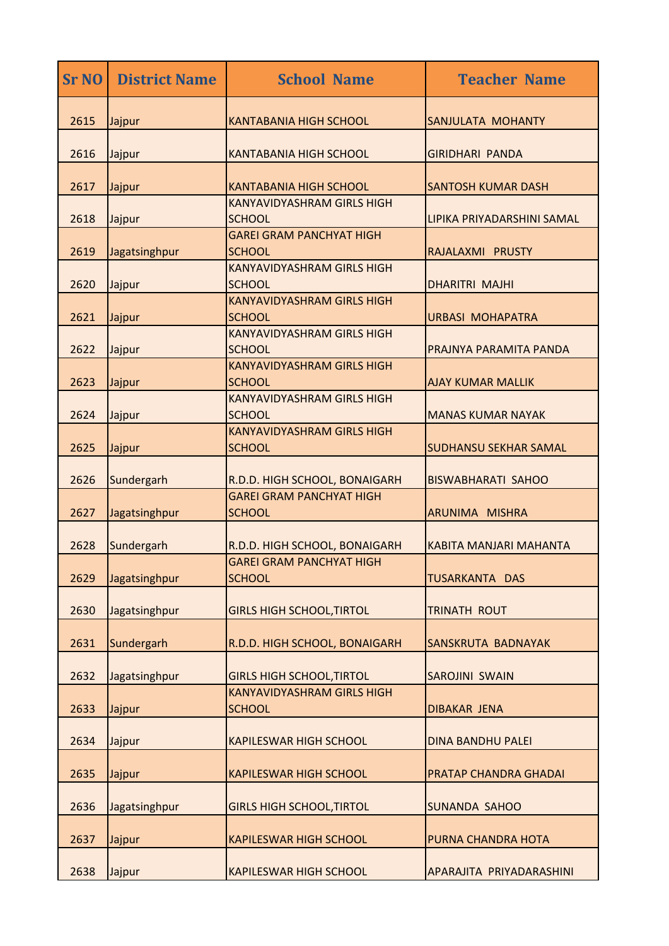| <b>Sr NO</b> | <b>District Name</b> | <b>School Name</b>                                                    | <b>Teacher Name</b>           |
|--------------|----------------------|-----------------------------------------------------------------------|-------------------------------|
| 2615         | Jajpur               | <b>KANTABANIA HIGH SCHOOL</b>                                         | SANJULATA MOHANTY             |
| 2616         | Jajpur               | <b>KANTABANIA HIGH SCHOOL</b>                                         | <b>GIRIDHARI PANDA</b>        |
|              |                      |                                                                       |                               |
| 2617         | Jajpur               | <b>KANTABANIA HIGH SCHOOL</b><br><b>KANYAVIDYASHRAM GIRLS HIGH</b>    | <b>SANTOSH KUMAR DASH</b>     |
| 2618         | Jajpur               | <b>SCHOOL</b>                                                         | LIPIKA PRIYADARSHINI SAMAL    |
|              |                      | <b>GAREI GRAM PANCHYAT HIGH</b>                                       |                               |
| 2619         | Jagatsinghpur        | <b>SCHOOL</b>                                                         | RAJALAXMI PRUSTY              |
|              |                      | <b>KANYAVIDYASHRAM GIRLS HIGH</b>                                     |                               |
| 2620         | Jajpur               | <b>SCHOOL</b>                                                         | <b>DHARITRI MAJHI</b>         |
| 2621         | Jajpur               | <b>KANYAVIDYASHRAM GIRLS HIGH</b><br><b>SCHOOL</b>                    | <b>URBASI MOHAPATRA</b>       |
|              |                      | <b>KANYAVIDYASHRAM GIRLS HIGH</b>                                     |                               |
| 2622         | Jajpur               | <b>SCHOOL</b>                                                         | PRAJNYA PARAMITA PANDA        |
|              |                      | <b>KANYAVIDYASHRAM GIRLS HIGH</b>                                     |                               |
| 2623         | Jajpur               | <b>SCHOOL</b>                                                         | <b>AJAY KUMAR MALLIK</b>      |
|              |                      | <b>KANYAVIDYASHRAM GIRLS HIGH</b>                                     |                               |
| 2624         | Jajpur               | <b>SCHOOL</b>                                                         | <b>MANAS KUMAR NAYAK</b>      |
|              |                      | <b>KANYAVIDYASHRAM GIRLS HIGH</b>                                     |                               |
| 2625         | Jajpur               | <b>SCHOOL</b>                                                         | <b>SUDHANSU SEKHAR SAMAL</b>  |
| 2626         | Sundergarh           | R.D.D. HIGH SCHOOL, BONAIGARH                                         | <b>BISWABHARATI SAHOO</b>     |
|              |                      | <b>GAREI GRAM PANCHYAT HIGH</b>                                       |                               |
| 2627         | Jagatsinghpur        | <b>SCHOOL</b>                                                         | ARUNIMA MISHRA                |
|              |                      |                                                                       |                               |
| 2628         | Sundergarh           | R.D.D. HIGH SCHOOL, BONAIGARH                                         | <b>KABITA MANJARI MAHANTA</b> |
| 2629         |                      | <b>GAREI GRAM PANCHYAT HIGH</b><br><b>SCHOOL</b>                      | <b>TUSARKANTA DAS</b>         |
|              | Jagatsinghpur        |                                                                       |                               |
| 2630         | Jagatsinghpur        | <b>GIRLS HIGH SCHOOL, TIRTOL</b>                                      | <b>TRINATH ROUT</b>           |
|              |                      |                                                                       |                               |
| 2631         | Sundergarh           | R.D.D. HIGH SCHOOL, BONAIGARH                                         | SANSKRUTA BADNAYAK            |
|              |                      |                                                                       |                               |
| 2632         | Jagatsinghpur        | <b>GIRLS HIGH SCHOOL, TIRTOL</b><br><b>KANYAVIDYASHRAM GIRLS HIGH</b> | <b>SAROJINI SWAIN</b>         |
| 2633         | Jajpur               | <b>SCHOOL</b>                                                         | <b>DIBAKAR JENA</b>           |
|              |                      |                                                                       |                               |
| 2634         | Jajpur               | <b>KAPILESWAR HIGH SCHOOL</b>                                         | <b>DINA BANDHU PALEI</b>      |
| 2635         | Jajpur               | <b>KAPILESWAR HIGH SCHOOL</b>                                         | PRATAP CHANDRA GHADAI         |
| 2636         | Jagatsinghpur        | <b>GIRLS HIGH SCHOOL, TIRTOL</b>                                      | <b>SUNANDA SAHOO</b>          |
| 2637         | Jajpur               | <b>KAPILESWAR HIGH SCHOOL</b>                                         | PURNA CHANDRA HOTA            |
|              |                      |                                                                       |                               |
| 2638         | Jajpur               | <b>KAPILESWAR HIGH SCHOOL</b>                                         | APARAJITA PRIYADARASHINI      |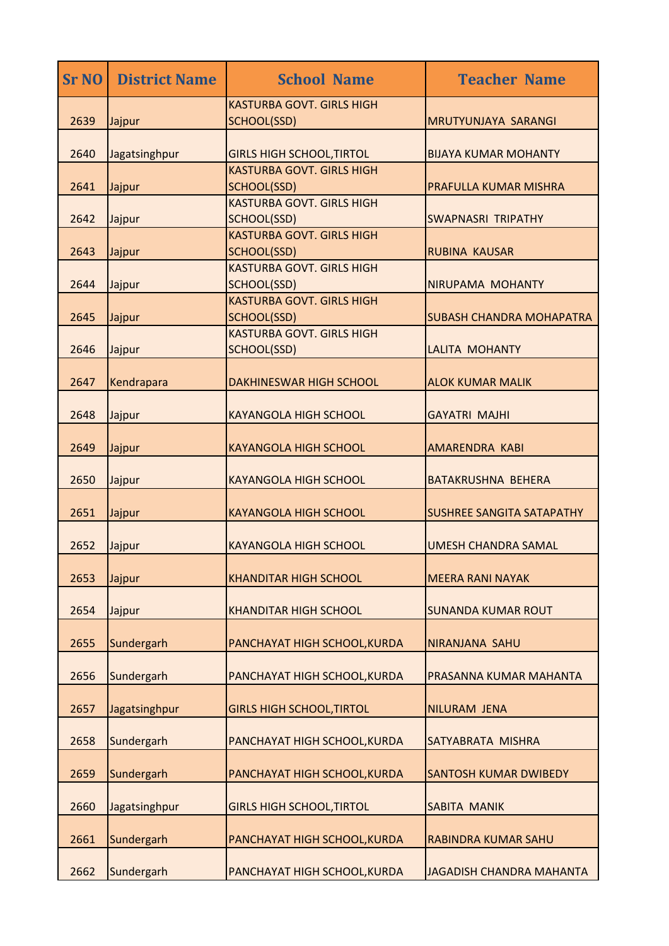| <b>Sr NO</b> | <b>District Name</b> | <b>School Name</b>                                     | <b>Teacher Name</b>             |
|--------------|----------------------|--------------------------------------------------------|---------------------------------|
| 2639         | Jajpur               | <b>KASTURBA GOVT. GIRLS HIGH</b><br><b>SCHOOL(SSD)</b> | MRUTYUNJAYA SARANGI             |
| 2640         | Jagatsinghpur        | <b>GIRLS HIGH SCHOOL, TIRTOL</b>                       | <b>BIJAYA KUMAR MOHANTY</b>     |
| 2641         | Jajpur               | <b>KASTURBA GOVT. GIRLS HIGH</b><br>SCHOOL(SSD)        | PRAFULLA KUMAR MISHRA           |
| 2642         | Jajpur               | <b>KASTURBA GOVT. GIRLS HIGH</b><br>SCHOOL(SSD)        | <b>SWAPNASRI TRIPATHY</b>       |
| 2643         | Jajpur               | <b>KASTURBA GOVT. GIRLS HIGH</b><br>SCHOOL(SSD)        | <b>RUBINA KAUSAR</b>            |
| 2644         | Jajpur               | <b>KASTURBA GOVT. GIRLS HIGH</b><br>SCHOOL(SSD)        | NIRUPAMA MOHANTY                |
| 2645         | Jajpur               | <b>KASTURBA GOVT. GIRLS HIGH</b><br>SCHOOL(SSD)        | <b>SUBASH CHANDRA MOHAPATRA</b> |
| 2646         | Jajpur               | <b>KASTURBA GOVT. GIRLS HIGH</b><br>SCHOOL(SSD)        | <b>LALITA MOHANTY</b>           |
| 2647         | Kendrapara           | <b>DAKHINESWAR HIGH SCHOOL</b>                         | <b>ALOK KUMAR MALIK</b>         |
| 2648         | Jajpur               | <b>KAYANGOLA HIGH SCHOOL</b>                           | <b>GAYATRI MAJHI</b>            |
| 2649         | Jajpur               | <b>KAYANGOLA HIGH SCHOOL</b>                           | <b>AMARENDRA KABI</b>           |
| 2650         | Jajpur               | <b>KAYANGOLA HIGH SCHOOL</b>                           | <b>BATAKRUSHNA BEHERA</b>       |
| 2651         | Jajpur               | <b>KAYANGOLA HIGH SCHOOL</b>                           | SUSHREE SANGITA SATAPATHY       |
| 2652         | Jajpur               | <b>KAYANGOLA HIGH SCHOOL</b>                           | <b>UMESH CHANDRA SAMAL</b>      |
| 2653         | Jajpur               | <b>KHANDITAR HIGH SCHOOL</b>                           | <b>MEERA RANI NAYAK</b>         |
| 2654         | Jajpur               | <b>KHANDITAR HIGH SCHOOL</b>                           | <b>SUNANDA KUMAR ROUT</b>       |
| 2655         | Sundergarh           | PANCHAYAT HIGH SCHOOL, KURDA                           | <b>NIRANJANA SAHU</b>           |
| 2656         | Sundergarh           | PANCHAYAT HIGH SCHOOL, KURDA                           | PRASANNA KUMAR MAHANTA          |
| 2657         | Jagatsinghpur        | <b>GIRLS HIGH SCHOOL, TIRTOL</b>                       | NILURAM JENA                    |
| 2658         | Sundergarh           | PANCHAYAT HIGH SCHOOL, KURDA                           | SATYABRATA MISHRA               |
| 2659         | Sundergarh           | PANCHAYAT HIGH SCHOOL, KURDA                           | <b>SANTOSH KUMAR DWIBEDY</b>    |
| 2660         | Jagatsinghpur        | <b>GIRLS HIGH SCHOOL, TIRTOL</b>                       | <b>SABITA MANIK</b>             |
| 2661         | Sundergarh           | PANCHAYAT HIGH SCHOOL, KURDA                           | RABINDRA KUMAR SAHU             |
| 2662         | Sundergarh           | PANCHAYAT HIGH SCHOOL, KURDA                           | JAGADISH CHANDRA MAHANTA        |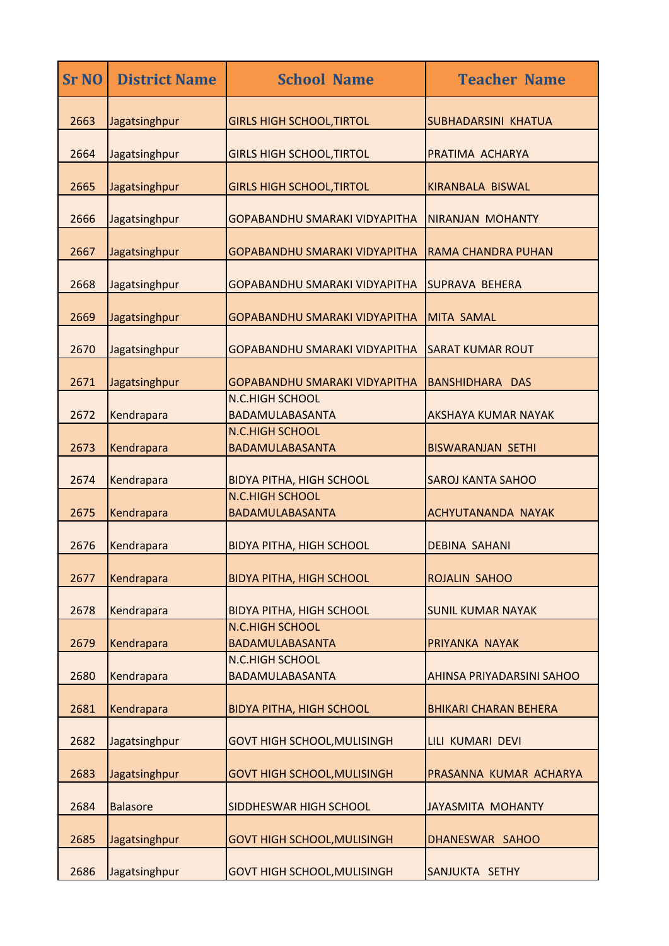| <b>Sr NO</b> | <b>District Name</b> | <b>School Name</b>                               | <b>Teacher Name</b>          |
|--------------|----------------------|--------------------------------------------------|------------------------------|
| 2663         | Jagatsinghpur        | <b>GIRLS HIGH SCHOOL, TIRTOL</b>                 | <b>SUBHADARSINI KHATUA</b>   |
| 2664         | Jagatsinghpur        | <b>GIRLS HIGH SCHOOL, TIRTOL</b>                 | PRATIMA ACHARYA              |
| 2665         | Jagatsinghpur        | <b>GIRLS HIGH SCHOOL, TIRTOL</b>                 | <b>KIRANBALA BISWAL</b>      |
| 2666         | Jagatsinghpur        | <b>GOPABANDHU SMARAKI VIDYAPITHA</b>             | NIRANJAN MOHANTY             |
| 2667         | Jagatsinghpur        | GOPABANDHU SMARAKI VIDYAPITHA                    | <b>RAMA CHANDRA PUHAN</b>    |
| 2668         | Jagatsinghpur        | <b>GOPABANDHU SMARAKI VIDYAPITHA</b>             | <b>SUPRAVA BEHERA</b>        |
| 2669         | Jagatsinghpur        | GOPABANDHU SMARAKI VIDYAPITHA                    | <b>MITA SAMAL</b>            |
| 2670         | Jagatsinghpur        | <b>GOPABANDHU SMARAKI VIDYAPITHA</b>             | <b>SARAT KUMAR ROUT</b>      |
| 2671         | Jagatsinghpur        | GOPABANDHU SMARAKI VIDYAPITHA                    | <b>BANSHIDHARA DAS</b>       |
| 2672         | Kendrapara           | <b>N.C.HIGH SCHOOL</b><br>BADAMULABASANTA        | <b>AKSHAYA KUMAR NAYAK</b>   |
| 2673         | Kendrapara           | <b>N.C.HIGH SCHOOL</b><br>BADAMULABASANTA        | <b>BISWARANJAN SETHI</b>     |
| 2674         | Kendrapara           | <b>BIDYA PITHA, HIGH SCHOOL</b>                  | <b>SAROJ KANTA SAHOO</b>     |
| 2675         | Kendrapara           | N.C.HIGH SCHOOL<br>BADAMULABASANTA               | ACHYUTANANDA NAYAK           |
| 2676         | Kendrapara           | <b>BIDYA PITHA, HIGH SCHOOL</b>                  | <b>DEBINA SAHANI</b>         |
| 2677         | Kendrapara           | <b>BIDYA PITHA, HIGH SCHOOL</b>                  | ROJALIN SAHOO                |
| 2678         | Kendrapara           | <b>BIDYA PITHA, HIGH SCHOOL</b>                  | <b>SUNIL KUMAR NAYAK</b>     |
| 2679         | Kendrapara           | N.C.HIGH SCHOOL<br>BADAMULABASANTA               | PRIYANKA NAYAK               |
| 2680         | Kendrapara           | <b>N.C.HIGH SCHOOL</b><br><b>BADAMULABASANTA</b> | AHINSA PRIYADARSINI SAHOO    |
| 2681         | Kendrapara           | <b>BIDYA PITHA, HIGH SCHOOL</b>                  | <b>BHIKARI CHARAN BEHERA</b> |
| 2682         | Jagatsinghpur        | <b>GOVT HIGH SCHOOL, MULISINGH</b>               | LILI KUMARI DEVI             |
| 2683         | Jagatsinghpur        | <b>GOVT HIGH SCHOOL, MULISINGH</b>               | PRASANNA KUMAR ACHARYA       |
| 2684         | <b>Balasore</b>      | SIDDHESWAR HIGH SCHOOL                           | <b>JAYASMITA MOHANTY</b>     |
| 2685         | Jagatsinghpur        | <b>GOVT HIGH SCHOOL, MULISINGH</b>               | DHANESWAR SAHOO              |
| 2686         | Jagatsinghpur        | <b>GOVT HIGH SCHOOL, MULISINGH</b>               | SANJUKTA SETHY               |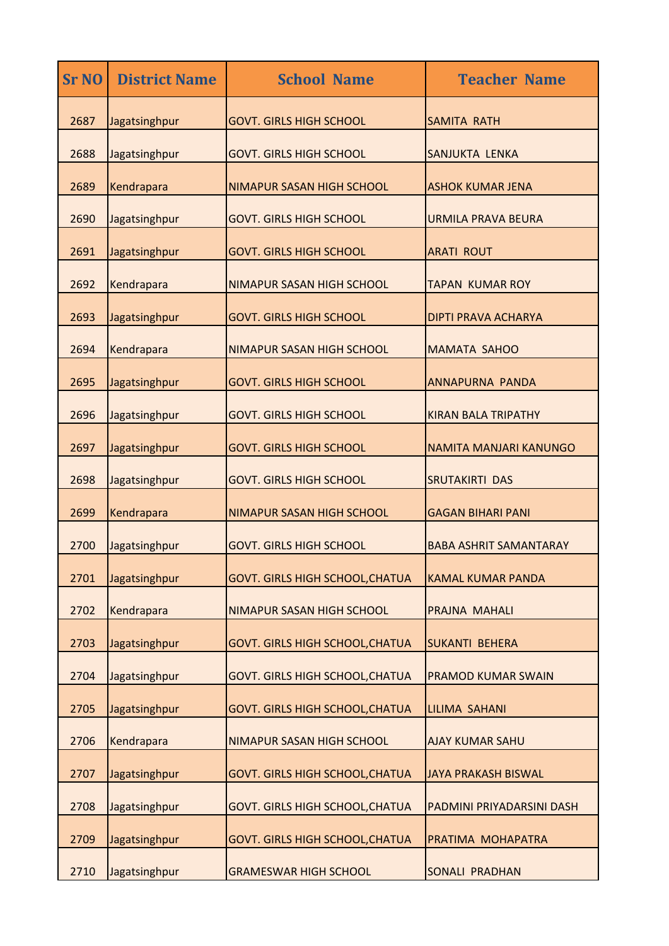| <b>Sr NO</b> | <b>District Name</b> | <b>School Name</b>                     | <b>Teacher Name</b>           |
|--------------|----------------------|----------------------------------------|-------------------------------|
| 2687         | Jagatsinghpur        | <b>GOVT. GIRLS HIGH SCHOOL</b>         | <b>SAMITA RATH</b>            |
| 2688         | Jagatsinghpur        | <b>GOVT. GIRLS HIGH SCHOOL</b>         | SANJUKTA LENKA                |
| 2689         | Kendrapara           | NIMAPUR SASAN HIGH SCHOOL              | <b>ASHOK KUMAR JENA</b>       |
| 2690         | Jagatsinghpur        | <b>GOVT. GIRLS HIGH SCHOOL</b>         | <b>URMILA PRAVA BEURA</b>     |
| 2691         | Jagatsinghpur        | <b>GOVT. GIRLS HIGH SCHOOL</b>         | <b>ARATI ROUT</b>             |
| 2692         | Kendrapara           | NIMAPUR SASAN HIGH SCHOOL              | <b>TAPAN KUMAR ROY</b>        |
| 2693         | Jagatsinghpur        | <b>GOVT. GIRLS HIGH SCHOOL</b>         | <b>DIPTI PRAVA ACHARYA</b>    |
| 2694         | Kendrapara           | NIMAPUR SASAN HIGH SCHOOL              | <b>MAMATA SAHOO</b>           |
| 2695         | Jagatsinghpur        | <b>GOVT. GIRLS HIGH SCHOOL</b>         | <b>ANNAPURNA PANDA</b>        |
| 2696         | Jagatsinghpur        | <b>GOVT. GIRLS HIGH SCHOOL</b>         | <b>KIRAN BALA TRIPATHY</b>    |
| 2697         | Jagatsinghpur        | <b>GOVT. GIRLS HIGH SCHOOL</b>         | NAMITA MANJARI KANUNGO        |
| 2698         | Jagatsinghpur        | <b>GOVT. GIRLS HIGH SCHOOL</b>         | <b>SRUTAKIRTI DAS</b>         |
| 2699         | Kendrapara           | NIMAPUR SASAN HIGH SCHOOL              | <b>GAGAN BIHARI PANI</b>      |
| 2700         | Jagatsinghpur        | <b>GOVT. GIRLS HIGH SCHOOL</b>         | <b>BABA ASHRIT SAMANTARAY</b> |
| 2701         | Jagatsinghpur        | <b>GOVT. GIRLS HIGH SCHOOL, CHATUA</b> | <b>KAMAL KUMAR PANDA</b>      |
| 2702         | Kendrapara           | NIMAPUR SASAN HIGH SCHOOL              | PRAJNA MAHALI                 |
| 2703         | Jagatsinghpur        | <b>GOVT. GIRLS HIGH SCHOOL, CHATUA</b> | <b>SUKANTI BEHERA</b>         |
| 2704         | Jagatsinghpur        | <b>GOVT. GIRLS HIGH SCHOOL, CHATUA</b> | <b>PRAMOD KUMAR SWAIN</b>     |
| 2705         | Jagatsinghpur        | <b>GOVT. GIRLS HIGH SCHOOL, CHATUA</b> | <b>LILIMA SAHANI</b>          |
| 2706         | Kendrapara           | NIMAPUR SASAN HIGH SCHOOL              | <b>AJAY KUMAR SAHU</b>        |
| 2707         | Jagatsinghpur        | GOVT. GIRLS HIGH SCHOOL, CHATUA        | <b>JAYA PRAKASH BISWAL</b>    |
| 2708         | Jagatsinghpur        | <b>GOVT. GIRLS HIGH SCHOOL, CHATUA</b> | PADMINI PRIYADARSINI DASH     |
| 2709         | Jagatsinghpur        | GOVT. GIRLS HIGH SCHOOL, CHATUA        | PRATIMA MOHAPATRA             |
| 2710         | Jagatsinghpur        | <b>GRAMESWAR HIGH SCHOOL</b>           | SONALI PRADHAN                |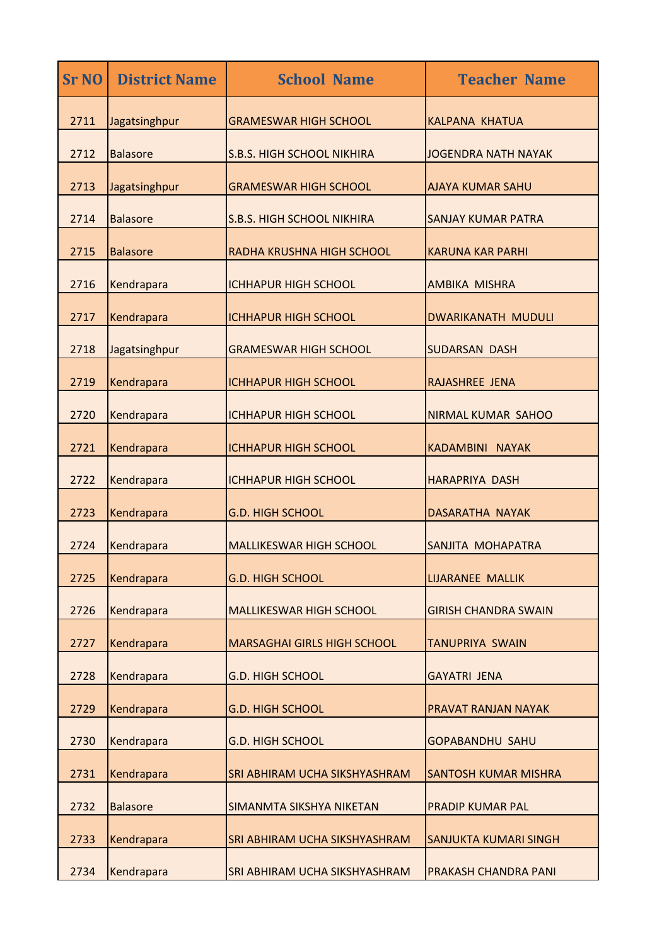| <b>Sr NO</b> | <b>District Name</b> | <b>School Name</b>                 | <b>Teacher Name</b>          |
|--------------|----------------------|------------------------------------|------------------------------|
| 2711         | Jagatsinghpur        | <b>GRAMESWAR HIGH SCHOOL</b>       | <b>KALPANA KHATUA</b>        |
| 2712         | <b>Balasore</b>      | <b>S.B.S. HIGH SCHOOL NIKHIRA</b>  | <b>JOGENDRA NATH NAYAK</b>   |
| 2713         | Jagatsinghpur        | <b>GRAMESWAR HIGH SCHOOL</b>       | <b>AJAYA KUMAR SAHU</b>      |
| 2714         | <b>Balasore</b>      | <b>S.B.S. HIGH SCHOOL NIKHIRA</b>  | <b>SANJAY KUMAR PATRA</b>    |
| 2715         | <b>Balasore</b>      | RADHA KRUSHNA HIGH SCHOOL          | <b>KARUNA KAR PARHI</b>      |
| 2716         | Kendrapara           | <b>ICHHAPUR HIGH SCHOOL</b>        | <b>AMBIKA MISHRA</b>         |
| 2717         | Kendrapara           | <b>ICHHAPUR HIGH SCHOOL</b>        | <b>DWARIKANATH MUDULI</b>    |
| 2718         | Jagatsinghpur        | <b>GRAMESWAR HIGH SCHOOL</b>       | <b>SUDARSAN DASH</b>         |
| 2719         | Kendrapara           | <b>ICHHAPUR HIGH SCHOOL</b>        | <b>RAJASHREE JENA</b>        |
| 2720         | Kendrapara           | <b>ICHHAPUR HIGH SCHOOL</b>        | <b>NIRMAL KUMAR SAHOO</b>    |
| 2721         | Kendrapara           | <b>ICHHAPUR HIGH SCHOOL</b>        | KADAMBINI NAYAK              |
| 2722         | Kendrapara           | <b>ICHHAPUR HIGH SCHOOL</b>        | <b>HARAPRIYA DASH</b>        |
| 2723         | Kendrapara           | <b>G.D. HIGH SCHOOL</b>            | <b>DASARATHA NAYAK</b>       |
| 2724         | Kendrapara           | <b>MALLIKESWAR HIGH SCHOOL</b>     | SANJITA MOHAPATRA            |
| 2725         | Kendrapara           | <b>G.D. HIGH SCHOOL</b>            | <b>LIJARANEE MALLIK</b>      |
| 2726         | Kendrapara           | <b>MALLIKESWAR HIGH SCHOOL</b>     | <b>GIRISH CHANDRA SWAIN</b>  |
| 2727         | Kendrapara           | <b>MARSAGHAI GIRLS HIGH SCHOOL</b> | TANUPRIYA SWAIN              |
| 2728         | Kendrapara           | <b>G.D. HIGH SCHOOL</b>            | <b>GAYATRI JENA</b>          |
| 2729         | Kendrapara           | <b>G.D. HIGH SCHOOL</b>            | <b>PRAVAT RANJAN NAYAK</b>   |
| 2730         | Kendrapara           | <b>G.D. HIGH SCHOOL</b>            | <b>GOPABANDHU SAHU</b>       |
| 2731         | Kendrapara           | SRI ABHIRAM UCHA SIKSHYASHRAM      | <b>SANTOSH KUMAR MISHRA</b>  |
| 2732         | <b>Balasore</b>      | SIMANMTA SIKSHYA NIKETAN           | <b>PRADIP KUMAR PAL</b>      |
| 2733         | Kendrapara           | SRI ABHIRAM UCHA SIKSHYASHRAM      | <b>SANJUKTA KUMARI SINGH</b> |
| 2734         | Kendrapara           | SRI ABHIRAM UCHA SIKSHYASHRAM      | <b>PRAKASH CHANDRA PANI</b>  |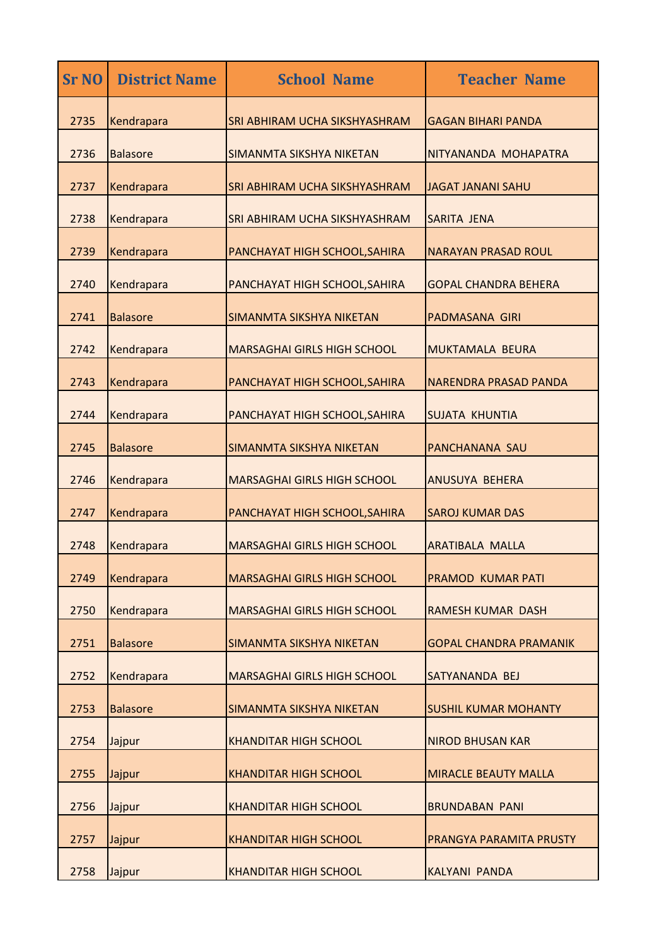| <b>Sr NO</b> | <b>District Name</b> | <b>School Name</b>                 | <b>Teacher Name</b>           |
|--------------|----------------------|------------------------------------|-------------------------------|
| 2735         | Kendrapara           | SRI ABHIRAM UCHA SIKSHYASHRAM      | <b>GAGAN BIHARI PANDA</b>     |
| 2736         | <b>Balasore</b>      | SIMANMTA SIKSHYA NIKETAN           | NITYANANDA MOHAPATRA          |
| 2737         | Kendrapara           | SRI ABHIRAM UCHA SIKSHYASHRAM      | <b>JAGAT JANANI SAHU</b>      |
| 2738         | Kendrapara           | SRI ABHIRAM UCHA SIKSHYASHRAM      | <b>SARITA JENA</b>            |
| 2739         | Kendrapara           | PANCHAYAT HIGH SCHOOL, SAHIRA      | <b>NARAYAN PRASAD ROUL</b>    |
| 2740         | Kendrapara           | PANCHAYAT HIGH SCHOOL, SAHIRA      | <b>GOPAL CHANDRA BEHERA</b>   |
| 2741         | <b>Balasore</b>      | SIMANMTA SIKSHYA NIKETAN           | <b>PADMASANA GIRI</b>         |
| 2742         | Kendrapara           | <b>MARSAGHAI GIRLS HIGH SCHOOL</b> | <b>MUKTAMALA BEURA</b>        |
| 2743         | Kendrapara           | PANCHAYAT HIGH SCHOOL, SAHIRA      | <b>NARENDRA PRASAD PANDA</b>  |
| 2744         | Kendrapara           | PANCHAYAT HIGH SCHOOL, SAHIRA      | <b>SUJATA KHUNTIA</b>         |
| 2745         | <b>Balasore</b>      | SIMANMTA SIKSHYA NIKETAN           | <b>PANCHANANA SAU</b>         |
| 2746         | Kendrapara           | <b>MARSAGHAI GIRLS HIGH SCHOOL</b> | <b>ANUSUYA BEHERA</b>         |
| 2747         | Kendrapara           | PANCHAYAT HIGH SCHOOL, SAHIRA      | <b>SAROJ KUMAR DAS</b>        |
| 2748         | Kendrapara           | <b>MARSAGHAI GIRLS HIGH SCHOOL</b> | <b>ARATIBALA MALLA</b>        |
| 2749         | Kendrapara           | <b>MARSAGHAI GIRLS HIGH SCHOOL</b> | PRAMOD KUMAR PATI             |
| 2750         | Kendrapara           | <b>MARSAGHAI GIRLS HIGH SCHOOL</b> | RAMESH KUMAR DASH             |
| 2751         | <b>Balasore</b>      | SIMANMTA SIKSHYA NIKETAN           | <b>GOPAL CHANDRA PRAMANIK</b> |
| 2752         | Kendrapara           | <b>MARSAGHAI GIRLS HIGH SCHOOL</b> | SATYANANDA BEJ                |
| 2753         | <b>Balasore</b>      | SIMANMTA SIKSHYA NIKETAN           | <b>SUSHIL KUMAR MOHANTY</b>   |
| 2754         | Jajpur               | <b>KHANDITAR HIGH SCHOOL</b>       | <b>NIROD BHUSAN KAR</b>       |
| 2755         | Jajpur               | <b>KHANDITAR HIGH SCHOOL</b>       | <b>MIRACLE BEAUTY MALLA</b>   |
| 2756         | Jajpur               | <b>KHANDITAR HIGH SCHOOL</b>       | <b>BRUNDABAN PANI</b>         |
| 2757         | Jajpur               | <b>KHANDITAR HIGH SCHOOL</b>       | PRANGYA PARAMITA PRUSTY       |
| 2758         | Jajpur               | <b>KHANDITAR HIGH SCHOOL</b>       | <b>KALYANI PANDA</b>          |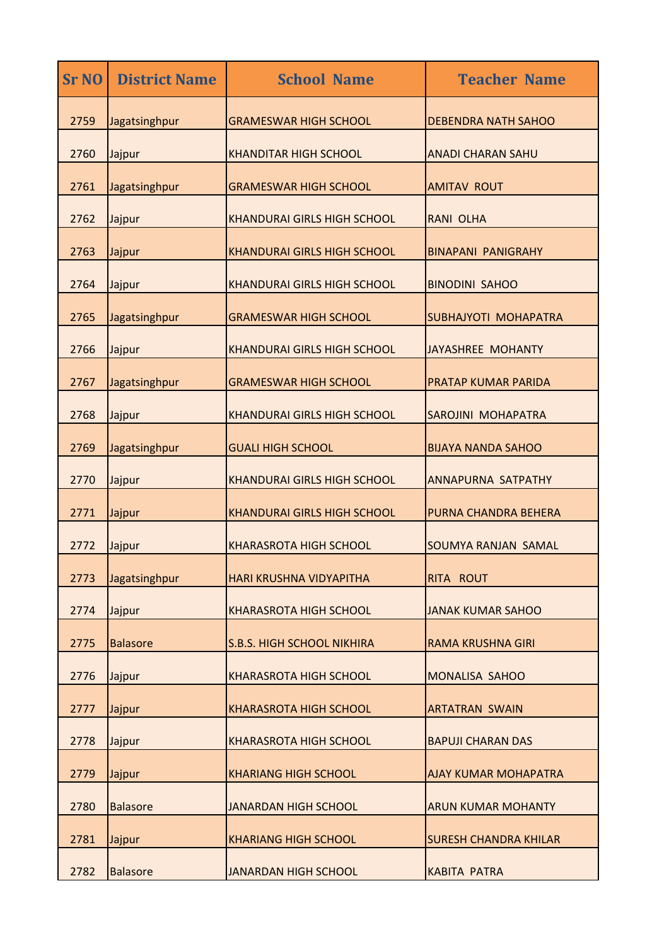| <b>Sr NO</b> | <b>District Name</b> | <b>School Name</b>                 | <b>Teacher Name</b>          |
|--------------|----------------------|------------------------------------|------------------------------|
| 2759         | Jagatsinghpur        | <b>GRAMESWAR HIGH SCHOOL</b>       | <b>DEBENDRA NATH SAHOO</b>   |
| 2760         | Jajpur               | <b>KHANDITAR HIGH SCHOOL</b>       | <b>ANADI CHARAN SAHU</b>     |
| 2761         | Jagatsinghpur        | <b>GRAMESWAR HIGH SCHOOL</b>       | <b>AMITAV ROUT</b>           |
| 2762         | Jajpur               | <b>KHANDURAI GIRLS HIGH SCHOOL</b> | <b>RANI OLHA</b>             |
| 2763         | Jajpur               | <b>KHANDURAI GIRLS HIGH SCHOOL</b> | <b>BINAPANI PANIGRAHY</b>    |
| 2764         | Jajpur               | <b>KHANDURAI GIRLS HIGH SCHOOL</b> | <b>BINODINI SAHOO</b>        |
| 2765         | Jagatsinghpur        | <b>GRAMESWAR HIGH SCHOOL</b>       | SUBHAJYOTI MOHAPATRA         |
| 2766         | Jajpur               | <b>KHANDURAI GIRLS HIGH SCHOOL</b> | JAYASHREE MOHANTY            |
| 2767         | Jagatsinghpur        | <b>GRAMESWAR HIGH SCHOOL</b>       | <b>PRATAP KUMAR PARIDA</b>   |
| 2768         | Jajpur               | <b>KHANDURAI GIRLS HIGH SCHOOL</b> | <b>SAROJINI MOHAPATRA</b>    |
| 2769         | Jagatsinghpur        | <b>GUALI HIGH SCHOOL</b>           | <b>BIJAYA NANDA SAHOO</b>    |
| 2770         | Jajpur               | <b>KHANDURAI GIRLS HIGH SCHOOL</b> | ANNAPURNA SATPATHY           |
| 2771         | Jajpur               | <b>KHANDURAI GIRLS HIGH SCHOOL</b> | PURNA CHANDRA BEHERA         |
| 2772         | Jajpur               | <b>KHARASROTA HIGH SCHOOL</b>      | <b>SOUMYA RANJAN SAMAL</b>   |
| 2773         | Jagatsinghpur        | HARI KRUSHNA VIDYAPITHA            | <b>RITA ROUT</b>             |
| 2774         | Jajpur               | <b>KHARASROTA HIGH SCHOOL</b>      | <b>JANAK KUMAR SAHOO</b>     |
| 2775         | <b>Balasore</b>      | <b>S.B.S. HIGH SCHOOL NIKHIRA</b>  | <b>RAMA KRUSHNA GIRI</b>     |
| 2776         | Jajpur               | <b>KHARASROTA HIGH SCHOOL</b>      | MONALISA SAHOO               |
| 2777         | Jajpur               | <b>KHARASROTA HIGH SCHOOL</b>      | <b>ARTATRAN SWAIN</b>        |
| 2778         | Jajpur               | <b>KHARASROTA HIGH SCHOOL</b>      | <b>BAPUJI CHARAN DAS</b>     |
| 2779         | Jajpur               | <b>KHARIANG HIGH SCHOOL</b>        | <b>AJAY KUMAR MOHAPATRA</b>  |
| 2780         | <b>Balasore</b>      | <b>JANARDAN HIGH SCHOOL</b>        | <b>ARUN KUMAR MOHANTY</b>    |
| 2781         | Jajpur               | <b>KHARIANG HIGH SCHOOL</b>        | <b>SURESH CHANDRA KHILAR</b> |
| 2782         | <b>Balasore</b>      | <b>JANARDAN HIGH SCHOOL</b>        | <b>KABITA PATRA</b>          |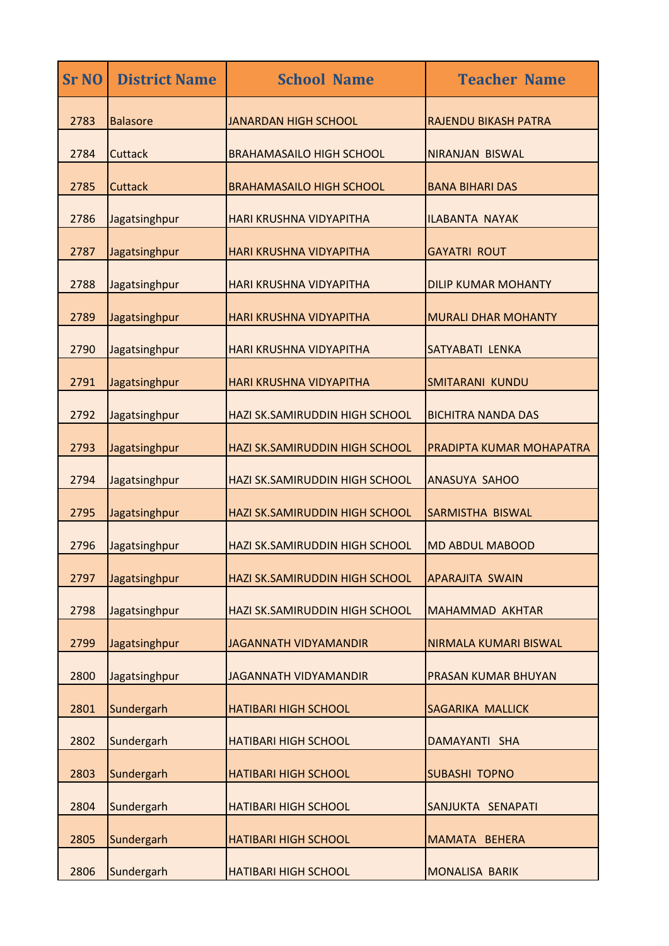| <b>Sr NO</b> | <b>District Name</b> | <b>School Name</b>              | <b>Teacher Name</b>         |
|--------------|----------------------|---------------------------------|-----------------------------|
| 2783         | <b>Balasore</b>      | <b>JANARDAN HIGH SCHOOL</b>     | <b>RAJENDU BIKASH PATRA</b> |
| 2784         | Cuttack              | <b>BRAHAMASAILO HIGH SCHOOL</b> | <b>NIRANJAN BISWAL</b>      |
| 2785         | <b>Cuttack</b>       | <b>BRAHAMASAILO HIGH SCHOOL</b> | <b>BANA BIHARI DAS</b>      |
| 2786         | Jagatsinghpur        | <b>HARI KRUSHNA VIDYAPITHA</b>  | <b>ILABANTA NAYAK</b>       |
| 2787         | Jagatsinghpur        | <b>HARI KRUSHNA VIDYAPITHA</b>  | <b>GAYATRI ROUT</b>         |
| 2788         | Jagatsinghpur        | <b>HARI KRUSHNA VIDYAPITHA</b>  | <b>DILIP KUMAR MOHANTY</b>  |
| 2789         | Jagatsinghpur        | HARI KRUSHNA VIDYAPITHA         | <b>MURALI DHAR MOHANTY</b>  |
| 2790         | Jagatsinghpur        | <b>HARI KRUSHNA VIDYAPITHA</b>  | SATYABATI LENKA             |
| 2791         | Jagatsinghpur        | <b>HARI KRUSHNA VIDYAPITHA</b>  | <b>SMITARANI KUNDU</b>      |
| 2792         | Jagatsinghpur        | HAZI SK.SAMIRUDDIN HIGH SCHOOL  | <b>BICHITRA NANDA DAS</b>   |
| 2793         | Jagatsinghpur        | HAZI SK.SAMIRUDDIN HIGH SCHOOL  | PRADIPTA KUMAR MOHAPATRA    |
| 2794         | Jagatsinghpur        | HAZI SK.SAMIRUDDIN HIGH SCHOOL  | <b>ANASUYA SAHOO</b>        |
| 2795         | Jagatsinghpur        | HAZI SK.SAMIRUDDIN HIGH SCHOOL  | <b>SARMISTHA BISWAL</b>     |
| 2796         | Jagatsinghpur        | HAZI SK.SAMIRUDDIN HIGH SCHOOL  | <b>MD ABDUL MABOOD</b>      |
| 2797         | Jagatsinghpur        | HAZI SK.SAMIRUDDIN HIGH SCHOOL  | <b>APARAJITA SWAIN</b>      |
| 2798         | Jagatsinghpur        | HAZI SK.SAMIRUDDIN HIGH SCHOOL  | <b>MAHAMMAD AKHTAR</b>      |
| 2799         | Jagatsinghpur        | <b>JAGANNATH VIDYAMANDIR</b>    | NIRMALA KUMARI BISWAL       |
| 2800         | Jagatsinghpur        | <b>JAGANNATH VIDYAMANDIR</b>    | PRASAN KUMAR BHUYAN         |
| 2801         | Sundergarh           | <b>HATIBARI HIGH SCHOOL</b>     | <b>SAGARIKA MALLICK</b>     |
| 2802         | Sundergarh           | <b>HATIBARI HIGH SCHOOL</b>     | DAMAYANTI SHA               |
| 2803         | Sundergarh           | <b>HATIBARI HIGH SCHOOL</b>     | <b>SUBASHI TOPNO</b>        |
| 2804         | Sundergarh           | <b>HATIBARI HIGH SCHOOL</b>     | SANJUKTA SENAPATI           |
| 2805         | Sundergarh           | <b>HATIBARI HIGH SCHOOL</b>     | MAMATA BEHERA               |
| 2806         | Sundergarh           | <b>HATIBARI HIGH SCHOOL</b>     | <b>MONALISA BARIK</b>       |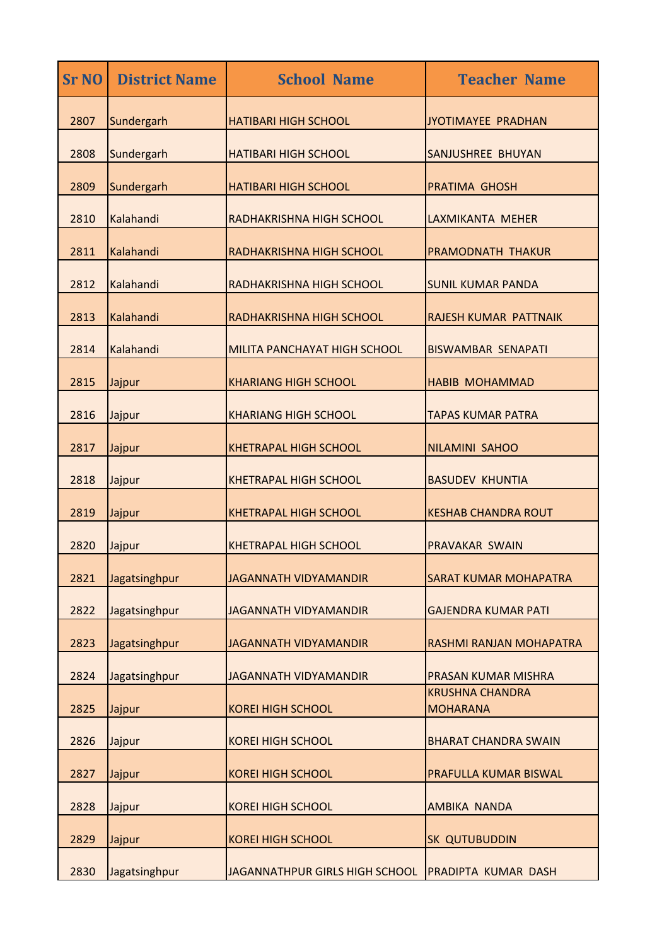| <b>Sr NO</b> | <b>District Name</b> | <b>School Name</b>                  | <b>Teacher Name</b>                       |
|--------------|----------------------|-------------------------------------|-------------------------------------------|
| 2807         | Sundergarh           | <b>HATIBARI HIGH SCHOOL</b>         | <b>JYOTIMAYEE PRADHAN</b>                 |
| 2808         | Sundergarh           | <b>HATIBARI HIGH SCHOOL</b>         | SANJUSHREE BHUYAN                         |
| 2809         | Sundergarh           | <b>HATIBARI HIGH SCHOOL</b>         | <b>PRATIMA GHOSH</b>                      |
| 2810         | Kalahandi            | RADHAKRISHNA HIGH SCHOOL            | LAXMIKANTA MEHER                          |
| 2811         | Kalahandi            | RADHAKRISHNA HIGH SCHOOL            | PRAMODNATH THAKUR                         |
| 2812         | Kalahandi            | RADHAKRISHNA HIGH SCHOOL            | <b>SUNIL KUMAR PANDA</b>                  |
| 2813         | Kalahandi            | RADHAKRISHNA HIGH SCHOOL            | <b>RAJESH KUMAR PATTNAIK</b>              |
| 2814         | Kalahandi            | <b>MILITA PANCHAYAT HIGH SCHOOL</b> | <b>BISWAMBAR SENAPATI</b>                 |
| 2815         | Jajpur               | <b>KHARIANG HIGH SCHOOL</b>         | <b>HABIB MOHAMMAD</b>                     |
| 2816         | Jajpur               | <b>KHARIANG HIGH SCHOOL</b>         | <b>TAPAS KUMAR PATRA</b>                  |
| 2817         | Jajpur               | <b>KHETRAPAL HIGH SCHOOL</b>        | <b>NILAMINI SAHOO</b>                     |
| 2818         | Jajpur               | <b>KHETRAPAL HIGH SCHOOL</b>        | <b>BASUDEV KHUNTIA</b>                    |
| 2819         | Jajpur               | <b>KHETRAPAL HIGH SCHOOL</b>        | <b>KESHAB CHANDRA ROUT</b>                |
| 2820         | Jajpur               | <b>KHETRAPAL HIGH SCHOOL</b>        | PRAVAKAR SWAIN                            |
| 2821         | Jagatsinghpur        | <b>JAGANNATH VIDYAMANDIR</b>        | <b>SARAT KUMAR MOHAPATRA</b>              |
| 2822         | Jagatsinghpur        | <b>JAGANNATH VIDYAMANDIR</b>        | <b>GAJENDRA KUMAR PATI</b>                |
| 2823         | Jagatsinghpur        | <b>JAGANNATH VIDYAMANDIR</b>        | RASHMI RANJAN MOHAPATRA                   |
| 2824         | Jagatsinghpur        | <b>JAGANNATH VIDYAMANDIR</b>        | PRASAN KUMAR MISHRA                       |
| 2825         | Jajpur               | <b>KOREI HIGH SCHOOL</b>            | <b>KRUSHNA CHANDRA</b><br><b>MOHARANA</b> |
| 2826         | Jajpur               | <b>KOREI HIGH SCHOOL</b>            | <b>BHARAT CHANDRA SWAIN</b>               |
| 2827         | Jajpur               | <b>KOREI HIGH SCHOOL</b>            | PRAFULLA KUMAR BISWAL                     |
| 2828         | Jajpur               | <b>KOREI HIGH SCHOOL</b>            | AMBIKA NANDA                              |
| 2829         | Jajpur               | <b>KOREI HIGH SCHOOL</b>            | SK QUTUBUDDIN                             |
| 2830         | Jagatsinghpur        | JAGANNATHPUR GIRLS HIGH SCHOOL      | <b>PRADIPTA KUMAR DASH</b>                |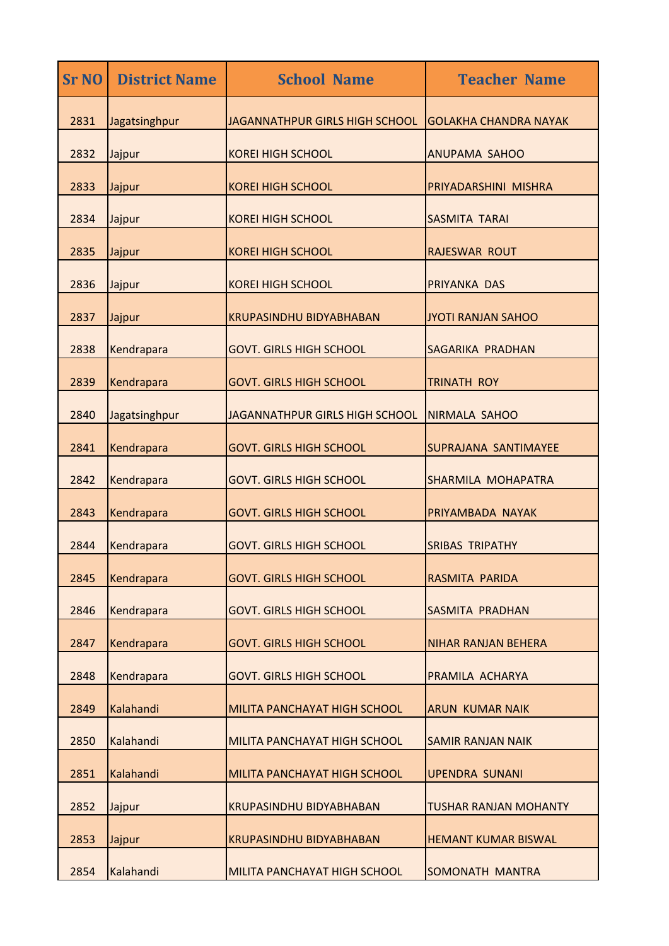| <b>Sr NO</b> | <b>District Name</b> | <b>School Name</b>                    | <b>Teacher Name</b>          |
|--------------|----------------------|---------------------------------------|------------------------------|
| 2831         | Jagatsinghpur        | <b>JAGANNATHPUR GIRLS HIGH SCHOOL</b> | <b>GOLAKHA CHANDRA NAYAK</b> |
| 2832         | Jajpur               | <b>KOREI HIGH SCHOOL</b>              | <b>ANUPAMA SAHOO</b>         |
| 2833         | Jajpur               | <b>KOREI HIGH SCHOOL</b>              | PRIYADARSHINI MISHRA         |
| 2834         | Jajpur               | <b>KOREI HIGH SCHOOL</b>              | <b>SASMITA TARAI</b>         |
| 2835         | Jajpur               | <b>KOREI HIGH SCHOOL</b>              | <b>RAJESWAR ROUT</b>         |
| 2836         | Jajpur               | <b>KOREI HIGH SCHOOL</b>              | <b>PRIYANKA DAS</b>          |
| 2837         | Jajpur               | <b>KRUPASINDHU BIDYABHABAN</b>        | <b>JYOTI RANJAN SAHOO</b>    |
| 2838         | Kendrapara           | <b>GOVT. GIRLS HIGH SCHOOL</b>        | SAGARIKA PRADHAN             |
| 2839         | Kendrapara           | <b>GOVT. GIRLS HIGH SCHOOL</b>        | <b>TRINATH ROY</b>           |
| 2840         | Jagatsinghpur        | JAGANNATHPUR GIRLS HIGH SCHOOL        | <b>NIRMALA SAHOO</b>         |
| 2841         | Kendrapara           | <b>GOVT. GIRLS HIGH SCHOOL</b>        | SUPRAJANA SANTIMAYEE         |
| 2842         | Kendrapara           | <b>GOVT. GIRLS HIGH SCHOOL</b>        | SHARMILA MOHAPATRA           |
| 2843         | Kendrapara           | <b>GOVT. GIRLS HIGH SCHOOL</b>        | PRIYAMBADA NAYAK             |
| 2844         | Kendrapara           | <b>GOVT. GIRLS HIGH SCHOOL</b>        | <b>SRIBAS TRIPATHY</b>       |
| 2845         | Kendrapara           | <b>GOVT. GIRLS HIGH SCHOOL</b>        | RASMITA PARIDA               |
| 2846         | Kendrapara           | <b>GOVT. GIRLS HIGH SCHOOL</b>        | <b>SASMITA PRADHAN</b>       |
| 2847         | Kendrapara           | <b>GOVT. GIRLS HIGH SCHOOL</b>        | <b>NIHAR RANJAN BEHERA</b>   |
| 2848         | Kendrapara           | <b>GOVT. GIRLS HIGH SCHOOL</b>        | PRAMILA ACHARYA              |
| 2849         | Kalahandi            | MILITA PANCHAYAT HIGH SCHOOL          | <b>ARUN KUMAR NAIK</b>       |
| 2850         | Kalahandi            | MILITA PANCHAYAT HIGH SCHOOL          | <b>SAMIR RANJAN NAIK</b>     |
| 2851         | Kalahandi            | MILITA PANCHAYAT HIGH SCHOOL          | <b>UPENDRA SUNANI</b>        |
| 2852         | Jajpur               | <b>KRUPASINDHU BIDYABHABAN</b>        | <b>TUSHAR RANJAN MOHANTY</b> |
| 2853         | Jajpur               | <b>KRUPASINDHU BIDYABHABAN</b>        | <b>HEMANT KUMAR BISWAL</b>   |
| 2854         | Kalahandi            | MILITA PANCHAYAT HIGH SCHOOL          | <b>SOMONATH MANTRA</b>       |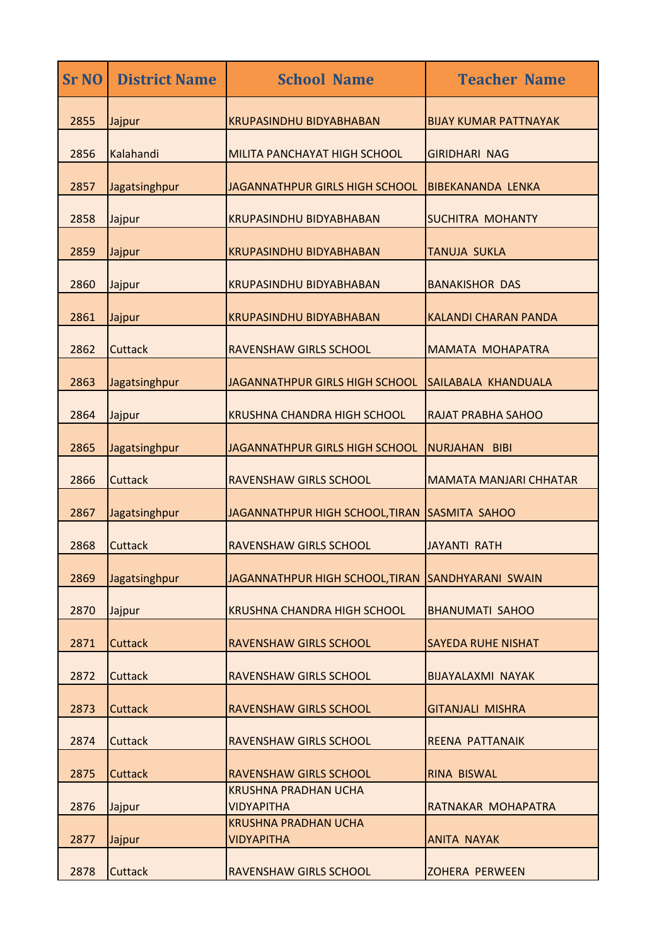| <b>Sr NO</b> | <b>District Name</b> | <b>School Name</b>                                | <b>Teacher Name</b>           |
|--------------|----------------------|---------------------------------------------------|-------------------------------|
| 2855         | Jajpur               | <b>KRUPASINDHU BIDYABHABAN</b>                    | <b>BIJAY KUMAR PATTNAYAK</b>  |
| 2856         | Kalahandi            | <b>MILITA PANCHAYAT HIGH SCHOOL</b>               | <b>GIRIDHARI NAG</b>          |
| 2857         | Jagatsinghpur        | <b>JAGANNATHPUR GIRLS HIGH SCHOOL</b>             | <b>BIBEKANANDA LENKA</b>      |
| 2858         | Jajpur               | <b>KRUPASINDHU BIDYABHABAN</b>                    | <b>SUCHITRA MOHANTY</b>       |
| 2859         | Jajpur               | <b>KRUPASINDHU BIDYABHABAN</b>                    | <b>TANUJA SUKLA</b>           |
| 2860         | Jajpur               | <b>KRUPASINDHU BIDYABHABAN</b>                    | <b>BANAKISHOR DAS</b>         |
| 2861         | Jajpur               | <b>KRUPASINDHU BIDYABHABAN</b>                    | <b>KALANDI CHARAN PANDA</b>   |
| 2862         | <b>Cuttack</b>       | <b>RAVENSHAW GIRLS SCHOOL</b>                     | <b>MAMATA MOHAPATRA</b>       |
| 2863         | Jagatsinghpur        | JAGANNATHPUR GIRLS HIGH SCHOOL                    | SAILABALA KHANDUALA           |
| 2864         | Jajpur               | <b>KRUSHNA CHANDRA HIGH SCHOOL</b>                | <b>RAJAT PRABHA SAHOO</b>     |
| 2865         | Jagatsinghpur        | <b>JAGANNATHPUR GIRLS HIGH SCHOOL</b>             | NURJAHAN BIBI                 |
| 2866         | <b>Cuttack</b>       | <b>RAVENSHAW GIRLS SCHOOL</b>                     | <b>MAMATA MANJARI CHHATAR</b> |
| 2867         | Jagatsinghpur        | JAGANNATHPUR HIGH SCHOOL, TIRAN                   | <b>SASMITA SAHOO</b>          |
| 2868         | <b>Cuttack</b>       | <b>RAVENSHAW GIRLS SCHOOL</b>                     | <b>JAYANTI RATH</b>           |
| 2869         | Jagatsinghpur        | JAGANNATHPUR HIGH SCHOOL, TIRAN SANDHYARANI SWAIN |                               |
| 2870         | Jajpur               | <b>KRUSHNA CHANDRA HIGH SCHOOL</b>                | <b>BHANUMATI SAHOO</b>        |
| 2871         | Cuttack              | RAVENSHAW GIRLS SCHOOL                            | <b>SAYEDA RUHE NISHAT</b>     |
| 2872         | Cuttack              | RAVENSHAW GIRLS SCHOOL                            | BIJAYALAXMI NAYAK             |
| 2873         | Cuttack              | RAVENSHAW GIRLS SCHOOL                            | <b>GITANJALI MISHRA</b>       |
| 2874         | <b>Cuttack</b>       | RAVENSHAW GIRLS SCHOOL                            | REENA PATTANAIK               |
| 2875         | Cuttack              | <b>RAVENSHAW GIRLS SCHOOL</b>                     | <b>RINA BISWAL</b>            |
| 2876         | Jajpur               | KRUSHNA PRADHAN UCHA<br><b>VIDYAPITHA</b>         | RATNAKAR MOHAPATRA            |
| 2877         | Jajpur               | KRUSHNA PRADHAN UCHA<br><b>VIDYAPITHA</b>         | <b>ANITA NAYAK</b>            |
| 2878         | <b>Cuttack</b>       | RAVENSHAW GIRLS SCHOOL                            | <b>ZOHERA PERWEEN</b>         |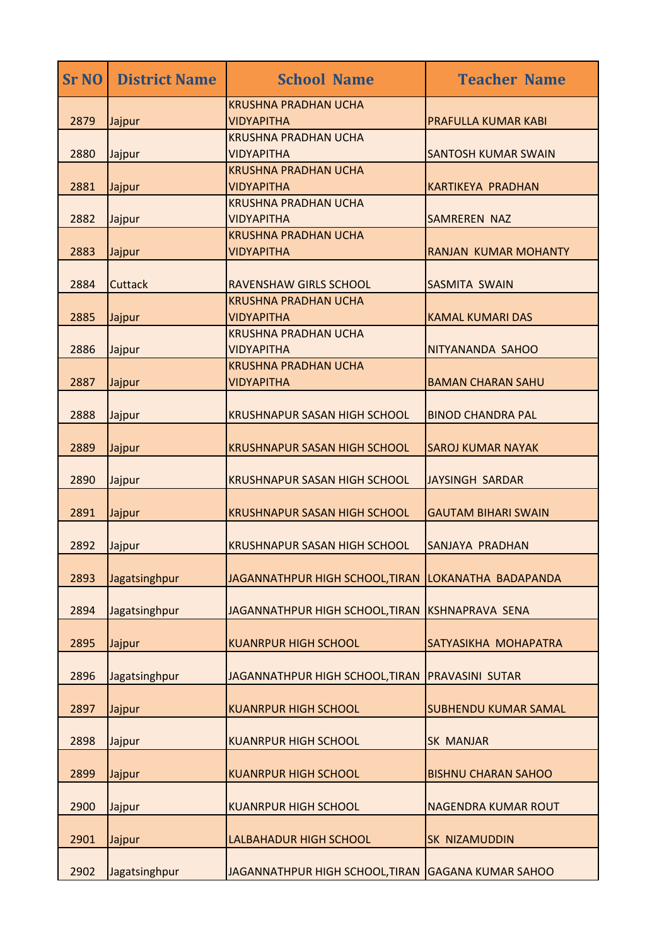| <b>Sr NO</b> | <b>District Name</b> | <b>School Name</b>                                 | <b>Teacher Name</b>         |
|--------------|----------------------|----------------------------------------------------|-----------------------------|
| 2879         | Jajpur               | <b>KRUSHNA PRADHAN UCHA</b><br><b>VIDYAPITHA</b>   | PRAFULLA KUMAR KABI         |
| 2880         | Jajpur               | <b>KRUSHNA PRADHAN UCHA</b><br><b>VIDYAPITHA</b>   | <b>SANTOSH KUMAR SWAIN</b>  |
| 2881         | Jajpur               | <b>KRUSHNA PRADHAN UCHA</b><br><b>VIDYAPITHA</b>   | <b>KARTIKEYA PRADHAN</b>    |
| 2882         | Jajpur               | <b>KRUSHNA PRADHAN UCHA</b><br><b>VIDYAPITHA</b>   | SAMREREN NAZ                |
| 2883         | Jajpur               | <b>KRUSHNA PRADHAN UCHA</b><br><b>VIDYAPITHA</b>   | <b>RANJAN KUMAR MOHANTY</b> |
| 2884         | <b>Cuttack</b>       | <b>RAVENSHAW GIRLS SCHOOL</b>                      | <b>SASMITA SWAIN</b>        |
| 2885         | Jajpur               | <b>KRUSHNA PRADHAN UCHA</b><br><b>VIDYAPITHA</b>   | <b>KAMAL KUMARI DAS</b>     |
| 2886         | Jajpur               | <b>KRUSHNA PRADHAN UCHA</b><br><b>VIDYAPITHA</b>   | NITYANANDA SAHOO            |
| 2887         | Jajpur               | <b>KRUSHNA PRADHAN UCHA</b><br><b>VIDYAPITHA</b>   | <b>BAMAN CHARAN SAHU</b>    |
| 2888         | Jajpur               | <b>KRUSHNAPUR SASAN HIGH SCHOOL</b>                | <b>BINOD CHANDRA PAL</b>    |
| 2889         | Jajpur               | <b>KRUSHNAPUR SASAN HIGH SCHOOL</b>                | <b>SAROJ KUMAR NAYAK</b>    |
| 2890         | Jajpur               | <b>KRUSHNAPUR SASAN HIGH SCHOOL</b>                | JAYSINGH SARDAR             |
| 2891         | Jajpur               | <b>KRUSHNAPUR SASAN HIGH SCHOOL</b>                | <b>GAUTAM BIHARI SWAIN</b>  |
| 2892         | Jajpur               | <b>KRUSHNAPUR SASAN HIGH SCHOOL</b>                | <b>SANJAYA PRADHAN</b>      |
| 2893         | Jagatsinghpur        | JAGANNATHPUR HIGH SCHOOL, TIRAN                    | LOKANATHA BADAPANDA         |
| 2894         | Jagatsinghpur        | JAGANNATHPUR HIGH SCHOOL, TIRAN                    | <b>KSHNAPRAVA SENA</b>      |
| 2895         | Jajpur               | <b>KUANRPUR HIGH SCHOOL</b>                        | SATYASIKHA MOHAPATRA        |
| 2896         | Jagatsinghpur        | JAGANNATHPUR HIGH SCHOOL, TIRAN                    | <b>PRAVASINI SUTAR</b>      |
| 2897         | Jajpur               | <b>KUANRPUR HIGH SCHOOL</b>                        | <b>SUBHENDU KUMAR SAMAL</b> |
| 2898         | Jajpur               | <b>KUANRPUR HIGH SCHOOL</b>                        | <b>SK MANJAR</b>            |
| 2899         | Jajpur               | <b>KUANRPUR HIGH SCHOOL</b>                        | <b>BISHNU CHARAN SAHOO</b>  |
| 2900         | Jajpur               | <b>KUANRPUR HIGH SCHOOL</b>                        | <b>NAGENDRA KUMAR ROUT</b>  |
| 2901         | Jajpur               | <b>LALBAHADUR HIGH SCHOOL</b>                      | SK NIZAMUDDIN               |
| 2902         | Jagatsinghpur        | JAGANNATHPUR HIGH SCHOOL, TIRAN GAGANA KUMAR SAHOO |                             |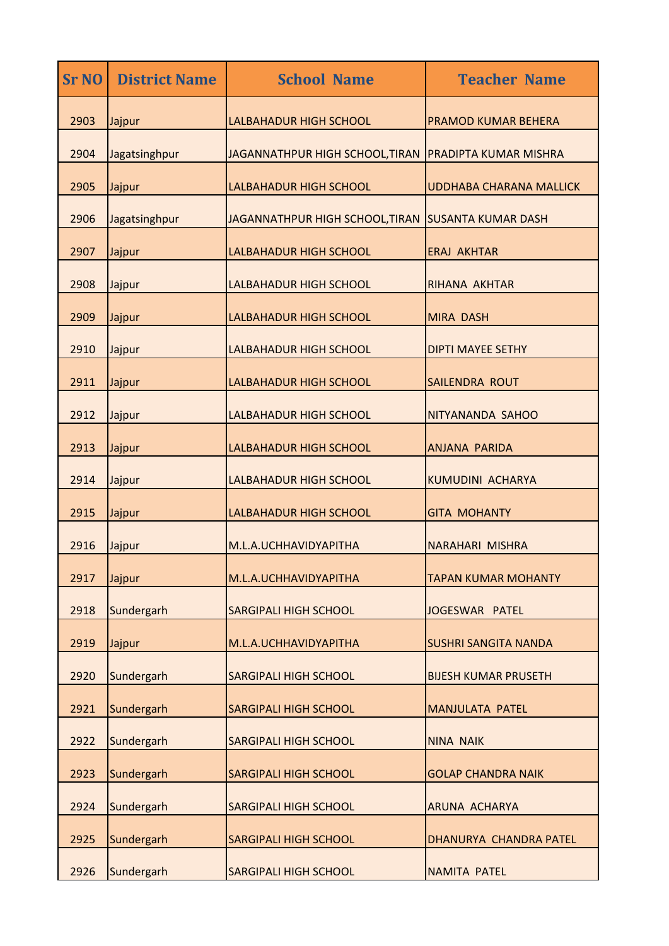| <b>Sr NO</b> | <b>District Name</b> | <b>School Name</b>                                 | <b>Teacher Name</b>            |
|--------------|----------------------|----------------------------------------------------|--------------------------------|
| 2903         | Jajpur               | <b>LALBAHADUR HIGH SCHOOL</b>                      | <b>PRAMOD KUMAR BEHERA</b>     |
| 2904         | Jagatsinghpur        | JAGANNATHPUR HIGH SCHOOL, TIRAN                    | <b>PRADIPTA KUMAR MISHRA</b>   |
| 2905         | Jajpur               | <b>LALBAHADUR HIGH SCHOOL</b>                      | <b>UDDHABA CHARANA MALLICK</b> |
| 2906         | Jagatsinghpur        | JAGANNATHPUR HIGH SCHOOL, TIRAN SUSANTA KUMAR DASH |                                |
| 2907         | Jajpur               | <b>LALBAHADUR HIGH SCHOOL</b>                      | <b>ERAJ AKHTAR</b>             |
| 2908         | Jajpur               | <b>LALBAHADUR HIGH SCHOOL</b>                      | RIHANA AKHTAR                  |
| 2909         | Jajpur               | <b>LALBAHADUR HIGH SCHOOL</b>                      | <b>MIRA DASH</b>               |
| 2910         | Jajpur               | <b>LALBAHADUR HIGH SCHOOL</b>                      | <b>DIPTI MAYEE SETHY</b>       |
| 2911         | Jajpur               | LALBAHADUR HIGH SCHOOL                             | <b>SAILENDRA ROUT</b>          |
| 2912         | Jajpur               | <b>LALBAHADUR HIGH SCHOOL</b>                      | NITYANANDA SAHOO               |
| 2913         | Jajpur               | <b>LALBAHADUR HIGH SCHOOL</b>                      | <b>ANJANA PARIDA</b>           |
| 2914         | Jajpur               | LALBAHADUR HIGH SCHOOL                             | KUMUDINI ACHARYA               |
| 2915         | Jajpur               | <b>LALBAHADUR HIGH SCHOOL</b>                      | <b>GITA MOHANTY</b>            |
| 2916         | Jajpur               | M.L.A.UCHHAVIDYAPITHA                              | <b>NARAHARI MISHRA</b>         |
| 2917         | Jajpur               | M.L.A.UCHHAVIDYAPITHA                              | <b>TAPAN KUMAR MOHANTY</b>     |
| 2918         | Sundergarh           | <b>SARGIPALI HIGH SCHOOL</b>                       | JOGESWAR PATEL                 |
| 2919         | Jajpur               | M.L.A.UCHHAVIDYAPITHA                              | <b>SUSHRI SANGITA NANDA</b>    |
| 2920         | Sundergarh           | <b>SARGIPALI HIGH SCHOOL</b>                       | <b>BIJESH KUMAR PRUSETH</b>    |
| 2921         | Sundergarh           | <b>SARGIPALI HIGH SCHOOL</b>                       | <b>MANJULATA PATEL</b>         |
| 2922         | Sundergarh           | <b>SARGIPALI HIGH SCHOOL</b>                       | <b>NINA NAIK</b>               |
| 2923         | Sundergarh           | <b>SARGIPALI HIGH SCHOOL</b>                       | <b>GOLAP CHANDRA NAIK</b>      |
| 2924         | Sundergarh           | <b>SARGIPALI HIGH SCHOOL</b>                       | ARUNA ACHARYA                  |
| 2925         | Sundergarh           | <b>SARGIPALI HIGH SCHOOL</b>                       | DHANURYA CHANDRA PATEL         |
| 2926         | Sundergarh           | <b>SARGIPALI HIGH SCHOOL</b>                       | <b>NAMITA PATEL</b>            |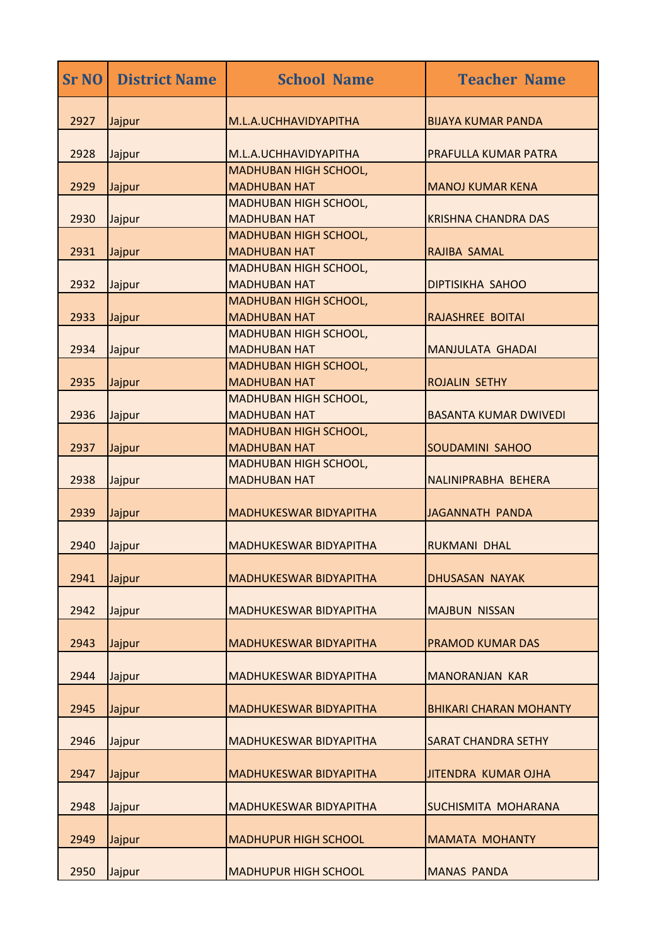| <b>Sr NO</b> | <b>District Name</b> | <b>School Name</b>                                  | <b>Teacher Name</b>           |
|--------------|----------------------|-----------------------------------------------------|-------------------------------|
| 2927         | Jajpur               | M.L.A.UCHHAVIDYAPITHA                               | <b>BIJAYA KUMAR PANDA</b>     |
| 2928         | Jajpur               | M.L.A.UCHHAVIDYAPITHA                               | PRAFULLA KUMAR PATRA          |
|              |                      | <b>MADHUBAN HIGH SCHOOL,</b>                        |                               |
| 2929         | Jajpur               | <b>MADHUBAN HAT</b>                                 | <b>MANOJ KUMAR KENA</b>       |
|              |                      | <b>MADHUBAN HIGH SCHOOL,</b>                        |                               |
| 2930         | Jajpur               | <b>MADHUBAN HAT</b>                                 | <b>KRISHNA CHANDRA DAS</b>    |
|              |                      | <b>MADHUBAN HIGH SCHOOL,</b>                        |                               |
| 2931         | Jajpur               | <b>MADHUBAN HAT</b>                                 | RAJIBA SAMAL                  |
|              |                      | <b>MADHUBAN HIGH SCHOOL,</b>                        |                               |
| 2932         | Jajpur               | <b>MADHUBAN HAT</b>                                 | <b>DIPTISIKHA SAHOO</b>       |
| 2933         |                      | <b>MADHUBAN HIGH SCHOOL,</b><br><b>MADHUBAN HAT</b> | <b>RAJASHREE BOITAI</b>       |
|              | Jajpur               | <b>MADHUBAN HIGH SCHOOL,</b>                        |                               |
| 2934         | Jajpur               | <b>MADHUBAN HAT</b>                                 | <b>MANJULATA GHADAI</b>       |
|              |                      | <b>MADHUBAN HIGH SCHOOL,</b>                        |                               |
| 2935         | Jajpur               | <b>MADHUBAN HAT</b>                                 | <b>ROJALIN SETHY</b>          |
|              |                      | <b>MADHUBAN HIGH SCHOOL,</b>                        |                               |
| 2936         | Jajpur               | <b>MADHUBAN HAT</b>                                 | <b>BASANTA KUMAR DWIVEDI</b>  |
|              |                      | <b>MADHUBAN HIGH SCHOOL,</b>                        |                               |
| 2937         | Jajpur               | <b>MADHUBAN HAT</b>                                 | <b>SOUDAMINI SAHOO</b>        |
|              |                      | <b>MADHUBAN HIGH SCHOOL,</b>                        |                               |
| 2938         | Jajpur               | <b>MADHUBAN HAT</b>                                 | NALINIPRABHA BEHERA           |
| 2939         |                      | <b>MADHUKESWAR BIDYAPITHA</b>                       | <b>JAGANNATH PANDA</b>        |
|              | Jajpur               |                                                     |                               |
| 2940         | Jajpur               | <b>MADHUKESWAR BIDYAPITHA</b>                       | <b>RUKMANI DHAL</b>           |
|              |                      |                                                     |                               |
| 2941         | Jajpur               | <b>MADHUKESWAR BIDYAPITHA</b>                       | <b>DHUSASAN NAYAK</b>         |
|              |                      |                                                     |                               |
| 2942         | Jajpur               | <b>MADHUKESWAR BIDYAPITHA</b>                       | <b>MAJBUN NISSAN</b>          |
|              |                      |                                                     |                               |
| 2943         | Jajpur               | <b>MADHUKESWAR BIDYAPITHA</b>                       | <b>PRAMOD KUMAR DAS</b>       |
| 2944         |                      | <b>MADHUKESWAR BIDYAPITHA</b>                       | <b>MANORANJAN KAR</b>         |
|              | Jajpur               |                                                     |                               |
| 2945         | Jajpur               | <b>MADHUKESWAR BIDYAPITHA</b>                       | <b>BHIKARI CHARAN MOHANTY</b> |
|              |                      |                                                     |                               |
| 2946         | Jajpur               | <b>MADHUKESWAR BIDYAPITHA</b>                       | <b>SARAT CHANDRA SETHY</b>    |
| 2947         | Jajpur               | <b>MADHUKESWAR BIDYAPITHA</b>                       | <b>JITENDRA KUMAR OJHA</b>    |
|              |                      |                                                     |                               |
| 2948         | Jajpur               | <b>MADHUKESWAR BIDYAPITHA</b>                       | SUCHISMITA MOHARANA           |
| 2949         | Jajpur               | <b>MADHUPUR HIGH SCHOOL</b>                         | <b>MAMATA MOHANTY</b>         |
|              |                      |                                                     |                               |
| 2950         | Jajpur               | <b>MADHUPUR HIGH SCHOOL</b>                         | <b>MANAS PANDA</b>            |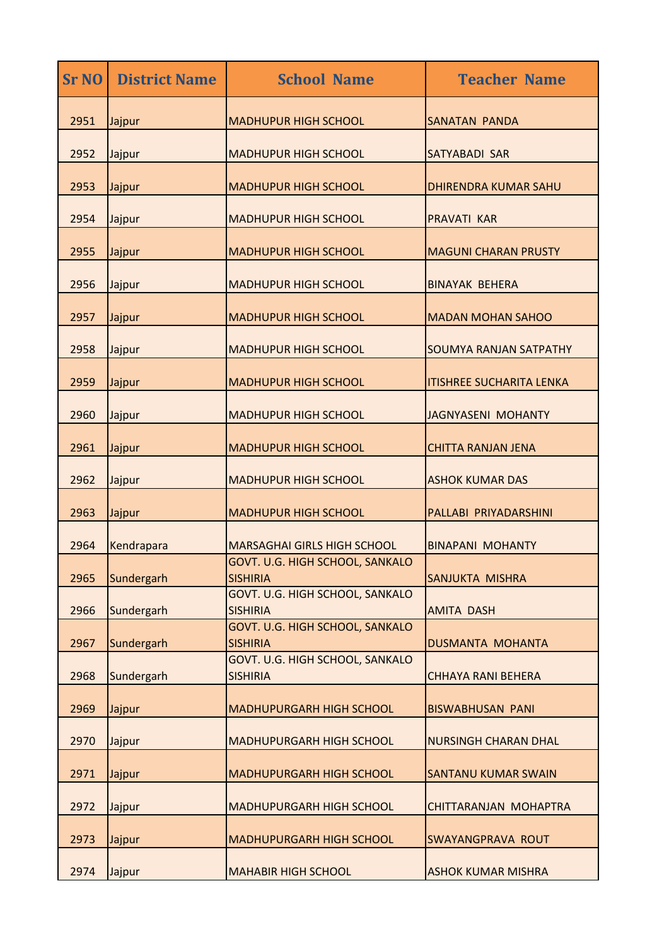| <b>Sr NO</b> | <b>District Name</b> | <b>School Name</b>                                        | <b>Teacher Name</b>             |
|--------------|----------------------|-----------------------------------------------------------|---------------------------------|
| 2951         | Jajpur               | <b>MADHUPUR HIGH SCHOOL</b>                               | <b>SANATAN PANDA</b>            |
| 2952         | Jajpur               | <b>MADHUPUR HIGH SCHOOL</b>                               | SATYABADI SAR                   |
| 2953         | Jajpur               | <b>MADHUPUR HIGH SCHOOL</b>                               | <b>DHIRENDRA KUMAR SAHU</b>     |
| 2954         | Jajpur               | <b>MADHUPUR HIGH SCHOOL</b>                               | <b>PRAVATI KAR</b>              |
| 2955         | Jajpur               | <b>MADHUPUR HIGH SCHOOL</b>                               | <b>MAGUNI CHARAN PRUSTY</b>     |
| 2956         | Jajpur               | <b>MADHUPUR HIGH SCHOOL</b>                               | <b>BINAYAK BEHERA</b>           |
| 2957         | Jajpur               | <b>MADHUPUR HIGH SCHOOL</b>                               | <b>MADAN MOHAN SAHOO</b>        |
| 2958         | Jajpur               | <b>MADHUPUR HIGH SCHOOL</b>                               | <b>SOUMYA RANJAN SATPATHY</b>   |
| 2959         | Jajpur               | <b>MADHUPUR HIGH SCHOOL</b>                               | <b>ITISHREE SUCHARITA LENKA</b> |
| 2960         | Jajpur               | <b>MADHUPUR HIGH SCHOOL</b>                               | JAGNYASENI MOHANTY              |
| 2961         | Jajpur               | <b>MADHUPUR HIGH SCHOOL</b>                               | <b>CHITTA RANJAN JENA</b>       |
| 2962         | Jajpur               | <b>MADHUPUR HIGH SCHOOL</b>                               | <b>ASHOK KUMAR DAS</b>          |
| 2963         | Jajpur               | <b>MADHUPUR HIGH SCHOOL</b>                               | PALLABI PRIYADARSHINI           |
| 2964         | Kendrapara           | <b>MARSAGHAI GIRLS HIGH SCHOOL</b>                        | <b>BINAPANI MOHANTY</b>         |
| 2965         | Sundergarh           | <b>GOVT. U.G. HIGH SCHOOL, SANKALO</b><br><b>SISHIRIA</b> | <b>SANJUKTA MISHRA</b>          |
| 2966         | Sundergarh           | GOVT. U.G. HIGH SCHOOL, SANKALO<br><b>SISHIRIA</b>        | <b>AMITA DASH</b>               |
| 2967         | Sundergarh           | GOVT. U.G. HIGH SCHOOL, SANKALO<br><b>SISHIRIA</b>        | <b>DUSMANTA MOHANTA</b>         |
| 2968         | Sundergarh           | GOVT. U.G. HIGH SCHOOL, SANKALO<br><b>SISHIRIA</b>        | <b>CHHAYA RANI BEHERA</b>       |
| 2969         | Jajpur               | MADHUPURGARH HIGH SCHOOL                                  | <b>BISWABHUSAN PANI</b>         |
| 2970         | Jajpur               | <b>MADHUPURGARH HIGH SCHOOL</b>                           | <b>NURSINGH CHARAN DHAL</b>     |
| 2971         | Jajpur               | MADHUPURGARH HIGH SCHOOL                                  | <b>SANTANU KUMAR SWAIN</b>      |
| 2972         | Jajpur               | <b>MADHUPURGARH HIGH SCHOOL</b>                           | CHITTARANJAN MOHAPTRA           |
| 2973         | Jajpur               | MADHUPURGARH HIGH SCHOOL                                  | <b>SWAYANGPRAVA ROUT</b>        |
| 2974         | Jajpur               | <b>MAHABIR HIGH SCHOOL</b>                                | <b>ASHOK KUMAR MISHRA</b>       |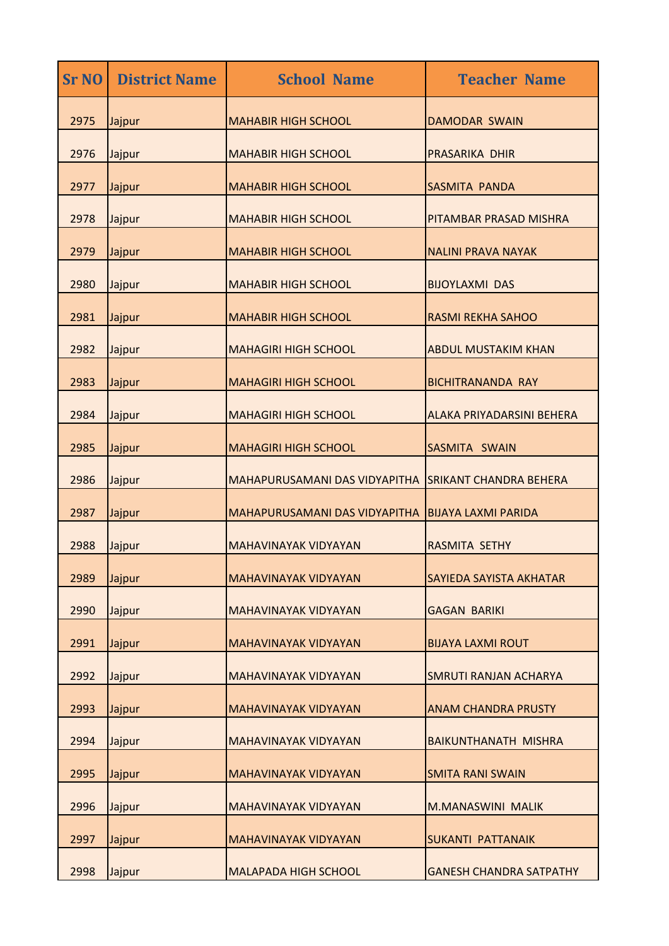| <b>Sr NO</b> | <b>District Name</b> | <b>School Name</b>            | <b>Teacher Name</b>              |
|--------------|----------------------|-------------------------------|----------------------------------|
| 2975         | Jajpur               | <b>MAHABIR HIGH SCHOOL</b>    | <b>DAMODAR SWAIN</b>             |
| 2976         | Jajpur               | <b>MAHABIR HIGH SCHOOL</b>    | PRASARIKA DHIR                   |
| 2977         | Jajpur               | <b>MAHABIR HIGH SCHOOL</b>    | SASMITA PANDA                    |
| 2978         | Jajpur               | <b>MAHABIR HIGH SCHOOL</b>    | PITAMBAR PRASAD MISHRA           |
| 2979         | Jajpur               | <b>MAHABIR HIGH SCHOOL</b>    | <b>NALINI PRAVA NAYAK</b>        |
| 2980         | Jajpur               | <b>MAHABIR HIGH SCHOOL</b>    | <b>BIJOYLAXMI DAS</b>            |
| 2981         | Jajpur               | <b>MAHABIR HIGH SCHOOL</b>    | <b>RASMI REKHA SAHOO</b>         |
| 2982         | Jajpur               | <b>MAHAGIRI HIGH SCHOOL</b>   | <b>ABDUL MUSTAKIM KHAN</b>       |
| 2983         | Jajpur               | <b>MAHAGIRI HIGH SCHOOL</b>   | <b>BICHITRANANDA RAY</b>         |
| 2984         | Jajpur               | <b>MAHAGIRI HIGH SCHOOL</b>   | <b>ALAKA PRIYADARSINI BEHERA</b> |
| 2985         | Jajpur               | <b>MAHAGIRI HIGH SCHOOL</b>   | SASMITA SWAIN                    |
| 2986         | Jajpur               | MAHAPURUSAMANI DAS VIDYAPITHA | <b>SRIKANT CHANDRA BEHERA</b>    |
| 2987         | Jajpur               | MAHAPURUSAMANI DAS VIDYAPITHA | <b>BIJAYA LAXMI PARIDA</b>       |
| 2988         | Jajpur               | MAHAVINAYAK VIDYAYAN          | <b>RASMITA SETHY</b>             |
| 2989         | Jajpur               | <b>MAHAVINAYAK VIDYAYAN</b>   | SAYIEDA SAYISTA AKHATAR          |
| 2990         | Jajpur               | MAHAVINAYAK VIDYAYAN          | <b>GAGAN BARIKI</b>              |
| 2991         | Jajpur               | MAHAVINAYAK VIDYAYAN          | <b>BIJAYA LAXMI ROUT</b>         |
| 2992         | Jajpur               | <b>MAHAVINAYAK VIDYAYAN</b>   | SMRUTI RANJAN ACHARYA            |
| 2993         | Jajpur               | <b>MAHAVINAYAK VIDYAYAN</b>   | <b>ANAM CHANDRA PRUSTY</b>       |
| 2994         | Jajpur               | <b>MAHAVINAYAK VIDYAYAN</b>   | <b>BAIKUNTHANATH MISHRA</b>      |
| 2995         | Jajpur               | <b>MAHAVINAYAK VIDYAYAN</b>   | <b>SMITA RANI SWAIN</b>          |
| 2996         | Jajpur               | MAHAVINAYAK VIDYAYAN          | <b>M.MANASWINI MALIK</b>         |
| 2997         | Jajpur               | <b>MAHAVINAYAK VIDYAYAN</b>   | <b>SUKANTI PATTANAIK</b>         |
| 2998         | Jajpur               | <b>MALAPADA HIGH SCHOOL</b>   | <b>GANESH CHANDRA SATPATHY</b>   |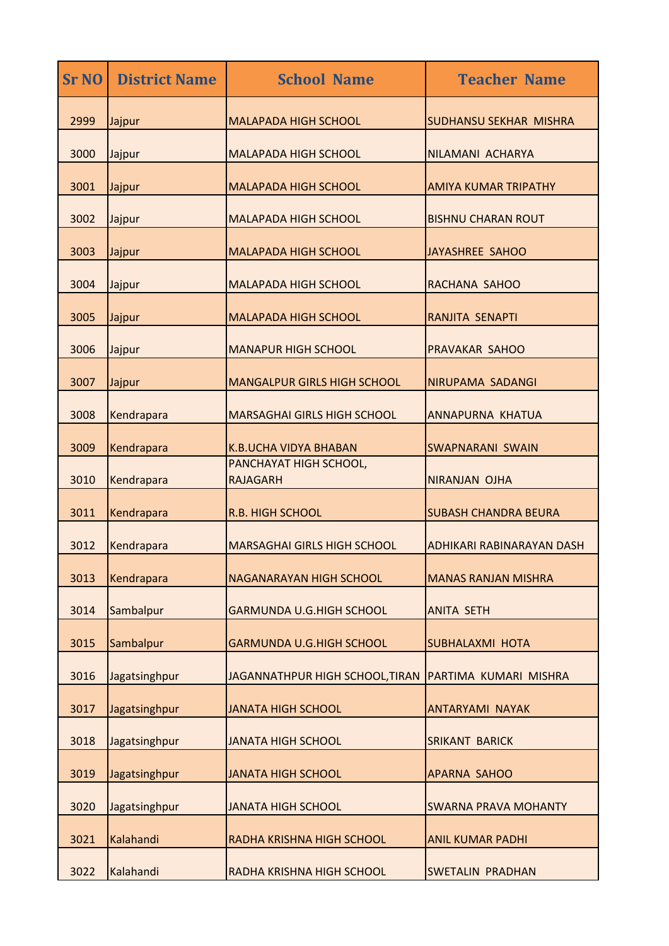| <b>Sr NO</b> | <b>District Name</b> | <b>School Name</b>                        | <b>Teacher Name</b>           |
|--------------|----------------------|-------------------------------------------|-------------------------------|
| 2999         | Jajpur               | <b>MALAPADA HIGH SCHOOL</b>               | <b>SUDHANSU SEKHAR MISHRA</b> |
| 3000         | Jajpur               | <b>MALAPADA HIGH SCHOOL</b>               | NILAMANI ACHARYA              |
| 3001         | Jajpur               | <b>MALAPADA HIGH SCHOOL</b>               | <b>AMIYA KUMAR TRIPATHY</b>   |
| 3002         | Jajpur               | <b>MALAPADA HIGH SCHOOL</b>               | <b>BISHNU CHARAN ROUT</b>     |
| 3003         | Jajpur               | <b>MALAPADA HIGH SCHOOL</b>               | JAYASHREE SAHOO               |
| 3004         | Jajpur               | <b>MALAPADA HIGH SCHOOL</b>               | RACHANA SAHOO                 |
| 3005         | Jajpur               | <b>MALAPADA HIGH SCHOOL</b>               | RANJITA SENAPTI               |
| 3006         | Jajpur               | <b>MANAPUR HIGH SCHOOL</b>                | <b>PRAVAKAR SAHOO</b>         |
| 3007         | Jajpur               | <b>MANGALPUR GIRLS HIGH SCHOOL</b>        | NIRUPAMA SADANGI              |
| 3008         | Kendrapara           | <b>MARSAGHAI GIRLS HIGH SCHOOL</b>        | <b>ANNAPURNA KHATUA</b>       |
| 3009         | Kendrapara           | <b>K.B.UCHA VIDYA BHABAN</b>              | <b>SWAPNARANI SWAIN</b>       |
| 3010         | Kendrapara           | PANCHAYAT HIGH SCHOOL,<br><b>RAJAGARH</b> | <b>NIRANJAN OJHA</b>          |
| 3011         | Kendrapara           | <b>R.B. HIGH SCHOOL</b>                   | <b>SUBASH CHANDRA BEURA</b>   |
| 3012         | Kendrapara           | <b>MARSAGHAI GIRLS HIGH SCHOOL</b>        | ADHIKARI RABINARAYAN DASH     |
| 3013         | Kendrapara           | <b>NAGANARAYAN HIGH SCHOOL</b>            | <b>MANAS RANJAN MISHRA</b>    |
| 3014         | Sambalpur            | <b>GARMUNDA U.G.HIGH SCHOOL</b>           | <b>ANITA SETH</b>             |
| 3015         | Sambalpur            | <b>GARMUNDA U.G.HIGH SCHOOL</b>           | <b>SUBHALAXMI HOTA</b>        |
| 3016         | Jagatsinghpur        | JAGANNATHPUR HIGH SCHOOL, TIRAN           | PARTIMA KUMARI MISHRA         |
| 3017         | Jagatsinghpur        | <b>JANATA HIGH SCHOOL</b>                 | <b>ANTARYAMI NAYAK</b>        |
| 3018         | Jagatsinghpur        | <b>JANATA HIGH SCHOOL</b>                 | <b>SRIKANT BARICK</b>         |
| 3019         | Jagatsinghpur        | <b>JANATA HIGH SCHOOL</b>                 | APARNA SAHOO                  |
| 3020         | Jagatsinghpur        | <b>JANATA HIGH SCHOOL</b>                 | <b>SWARNA PRAVA MOHANTY</b>   |
| 3021         | Kalahandi            | RADHA KRISHNA HIGH SCHOOL                 | <b>ANIL KUMAR PADHI</b>       |
| 3022         | Kalahandi            | RADHA KRISHNA HIGH SCHOOL                 | <b>SWETALIN PRADHAN</b>       |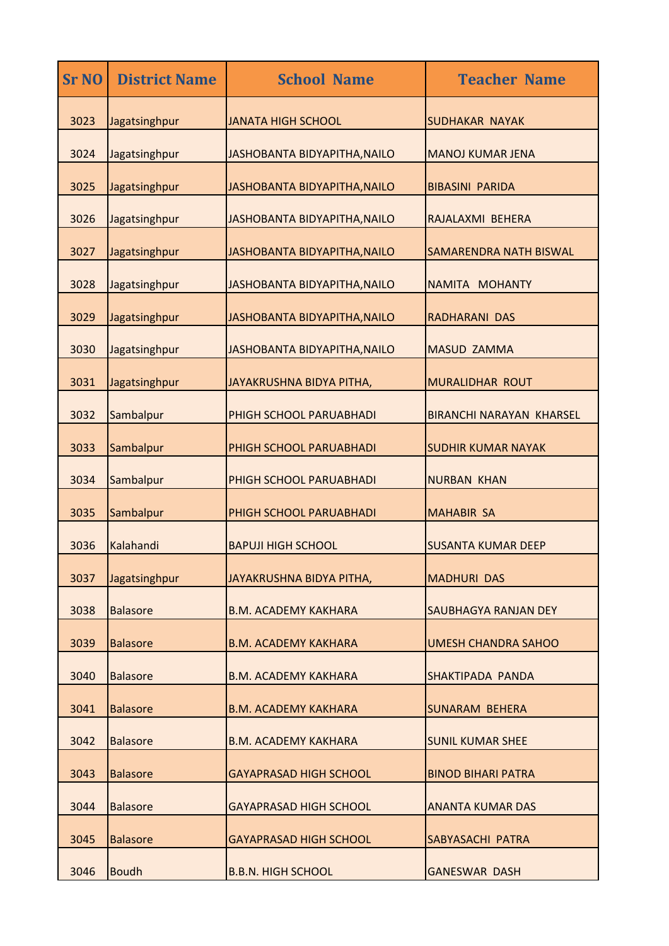| <b>Sr NO</b> | <b>District Name</b> | <b>School Name</b>            | <b>Teacher Name</b>             |
|--------------|----------------------|-------------------------------|---------------------------------|
| 3023         | Jagatsinghpur        | <b>JANATA HIGH SCHOOL</b>     | <b>SUDHAKAR NAYAK</b>           |
| 3024         | Jagatsinghpur        | JASHOBANTA BIDYAPITHA, NAILO  | <b>MANOJ KUMAR JENA</b>         |
| 3025         | Jagatsinghpur        | JASHOBANTA BIDYAPITHA, NAILO  | <b>BIBASINI PARIDA</b>          |
| 3026         | Jagatsinghpur        | JASHOBANTA BIDYAPITHA, NAILO  | RAJALAXMI BEHERA                |
| 3027         | Jagatsinghpur        | JASHOBANTA BIDYAPITHA, NAILO  | SAMARENDRA NATH BISWAL          |
| 3028         | Jagatsinghpur        | JASHOBANTA BIDYAPITHA, NAILO  | NAMITA MOHANTY                  |
| 3029         | Jagatsinghpur        | JASHOBANTA BIDYAPITHA, NAILO  | <b>RADHARANI DAS</b>            |
| 3030         | Jagatsinghpur        | JASHOBANTA BIDYAPITHA, NAILO  | <b>MASUD ZAMMA</b>              |
| 3031         | Jagatsinghpur        | JAYAKRUSHNA BIDYA PITHA,      | <b>MURALIDHAR ROUT</b>          |
| 3032         | Sambalpur            | PHIGH SCHOOL PARUABHADI       | <b>BIRANCHI NARAYAN KHARSEL</b> |
| 3033         | Sambalpur            | PHIGH SCHOOL PARUABHADI       | <b>SUDHIR KUMAR NAYAK</b>       |
| 3034         | Sambalpur            | PHIGH SCHOOL PARUABHADI       | <b>NURBAN KHAN</b>              |
| 3035         | Sambalpur            | PHIGH SCHOOL PARUABHADI       | <b>MAHABIR SA</b>               |
| 3036         | Kalahandi            | <b>BAPUJI HIGH SCHOOL</b>     | <b>SUSANTA KUMAR DEEP</b>       |
| 3037         | Jagatsinghpur        | JAYAKRUSHNA BIDYA PITHA,      | <b>MADHURI DAS</b>              |
| 3038         | <b>Balasore</b>      | <b>B.M. ACADEMY KAKHARA</b>   | SAUBHAGYA RANJAN DEY            |
| 3039         | <b>Balasore</b>      | <b>B.M. ACADEMY KAKHARA</b>   | <b>UMESH CHANDRA SAHOO</b>      |
| 3040         | <b>Balasore</b>      | <b>B.M. ACADEMY KAKHARA</b>   | SHAKTIPADA PANDA                |
| 3041         | <b>Balasore</b>      | <b>B.M. ACADEMY KAKHARA</b>   | <b>SUNARAM BEHERA</b>           |
| 3042         | <b>Balasore</b>      | <b>B.M. ACADEMY KAKHARA</b>   | <b>SUNIL KUMAR SHEE</b>         |
| 3043         | <b>Balasore</b>      | <b>GAYAPRASAD HIGH SCHOOL</b> | <b>BINOD BIHARI PATRA</b>       |
| 3044         | <b>Balasore</b>      | <b>GAYAPRASAD HIGH SCHOOL</b> | <b>ANANTA KUMAR DAS</b>         |
| 3045         | <b>Balasore</b>      | <b>GAYAPRASAD HIGH SCHOOL</b> | <b>SABYASACHI PATRA</b>         |
| 3046         | <b>Boudh</b>         | <b>B.B.N. HIGH SCHOOL</b>     | <b>GANESWAR DASH</b>            |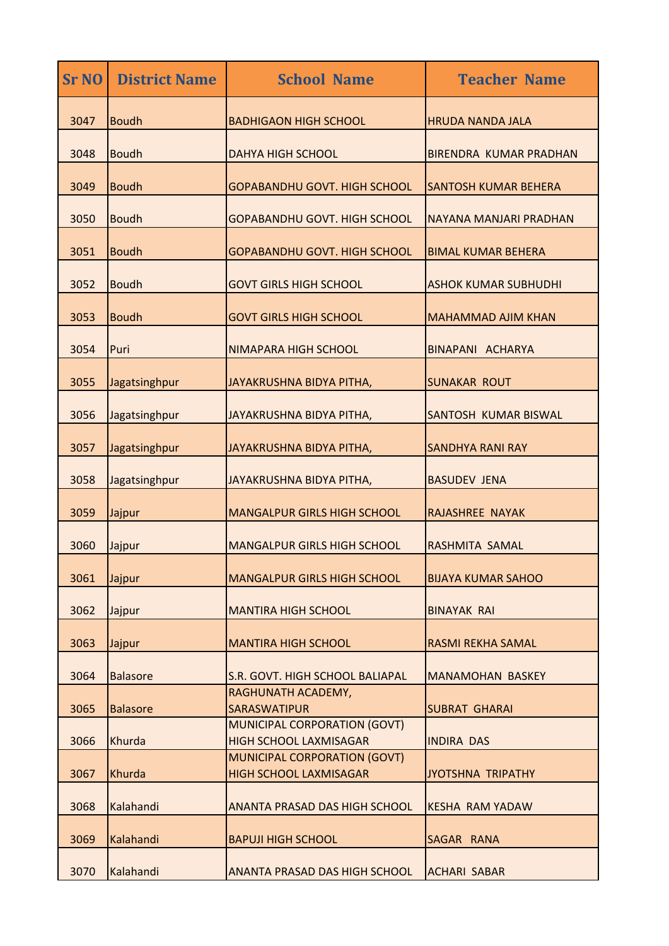| <b>Sr NO</b> | <b>District Name</b> | <b>School Name</b>                                            | <b>Teacher Name</b>           |
|--------------|----------------------|---------------------------------------------------------------|-------------------------------|
| 3047         | <b>Boudh</b>         | <b>BADHIGAON HIGH SCHOOL</b>                                  | <b>HRUDA NANDA JALA</b>       |
| 3048         | <b>Boudh</b>         | <b>DAHYA HIGH SCHOOL</b>                                      | <b>BIRENDRA KUMAR PRADHAN</b> |
| 3049         | <b>Boudh</b>         | <b>GOPABANDHU GOVT. HIGH SCHOOL</b>                           | <b>SANTOSH KUMAR BEHERA</b>   |
| 3050         | <b>Boudh</b>         | <b>GOPABANDHU GOVT. HIGH SCHOOL</b>                           | INAYANA MANJARI PRADHAN       |
| 3051         | <b>Boudh</b>         | <b>GOPABANDHU GOVT. HIGH SCHOOL</b>                           | <b>BIMAL KUMAR BEHERA</b>     |
| 3052         | <b>Boudh</b>         | <b>GOVT GIRLS HIGH SCHOOL</b>                                 | <b>ASHOK KUMAR SUBHUDHI</b>   |
| 3053         | <b>Boudh</b>         | <b>GOVT GIRLS HIGH SCHOOL</b>                                 | <b>MAHAMMAD AJIM KHAN</b>     |
| 3054         | Puri                 | NIMAPARA HIGH SCHOOL                                          | BINAPANI ACHARYA              |
| 3055         | Jagatsinghpur        | JAYAKRUSHNA BIDYA PITHA,                                      | <b>SUNAKAR ROUT</b>           |
| 3056         | Jagatsinghpur        | JAYAKRUSHNA BIDYA PITHA,                                      | <b>SANTOSH KUMAR BISWAL</b>   |
| 3057         | Jagatsinghpur        | JAYAKRUSHNA BIDYA PITHA,                                      | <b>SANDHYA RANI RAY</b>       |
| 3058         | Jagatsinghpur        | JAYAKRUSHNA BIDYA PITHA,                                      | <b>BASUDEV JENA</b>           |
| 3059         | Jajpur               | <b>MANGALPUR GIRLS HIGH SCHOOL</b>                            | <b>RAJASHREE NAYAK</b>        |
| 3060         | Jajpur               | <b>MANGALPUR GIRLS HIGH SCHOOL</b>                            | <b>RASHMITA SAMAL</b>         |
| 3061         | Jajpur               | <b>MANGALPUR GIRLS HIGH SCHOOL</b>                            | <b>BIJAYA KUMAR SAHOO</b>     |
| 3062         | Jajpur               | <b>MANTIRA HIGH SCHOOL</b>                                    | <b>BINAYAK RAI</b>            |
| 3063         | Jajpur               | <b>MANTIRA HIGH SCHOOL</b>                                    | RASMI REKHA SAMAL             |
| 3064         | <b>Balasore</b>      | S.R. GOVT. HIGH SCHOOL BALIAPAL                               | <b>MANAMOHAN BASKEY</b>       |
| 3065         | <b>Balasore</b>      | RAGHUNATH ACADEMY,<br>SARASWATIPUR                            | <b>SUBRAT GHARAI</b>          |
| 3066         | Khurda               | MUNICIPAL CORPORATION (GOVT)<br><b>HIGH SCHOOL LAXMISAGAR</b> | <b>INDIRA DAS</b>             |
| 3067         | Khurda               | MUNICIPAL CORPORATION (GOVT)<br>HIGH SCHOOL LAXMISAGAR        | JYOTSHNA TRIPATHY             |
| 3068         | Kalahandi            | ANANTA PRASAD DAS HIGH SCHOOL                                 | <b>KESHA RAM YADAW</b>        |
| 3069         | Kalahandi            | <b>BAPUJI HIGH SCHOOL</b>                                     | SAGAR RANA                    |
| 3070         | Kalahandi            | ANANTA PRASAD DAS HIGH SCHOOL                                 | <b>ACHARI SABAR</b>           |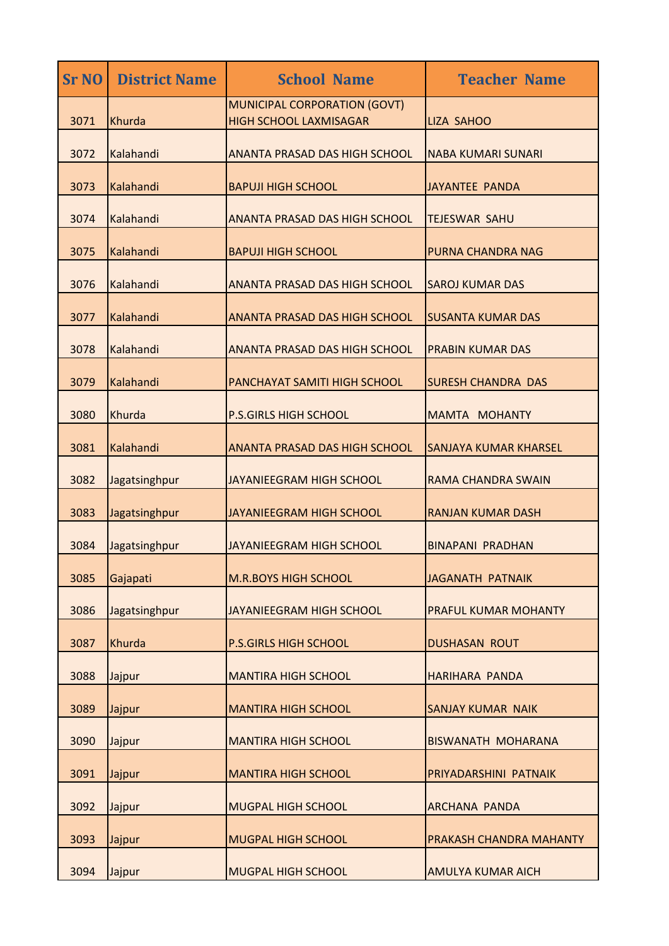| <b>Sr NO</b> | <b>District Name</b> | <b>School Name</b>                                            | <b>Teacher Name</b>            |
|--------------|----------------------|---------------------------------------------------------------|--------------------------------|
| 3071         | Khurda               | MUNICIPAL CORPORATION (GOVT)<br><b>HIGH SCHOOL LAXMISAGAR</b> | LIZA SAHOO                     |
| 3072         | Kalahandi            | <b>ANANTA PRASAD DAS HIGH SCHOOL</b>                          | <b>NABA KUMARI SUNARI</b>      |
| 3073         | Kalahandi            | <b>BAPUJI HIGH SCHOOL</b>                                     | <b>JAYANTEE PANDA</b>          |
| 3074         | Kalahandi            | <b>ANANTA PRASAD DAS HIGH SCHOOL</b>                          | <b>TEJESWAR SAHU</b>           |
| 3075         | Kalahandi            | <b>BAPUJI HIGH SCHOOL</b>                                     | PURNA CHANDRA NAG              |
| 3076         | Kalahandi            | <b>ANANTA PRASAD DAS HIGH SCHOOL</b>                          | <b>SAROJ KUMAR DAS</b>         |
| 3077         | Kalahandi            | <b>ANANTA PRASAD DAS HIGH SCHOOL</b>                          | <b>SUSANTA KUMAR DAS</b>       |
| 3078         | Kalahandi            | <b>ANANTA PRASAD DAS HIGH SCHOOL</b>                          | <b>PRABIN KUMAR DAS</b>        |
| 3079         | Kalahandi            | PANCHAYAT SAMITI HIGH SCHOOL                                  | <b>SURESH CHANDRA DAS</b>      |
| 3080         | Khurda               | <b>P.S.GIRLS HIGH SCHOOL</b>                                  | <b>MAMTA MOHANTY</b>           |
| 3081         | Kalahandi            | <b>ANANTA PRASAD DAS HIGH SCHOOL</b>                          | <b>SANJAYA KUMAR KHARSEL</b>   |
| 3082         | Jagatsinghpur        | JAYANIEEGRAM HIGH SCHOOL                                      | RAMA CHANDRA SWAIN             |
| 3083         | Jagatsinghpur        | JAYANIEEGRAM HIGH SCHOOL                                      | <b>RANJAN KUMAR DASH</b>       |
| 3084         | Jagatsinghpur        | JAYANIEEGRAM HIGH SCHOOL                                      | <b>BINAPANI PRADHAN</b>        |
| 3085         | Gajapati             | <b>M.R.BOYS HIGH SCHOOL</b>                                   | <b>JAGANATH PATNAIK</b>        |
| 3086         | Jagatsinghpur        | JAYANIEEGRAM HIGH SCHOOL                                      | <b>PRAFUL KUMAR MOHANTY</b>    |
| 3087         | Khurda               | <b>P.S.GIRLS HIGH SCHOOL</b>                                  | <b>DUSHASAN ROUT</b>           |
| 3088         | Jajpur               | <b>MANTIRA HIGH SCHOOL</b>                                    | <b>HARIHARA PANDA</b>          |
| 3089         | Jajpur               | <b>MANTIRA HIGH SCHOOL</b>                                    | <b>SANJAY KUMAR NAIK</b>       |
| 3090         | Jajpur               | <b>MANTIRA HIGH SCHOOL</b>                                    | <b>BISWANATH MOHARANA</b>      |
| 3091         | Jajpur               | <b>MANTIRA HIGH SCHOOL</b>                                    | PRIYADARSHINI PATNAIK          |
| 3092         | Jajpur               | <b>MUGPAL HIGH SCHOOL</b>                                     | <b>ARCHANA PANDA</b>           |
| 3093         | Jajpur               | <b>MUGPAL HIGH SCHOOL</b>                                     | <b>PRAKASH CHANDRA MAHANTY</b> |
| 3094         | Jajpur               | <b>MUGPAL HIGH SCHOOL</b>                                     | <b>AMULYA KUMAR AICH</b>       |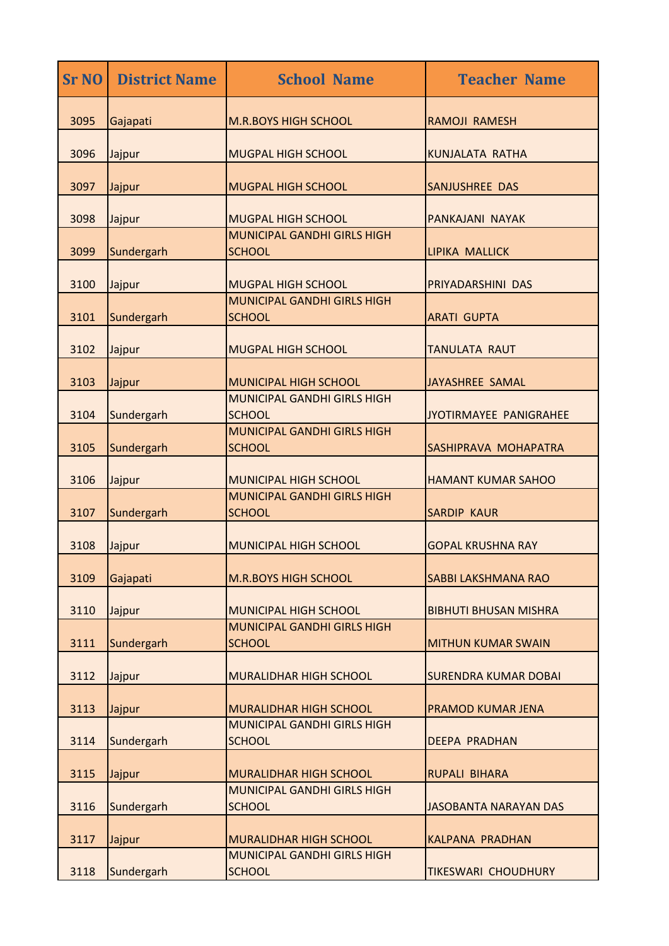| <b>Sr NO</b> | <b>District Name</b> | <b>School Name</b>                                  | <b>Teacher Name</b>          |
|--------------|----------------------|-----------------------------------------------------|------------------------------|
| 3095         | Gajapati             | <b>M.R.BOYS HIGH SCHOOL</b>                         | RAMOJI RAMESH                |
| 3096         | Jajpur               | <b>MUGPAL HIGH SCHOOL</b>                           | <b>KUNJALATA RATHA</b>       |
| 3097         | Jajpur               | <b>MUGPAL HIGH SCHOOL</b>                           | <b>SANJUSHREE DAS</b>        |
| 3098         | Jajpur               | <b>MUGPAL HIGH SCHOOL</b>                           | PANKAJANI NAYAK              |
| 3099         | Sundergarh           | <b>MUNICIPAL GANDHI GIRLS HIGH</b><br><b>SCHOOL</b> | LIPIKA MALLICK               |
| 3100         | Jajpur               | <b>MUGPAL HIGH SCHOOL</b>                           | PRIYADARSHINI DAS            |
| 3101         | Sundergarh           | MUNICIPAL GANDHI GIRLS HIGH<br><b>SCHOOL</b>        | <b>ARATI GUPTA</b>           |
| 3102         | Jajpur               | <b>MUGPAL HIGH SCHOOL</b>                           | <b>TANULATA RAUT</b>         |
| 3103         | Jajpur               | <b>MUNICIPAL HIGH SCHOOL</b>                        | JAYASHREE SAMAL              |
| 3104         | Sundergarh           | <b>MUNICIPAL GANDHI GIRLS HIGH</b><br><b>SCHOOL</b> | JYOTIRMAYEE PANIGRAHEE       |
| 3105         | Sundergarh           | <b>MUNICIPAL GANDHI GIRLS HIGH</b><br><b>SCHOOL</b> | SASHIPRAVA MOHAPATRA         |
| 3106         | Jajpur               | <b>MUNICIPAL HIGH SCHOOL</b>                        | <b>HAMANT KUMAR SAHOO</b>    |
| 3107         | Sundergarh           | <b>MUNICIPAL GANDHI GIRLS HIGH</b><br><b>SCHOOL</b> | <b>SARDIP KAUR</b>           |
| 3108         | Jajpur               | <b>MUNICIPAL HIGH SCHOOL</b>                        | <b>GOPAL KRUSHNA RAY</b>     |
| 3109         | Gajapati             | <b>M.R.BOYS HIGH SCHOOL</b>                         | <b>SABBI LAKSHMANA RAO</b>   |
| 3110         | Jajpur               | <b>MUNICIPAL HIGH SCHOOL</b>                        | <b>BIBHUTI BHUSAN MISHRA</b> |
| 3111         | Sundergarh           | MUNICIPAL GANDHI GIRLS HIGH<br><b>SCHOOL</b>        | <b>MITHUN KUMAR SWAIN</b>    |
| 3112         | Jajpur               | <b>MURALIDHAR HIGH SCHOOL</b>                       | <b>SURENDRA KUMAR DOBAI</b>  |
| 3113         | Jajpur               | <b>MURALIDHAR HIGH SCHOOL</b>                       | <b>PRAMOD KUMAR JENA</b>     |
| 3114         | Sundergarh           | <b>MUNICIPAL GANDHI GIRLS HIGH</b><br><b>SCHOOL</b> | <b>DEEPA PRADHAN</b>         |
| 3115         | Jajpur               | <b>MURALIDHAR HIGH SCHOOL</b>                       | <b>RUPALI BIHARA</b>         |
| 3116         | Sundergarh           | <b>MUNICIPAL GANDHI GIRLS HIGH</b><br><b>SCHOOL</b> | JASOBANTA NARAYAN DAS        |
| 3117         | Jajpur               | <b>MURALIDHAR HIGH SCHOOL</b>                       | <b>KALPANA PRADHAN</b>       |
| 3118         | Sundergarh           | <b>MUNICIPAL GANDHI GIRLS HIGH</b><br><b>SCHOOL</b> | <b>TIKESWARI CHOUDHURY</b>   |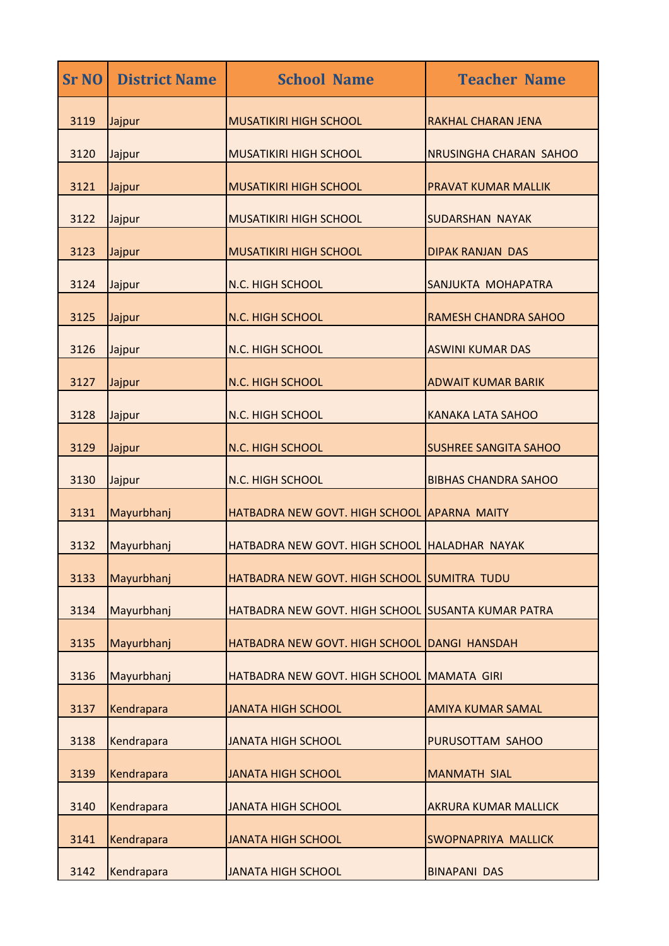| <b>Sr NO</b> | <b>District Name</b> | <b>School Name</b>                                 | <b>Teacher Name</b>          |
|--------------|----------------------|----------------------------------------------------|------------------------------|
| 3119         | Jajpur               | <b>MUSATIKIRI HIGH SCHOOL</b>                      | <b>RAKHAL CHARAN JENA</b>    |
| 3120         | Jajpur               | <b>MUSATIKIRI HIGH SCHOOL</b>                      | NRUSINGHA CHARAN SAHOO       |
| 3121         | Jajpur               | <b>MUSATIKIRI HIGH SCHOOL</b>                      | <b>PRAVAT KUMAR MALLIK</b>   |
| 3122         | Jajpur               | <b>MUSATIKIRI HIGH SCHOOL</b>                      | <b>SUDARSHAN NAYAK</b>       |
| 3123         | Jajpur               | <b>MUSATIKIRI HIGH SCHOOL</b>                      | <b>DIPAK RANJAN DAS</b>      |
| 3124         | Jajpur               | N.C. HIGH SCHOOL                                   | SANJUKTA MOHAPATRA           |
| 3125         | Jajpur               | N.C. HIGH SCHOOL                                   | <b>RAMESH CHANDRA SAHOO</b>  |
| 3126         | Jajpur               | N.C. HIGH SCHOOL                                   | <b>ASWINI KUMAR DAS</b>      |
| 3127         | Jajpur               | N.C. HIGH SCHOOL                                   | <b>ADWAIT KUMAR BARIK</b>    |
| 3128         | Jajpur               | N.C. HIGH SCHOOL                                   | <b>KANAKA LATA SAHOO</b>     |
| 3129         | Jajpur               | <b>N.C. HIGH SCHOOL</b>                            | <b>SUSHREE SANGITA SAHOO</b> |
| 3130         | Jajpur               | N.C. HIGH SCHOOL                                   | <b>BIBHAS CHANDRA SAHOO</b>  |
| 3131         | Mayurbhanj           | HATBADRA NEW GOVT. HIGH SCHOOL APARNA MAITY        |                              |
| 3132         | Mayurbhanj           | HATBADRA NEW GOVT. HIGH SCHOOL HALADHAR NAYAK      |                              |
| 3133         | Mayurbhanj           | HATBADRA NEW GOVT. HIGH SCHOOL SUMITRA TUDU        |                              |
| 3134         | Mayurbhanj           | HATBADRA NEW GOVT. HIGH SCHOOL SUSANTA KUMAR PATRA |                              |
| 3135         | Mayurbhanj           | HATBADRA NEW GOVT. HIGH SCHOOL DANGI HANSDAH       |                              |
| 3136         | Mayurbhanj           | HATBADRA NEW GOVT. HIGH SCHOOL                     | MAMATA GIRI                  |
| 3137         | Kendrapara           | <b>JANATA HIGH SCHOOL</b>                          | <b>AMIYA KUMAR SAMAL</b>     |
| 3138         | Kendrapara           | <b>JANATA HIGH SCHOOL</b>                          | PURUSOTTAM SAHOO             |
| 3139         | Kendrapara           | <b>JANATA HIGH SCHOOL</b>                          | <b>MANMATH SIAL</b>          |
| 3140         | Kendrapara           | <b>JANATA HIGH SCHOOL</b>                          | <b>AKRURA KUMAR MALLICK</b>  |
| 3141         | Kendrapara           | <b>JANATA HIGH SCHOOL</b>                          | <b>SWOPNAPRIYA MALLICK</b>   |
| 3142         | Kendrapara           | <b>JANATA HIGH SCHOOL</b>                          | <b>BINAPANI DAS</b>          |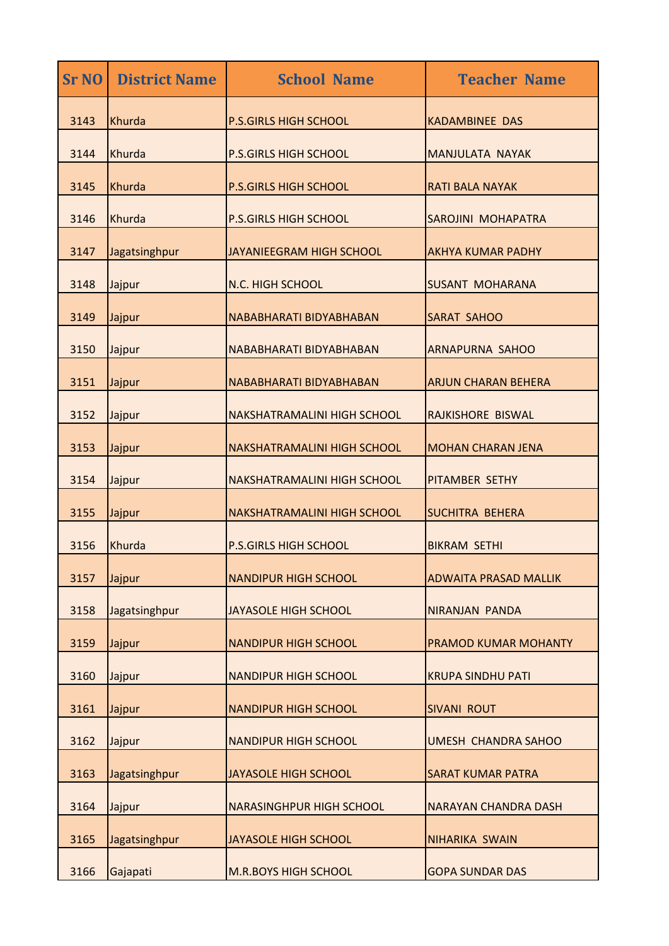| <b>Sr NO</b> | <b>District Name</b> | <b>School Name</b>                 | <b>Teacher Name</b>          |
|--------------|----------------------|------------------------------------|------------------------------|
| 3143         | Khurda               | <b>P.S.GIRLS HIGH SCHOOL</b>       | <b>KADAMBINEE DAS</b>        |
| 3144         | Khurda               | <b>P.S.GIRLS HIGH SCHOOL</b>       | MANJULATA NAYAK              |
| 3145         | Khurda               | <b>P.S.GIRLS HIGH SCHOOL</b>       | <b>RATI BALA NAYAK</b>       |
| 3146         | Khurda               | <b>P.S.GIRLS HIGH SCHOOL</b>       | <b>SAROJINI MOHAPATRA</b>    |
| 3147         | Jagatsinghpur        | <b>JAYANIEEGRAM HIGH SCHOOL</b>    | <b>AKHYA KUMAR PADHY</b>     |
| 3148         | Jajpur               | N.C. HIGH SCHOOL                   | <b>SUSANT MOHARANA</b>       |
| 3149         | Jajpur               | NABABHARATI BIDYABHABAN            | <b>SARAT SAHOO</b>           |
| 3150         | Jajpur               | NABABHARATI BIDYABHABAN            | <b>ARNAPURNA SAHOO</b>       |
| 3151         | Jajpur               | NABABHARATI BIDYABHABAN            | <b>ARJUN CHARAN BEHERA</b>   |
| 3152         | Jajpur               | <b>NAKSHATRAMALINI HIGH SCHOOL</b> | RAJKISHORE BISWAL            |
| 3153         | Jajpur               | <b>NAKSHATRAMALINI HIGH SCHOOL</b> | <b>MOHAN CHARAN JENA</b>     |
| 3154         | Jajpur               | <b>NAKSHATRAMALINI HIGH SCHOOL</b> | <b>PITAMBER SETHY</b>        |
| 3155         | Jajpur               | <b>NAKSHATRAMALINI HIGH SCHOOL</b> | <b>SUCHITRA BEHERA</b>       |
| 3156         | Khurda               | <b>P.S.GIRLS HIGH SCHOOL</b>       | <b>BIKRAM SETHI</b>          |
| 3157         | Jajpur               | <b>NANDIPUR HIGH SCHOOL</b>        | <b>ADWAITA PRASAD MALLIK</b> |
| 3158         | Jagatsinghpur        | <b>JAYASOLE HIGH SCHOOL</b>        | <b>NIRANJAN PANDA</b>        |
| 3159         | Jajpur               | <b>NANDIPUR HIGH SCHOOL</b>        | PRAMOD KUMAR MOHANTY         |
| 3160         | Jajpur               | <b>NANDIPUR HIGH SCHOOL</b>        | <b>KRUPA SINDHU PATI</b>     |
| 3161         | Jajpur               | <b>NANDIPUR HIGH SCHOOL</b>        | <b>SIVANI ROUT</b>           |
| 3162         | Jajpur               | <b>NANDIPUR HIGH SCHOOL</b>        | <b>UMESH CHANDRA SAHOO</b>   |
| 3163         | Jagatsinghpur        | <b>JAYASOLE HIGH SCHOOL</b>        | <b>SARAT KUMAR PATRA</b>     |
| 3164         | Jajpur               | <b>NARASINGHPUR HIGH SCHOOL</b>    | <b>NARAYAN CHANDRA DASH</b>  |
| 3165         | Jagatsinghpur        | <b>JAYASOLE HIGH SCHOOL</b>        | <b>NIHARIKA SWAIN</b>        |
| 3166         | Gajapati             | <b>M.R.BOYS HIGH SCHOOL</b>        | <b>GOPA SUNDAR DAS</b>       |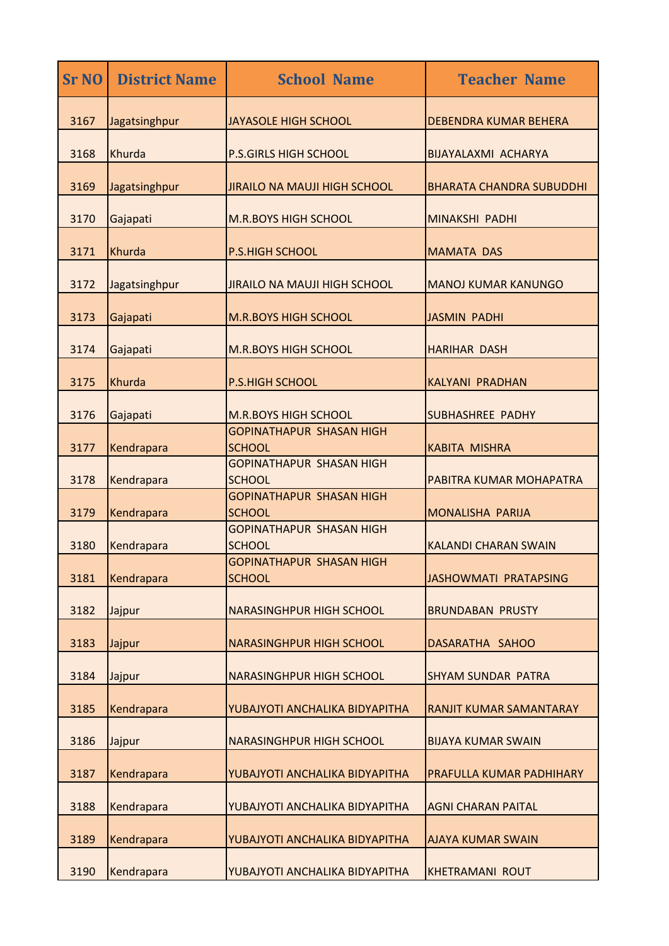| Sr <sub>NO</sub> | <b>District Name</b> | <b>School Name</b>                               | <b>Teacher Name</b>             |
|------------------|----------------------|--------------------------------------------------|---------------------------------|
| 3167             | Jagatsinghpur        | <b>JAYASOLE HIGH SCHOOL</b>                      | <b>DEBENDRA KUMAR BEHERA</b>    |
| 3168             | Khurda               | <b>P.S.GIRLS HIGH SCHOOL</b>                     | <b>BIJAYALAXMI ACHARYA</b>      |
| 3169             | Jagatsinghpur        | <b>JIRAILO NA MAUJI HIGH SCHOOL</b>              | <b>BHARATA CHANDRA SUBUDDHI</b> |
| 3170             | Gajapati             | <b>M.R.BOYS HIGH SCHOOL</b>                      | <b>MINAKSHI PADHI</b>           |
| 3171             | Khurda               | <b>P.S.HIGH SCHOOL</b>                           | <b>MAMATA DAS</b>               |
| 3172             | Jagatsinghpur        | <b>JIRAILO NA MAUJI HIGH SCHOOL</b>              | <b>MANOJ KUMAR KANUNGO</b>      |
| 3173             | Gajapati             | <b>M.R.BOYS HIGH SCHOOL</b>                      | <b>JASMIN PADHI</b>             |
| 3174             | Gajapati             | <b>M.R.BOYS HIGH SCHOOL</b>                      | <b>HARIHAR DASH</b>             |
| 3175             | Khurda               | <b>P.S.HIGH SCHOOL</b>                           | <b>KALYANI PRADHAN</b>          |
| 3176             | Gajapati             | <b>M.R.BOYS HIGH SCHOOL</b>                      | <b>SUBHASHREE PADHY</b>         |
| 3177             | Kendrapara           | <b>GOPINATHAPUR SHASAN HIGH</b><br><b>SCHOOL</b> | <b>KABITA MISHRA</b>            |
| 3178             | Kendrapara           | <b>GOPINATHAPUR SHASAN HIGH</b><br><b>SCHOOL</b> | PABITRA KUMAR MOHAPATRA         |
| 3179             | Kendrapara           | GOPINATHAPUR SHASAN HIGH<br><b>SCHOOL</b>        | <b>MONALISHA PARIJA</b>         |
| 3180             | Kendrapara           | <b>GOPINATHAPUR SHASAN HIGH</b><br><b>SCHOOL</b> | <b>KALANDI CHARAN SWAIN</b>     |
| 3181             | Kendrapara           | <b>GOPINATHAPUR SHASAN HIGH</b><br><b>SCHOOL</b> | <b>JASHOWMATI PRATAPSING</b>    |
| 3182             | Jajpur               | <b>NARASINGHPUR HIGH SCHOOL</b>                  | <b>BRUNDABAN PRUSTY</b>         |
| 3183             | Jajpur               | <b>NARASINGHPUR HIGH SCHOOL</b>                  | DASARATHA SAHOO                 |
| 3184             | Jajpur               | <b>NARASINGHPUR HIGH SCHOOL</b>                  | <b>SHYAM SUNDAR PATRA</b>       |
| 3185             | Kendrapara           | YUBAJYOTI ANCHALIKA BIDYAPITHA                   | RANJIT KUMAR SAMANTARAY         |
| 3186             | Jajpur               | <b>NARASINGHPUR HIGH SCHOOL</b>                  | <b>BIJAYA KUMAR SWAIN</b>       |
| 3187             | Kendrapara           | YUBAJYOTI ANCHALIKA BIDYAPITHA                   | PRAFULLA KUMAR PADHIHARY        |
| 3188             | Kendrapara           | YUBAJYOTI ANCHALIKA BIDYAPITHA                   | <b>AGNI CHARAN PAITAL</b>       |
| 3189             | Kendrapara           | YUBAJYOTI ANCHALIKA BIDYAPITHA                   | <b>AJAYA KUMAR SWAIN</b>        |
| 3190             | Kendrapara           | YUBAJYOTI ANCHALIKA BIDYAPITHA                   | <b>KHETRAMANI ROUT</b>          |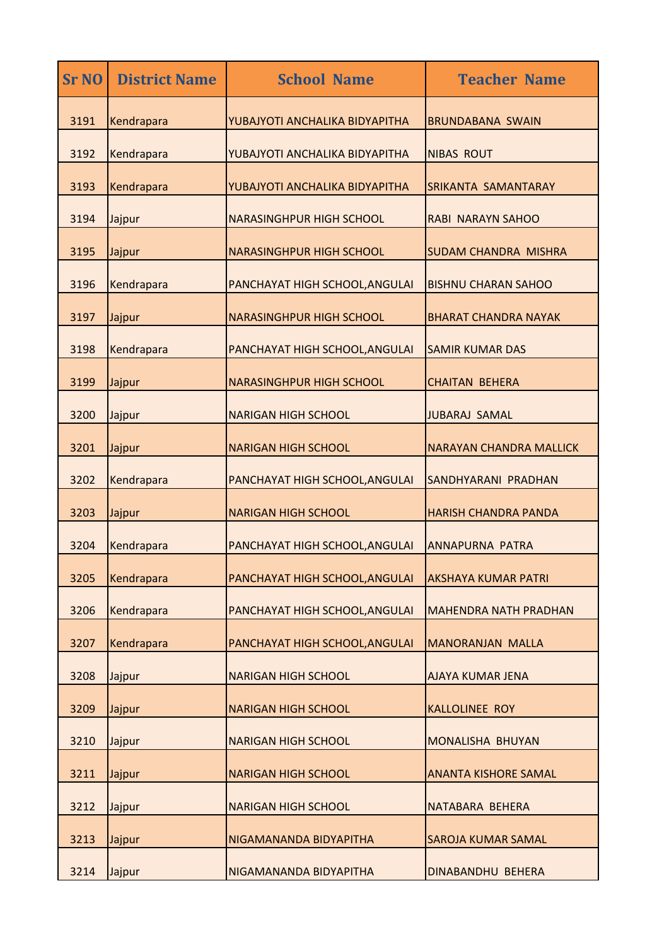| <b>Sr NO</b> | <b>District Name</b> | <b>School Name</b>              | <b>Teacher Name</b>            |
|--------------|----------------------|---------------------------------|--------------------------------|
| 3191         | Kendrapara           | YUBAJYOTI ANCHALIKA BIDYAPITHA  | <b>BRUNDABANA SWAIN</b>        |
| 3192         | Kendrapara           | YUBAJYOTI ANCHALIKA BIDYAPITHA  | <b>NIBAS ROUT</b>              |
| 3193         | Kendrapara           | YUBAJYOTI ANCHALIKA BIDYAPITHA  | <b>SRIKANTA SAMANTARAY</b>     |
| 3194         | Jajpur               | <b>NARASINGHPUR HIGH SCHOOL</b> | <b>RABI NARAYN SAHOO</b>       |
| 3195         | Jajpur               | <b>NARASINGHPUR HIGH SCHOOL</b> | <b>SUDAM CHANDRA MISHRA</b>    |
| 3196         | Kendrapara           | PANCHAYAT HIGH SCHOOL, ANGULAI  | <b>BISHNU CHARAN SAHOO</b>     |
| 3197         | Jajpur               | <b>NARASINGHPUR HIGH SCHOOL</b> | <b>BHARAT CHANDRA NAYAK</b>    |
| 3198         | Kendrapara           | PANCHAYAT HIGH SCHOOL, ANGULAI  | <b>SAMIR KUMAR DAS</b>         |
| 3199         | Jajpur               | <b>NARASINGHPUR HIGH SCHOOL</b> | <b>CHAITAN BEHERA</b>          |
| 3200         | Jajpur               | <b>NARIGAN HIGH SCHOOL</b>      | <b>JUBARAJ SAMAL</b>           |
| 3201         | Jajpur               | <b>NARIGAN HIGH SCHOOL</b>      | <b>NARAYAN CHANDRA MALLICK</b> |
| 3202         | Kendrapara           | PANCHAYAT HIGH SCHOOL, ANGULAI  | SANDHYARANI PRADHAN            |
| 3203         | Jajpur               | <b>NARIGAN HIGH SCHOOL</b>      | <b>HARISH CHANDRA PANDA</b>    |
| 3204         | Kendrapara           | PANCHAYAT HIGH SCHOOL, ANGULAI  | <b>ANNAPURNA PATRA</b>         |
| 3205         | Kendrapara           | PANCHAYAT HIGH SCHOOL, ANGULAI  | <b>AKSHAYA KUMAR PATRI</b>     |
| 3206         | Kendrapara           | PANCHAYAT HIGH SCHOOL, ANGULAI  | <b>MAHENDRA NATH PRADHAN</b>   |
| 3207         | Kendrapara           | PANCHAYAT HIGH SCHOOL, ANGULAI  | <b>MANORANJAN MALLA</b>        |
| 3208         | Jajpur               | <b>NARIGAN HIGH SCHOOL</b>      | <b>AJAYA KUMAR JENA</b>        |
| 3209         | Jajpur               | <b>NARIGAN HIGH SCHOOL</b>      | <b>KALLOLINEE ROY</b>          |
| 3210         | Jajpur               | <b>NARIGAN HIGH SCHOOL</b>      | <b>MONALISHA BHUYAN</b>        |
| 3211         | Jajpur               | <b>NARIGAN HIGH SCHOOL</b>      | <b>ANANTA KISHORE SAMAL</b>    |
| 3212         | Jajpur               | <b>NARIGAN HIGH SCHOOL</b>      | NATABARA BEHERA                |
| 3213         | Jajpur               | NIGAMANANDA BIDYAPITHA          | <b>SAROJA KUMAR SAMAL</b>      |
| 3214         | Jajpur               | NIGAMANANDA BIDYAPITHA          | <b>DINABANDHU BEHERA</b>       |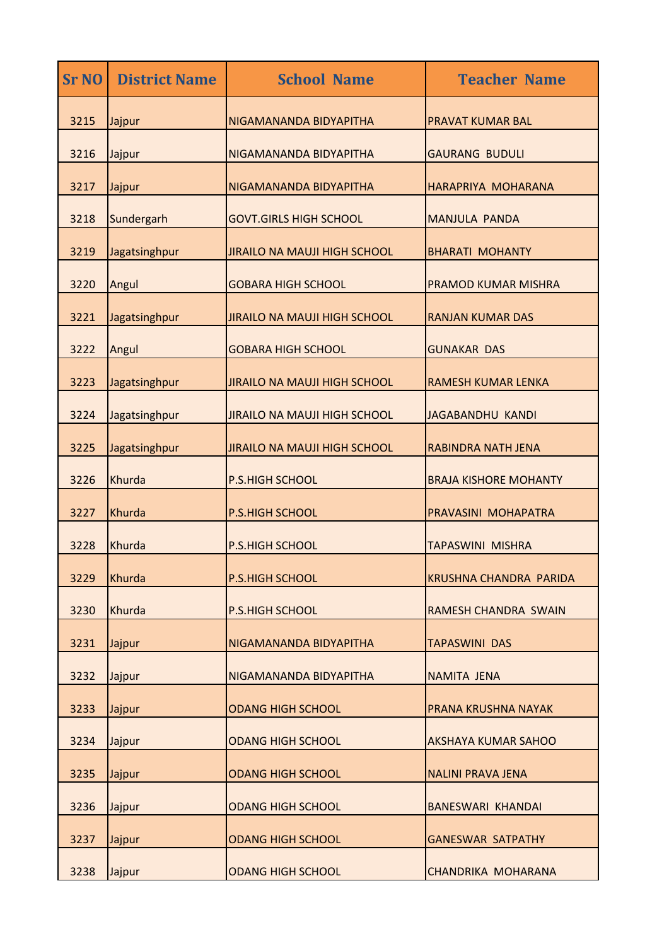| <b>Sr NO</b> | <b>District Name</b> | <b>School Name</b>                  | <b>Teacher Name</b>           |
|--------------|----------------------|-------------------------------------|-------------------------------|
| 3215         | Jajpur               | NIGAMANANDA BIDYAPITHA              | <b>PRAVAT KUMAR BAL</b>       |
| 3216         | Jajpur               | NIGAMANANDA BIDYAPITHA              | <b>GAURANG BUDULI</b>         |
| 3217         | Jajpur               | NIGAMANANDA BIDYAPITHA              | HARAPRIYA MOHARANA            |
| 3218         | Sundergarh           | <b>GOVT.GIRLS HIGH SCHOOL</b>       | <b>MANJULA PANDA</b>          |
| 3219         | Jagatsinghpur        | <b>JIRAILO NA MAUJI HIGH SCHOOL</b> | <b>BHARATI MOHANTY</b>        |
| 3220         | Angul                | <b>GOBARA HIGH SCHOOL</b>           | PRAMOD KUMAR MISHRA           |
| 3221         | Jagatsinghpur        | <b>JIRAILO NA MAUJI HIGH SCHOOL</b> | <b>RANJAN KUMAR DAS</b>       |
| 3222         | Angul                | <b>GOBARA HIGH SCHOOL</b>           | <b>GUNAKAR DAS</b>            |
| 3223         | Jagatsinghpur        | <b>JIRAILO NA MAUJI HIGH SCHOOL</b> | <b>RAMESH KUMAR LENKA</b>     |
| 3224         | Jagatsinghpur        | <b>JIRAILO NA MAUJI HIGH SCHOOL</b> | <b>JAGABANDHU KANDI</b>       |
| 3225         | Jagatsinghpur        | <b>JIRAILO NA MAUJI HIGH SCHOOL</b> | <b>RABINDRA NATH JENA</b>     |
| 3226         | Khurda               | <b>P.S.HIGH SCHOOL</b>              | <b>BRAJA KISHORE MOHANTY</b>  |
| 3227         | Khurda               | <b>P.S.HIGH SCHOOL</b>              | PRAVASINI MOHAPATRA           |
| 3228         | Khurda               | <b>P.S.HIGH SCHOOL</b>              | <b>TAPASWINI MISHRA</b>       |
| 3229         | Khurda               | <b>P.S.HIGH SCHOOL</b>              | <b>KRUSHNA CHANDRA PARIDA</b> |
| 3230         | Khurda               | <b>P.S.HIGH SCHOOL</b>              | RAMESH CHANDRA SWAIN          |
| 3231         | Jajpur               | NIGAMANANDA BIDYAPITHA              | <b>TAPASWINI DAS</b>          |
| 3232         | Jajpur               | NIGAMANANDA BIDYAPITHA              | <b>NAMITA JENA</b>            |
| 3233         | Jajpur               | <b>ODANG HIGH SCHOOL</b>            | PRANA KRUSHNA NAYAK           |
| 3234         | Jajpur               | <b>ODANG HIGH SCHOOL</b>            | <b>AKSHAYA KUMAR SAHOO</b>    |
| 3235         | Jajpur               | <b>ODANG HIGH SCHOOL</b>            | <b>NALINI PRAVA JENA</b>      |
| 3236         | Jajpur               | <b>ODANG HIGH SCHOOL</b>            | <b>BANESWARI KHANDAI</b>      |
| 3237         | Jajpur               | <b>ODANG HIGH SCHOOL</b>            | <b>GANESWAR SATPATHY</b>      |
| 3238         | Jajpur               | <b>ODANG HIGH SCHOOL</b>            | CHANDRIKA MOHARANA            |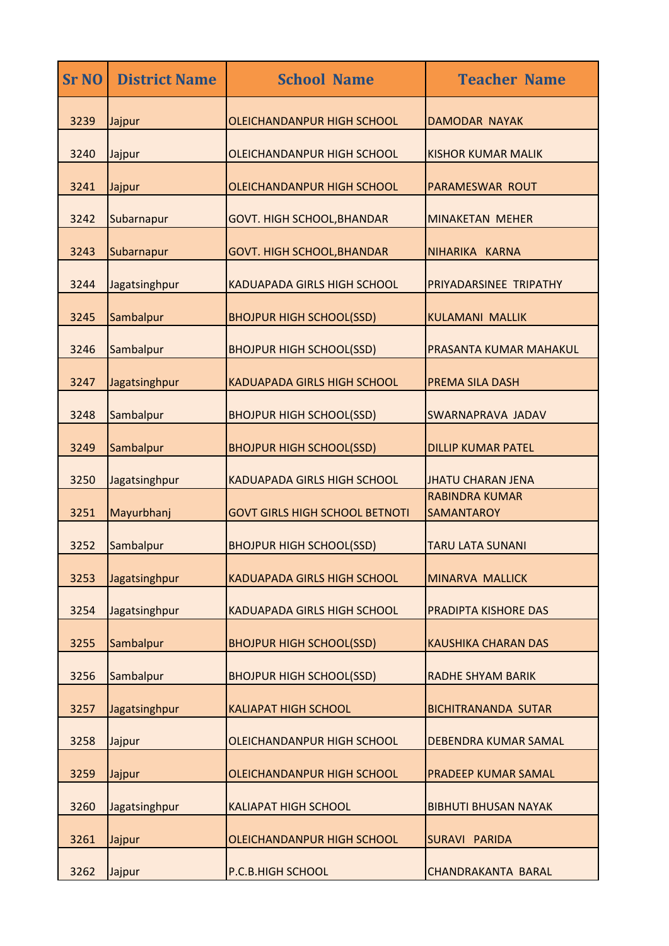| <b>Sr NO</b> | <b>District Name</b> | <b>School Name</b>                    | <b>Teacher Name</b>                        |
|--------------|----------------------|---------------------------------------|--------------------------------------------|
| 3239         | Jajpur               | <b>OLEICHANDANPUR HIGH SCHOOL</b>     | <b>DAMODAR NAYAK</b>                       |
| 3240         | Jajpur               | <b>OLEICHANDANPUR HIGH SCHOOL</b>     | <b>KISHOR KUMAR MALIK</b>                  |
| 3241         | Jajpur               | <b>OLEICHANDANPUR HIGH SCHOOL</b>     | PARAMESWAR ROUT                            |
| 3242         | Subarnapur           | <b>GOVT. HIGH SCHOOL, BHANDAR</b>     | <b>MINAKETAN MEHER</b>                     |
| 3243         | Subarnapur           | <b>GOVT. HIGH SCHOOL, BHANDAR</b>     | NIHARIKA KARNA                             |
| 3244         | Jagatsinghpur        | <b>KADUAPADA GIRLS HIGH SCHOOL</b>    | PRIYADARSINEE TRIPATHY                     |
| 3245         | Sambalpur            | <b>BHOJPUR HIGH SCHOOL(SSD)</b>       | <b>KULAMANI MALLIK</b>                     |
| 3246         | Sambalpur            | <b>BHOJPUR HIGH SCHOOL(SSD)</b>       | PRASANTA KUMAR MAHAKUL                     |
| 3247         | Jagatsinghpur        | <b>KADUAPADA GIRLS HIGH SCHOOL</b>    | <b>PREMA SILA DASH</b>                     |
| 3248         | Sambalpur            | <b>BHOJPUR HIGH SCHOOL(SSD)</b>       | SWARNAPRAVA JADAV                          |
| 3249         | Sambalpur            | <b>BHOJPUR HIGH SCHOOL(SSD)</b>       | <b>DILLIP KUMAR PATEL</b>                  |
| 3250         | Jagatsinghpur        | <b>KADUAPADA GIRLS HIGH SCHOOL</b>    | <b>JHATU CHARAN JENA</b>                   |
| 3251         | Mayurbhanj           | <b>GOVT GIRLS HIGH SCHOOL BETNOTI</b> | <b>RABINDRA KUMAR</b><br><b>SAMANTAROY</b> |
| 3252         | Sambalpur            | <b>BHOJPUR HIGH SCHOOL(SSD)</b>       | <b>TARU LATA SUNANI</b>                    |
| 3253         | Jagatsinghpur        | <b>KADUAPADA GIRLS HIGH SCHOOL</b>    | <b>MINARVA MALLICK</b>                     |
| 3254         | Jagatsinghpur        | <b>KADUAPADA GIRLS HIGH SCHOOL</b>    | PRADIPTA KISHORE DAS                       |
| 3255         | Sambalpur            | <b>BHOJPUR HIGH SCHOOL(SSD)</b>       | <b>KAUSHIKA CHARAN DAS</b>                 |
| 3256         | Sambalpur            | <b>BHOJPUR HIGH SCHOOL(SSD)</b>       | <b>RADHE SHYAM BARIK</b>                   |
| 3257         | Jagatsinghpur        | <b>KALIAPAT HIGH SCHOOL</b>           | <b>BICHITRANANDA SUTAR</b>                 |
| 3258         | Jajpur               | <b>OLEICHANDANPUR HIGH SCHOOL</b>     | <b>DEBENDRA KUMAR SAMAL</b>                |
| 3259         | Jajpur               | OLEICHANDANPUR HIGH SCHOOL            | PRADEEP KUMAR SAMAL                        |
| 3260         | Jagatsinghpur        | <b>KALIAPAT HIGH SCHOOL</b>           | <b>BIBHUTI BHUSAN NAYAK</b>                |
| 3261         | Jajpur               | OLEICHANDANPUR HIGH SCHOOL            | SURAVI PARIDA                              |
| 3262         | Jajpur               | P.C.B.HIGH SCHOOL                     | <b>CHANDRAKANTA BARAL</b>                  |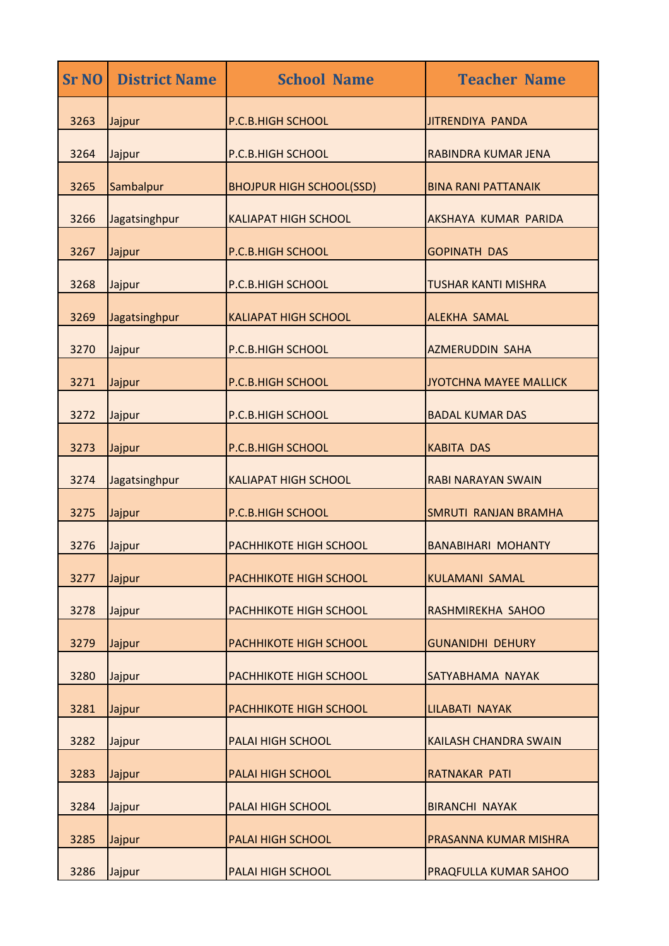| <b>Sr NO</b> | <b>District Name</b> | <b>School Name</b>              | <b>Teacher Name</b>           |
|--------------|----------------------|---------------------------------|-------------------------------|
| 3263         | Jajpur               | <b>P.C.B.HIGH SCHOOL</b>        | <b>JITRENDIYA PANDA</b>       |
| 3264         | Jajpur               | P.C.B.HIGH SCHOOL               | RABINDRA KUMAR JENA           |
| 3265         | Sambalpur            | <b>BHOJPUR HIGH SCHOOL(SSD)</b> | <b>BINA RANI PATTANAIK</b>    |
| 3266         | Jagatsinghpur        | <b>KALIAPAT HIGH SCHOOL</b>     | AKSHAYA KUMAR PARIDA          |
| 3267         | Jajpur               | P.C.B.HIGH SCHOOL               | <b>GOPINATH DAS</b>           |
| 3268         | Jajpur               | P.C.B.HIGH SCHOOL               | <b>TUSHAR KANTI MISHRA</b>    |
| 3269         | Jagatsinghpur        | <b>KALIAPAT HIGH SCHOOL</b>     | <b>ALEKHA SAMAL</b>           |
| 3270         | Jajpur               | P.C.B.HIGH SCHOOL               | <b>AZMERUDDIN SAHA</b>        |
| 3271         | Jajpur               | <b>P.C.B.HIGH SCHOOL</b>        | <b>JYOTCHNA MAYEE MALLICK</b> |
| 3272         | Jajpur               | <b>P.C.B.HIGH SCHOOL</b>        | <b>BADAL KUMAR DAS</b>        |
| 3273         | Jajpur               | <b>P.C.B.HIGH SCHOOL</b>        | <b>KABITA DAS</b>             |
| 3274         | Jagatsinghpur        | <b>KALIAPAT HIGH SCHOOL</b>     | <b>RABI NARAYAN SWAIN</b>     |
| 3275         | Jajpur               | P.C.B.HIGH SCHOOL               | SMRUTI RANJAN BRAMHA          |
| 3276         | Jajpur               | <b>PACHHIKOTE HIGH SCHOOL</b>   | <b>BANABIHARI MOHANTY</b>     |
| 3277         | Jajpur               | <b>PACHHIKOTE HIGH SCHOOL</b>   | <b>KULAMANI SAMAL</b>         |
| 3278         | Jajpur               | <b>PACHHIKOTE HIGH SCHOOL</b>   | RASHMIREKHA SAHOO             |
| 3279         | Jajpur               | PACHHIKOTE HIGH SCHOOL          | <b>GUNANIDHI DEHURY</b>       |
| 3280         | Jajpur               | <b>PACHHIKOTE HIGH SCHOOL</b>   | SATYABHAMA NAYAK              |
| 3281         | Jajpur               | <b>PACHHIKOTE HIGH SCHOOL</b>   | LILABATI NAYAK                |
| 3282         | Jajpur               | <b>PALAI HIGH SCHOOL</b>        | <b>KAILASH CHANDRA SWAIN</b>  |
| 3283         | Jajpur               | PALAI HIGH SCHOOL               | <b>RATNAKAR PATI</b>          |
| 3284         | Jajpur               | <b>PALAI HIGH SCHOOL</b>        | <b>BIRANCHI NAYAK</b>         |
| 3285         | Jajpur               | <b>PALAI HIGH SCHOOL</b>        | PRASANNA KUMAR MISHRA         |
| 3286         | Jajpur               | <b>PALAI HIGH SCHOOL</b>        | PRAQFULLA KUMAR SAHOO         |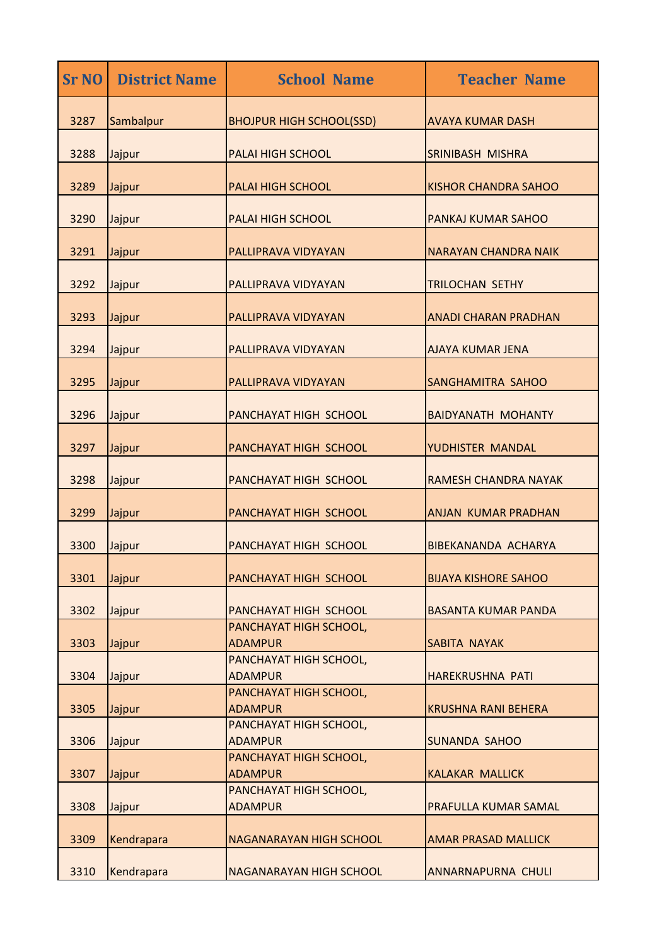| <b>Sr NO</b> | <b>District Name</b> | <b>School Name</b>                       | <b>Teacher Name</b>         |
|--------------|----------------------|------------------------------------------|-----------------------------|
| 3287         | Sambalpur            | <b>BHOJPUR HIGH SCHOOL(SSD)</b>          | <b>AVAYA KUMAR DASH</b>     |
| 3288         | Jajpur               | <b>PALAI HIGH SCHOOL</b>                 | <b>SRINIBASH MISHRA</b>     |
| 3289         | Jajpur               | <b>PALAI HIGH SCHOOL</b>                 | <b>KISHOR CHANDRA SAHOO</b> |
| 3290         | Jajpur               | <b>PALAI HIGH SCHOOL</b>                 | <b>PANKAJ KUMAR SAHOO</b>   |
| 3291         | Jajpur               | PALLIPRAVA VIDYAYAN                      | <b>NARAYAN CHANDRA NAIK</b> |
| 3292         | Jajpur               | PALLIPRAVA VIDYAYAN                      | <b>TRILOCHAN SETHY</b>      |
| 3293         | Jajpur               | PALLIPRAVA VIDYAYAN                      | <b>ANADI CHARAN PRADHAN</b> |
| 3294         | Jajpur               | PALLIPRAVA VIDYAYAN                      | <b>AJAYA KUMAR JENA</b>     |
| 3295         | Jajpur               | PALLIPRAVA VIDYAYAN                      | <b>SANGHAMITRA SAHOO</b>    |
| 3296         | Jajpur               | PANCHAYAT HIGH SCHOOL                    | <b>BAIDYANATH MOHANTY</b>   |
| 3297         | Jajpur               | PANCHAYAT HIGH SCHOOL                    | YUDHISTER MANDAL            |
| 3298         | Jajpur               | PANCHAYAT HIGH SCHOOL                    | <b>RAMESH CHANDRA NAYAK</b> |
| 3299         | Jajpur               | PANCHAYAT HIGH SCHOOL                    | <b>ANJAN KUMAR PRADHAN</b>  |
| 3300         | Jajpur               | PANCHAYAT HIGH SCHOOL                    | <b>BIBEKANANDA ACHARYA</b>  |
| 3301         | Jajpur               | PANCHAYAT HIGH SCHOOL                    | <b>BIJAYA KISHORE SAHOO</b> |
| 3302         | Jajpur               | PANCHAYAT HIGH SCHOOL                    | <b>BASANTA KUMAR PANDA</b>  |
| 3303         | Jajpur               | PANCHAYAT HIGH SCHOOL,<br><b>ADAMPUR</b> | <b>SABITA NAYAK</b>         |
| 3304         | Jajpur               | PANCHAYAT HIGH SCHOOL,<br><b>ADAMPUR</b> | HAREKRUSHNA PATI            |
| 3305         | Jajpur               | PANCHAYAT HIGH SCHOOL,<br><b>ADAMPUR</b> | <b>KRUSHNA RANI BEHERA</b>  |
| 3306         | Jajpur               | PANCHAYAT HIGH SCHOOL,<br><b>ADAMPUR</b> | <b>SUNANDA SAHOO</b>        |
| 3307         | Jajpur               | PANCHAYAT HIGH SCHOOL,<br><b>ADAMPUR</b> | <b>KALAKAR MALLICK</b>      |
| 3308         | Jajpur               | PANCHAYAT HIGH SCHOOL,<br><b>ADAMPUR</b> | <b>PRAFULLA KUMAR SAMAL</b> |
| 3309         | Kendrapara           | NAGANARAYAN HIGH SCHOOL                  | <b>AMAR PRASAD MALLICK</b>  |
| 3310         | Kendrapara           | <b>NAGANARAYAN HIGH SCHOOL</b>           | <b>ANNARNAPURNA CHULI</b>   |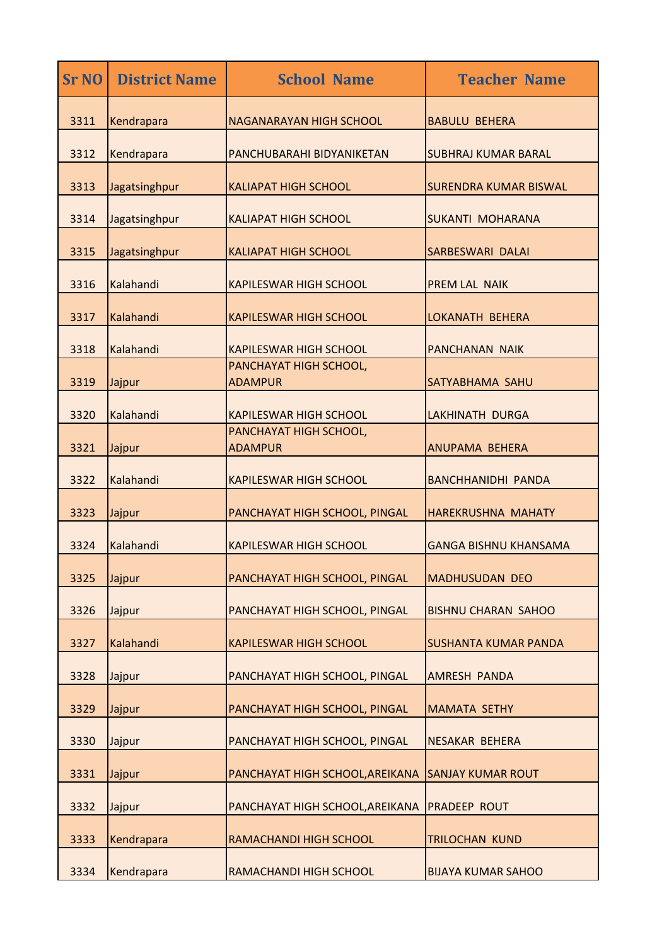| <b>Sr NO</b> | <b>District Name</b> | <b>School Name</b>                       | <b>Teacher Name</b>          |
|--------------|----------------------|------------------------------------------|------------------------------|
| 3311         | Kendrapara           | <b>NAGANARAYAN HIGH SCHOOL</b>           | <b>BABULU BEHERA</b>         |
| 3312         | Kendrapara           | PANCHUBARAHI BIDYANIKETAN                | <b>SUBHRAJ KUMAR BARAL</b>   |
| 3313         | Jagatsinghpur        | <b>KALIAPAT HIGH SCHOOL</b>              | <b>SURENDRA KUMAR BISWAL</b> |
| 3314         | Jagatsinghpur        | <b>KALIAPAT HIGH SCHOOL</b>              | <b>SUKANTI MOHARANA</b>      |
| 3315         | Jagatsinghpur        | <b>KALIAPAT HIGH SCHOOL</b>              | SARBESWARI DALAI             |
| 3316         | Kalahandi            | <b>KAPILESWAR HIGH SCHOOL</b>            | <b>PREM LAL NAIK</b>         |
| 3317         | Kalahandi            | <b>KAPILESWAR HIGH SCHOOL</b>            | <b>LOKANATH BEHERA</b>       |
| 3318         | Kalahandi            | <b>KAPILESWAR HIGH SCHOOL</b>            | PANCHANAN NAIK               |
| 3319         | Jajpur               | PANCHAYAT HIGH SCHOOL,<br><b>ADAMPUR</b> | SATYABHAMA SAHU              |
| 3320         | Kalahandi            | <b>KAPILESWAR HIGH SCHOOL</b>            | <b>LAKHINATH DURGA</b>       |
| 3321         | Jajpur               | PANCHAYAT HIGH SCHOOL,<br><b>ADAMPUR</b> | ANUPAMA BEHERA               |
| 3322         | Kalahandi            |                                          |                              |
|              |                      | <b>KAPILESWAR HIGH SCHOOL</b>            | <b>BANCHHANIDHI PANDA</b>    |
| 3323         | Jajpur               | PANCHAYAT HIGH SCHOOL, PINGAL            | <b>HAREKRUSHNA MAHATY</b>    |
| 3324         | Kalahandi            | <b>KAPILESWAR HIGH SCHOOL</b>            | <b>GANGA BISHNU KHANSAMA</b> |
| 3325         | Jajpur               | PANCHAYAT HIGH SCHOOL, PINGAL            | <b>MADHUSUDAN DEO</b>        |
| 3326         | Jajpur               | PANCHAYAT HIGH SCHOOL, PINGAL            | <b>BISHNU CHARAN SAHOO</b>   |
| 3327         | Kalahandi            | <b>KAPILESWAR HIGH SCHOOL</b>            | <b>SUSHANTA KUMAR PANDA</b>  |
| 3328         | Jajpur               | PANCHAYAT HIGH SCHOOL, PINGAL            | <b>AMRESH PANDA</b>          |
| 3329         | Jajpur               | PANCHAYAT HIGH SCHOOL, PINGAL            | <b>MAMATA SETHY</b>          |
| 3330         | Jajpur               | PANCHAYAT HIGH SCHOOL, PINGAL            | <b>NESAKAR BEHERA</b>        |
| 3331         | Jajpur               | PANCHAYAT HIGH SCHOOL, AREIKANA          | <b>SANJAY KUMAR ROUT</b>     |
| 3332         | Jajpur               | PANCHAYAT HIGH SCHOOL, AREIKANA          | <b>PRADEEP ROUT</b>          |
| 3333         | Kendrapara           | RAMACHANDI HIGH SCHOOL                   | <b>TRILOCHAN KUND</b>        |
| 3334         | Kendrapara           | RAMACHANDI HIGH SCHOOL                   | <b>BIJAYA KUMAR SAHOO</b>    |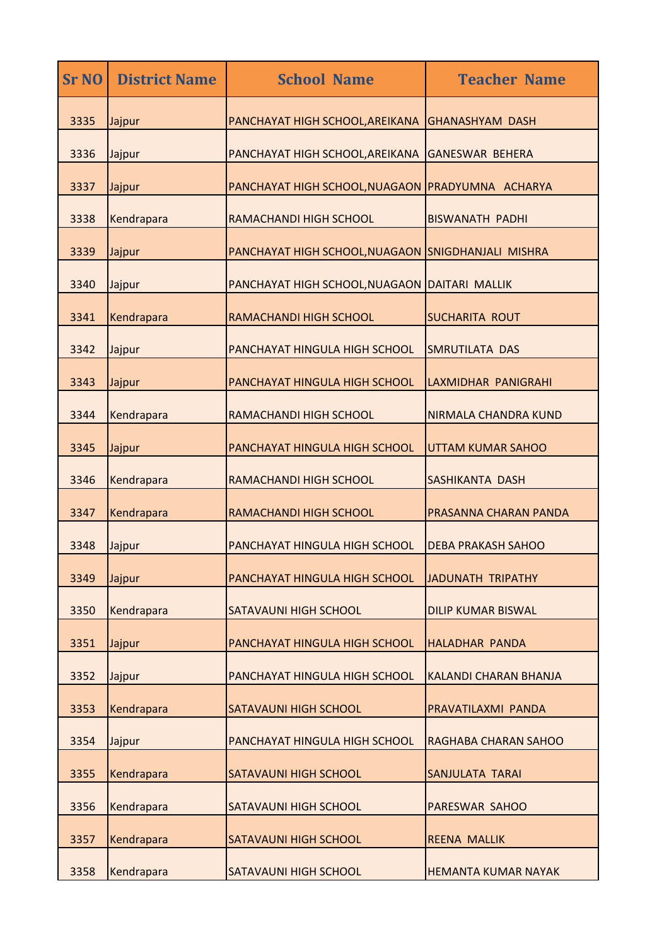| <b>Sr NO</b> | <b>District Name</b> | <b>School Name</b>                                   | <b>Teacher Name</b>          |
|--------------|----------------------|------------------------------------------------------|------------------------------|
| 3335         | Jajpur               | PANCHAYAT HIGH SCHOOL, AREIKANA                      | <b>GHANASHYAM DASH</b>       |
| 3336         | Jajpur               | PANCHAYAT HIGH SCHOOL, AREIKANA                      | <b>GANESWAR BEHERA</b>       |
| 3337         | Jajpur               | PANCHAYAT HIGH SCHOOL, NUAGAON                       | PRADYUMNA ACHARYA            |
| 3338         | Kendrapara           | RAMACHANDI HIGH SCHOOL                               | <b>BISWANATH PADHI</b>       |
| 3339         | Jajpur               | PANCHAYAT HIGH SCHOOL, NUAGAON SNIGDHANJALI MISHRA   |                              |
| 3340         | Jajpur               | <b>PANCHAYAT HIGH SCHOOL, NUAGAON DAITARI MALLIK</b> |                              |
| 3341         | Kendrapara           | RAMACHANDI HIGH SCHOOL                               | <b>SUCHARITA ROUT</b>        |
| 3342         | Jajpur               | PANCHAYAT HINGULA HIGH SCHOOL                        | <b>SMRUTILATA DAS</b>        |
| 3343         | Jajpur               | PANCHAYAT HINGULA HIGH SCHOOL                        | LAXMIDHAR PANIGRAHI          |
| 3344         | Kendrapara           | <b>RAMACHANDI HIGH SCHOOL</b>                        | NIRMALA CHANDRA KUND         |
| 3345         | Jajpur               | PANCHAYAT HINGULA HIGH SCHOOL                        | UTTAM KUMAR SAHOO            |
| 3346         | Kendrapara           | RAMACHANDI HIGH SCHOOL                               | <b>SASHIKANTA DASH</b>       |
| 3347         | Kendrapara           | RAMACHANDI HIGH SCHOOL                               | PRASANNA CHARAN PANDA        |
| 3348         | Jajpur               | PANCHAYAT HINGULA HIGH SCHOOL                        | <b>DEBA PRAKASH SAHOO</b>    |
| 3349         | Jajpur               | PANCHAYAT HINGULA HIGH SCHOOL                        | JADUNATH TRIPATHY            |
| 3350         | Kendrapara           | <b>SATAVAUNI HIGH SCHOOL</b>                         | <b>DILIP KUMAR BISWAL</b>    |
| 3351         | Jajpur               | PANCHAYAT HINGULA HIGH SCHOOL                        | <b>HALADHAR PANDA</b>        |
| 3352         | Jajpur               | PANCHAYAT HINGULA HIGH SCHOOL                        | <b>KALANDI CHARAN BHANJA</b> |
| 3353         | Kendrapara           | <b>SATAVAUNI HIGH SCHOOL</b>                         | PRAVATILAXMI PANDA           |
| 3354         | Jajpur               | PANCHAYAT HINGULA HIGH SCHOOL                        | RAGHABA CHARAN SAHOO         |
| 3355         | Kendrapara           | <b>SATAVAUNI HIGH SCHOOL</b>                         | <b>SANJULATA TARAI</b>       |
| 3356         | Kendrapara           | <b>SATAVAUNI HIGH SCHOOL</b>                         | PARESWAR SAHOO               |
| 3357         | Kendrapara           | <b>SATAVAUNI HIGH SCHOOL</b>                         | <b>REENA MALLIK</b>          |
| 3358         | Kendrapara           | SATAVAUNI HIGH SCHOOL                                | <b>HEMANTA KUMAR NAYAK</b>   |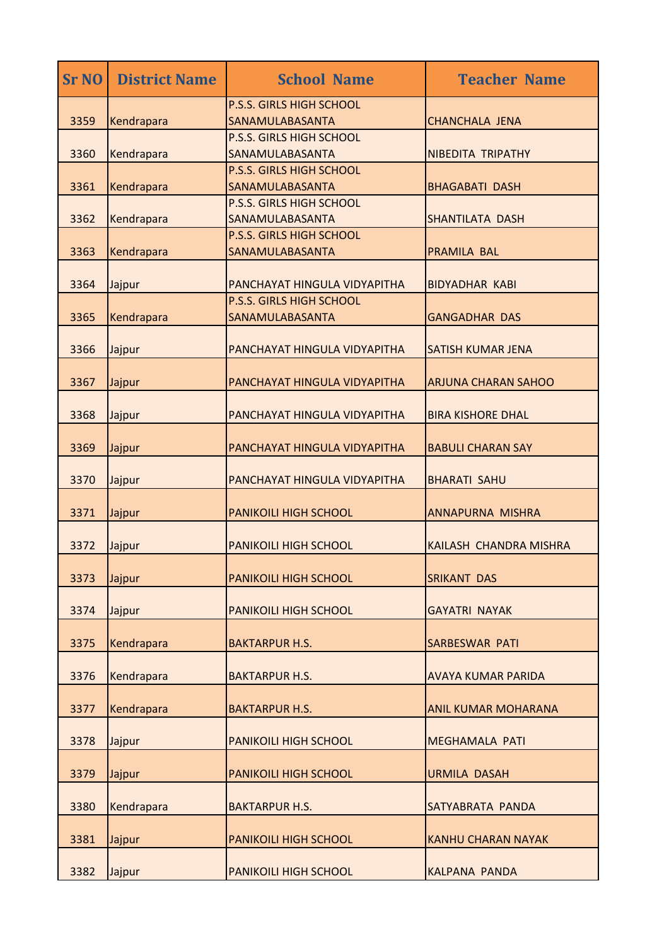| <b>Sr NO</b> | <b>District Name</b> | <b>School Name</b>                                 | <b>Teacher Name</b>           |
|--------------|----------------------|----------------------------------------------------|-------------------------------|
| 3359         | Kendrapara           | P.S.S. GIRLS HIGH SCHOOL<br>SANAMULABASANTA        | <b>CHANCHALA JENA</b>         |
| 3360         | Kendrapara           | P.S.S. GIRLS HIGH SCHOOL<br>SANAMULABASANTA        | <b>NIBEDITA TRIPATHY</b>      |
| 3361         | Kendrapara           | <b>P.S.S. GIRLS HIGH SCHOOL</b><br>SANAMULABASANTA | <b>BHAGABATI DASH</b>         |
| 3362         | Kendrapara           | <b>P.S.S. GIRLS HIGH SCHOOL</b><br>SANAMULABASANTA | <b>SHANTILATA DASH</b>        |
| 3363         | Kendrapara           | <b>P.S.S. GIRLS HIGH SCHOOL</b><br>SANAMULABASANTA | <b>PRAMILA BAL</b>            |
| 3364         | Jajpur               | PANCHAYAT HINGULA VIDYAPITHA                       | <b>BIDYADHAR KABI</b>         |
| 3365         | Kendrapara           | P.S.S. GIRLS HIGH SCHOOL<br>SANAMULABASANTA        | <b>GANGADHAR DAS</b>          |
| 3366         | Jajpur               | PANCHAYAT HINGULA VIDYAPITHA                       | <b>SATISH KUMAR JENA</b>      |
| 3367         | Jajpur               | PANCHAYAT HINGULA VIDYAPITHA                       | <b>ARJUNA CHARAN SAHOO</b>    |
| 3368         | Jajpur               | PANCHAYAT HINGULA VIDYAPITHA                       | <b>BIRA KISHORE DHAL</b>      |
| 3369         | Jajpur               | PANCHAYAT HINGULA VIDYAPITHA                       | <b>BABULI CHARAN SAY</b>      |
| 3370         | Jajpur               | PANCHAYAT HINGULA VIDYAPITHA                       | <b>BHARATI SAHU</b>           |
| 3371         | Jajpur               | <b>PANIKOILI HIGH SCHOOL</b>                       | <b>ANNAPURNA MISHRA</b>       |
| 3372         | Jajpur               | <b>PANIKOILI HIGH SCHOOL</b>                       | <b>KAILASH CHANDRA MISHRA</b> |
| 3373         | Jajpur               | <b>PANIKOILI HIGH SCHOOL</b>                       | <b>SRIKANT DAS</b>            |
| 3374         | Jajpur               | <b>PANIKOILI HIGH SCHOOL</b>                       | <b>GAYATRI NAYAK</b>          |
| 3375         | Kendrapara           | <b>BAKTARPUR H.S.</b>                              | <b>SARBESWAR PATI</b>         |
| 3376         | Kendrapara           | <b>BAKTARPUR H.S.</b>                              | <b>AVAYA KUMAR PARIDA</b>     |
| 3377         | Kendrapara           | <b>BAKTARPUR H.S.</b>                              | <b>ANIL KUMAR MOHARANA</b>    |
| 3378         | Jajpur               | <b>PANIKOILI HIGH SCHOOL</b>                       | <b>MEGHAMALA PATI</b>         |
| 3379         | Jajpur               | <b>PANIKOILI HIGH SCHOOL</b>                       | <b>URMILA DASAH</b>           |
| 3380         | Kendrapara           | <b>BAKTARPUR H.S.</b>                              | SATYABRATA PANDA              |
| 3381         | Jajpur               | PANIKOILI HIGH SCHOOL                              | <b>KANHU CHARAN NAYAK</b>     |
| 3382         | Jajpur               | <b>PANIKOILI HIGH SCHOOL</b>                       | <b>KALPANA PANDA</b>          |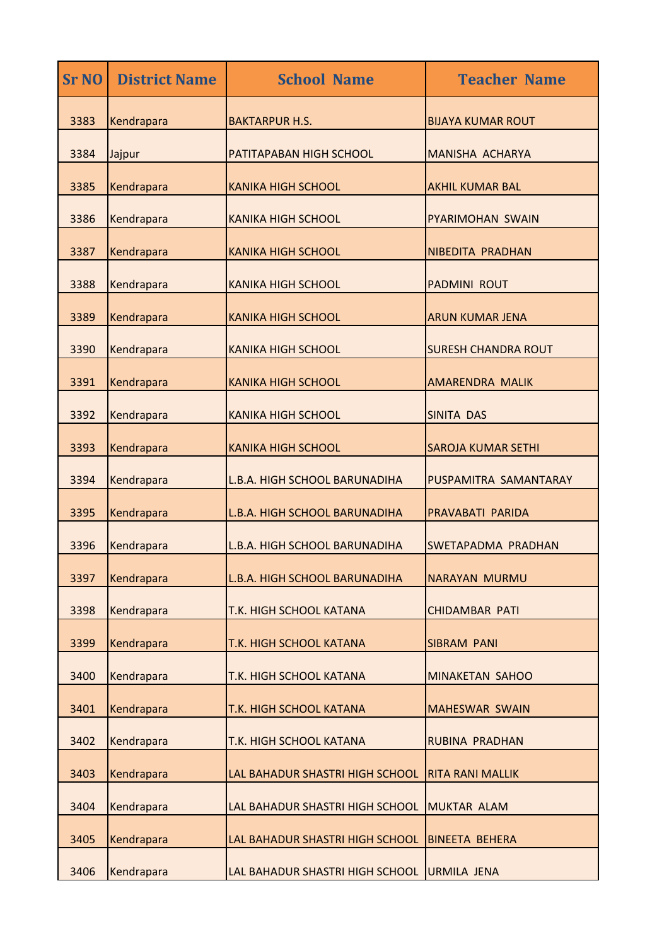| <b>Sr NO</b> | <b>District Name</b> | <b>School Name</b>                          | <b>Teacher Name</b>        |
|--------------|----------------------|---------------------------------------------|----------------------------|
| 3383         | Kendrapara           | <b>BAKTARPUR H.S.</b>                       | <b>BIJAYA KUMAR ROUT</b>   |
| 3384         | Jajpur               | PATITAPABAN HIGH SCHOOL                     | <b>MANISHA ACHARYA</b>     |
| 3385         | Kendrapara           | <b>KANIKA HIGH SCHOOL</b>                   | <b>AKHIL KUMAR BAL</b>     |
| 3386         | Kendrapara           | <b>KANIKA HIGH SCHOOL</b>                   | <b>PYARIMOHAN SWAIN</b>    |
| 3387         | Kendrapara           | <b>KANIKA HIGH SCHOOL</b>                   | <b>NIBEDITA PRADHAN</b>    |
| 3388         | Kendrapara           | <b>KANIKA HIGH SCHOOL</b>                   | <b>PADMINI ROUT</b>        |
| 3389         | Kendrapara           | <b>KANIKA HIGH SCHOOL</b>                   | <b>ARUN KUMAR JENA</b>     |
| 3390         | Kendrapara           | <b>KANIKA HIGH SCHOOL</b>                   | <b>SURESH CHANDRA ROUT</b> |
| 3391         | Kendrapara           | <b>KANIKA HIGH SCHOOL</b>                   | <b>AMARENDRA MALIK</b>     |
| 3392         | Kendrapara           | <b>KANIKA HIGH SCHOOL</b>                   | <b>SINITA DAS</b>          |
| 3393         | Kendrapara           | <b>KANIKA HIGH SCHOOL</b>                   | <b>SAROJA KUMAR SETHI</b>  |
| 3394         | Kendrapara           | L.B.A. HIGH SCHOOL BARUNADIHA               | PUSPAMITRA SAMANTARAY      |
| 3395         | Kendrapara           | L.B.A. HIGH SCHOOL BARUNADIHA               | PRAVABATI PARIDA           |
| 3396         | Kendrapara           | L.B.A. HIGH SCHOOL BARUNADIHA               | SWETAPADMA PRADHAN         |
| 3397         | Kendrapara           | L.B.A. HIGH SCHOOL BARUNADIHA               | <b>NARAYAN MURMU</b>       |
| 3398         | Kendrapara           | T.K. HIGH SCHOOL KATANA                     | <b>CHIDAMBAR PATI</b>      |
| 3399         | Kendrapara           | T.K. HIGH SCHOOL KATANA                     | <b>SIBRAM PANI</b>         |
| 3400         | Kendrapara           | T.K. HIGH SCHOOL KATANA                     | <b>MINAKETAN SAHOO</b>     |
| 3401         | Kendrapara           | T.K. HIGH SCHOOL KATANA                     | <b>MAHESWAR SWAIN</b>      |
| 3402         | Kendrapara           | T.K. HIGH SCHOOL KATANA                     | <b>RUBINA PRADHAN</b>      |
| 3403         | Kendrapara           | LAL BAHADUR SHASTRI HIGH SCHOOL             | <b>RITA RANI MALLIK</b>    |
| 3404         | Kendrapara           | LAL BAHADUR SHASTRI HIGH SCHOOL MUKTAR ALAM |                            |
| 3405         | Kendrapara           | LAL BAHADUR SHASTRI HIGH SCHOOL             | <b>BINEETA BEHERA</b>      |
| 3406         | Kendrapara           | LAL BAHADUR SHASTRI HIGH SCHOOL             | <b>URMILA JENA</b>         |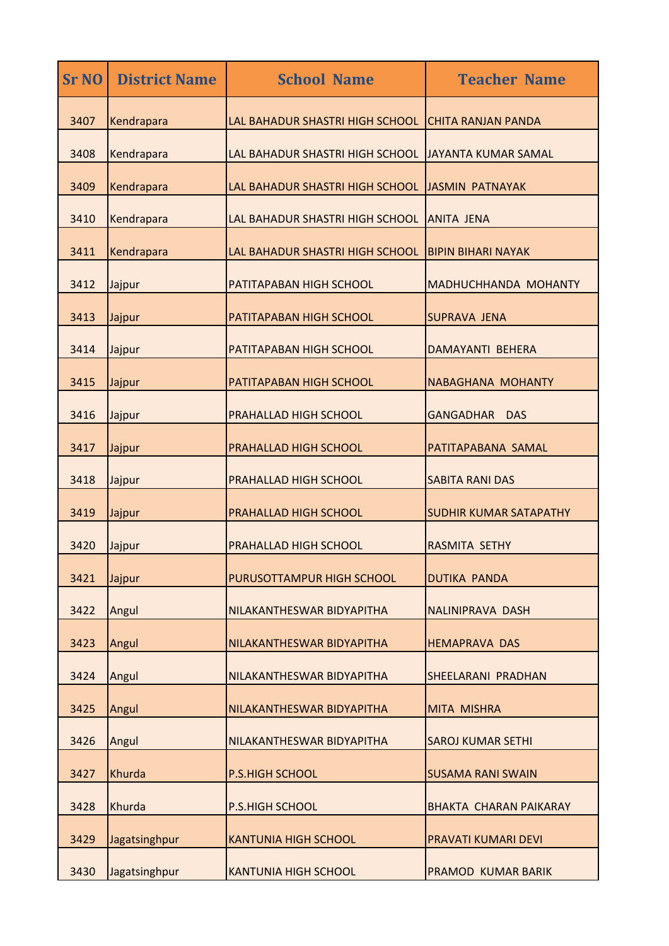| <b>Sr NO</b> | <b>District Name</b> | <b>School Name</b>              | <b>Teacher Name</b>           |
|--------------|----------------------|---------------------------------|-------------------------------|
| 3407         | Kendrapara           | LAL BAHADUR SHASTRI HIGH SCHOOL | <b>CHITA RANJAN PANDA</b>     |
| 3408         | Kendrapara           | LAL BAHADUR SHASTRI HIGH SCHOOL | JAYANTA KUMAR SAMAL           |
| 3409         | Kendrapara           | LAL BAHADUR SHASTRI HIGH SCHOOL | JASMIN PATNAYAK               |
| 3410         | Kendrapara           | LAL BAHADUR SHASTRI HIGH SCHOOL | <b>ANITA JENA</b>             |
| 3411         | Kendrapara           | LAL BAHADUR SHASTRI HIGH SCHOOL | <b>BIPIN BIHARI NAYAK</b>     |
| 3412         | Jajpur               | PATITAPABAN HIGH SCHOOL         | <b>MADHUCHHANDA MOHANTY</b>   |
| 3413         | Jajpur               | PATITAPABAN HIGH SCHOOL         | <b>SUPRAVA JENA</b>           |
| 3414         | Jajpur               | PATITAPABAN HIGH SCHOOL         | <b>DAMAYANTI BEHERA</b>       |
| 3415         | Jajpur               | PATITAPABAN HIGH SCHOOL         | NABAGHANA MOHANTY             |
| 3416         | Jajpur               | PRAHALLAD HIGH SCHOOL           | GANGADHAR<br><b>DAS</b>       |
| 3417         | Jajpur               | PRAHALLAD HIGH SCHOOL           | PATITAPABANA SAMAL            |
| 3418         | Jajpur               | PRAHALLAD HIGH SCHOOL           | <b>SABITA RANI DAS</b>        |
| 3419         | Jajpur               | PRAHALLAD HIGH SCHOOL           | <b>SUDHIR KUMAR SATAPATHY</b> |
| 3420         | Jajpur               | PRAHALLAD HIGH SCHOOL           | <b>RASMITA SETHY</b>          |
| 3421         | Jajpur               | PURUSOTTAMPUR HIGH SCHOOL       | <b>DUTIKA PANDA</b>           |
| 3422         | Angul                | NILAKANTHESWAR BIDYAPITHA       | NALINIPRAVA DASH              |
| 3423         | Angul                | NILAKANTHESWAR BIDYAPITHA       | <b>HEMAPRAVA DAS</b>          |
| 3424         | Angul                | NILAKANTHESWAR BIDYAPITHA       | <b>SHEELARANI PRADHAN</b>     |
| 3425         | Angul                | NILAKANTHESWAR BIDYAPITHA       | <b>MITA MISHRA</b>            |
| 3426         | Angul                | NILAKANTHESWAR BIDYAPITHA       | <b>SAROJ KUMAR SETHI</b>      |
| 3427         | Khurda               | <b>P.S.HIGH SCHOOL</b>          | <b>SUSAMA RANI SWAIN</b>      |
| 3428         | Khurda               | <b>P.S.HIGH SCHOOL</b>          | <b>BHAKTA CHARAN PAIKARAY</b> |
| 3429         | Jagatsinghpur        | <b>KANTUNIA HIGH SCHOOL</b>     | <b>PRAVATI KUMARI DEVI</b>    |
| 3430         | Jagatsinghpur        | <b>KANTUNIA HIGH SCHOOL</b>     | <b>PRAMOD KUMAR BARIK</b>     |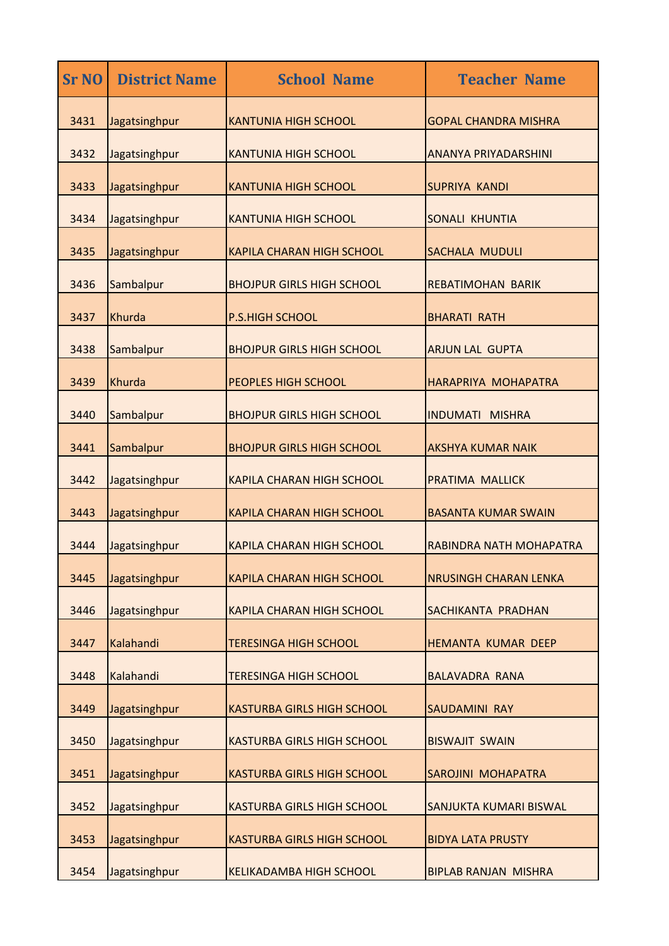| <b>Sr NO</b> | <b>District Name</b> | <b>School Name</b>                | <b>Teacher Name</b>          |
|--------------|----------------------|-----------------------------------|------------------------------|
| 3431         | Jagatsinghpur        | <b>KANTUNIA HIGH SCHOOL</b>       | <b>GOPAL CHANDRA MISHRA</b>  |
| 3432         | Jagatsinghpur        | <b>KANTUNIA HIGH SCHOOL</b>       | <b>ANANYA PRIYADARSHINI</b>  |
| 3433         | Jagatsinghpur        | <b>KANTUNIA HIGH SCHOOL</b>       | <b>SUPRIYA KANDI</b>         |
| 3434         | Jagatsinghpur        | <b>KANTUNIA HIGH SCHOOL</b>       | <b>SONALI KHUNTIA</b>        |
| 3435         | Jagatsinghpur        | <b>KAPILA CHARAN HIGH SCHOOL</b>  | <b>SACHALA MUDULI</b>        |
| 3436         | Sambalpur            | <b>BHOJPUR GIRLS HIGH SCHOOL</b>  | <b>REBATIMOHAN BARIK</b>     |
| 3437         | Khurda               | <b>P.S.HIGH SCHOOL</b>            | <b>BHARATI RATH</b>          |
| 3438         | Sambalpur            | <b>BHOJPUR GIRLS HIGH SCHOOL</b>  | <b>ARJUN LAL GUPTA</b>       |
| 3439         | Khurda               | PEOPLES HIGH SCHOOL               | HARAPRIYA MOHAPATRA          |
| 3440         | Sambalpur            | <b>BHOJPUR GIRLS HIGH SCHOOL</b>  | <b>INDUMATI MISHRA</b>       |
| 3441         | Sambalpur            | <b>BHOJPUR GIRLS HIGH SCHOOL</b>  | <b>AKSHYA KUMAR NAIK</b>     |
| 3442         | Jagatsinghpur        | <b>KAPILA CHARAN HIGH SCHOOL</b>  | PRATIMA MALLICK              |
| 3443         | Jagatsinghpur        | <b>KAPILA CHARAN HIGH SCHOOL</b>  | <b>BASANTA KUMAR SWAIN</b>   |
| 3444         | Jagatsinghpur        | <b>KAPILA CHARAN HIGH SCHOOL</b>  | RABINDRA NATH MOHAPATRA      |
| 3445         | Jagatsinghpur        | <b>KAPILA CHARAN HIGH SCHOOL</b>  | <b>NRUSINGH CHARAN LENKA</b> |
| 3446         | Jagatsinghpur        | <b>KAPILA CHARAN HIGH SCHOOL</b>  | SACHIKANTA PRADHAN           |
| 3447         | Kalahandi            | <b>TERESINGA HIGH SCHOOL</b>      | HEMANTA KUMAR DEEP           |
| 3448         | Kalahandi            | <b>TERESINGA HIGH SCHOOL</b>      | <b>BALAVADRA RANA</b>        |
| 3449         | Jagatsinghpur        | <b>KASTURBA GIRLS HIGH SCHOOL</b> | SAUDAMINI RAY                |
| 3450         | Jagatsinghpur        | <b>KASTURBA GIRLS HIGH SCHOOL</b> | <b>BISWAJIT SWAIN</b>        |
| 3451         | Jagatsinghpur        | <b>KASTURBA GIRLS HIGH SCHOOL</b> | SAROJINI MOHAPATRA           |
| 3452         | Jagatsinghpur        | <b>KASTURBA GIRLS HIGH SCHOOL</b> | SANJUKTA KUMARI BISWAL       |
| 3453         | Jagatsinghpur        | <b>KASTURBA GIRLS HIGH SCHOOL</b> | <b>BIDYA LATA PRUSTY</b>     |
| 3454         | Jagatsinghpur        | <b>KELIKADAMBA HIGH SCHOOL</b>    | <b>BIPLAB RANJAN MISHRA</b>  |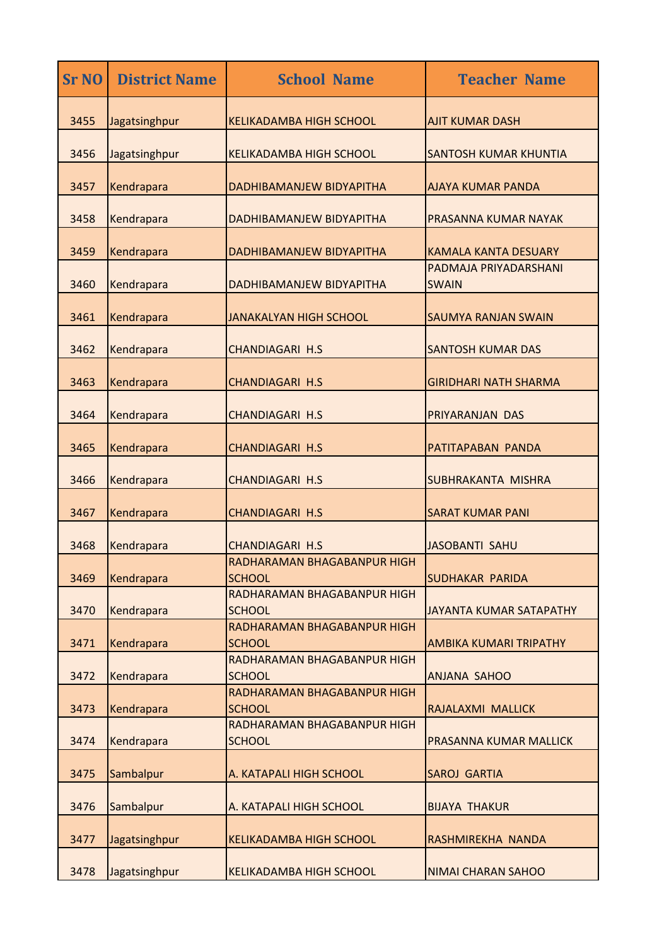| <b>Sr NO</b> | <b>District Name</b> | <b>School Name</b>                           | <b>Teacher Name</b>                   |
|--------------|----------------------|----------------------------------------------|---------------------------------------|
| 3455         | Jagatsinghpur        | <b>KELIKADAMBA HIGH SCHOOL</b>               | <b>AJIT KUMAR DASH</b>                |
| 3456         | Jagatsinghpur        | <b>KELIKADAMBA HIGH SCHOOL</b>               | <b>SANTOSH KUMAR KHUNTIA</b>          |
| 3457         | Kendrapara           | DADHIBAMANJEW BIDYAPITHA                     | <b>AJAYA KUMAR PANDA</b>              |
| 3458         | Kendrapara           | DADHIBAMANJEW BIDYAPITHA                     | <b>PRASANNA KUMAR NAYAK</b>           |
| 3459         | Kendrapara           | DADHIBAMANJEW BIDYAPITHA                     | <b>KAMALA KANTA DESUARY</b>           |
| 3460         | Kendrapara           | DADHIBAMANJEW BIDYAPITHA                     | PADMAJA PRIYADARSHANI<br><b>SWAIN</b> |
| 3461         | Kendrapara           | <b>JANAKALYAN HIGH SCHOOL</b>                | <b>SAUMYA RANJAN SWAIN</b>            |
| 3462         | Kendrapara           | <b>CHANDIAGARI H.S</b>                       | <b>SANTOSH KUMAR DAS</b>              |
| 3463         | Kendrapara           | <b>CHANDIAGARI H.S</b>                       | <b>GIRIDHARI NATH SHARMA</b>          |
| 3464         | Kendrapara           | <b>CHANDIAGARI H.S</b>                       | PRIYARANJAN DAS                       |
| 3465         | Kendrapara           | <b>CHANDIAGARI H.S</b>                       | PATITAPABAN PANDA                     |
| 3466         | Kendrapara           | <b>CHANDIAGARI H.S</b>                       | SUBHRAKANTA MISHRA                    |
| 3467         | Kendrapara           | <b>CHANDIAGARI H.S</b>                       | <b>SARAT KUMAR PANI</b>               |
| 3468         | Kendrapara           | <b>CHANDIAGARI H.S</b>                       | <b>JASOBANTI SAHU</b>                 |
| 3469         | Kendrapara           | RADHARAMAN BHAGABANPUR HIGH<br><b>SCHOOL</b> | <b>SUDHAKAR PARIDA</b>                |
| 3470         | Kendrapara           | RADHARAMAN BHAGABANPUR HIGH<br><b>SCHOOL</b> | JAYANTA KUMAR SATAPATHY               |
| 3471         | Kendrapara           | RADHARAMAN BHAGABANPUR HIGH<br><b>SCHOOL</b> | <b>AMBIKA KUMARI TRIPATHY</b>         |
| 3472         | Kendrapara           | RADHARAMAN BHAGABANPUR HIGH<br><b>SCHOOL</b> | <b>ANJANA SAHOO</b>                   |
| 3473         | Kendrapara           | RADHARAMAN BHAGABANPUR HIGH<br><b>SCHOOL</b> | RAJALAXMI MALLICK                     |
| 3474         | Kendrapara           | RADHARAMAN BHAGABANPUR HIGH<br><b>SCHOOL</b> | <b>PRASANNA KUMAR MALLICK</b>         |
| 3475         | Sambalpur            | A. KATAPALI HIGH SCHOOL                      | <b>SAROJ GARTIA</b>                   |
| 3476         | Sambalpur            | A. KATAPALI HIGH SCHOOL                      | <b>BIJAYA THAKUR</b>                  |
| 3477         | Jagatsinghpur        | <b>KELIKADAMBA HIGH SCHOOL</b>               | RASHMIREKHA NANDA                     |
| 3478         | Jagatsinghpur        | <b>KELIKADAMBA HIGH SCHOOL</b>               | NIMAI CHARAN SAHOO                    |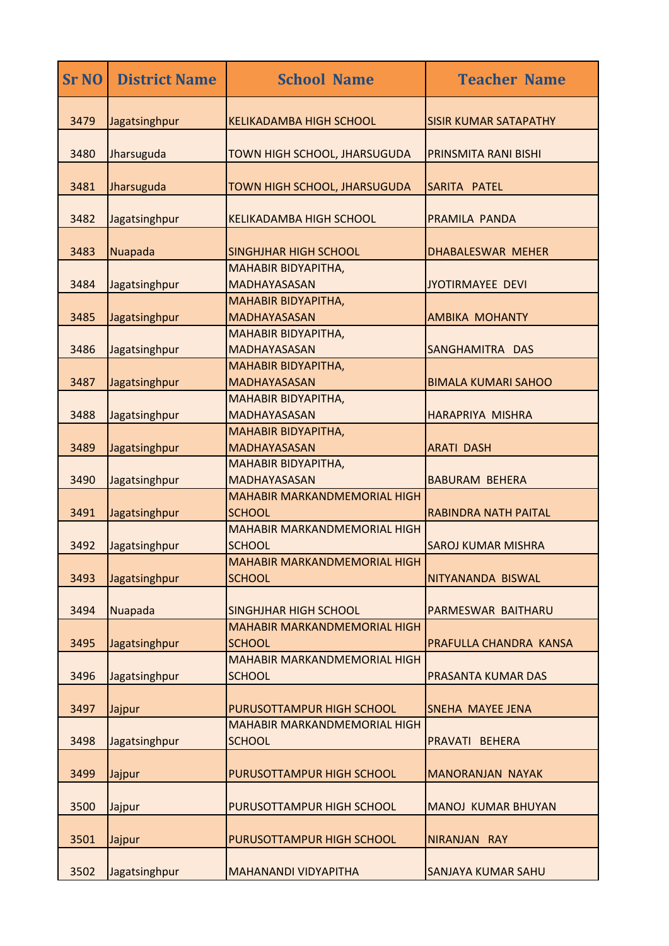| <b>Sr NO</b> | <b>District Name</b> | <b>School Name</b>                                   | <b>Teacher Name</b>           |
|--------------|----------------------|------------------------------------------------------|-------------------------------|
| 3479         | Jagatsinghpur        | <b>KELIKADAMBA HIGH SCHOOL</b>                       | <b>SISIR KUMAR SATAPATHY</b>  |
| 3480         | Jharsuguda           | TOWN HIGH SCHOOL, JHARSUGUDA                         | PRINSMITA RANI BISHI          |
|              |                      |                                                      |                               |
| 3481         | Jharsuguda           | TOWN HIGH SCHOOL, JHARSUGUDA                         | SARITA PATEL                  |
|              |                      |                                                      |                               |
| 3482         | Jagatsinghpur        | <b>KELIKADAMBA HIGH SCHOOL</b>                       | PRAMILA PANDA                 |
|              |                      |                                                      |                               |
| 3483         | Nuapada              | <b>SINGHJHAR HIGH SCHOOL</b>                         | DHABALESWAR MEHER             |
|              |                      | <b>MAHABIR BIDYAPITHA,</b><br>MADHAYASASAN           |                               |
| 3484         | Jagatsinghpur        | <b>MAHABIR BIDYAPITHA,</b>                           | <b>JYOTIRMAYEE DEVI</b>       |
| 3485         | Jagatsinghpur        | <b>MADHAYASASAN</b>                                  | <b>AMBIKA MOHANTY</b>         |
|              |                      | <b>MAHABIR BIDYAPITHA,</b>                           |                               |
| 3486         | Jagatsinghpur        | <b>MADHAYASASAN</b>                                  | SANGHAMITRA DAS               |
|              |                      | <b>MAHABIR BIDYAPITHA,</b>                           |                               |
| 3487         | Jagatsinghpur        | MADHAYASASAN                                         | <b>BIMALA KUMARI SAHOO</b>    |
|              |                      | <b>MAHABIR BIDYAPITHA,</b>                           |                               |
| 3488         | Jagatsinghpur        | <b>MADHAYASASAN</b>                                  | HARAPRIYA MISHRA              |
|              |                      | <b>MAHABIR BIDYAPITHA,</b>                           |                               |
| 3489         | Jagatsinghpur        | MADHAYASASAN                                         | <b>ARATI DASH</b>             |
|              |                      | <b>MAHABIR BIDYAPITHA,</b>                           |                               |
| 3490         | Jagatsinghpur        | <b>MADHAYASASAN</b>                                  | <b>BABURAM BEHERA</b>         |
|              |                      | <b>MAHABIR MARKANDMEMORIAL HIGH</b>                  |                               |
| 3491         | Jagatsinghpur        | <b>SCHOOL</b><br><b>MAHABIR MARKANDMEMORIAL HIGH</b> | <b>RABINDRA NATH PAITAL</b>   |
| 3492         | Jagatsinghpur        | <b>SCHOOL</b>                                        | <b>SAROJ KUMAR MISHRA</b>     |
|              |                      | <b>MAHABIR MARKANDMEMORIAL HIGH</b>                  |                               |
| 3493         | Jagatsinghpur        | <b>SCHOOL</b>                                        | NITYANANDA BISWAL             |
|              |                      |                                                      |                               |
| 3494         | Nuapada              | <b>SINGHJHAR HIGH SCHOOL</b>                         | PARMESWAR BAITHARU            |
|              |                      | <b>MAHABIR MARKANDMEMORIAL HIGH</b>                  |                               |
| 3495         | Jagatsinghpur        | <b>SCHOOL</b>                                        | <b>PRAFULLA CHANDRA KANSA</b> |
|              |                      | <b>MAHABIR MARKANDMEMORIAL HIGH</b>                  |                               |
| 3496         | Jagatsinghpur        | <b>SCHOOL</b>                                        | <b>PRASANTA KUMAR DAS</b>     |
| 3497         | Jajpur               | PURUSOTTAMPUR HIGH SCHOOL                            | SNEHA MAYEE JENA              |
|              |                      | <b>MAHABIR MARKANDMEMORIAL HIGH</b>                  |                               |
| 3498         | Jagatsinghpur        | <b>SCHOOL</b>                                        | PRAVATI BEHERA                |
| 3499         | Jajpur               | PURUSOTTAMPUR HIGH SCHOOL                            | <b>MANORANJAN NAYAK</b>       |
| 3500         | Jajpur               | PURUSOTTAMPUR HIGH SCHOOL                            | <b>MANOJ KUMAR BHUYAN</b>     |
| 3501         | Jajpur               | PURUSOTTAMPUR HIGH SCHOOL                            | NIRANJAN RAY                  |
|              |                      |                                                      |                               |
| 3502         | Jagatsinghpur        | <b>MAHANANDI VIDYAPITHA</b>                          | SANJAYA KUMAR SAHU            |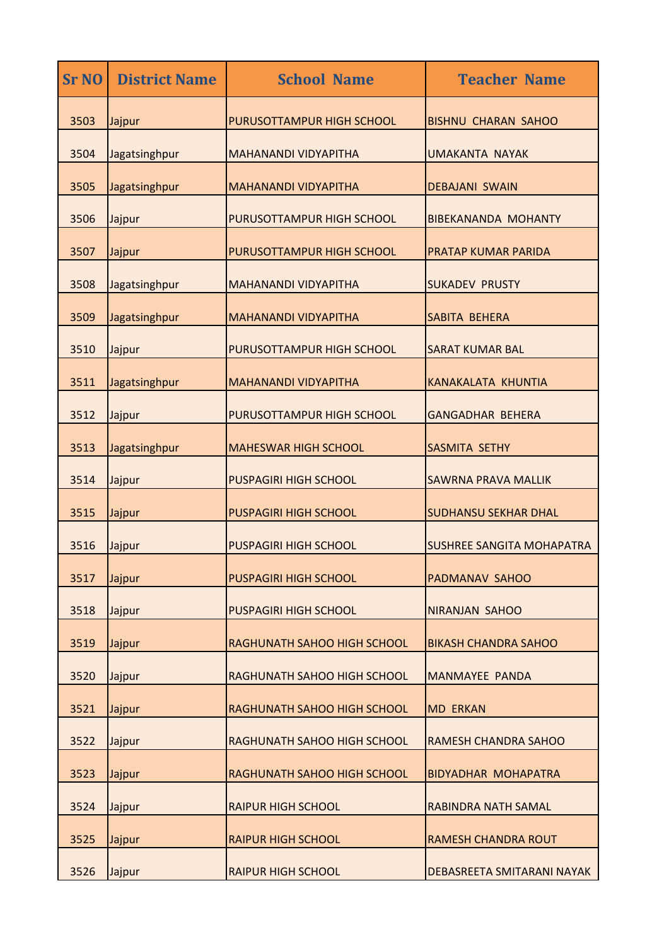| <b>Sr NO</b> | <b>District Name</b> | <b>School Name</b>               | <b>Teacher Name</b>              |
|--------------|----------------------|----------------------------------|----------------------------------|
| 3503         | Jajpur               | PURUSOTTAMPUR HIGH SCHOOL        | <b>BISHNU CHARAN SAHOO</b>       |
| 3504         | Jagatsinghpur        | <b>MAHANANDI VIDYAPITHA</b>      | <b>UMAKANTA NAYAK</b>            |
| 3505         | Jagatsinghpur        | <b>MAHANANDI VIDYAPITHA</b>      | <b>DEBAJANI SWAIN</b>            |
| 3506         | Jajpur               | PURUSOTTAMPUR HIGH SCHOOL        | <b>BIBEKANANDA MOHANTY</b>       |
| 3507         | Jajpur               | PURUSOTTAMPUR HIGH SCHOOL        | <b>PRATAP KUMAR PARIDA</b>       |
| 3508         | Jagatsinghpur        | <b>MAHANANDI VIDYAPITHA</b>      | <b>SUKADEV PRUSTY</b>            |
| 3509         | Jagatsinghpur        | <b>MAHANANDI VIDYAPITHA</b>      | SABITA BEHERA                    |
| 3510         | Jajpur               | PURUSOTTAMPUR HIGH SCHOOL        | <b>SARAT KUMAR BAL</b>           |
| 3511         | Jagatsinghpur        | <b>MAHANANDI VIDYAPITHA</b>      | <b>KANAKALATA KHUNTIA</b>        |
| 3512         | Jajpur               | <b>PURUSOTTAMPUR HIGH SCHOOL</b> | <b>GANGADHAR BEHERA</b>          |
| 3513         | Jagatsinghpur        | <b>MAHESWAR HIGH SCHOOL</b>      | <b>SASMITA SETHY</b>             |
| 3514         | Jajpur               | <b>PUSPAGIRI HIGH SCHOOL</b>     | <b>SAWRNA PRAVA MALLIK</b>       |
| 3515         | Jajpur               | <b>PUSPAGIRI HIGH SCHOOL</b>     | <b>SUDHANSU SEKHAR DHAL</b>      |
| 3516         | Jajpur               | <b>PUSPAGIRI HIGH SCHOOL</b>     | <b>SUSHREE SANGITA MOHAPATRA</b> |
| 3517         | Jajpur               | <b>PUSPAGIRI HIGH SCHOOL</b>     | PADMANAV SAHOO                   |
| 3518         | Jajpur               | <b>PUSPAGIRI HIGH SCHOOL</b>     | <b>NIRANJAN SAHOO</b>            |
| 3519         | Jajpur               | RAGHUNATH SAHOO HIGH SCHOOL      | <b>BIKASH CHANDRA SAHOO</b>      |
| 3520         | Jajpur               | RAGHUNATH SAHOO HIGH SCHOOL      | <b>MANMAYEE PANDA</b>            |
| 3521         | Jajpur               | RAGHUNATH SAHOO HIGH SCHOOL      | <b>MD ERKAN</b>                  |
| 3522         | Jajpur               | RAGHUNATH SAHOO HIGH SCHOOL      | <b>RAMESH CHANDRA SAHOO</b>      |
| 3523         | Jajpur               | RAGHUNATH SAHOO HIGH SCHOOL      | <b>BIDYADHAR MOHAPATRA</b>       |
| 3524         | Jajpur               | <b>RAIPUR HIGH SCHOOL</b>        | <b>RABINDRA NATH SAMAL</b>       |
| 3525         | Jajpur               | <b>RAIPUR HIGH SCHOOL</b>        | <b>RAMESH CHANDRA ROUT</b>       |
| 3526         | Jajpur               | <b>RAIPUR HIGH SCHOOL</b>        | DEBASREETA SMITARANI NAYAK       |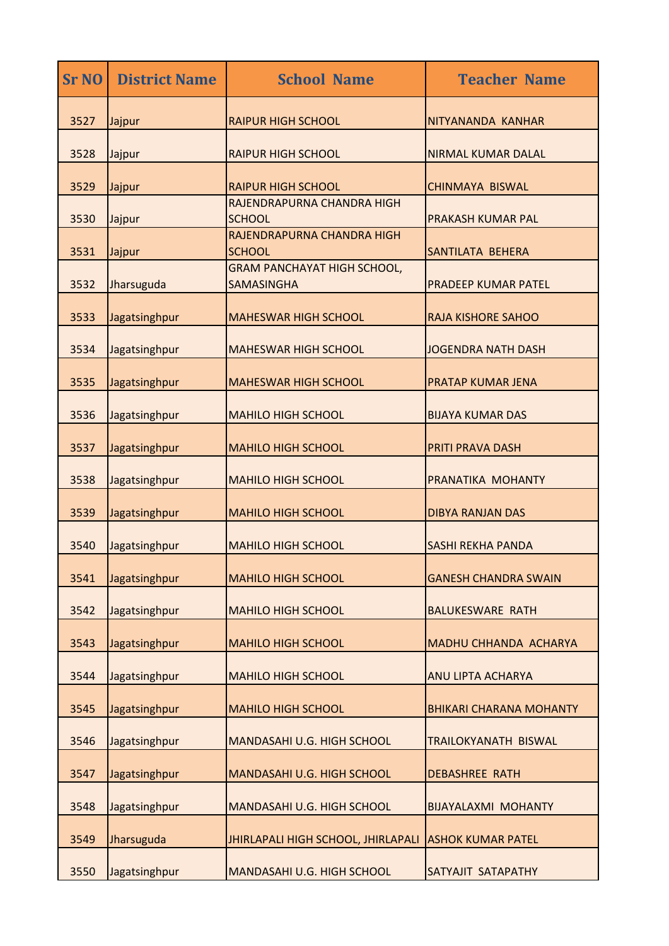| <b>Sr NO</b> | <b>District Name</b> | <b>School Name</b>                                      | <b>Teacher Name</b>            |
|--------------|----------------------|---------------------------------------------------------|--------------------------------|
| 3527         | Jajpur               | <b>RAIPUR HIGH SCHOOL</b>                               | NITYANANDA KANHAR              |
| 3528         | Jajpur               | <b>RAIPUR HIGH SCHOOL</b>                               | <b>NIRMAL KUMAR DALAL</b>      |
| 3529         | Jajpur               | <b>RAIPUR HIGH SCHOOL</b>                               | <b>CHINMAYA BISWAL</b>         |
| 3530         | Jajpur               | RAJENDRAPURNA CHANDRA HIGH<br><b>SCHOOL</b>             | <b>PRAKASH KUMAR PAL</b>       |
| 3531         | Jajpur               | RAJENDRAPURNA CHANDRA HIGH<br><b>SCHOOL</b>             | SANTILATA BEHERA               |
| 3532         | Jharsuguda           | <b>GRAM PANCHAYAT HIGH SCHOOL,</b><br><b>SAMASINGHA</b> | <b>PRADEEP KUMAR PATEL</b>     |
| 3533         | Jagatsinghpur        | <b>MAHESWAR HIGH SCHOOL</b>                             | <b>RAJA KISHORE SAHOO</b>      |
| 3534         | Jagatsinghpur        | <b>MAHESWAR HIGH SCHOOL</b>                             | <b>JOGENDRA NATH DASH</b>      |
| 3535         | Jagatsinghpur        | <b>MAHESWAR HIGH SCHOOL</b>                             | <b>PRATAP KUMAR JENA</b>       |
| 3536         | Jagatsinghpur        | <b>MAHILO HIGH SCHOOL</b>                               | <b>BIJAYA KUMAR DAS</b>        |
| 3537         | Jagatsinghpur        | <b>MAHILO HIGH SCHOOL</b>                               | <b>PRITI PRAVA DASH</b>        |
| 3538         | Jagatsinghpur        | <b>MAHILO HIGH SCHOOL</b>                               | PRANATIKA MOHANTY              |
| 3539         | Jagatsinghpur        | <b>MAHILO HIGH SCHOOL</b>                               | <b>DIBYA RANJAN DAS</b>        |
| 3540         | Jagatsinghpur        | <b>MAHILO HIGH SCHOOL</b>                               | <b>SASHI REKHA PANDA</b>       |
| 3541         | Jagatsinghpur        | <b>MAHILO HIGH SCHOOL</b>                               | <b>GANESH CHANDRA SWAIN</b>    |
| 3542         | Jagatsinghpur        | <b>MAHILO HIGH SCHOOL</b>                               | <b>BALUKESWARE RATH</b>        |
| 3543         | Jagatsinghpur        | <b>MAHILO HIGH SCHOOL</b>                               | <b>MADHU CHHANDA ACHARYA</b>   |
| 3544         | Jagatsinghpur        | <b>MAHILO HIGH SCHOOL</b>                               | <b>ANU LIPTA ACHARYA</b>       |
| 3545         | Jagatsinghpur        | <b>MAHILO HIGH SCHOOL</b>                               | <b>BHIKARI CHARANA MOHANTY</b> |
| 3546         | Jagatsinghpur        | <b>MANDASAHI U.G. HIGH SCHOOL</b>                       | TRAILOKYANATH BISWAL           |
| 3547         | Jagatsinghpur        | <b>MANDASAHI U.G. HIGH SCHOOL</b>                       | <b>DEBASHREE RATH</b>          |
| 3548         | Jagatsinghpur        | <b>MANDASAHI U.G. HIGH SCHOOL</b>                       | <b>BIJAYALAXMI MOHANTY</b>     |
| 3549         | Jharsuguda           | <b>JHIRLAPALI HIGH SCHOOL, JHIRLAPALI</b>               | <b>ASHOK KUMAR PATEL</b>       |
| 3550         | Jagatsinghpur        | <b>MANDASAHI U.G. HIGH SCHOOL</b>                       | <b>SATYAJIT SATAPATHY</b>      |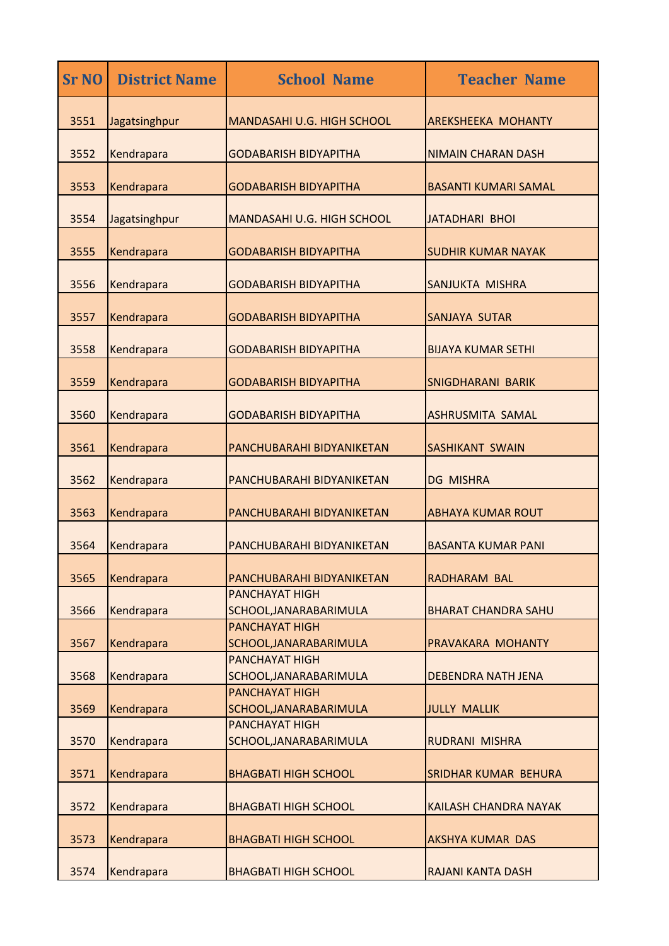| <b>Sr NO</b> | <b>District Name</b> | <b>School Name</b>                              | <b>Teacher Name</b>          |
|--------------|----------------------|-------------------------------------------------|------------------------------|
| 3551         | Jagatsinghpur        | <b>MANDASAHI U.G. HIGH SCHOOL</b>               | <b>AREKSHEEKA MOHANTY</b>    |
| 3552         | Kendrapara           | <b>GODABARISH BIDYAPITHA</b>                    | <b>NIMAIN CHARAN DASH</b>    |
| 3553         | Kendrapara           | <b>GODABARISH BIDYAPITHA</b>                    | <b>BASANTI KUMARI SAMAL</b>  |
| 3554         | Jagatsinghpur        | <b>MANDASAHI U.G. HIGH SCHOOL</b>               | JATADHARI BHOI               |
| 3555         | Kendrapara           | <b>GODABARISH BIDYAPITHA</b>                    | <b>SUDHIR KUMAR NAYAK</b>    |
| 3556         | Kendrapara           | <b>GODABARISH BIDYAPITHA</b>                    | SANJUKTA MISHRA              |
| 3557         | Kendrapara           | <b>GODABARISH BIDYAPITHA</b>                    | <b>SANJAYA SUTAR</b>         |
| 3558         | Kendrapara           | <b>GODABARISH BIDYAPITHA</b>                    | <b>BIJAYA KUMAR SETHI</b>    |
| 3559         | Kendrapara           | <b>GODABARISH BIDYAPITHA</b>                    | SNIGDHARANI BARIK            |
| 3560         | Kendrapara           | <b>GODABARISH BIDYAPITHA</b>                    | <b>ASHRUSMITA SAMAL</b>      |
| 3561         | Kendrapara           | PANCHUBARAHI BIDYANIKETAN                       | <b>SASHIKANT SWAIN</b>       |
| 3562         | Kendrapara           | PANCHUBARAHI BIDYANIKETAN                       | <b>DG MISHRA</b>             |
| 3563         | Kendrapara           | PANCHUBARAHI BIDYANIKETAN                       | <b>ABHAYA KUMAR ROUT</b>     |
| 3564         | Kendrapara           | PANCHUBARAHI BIDYANIKETAN                       | <b>BASANTA KUMAR PANI</b>    |
| 3565         | Kendrapara           | PANCHUBARAHI BIDYANIKETAN                       | RADHARAM BAL                 |
| 3566         | Kendrapara           | <b>PANCHAYAT HIGH</b><br>SCHOOL, JANARABARIMULA | <b>BHARAT CHANDRA SAHU</b>   |
| 3567         | Kendrapara           | <b>PANCHAYAT HIGH</b><br>SCHOOL, JANARABARIMULA | PRAVAKARA MOHANTY            |
| 3568         | Kendrapara           | <b>PANCHAYAT HIGH</b><br>SCHOOL, JANARABARIMULA | <b>DEBENDRA NATH JENA</b>    |
| 3569         | Kendrapara           | <b>PANCHAYAT HIGH</b><br>SCHOOL, JANARABARIMULA | <b>JULLY MALLIK</b>          |
| 3570         | Kendrapara           | <b>PANCHAYAT HIGH</b><br>SCHOOL, JANARABARIMULA | RUDRANI MISHRA               |
| 3571         | Kendrapara           | <b>BHAGBATI HIGH SCHOOL</b>                     | SRIDHAR KUMAR BEHURA         |
| 3572         | Kendrapara           | <b>BHAGBATI HIGH SCHOOL</b>                     | <b>KAILASH CHANDRA NAYAK</b> |
| 3573         | Kendrapara           | <b>BHAGBATI HIGH SCHOOL</b>                     | <b>AKSHYA KUMAR DAS</b>      |
| 3574         | Kendrapara           | <b>BHAGBATI HIGH SCHOOL</b>                     | RAJANI KANTA DASH            |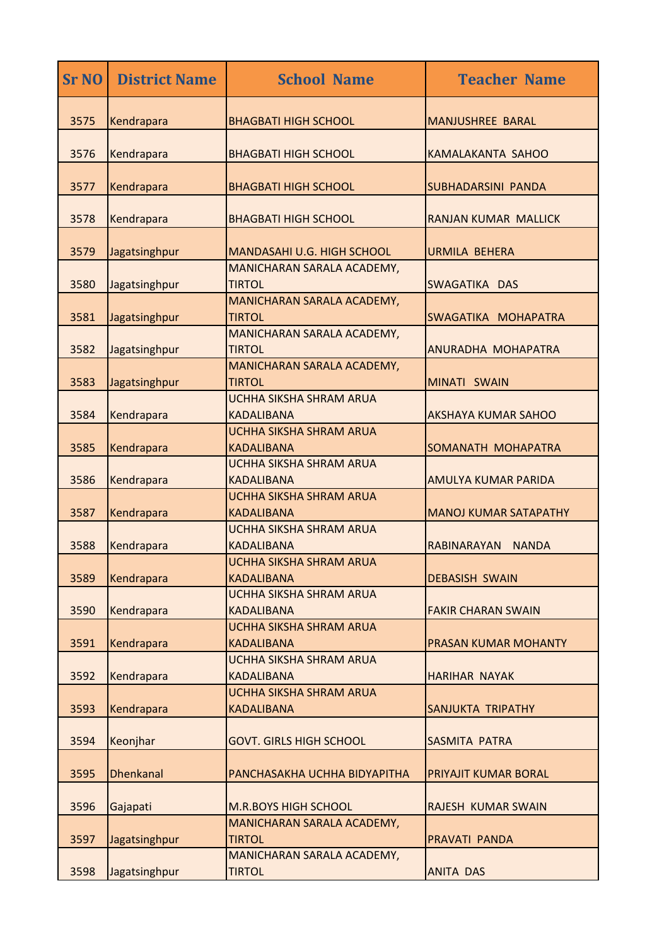| <b>Sr NO</b> | <b>District Name</b> | <b>School Name</b>                                  | <b>Teacher Name</b>          |
|--------------|----------------------|-----------------------------------------------------|------------------------------|
| 3575         | Kendrapara           | <b>BHAGBATI HIGH SCHOOL</b>                         | MANJUSHREE BARAL             |
| 3576         | Kendrapara           | <b>BHAGBATI HIGH SCHOOL</b>                         | <b>KAMALAKANTA SAHOO</b>     |
|              |                      |                                                     |                              |
| 3577         | Kendrapara           | <b>BHAGBATI HIGH SCHOOL</b>                         | <b>SUBHADARSINI PANDA</b>    |
| 3578         | Kendrapara           | <b>BHAGBATI HIGH SCHOOL</b>                         | RANJAN KUMAR MALLICK         |
| 3579         | Jagatsinghpur        | MANDASAHI U.G. HIGH SCHOOL                          | <b>URMILA BEHERA</b>         |
|              |                      | MANICHARAN SARALA ACADEMY,                          |                              |
| 3580         | Jagatsinghpur        | <b>TIRTOL</b>                                       | SWAGATIKA DAS                |
|              |                      | MANICHARAN SARALA ACADEMY,<br><b>TIRTOL</b>         |                              |
| 3581         | Jagatsinghpur        | MANICHARAN SARALA ACADEMY,                          | SWAGATIKA MOHAPATRA          |
| 3582         | Jagatsinghpur        | <b>TIRTOL</b>                                       | ANURADHA MOHAPATRA           |
|              |                      | MANICHARAN SARALA ACADEMY,                          |                              |
| 3583         | Jagatsinghpur        | <b>TIRTOL</b>                                       | MINATI SWAIN                 |
|              |                      | <b>UCHHA SIKSHA SHRAM ARUA</b>                      |                              |
| 3584         | Kendrapara           | <b>KADALIBANA</b><br><b>UCHHA SIKSHA SHRAM ARUA</b> | <b>AKSHAYA KUMAR SAHOO</b>   |
| 3585         | Kendrapara           | <b>KADALIBANA</b>                                   | SOMANATH MOHAPATRA           |
|              |                      | UCHHA SIKSHA SHRAM ARUA                             |                              |
| 3586         | Kendrapara           | <b>KADALIBANA</b>                                   | AMULYA KUMAR PARIDA          |
|              |                      | <b>UCHHA SIKSHA SHRAM ARUA</b>                      |                              |
| 3587         | Kendrapara           | <b>KADALIBANA</b>                                   | <b>MANOJ KUMAR SATAPATHY</b> |
|              |                      | UCHHA SIKSHA SHRAM ARUA                             |                              |
| 3588         | Kendrapara           | <b>KADALIBANA</b>                                   | RABINARAYAN<br><b>NANDA</b>  |
|              |                      | UCHHA SIKSHA SHRAM ARUA                             |                              |
| 3589         | Kendrapara           | <b>KADALIBANA</b><br><b>UCHHA SIKSHA SHRAM ARUA</b> | <b>DEBASISH SWAIN</b>        |
| 3590         | Kendrapara           | <b>KADALIBANA</b>                                   | <b>FAKIR CHARAN SWAIN</b>    |
|              |                      | UCHHA SIKSHA SHRAM ARUA                             |                              |
| 3591         | Kendrapara           | <b>KADALIBANA</b>                                   | PRASAN KUMAR MOHANTY         |
|              |                      | UCHHA SIKSHA SHRAM ARUA                             |                              |
| 3592         | Kendrapara           | <b>KADALIBANA</b>                                   | <b>HARIHAR NAYAK</b>         |
|              |                      | UCHHA SIKSHA SHRAM ARUA                             |                              |
| 3593         | Kendrapara           | <b>KADALIBANA</b>                                   | <b>SANJUKTA TRIPATHY</b>     |
| 3594         | Keonjhar             | <b>GOVT. GIRLS HIGH SCHOOL</b>                      | SASMITA PATRA                |
| 3595         | <b>Dhenkanal</b>     | PANCHASAKHA UCHHA BIDYAPITHA                        | PRIYAJIT KUMAR BORAL         |
| 3596         | Gajapati             | <b>M.R.BOYS HIGH SCHOOL</b>                         | RAJESH KUMAR SWAIN           |
|              |                      | MANICHARAN SARALA ACADEMY,                          |                              |
| 3597         | Jagatsinghpur        | <b>TIRTOL</b>                                       | <b>PRAVATI PANDA</b>         |
|              |                      | MANICHARAN SARALA ACADEMY,                          |                              |
| 3598         | Jagatsinghpur        | <b>TIRTOL</b>                                       | <b>ANITA DAS</b>             |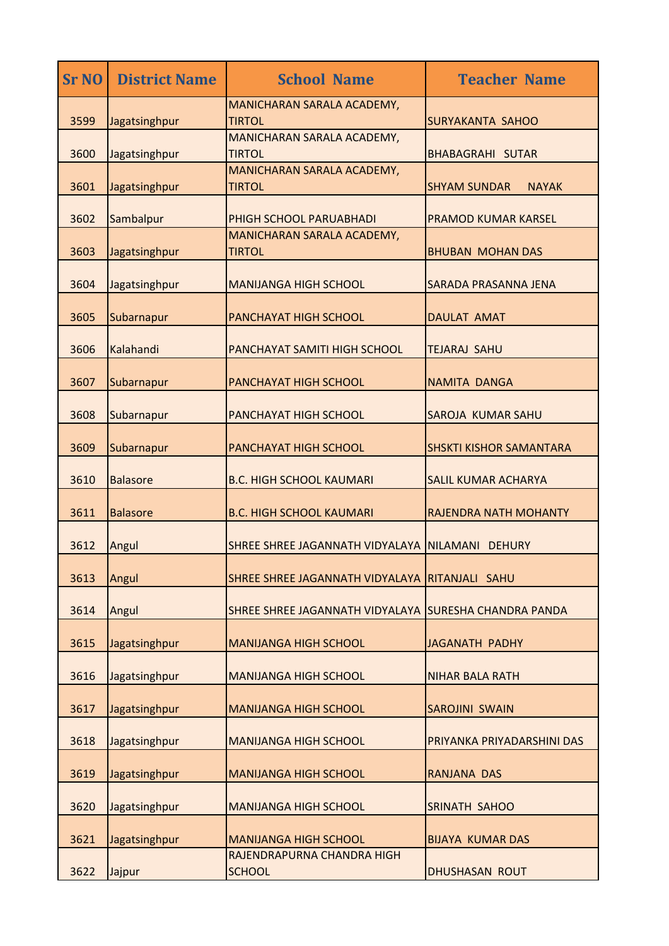| <b>Sr NO</b> | <b>District Name</b> | <b>School Name</b>                             | <b>Teacher Name</b>                 |
|--------------|----------------------|------------------------------------------------|-------------------------------------|
| 3599         | Jagatsinghpur        | MANICHARAN SARALA ACADEMY,<br><b>TIRTOL</b>    | <b>SURYAKANTA SAHOO</b>             |
| 3600         | Jagatsinghpur        | MANICHARAN SARALA ACADEMY,<br><b>TIRTOL</b>    | <b>BHABAGRAHI SUTAR</b>             |
| 3601         | Jagatsinghpur        | MANICHARAN SARALA ACADEMY,<br><b>TIRTOL</b>    | <b>SHYAM SUNDAR</b><br><b>NAYAK</b> |
| 3602         | Sambalpur            | PHIGH SCHOOL PARUABHADI                        | <b>PRAMOD KUMAR KARSEL</b>          |
| 3603         | Jagatsinghpur        | MANICHARAN SARALA ACADEMY,<br><b>TIRTOL</b>    | <b>BHUBAN MOHAN DAS</b>             |
| 3604         | Jagatsinghpur        | <b>MANIJANGA HIGH SCHOOL</b>                   | SARADA PRASANNA JENA                |
| 3605         | Subarnapur           | PANCHAYAT HIGH SCHOOL                          | <b>DAULAT AMAT</b>                  |
| 3606         | Kalahandi            | PANCHAYAT SAMITI HIGH SCHOOL                   | <b>TEJARAJ SAHU</b>                 |
| 3607         | Subarnapur           | PANCHAYAT HIGH SCHOOL                          | NAMITA DANGA                        |
| 3608         | Subarnapur           | PANCHAYAT HIGH SCHOOL                          | <b>SAROJA KUMAR SAHU</b>            |
| 3609         | Subarnapur           | PANCHAYAT HIGH SCHOOL                          | <b>SHSKTI KISHOR SAMANTARA</b>      |
| 3610         | <b>Balasore</b>      | <b>B.C. HIGH SCHOOL KAUMARI</b>                | <b>SALIL KUMAR ACHARYA</b>          |
| 3611         | <b>Balasore</b>      | <b>B.C. HIGH SCHOOL KAUMARI</b>                | <b>RAJENDRA NATH MOHANTY</b>        |
| 3612         | Angul                | SHREE SHREE JAGANNATH VIDYALAYA                | INILAMANI DEHURY                    |
| 3613         | Angul                | SHREE SHREE JAGANNATH VIDYALAYA RITANJALI SAHU |                                     |
| 3614         | Angul                | SHREE SHREE JAGANNATH VIDYALAYA                | <b>SURESHA CHANDRA PANDA</b>        |
| 3615         | Jagatsinghpur        | <b>MANIJANGA HIGH SCHOOL</b>                   | <b>JAGANATH PADHY</b>               |
| 3616         | Jagatsinghpur        | <b>MANIJANGA HIGH SCHOOL</b>                   | <b>NIHAR BALA RATH</b>              |
| 3617         | Jagatsinghpur        | <b>MANIJANGA HIGH SCHOOL</b>                   | <b>SAROJINI SWAIN</b>               |
| 3618         | Jagatsinghpur        | <b>MANIJANGA HIGH SCHOOL</b>                   | PRIYANKA PRIYADARSHINI DAS          |
| 3619         | Jagatsinghpur        | <b>MANIJANGA HIGH SCHOOL</b>                   | <b>RANJANA DAS</b>                  |
| 3620         | Jagatsinghpur        | <b>MANIJANGA HIGH SCHOOL</b>                   | <b>SRINATH SAHOO</b>                |
| 3621         | Jagatsinghpur        | <b>MANIJANGA HIGH SCHOOL</b>                   | <b>BIJAYA KUMAR DAS</b>             |
| 3622         | Jajpur               | RAJENDRAPURNA CHANDRA HIGH<br><b>SCHOOL</b>    | <b>DHUSHASAN ROUT</b>               |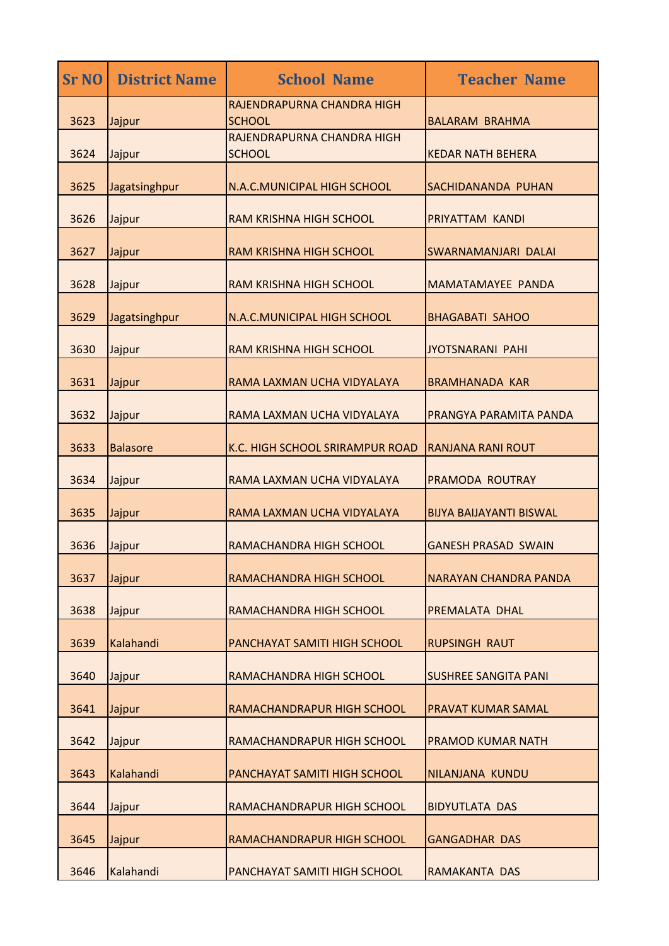| <b>Sr NO</b> | <b>District Name</b> | <b>School Name</b>                          | <b>Teacher Name</b>            |
|--------------|----------------------|---------------------------------------------|--------------------------------|
| 3623         | Jajpur               | RAJENDRAPURNA CHANDRA HIGH<br><b>SCHOOL</b> | <b>BALARAM BRAHMA</b>          |
| 3624         | Jajpur               | RAJENDRAPURNA CHANDRA HIGH<br><b>SCHOOL</b> | <b>KEDAR NATH BEHERA</b>       |
| 3625         | Jagatsinghpur        | N.A.C.MUNICIPAL HIGH SCHOOL                 | <b>SACHIDANANDA PUHAN</b>      |
| 3626         | Jajpur               | <b>RAM KRISHNA HIGH SCHOOL</b>              | <b>PRIYATTAM KANDI</b>         |
| 3627         | Jajpur               | <b>RAM KRISHNA HIGH SCHOOL</b>              | SWARNAMANJARI DALAI            |
| 3628         | Jajpur               | <b>RAM KRISHNA HIGH SCHOOL</b>              | <b>MAMATAMAYEE PANDA</b>       |
| 3629         | Jagatsinghpur        | N.A.C.MUNICIPAL HIGH SCHOOL                 | <b>BHAGABATI SAHOO</b>         |
| 3630         | Jajpur               | <b>RAM KRISHNA HIGH SCHOOL</b>              | <b>JYOTSNARANI PAHI</b>        |
| 3631         | Jajpur               | RAMA LAXMAN UCHA VIDYALAYA                  | <b>BRAMHANADA KAR</b>          |
| 3632         | Jajpur               | RAMA LAXMAN UCHA VIDYALAYA                  | PRANGYA PARAMITA PANDA         |
| 3633         | <b>Balasore</b>      | K.C. HIGH SCHOOL SRIRAMPUR ROAD             | <b>RANJANA RANI ROUT</b>       |
| 3634         | Jajpur               | RAMA LAXMAN UCHA VIDYALAYA                  | <b>PRAMODA ROUTRAY</b>         |
| 3635         | Jajpur               | RAMA LAXMAN UCHA VIDYALAYA                  | <b>BIJYA BAIJAYANTI BISWAL</b> |
| 3636         | Jajpur               | RAMACHANDRA HIGH SCHOOL                     | <b>GANESH PRASAD SWAIN</b>     |
| 3637         | Jajpur               | RAMACHANDRA HIGH SCHOOL                     | NARAYAN CHANDRA PANDA          |
| 3638         | Jajpur               | RAMACHANDRA HIGH SCHOOL                     | PREMALATA DHAL                 |
| 3639         | Kalahandi            | PANCHAYAT SAMITI HIGH SCHOOL                | <b>RUPSINGH RAUT</b>           |
| 3640         | Jajpur               | RAMACHANDRA HIGH SCHOOL                     | <b>SUSHREE SANGITA PANI</b>    |
| 3641         | Jajpur               | <b>RAMACHANDRAPUR HIGH SCHOOL</b>           | <b>PRAVAT KUMAR SAMAL</b>      |
| 3642         | Jajpur               | RAMACHANDRAPUR HIGH SCHOOL                  | <b>PRAMOD KUMAR NATH</b>       |
| 3643         | Kalahandi            | PANCHAYAT SAMITI HIGH SCHOOL                | NILANJANA KUNDU                |
| 3644         | Jajpur               | RAMACHANDRAPUR HIGH SCHOOL                  | <b>BIDYUTLATA DAS</b>          |
| 3645         | Jajpur               | RAMACHANDRAPUR HIGH SCHOOL                  | <b>GANGADHAR DAS</b>           |
| 3646         | Kalahandi            | PANCHAYAT SAMITI HIGH SCHOOL                | RAMAKANTA DAS                  |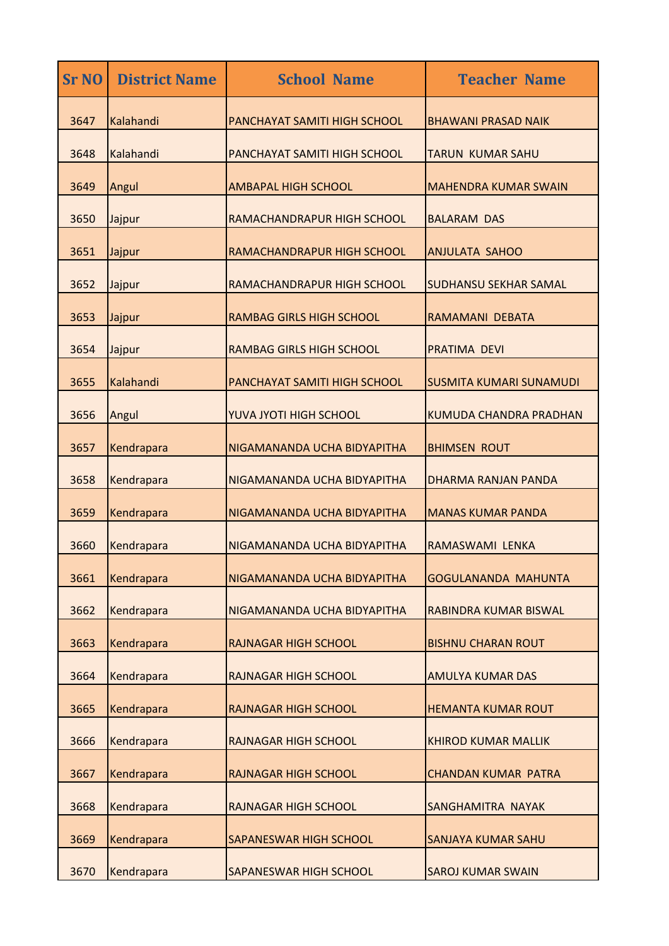| <b>Sr NO</b> | <b>District Name</b> | <b>School Name</b>              | <b>Teacher Name</b>            |
|--------------|----------------------|---------------------------------|--------------------------------|
| 3647         | Kalahandi            | PANCHAYAT SAMITI HIGH SCHOOL    | <b>BHAWANI PRASAD NAIK</b>     |
| 3648         | Kalahandi            | PANCHAYAT SAMITI HIGH SCHOOL    | <b>TARUN KUMAR SAHU</b>        |
| 3649         | Angul                | <b>AMBAPAL HIGH SCHOOL</b>      | <b>MAHENDRA KUMAR SWAIN</b>    |
| 3650         | Jajpur               | RAMACHANDRAPUR HIGH SCHOOL      | <b>BALARAM DAS</b>             |
| 3651         | Jajpur               | RAMACHANDRAPUR HIGH SCHOOL      | <b>ANJULATA SAHOO</b>          |
| 3652         | Jajpur               | RAMACHANDRAPUR HIGH SCHOOL      | <b>SUDHANSU SEKHAR SAMAL</b>   |
| 3653         | Jajpur               | <b>RAMBAG GIRLS HIGH SCHOOL</b> | RAMAMANI DEBATA                |
| 3654         | Jajpur               | <b>RAMBAG GIRLS HIGH SCHOOL</b> | PRATIMA DEVI                   |
| 3655         | Kalahandi            | PANCHAYAT SAMITI HIGH SCHOOL    | <b>SUSMITA KUMARI SUNAMUDI</b> |
| 3656         | Angul                | YUVA JYOTI HIGH SCHOOL          | <b>KUMUDA CHANDRA PRADHAN</b>  |
| 3657         | Kendrapara           | NIGAMANANDA UCHA BIDYAPITHA     | <b>BHIMSEN ROUT</b>            |
| 3658         | Kendrapara           | NIGAMANANDA UCHA BIDYAPITHA     | DHARMA RANJAN PANDA            |
| 3659         | Kendrapara           | NIGAMANANDA UCHA BIDYAPITHA     | <b>MANAS KUMAR PANDA</b>       |
| 3660         | Kendrapara           | NIGAMANANDA UCHA BIDYAPITHA     | RAMASWAMI LENKA                |
| 3661         | Kendrapara           | NIGAMANANDA UCHA BIDYAPITHA     | <b>GOGULANANDA MAHUNTA</b>     |
| 3662         | Kendrapara           | NIGAMANANDA UCHA BIDYAPITHA     | RABINDRA KUMAR BISWAL          |
| 3663         | Kendrapara           | <b>RAJNAGAR HIGH SCHOOL</b>     | <b>BISHNU CHARAN ROUT</b>      |
| 3664         | Kendrapara           | <b>RAJNAGAR HIGH SCHOOL</b>     | <b>AMULYA KUMAR DAS</b>        |
| 3665         | Kendrapara           | <b>RAJNAGAR HIGH SCHOOL</b>     | <b>HEMANTA KUMAR ROUT</b>      |
| 3666         | Kendrapara           | <b>RAJNAGAR HIGH SCHOOL</b>     | <b>KHIROD KUMAR MALLIK</b>     |
| 3667         | Kendrapara           | <b>RAJNAGAR HIGH SCHOOL</b>     | <b>CHANDAN KUMAR PATRA</b>     |
| 3668         | Kendrapara           | <b>RAJNAGAR HIGH SCHOOL</b>     | SANGHAMITRA NAYAK              |
| 3669         | Kendrapara           | SAPANESWAR HIGH SCHOOL          | <b>SANJAYA KUMAR SAHU</b>      |
| 3670         | Kendrapara           | SAPANESWAR HIGH SCHOOL          | <b>SAROJ KUMAR SWAIN</b>       |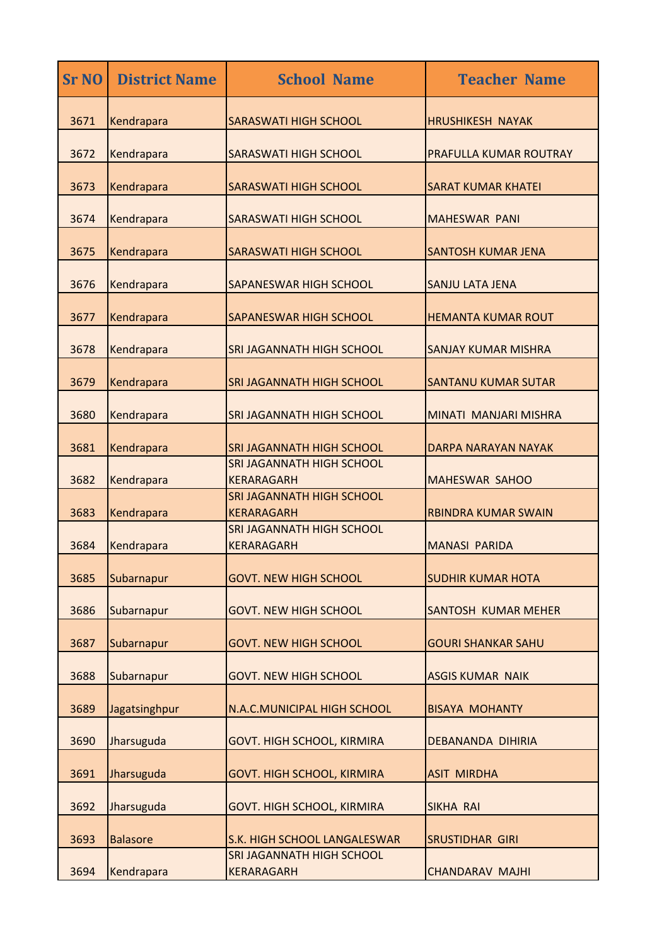| <b>Sr NO</b> | <b>District Name</b> | <b>School Name</b>                                    | <b>Teacher Name</b>           |
|--------------|----------------------|-------------------------------------------------------|-------------------------------|
| 3671         | Kendrapara           | <b>SARASWATI HIGH SCHOOL</b>                          | <b>HRUSHIKESH NAYAK</b>       |
| 3672         | Kendrapara           | <b>SARASWATI HIGH SCHOOL</b>                          | <b>PRAFULLA KUMAR ROUTRAY</b> |
| 3673         | Kendrapara           | <b>SARASWATI HIGH SCHOOL</b>                          | <b>SARAT KUMAR KHATEI</b>     |
| 3674         | Kendrapara           | <b>SARASWATI HIGH SCHOOL</b>                          | <b>MAHESWAR PANI</b>          |
| 3675         | Kendrapara           | <b>SARASWATI HIGH SCHOOL</b>                          | <b>SANTOSH KUMAR JENA</b>     |
| 3676         | Kendrapara           | SAPANESWAR HIGH SCHOOL                                | <b>SANJU LATA JENA</b>        |
| 3677         | Kendrapara           | <b>SAPANESWAR HIGH SCHOOL</b>                         | <b>HEMANTA KUMAR ROUT</b>     |
| 3678         | Kendrapara           | SRI JAGANNATH HIGH SCHOOL                             | <b>SANJAY KUMAR MISHRA</b>    |
| 3679         | Kendrapara           | SRI JAGANNATH HIGH SCHOOL                             | <b>SANTANU KUMAR SUTAR</b>    |
| 3680         | Kendrapara           | SRI JAGANNATH HIGH SCHOOL                             | MINATI MANJARI MISHRA         |
| 3681         | Kendrapara           | <b>SRI JAGANNATH HIGH SCHOOL</b>                      | DARPA NARAYAN NAYAK           |
| 3682         | Kendrapara           | <b>SRI JAGANNATH HIGH SCHOOL</b><br><b>KERARAGARH</b> | <b>MAHESWAR SAHOO</b>         |
| 3683         | Kendrapara           | <b>SRI JAGANNATH HIGH SCHOOL</b><br><b>KERARAGARH</b> | <b>RBINDRA KUMAR SWAIN</b>    |
| 3684         | Kendrapara           | SRI JAGANNATH HIGH SCHOOL<br><b>KERARAGARH</b>        | <b>MANASI PARIDA</b>          |
| 3685         |                      | <b>GOVT. NEW HIGH SCHOOL</b>                          | <b>SUDHIR KUMAR HOTA</b>      |
|              | Subarnapur           |                                                       |                               |
| 3686         | Subarnapur           | <b>GOVT. NEW HIGH SCHOOL</b>                          | <b>SANTOSH KUMAR MEHER</b>    |
| 3687         | Subarnapur           | <b>GOVT. NEW HIGH SCHOOL</b>                          | <b>GOURI SHANKAR SAHU</b>     |
| 3688         | Subarnapur           | <b>GOVT. NEW HIGH SCHOOL</b>                          | <b>ASGIS KUMAR NAIK</b>       |
| 3689         | Jagatsinghpur        | N.A.C.MUNICIPAL HIGH SCHOOL                           | <b>BISAYA MOHANTY</b>         |
| 3690         | Jharsuguda           | <b>GOVT. HIGH SCHOOL, KIRMIRA</b>                     | <b>DEBANANDA DIHIRIA</b>      |
| 3691         | Jharsuguda           | <b>GOVT. HIGH SCHOOL, KIRMIRA</b>                     | <b>ASIT MIRDHA</b>            |
| 3692         | Jharsuguda           | <b>GOVT. HIGH SCHOOL, KIRMIRA</b>                     | <b>SIKHA RAI</b>              |
| 3693         | <b>Balasore</b>      | S.K. HIGH SCHOOL LANGALESWAR                          | <b>SRUSTIDHAR GIRI</b>        |
| 3694         | Kendrapara           | SRI JAGANNATH HIGH SCHOOL<br><b>KERARAGARH</b>        | <b>CHANDARAV MAJHI</b>        |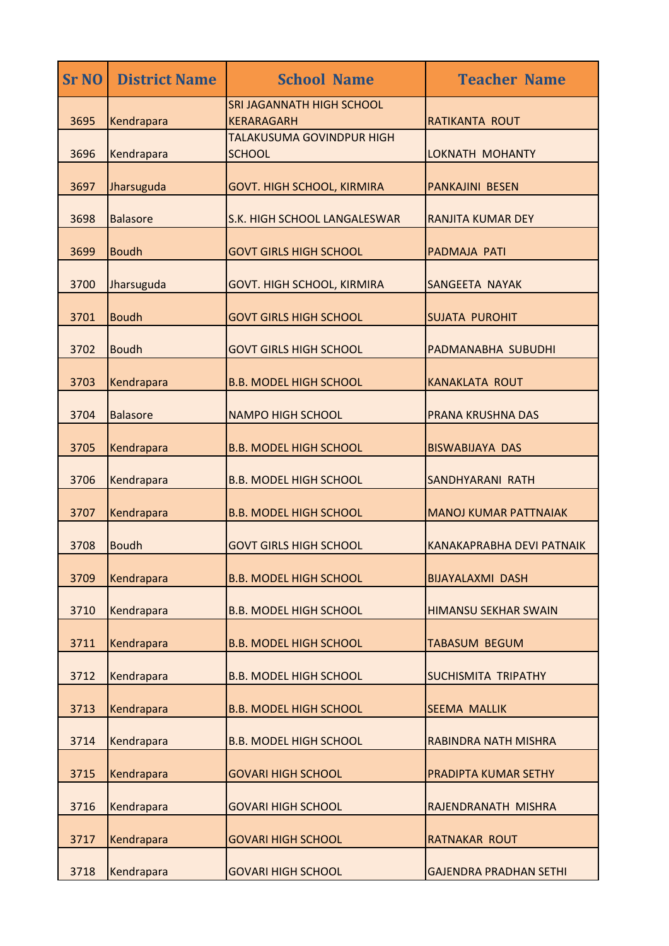| <b>Sr NO</b> | <b>District Name</b> | <b>School Name</b>                                    | <b>Teacher Name</b>           |
|--------------|----------------------|-------------------------------------------------------|-------------------------------|
| 3695         | Kendrapara           | <b>SRI JAGANNATH HIGH SCHOOL</b><br><b>KERARAGARH</b> | RATIKANTA ROUT                |
| 3696         | Kendrapara           | TALAKUSUMA GOVINDPUR HIGH<br><b>SCHOOL</b>            | <b>LOKNATH MOHANTY</b>        |
| 3697         | Jharsuguda           | <b>GOVT. HIGH SCHOOL, KIRMIRA</b>                     | <b>PANKAJINI BESEN</b>        |
| 3698         | <b>Balasore</b>      | S.K. HIGH SCHOOL LANGALESWAR                          | <b>RANJITA KUMAR DEY</b>      |
| 3699         | <b>Boudh</b>         | <b>GOVT GIRLS HIGH SCHOOL</b>                         | PADMAJA PATI                  |
| 3700         | Jharsuguda           | <b>GOVT. HIGH SCHOOL, KIRMIRA</b>                     | SANGEETA NAYAK                |
| 3701         | <b>Boudh</b>         | <b>GOVT GIRLS HIGH SCHOOL</b>                         | <b>SUJATA PUROHIT</b>         |
| 3702         | <b>Boudh</b>         | <b>GOVT GIRLS HIGH SCHOOL</b>                         | PADMANABHA SUBUDHI            |
| 3703         | Kendrapara           | <b>B.B. MODEL HIGH SCHOOL</b>                         | <b>KANAKLATA ROUT</b>         |
| 3704         | <b>Balasore</b>      | <b>NAMPO HIGH SCHOOL</b>                              | PRANA KRUSHNA DAS             |
| 3705         | Kendrapara           | <b>B.B. MODEL HIGH SCHOOL</b>                         | <b>BISWABIJAYA DAS</b>        |
| 3706         | Kendrapara           | <b>B.B. MODEL HIGH SCHOOL</b>                         | SANDHYARANI RATH              |
| 3707         | Kendrapara           | <b>B.B. MODEL HIGH SCHOOL</b>                         | <b>MANOJ KUMAR PATTNAIAK</b>  |
| 3708         | <b>Boudh</b>         | <b>GOVT GIRLS HIGH SCHOOL</b>                         | KANAKAPRABHA DEVI PATNAIK     |
| 3709         | Kendrapara           | <b>B.B. MODEL HIGH SCHOOL</b>                         | <b>BIJAYALAXMI DASH</b>       |
| 3710         | Kendrapara           | <b>B.B. MODEL HIGH SCHOOL</b>                         | <b>HIMANSU SEKHAR SWAIN</b>   |
| 3711         | Kendrapara           | <b>B.B. MODEL HIGH SCHOOL</b>                         | <b>TABASUM BEGUM</b>          |
| 3712         | Kendrapara           | <b>B.B. MODEL HIGH SCHOOL</b>                         | <b>SUCHISMITA TRIPATHY</b>    |
| 3713         | Kendrapara           | <b>B.B. MODEL HIGH SCHOOL</b>                         | <b>SEEMA MALLIK</b>           |
| 3714         | Kendrapara           | <b>B.B. MODEL HIGH SCHOOL</b>                         | <b>RABINDRA NATH MISHRA</b>   |
| 3715         | Kendrapara           | <b>GOVARI HIGH SCHOOL</b>                             | PRADIPTA KUMAR SETHY          |
| 3716         | Kendrapara           | <b>GOVARI HIGH SCHOOL</b>                             | RAJENDRANATH MISHRA           |
| 3717         | Kendrapara           | <b>GOVARI HIGH SCHOOL</b>                             | <b>RATNAKAR ROUT</b>          |
| 3718         | Kendrapara           | <b>GOVARI HIGH SCHOOL</b>                             | <b>GAJENDRA PRADHAN SETHI</b> |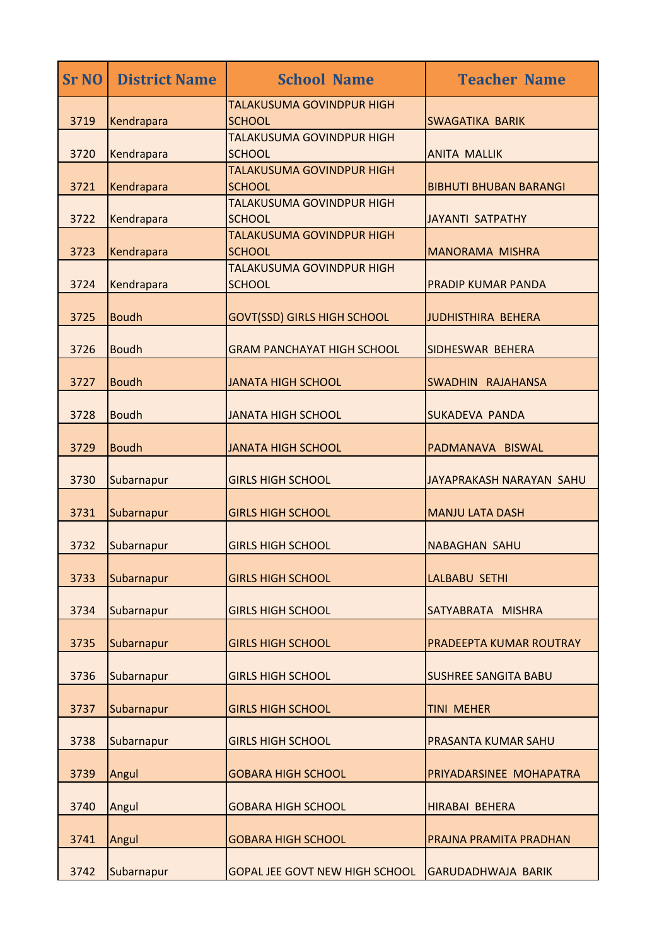| <b>Sr NO</b> | <b>District Name</b> | <b>School Name</b>                         | <b>Teacher Name</b>           |
|--------------|----------------------|--------------------------------------------|-------------------------------|
| 3719         | Kendrapara           | TALAKUSUMA GOVINDPUR HIGH<br><b>SCHOOL</b> | <b>SWAGATIKA BARIK</b>        |
| 3720         | Kendrapara           | TALAKUSUMA GOVINDPUR HIGH<br><b>SCHOOL</b> | <b>ANITA MALLIK</b>           |
| 3721         | Kendrapara           | TALAKUSUMA GOVINDPUR HIGH<br><b>SCHOOL</b> | <b>BIBHUTI BHUBAN BARANGI</b> |
| 3722         | Kendrapara           | TALAKUSUMA GOVINDPUR HIGH<br><b>SCHOOL</b> | <b>JAYANTI SATPATHY</b>       |
| 3723         | Kendrapara           | TALAKUSUMA GOVINDPUR HIGH<br><b>SCHOOL</b> | <b>MANORAMA MISHRA</b>        |
| 3724         | Kendrapara           | TALAKUSUMA GOVINDPUR HIGH<br><b>SCHOOL</b> | <b>PRADIP KUMAR PANDA</b>     |
| 3725         | <b>Boudh</b>         | <b>GOVT(SSD) GIRLS HIGH SCHOOL</b>         | <b>JUDHISTHIRA BEHERA</b>     |
| 3726         | <b>Boudh</b>         | <b>GRAM PANCHAYAT HIGH SCHOOL</b>          | SIDHESWAR BEHERA              |
| 3727         | <b>Boudh</b>         | <b>JANATA HIGH SCHOOL</b>                  | SWADHIN RAJAHANSA             |
| 3728         | <b>Boudh</b>         | <b>JANATA HIGH SCHOOL</b>                  | <b>SUKADEVA PANDA</b>         |
| 3729         | <b>Boudh</b>         | <b>JANATA HIGH SCHOOL</b>                  | PADMANAVA BISWAL              |
| 3730         | Subarnapur           | <b>GIRLS HIGH SCHOOL</b>                   | JAYAPRAKASH NARAYAN SAHU      |
| 3731         | Subarnapur           | <b>GIRLS HIGH SCHOOL</b>                   | <b>MANJU LATA DASH</b>        |
| 3732         | Subarnapur           | <b>GIRLS HIGH SCHOOL</b>                   | <b>NABAGHAN SAHU</b>          |
| 3733         | Subarnapur           | <b>GIRLS HIGH SCHOOL</b>                   | <b>LALBABU SETHI</b>          |
| 3734         | Subarnapur           | <b>GIRLS HIGH SCHOOL</b>                   | SATYABRATA MISHRA             |
| 3735         | Subarnapur           | <b>GIRLS HIGH SCHOOL</b>                   | PRADEEPTA KUMAR ROUTRAY       |
| 3736         | Subarnapur           | <b>GIRLS HIGH SCHOOL</b>                   | <b>SUSHREE SANGITA BABU</b>   |
| 3737         | Subarnapur           | <b>GIRLS HIGH SCHOOL</b>                   | <b>TINI MEHER</b>             |
| 3738         | Subarnapur           | <b>GIRLS HIGH SCHOOL</b>                   | PRASANTA KUMAR SAHU           |
| 3739         | Angul                | <b>GOBARA HIGH SCHOOL</b>                  | PRIYADARSINEE MOHAPATRA       |
| 3740         | Angul                | <b>GOBARA HIGH SCHOOL</b>                  | <b>HIRABAI BEHERA</b>         |
| 3741         | Angul                | <b>GOBARA HIGH SCHOOL</b>                  | PRAJNA PRAMITA PRADHAN        |
| 3742         | Subarnapur           | GOPAL JEE GOVT NEW HIGH SCHOOL             | <b>GARUDADHWAJA BARIK</b>     |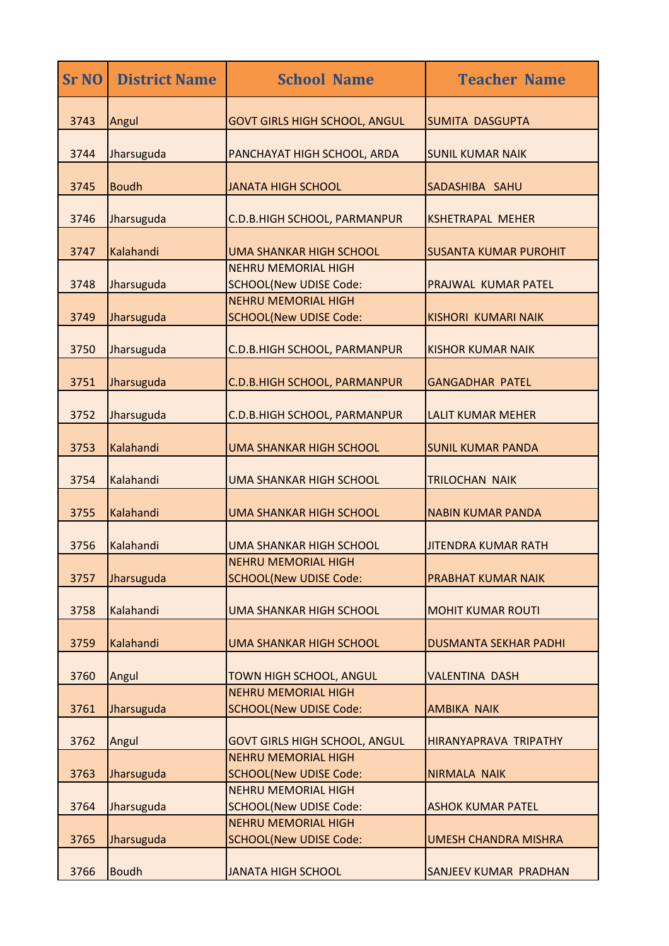| <b>District Name</b> | <b>School Name</b>                                                                                                          | <b>Teacher Name</b>                                                                                                                                                                                                                                                                                                                                                          |
|----------------------|-----------------------------------------------------------------------------------------------------------------------------|------------------------------------------------------------------------------------------------------------------------------------------------------------------------------------------------------------------------------------------------------------------------------------------------------------------------------------------------------------------------------|
| Angul                | <b>GOVT GIRLS HIGH SCHOOL, ANGUL</b>                                                                                        | <b>SUMITA DASGUPTA</b>                                                                                                                                                                                                                                                                                                                                                       |
| Jharsuguda           | PANCHAYAT HIGH SCHOOL, ARDA                                                                                                 | <b>SUNIL KUMAR NAIK</b>                                                                                                                                                                                                                                                                                                                                                      |
| <b>Boudh</b>         | <b>JANATA HIGH SCHOOL</b>                                                                                                   | <b>SADASHIBA SAHU</b>                                                                                                                                                                                                                                                                                                                                                        |
| Jharsuguda           | <b>C.D.B.HIGH SCHOOL, PARMANPUR</b>                                                                                         | <b>KSHETRAPAL MEHER</b>                                                                                                                                                                                                                                                                                                                                                      |
| Kalahandi            | <b>UMA SHANKAR HIGH SCHOOL</b>                                                                                              | <b>SUSANTA KUMAR PUROHIT</b>                                                                                                                                                                                                                                                                                                                                                 |
| Jharsuguda           | <b>NEHRU MEMORIAL HIGH</b><br><b>SCHOOL(New UDISE Code:</b>                                                                 | PRAJWAL KUMAR PATEL                                                                                                                                                                                                                                                                                                                                                          |
| Jharsuguda           | <b>NEHRU MEMORIAL HIGH</b><br><b>SCHOOL(New UDISE Code:</b>                                                                 | <b>KISHORI KUMARI NAIK</b>                                                                                                                                                                                                                                                                                                                                                   |
| Jharsuguda           | <b>C.D.B.HIGH SCHOOL, PARMANPUR</b>                                                                                         | <b>KISHOR KUMAR NAIK</b>                                                                                                                                                                                                                                                                                                                                                     |
| Jharsuguda           | <b>C.D.B.HIGH SCHOOL, PARMANPUR</b>                                                                                         | <b>GANGADHAR PATEL</b>                                                                                                                                                                                                                                                                                                                                                       |
| Jharsuguda           | <b>C.D.B.HIGH SCHOOL, PARMANPUR</b>                                                                                         | <b>LALIT KUMAR MEHER</b>                                                                                                                                                                                                                                                                                                                                                     |
| Kalahandi            | <b>UMA SHANKAR HIGH SCHOOL</b>                                                                                              | <b>SUNIL KUMAR PANDA</b>                                                                                                                                                                                                                                                                                                                                                     |
| Kalahandi            |                                                                                                                             | <b>TRILOCHAN NAIK</b>                                                                                                                                                                                                                                                                                                                                                        |
| Kalahandi            | <b>UMA SHANKAR HIGH SCHOOL</b>                                                                                              | <b>NABIN KUMAR PANDA</b>                                                                                                                                                                                                                                                                                                                                                     |
|                      |                                                                                                                             | <b>JITENDRA KUMAR RATH</b>                                                                                                                                                                                                                                                                                                                                                   |
|                      | NEHRU MEMORIAL HIGH                                                                                                         | <b>PRABHAT KUMAR NAIK</b>                                                                                                                                                                                                                                                                                                                                                    |
|                      |                                                                                                                             | <b>MOHIT KUMAR ROUTI</b>                                                                                                                                                                                                                                                                                                                                                     |
|                      |                                                                                                                             | <b>DUSMANTA SEKHAR PADHI</b>                                                                                                                                                                                                                                                                                                                                                 |
|                      |                                                                                                                             | <b>VALENTINA DASH</b>                                                                                                                                                                                                                                                                                                                                                        |
|                      | <b>NEHRU MEMORIAL HIGH</b>                                                                                                  | <b>AMBIKA NAIK</b>                                                                                                                                                                                                                                                                                                                                                           |
|                      |                                                                                                                             | <b>HIRANYAPRAVA TRIPATHY</b>                                                                                                                                                                                                                                                                                                                                                 |
|                      | <b>NEHRU MEMORIAL HIGH</b>                                                                                                  | <b>NIRMALA NAIK</b>                                                                                                                                                                                                                                                                                                                                                          |
|                      | <b>NEHRU MEMORIAL HIGH</b>                                                                                                  |                                                                                                                                                                                                                                                                                                                                                                              |
|                      | <b>NEHRU MEMORIAL HIGH</b>                                                                                                  | <b>ASHOK KUMAR PATEL</b>                                                                                                                                                                                                                                                                                                                                                     |
| <b>Boudh</b>         | <b>JANATA HIGH SCHOOL</b>                                                                                                   | <b>UMESH CHANDRA MISHRA</b><br><b>SANJEEV KUMAR PRADHAN</b>                                                                                                                                                                                                                                                                                                                  |
|                      | Kalahandi<br>Jharsuguda<br>Kalahandi<br>Kalahandi<br>Angul<br>Jharsuguda<br>Angul<br>Jharsuguda<br>Jharsuguda<br>Jharsuguda | <b>UMA SHANKAR HIGH SCHOOL</b><br><b>UMA SHANKAR HIGH SCHOOL</b><br><b>SCHOOL(New UDISE Code:</b><br><b>UMA SHANKAR HIGH SCHOOL</b><br><b>UMA SHANKAR HIGH SCHOOL</b><br>TOWN HIGH SCHOOL, ANGUL<br><b>SCHOOL(New UDISE Code:</b><br><b>GOVT GIRLS HIGH SCHOOL, ANGUL</b><br><b>SCHOOL(New UDISE Code:</b><br><b>SCHOOL(New UDISE Code:</b><br><b>SCHOOL(New UDISE Code:</b> |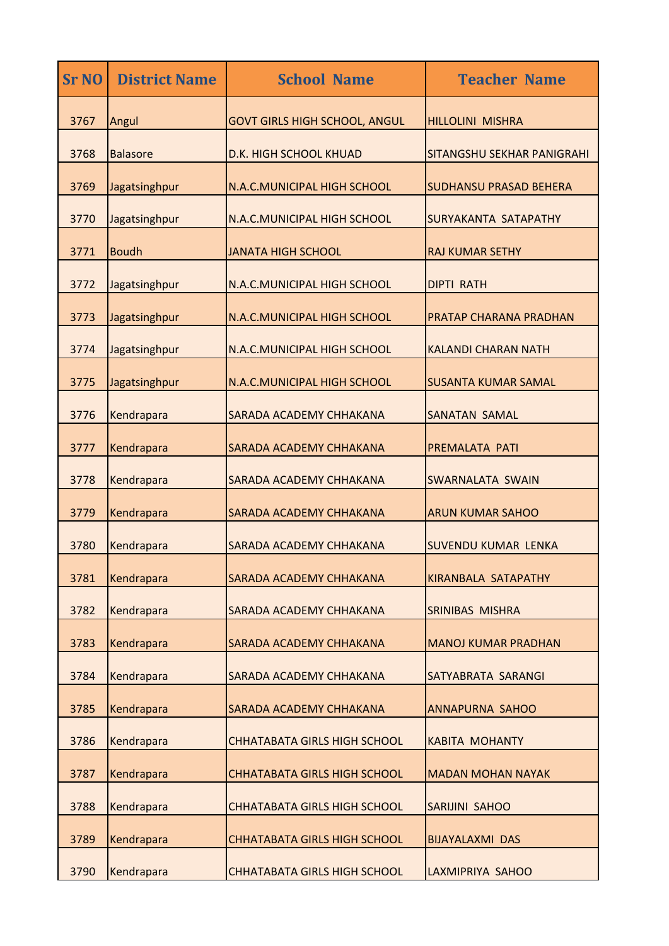| <b>Sr NO</b> | <b>District Name</b> | <b>School Name</b>                   | <b>Teacher Name</b>           |
|--------------|----------------------|--------------------------------------|-------------------------------|
| 3767         | Angul                | <b>GOVT GIRLS HIGH SCHOOL, ANGUL</b> | <b>HILLOLINI MISHRA</b>       |
| 3768         | <b>Balasore</b>      | D.K. HIGH SCHOOL KHUAD               | SITANGSHU SEKHAR PANIGRAHI    |
| 3769         | Jagatsinghpur        | N.A.C.MUNICIPAL HIGH SCHOOL          | <b>SUDHANSU PRASAD BEHERA</b> |
| 3770         | Jagatsinghpur        | N.A.C.MUNICIPAL HIGH SCHOOL          | <b>SURYAKANTA SATAPATHY</b>   |
| 3771         | <b>Boudh</b>         | <b>JANATA HIGH SCHOOL</b>            | <b>RAJ KUMAR SETHY</b>        |
| 3772         | Jagatsinghpur        | N.A.C.MUNICIPAL HIGH SCHOOL          | <b>DIPTI RATH</b>             |
| 3773         | Jagatsinghpur        | N.A.C.MUNICIPAL HIGH SCHOOL          | <b>PRATAP CHARANA PRADHAN</b> |
| 3774         | Jagatsinghpur        | N.A.C.MUNICIPAL HIGH SCHOOL          | <b>KALANDI CHARAN NATH</b>    |
| 3775         | Jagatsinghpur        | N.A.C.MUNICIPAL HIGH SCHOOL          | <b>SUSANTA KUMAR SAMAL</b>    |
| 3776         | Kendrapara           | SARADA ACADEMY CHHAKANA              | <b>SANATAN SAMAL</b>          |
| 3777         | Kendrapara           | SARADA ACADEMY CHHAKANA              | PREMALATA PATI                |
| 3778         | Kendrapara           | SARADA ACADEMY CHHAKANA              | <b>SWARNALATA SWAIN</b>       |
| 3779         | Kendrapara           | SARADA ACADEMY CHHAKANA              | <b>ARUN KUMAR SAHOO</b>       |
| 3780         | Kendrapara           | SARADA ACADEMY CHHAKANA              | <b>SUVENDU KUMAR LENKA</b>    |
| 3781         | Kendrapara           | SARADA ACADEMY CHHAKANA              | KIRANBALA SATAPATHY           |
| 3782         | Kendrapara           | SARADA ACADEMY CHHAKANA              | <b>SRINIBAS MISHRA</b>        |
| 3783         | Kendrapara           | SARADA ACADEMY CHHAKANA              | <b>MANOJ KUMAR PRADHAN</b>    |
| 3784         | Kendrapara           | SARADA ACADEMY CHHAKANA              | SATYABRATA SARANGI            |
| 3785         | Kendrapara           | SARADA ACADEMY CHHAKANA              | <b>ANNAPURNA SAHOO</b>        |
| 3786         | Kendrapara           | <b>CHHATABATA GIRLS HIGH SCHOOL</b>  | <b>KABITA MOHANTY</b>         |
| 3787         | Kendrapara           | <b>CHHATABATA GIRLS HIGH SCHOOL</b>  | <b>MADAN MOHAN NAYAK</b>      |
| 3788         | Kendrapara           | CHHATABATA GIRLS HIGH SCHOOL         | SARIJINI SAHOO                |
| 3789         | Kendrapara           | <b>CHHATABATA GIRLS HIGH SCHOOL</b>  | <b>BIJAYALAXMI DAS</b>        |
| 3790         | Kendrapara           | <b>CHHATABATA GIRLS HIGH SCHOOL</b>  | LAXMIPRIYA SAHOO              |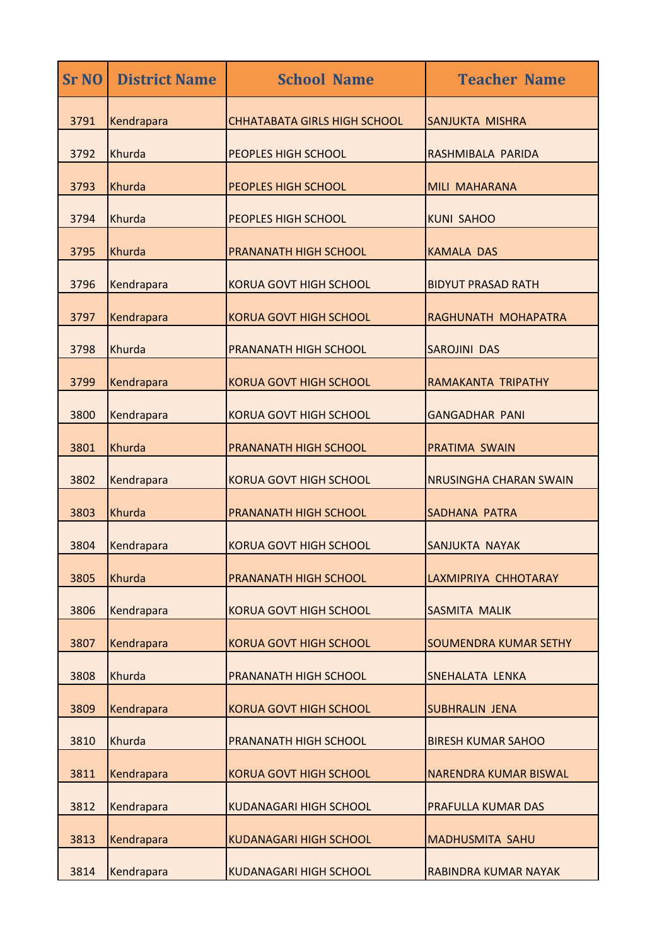| <b>Sr NO</b> | <b>District Name</b> | <b>School Name</b>                  | <b>Teacher Name</b>           |
|--------------|----------------------|-------------------------------------|-------------------------------|
| 3791         | Kendrapara           | <b>CHHATABATA GIRLS HIGH SCHOOL</b> | <b>SANJUKTA MISHRA</b>        |
| 3792         | Khurda               | <b>PEOPLES HIGH SCHOOL</b>          | RASHMIBALA PARIDA             |
| 3793         | Khurda               | PEOPLES HIGH SCHOOL                 | <b>MILI MAHARANA</b>          |
| 3794         | Khurda               | <b>PEOPLES HIGH SCHOOL</b>          | <b>KUNI SAHOO</b>             |
| 3795         | Khurda               | PRANANATH HIGH SCHOOL               | <b>KAMALA DAS</b>             |
| 3796         | Kendrapara           | <b>KORUA GOVT HIGH SCHOOL</b>       | <b>BIDYUT PRASAD RATH</b>     |
| 3797         | Kendrapara           | <b>KORUA GOVT HIGH SCHOOL</b>       | RAGHUNATH MOHAPATRA           |
| 3798         | Khurda               | <b>PRANANATH HIGH SCHOOL</b>        | <b>SAROJINI DAS</b>           |
| 3799         | Kendrapara           | <b>KORUA GOVT HIGH SCHOOL</b>       | RAMAKANTA TRIPATHY            |
| 3800         | Kendrapara           | <b>KORUA GOVT HIGH SCHOOL</b>       | <b>GANGADHAR PANI</b>         |
| 3801         | Khurda               | PRANANATH HIGH SCHOOL               | <b>PRATIMA SWAIN</b>          |
| 3802         | Kendrapara           | <b>KORUA GOVT HIGH SCHOOL</b>       | <b>NRUSINGHA CHARAN SWAIN</b> |
| 3803         | Khurda               | PRANANATH HIGH SCHOOL               | SADHANA PATRA                 |
| 3804         | Kendrapara           | <b>KORUA GOVT HIGH SCHOOL</b>       | <b>SANJUKTA NAYAK</b>         |
| 3805         | Khurda               | PRANANATH HIGH SCHOOL               | LAXMIPRIYA CHHOTARAY          |
| 3806         | Kendrapara           | <b>KORUA GOVT HIGH SCHOOL</b>       | <b>SASMITA MALIK</b>          |
| 3807         | Kendrapara           | <b>KORUA GOVT HIGH SCHOOL</b>       | <b>SOUMENDRA KUMAR SETHY</b>  |
| 3808         | Khurda               | <b>PRANANATH HIGH SCHOOL</b>        | SNEHALATA LENKA               |
| 3809         | Kendrapara           | <b>KORUA GOVT HIGH SCHOOL</b>       | <b>SUBHRALIN JENA</b>         |
| 3810         | Khurda               | <b>PRANANATH HIGH SCHOOL</b>        | <b>BIRESH KUMAR SAHOO</b>     |
| 3811         | Kendrapara           | <b>KORUA GOVT HIGH SCHOOL</b>       | NARENDRA KUMAR BISWAL         |
| 3812         | Kendrapara           | <b>KUDANAGARI HIGH SCHOOL</b>       | PRAFULLA KUMAR DAS            |
| 3813         | Kendrapara           | <b>KUDANAGARI HIGH SCHOOL</b>       | <b>MADHUSMITA SAHU</b>        |
| 3814         | Kendrapara           | <b>KUDANAGARI HIGH SCHOOL</b>       | RABINDRA KUMAR NAYAK          |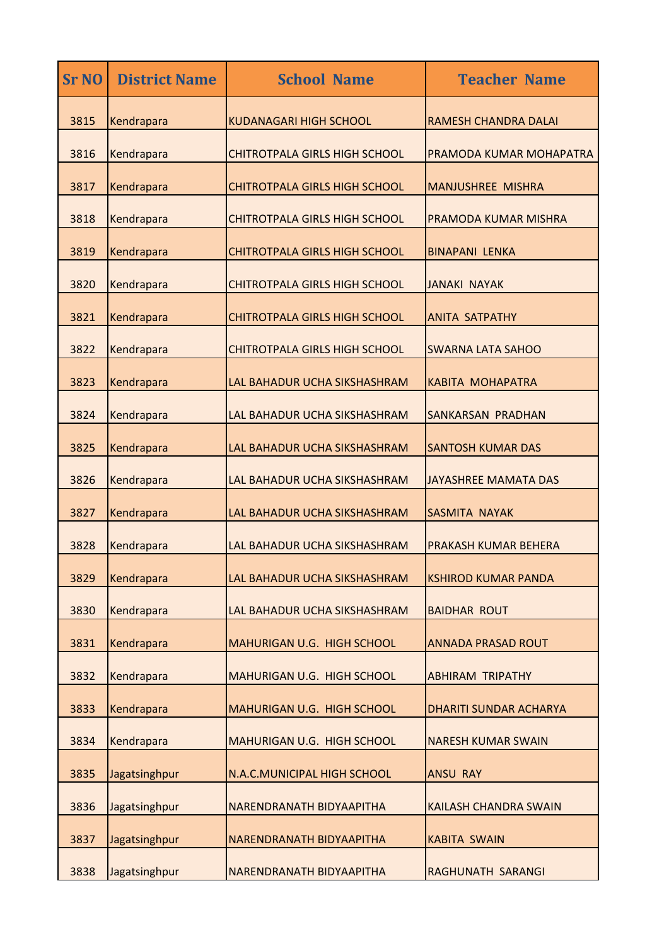| <b>Sr NO</b> | <b>District Name</b> | <b>School Name</b>                   | <b>Teacher Name</b>          |
|--------------|----------------------|--------------------------------------|------------------------------|
| 3815         | Kendrapara           | <b>KUDANAGARI HIGH SCHOOL</b>        | RAMESH CHANDRA DALAI         |
| 3816         | Kendrapara           | <b>CHITROTPALA GIRLS HIGH SCHOOL</b> | PRAMODA KUMAR MOHAPATRA      |
| 3817         | Kendrapara           | <b>CHITROTPALA GIRLS HIGH SCHOOL</b> | <b>MANJUSHREE MISHRA</b>     |
| 3818         | Kendrapara           | <b>CHITROTPALA GIRLS HIGH SCHOOL</b> | <b>PRAMODA KUMAR MISHRA</b>  |
| 3819         | Kendrapara           | <b>CHITROTPALA GIRLS HIGH SCHOOL</b> | <b>BINAPANI LENKA</b>        |
| 3820         | Kendrapara           | <b>CHITROTPALA GIRLS HIGH SCHOOL</b> | <b>JANAKI NAYAK</b>          |
| 3821         | Kendrapara           | <b>CHITROTPALA GIRLS HIGH SCHOOL</b> | <b>ANITA SATPATHY</b>        |
| 3822         | Kendrapara           | <b>CHITROTPALA GIRLS HIGH SCHOOL</b> | <b>SWARNA LATA SAHOO</b>     |
| 3823         | Kendrapara           | LAL BAHADUR UCHA SIKSHASHRAM         | <b>KABITA MOHAPATRA</b>      |
| 3824         | Kendrapara           | LAL BAHADUR UCHA SIKSHASHRAM         | <b>SANKARSAN PRADHAN</b>     |
| 3825         | Kendrapara           | LAL BAHADUR UCHA SIKSHASHRAM         | <b>SANTOSH KUMAR DAS</b>     |
| 3826         | Kendrapara           | LAL BAHADUR UCHA SIKSHASHRAM         | <b>JAYASHREE MAMATA DAS</b>  |
| 3827         | Kendrapara           | LAL BAHADUR UCHA SIKSHASHRAM         | SASMITA NAYAK                |
| 3828         | Kendrapara           | LAL BAHADUR UCHA SIKSHASHRAM         | PRAKASH KUMAR BEHERA         |
| 3829         | Kendrapara           | LAL BAHADUR UCHA SIKSHASHRAM         | <b>KSHIROD KUMAR PANDA</b>   |
| 3830         | Kendrapara           | LAL BAHADUR UCHA SIKSHASHRAM         | <b>BAIDHAR ROUT</b>          |
| 3831         | Kendrapara           | MAHURIGAN U.G. HIGH SCHOOL           | <b>ANNADA PRASAD ROUT</b>    |
| 3832         | Kendrapara           | MAHURIGAN U.G. HIGH SCHOOL           | <b>ABHIRAM TRIPATHY</b>      |
| 3833         | Kendrapara           | MAHURIGAN U.G. HIGH SCHOOL           | DHARITI SUNDAR ACHARYA       |
| 3834         | Kendrapara           | MAHURIGAN U.G. HIGH SCHOOL           | <b>NARESH KUMAR SWAIN</b>    |
| 3835         | Jagatsinghpur        | N.A.C.MUNICIPAL HIGH SCHOOL          | <b>ANSU RAY</b>              |
| 3836         | Jagatsinghpur        | NARENDRANATH BIDYAAPITHA             | <b>KAILASH CHANDRA SWAIN</b> |
| 3837         | Jagatsinghpur        | NARENDRANATH BIDYAAPITHA             | <b>KABITA SWAIN</b>          |
| 3838         | Jagatsinghpur        | NARENDRANATH BIDYAAPITHA             | RAGHUNATH SARANGI            |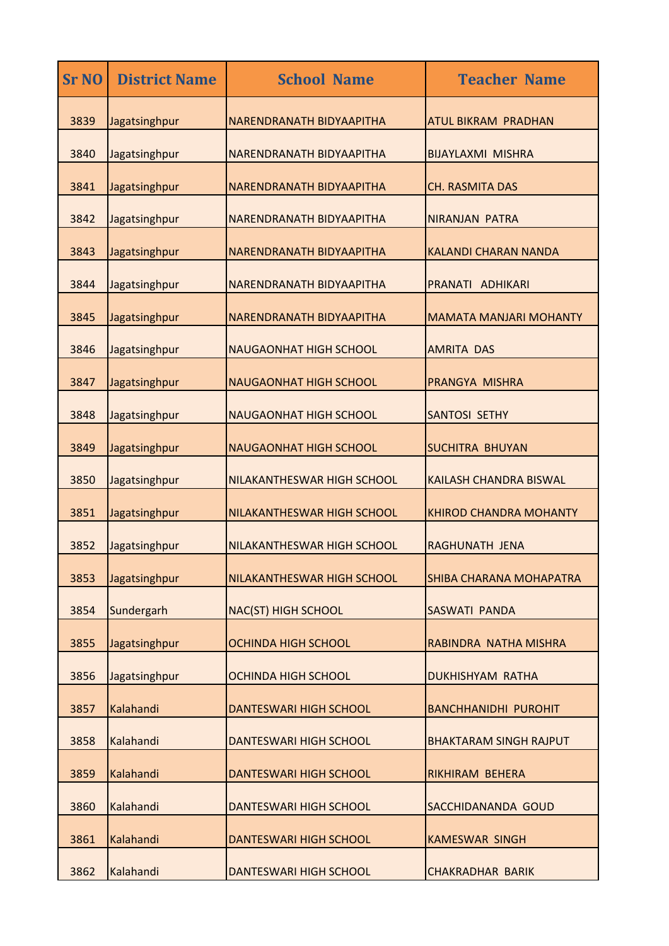| <b>Sr NO</b> | <b>District Name</b> | <b>School Name</b>            | <b>Teacher Name</b>           |
|--------------|----------------------|-------------------------------|-------------------------------|
| 3839         | Jagatsinghpur        | NARENDRANATH BIDYAAPITHA      | <b>ATUL BIKRAM PRADHAN</b>    |
| 3840         | Jagatsinghpur        | NARENDRANATH BIDYAAPITHA      | <b>BIJAYLAXMI MISHRA</b>      |
| 3841         | Jagatsinghpur        | NARENDRANATH BIDYAAPITHA      | <b>CH. RASMITA DAS</b>        |
| 3842         | Jagatsinghpur        | NARENDRANATH BIDYAAPITHA      | <b>NIRANJAN PATRA</b>         |
| 3843         | Jagatsinghpur        | NARENDRANATH BIDYAAPITHA      | <b>KALANDI CHARAN NANDA</b>   |
| 3844         | Jagatsinghpur        | NARENDRANATH BIDYAAPITHA      | PRANATI ADHIKARI              |
| 3845         | Jagatsinghpur        | NARENDRANATH BIDYAAPITHA      | <b>MAMATA MANJARI MOHANTY</b> |
| 3846         | Jagatsinghpur        | <b>NAUGAONHAT HIGH SCHOOL</b> | <b>AMRITA DAS</b>             |
| 3847         | Jagatsinghpur        | <b>NAUGAONHAT HIGH SCHOOL</b> | PRANGYA MISHRA                |
| 3848         | Jagatsinghpur        | <b>NAUGAONHAT HIGH SCHOOL</b> | <b>SANTOSI SETHY</b>          |
| 3849         | Jagatsinghpur        | <b>NAUGAONHAT HIGH SCHOOL</b> | <b>SUCHITRA BHUYAN</b>        |
| 3850         | Jagatsinghpur        | NILAKANTHESWAR HIGH SCHOOL    | <b>KAILASH CHANDRA BISWAL</b> |
| 3851         | Jagatsinghpur        | NILAKANTHESWAR HIGH SCHOOL    | <b>KHIROD CHANDRA MOHANTY</b> |
| 3852         | Jagatsinghpur        | NILAKANTHESWAR HIGH SCHOOL    | <b>RAGHUNATH JENA</b>         |
| 3853         | Jagatsinghpur        | NILAKANTHESWAR HIGH SCHOOL    | SHIBA CHARANA MOHAPATRA       |
| 3854         | Sundergarh           | <b>NAC(ST) HIGH SCHOOL</b>    | SASWATI PANDA                 |
| 3855         | Jagatsinghpur        | <b>OCHINDA HIGH SCHOOL</b>    | RABINDRA NATHA MISHRA         |
| 3856         | Jagatsinghpur        | <b>OCHINDA HIGH SCHOOL</b>    | <b>DUKHISHYAM RATHA</b>       |
| 3857         | Kalahandi            | <b>DANTESWARI HIGH SCHOOL</b> | <b>BANCHHANIDHI PUROHIT</b>   |
| 3858         | Kalahandi            | DANTESWARI HIGH SCHOOL        | <b>BHAKTARAM SINGH RAJPUT</b> |
| 3859         | Kalahandi            | <b>DANTESWARI HIGH SCHOOL</b> | RIKHIRAM BEHERA               |
| 3860         | Kalahandi            | DANTESWARI HIGH SCHOOL        | SACCHIDANANDA GOUD            |
| 3861         | Kalahandi            | DANTESWARI HIGH SCHOOL        | <b>KAMESWAR SINGH</b>         |
| 3862         | Kalahandi            | DANTESWARI HIGH SCHOOL        | <b>CHAKRADHAR BARIK</b>       |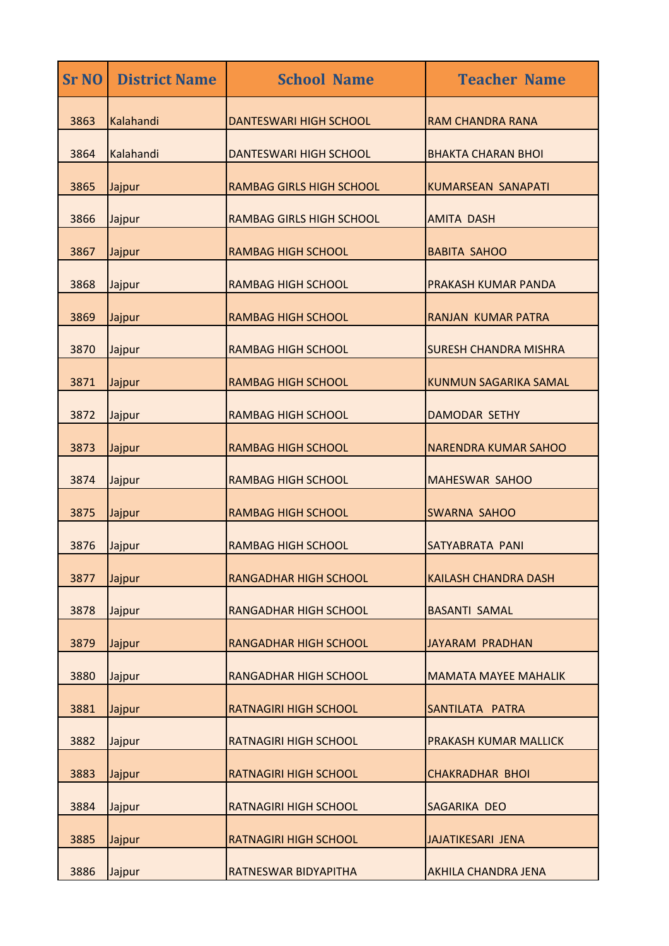| <b>Sr NO</b> | <b>District Name</b> | <b>School Name</b>              | <b>Teacher Name</b>          |
|--------------|----------------------|---------------------------------|------------------------------|
| 3863         | Kalahandi            | DANTESWARI HIGH SCHOOL          | <b>RAM CHANDRA RANA</b>      |
| 3864         | Kalahandi            | DANTESWARI HIGH SCHOOL          | <b>BHAKTA CHARAN BHOI</b>    |
| 3865         | Jajpur               | <b>RAMBAG GIRLS HIGH SCHOOL</b> | <b>KUMARSEAN SANAPATI</b>    |
| 3866         | Jajpur               | <b>RAMBAG GIRLS HIGH SCHOOL</b> | <b>AMITA DASH</b>            |
| 3867         | Jajpur               | <b>RAMBAG HIGH SCHOOL</b>       | <b>BABITA SAHOO</b>          |
| 3868         | Jajpur               | <b>RAMBAG HIGH SCHOOL</b>       | <b>PRAKASH KUMAR PANDA</b>   |
| 3869         | Jajpur               | <b>RAMBAG HIGH SCHOOL</b>       | <b>RANJAN KUMAR PATRA</b>    |
| 3870         | Jajpur               | <b>RAMBAG HIGH SCHOOL</b>       | <b>SURESH CHANDRA MISHRA</b> |
| 3871         | Jajpur               | <b>RAMBAG HIGH SCHOOL</b>       | <b>KUNMUN SAGARIKA SAMAL</b> |
| 3872         | Jajpur               | <b>RAMBAG HIGH SCHOOL</b>       | <b>DAMODAR SETHY</b>         |
| 3873         | Jajpur               | <b>RAMBAG HIGH SCHOOL</b>       | <b>NARENDRA KUMAR SAHOO</b>  |
| 3874         | Jajpur               | <b>RAMBAG HIGH SCHOOL</b>       | <b>MAHESWAR SAHOO</b>        |
| 3875         | Jajpur               | <b>RAMBAG HIGH SCHOOL</b>       | <b>SWARNA SAHOO</b>          |
| 3876         | Jajpur               | <b>RAMBAG HIGH SCHOOL</b>       | <b>SATYABRATA PANI</b>       |
| 3877         | Jajpur               | <b>RANGADHAR HIGH SCHOOL</b>    | <b>KAILASH CHANDRA DASH</b>  |
| 3878         | Jajpur               | <b>RANGADHAR HIGH SCHOOL</b>    | <b>BASANTI SAMAL</b>         |
| 3879         | Jajpur               | <b>RANGADHAR HIGH SCHOOL</b>    | JAYARAM PRADHAN              |
| 3880         | Jajpur               | <b>RANGADHAR HIGH SCHOOL</b>    | <b>MAMATA MAYEE MAHALIK</b>  |
| 3881         | Jajpur               | <b>RATNAGIRI HIGH SCHOOL</b>    | SANTILATA PATRA              |
| 3882         | Jajpur               | <b>RATNAGIRI HIGH SCHOOL</b>    | <b>PRAKASH KUMAR MALLICK</b> |
| 3883         | Jajpur               | <b>RATNAGIRI HIGH SCHOOL</b>    | <b>CHAKRADHAR BHOI</b>       |
| 3884         | Jajpur               | <b>RATNAGIRI HIGH SCHOOL</b>    | SAGARIKA DEO                 |
| 3885         | Jajpur               | <b>RATNAGIRI HIGH SCHOOL</b>    | <b>JAJATIKESARI JENA</b>     |
| 3886         | Jajpur               | RATNESWAR BIDYAPITHA            | <b>AKHILA CHANDRA JENA</b>   |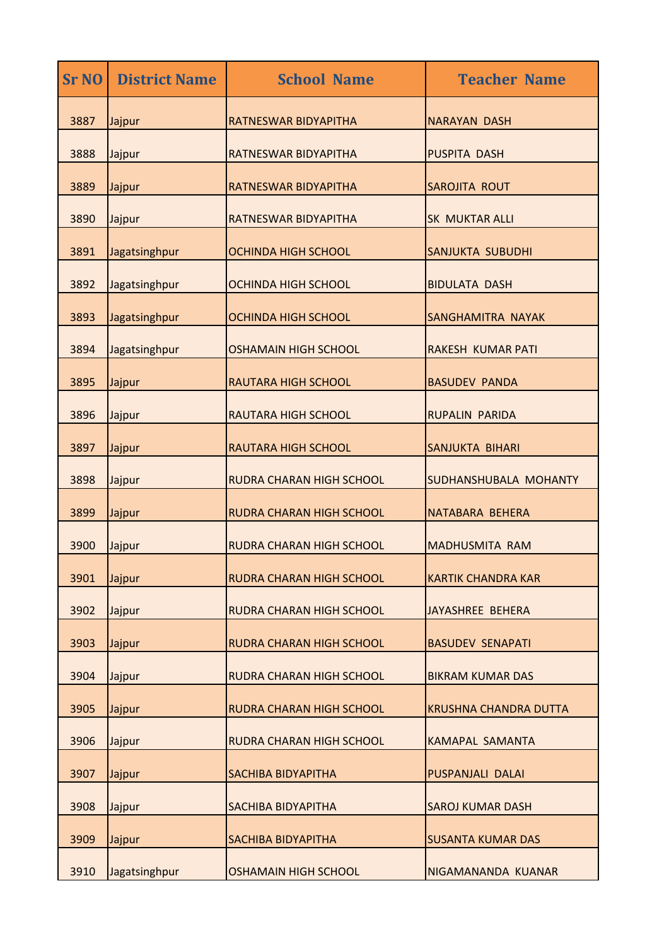| <b>Sr NO</b> | <b>District Name</b> | <b>School Name</b>              | <b>Teacher Name</b>       |
|--------------|----------------------|---------------------------------|---------------------------|
| 3887         | Jajpur               | RATNESWAR BIDYAPITHA            | <b>NARAYAN DASH</b>       |
| 3888         | Jajpur               | RATNESWAR BIDYAPITHA            | PUSPITA DASH              |
| 3889         | Jajpur               | RATNESWAR BIDYAPITHA            | <b>SAROJITA ROUT</b>      |
| 3890         | Jajpur               | RATNESWAR BIDYAPITHA            | <b>SK MUKTAR ALLI</b>     |
| 3891         | Jagatsinghpur        | <b>OCHINDA HIGH SCHOOL</b>      | <b>SANJUKTA SUBUDHI</b>   |
| 3892         | Jagatsinghpur        | <b>OCHINDA HIGH SCHOOL</b>      | <b>BIDULATA DASH</b>      |
| 3893         | Jagatsinghpur        | <b>OCHINDA HIGH SCHOOL</b>      | SANGHAMITRA NAYAK         |
| 3894         | Jagatsinghpur        | <b>OSHAMAIN HIGH SCHOOL</b>     | <b>RAKESH KUMAR PATI</b>  |
| 3895         | Jajpur               | <b>RAUTARA HIGH SCHOOL</b>      | <b>BASUDEV PANDA</b>      |
| 3896         | Jajpur               | <b>RAUTARA HIGH SCHOOL</b>      | <b>RUPALIN PARIDA</b>     |
| 3897         | Jajpur               | <b>RAUTARA HIGH SCHOOL</b>      | <b>SANJUKTA BIHARI</b>    |
| 3898         | Jajpur               | <b>RUDRA CHARAN HIGH SCHOOL</b> | SUDHANSHUBALA MOHANTY     |
| 3899         | Jajpur               | <b>RUDRA CHARAN HIGH SCHOOL</b> | NATABARA BEHERA           |
| 3900         | Jajpur               | <b>RUDRA CHARAN HIGH SCHOOL</b> | <b>MADHUSMITA RAM</b>     |
| 3901         | Jajpur               | <b>RUDRA CHARAN HIGH SCHOOL</b> | <b>KARTIK CHANDRA KAR</b> |
| 3902         | Jajpur               | <b>RUDRA CHARAN HIGH SCHOOL</b> | JAYASHREE BEHERA          |
| 3903         | Jajpur               | RUDRA CHARAN HIGH SCHOOL        | <b>BASUDEV SENAPATI</b>   |
| 3904         | Jajpur               | <b>RUDRA CHARAN HIGH SCHOOL</b> | <b>BIKRAM KUMAR DAS</b>   |
| 3905         | Jajpur               | RUDRA CHARAN HIGH SCHOOL        | KRUSHNA CHANDRA DUTTA     |
| 3906         | Jajpur               | <b>RUDRA CHARAN HIGH SCHOOL</b> | <b>KAMAPAL SAMANTA</b>    |
| 3907         | Jajpur               | <b>SACHIBA BIDYAPITHA</b>       | <b>PUSPANJALI DALAI</b>   |
| 3908         | Jajpur               | <b>SACHIBA BIDYAPITHA</b>       | <b>SAROJ KUMAR DASH</b>   |
| 3909         | Jajpur               | <b>SACHIBA BIDYAPITHA</b>       | <b>SUSANTA KUMAR DAS</b>  |
| 3910         | Jagatsinghpur        | <b>OSHAMAIN HIGH SCHOOL</b>     | NIGAMANANDA KUANAR        |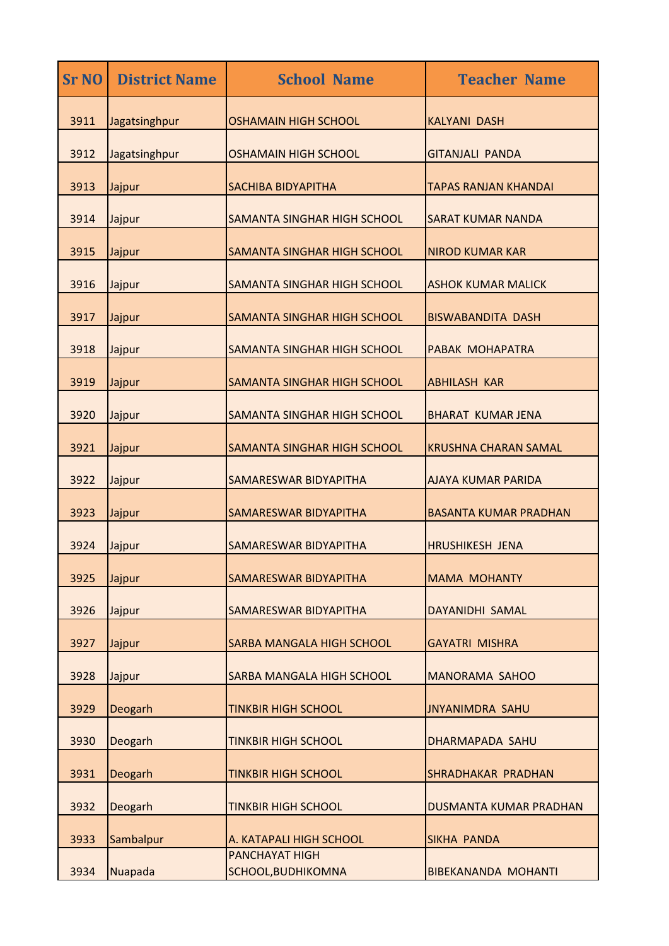| <b>District Name</b> | <b>School Name</b>                 | <b>Teacher Name</b>           |
|----------------------|------------------------------------|-------------------------------|
| Jagatsinghpur        | <b>OSHAMAIN HIGH SCHOOL</b>        | <b>KALYANI DASH</b>           |
| Jagatsinghpur        | <b>OSHAMAIN HIGH SCHOOL</b>        | <b>GITANJALI PANDA</b>        |
| Jajpur               | <b>SACHIBA BIDYAPITHA</b>          | <b>TAPAS RANJAN KHANDAI</b>   |
| Jajpur               | <b>SAMANTA SINGHAR HIGH SCHOOL</b> | <b>SARAT KUMAR NANDA</b>      |
| Jajpur               | SAMANTA SINGHAR HIGH SCHOOL        | <b>NIROD KUMAR KAR</b>        |
| Jajpur               | <b>SAMANTA SINGHAR HIGH SCHOOL</b> | <b>ASHOK KUMAR MALICK</b>     |
| Jajpur               | <b>SAMANTA SINGHAR HIGH SCHOOL</b> | <b>BISWABANDITA DASH</b>      |
| Jajpur               | <b>SAMANTA SINGHAR HIGH SCHOOL</b> | <b>PABAK MOHAPATRA</b>        |
| Jajpur               | <b>SAMANTA SINGHAR HIGH SCHOOL</b> | <b>ABHILASH KAR</b>           |
| Jajpur               | <b>SAMANTA SINGHAR HIGH SCHOOL</b> | <b>BHARAT KUMAR JENA</b>      |
| Jajpur               | <b>SAMANTA SINGHAR HIGH SCHOOL</b> | <b>KRUSHNA CHARAN SAMAL</b>   |
| Jajpur               | SAMARESWAR BIDYAPITHA              | <b>AJAYA KUMAR PARIDA</b>     |
| Jajpur               | SAMARESWAR BIDYAPITHA              | <b>BASANTA KUMAR PRADHAN</b>  |
| Jajpur               | SAMARESWAR BIDYAPITHA              | <b>HRUSHIKESH JENA</b>        |
| Jajpur               | SAMARESWAR BIDYAPITHA              | <b>MAMA MOHANTY</b>           |
| Jajpur               | SAMARESWAR BIDYAPITHA              | <b>DAYANIDHI SAMAL</b>        |
| Jajpur               | <b>SARBA MANGALA HIGH SCHOOL</b>   | <b>GAYATRI MISHRA</b>         |
| Jajpur               | <b>SARBA MANGALA HIGH SCHOOL</b>   | <b>MANORAMA SAHOO</b>         |
| Deogarh              | <b>TINKBIR HIGH SCHOOL</b>         | <b>JNYANIMDRA SAHU</b>        |
| Deogarh              | <b>TINKBIR HIGH SCHOOL</b>         | DHARMAPADA SAHU               |
| Deogarh              | <b>TINKBIR HIGH SCHOOL</b>         | <b>SHRADHAKAR PRADHAN</b>     |
| Deogarh              | <b>TINKBIR HIGH SCHOOL</b>         | <b>DUSMANTA KUMAR PRADHAN</b> |
|                      | A. KATAPALI HIGH SCHOOL            | <b>SIKHA PANDA</b>            |
|                      | <b>PANCHAYAT HIGH</b>              | <b>BIBEKANANDA MOHANTI</b>    |
|                      | Sambalpur<br>Nuapada               | SCHOOL, BUDHIKOMNA            |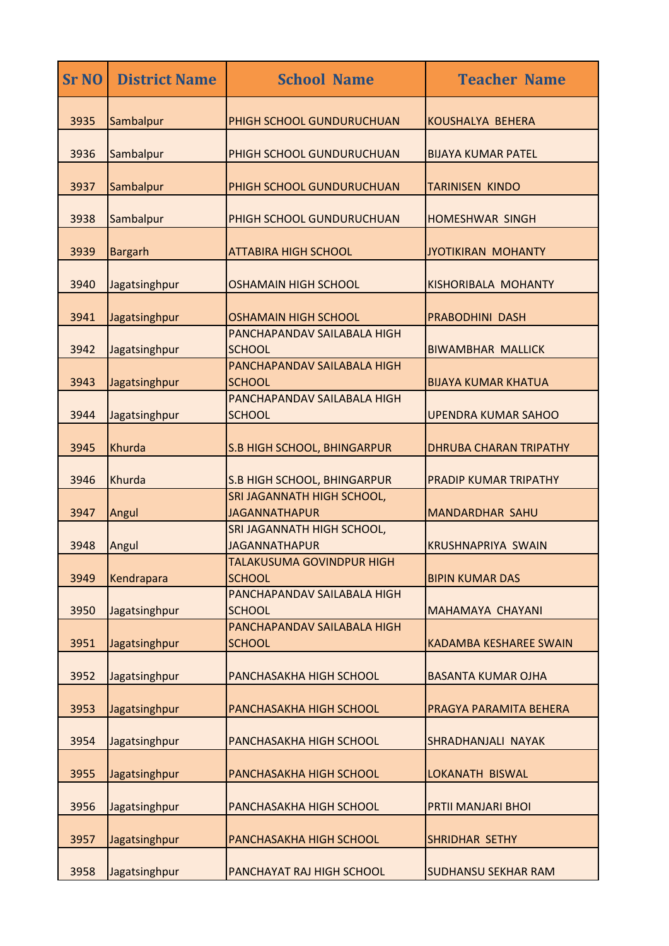| <b>Sr NO</b> | <b>District Name</b> | <b>School Name</b>                                 | <b>Teacher Name</b>           |
|--------------|----------------------|----------------------------------------------------|-------------------------------|
| 3935         | Sambalpur            | PHIGH SCHOOL GUNDURUCHUAN                          | KOUSHALYA BEHERA              |
| 3936         | Sambalpur            | PHIGH SCHOOL GUNDURUCHUAN                          | <b>BIJAYA KUMAR PATEL</b>     |
| 3937         | Sambalpur            | PHIGH SCHOOL GUNDURUCHUAN                          | <b>TARINISEN KINDO</b>        |
| 3938         | Sambalpur            | PHIGH SCHOOL GUNDURUCHUAN                          | <b>HOMESHWAR SINGH</b>        |
| 3939         | <b>Bargarh</b>       | <b>ATTABIRA HIGH SCHOOL</b>                        | <b>JYOTIKIRAN MOHANTY</b>     |
| 3940         | Jagatsinghpur        | <b>OSHAMAIN HIGH SCHOOL</b>                        | <b>KISHORIBALA MOHANTY</b>    |
| 3941         | Jagatsinghpur        | <b>OSHAMAIN HIGH SCHOOL</b>                        | <b>PRABODHINI DASH</b>        |
| 3942         | Jagatsinghpur        | PANCHAPANDAV SAILABALA HIGH<br><b>SCHOOL</b>       | <b>BIWAMBHAR MALLICK</b>      |
| 3943         | Jagatsinghpur        | PANCHAPANDAV SAILABALA HIGH<br><b>SCHOOL</b>       | <b>BIJAYA KUMAR KHATUA</b>    |
| 3944         | Jagatsinghpur        | PANCHAPANDAV SAILABALA HIGH<br><b>SCHOOL</b>       | <b>UPENDRA KUMAR SAHOO</b>    |
| 3945         | Khurda               | S.B HIGH SCHOOL, BHINGARPUR                        | <b>DHRUBA CHARAN TRIPATHY</b> |
| 3946         | Khurda               | S.B HIGH SCHOOL, BHINGARPUR                        | PRADIP KUMAR TRIPATHY         |
| 3947         | Angul                | SRI JAGANNATH HIGH SCHOOL,<br><b>JAGANNATHAPUR</b> | <b>MANDARDHAR SAHU</b>        |
| 3948         | Angul                | SRI JAGANNATH HIGH SCHOOL,<br><b>JAGANNATHAPUR</b> | <b>KRUSHNAPRIYA SWAIN</b>     |
| 3949         | Kendrapara           | TALAKUSUMA GOVINDPUR HIGH<br><b>SCHOOL</b>         | <b>BIPIN KUMAR DAS</b>        |
| 3950         | Jagatsinghpur        | PANCHAPANDAV SAILABALA HIGH<br><b>SCHOOL</b>       | <b>MAHAMAYA CHAYANI</b>       |
| 3951         | Jagatsinghpur        | PANCHAPANDAV SAILABALA HIGH<br><b>SCHOOL</b>       | <b>KADAMBA KESHAREE SWAIN</b> |
| 3952         | Jagatsinghpur        | PANCHASAKHA HIGH SCHOOL                            | <b>BASANTA KUMAR OJHA</b>     |
| 3953         | Jagatsinghpur        | PANCHASAKHA HIGH SCHOOL                            | PRAGYA PARAMITA BEHERA        |
| 3954         | Jagatsinghpur        | PANCHASAKHA HIGH SCHOOL                            | <b>SHRADHANJALI NAYAK</b>     |
| 3955         | Jagatsinghpur        | PANCHASAKHA HIGH SCHOOL                            | LOKANATH BISWAL               |
| 3956         | Jagatsinghpur        | PANCHASAKHA HIGH SCHOOL                            | PRTII MANJARI BHOI            |
| 3957         | Jagatsinghpur        | PANCHASAKHA HIGH SCHOOL                            | <b>SHRIDHAR SETHY</b>         |
| 3958         | Jagatsinghpur        | PANCHAYAT RAJ HIGH SCHOOL                          | <b>SUDHANSU SEKHAR RAM</b>    |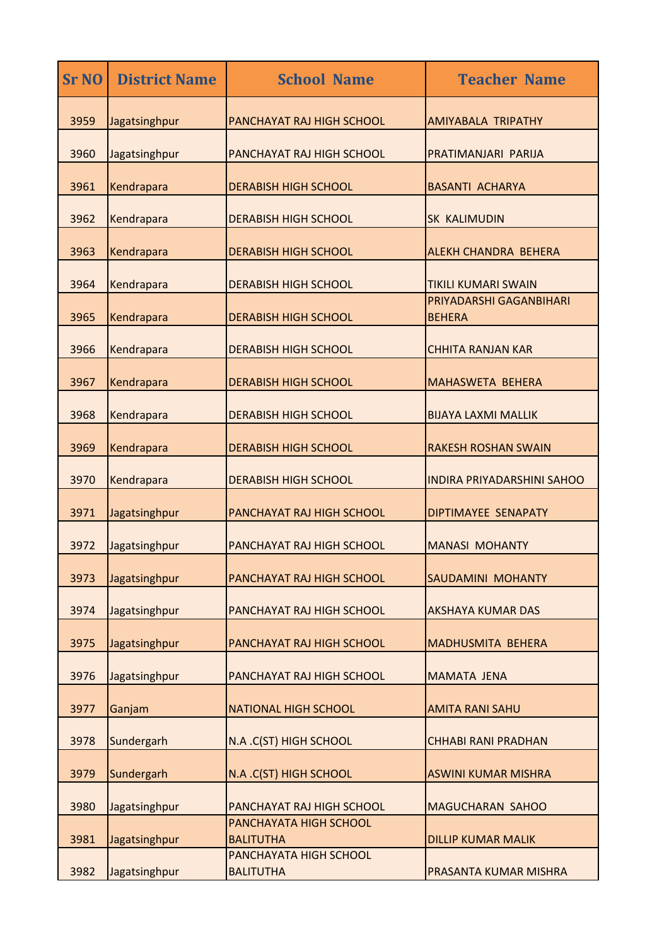| <b>Sr NO</b> | <b>District Name</b> | <b>School Name</b>                         | <b>Teacher Name</b>                      |
|--------------|----------------------|--------------------------------------------|------------------------------------------|
| 3959         | Jagatsinghpur        | PANCHAYAT RAJ HIGH SCHOOL                  | <b>AMIYABALA TRIPATHY</b>                |
| 3960         | Jagatsinghpur        | PANCHAYAT RAJ HIGH SCHOOL                  | PRATIMANJARI PARIJA                      |
| 3961         | Kendrapara           | <b>DERABISH HIGH SCHOOL</b>                | <b>BASANTI ACHARYA</b>                   |
| 3962         | Kendrapara           | <b>DERABISH HIGH SCHOOL</b>                | <b>SK KALIMUDIN</b>                      |
| 3963         | Kendrapara           | <b>DERABISH HIGH SCHOOL</b>                | <b>ALEKH CHANDRA BEHERA</b>              |
| 3964         | Kendrapara           | <b>DERABISH HIGH SCHOOL</b>                | TIKILI KUMARI SWAIN                      |
| 3965         | Kendrapara           | <b>DERABISH HIGH SCHOOL</b>                | PRIYADARSHI GAGANBIHARI<br><b>BEHERA</b> |
| 3966         | Kendrapara           | <b>DERABISH HIGH SCHOOL</b>                | <b>CHHITA RANJAN KAR</b>                 |
| 3967         | Kendrapara           | <b>DERABISH HIGH SCHOOL</b>                | <b>MAHASWETA BEHERA</b>                  |
| 3968         | Kendrapara           | <b>DERABISH HIGH SCHOOL</b>                | <b>BIJAYA LAXMI MALLIK</b>               |
| 3969         | Kendrapara           | <b>DERABISH HIGH SCHOOL</b>                | <b>RAKESH ROSHAN SWAIN</b>               |
| 3970         | Kendrapara           | <b>DERABISH HIGH SCHOOL</b>                | <b>INDIRA PRIYADARSHINI SAHOO</b>        |
| 3971         | Jagatsinghpur        | PANCHAYAT RAJ HIGH SCHOOL                  | <b>DIPTIMAYEE SENAPATY</b>               |
| 3972         | Jagatsinghpur        | PANCHAYAT RAJ HIGH SCHOOL                  | <b>MANASI MOHANTY</b>                    |
| 3973         | Jagatsinghpur        | PANCHAYAT RAJ HIGH SCHOOL                  | SAUDAMINI MOHANTY                        |
| 3974         | Jagatsinghpur        | PANCHAYAT RAJ HIGH SCHOOL                  | <b>AKSHAYA KUMAR DAS</b>                 |
| 3975         | Jagatsinghpur        | PANCHAYAT RAJ HIGH SCHOOL                  | <b>MADHUSMITA BEHERA</b>                 |
| 3976         | Jagatsinghpur        | PANCHAYAT RAJ HIGH SCHOOL                  | <b>MAMATA JENA</b>                       |
| 3977         | Ganjam               | <b>NATIONAL HIGH SCHOOL</b>                | <b>AMITA RANI SAHU</b>                   |
| 3978         | Sundergarh           | N.A.C(ST) HIGH SCHOOL                      | <b>CHHABI RANI PRADHAN</b>               |
| 3979         | Sundergarh           | N.A.C(ST) HIGH SCHOOL                      | <b>ASWINI KUMAR MISHRA</b>               |
| 3980         | Jagatsinghpur        | PANCHAYAT RAJ HIGH SCHOOL                  | <b>MAGUCHARAN SAHOO</b>                  |
| 3981         | Jagatsinghpur        | PANCHAYATA HIGH SCHOOL<br><b>BALITUTHA</b> | <b>DILLIP KUMAR MALIK</b>                |
| 3982         | Jagatsinghpur        | PANCHAYATA HIGH SCHOOL<br><b>BALITUTHA</b> | PRASANTA KUMAR MISHRA                    |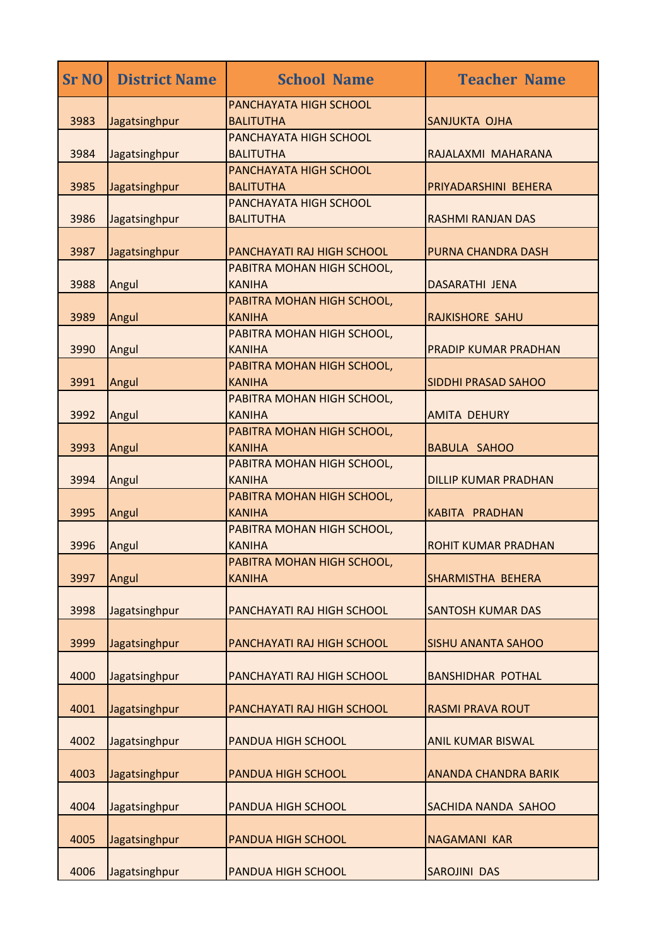| <b>Sr NO</b> | <b>District Name</b> | <b>School Name</b>                          | <b>Teacher Name</b>         |
|--------------|----------------------|---------------------------------------------|-----------------------------|
|              |                      | <b>PANCHAYATA HIGH SCHOOL</b>               |                             |
| 3983         | Jagatsinghpur        | <b>BALITUTHA</b>                            | SANJUKTA OJHA               |
|              |                      | PANCHAYATA HIGH SCHOOL                      |                             |
| 3984         | Jagatsinghpur        | <b>BALITUTHA</b><br>PANCHAYATA HIGH SCHOOL  | RAJALAXMI MAHARANA          |
| 3985         | Jagatsinghpur        | <b>BALITUTHA</b>                            | PRIYADARSHINI BEHERA        |
|              |                      | PANCHAYATA HIGH SCHOOL                      |                             |
| 3986         | Jagatsinghpur        | <b>BALITUTHA</b>                            | <b>RASHMI RANJAN DAS</b>    |
|              |                      |                                             |                             |
| 3987         | Jagatsinghpur        | PANCHAYATI RAJ HIGH SCHOOL                  | PURNA CHANDRA DASH          |
|              |                      | PABITRA MOHAN HIGH SCHOOL,                  |                             |
| 3988         | Angul                | <b>KANIHA</b>                               | <b>DASARATHI JENA</b>       |
|              |                      | PABITRA MOHAN HIGH SCHOOL,                  |                             |
| 3989         | Angul                | <b>KANIHA</b>                               | <b>RAJKISHORE SAHU</b>      |
|              |                      | PABITRA MOHAN HIGH SCHOOL,                  |                             |
| 3990         | Angul                | <b>KANIHA</b>                               | <b>PRADIP KUMAR PRADHAN</b> |
|              |                      | PABITRA MOHAN HIGH SCHOOL,                  |                             |
| 3991         | Angul                | <b>KANIHA</b>                               | <b>SIDDHI PRASAD SAHOO</b>  |
|              |                      | PABITRA MOHAN HIGH SCHOOL,                  |                             |
| 3992         | Angul                | <b>KANIHA</b>                               | <b>AMITA DEHURY</b>         |
| 3993         |                      | PABITRA MOHAN HIGH SCHOOL,<br><b>KANIHA</b> | <b>BABULA SAHOO</b>         |
|              | Angul                | PABITRA MOHAN HIGH SCHOOL,                  |                             |
| 3994         | Angul                | <b>KANIHA</b>                               | <b>DILLIP KUMAR PRADHAN</b> |
|              |                      | PABITRA MOHAN HIGH SCHOOL,                  |                             |
| 3995         | Angul                | <b>KANIHA</b>                               | KABITA PRADHAN              |
|              |                      | PABITRA MOHAN HIGH SCHOOL,                  |                             |
| 3996         | Angul                | <b>KANIHA</b>                               | <b>ROHIT KUMAR PRADHAN</b>  |
|              |                      | PABITRA MOHAN HIGH SCHOOL,                  |                             |
| 3997         | Angul                | <b>KANIHA</b>                               | <b>SHARMISTHA BEHERA</b>    |
|              |                      |                                             |                             |
| 3998         | Jagatsinghpur        | PANCHAYATI RAJ HIGH SCHOOL                  | <b>SANTOSH KUMAR DAS</b>    |
|              |                      |                                             |                             |
| 3999         | Jagatsinghpur        | PANCHAYATI RAJ HIGH SCHOOL                  | <b>SISHU ANANTA SAHOO</b>   |
|              |                      |                                             |                             |
| 4000         | Jagatsinghpur        | PANCHAYATI RAJ HIGH SCHOOL                  | <b>BANSHIDHAR POTHAL</b>    |
|              |                      |                                             |                             |
| 4001         | Jagatsinghpur        | PANCHAYATI RAJ HIGH SCHOOL                  | <b>RASMI PRAVA ROUT</b>     |
|              |                      |                                             |                             |
| 4002         | Jagatsinghpur        | <b>PANDUA HIGH SCHOOL</b>                   | <b>ANIL KUMAR BISWAL</b>    |
|              |                      |                                             |                             |
| 4003         | Jagatsinghpur        | <b>PANDUA HIGH SCHOOL</b>                   | <b>ANANDA CHANDRA BARIK</b> |
| 4004         | Jagatsinghpur        | <b>PANDUA HIGH SCHOOL</b>                   | <b>SACHIDA NANDA SAHOO</b>  |
|              |                      |                                             |                             |
| 4005         | Jagatsinghpur        | <b>PANDUA HIGH SCHOOL</b>                   | <b>NAGAMANI KAR</b>         |
|              |                      |                                             |                             |
| 4006         | Jagatsinghpur        | PANDUA HIGH SCHOOL                          | SAROJINI DAS                |
|              |                      |                                             |                             |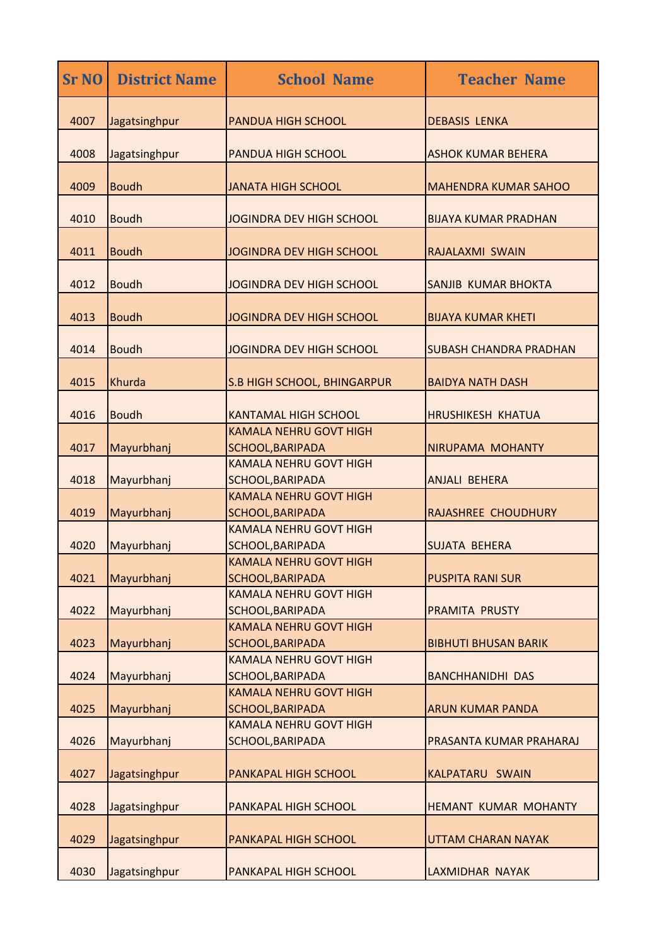| <b>Sr NO</b> | <b>District Name</b> | <b>School Name</b>                                           | <b>Teacher Name</b>           |
|--------------|----------------------|--------------------------------------------------------------|-------------------------------|
| 4007         | Jagatsinghpur        | <b>PANDUA HIGH SCHOOL</b>                                    | <b>DEBASIS LENKA</b>          |
| 4008         | Jagatsinghpur        | <b>PANDUA HIGH SCHOOL</b>                                    | <b>ASHOK KUMAR BEHERA</b>     |
| 4009         | <b>Boudh</b>         | <b>JANATA HIGH SCHOOL</b>                                    | <b>MAHENDRA KUMAR SAHOO</b>   |
| 4010         | <b>Boudh</b>         | JOGINDRA DEV HIGH SCHOOL                                     | <b>BIJAYA KUMAR PRADHAN</b>   |
| 4011         | <b>Boudh</b>         | JOGINDRA DEV HIGH SCHOOL                                     | RAJALAXMI SWAIN               |
| 4012         | <b>Boudh</b>         | JOGINDRA DEV HIGH SCHOOL                                     | SANJIB KUMAR BHOKTA           |
| 4013         | <b>Boudh</b>         | <b>JOGINDRA DEV HIGH SCHOOL</b>                              | <b>BIJAYA KUMAR KHETI</b>     |
| 4014         | <b>Boudh</b>         | JOGINDRA DEV HIGH SCHOOL                                     | <b>SUBASH CHANDRA PRADHAN</b> |
| 4015         | Khurda               | S.B HIGH SCHOOL, BHINGARPUR                                  | <b>BAIDYA NATH DASH</b>       |
| 4016         | <b>Boudh</b>         | <b>KANTAMAL HIGH SCHOOL</b><br><b>KAMALA NEHRU GOVT HIGH</b> | <b>HRUSHIKESH KHATUA</b>      |
| 4017         | Mayurbhanj           | <b>SCHOOL, BARIPADA</b><br><b>KAMALA NEHRU GOVT HIGH</b>     | NIRUPAMA MOHANTY              |
| 4018         | Mayurbhanj           | <b>SCHOOL, BARIPADA</b><br><b>KAMALA NEHRU GOVT HIGH</b>     | <b>ANJALI BEHERA</b>          |
| 4019         | Mayurbhanj           | <b>SCHOOL, BARIPADA</b><br><b>KAMALA NEHRU GOVT HIGH</b>     | <b>RAJASHREE CHOUDHURY</b>    |
| 4020         | Mayurbhanj           | SCHOOL, BARIPADA<br><b>KAMALA NEHRU GOVT HIGH</b>            | <b>SUJATA BEHERA</b>          |
| 4021         | Mayurbhanj           | <b>SCHOOL, BARIPADA</b><br><b>KAMALA NEHRU GOVT HIGH</b>     | <b>PUSPITA RANI SUR</b>       |
| 4022         | Mayurbhanj           | <b>SCHOOL, BARIPADA</b><br><b>KAMALA NEHRU GOVT HIGH</b>     | PRAMITA PRUSTY                |
| 4023         | Mayurbhanj           | <b>SCHOOL, BARIPADA</b><br><b>KAMALA NEHRU GOVT HIGH</b>     | <b>BIBHUTI BHUSAN BARIK</b>   |
| 4024         | Mayurbhanj           | <b>SCHOOL, BARIPADA</b><br><b>KAMALA NEHRU GOVT HIGH</b>     | <b>BANCHHANIDHI DAS</b>       |
| 4025         | Mayurbhanj           | <b>SCHOOL, BARIPADA</b><br><b>KAMALA NEHRU GOVT HIGH</b>     | <b>ARUN KUMAR PANDA</b>       |
| 4026         | Mayurbhanj           | SCHOOL, BARIPADA                                             | PRASANTA KUMAR PRAHARAJ       |
| 4027         | Jagatsinghpur        | PANKAPAL HIGH SCHOOL                                         | KALPATARU SWAIN               |
| 4028         | Jagatsinghpur        | PANKAPAL HIGH SCHOOL                                         | HEMANT KUMAR MOHANTY          |
| 4029         | Jagatsinghpur        | PANKAPAL HIGH SCHOOL                                         | <b>UTTAM CHARAN NAYAK</b>     |
| 4030         | Jagatsinghpur        | PANKAPAL HIGH SCHOOL                                         | LAXMIDHAR NAYAK               |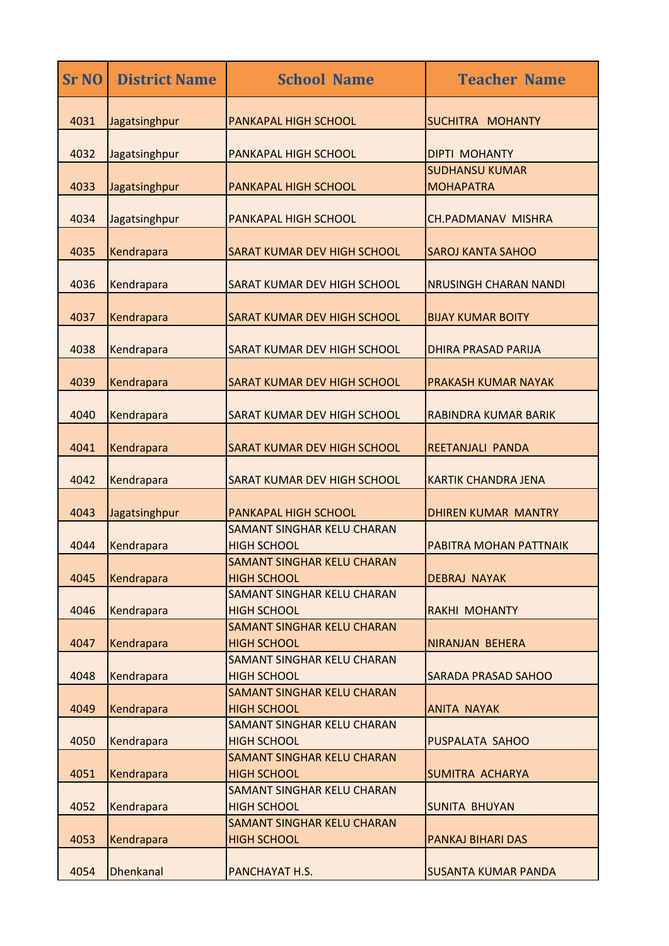| <b>Sr NO</b> | <b>District Name</b> | <b>School Name</b>                                        | <b>Teacher Name</b>                       |
|--------------|----------------------|-----------------------------------------------------------|-------------------------------------------|
| 4031         | Jagatsinghpur        | <b>PANKAPAL HIGH SCHOOL</b>                               | <b>SUCHITRA MOHANTY</b>                   |
| 4032         | Jagatsinghpur        | PANKAPAL HIGH SCHOOL                                      | <b>DIPTI MOHANTY</b>                      |
| 4033         | Jagatsinghpur        | PANKAPAL HIGH SCHOOL                                      | <b>SUDHANSU KUMAR</b><br><b>MOHAPATRA</b> |
| 4034         | Jagatsinghpur        | PANKAPAL HIGH SCHOOL                                      | <b>CH.PADMANAV MISHRA</b>                 |
| 4035         | Kendrapara           | SARAT KUMAR DEV HIGH SCHOOL                               | <b>SAROJ KANTA SAHOO</b>                  |
| 4036         | Kendrapara           | SARAT KUMAR DEV HIGH SCHOOL                               | <b>NRUSINGH CHARAN NANDI</b>              |
| 4037         | Kendrapara           | SARAT KUMAR DEV HIGH SCHOOL                               | <b>BIJAY KUMAR BOITY</b>                  |
| 4038         | Kendrapara           | SARAT KUMAR DEV HIGH SCHOOL                               | <b>DHIRA PRASAD PARIJA</b>                |
| 4039         | Kendrapara           | SARAT KUMAR DEV HIGH SCHOOL                               | <b>PRAKASH KUMAR NAYAK</b>                |
| 4040         | Kendrapara           | SARAT KUMAR DEV HIGH SCHOOL                               | <b>RABINDRA KUMAR BARIK</b>               |
| 4041         | Kendrapara           | SARAT KUMAR DEV HIGH SCHOOL                               | REETANJALI PANDA                          |
| 4042         | Kendrapara           | SARAT KUMAR DEV HIGH SCHOOL                               | <b>KARTIK CHANDRA JENA</b>                |
| 4043         | Jagatsinghpur        | PANKAPAL HIGH SCHOOL<br><b>SAMANT SINGHAR KELU CHARAN</b> | <b>DHIREN KUMAR MANTRY</b>                |
| 4044         | Kendrapara           | <b>HIGH SCHOOL</b><br><b>SAMANT SINGHAR KELU CHARAN</b>   | <b>PABITRA MOHAN PATTNAIK</b>             |
| 4045         | Kendrapara           | <b>HIGH SCHOOL</b>                                        | <b>DEBRAJ NAYAK</b>                       |
| 4046         | Kendrapara           | <b>SAMANT SINGHAR KELU CHARAN</b><br><b>HIGH SCHOOL</b>   | <b>RAKHI MOHANTY</b>                      |
| 4047         | Kendrapara           | <b>SAMANT SINGHAR KELU CHARAN</b><br><b>HIGH SCHOOL</b>   | <b>NIRANJAN BEHERA</b>                    |
| 4048         | Kendrapara           | <b>SAMANT SINGHAR KELU CHARAN</b><br><b>HIGH SCHOOL</b>   | <b>SARADA PRASAD SAHOO</b>                |
| 4049         | Kendrapara           | <b>SAMANT SINGHAR KELU CHARAN</b><br><b>HIGH SCHOOL</b>   | <b>ANITA NAYAK</b>                        |
| 4050         | Kendrapara           | <b>SAMANT SINGHAR KELU CHARAN</b><br><b>HIGH SCHOOL</b>   | PUSPALATA SAHOO                           |
| 4051         | Kendrapara           | <b>SAMANT SINGHAR KELU CHARAN</b><br><b>HIGH SCHOOL</b>   | <b>SUMITRA ACHARYA</b>                    |
| 4052         | Kendrapara           | SAMANT SINGHAR KELU CHARAN<br><b>HIGH SCHOOL</b>          | <b>SUNITA BHUYAN</b>                      |
| 4053         | Kendrapara           | <b>SAMANT SINGHAR KELU CHARAN</b><br><b>HIGH SCHOOL</b>   | PANKAJ BIHARI DAS                         |
| 4054         | Dhenkanal            | PANCHAYAT H.S.                                            | <b>SUSANTA KUMAR PANDA</b>                |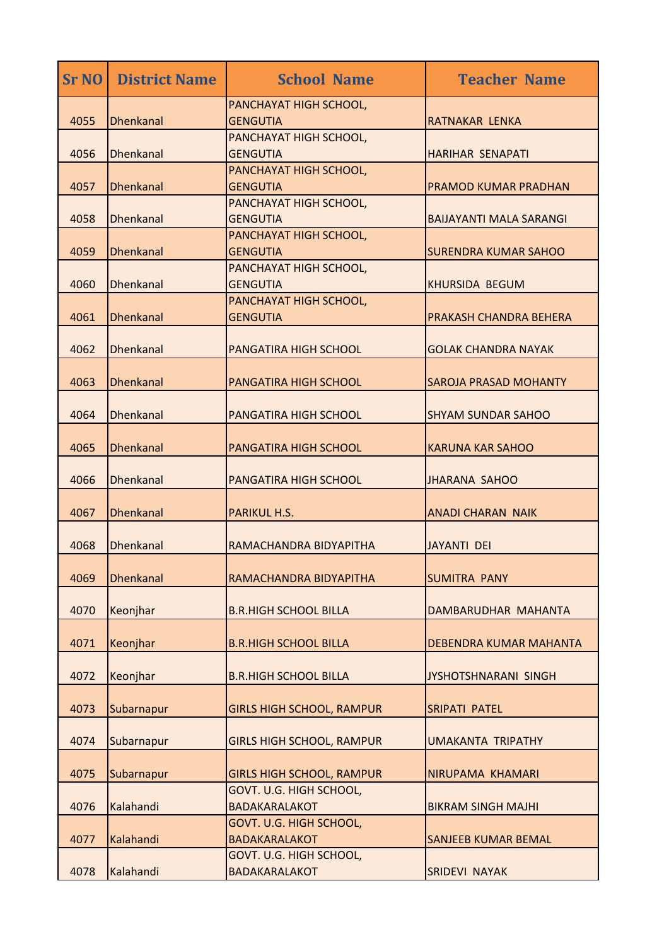| <b>Sr NO</b> | <b>District Name</b> | <b>School Name</b>                        | <b>Teacher Name</b>            |
|--------------|----------------------|-------------------------------------------|--------------------------------|
| 4055         | <b>Dhenkanal</b>     | PANCHAYAT HIGH SCHOOL,<br><b>GENGUTIA</b> | <b>RATNAKAR LENKA</b>          |
| 4056         | <b>Dhenkanal</b>     | PANCHAYAT HIGH SCHOOL,<br><b>GENGUTIA</b> | <b>HARIHAR SENAPATI</b>        |
| 4057         | <b>Dhenkanal</b>     | PANCHAYAT HIGH SCHOOL,<br><b>GENGUTIA</b> | <b>PRAMOD KUMAR PRADHAN</b>    |
| 4058         | <b>Dhenkanal</b>     | PANCHAYAT HIGH SCHOOL,<br><b>GENGUTIA</b> | <b>BAIJAYANTI MALA SARANGI</b> |
| 4059         | <b>Dhenkanal</b>     | PANCHAYAT HIGH SCHOOL,<br><b>GENGUTIA</b> | <b>SURENDRA KUMAR SAHOO</b>    |
| 4060         | <b>Dhenkanal</b>     | PANCHAYAT HIGH SCHOOL,<br><b>GENGUTIA</b> | <b>KHURSIDA BEGUM</b>          |
| 4061         | <b>Dhenkanal</b>     | PANCHAYAT HIGH SCHOOL,<br><b>GENGUTIA</b> | <b>PRAKASH CHANDRA BEHERA</b>  |
| 4062         | <b>Dhenkanal</b>     | <b>PANGATIRA HIGH SCHOOL</b>              | <b>GOLAK CHANDRA NAYAK</b>     |
| 4063         | <b>Dhenkanal</b>     | <b>PANGATIRA HIGH SCHOOL</b>              | <b>SAROJA PRASAD MOHANTY</b>   |
| 4064         | <b>Dhenkanal</b>     | PANGATIRA HIGH SCHOOL                     | <b>SHYAM SUNDAR SAHOO</b>      |
| 4065         | <b>Dhenkanal</b>     | <b>PANGATIRA HIGH SCHOOL</b>              | <b>KARUNA KAR SAHOO</b>        |
| 4066         | <b>Dhenkanal</b>     | PANGATIRA HIGH SCHOOL                     | <b>JHARANA SAHOO</b>           |
| 4067         | <b>Dhenkanal</b>     | <b>PARIKUL H.S.</b>                       | <b>ANADI CHARAN NAIK</b>       |
| 4068         | <b>Dhenkanal</b>     | RAMACHANDRA BIDYAPITHA                    | <b>JAYANTI DEI</b>             |
| 4069         | <b>Dhenkanal</b>     | RAMACHANDRA BIDYAPITHA                    | <b>SUMITRA PANY</b>            |
| 4070         | Keonjhar             | <b>B.R.HIGH SCHOOL BILLA</b>              | DAMBARUDHAR MAHANTA            |
| 4071         | Keonjhar             | <b>B.R.HIGH SCHOOL BILLA</b>              | DEBENDRA KUMAR MAHANTA         |
| 4072         | Keonjhar             | <b>B.R.HIGH SCHOOL BILLA</b>              | JYSHOTSHNARANI SINGH           |
| 4073         | Subarnapur           | <b>GIRLS HIGH SCHOOL, RAMPUR</b>          | <b>SRIPATI PATEL</b>           |
| 4074         | Subarnapur           | <b>GIRLS HIGH SCHOOL, RAMPUR</b>          | <b>UMAKANTA TRIPATHY</b>       |
| 4075         | Subarnapur           | <b>GIRLS HIGH SCHOOL, RAMPUR</b>          | NIRUPAMA KHAMARI               |
| 4076         | Kalahandi            | GOVT. U.G. HIGH SCHOOL,<br>BADAKARALAKOT  | <b>BIKRAM SINGH MAJHI</b>      |
| 4077         | Kalahandi            | GOVT. U.G. HIGH SCHOOL,<br>BADAKARALAKOT  | <b>SANJEEB KUMAR BEMAL</b>     |
| 4078         | Kalahandi            | GOVT. U.G. HIGH SCHOOL,<br>BADAKARALAKOT  | <b>SRIDEVI NAYAK</b>           |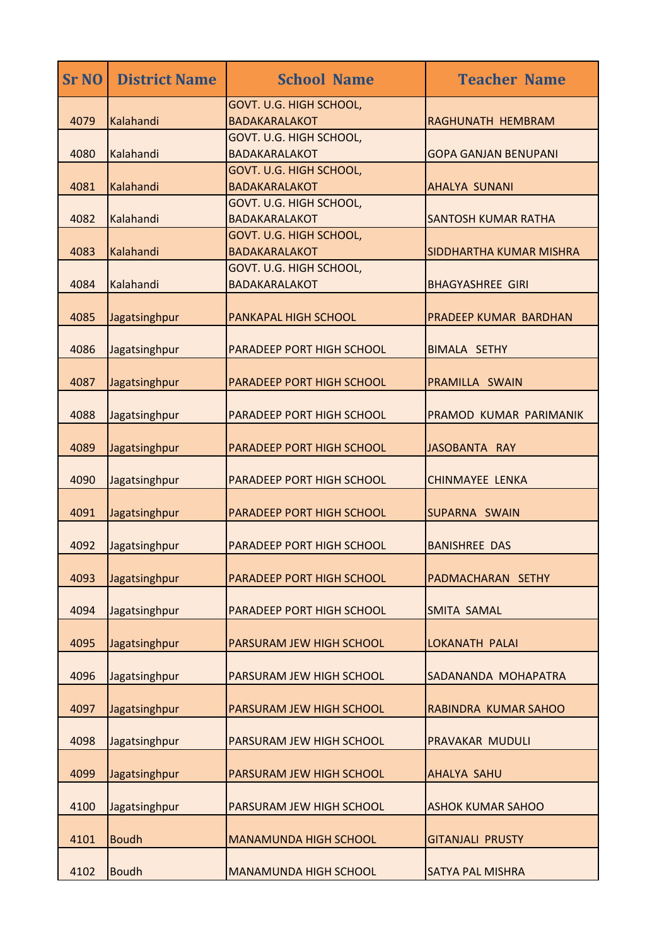| <b>Sr NO</b> | <b>District Name</b> | <b>School Name</b>                              | <b>Teacher Name</b>            |
|--------------|----------------------|-------------------------------------------------|--------------------------------|
| 4079         | Kalahandi            | GOVT. U.G. HIGH SCHOOL,<br><b>BADAKARALAKOT</b> | RAGHUNATH HEMBRAM              |
| 4080         | Kalahandi            | GOVT. U.G. HIGH SCHOOL,<br><b>BADAKARALAKOT</b> | <b>GOPA GANJAN BENUPANI</b>    |
| 4081         | Kalahandi            | GOVT. U.G. HIGH SCHOOL,<br><b>BADAKARALAKOT</b> | <b>AHALYA SUNANI</b>           |
| 4082         | Kalahandi            | GOVT. U.G. HIGH SCHOOL,<br><b>BADAKARALAKOT</b> | <b>SANTOSH KUMAR RATHA</b>     |
| 4083         | Kalahandi            | GOVT. U.G. HIGH SCHOOL,<br><b>BADAKARALAKOT</b> | <b>SIDDHARTHA KUMAR MISHRA</b> |
| 4084         | Kalahandi            | GOVT. U.G. HIGH SCHOOL,<br><b>BADAKARALAKOT</b> | <b>BHAGYASHREE GIRI</b>        |
| 4085         | Jagatsinghpur        | PANKAPAL HIGH SCHOOL                            | PRADEEP KUMAR BARDHAN          |
| 4086         | Jagatsinghpur        | <b>PARADEEP PORT HIGH SCHOOL</b>                | <b>BIMALA SETHY</b>            |
| 4087         | Jagatsinghpur        | PARADEEP PORT HIGH SCHOOL                       | PRAMILLA SWAIN                 |
| 4088         | Jagatsinghpur        | PARADEEP PORT HIGH SCHOOL                       | PRAMOD KUMAR PARIMANIK         |
| 4089         | Jagatsinghpur        | PARADEEP PORT HIGH SCHOOL                       | JASOBANTA RAY                  |
| 4090         | Jagatsinghpur        | PARADEEP PORT HIGH SCHOOL                       | <b>CHINMAYEE LENKA</b>         |
| 4091         | Jagatsinghpur        | PARADEEP PORT HIGH SCHOOL                       | SUPARNA SWAIN                  |
| 4092         | Jagatsinghpur        | PARADEEP PORT HIGH SCHOOL                       | <b>BANISHREE DAS</b>           |
| 4093         | Jagatsinghpur        | PARADEEP PORT HIGH SCHOOL                       | PADMACHARAN SETHY              |
| 4094         | Jagatsinghpur        | PARADEEP PORT HIGH SCHOOL                       | <b>SMITA SAMAL</b>             |
| 4095         | Jagatsinghpur        | PARSURAM JEW HIGH SCHOOL                        | <b>LOKANATH PALAI</b>          |
| 4096         | Jagatsinghpur        | PARSURAM JEW HIGH SCHOOL                        | SADANANDA MOHAPATRA            |
| 4097         | Jagatsinghpur        | PARSURAM JEW HIGH SCHOOL                        | RABINDRA KUMAR SAHOO           |
| 4098         | Jagatsinghpur        | PARSURAM JEW HIGH SCHOOL                        | PRAVAKAR MUDULI                |
| 4099         | Jagatsinghpur        | PARSURAM JEW HIGH SCHOOL                        | <b>AHALYA SAHU</b>             |
| 4100         | Jagatsinghpur        | PARSURAM JEW HIGH SCHOOL                        | <b>ASHOK KUMAR SAHOO</b>       |
| 4101         | <b>Boudh</b>         | <b>MANAMUNDA HIGH SCHOOL</b>                    | <b>GITANJALI PRUSTY</b>        |
| 4102         | <b>Boudh</b>         | <b>MANAMUNDA HIGH SCHOOL</b>                    | <b>SATYA PAL MISHRA</b>        |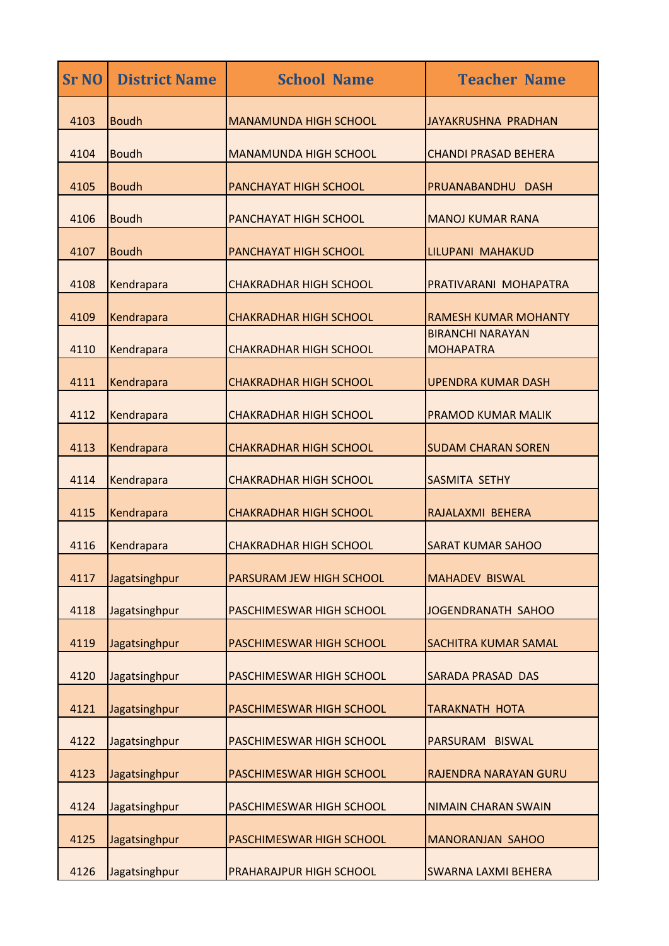| <b>Sr NO</b> | <b>District Name</b> | <b>School Name</b>              | <b>Teacher Name</b>                         |
|--------------|----------------------|---------------------------------|---------------------------------------------|
| 4103         | <b>Boudh</b>         | <b>MANAMUNDA HIGH SCHOOL</b>    | <b>JAYAKRUSHNA PRADHAN</b>                  |
| 4104         | <b>Boudh</b>         | <b>MANAMUNDA HIGH SCHOOL</b>    | <b>CHANDI PRASAD BEHERA</b>                 |
| 4105         | <b>Boudh</b>         | PANCHAYAT HIGH SCHOOL           | PRUANABANDHU DASH                           |
| 4106         | <b>Boudh</b>         | PANCHAYAT HIGH SCHOOL           | <b>MANOJ KUMAR RANA</b>                     |
| 4107         | <b>Boudh</b>         | PANCHAYAT HIGH SCHOOL           | LILUPANI MAHAKUD                            |
| 4108         | Kendrapara           | <b>CHAKRADHAR HIGH SCHOOL</b>   | PRATIVARANI MOHAPATRA                       |
| 4109         | Kendrapara           | <b>CHAKRADHAR HIGH SCHOOL</b>   | <b>RAMESH KUMAR MOHANTY</b>                 |
| 4110         | Kendrapara           | <b>CHAKRADHAR HIGH SCHOOL</b>   | <b>BIRANCHI NARAYAN</b><br><b>MOHAPATRA</b> |
| 4111         | Kendrapara           | <b>CHAKRADHAR HIGH SCHOOL</b>   | <b>UPENDRA KUMAR DASH</b>                   |
| 4112         | Kendrapara           | <b>CHAKRADHAR HIGH SCHOOL</b>   | <b>PRAMOD KUMAR MALIK</b>                   |
| 4113         | Kendrapara           | <b>CHAKRADHAR HIGH SCHOOL</b>   | <b>SUDAM CHARAN SOREN</b>                   |
| 4114         | Kendrapara           | <b>CHAKRADHAR HIGH SCHOOL</b>   | SASMITA SETHY                               |
| 4115         | Kendrapara           | <b>CHAKRADHAR HIGH SCHOOL</b>   | RAJALAXMI BEHERA                            |
| 4116         | Kendrapara           | <b>CHAKRADHAR HIGH SCHOOL</b>   | <b>SARAT KUMAR SAHOO</b>                    |
| 4117         | Jagatsinghpur        | PARSURAM JEW HIGH SCHOOL        | <b>MAHADEV BISWAL</b>                       |
| 4118         | Jagatsinghpur        | PASCHIMESWAR HIGH SCHOOL        | JOGENDRANATH SAHOO                          |
| 4119         | Jagatsinghpur        | PASCHIMESWAR HIGH SCHOOL        | <b>SACHITRA KUMAR SAMAL</b>                 |
| 4120         | Jagatsinghpur        | <b>PASCHIMESWAR HIGH SCHOOL</b> | <b>SARADA PRASAD DAS</b>                    |
| 4121         | Jagatsinghpur        | PASCHIMESWAR HIGH SCHOOL        | TARAKNATH HOTA                              |
| 4122         | Jagatsinghpur        | PASCHIMESWAR HIGH SCHOOL        | PARSURAM<br><b>BISWAL</b>                   |
| 4123         | Jagatsinghpur        | PASCHIMESWAR HIGH SCHOOL        | RAJENDRA NARAYAN GURU                       |
| 4124         | Jagatsinghpur        | PASCHIMESWAR HIGH SCHOOL        | <b>NIMAIN CHARAN SWAIN</b>                  |
| 4125         | Jagatsinghpur        | PASCHIMESWAR HIGH SCHOOL        | <b>MANORANJAN SAHOO</b>                     |
| 4126         | Jagatsinghpur        | PRAHARAJPUR HIGH SCHOOL         | <b>SWARNA LAXMI BEHERA</b>                  |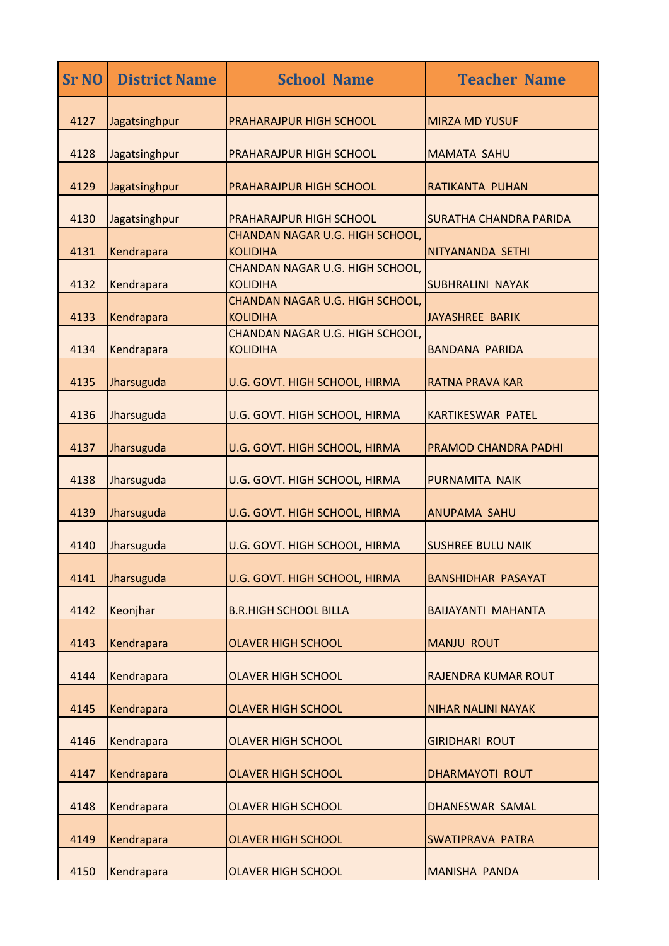| <b>Sr NO</b> | <b>District Name</b> | <b>School Name</b>                                 | <b>Teacher Name</b>           |
|--------------|----------------------|----------------------------------------------------|-------------------------------|
| 4127         | Jagatsinghpur        | PRAHARAJPUR HIGH SCHOOL                            | <b>MIRZA MD YUSUF</b>         |
| 4128         | Jagatsinghpur        | <b>PRAHARAJPUR HIGH SCHOOL</b>                     | <b>MAMATA SAHU</b>            |
| 4129         | Jagatsinghpur        | PRAHARAJPUR HIGH SCHOOL                            | RATIKANTA PUHAN               |
| 4130         | Jagatsinghpur        | <b>PRAHARAJPUR HIGH SCHOOL</b>                     | <b>SURATHA CHANDRA PARIDA</b> |
| 4131         | Kendrapara           | CHANDAN NAGAR U.G. HIGH SCHOOL,<br><b>KOLIDIHA</b> | NITYANANDA SETHI              |
| 4132         | Kendrapara           | CHANDAN NAGAR U.G. HIGH SCHOOL,<br><b>KOLIDIHA</b> | <b>SUBHRALINI NAYAK</b>       |
| 4133         | Kendrapara           | CHANDAN NAGAR U.G. HIGH SCHOOL,<br><b>KOLIDIHA</b> | JAYASHREE BARIK               |
| 4134         | Kendrapara           | CHANDAN NAGAR U.G. HIGH SCHOOL,<br><b>KOLIDIHA</b> | <b>BANDANA PARIDA</b>         |
| 4135         | Jharsuguda           | U.G. GOVT. HIGH SCHOOL, HIRMA                      | <b>RATNA PRAVA KAR</b>        |
| 4136         | Jharsuguda           | U.G. GOVT. HIGH SCHOOL, HIRMA                      | <b>KARTIKESWAR PATEL</b>      |
| 4137         | Jharsuguda           | U.G. GOVT. HIGH SCHOOL, HIRMA                      | PRAMOD CHANDRA PADHI          |
| 4138         | Jharsuguda           | U.G. GOVT. HIGH SCHOOL, HIRMA                      | PURNAMITA NAIK                |
| 4139         | Jharsuguda           | U.G. GOVT. HIGH SCHOOL, HIRMA                      | <b>ANUPAMA SAHU</b>           |
| 4140         | Jharsuguda           | U.G. GOVT. HIGH SCHOOL, HIRMA                      | <b>SUSHREE BULU NAIK</b>      |
| 4141         | Jharsuguda           | U.G. GOVT. HIGH SCHOOL, HIRMA                      | <b>BANSHIDHAR PASAYAT</b>     |
| 4142         | Keonjhar             | <b>B.R.HIGH SCHOOL BILLA</b>                       | <b>BAIJAYANTI MAHANTA</b>     |
| 4143         | Kendrapara           | <b>OLAVER HIGH SCHOOL</b>                          | <b>MANJU ROUT</b>             |
| 4144         | Kendrapara           | <b>OLAVER HIGH SCHOOL</b>                          | <b>RAJENDRA KUMAR ROUT</b>    |
| 4145         | Kendrapara           | <b>OLAVER HIGH SCHOOL</b>                          | <b>NIHAR NALINI NAYAK</b>     |
| 4146         | Kendrapara           | OLAVER HIGH SCHOOL                                 | <b>GIRIDHARI ROUT</b>         |
| 4147         | Kendrapara           | <b>OLAVER HIGH SCHOOL</b>                          | <b>DHARMAYOTI ROUT</b>        |
| 4148         | Kendrapara           | <b>OLAVER HIGH SCHOOL</b>                          | DHANESWAR SAMAL               |
| 4149         | Kendrapara           | <b>OLAVER HIGH SCHOOL</b>                          | <b>SWATIPRAVA PATRA</b>       |
| 4150         | Kendrapara           | <b>OLAVER HIGH SCHOOL</b>                          | MANISHA PANDA                 |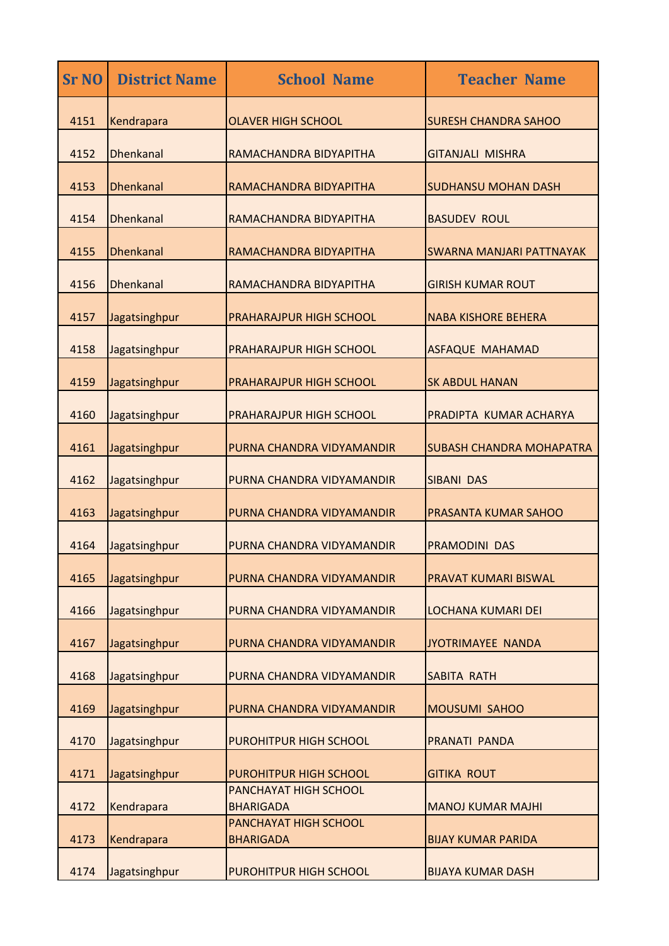| <b>Sr NO</b> | <b>District Name</b> | <b>School Name</b>                        | <b>Teacher Name</b>             |
|--------------|----------------------|-------------------------------------------|---------------------------------|
| 4151         | Kendrapara           | <b>OLAVER HIGH SCHOOL</b>                 | <b>SURESH CHANDRA SAHOO</b>     |
| 4152         | <b>Dhenkanal</b>     | RAMACHANDRA BIDYAPITHA                    | <b>GITANJALI MISHRA</b>         |
| 4153         | <b>Dhenkanal</b>     | RAMACHANDRA BIDYAPITHA                    | <b>SUDHANSU MOHAN DASH</b>      |
| 4154         | <b>Dhenkanal</b>     | RAMACHANDRA BIDYAPITHA                    | <b>BASUDEV ROUL</b>             |
| 4155         | <b>Dhenkanal</b>     | RAMACHANDRA BIDYAPITHA                    | SWARNA MANJARI PATTNAYAK        |
| 4156         | <b>Dhenkanal</b>     | RAMACHANDRA BIDYAPITHA                    | <b>GIRISH KUMAR ROUT</b>        |
| 4157         | Jagatsinghpur        | PRAHARAJPUR HIGH SCHOOL                   | <b>NABA KISHORE BEHERA</b>      |
| 4158         | Jagatsinghpur        | <b>PRAHARAJPUR HIGH SCHOOL</b>            | <b>ASFAQUE MAHAMAD</b>          |
| 4159         | Jagatsinghpur        | PRAHARAJPUR HIGH SCHOOL                   | <b>SK ABDUL HANAN</b>           |
| 4160         | Jagatsinghpur        | <b>PRAHARAJPUR HIGH SCHOOL</b>            | PRADIPTA KUMAR ACHARYA          |
| 4161         | Jagatsinghpur        | PURNA CHANDRA VIDYAMANDIR                 | <b>SUBASH CHANDRA MOHAPATRA</b> |
| 4162         | Jagatsinghpur        | PURNA CHANDRA VIDYAMANDIR                 | <b>SIBANI DAS</b>               |
| 4163         | Jagatsinghpur        | PURNA CHANDRA VIDYAMANDIR                 | PRASANTA KUMAR SAHOO            |
| 4164         | Jagatsinghpur        | PURNA CHANDRA VIDYAMANDIR                 | <b>PRAMODINI DAS</b>            |
| 4165         | Jagatsinghpur        | PURNA CHANDRA VIDYAMANDIR                 | PRAVAT KUMARI BISWAL            |
| 4166         | Jagatsinghpur        | PURNA CHANDRA VIDYAMANDIR                 | <b>LOCHANA KUMARI DEI</b>       |
| 4167         | Jagatsinghpur        | PURNA CHANDRA VIDYAMANDIR                 | JYOTRIMAYEE NANDA               |
| 4168         | Jagatsinghpur        | PURNA CHANDRA VIDYAMANDIR                 | <b>SABITA RATH</b>              |
| 4169         | Jagatsinghpur        | PURNA CHANDRA VIDYAMANDIR                 | <b>MOUSUMI SAHOO</b>            |
| 4170         | Jagatsinghpur        | <b>PUROHITPUR HIGH SCHOOL</b>             | PRANATI PANDA                   |
| 4171         | Jagatsinghpur        | PUROHITPUR HIGH SCHOOL                    | <b>GITIKA ROUT</b>              |
| 4172         | Kendrapara           | PANCHAYAT HIGH SCHOOL<br><b>BHARIGADA</b> | <b>MANOJ KUMAR MAJHI</b>        |
| 4173         | Kendrapara           | PANCHAYAT HIGH SCHOOL<br><b>BHARIGADA</b> | <b>BIJAY KUMAR PARIDA</b>       |
| 4174         | Jagatsinghpur        | PUROHITPUR HIGH SCHOOL                    | <b>BIJAYA KUMAR DASH</b>        |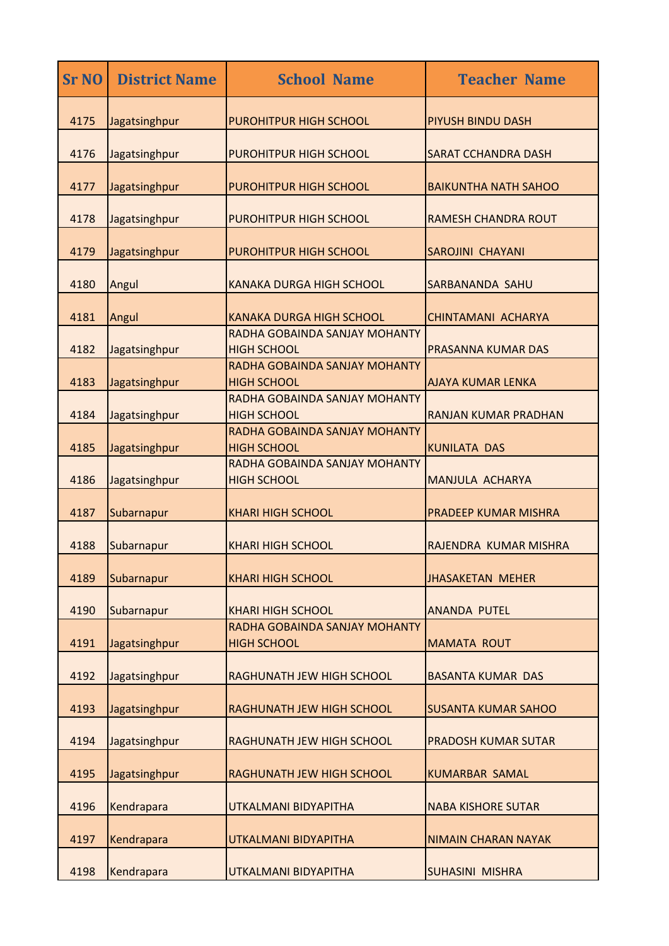| <b>Sr NO</b> | <b>District Name</b> | <b>School Name</b>                                  | <b>Teacher Name</b>         |
|--------------|----------------------|-----------------------------------------------------|-----------------------------|
| 4175         | Jagatsinghpur        | PUROHITPUR HIGH SCHOOL                              | PIYUSH BINDU DASH           |
| 4176         | Jagatsinghpur        | <b>PUROHITPUR HIGH SCHOOL</b>                       | <b>SARAT CCHANDRA DASH</b>  |
| 4177         | Jagatsinghpur        | PUROHITPUR HIGH SCHOOL                              | <b>BAIKUNTHA NATH SAHOO</b> |
| 4178         | Jagatsinghpur        | PUROHITPUR HIGH SCHOOL                              | <b>RAMESH CHANDRA ROUT</b>  |
| 4179         | Jagatsinghpur        | <b>PUROHITPUR HIGH SCHOOL</b>                       | <b>SAROJINI CHAYANI</b>     |
| 4180         | Angul                | <b>KANAKA DURGA HIGH SCHOOL</b>                     | SARBANANDA SAHU             |
| 4181         | Angul                | <b>KANAKA DURGA HIGH SCHOOL</b>                     | CHINTAMANI ACHARYA          |
| 4182         | Jagatsinghpur        | RADHA GOBAINDA SANJAY MOHANTY<br><b>HIGH SCHOOL</b> | <b>PRASANNA KUMAR DAS</b>   |
| 4183         | Jagatsinghpur        | RADHA GOBAINDA SANJAY MOHANTY<br><b>HIGH SCHOOL</b> | <b>AJAYA KUMAR LENKA</b>    |
| 4184         | Jagatsinghpur        | RADHA GOBAINDA SANJAY MOHANTY<br><b>HIGH SCHOOL</b> | <b>RANJAN KUMAR PRADHAN</b> |
| 4185         | Jagatsinghpur        | RADHA GOBAINDA SANJAY MOHANTY<br><b>HIGH SCHOOL</b> | <b>KUNILATA DAS</b>         |
| 4186         | Jagatsinghpur        | RADHA GOBAINDA SANJAY MOHANTY<br><b>HIGH SCHOOL</b> | MANJULA ACHARYA             |
| 4187         | Subarnapur           | <b>KHARI HIGH SCHOOL</b>                            | PRADEEP KUMAR MISHRA        |
| 4188         | Subarnapur           | <b>KHARI HIGH SCHOOL</b>                            | RAJENDRA KUMAR MISHRA       |
| 4189         | Subarnapur           | <b>KHARI HIGH SCHOOL</b>                            | <b>JHASAKETAN MEHER</b>     |
| 4190         | Subarnapur           | <b>KHARI HIGH SCHOOL</b>                            | <b>ANANDA PUTEL</b>         |
| 4191         | Jagatsinghpur        | RADHA GOBAINDA SANJAY MOHANTY<br><b>HIGH SCHOOL</b> | <b>MAMATA ROUT</b>          |
| 4192         | Jagatsinghpur        | RAGHUNATH JEW HIGH SCHOOL                           | <b>BASANTA KUMAR DAS</b>    |
| 4193         | Jagatsinghpur        | RAGHUNATH JEW HIGH SCHOOL                           | <b>SUSANTA KUMAR SAHOO</b>  |
| 4194         | Jagatsinghpur        | RAGHUNATH JEW HIGH SCHOOL                           | <b>PRADOSH KUMAR SUTAR</b>  |
| 4195         | Jagatsinghpur        | RAGHUNATH JEW HIGH SCHOOL                           | <b>KUMARBAR SAMAL</b>       |
| 4196         | Kendrapara           | UTKALMANI BIDYAPITHA                                | <b>NABA KISHORE SUTAR</b>   |
| 4197         | Kendrapara           | UTKALMANI BIDYAPITHA                                | <b>NIMAIN CHARAN NAYAK</b>  |
| 4198         | Kendrapara           | UTKALMANI BIDYAPITHA                                | <b>SUHASINI MISHRA</b>      |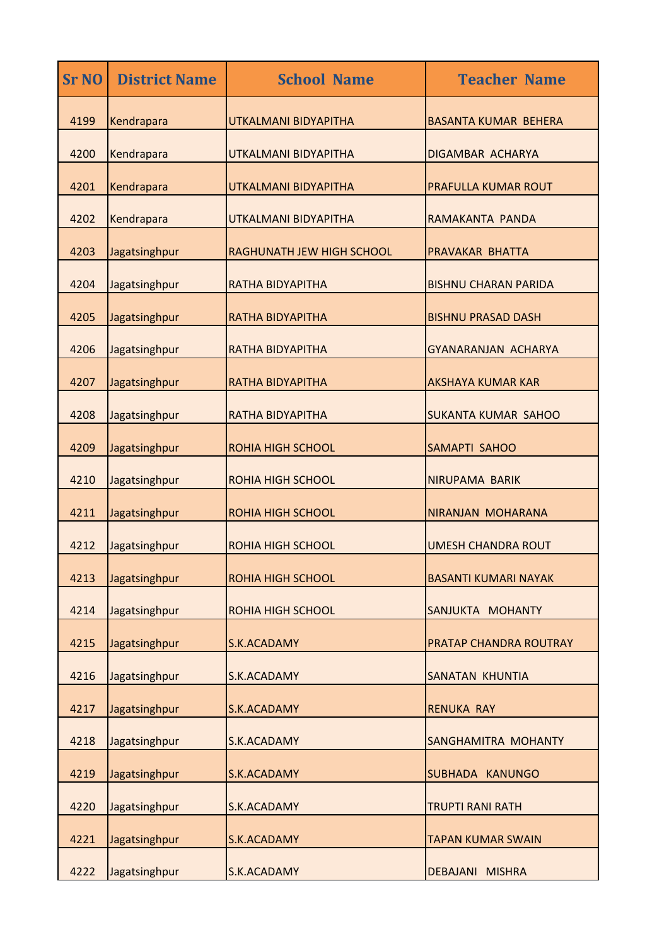| <b>Sr NO</b> | <b>District Name</b> | <b>School Name</b>        | <b>Teacher Name</b>           |
|--------------|----------------------|---------------------------|-------------------------------|
| 4199         | Kendrapara           | UTKALMANI BIDYAPITHA      | <b>BASANTA KUMAR BEHERA</b>   |
| 4200         | Kendrapara           | UTKALMANI BIDYAPITHA      | DIGAMBAR ACHARYA              |
| 4201         | Kendrapara           | UTKALMANI BIDYAPITHA      | PRAFULLA KUMAR ROUT           |
| 4202         | Kendrapara           | UTKALMANI BIDYAPITHA      | RAMAKANTA PANDA               |
| 4203         | Jagatsinghpur        | RAGHUNATH JEW HIGH SCHOOL | PRAVAKAR BHATTA               |
| 4204         | Jagatsinghpur        | RATHA BIDYAPITHA          | <b>BISHNU CHARAN PARIDA</b>   |
| 4205         | Jagatsinghpur        | RATHA BIDYAPITHA          | <b>BISHNU PRASAD DASH</b>     |
| 4206         | Jagatsinghpur        | RATHA BIDYAPITHA          | <b>GYANARANJAN ACHARYA</b>    |
| 4207         | Jagatsinghpur        | RATHA BIDYAPITHA          | <b>AKSHAYA KUMAR KAR</b>      |
| 4208         | Jagatsinghpur        | RATHA BIDYAPITHA          | <b>SUKANTA KUMAR SAHOO</b>    |
| 4209         | Jagatsinghpur        | <b>ROHIA HIGH SCHOOL</b>  | SAMAPTI SAHOO                 |
| 4210         | Jagatsinghpur        | <b>ROHIA HIGH SCHOOL</b>  | <b>NIRUPAMA BARIK</b>         |
| 4211         | Jagatsinghpur        | <b>ROHIA HIGH SCHOOL</b>  | NIRANJAN MOHARANA             |
| 4212         | Jagatsinghpur        | <b>ROHIA HIGH SCHOOL</b>  | <b>UMESH CHANDRA ROUT</b>     |
| 4213         | Jagatsinghpur        | <b>ROHIA HIGH SCHOOL</b>  | <b>BASANTI KUMARI NAYAK</b>   |
| 4214         | Jagatsinghpur        | <b>ROHIA HIGH SCHOOL</b>  | SANJUKTA MOHANTY              |
| 4215         | Jagatsinghpur        | S.K.ACADAMY               | <b>PRATAP CHANDRA ROUTRAY</b> |
| 4216         | Jagatsinghpur        | S.K.ACADAMY               | <b>SANATAN KHUNTIA</b>        |
| 4217         | Jagatsinghpur        | S.K.ACADAMY               | <b>RENUKA RAY</b>             |
| 4218         | Jagatsinghpur        | S.K.ACADAMY               | SANGHAMITRA MOHANTY           |
| 4219         | Jagatsinghpur        | <b>S.K.ACADAMY</b>        | SUBHADA KANUNGO               |
| 4220         | Jagatsinghpur        | <b>S.K.ACADAMY</b>        | <b>TRUPTI RANI RATH</b>       |
| 4221         | Jagatsinghpur        | S.K.ACADAMY               | <b>TAPAN KUMAR SWAIN</b>      |
| 4222         | Jagatsinghpur        | S.K.ACADAMY               | <b>DEBAJANI MISHRA</b>        |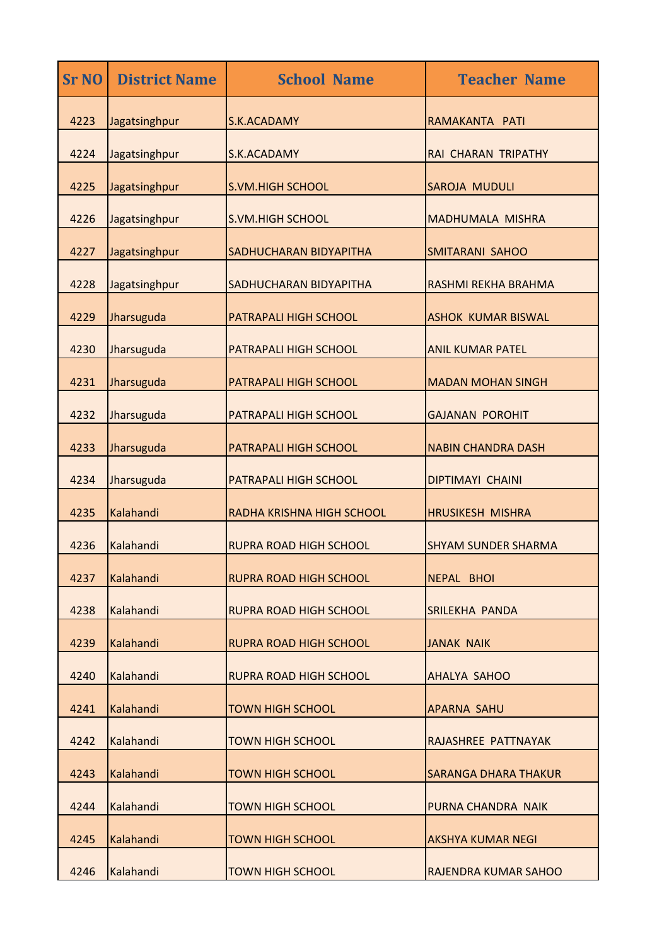| <b>Sr NO</b> | <b>District Name</b> | <b>School Name</b>            | <b>Teacher Name</b>         |
|--------------|----------------------|-------------------------------|-----------------------------|
| 4223         | Jagatsinghpur        | S.K.ACADAMY                   | RAMAKANTA PATI              |
| 4224         | Jagatsinghpur        | S.K.ACADAMY                   | <b>RAI CHARAN TRIPATHY</b>  |
| 4225         | Jagatsinghpur        | <b>S.VM.HIGH SCHOOL</b>       | <b>SAROJA MUDULI</b>        |
| 4226         | Jagatsinghpur        | <b>S.VM.HIGH SCHOOL</b>       | <b>MADHUMALA MISHRA</b>     |
| 4227         | Jagatsinghpur        | SADHUCHARAN BIDYAPITHA        | <b>SMITARANI SAHOO</b>      |
| 4228         | Jagatsinghpur        | SADHUCHARAN BIDYAPITHA        | RASHMI REKHA BRAHMA         |
| 4229         | Jharsuguda           | PATRAPALI HIGH SCHOOL         | <b>ASHOK KUMAR BISWAL</b>   |
| 4230         | Jharsuguda           | PATRAPALI HIGH SCHOOL         | <b>ANIL KUMAR PATEL</b>     |
| 4231         | Jharsuguda           | PATRAPALI HIGH SCHOOL         | <b>MADAN MOHAN SINGH</b>    |
| 4232         | Jharsuguda           | PATRAPALI HIGH SCHOOL         | <b>GAJANAN POROHIT</b>      |
| 4233         | Jharsuguda           | PATRAPALI HIGH SCHOOL         | <b>NABIN CHANDRA DASH</b>   |
| 4234         | Jharsuguda           | PATRAPALI HIGH SCHOOL         | <b>DIPTIMAYI CHAINI</b>     |
| 4235         | Kalahandi            | RADHA KRISHNA HIGH SCHOOL     | <b>HRUSIKESH MISHRA</b>     |
| 4236         | Kalahandi            | <b>RUPRA ROAD HIGH SCHOOL</b> | <b>SHYAM SUNDER SHARMA</b>  |
| 4237         | Kalahandi            | <b>RUPRA ROAD HIGH SCHOOL</b> | NEPAL BHOI                  |
| 4238         | Kalahandi            | <b>RUPRA ROAD HIGH SCHOOL</b> | <b>SRILEKHA PANDA</b>       |
| 4239         | Kalahandi            | <b>RUPRA ROAD HIGH SCHOOL</b> | <b>JANAK NAIK</b>           |
| 4240         | Kalahandi            | <b>RUPRA ROAD HIGH SCHOOL</b> | <b>AHALYA SAHOO</b>         |
| 4241         | Kalahandi            | <b>TOWN HIGH SCHOOL</b>       | <b>APARNA SAHU</b>          |
| 4242         | Kalahandi            | <b>TOWN HIGH SCHOOL</b>       | RAJASHREE PATTNAYAK         |
| 4243         | Kalahandi            | <b>TOWN HIGH SCHOOL</b>       | <b>SARANGA DHARA THAKUR</b> |
| 4244         | Kalahandi            | <b>TOWN HIGH SCHOOL</b>       | PURNA CHANDRA NAIK          |
| 4245         | Kalahandi            | <b>TOWN HIGH SCHOOL</b>       | <b>AKSHYA KUMAR NEGI</b>    |
| 4246         | Kalahandi            | <b>TOWN HIGH SCHOOL</b>       | <b>RAJENDRA KUMAR SAHOO</b> |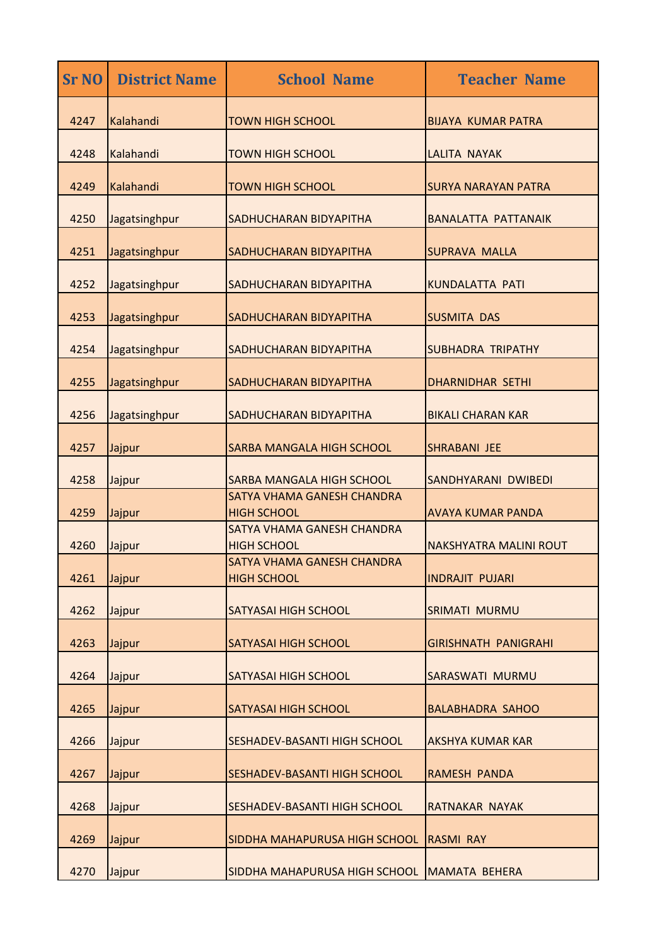| <b>Sr NO</b> | <b>District Name</b> | <b>School Name</b>                                             | <b>Teacher Name</b>           |
|--------------|----------------------|----------------------------------------------------------------|-------------------------------|
| 4247         | Kalahandi            | <b>TOWN HIGH SCHOOL</b>                                        | <b>BIJAYA KUMAR PATRA</b>     |
| 4248         | Kalahandi            | <b>TOWN HIGH SCHOOL</b>                                        | <b>LALITA NAYAK</b>           |
| 4249         | Kalahandi            | <b>TOWN HIGH SCHOOL</b>                                        | <b>SURYA NARAYAN PATRA</b>    |
| 4250         | Jagatsinghpur        | SADHUCHARAN BIDYAPITHA                                         | <b>BANALATTA PATTANAIK</b>    |
| 4251         | Jagatsinghpur        | SADHUCHARAN BIDYAPITHA                                         | <b>SUPRAVA MALLA</b>          |
| 4252         | Jagatsinghpur        | SADHUCHARAN BIDYAPITHA                                         | <b>KUNDALATTA PATI</b>        |
| 4253         | Jagatsinghpur        | SADHUCHARAN BIDYAPITHA                                         | <b>SUSMITA DAS</b>            |
| 4254         | Jagatsinghpur        | SADHUCHARAN BIDYAPITHA                                         | <b>SUBHADRA TRIPATHY</b>      |
| 4255         | Jagatsinghpur        | SADHUCHARAN BIDYAPITHA                                         | <b>DHARNIDHAR SETHI</b>       |
| 4256         | Jagatsinghpur        | SADHUCHARAN BIDYAPITHA                                         | <b>BIKALI CHARAN KAR</b>      |
| 4257         |                      |                                                                |                               |
|              | Jajpur               | <b>SARBA MANGALA HIGH SCHOOL</b>                               | SHRABANI JEE                  |
| 4258         | Jajpur               | <b>SARBA MANGALA HIGH SCHOOL</b><br>SATYA VHAMA GANESH CHANDRA | SANDHYARANI DWIBEDI           |
| 4259         | Jajpur               | <b>HIGH SCHOOL</b>                                             | <b>AVAYA KUMAR PANDA</b>      |
|              |                      | SATYA VHAMA GANESH CHANDRA                                     |                               |
| 4260         | Jajpur               | <b>HIGH SCHOOL</b><br>SATYA VHAMA GANESH CHANDRA               | <b>NAKSHYATRA MALINI ROUT</b> |
| 4261         | Jajpur               | <b>HIGH SCHOOL</b>                                             | <b>INDRAJIT PUJARI</b>        |
| 4262         | Jajpur               | <b>SATYASAI HIGH SCHOOL</b>                                    | <b>SRIMATI MURMU</b>          |
| 4263         | Jajpur               | <b>SATYASAI HIGH SCHOOL</b>                                    | <b>GIRISHNATH PANIGRAHI</b>   |
| 4264         | Jajpur               | <b>SATYASAI HIGH SCHOOL</b>                                    | SARASWATI MURMU               |
| 4265         | Jajpur               | <b>SATYASAI HIGH SCHOOL</b>                                    | <b>BALABHADRA SAHOO</b>       |
| 4266         | Jajpur               | SESHADEV-BASANTI HIGH SCHOOL                                   | <b>AKSHYA KUMAR KAR</b>       |
|              |                      |                                                                |                               |
| 4267         | Jajpur               | SESHADEV-BASANTI HIGH SCHOOL                                   | <b>RAMESH PANDA</b>           |
| 4268         | Jajpur               | SESHADEV-BASANTI HIGH SCHOOL                                   | RATNAKAR NAYAK                |
| 4269         | Jajpur               | SIDDHA MAHAPURUSA HIGH SCHOOL                                  | <b>RASMI RAY</b>              |
| 4270         | Jajpur               | SIDDHA MAHAPURUSA HIGH SCHOOL                                  | MAMATA BEHERA                 |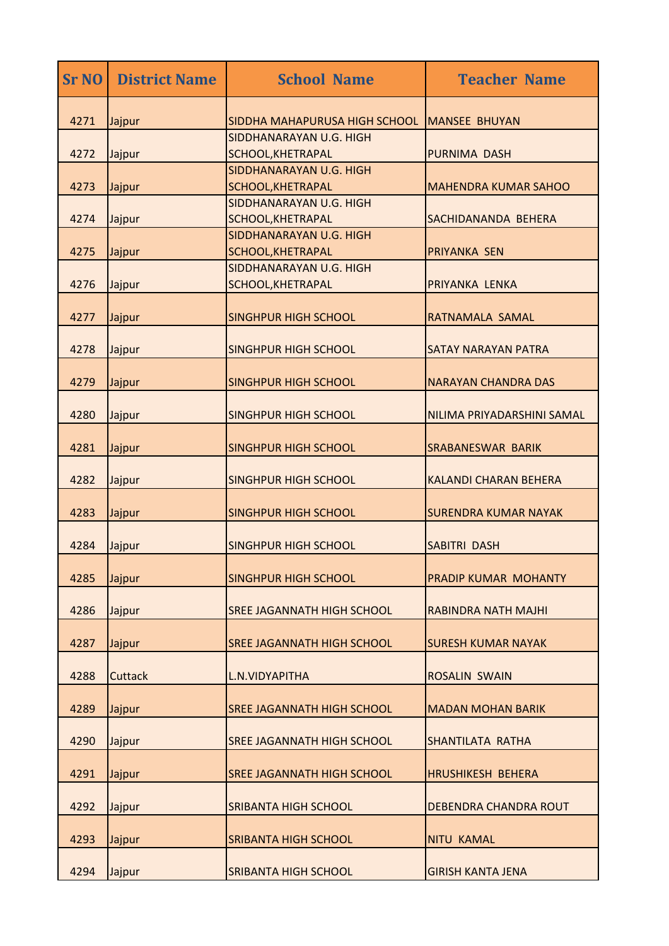| <b>Sr NO</b> | <b>District Name</b> | <b>School Name</b>                                  | <b>Teacher Name</b>          |
|--------------|----------------------|-----------------------------------------------------|------------------------------|
| 4271         | Jajpur               | SIDDHA MAHAPURUSA HIGH SCHOOL                       | <b>MANSEE BHUYAN</b>         |
| 4272         | Jajpur               | SIDDHANARAYAN U.G. HIGH<br>SCHOOL, KHETRAPAL        | <b>PURNIMA DASH</b>          |
| 4273         | Jajpur               | SIDDHANARAYAN U.G. HIGH<br><b>SCHOOL, KHETRAPAL</b> | <b>MAHENDRA KUMAR SAHOO</b>  |
| 4274         | Jajpur               | SIDDHANARAYAN U.G. HIGH<br>SCHOOL, KHETRAPAL        | SACHIDANANDA BEHERA          |
| 4275         | Jajpur               | SIDDHANARAYAN U.G. HIGH<br>SCHOOL, KHETRAPAL        | <b>PRIYANKA SEN</b>          |
| 4276         | Jajpur               | SIDDHANARAYAN U.G. HIGH<br>SCHOOL, KHETRAPAL        | PRIYANKA LENKA               |
| 4277         | Jajpur               | <b>SINGHPUR HIGH SCHOOL</b>                         | RATNAMALA SAMAL              |
| 4278         | Jajpur               | <b>SINGHPUR HIGH SCHOOL</b>                         | <b>SATAY NARAYAN PATRA</b>   |
| 4279         | Jajpur               | <b>SINGHPUR HIGH SCHOOL</b>                         | <b>NARAYAN CHANDRA DAS</b>   |
| 4280         | Jajpur               | <b>SINGHPUR HIGH SCHOOL</b>                         | NILIMA PRIYADARSHINI SAMAL   |
| 4281         | Jajpur               | <b>SINGHPUR HIGH SCHOOL</b>                         | <b>SRABANESWAR BARIK</b>     |
| 4282         | Jajpur               | <b>SINGHPUR HIGH SCHOOL</b>                         | <b>KALANDI CHARAN BEHERA</b> |
| 4283         | Jajpur               | <b>SINGHPUR HIGH SCHOOL</b>                         | <b>SURENDRA KUMAR NAYAK</b>  |
| 4284         | Jajpur               | <b>SINGHPUR HIGH SCHOOL</b>                         | <b>SABITRI DASH</b>          |
| 4285         | Jajpur               | <b>SINGHPUR HIGH SCHOOL</b>                         | PRADIP KUMAR MOHANTY         |
| 4286         | Jajpur               | <b>SREE JAGANNATH HIGH SCHOOL</b>                   | <b>RABINDRA NATH MAJHI</b>   |
| 4287         | Jajpur               | SREE JAGANNATH HIGH SCHOOL                          | <b>SURESH KUMAR NAYAK</b>    |
| 4288         | <b>Cuttack</b>       | L.N.VIDYAPITHA                                      | <b>ROSALIN SWAIN</b>         |
| 4289         | Jajpur               | SREE JAGANNATH HIGH SCHOOL                          | <b>MADAN MOHAN BARIK</b>     |
| 4290         | Jajpur               | <b>SREE JAGANNATH HIGH SCHOOL</b>                   | SHANTILATA RATHA             |
| 4291         | Jajpur               | SREE JAGANNATH HIGH SCHOOL                          | <b>HRUSHIKESH BEHERA</b>     |
| 4292         | Jajpur               | <b>SRIBANTA HIGH SCHOOL</b>                         | <b>DEBENDRA CHANDRA ROUT</b> |
| 4293         | Jajpur               | <b>SRIBANTA HIGH SCHOOL</b>                         | <b>NITU KAMAL</b>            |
| 4294         | Jajpur               | <b>SRIBANTA HIGH SCHOOL</b>                         | <b>GIRISH KANTA JENA</b>     |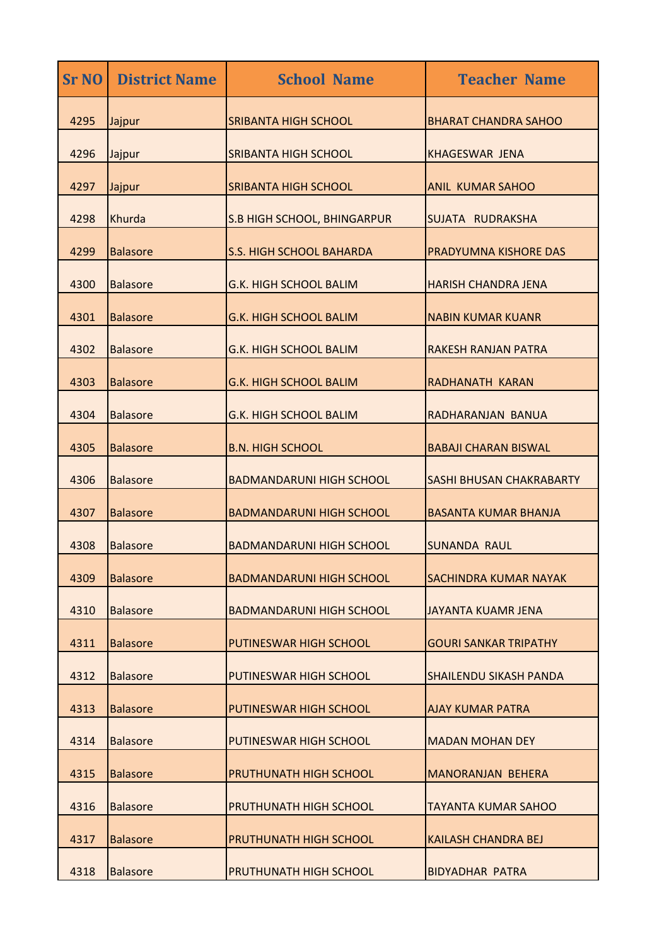| <b>Sr NO</b> | <b>District Name</b> | <b>School Name</b>              | <b>Teacher Name</b>             |
|--------------|----------------------|---------------------------------|---------------------------------|
| 4295         | Jajpur               | <b>SRIBANTA HIGH SCHOOL</b>     | <b>BHARAT CHANDRA SAHOO</b>     |
| 4296         | Jajpur               | <b>SRIBANTA HIGH SCHOOL</b>     | <b>KHAGESWAR JENA</b>           |
| 4297         | Jajpur               | <b>SRIBANTA HIGH SCHOOL</b>     | <b>ANIL KUMAR SAHOO</b>         |
| 4298         | Khurda               | S.B HIGH SCHOOL, BHINGARPUR     | SUJATA RUDRAKSHA                |
| 4299         | <b>Balasore</b>      | <b>S.S. HIGH SCHOOL BAHARDA</b> | PRADYUMNA KISHORE DAS           |
| 4300         | <b>Balasore</b>      | <b>G.K. HIGH SCHOOL BALIM</b>   | <b>HARISH CHANDRA JENA</b>      |
| 4301         | <b>Balasore</b>      | <b>G.K. HIGH SCHOOL BALIM</b>   | <b>NABIN KUMAR KUANR</b>        |
| 4302         | <b>Balasore</b>      | <b>G.K. HIGH SCHOOL BALIM</b>   | <b>RAKESH RANJAN PATRA</b>      |
| 4303         | <b>Balasore</b>      | <b>G.K. HIGH SCHOOL BALIM</b>   | RADHANATH KARAN                 |
| 4304         | <b>Balasore</b>      | <b>G.K. HIGH SCHOOL BALIM</b>   | RADHARANJAN BANUA               |
| 4305         | <b>Balasore</b>      | <b>B.N. HIGH SCHOOL</b>         | <b>BABAJI CHARAN BISWAL</b>     |
| 4306         | <b>Balasore</b>      | <b>BADMANDARUNI HIGH SCHOOL</b> | <b>SASHI BHUSAN CHAKRABARTY</b> |
| 4307         | <b>Balasore</b>      | <b>BADMANDARUNI HIGH SCHOOL</b> | <b>BASANTA KUMAR BHANJA</b>     |
| 4308         | <b>Balasore</b>      | <b>BADMANDARUNI HIGH SCHOOL</b> | <b>SUNANDA RAUL</b>             |
| 4309         | <b>Balasore</b>      | <b>BADMANDARUNI HIGH SCHOOL</b> | SACHINDRA KUMAR NAYAK           |
| 4310         | <b>Balasore</b>      | <b>BADMANDARUNI HIGH SCHOOL</b> | JAYANTA KUAMR JENA              |
| 4311         | <b>Balasore</b>      | PUTINESWAR HIGH SCHOOL          | <b>GOURI SANKAR TRIPATHY</b>    |
| 4312         | <b>Balasore</b>      | PUTINESWAR HIGH SCHOOL          | <b>SHAILENDU SIKASH PANDA</b>   |
| 4313         | <b>Balasore</b>      | PUTINESWAR HIGH SCHOOL          | <b>AJAY KUMAR PATRA</b>         |
| 4314         | <b>Balasore</b>      | PUTINESWAR HIGH SCHOOL          | <b>MADAN MOHAN DEY</b>          |
| 4315         | <b>Balasore</b>      | PRUTHUNATH HIGH SCHOOL          | <b>MANORANJAN BEHERA</b>        |
| 4316         | <b>Balasore</b>      | <b>PRUTHUNATH HIGH SCHOOL</b>   | <b>TAYANTA KUMAR SAHOO</b>      |
| 4317         | <b>Balasore</b>      | <b>PRUTHUNATH HIGH SCHOOL</b>   | <b>KAILASH CHANDRA BEJ</b>      |
| 4318         | <b>Balasore</b>      | PRUTHUNATH HIGH SCHOOL          | <b>BIDYADHAR PATRA</b>          |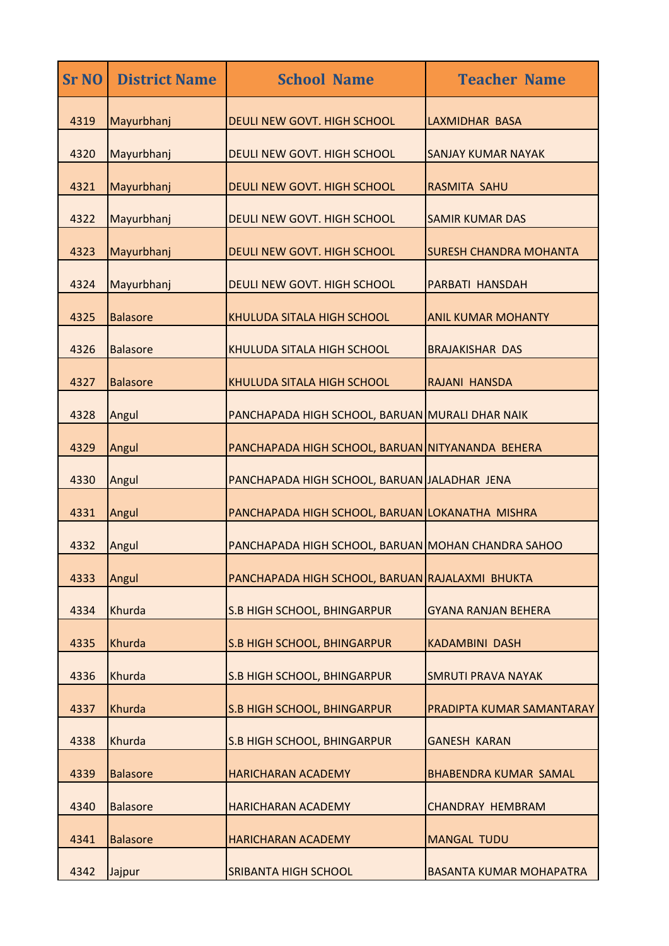| <b>Sr NO</b> | <b>District Name</b> | <b>School Name</b>                                 | <b>Teacher Name</b>            |
|--------------|----------------------|----------------------------------------------------|--------------------------------|
| 4319         | Mayurbhanj           | DEULI NEW GOVT. HIGH SCHOOL                        | <b>LAXMIDHAR BASA</b>          |
| 4320         | Mayurbhanj           | DEULI NEW GOVT. HIGH SCHOOL                        | <b>SANJAY KUMAR NAYAK</b>      |
| 4321         | Mayurbhanj           | DEULI NEW GOVT. HIGH SCHOOL                        | <b>RASMITA SAHU</b>            |
| 4322         | Mayurbhanj           | <b>DEULI NEW GOVT. HIGH SCHOOL</b>                 | <b>SAMIR KUMAR DAS</b>         |
| 4323         | Mayurbhanj           | DEULI NEW GOVT. HIGH SCHOOL                        | <b>SURESH CHANDRA MOHANTA</b>  |
| 4324         | Mayurbhanj           | DEULI NEW GOVT. HIGH SCHOOL                        | PARBATI HANSDAH                |
| 4325         | <b>Balasore</b>      | <b>KHULUDA SITALA HIGH SCHOOL</b>                  | <b>ANIL KUMAR MOHANTY</b>      |
| 4326         | <b>Balasore</b>      | <b>KHULUDA SITALA HIGH SCHOOL</b>                  | <b>BRAJAKISHAR DAS</b>         |
| 4327         | <b>Balasore</b>      | <b>KHULUDA SITALA HIGH SCHOOL</b>                  | RAJANI HANSDA                  |
| 4328         | Angul                | PANCHAPADA HIGH SCHOOL, BARUAN MURALI DHAR NAIK    |                                |
| 4329         | Angul                | PANCHAPADA HIGH SCHOOL, BARUAN NITYANANDA BEHERA   |                                |
| 4330         | Angul                | PANCHAPADA HIGH SCHOOL, BARUAN JALADHAR JENA       |                                |
| 4331         | Angul                | PANCHAPADA HIGH SCHOOL, BARUAN LOKANATHA MISHRA    |                                |
| 4332         | Angul                | PANCHAPADA HIGH SCHOOL, BARUAN MOHAN CHANDRA SAHOO |                                |
| 4333         | Angul                | PANCHAPADA HIGH SCHOOL, BARUAN RAJALAXMI BHUKTA    |                                |
| 4334         | Khurda               | S.B HIGH SCHOOL, BHINGARPUR                        | <b>GYANA RANJAN BEHERA</b>     |
| 4335         | Khurda               | S.B HIGH SCHOOL, BHINGARPUR                        | <b>KADAMBINI DASH</b>          |
| 4336         | Khurda               | S.B HIGH SCHOOL, BHINGARPUR                        | <b>SMRUTI PRAVA NAYAK</b>      |
| 4337         | Khurda               | <b>S.B HIGH SCHOOL, BHINGARPUR</b>                 | PRADIPTA KUMAR SAMANTARAY      |
| 4338         | Khurda               | S.B HIGH SCHOOL, BHINGARPUR                        | <b>GANESH KARAN</b>            |
| 4339         | <b>Balasore</b>      | <b>HARICHARAN ACADEMY</b>                          | <b>BHABENDRA KUMAR SAMAL</b>   |
| 4340         | <b>Balasore</b>      | <b>HARICHARAN ACADEMY</b>                          | <b>CHANDRAY HEMBRAM</b>        |
| 4341         | <b>Balasore</b>      | <b>HARICHARAN ACADEMY</b>                          | <b>MANGAL TUDU</b>             |
| 4342         | Jajpur               | <b>SRIBANTA HIGH SCHOOL</b>                        | <b>BASANTA KUMAR MOHAPATRA</b> |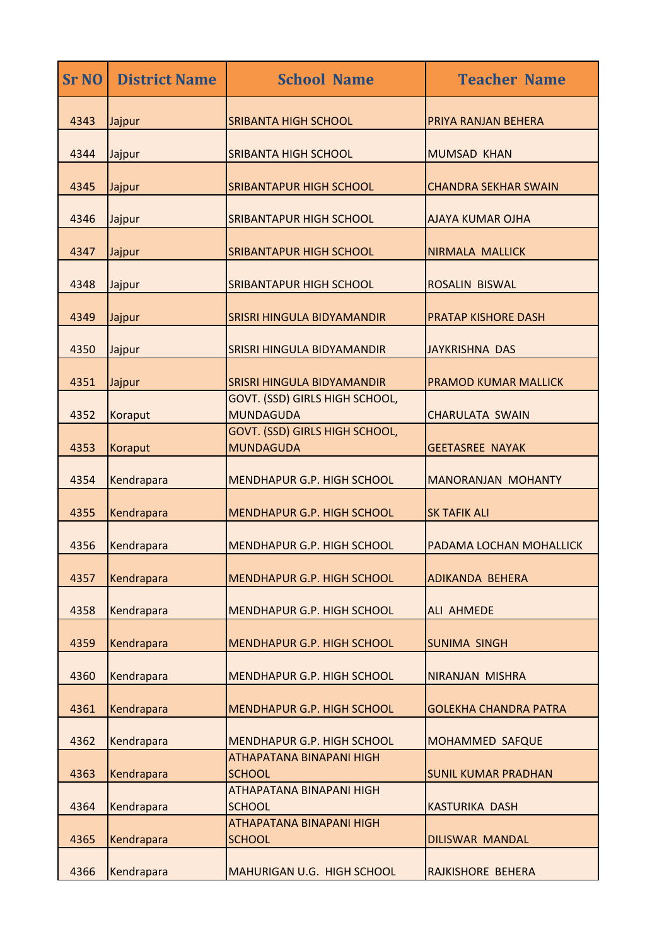| <b>Sr NO</b> | <b>District Name</b> | <b>School Name</b>                                 | <b>Teacher Name</b>          |
|--------------|----------------------|----------------------------------------------------|------------------------------|
| 4343         | Jajpur               | <b>SRIBANTA HIGH SCHOOL</b>                        | PRIYA RANJAN BEHERA          |
| 4344         | Jajpur               | <b>SRIBANTA HIGH SCHOOL</b>                        | <b>MUMSAD KHAN</b>           |
| 4345         | Jajpur               | <b>SRIBANTAPUR HIGH SCHOOL</b>                     | <b>CHANDRA SEKHAR SWAIN</b>  |
| 4346         | Jajpur               | SRIBANTAPUR HIGH SCHOOL                            | <b>AJAYA KUMAR OJHA</b>      |
| 4347         | Jajpur               | <b>SRIBANTAPUR HIGH SCHOOL</b>                     | <b>NIRMALA MALLICK</b>       |
| 4348         | Jajpur               | <b>SRIBANTAPUR HIGH SCHOOL</b>                     | ROSALIN BISWAL               |
| 4349         | Jajpur               | SRISRI HINGULA BIDYAMANDIR                         | <b>PRATAP KISHORE DASH</b>   |
| 4350         | Jajpur               | SRISRI HINGULA BIDYAMANDIR                         | <b>JAYKRISHNA DAS</b>        |
| 4351         | Jajpur               | SRISRI HINGULA BIDYAMANDIR                         | PRAMOD KUMAR MALLICK         |
| 4352         | Koraput              | GOVT. (SSD) GIRLS HIGH SCHOOL,<br><b>MUNDAGUDA</b> | <b>CHARULATA SWAIN</b>       |
| 4353         | Koraput              | GOVT. (SSD) GIRLS HIGH SCHOOL,<br><b>MUNDAGUDA</b> | <b>GEETASREE NAYAK</b>       |
| 4354         | Kendrapara           | <b>MENDHAPUR G.P. HIGH SCHOOL</b>                  | <b>MANORANJAN MOHANTY</b>    |
| 4355         | Kendrapara           | <b>MENDHAPUR G.P. HIGH SCHOOL</b>                  | <b>SK TAFIK ALI</b>          |
| 4356         | Kendrapara           | <b>MENDHAPUR G.P. HIGH SCHOOL</b>                  | PADAMA LOCHAN MOHALLICK      |
| 4357         | Kendrapara           | MENDHAPUR G.P. HIGH SCHOOL                         | ADIKANDA BEHERA              |
| 4358         | Kendrapara           | <b>MENDHAPUR G.P. HIGH SCHOOL</b>                  | <b>ALI AHMEDE</b>            |
| 4359         | Kendrapara           | MENDHAPUR G.P. HIGH SCHOOL                         | <b>SUNIMA SINGH</b>          |
| 4360         | Kendrapara           | MENDHAPUR G.P. HIGH SCHOOL                         | NIRANJAN MISHRA              |
| 4361         | Kendrapara           | MENDHAPUR G.P. HIGH SCHOOL                         | <b>GOLEKHA CHANDRA PATRA</b> |
| 4362         | Kendrapara           | <b>MENDHAPUR G.P. HIGH SCHOOL</b>                  | MOHAMMED SAFQUE              |
| 4363         | Kendrapara           | ATHAPATANA BINAPANI HIGH<br><b>SCHOOL</b>          | <b>SUNIL KUMAR PRADHAN</b>   |
| 4364         | Kendrapara           | ATHAPATANA BINAPANI HIGH<br><b>SCHOOL</b>          | <b>KASTURIKA DASH</b>        |
| 4365         | Kendrapara           | ATHAPATANA BINAPANI HIGH<br><b>SCHOOL</b>          | <b>DILISWAR MANDAL</b>       |
| 4366         | Kendrapara           | MAHURIGAN U.G. HIGH SCHOOL                         | RAJKISHORE BEHERA            |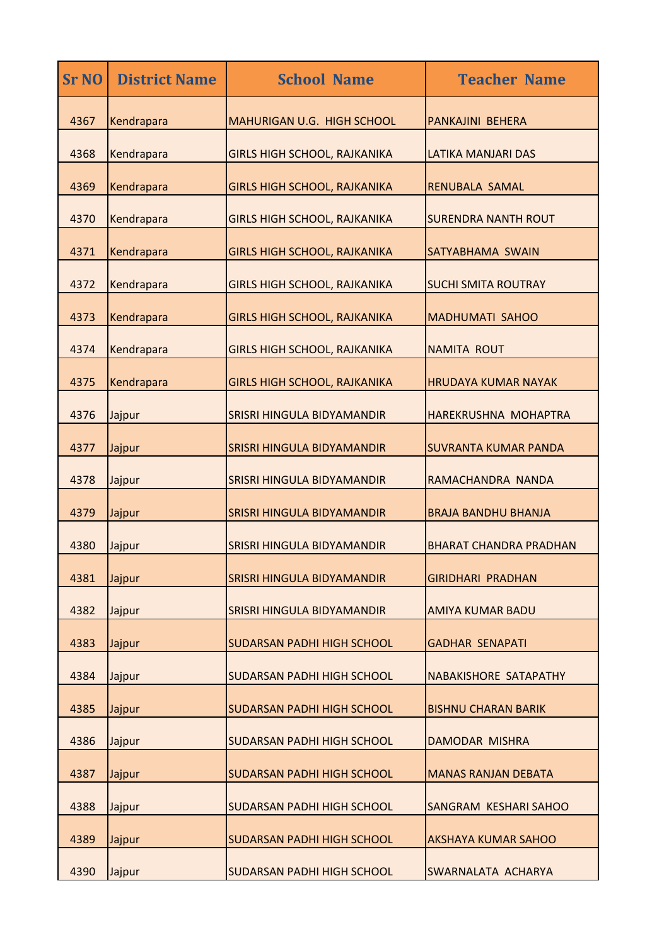| <b>Sr NO</b> | <b>District Name</b> | <b>School Name</b>                  | <b>Teacher Name</b>           |
|--------------|----------------------|-------------------------------------|-------------------------------|
| 4367         | Kendrapara           | <b>MAHURIGAN U.G. HIGH SCHOOL</b>   | PANKAJINI BEHERA              |
| 4368         | Kendrapara           | <b>GIRLS HIGH SCHOOL, RAJKANIKA</b> | <b>LATIKA MANJARI DAS</b>     |
| 4369         | Kendrapara           | <b>GIRLS HIGH SCHOOL, RAJKANIKA</b> | RENUBALA SAMAL                |
| 4370         | Kendrapara           | <b>GIRLS HIGH SCHOOL, RAJKANIKA</b> | <b>SURENDRA NANTH ROUT</b>    |
| 4371         | Kendrapara           | <b>GIRLS HIGH SCHOOL, RAJKANIKA</b> | <b>SATYABHAMA SWAIN</b>       |
| 4372         | Kendrapara           | <b>GIRLS HIGH SCHOOL, RAJKANIKA</b> | <b>SUCHI SMITA ROUTRAY</b>    |
| 4373         | Kendrapara           | <b>GIRLS HIGH SCHOOL, RAJKANIKA</b> | <b>MADHUMATI SAHOO</b>        |
| 4374         | Kendrapara           | <b>GIRLS HIGH SCHOOL, RAJKANIKA</b> | <b>NAMITA ROUT</b>            |
| 4375         | Kendrapara           | <b>GIRLS HIGH SCHOOL, RAJKANIKA</b> | <b>HRUDAYA KUMAR NAYAK</b>    |
| 4376         | Jajpur               | SRISRI HINGULA BIDYAMANDIR          | HAREKRUSHNA MOHAPTRA          |
| 4377         | Jajpur               | SRISRI HINGULA BIDYAMANDIR          | <b>SUVRANTA KUMAR PANDA</b>   |
| 4378         | Jajpur               | SRISRI HINGULA BIDYAMANDIR          | RAMACHANDRA NANDA             |
| 4379         | Jajpur               | SRISRI HINGULA BIDYAMANDIR          | <b>BRAJA BANDHU BHANJA</b>    |
| 4380         | Jajpur               | SRISRI HINGULA BIDYAMANDIR          | <b>BHARAT CHANDRA PRADHAN</b> |
| 4381         | Jajpur               | SRISRI HINGULA BIDYAMANDIR          | <b>GIRIDHARI PRADHAN</b>      |
| 4382         | Jajpur               | SRISRI HINGULA BIDYAMANDIR          | <b>AMIYA KUMAR BADU</b>       |
| 4383         | Jajpur               | <b>SUDARSAN PADHI HIGH SCHOOL</b>   | <b>GADHAR SENAPATI</b>        |
| 4384         | Jajpur               | <b>SUDARSAN PADHI HIGH SCHOOL</b>   | NABAKISHORE SATAPATHY         |
| 4385         | Jajpur               | <b>SUDARSAN PADHI HIGH SCHOOL</b>   | <b>BISHNU CHARAN BARIK</b>    |
| 4386         | Jajpur               | <b>SUDARSAN PADHI HIGH SCHOOL</b>   | <b>DAMODAR MISHRA</b>         |
| 4387         | Jajpur               | <b>SUDARSAN PADHI HIGH SCHOOL</b>   | <b>MANAS RANJAN DEBATA</b>    |
| 4388         | Jajpur               | <b>SUDARSAN PADHI HIGH SCHOOL</b>   | SANGRAM KESHARI SAHOO         |
| 4389         | Jajpur               | <b>SUDARSAN PADHI HIGH SCHOOL</b>   | <b>AKSHAYA KUMAR SAHOO</b>    |
| 4390         | Jajpur               | <b>SUDARSAN PADHI HIGH SCHOOL</b>   | SWARNALATA ACHARYA            |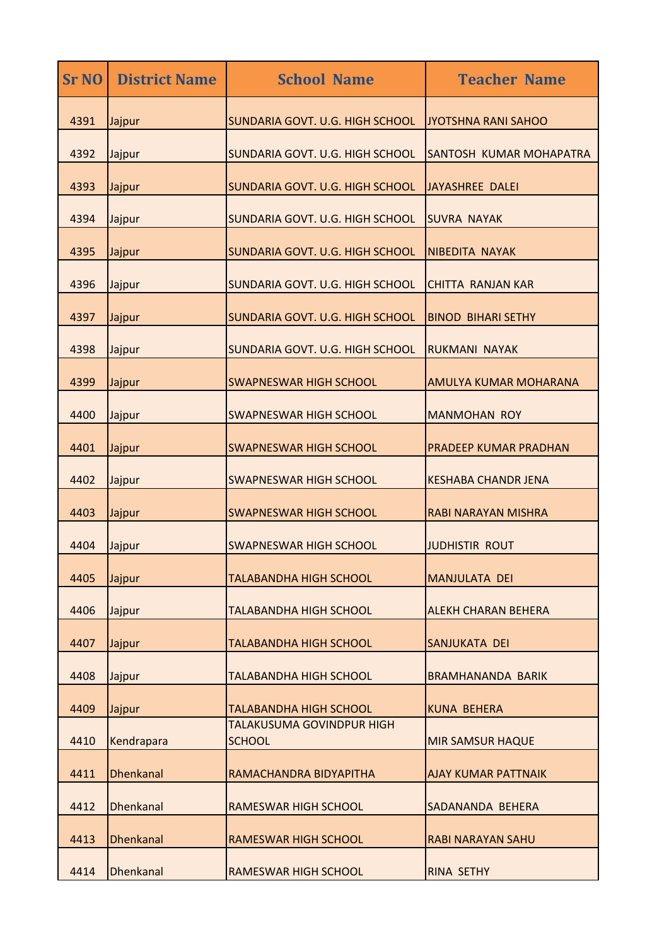| <b>Sr NO</b> | <b>District Name</b> | <b>School Name</b>                         | <b>Teacher Name</b>            |
|--------------|----------------------|--------------------------------------------|--------------------------------|
| 4391         | Jajpur               | SUNDARIA GOVT. U.G. HIGH SCHOOL            | JYOTSHNA RANI SAHOO            |
| 4392         | Jajpur               | SUNDARIA GOVT. U.G. HIGH SCHOOL            | <b>SANTOSH KUMAR MOHAPATRA</b> |
| 4393         | Jajpur               | SUNDARIA GOVT. U.G. HIGH SCHOOL            | JAYASHREE DALEI                |
| 4394         | Jajpur               | SUNDARIA GOVT. U.G. HIGH SCHOOL            | <b>SUVRA NAYAK</b>             |
| 4395         | Jajpur               | SUNDARIA GOVT. U.G. HIGH SCHOOL            | <b>NIBEDITA NAYAK</b>          |
| 4396         | Jajpur               | SUNDARIA GOVT. U.G. HIGH SCHOOL            | <b>CHITTA RANJAN KAR</b>       |
| 4397         | Jajpur               | SUNDARIA GOVT. U.G. HIGH SCHOOL            | <b>BINOD BIHARI SETHY</b>      |
| 4398         | Jajpur               | SUNDARIA GOVT. U.G. HIGH SCHOOL            | <b>RUKMANI NAYAK</b>           |
| 4399         | Jajpur               | <b>SWAPNESWAR HIGH SCHOOL</b>              | AMULYA KUMAR MOHARANA          |
| 4400         | Jajpur               | <b>SWAPNESWAR HIGH SCHOOL</b>              | <b>MANMOHAN ROY</b>            |
| 4401         | Jajpur               | <b>SWAPNESWAR HIGH SCHOOL</b>              | <b>PRADEEP KUMAR PRADHAN</b>   |
| 4402         | Jajpur               | <b>SWAPNESWAR HIGH SCHOOL</b>              | <b>KESHABA CHANDR JENA</b>     |
| 4403         | Jajpur               | <b>SWAPNESWAR HIGH SCHOOL</b>              | <b>RABI NARAYAN MISHRA</b>     |
| 4404         | Jajpur               | <b>SWAPNESWAR HIGH SCHOOL</b>              | <b>JUDHISTIR ROUT</b>          |
| 4405         | Jajpur               | <b>TALABANDHA HIGH SCHOOL</b>              | <b>MANJULATA DEI</b>           |
| 4406         | Jajpur               | <b>TALABANDHA HIGH SCHOOL</b>              | <b>ALEKH CHARAN BEHERA</b>     |
| 4407         | Jajpur               | TALABANDHA HIGH SCHOOL                     | SANJUKATA DEI                  |
| 4408         | Jajpur               | TALABANDHA HIGH SCHOOL                     | <b>BRAMHANANDA BARIK</b>       |
| 4409         | Jajpur               | TALABANDHA HIGH SCHOOL                     | <b>KUNA BEHERA</b>             |
| 4410         | Kendrapara           | TALAKUSUMA GOVINDPUR HIGH<br><b>SCHOOL</b> | <b>MIR SAMSUR HAQUE</b>        |
| 4411         | <b>Dhenkanal</b>     | RAMACHANDRA BIDYAPITHA                     | <b>AJAY KUMAR PATTNAIK</b>     |
| 4412         | <b>Dhenkanal</b>     | <b>RAMESWAR HIGH SCHOOL</b>                | SADANANDA BEHERA               |
| 4413         | <b>Dhenkanal</b>     | <b>RAMESWAR HIGH SCHOOL</b>                | <b>RABI NARAYAN SAHU</b>       |
| 4414         | <b>Dhenkanal</b>     | <b>RAMESWAR HIGH SCHOOL</b>                | <b>RINA SETHY</b>              |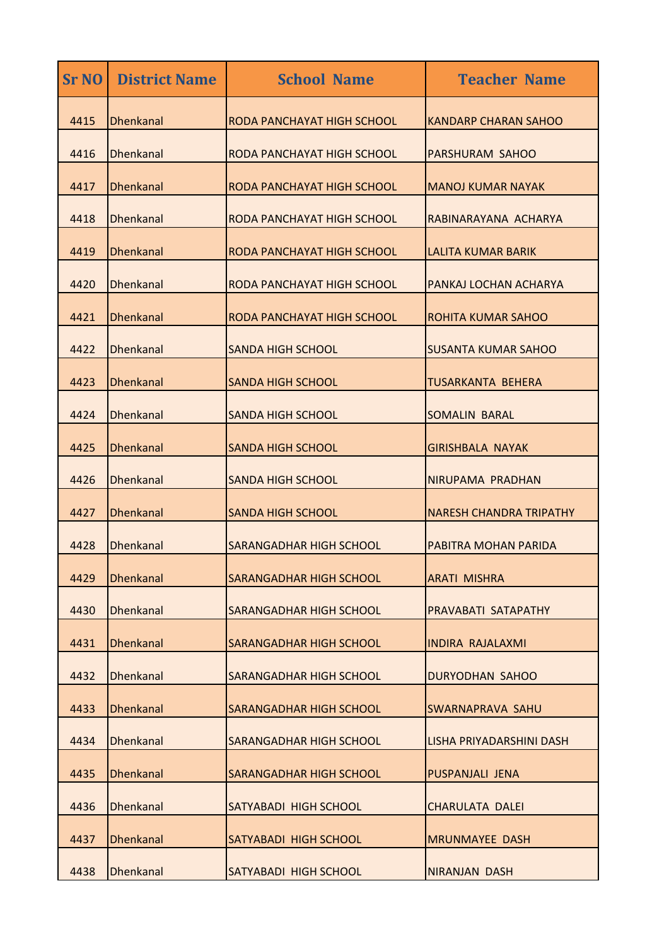| <b>Sr NO</b> | <b>District Name</b> | <b>School Name</b>             | <b>Teacher Name</b>            |
|--------------|----------------------|--------------------------------|--------------------------------|
| 4415         | <b>Dhenkanal</b>     | RODA PANCHAYAT HIGH SCHOOL     | <b>KANDARP CHARAN SAHOO</b>    |
| 4416         | <b>Dhenkanal</b>     | RODA PANCHAYAT HIGH SCHOOL     | PARSHURAM SAHOO                |
| 4417         | Dhenkanal            | RODA PANCHAYAT HIGH SCHOOL     | <b>MANOJ KUMAR NAYAK</b>       |
| 4418         | Dhenkanal            | RODA PANCHAYAT HIGH SCHOOL     | RABINARAYANA ACHARYA           |
| 4419         | <b>Dhenkanal</b>     | RODA PANCHAYAT HIGH SCHOOL     | <b>LALITA KUMAR BARIK</b>      |
| 4420         | <b>Dhenkanal</b>     | RODA PANCHAYAT HIGH SCHOOL     | PANKAJ LOCHAN ACHARYA          |
| 4421         | <b>Dhenkanal</b>     | RODA PANCHAYAT HIGH SCHOOL     | <b>ROHITA KUMAR SAHOO</b>      |
| 4422         | <b>Dhenkanal</b>     | <b>SANDA HIGH SCHOOL</b>       | <b>SUSANTA KUMAR SAHOO</b>     |
| 4423         | <b>Dhenkanal</b>     | <b>SANDA HIGH SCHOOL</b>       | <b>TUSARKANTA BEHERA</b>       |
| 4424         | <b>Dhenkanal</b>     | <b>SANDA HIGH SCHOOL</b>       | <b>SOMALIN BARAL</b>           |
| 4425         | <b>Dhenkanal</b>     | <b>SANDA HIGH SCHOOL</b>       | <b>GIRISHBALA NAYAK</b>        |
| 4426         | <b>Dhenkanal</b>     | <b>SANDA HIGH SCHOOL</b>       | NIRUPAMA PRADHAN               |
| 4427         | <b>Dhenkanal</b>     | <b>SANDA HIGH SCHOOL</b>       | <b>NARESH CHANDRA TRIPATHY</b> |
| 4428         | <b>Dhenkanal</b>     | SARANGADHAR HIGH SCHOOL        | PABITRA MOHAN PARIDA           |
| 4429         | <b>Dhenkanal</b>     | <b>SARANGADHAR HIGH SCHOOL</b> | <b>ARATI MISHRA</b>            |
| 4430         | <b>Dhenkanal</b>     | <b>SARANGADHAR HIGH SCHOOL</b> | PRAVABATI SATAPATHY            |
| 4431         | <b>Dhenkanal</b>     | <b>SARANGADHAR HIGH SCHOOL</b> | <b>INDIRA RAJALAXMI</b>        |
| 4432         | <b>Dhenkanal</b>     | <b>SARANGADHAR HIGH SCHOOL</b> | <b>DURYODHAN SAHOO</b>         |
| 4433         | <b>Dhenkanal</b>     | <b>SARANGADHAR HIGH SCHOOL</b> | SWARNAPRAVA SAHU               |
| 4434         | <b>Dhenkanal</b>     | <b>SARANGADHAR HIGH SCHOOL</b> | LISHA PRIYADARSHINI DASH       |
| 4435         | <b>Dhenkanal</b>     | <b>SARANGADHAR HIGH SCHOOL</b> | PUSPANJALI JENA                |
| 4436         | <b>Dhenkanal</b>     | SATYABADI HIGH SCHOOL          | <b>CHARULATA DALEI</b>         |
| 4437         | <b>Dhenkanal</b>     | SATYABADI HIGH SCHOOL          | <b>MRUNMAYEE DASH</b>          |
| 4438         | <b>Dhenkanal</b>     | SATYABADI HIGH SCHOOL          | <b>NIRANJAN DASH</b>           |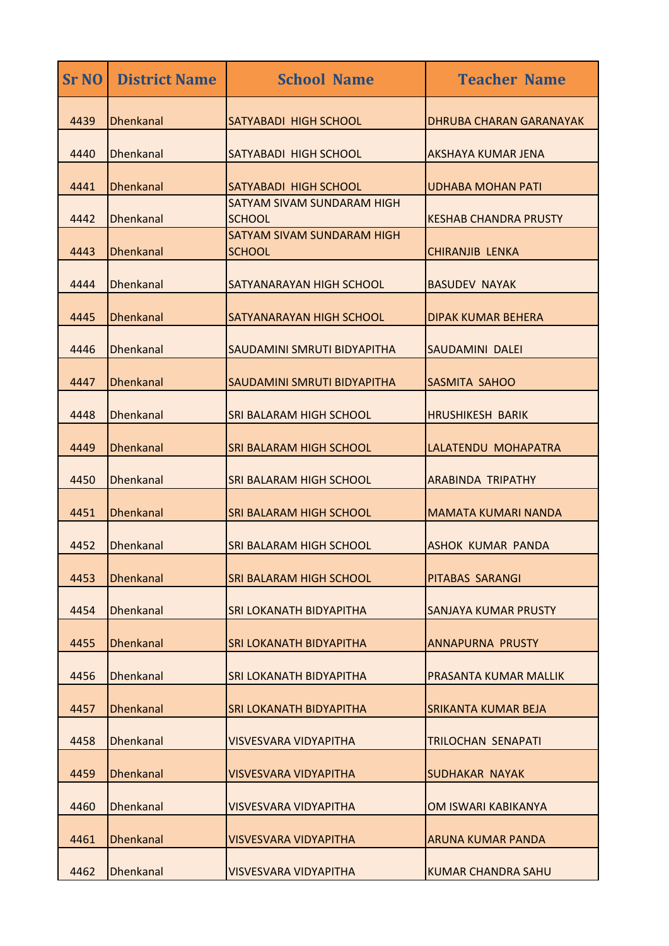| <b>Sr NO</b> | <b>District Name</b> | <b>School Name</b>                          | <b>Teacher Name</b>            |
|--------------|----------------------|---------------------------------------------|--------------------------------|
| 4439         | <b>Dhenkanal</b>     | SATYABADI HIGH SCHOOL                       | <b>DHRUBA CHARAN GARANAYAK</b> |
| 4440         | <b>Dhenkanal</b>     | SATYABADI HIGH SCHOOL                       | AKSHAYA KUMAR JENA             |
| 4441         | <b>Dhenkanal</b>     | SATYABADI HIGH SCHOOL                       | <b>UDHABA MOHAN PATI</b>       |
| 4442         | Dhenkanal            | SATYAM SIVAM SUNDARAM HIGH<br><b>SCHOOL</b> | KESHAB CHANDRA PRUSTY          |
| 4443         | <b>Dhenkanal</b>     | SATYAM SIVAM SUNDARAM HIGH<br><b>SCHOOL</b> | <b>CHIRANJIB LENKA</b>         |
| 4444         | <b>Dhenkanal</b>     | SATYANARAYAN HIGH SCHOOL                    | <b>BASUDEV NAYAK</b>           |
| 4445         | <b>Dhenkanal</b>     | SATYANARAYAN HIGH SCHOOL                    | <b>DIPAK KUMAR BEHERA</b>      |
| 4446         | <b>Dhenkanal</b>     | SAUDAMINI SMRUTI BIDYAPITHA                 | <b>SAUDAMINI DALEI</b>         |
| 4447         | Dhenkanal            | SAUDAMINI SMRUTI BIDYAPITHA                 | <b>SASMITA SAHOO</b>           |
| 4448         | <b>Dhenkanal</b>     | <b>SRI BALARAM HIGH SCHOOL</b>              | <b>HRUSHIKESH BARIK</b>        |
| 4449         | <b>Dhenkanal</b>     | <b>SRI BALARAM HIGH SCHOOL</b>              | LALATENDU MOHAPATRA            |
| 4450         | <b>Dhenkanal</b>     | <b>SRI BALARAM HIGH SCHOOL</b>              | <b>ARABINDA TRIPATHY</b>       |
| 4451         | <b>Dhenkanal</b>     | <b>SRI BALARAM HIGH SCHOOL</b>              | MAMATA KUMARI NANDA            |
| 4452         | <b>Dhenkanal</b>     | <b>SRI BALARAM HIGH SCHOOL</b>              | <b>ASHOK KUMAR PANDA</b>       |
| 4453         | <b>Dhenkanal</b>     | <b>SRI BALARAM HIGH SCHOOL</b>              | PITABAS SARANGI                |
| 4454         | <b>Dhenkanal</b>     | SRI LOKANATH BIDYAPITHA                     | <b>SANJAYA KUMAR PRUSTY</b>    |
| 4455         | <b>Dhenkanal</b>     | SRI LOKANATH BIDYAPITHA                     | <b>ANNAPURNA PRUSTY</b>        |
| 4456         | <b>Dhenkanal</b>     | <b>SRI LOKANATH BIDYAPITHA</b>              | PRASANTA KUMAR MALLIK          |
| 4457         | <b>Dhenkanal</b>     | SRI LOKANATH BIDYAPITHA                     | <b>SRIKANTA KUMAR BEJA</b>     |
| 4458         | <b>Dhenkanal</b>     | <b>VISVESVARA VIDYAPITHA</b>                | <b>TRILOCHAN SENAPATI</b>      |
| 4459         | <b>Dhenkanal</b>     | <b>VISVESVARA VIDYAPITHA</b>                | <b>SUDHAKAR NAYAK</b>          |
| 4460         | <b>Dhenkanal</b>     | <b>VISVESVARA VIDYAPITHA</b>                | OM ISWARI KABIKANYA            |
| 4461         | <b>Dhenkanal</b>     | <b>VISVESVARA VIDYAPITHA</b>                | <b>ARUNA KUMAR PANDA</b>       |
| 4462         | <b>Dhenkanal</b>     | <b>VISVESVARA VIDYAPITHA</b>                | KUMAR CHANDRA SAHU             |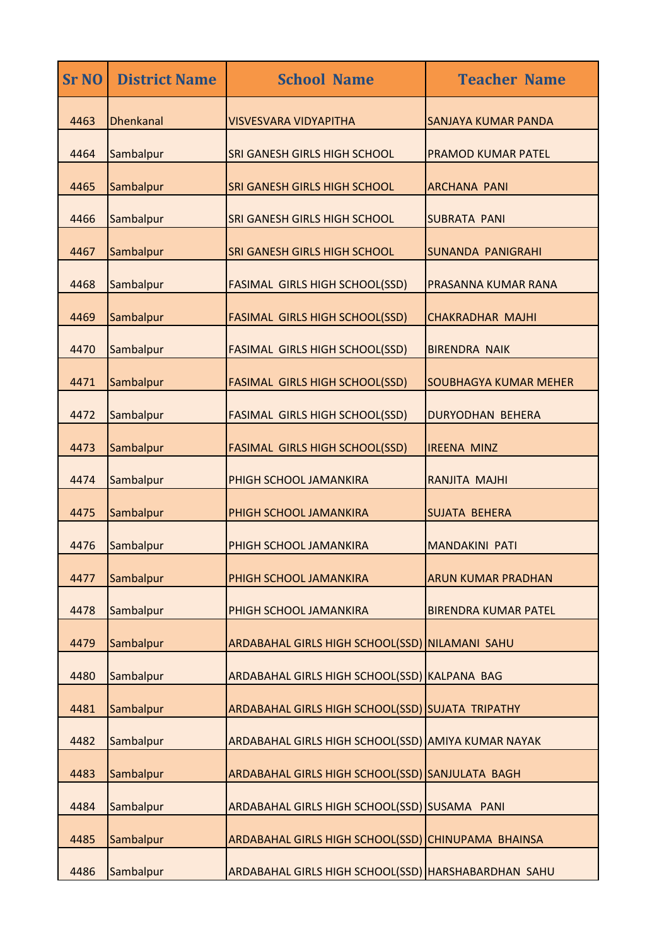| <b>Sr NO</b> | <b>District Name</b> | <b>School Name</b>                                  | <b>Teacher Name</b>          |
|--------------|----------------------|-----------------------------------------------------|------------------------------|
| 4463         | <b>Dhenkanal</b>     | <b>VISVESVARA VIDYAPITHA</b>                        | SANJAYA KUMAR PANDA          |
| 4464         | Sambalpur            | SRI GANESH GIRLS HIGH SCHOOL                        | <b>PRAMOD KUMAR PATEL</b>    |
| 4465         | Sambalpur            | SRI GANESH GIRLS HIGH SCHOOL                        | <b>ARCHANA PANI</b>          |
| 4466         | Sambalpur            | SRI GANESH GIRLS HIGH SCHOOL                        | <b>SUBRATA PANI</b>          |
| 4467         | Sambalpur            | SRI GANESH GIRLS HIGH SCHOOL                        | <b>SUNANDA PANIGRAHI</b>     |
| 4468         | Sambalpur            | <b>FASIMAL GIRLS HIGH SCHOOL(SSD)</b>               | PRASANNA KUMAR RANA          |
| 4469         | Sambalpur            | <b>FASIMAL GIRLS HIGH SCHOOL(SSD)</b>               | <b>CHAKRADHAR MAJHI</b>      |
| 4470         | Sambalpur            | <b>FASIMAL GIRLS HIGH SCHOOL(SSD)</b>               | <b>BIRENDRA NAIK</b>         |
| 4471         | Sambalpur            | FASIMAL GIRLS HIGH SCHOOL(SSD)                      | <b>SOUBHAGYA KUMAR MEHER</b> |
| 4472         | Sambalpur            | <b>FASIMAL GIRLS HIGH SCHOOL(SSD)</b>               | <b>DURYODHAN BEHERA</b>      |
| 4473         | Sambalpur            | <b>FASIMAL GIRLS HIGH SCHOOL(SSD)</b>               | <b>IREENA MINZ</b>           |
| 4474         | Sambalpur            | PHIGH SCHOOL JAMANKIRA                              | RANJITA MAJHI                |
| 4475         | Sambalpur            | PHIGH SCHOOL JAMANKIRA                              | <b>SUJATA BEHERA</b>         |
| 4476         | Sambalpur            | PHIGH SCHOOL JAMANKIRA                              | <b>MANDAKINI PATI</b>        |
| 4477         | Sambalpur            | PHIGH SCHOOL JAMANKIRA                              | <b>ARUN KUMAR PRADHAN</b>    |
| 4478         | Sambalpur            | PHIGH SCHOOL JAMANKIRA                              | <b>BIRENDRA KUMAR PATEL</b>  |
| 4479         | Sambalpur            | ARDABAHAL GIRLS HIGH SCHOOL(SSD) NILAMANI SAHU      |                              |
| 4480         | Sambalpur            | ARDABAHAL GIRLS HIGH SCHOOL(SSD) KALPANA BAG        |                              |
| 4481         | Sambalpur            | ARDABAHAL GIRLS HIGH SCHOOL(SSD) SUJATA TRIPATHY    |                              |
| 4482         | Sambalpur            | ARDABAHAL GIRLS HIGH SCHOOL(SSD) AMIYA KUMAR NAYAK  |                              |
| 4483         | Sambalpur            | ARDABAHAL GIRLS HIGH SCHOOL(SSD) SANJULATA BAGH     |                              |
| 4484         | Sambalpur            | ARDABAHAL GIRLS HIGH SCHOOL(SSD) SUSAMA PANI        |                              |
| 4485         | Sambalpur            | ARDABAHAL GIRLS HIGH SCHOOL(SSD) CHINUPAMA BHAINSA  |                              |
| 4486         | Sambalpur            | ARDABAHAL GIRLS HIGH SCHOOL(SSD) HARSHABARDHAN SAHU |                              |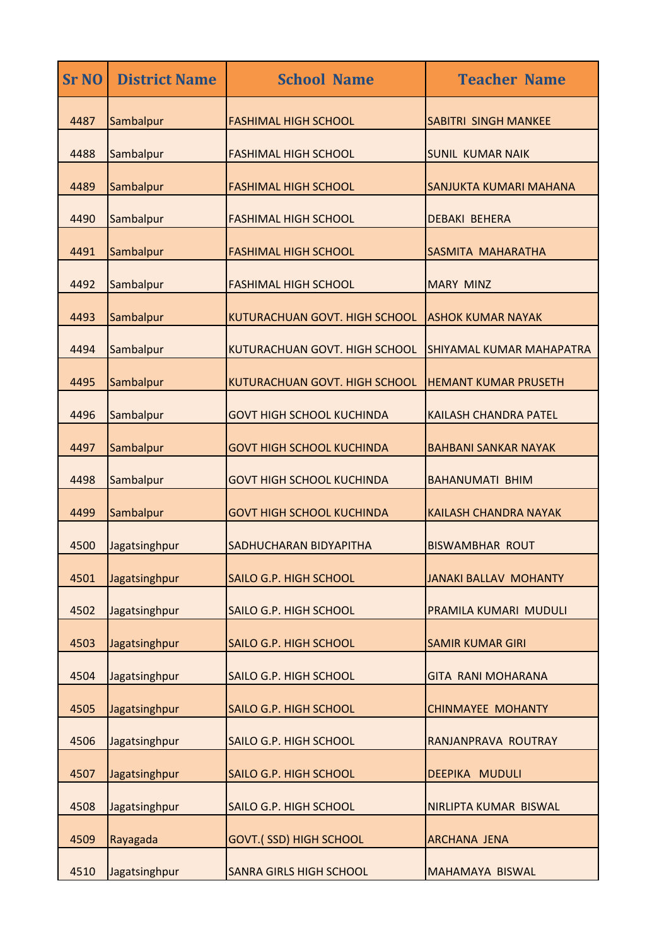| <b>Sr NO</b> | <b>District Name</b> | <b>School Name</b>               | <b>Teacher Name</b>             |
|--------------|----------------------|----------------------------------|---------------------------------|
| 4487         | Sambalpur            | <b>FASHIMAL HIGH SCHOOL</b>      | <b>SABITRI SINGH MANKEE</b>     |
| 4488         | Sambalpur            | <b>FASHIMAL HIGH SCHOOL</b>      | <b>SUNIL KUMAR NAIK</b>         |
| 4489         | Sambalpur            | <b>FASHIMAL HIGH SCHOOL</b>      | SANJUKTA KUMARI MAHANA          |
| 4490         | Sambalpur            | <b>FASHIMAL HIGH SCHOOL</b>      | <b>DEBAKI BEHERA</b>            |
| 4491         | Sambalpur            | <b>FASHIMAL HIGH SCHOOL</b>      | SASMITA MAHARATHA               |
| 4492         | Sambalpur            | <b>FASHIMAL HIGH SCHOOL</b>      | <b>MARY MINZ</b>                |
| 4493         | Sambalpur            | KUTURACHUAN GOVT. HIGH SCHOOL    | <b>ASHOK KUMAR NAYAK</b>        |
| 4494         | Sambalpur            | KUTURACHUAN GOVT. HIGH SCHOOL    | <b>SHIYAMAL KUMAR MAHAPATRA</b> |
| 4495         | Sambalpur            | KUTURACHUAN GOVT. HIGH SCHOOL    | <b>HEMANT KUMAR PRUSETH</b>     |
| 4496         | Sambalpur            | <b>GOVT HIGH SCHOOL KUCHINDA</b> | <b>KAILASH CHANDRA PATEL</b>    |
| 4497         | Sambalpur            | <b>GOVT HIGH SCHOOL KUCHINDA</b> | <b>BAHBANI SANKAR NAYAK</b>     |
| 4498         | Sambalpur            | <b>GOVT HIGH SCHOOL KUCHINDA</b> | <b>BAHANUMATI BHIM</b>          |
| 4499         | Sambalpur            | <b>GOVT HIGH SCHOOL KUCHINDA</b> | <b>KAILASH CHANDRA NAYAK</b>    |
| 4500         | Jagatsinghpur        | SADHUCHARAN BIDYAPITHA           | <b>BISWAMBHAR ROUT</b>          |
| 4501         | Jagatsinghpur        | SAILO G.P. HIGH SCHOOL           | <b>JANAKI BALLAV MOHANTY</b>    |
| 4502         | Jagatsinghpur        | SAILO G.P. HIGH SCHOOL           | PRAMILA KUMARI MUDULI           |
| 4503         | Jagatsinghpur        | SAILO G.P. HIGH SCHOOL           | <b>SAMIR KUMAR GIRI</b>         |
| 4504         | Jagatsinghpur        | SAILO G.P. HIGH SCHOOL           | <b>GITA RANI MOHARANA</b>       |
| 4505         | Jagatsinghpur        | SAILO G.P. HIGH SCHOOL           | <b>CHINMAYEE MOHANTY</b>        |
| 4506         | Jagatsinghpur        | SAILO G.P. HIGH SCHOOL           | RANJANPRAVA ROUTRAY             |
| 4507         | Jagatsinghpur        | SAILO G.P. HIGH SCHOOL           | DEEPIKA MUDULI                  |
| 4508         | Jagatsinghpur        | SAILO G.P. HIGH SCHOOL           | NIRLIPTA KUMAR BISWAL           |
| 4509         | Rayagada             | <b>GOVT.( SSD) HIGH SCHOOL</b>   | ARCHANA JENA                    |
| 4510         | Jagatsinghpur        | <b>SANRA GIRLS HIGH SCHOOL</b>   | MAHAMAYA BISWAL                 |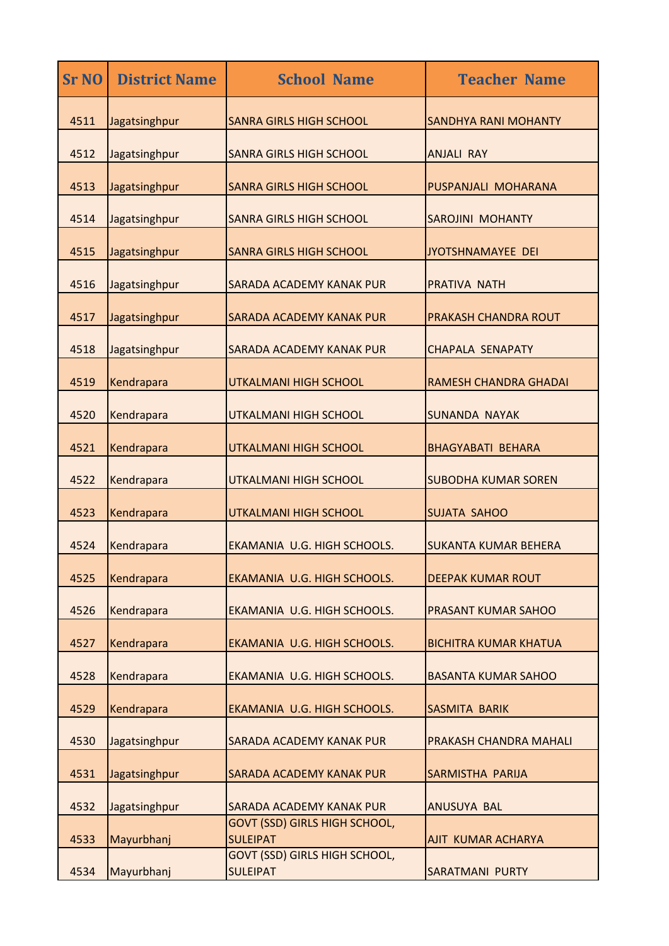| <b>Sr NO</b> | <b>District Name</b> | <b>School Name</b>                                      | <b>Teacher Name</b>          |
|--------------|----------------------|---------------------------------------------------------|------------------------------|
| 4511         | Jagatsinghpur        | <b>SANRA GIRLS HIGH SCHOOL</b>                          | <b>SANDHYA RANI MOHANTY</b>  |
| 4512         | Jagatsinghpur        | <b>SANRA GIRLS HIGH SCHOOL</b>                          | <b>ANJALI RAY</b>            |
| 4513         | Jagatsinghpur        | <b>SANRA GIRLS HIGH SCHOOL</b>                          | PUSPANJALI MOHARANA          |
| 4514         | Jagatsinghpur        | <b>SANRA GIRLS HIGH SCHOOL</b>                          | <b>SAROJINI MOHANTY</b>      |
| 4515         | Jagatsinghpur        | <b>SANRA GIRLS HIGH SCHOOL</b>                          | JYOTSHNAMAYEE DEI            |
| 4516         | Jagatsinghpur        | <b>SARADA ACADEMY KANAK PUR</b>                         | <b>PRATIVA NATH</b>          |
| 4517         | Jagatsinghpur        | SARADA ACADEMY KANAK PUR                                | <b>PRAKASH CHANDRA ROUT</b>  |
| 4518         | Jagatsinghpur        | <b>SARADA ACADEMY KANAK PUR</b>                         | <b>CHAPALA SENAPATY</b>      |
| 4519         | Kendrapara           | <b>UTKALMANI HIGH SCHOOL</b>                            | <b>RAMESH CHANDRA GHADAI</b> |
| 4520         | Kendrapara           | <b>UTKALMANI HIGH SCHOOL</b>                            | <b>SUNANDA NAYAK</b>         |
| 4521         | Kendrapara           | UTKALMANI HIGH SCHOOL                                   | <b>BHAGYABATI BEHARA</b>     |
| 4522         | Kendrapara           | <b>UTKALMANI HIGH SCHOOL</b>                            | <b>SUBODHA KUMAR SOREN</b>   |
| 4523         | Kendrapara           | <b>UTKALMANI HIGH SCHOOL</b>                            | <b>SUJATA SAHOO</b>          |
| 4524         | Kendrapara           | EKAMANIA U.G. HIGH SCHOOLS.                             | <b>SUKANTA KUMAR BEHERA</b>  |
| 4525         | Kendrapara           | EKAMANIA U.G. HIGH SCHOOLS.                             | <b>DEEPAK KUMAR ROUT</b>     |
| 4526         | Kendrapara           | EKAMANIA U.G. HIGH SCHOOLS.                             | PRASANT KUMAR SAHOO          |
| 4527         | Kendrapara           | EKAMANIA U.G. HIGH SCHOOLS.                             | <b>BICHITRA KUMAR KHATUA</b> |
| 4528         | Kendrapara           | EKAMANIA U.G. HIGH SCHOOLS.                             | <b>BASANTA KUMAR SAHOO</b>   |
| 4529         | Kendrapara           | EKAMANIA U.G. HIGH SCHOOLS.                             | SASMITA BARIK                |
| 4530         | Jagatsinghpur        | <b>SARADA ACADEMY KANAK PUR</b>                         | PRAKASH CHANDRA MAHALI       |
| 4531         | Jagatsinghpur        | <b>SARADA ACADEMY KANAK PUR</b>                         | SARMISTHA PARIJA             |
| 4532         | Jagatsinghpur        | SARADA ACADEMY KANAK PUR                                | <b>ANUSUYA BAL</b>           |
| 4533         | Mayurbhanj           | <b>GOVT (SSD) GIRLS HIGH SCHOOL,</b><br><b>SULEIPAT</b> | AJIT KUMAR ACHARYA           |
| 4534         | Mayurbhanj           | <b>GOVT (SSD) GIRLS HIGH SCHOOL,</b><br><b>SULEIPAT</b> | <b>SARATMANI PURTY</b>       |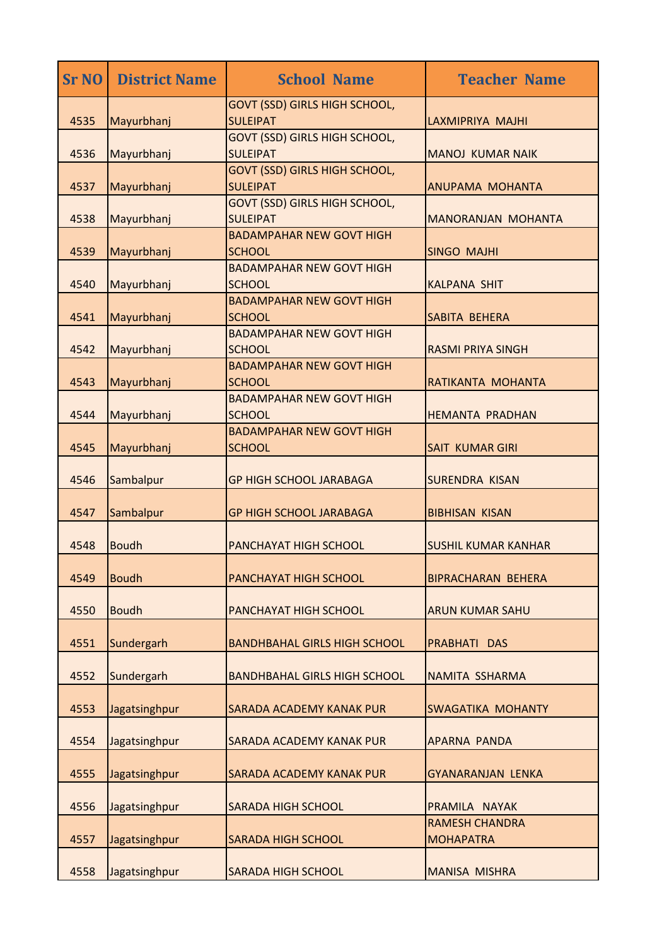| <b>Sr NO</b> | <b>District Name</b> | <b>School Name</b>                                      | <b>Teacher Name</b>                       |
|--------------|----------------------|---------------------------------------------------------|-------------------------------------------|
| 4535         | Mayurbhanj           | <b>GOVT (SSD) GIRLS HIGH SCHOOL,</b><br><b>SULEIPAT</b> | LAXMIPRIYA MAJHI                          |
| 4536         | Mayurbhanj           | <b>GOVT (SSD) GIRLS HIGH SCHOOL,</b><br><b>SULEIPAT</b> | <b>MANOJ KUMAR NAIK</b>                   |
| 4537         | Mayurbhanj           | <b>GOVT (SSD) GIRLS HIGH SCHOOL,</b><br><b>SULEIPAT</b> | ANUPAMA MOHANTA                           |
| 4538         | Mayurbhanj           | <b>GOVT (SSD) GIRLS HIGH SCHOOL,</b><br><b>SULEIPAT</b> | <b>MANORANJAN MOHANTA</b>                 |
| 4539         | Mayurbhanj           | <b>BADAMPAHAR NEW GOVT HIGH</b><br><b>SCHOOL</b>        | <b>SINGO MAJHI</b>                        |
| 4540         | Mayurbhanj           | <b>BADAMPAHAR NEW GOVT HIGH</b><br><b>SCHOOL</b>        | <b>KALPANA SHIT</b>                       |
| 4541         | Mayurbhanj           | <b>BADAMPAHAR NEW GOVT HIGH</b><br><b>SCHOOL</b>        | SABITA BEHERA                             |
| 4542         | Mayurbhanj           | <b>BADAMPAHAR NEW GOVT HIGH</b><br><b>SCHOOL</b>        | <b>RASMI PRIYA SINGH</b>                  |
| 4543         | Mayurbhanj           | <b>BADAMPAHAR NEW GOVT HIGH</b><br><b>SCHOOL</b>        | RATIKANTA MOHANTA                         |
| 4544         | Mayurbhanj           | <b>BADAMPAHAR NEW GOVT HIGH</b><br><b>SCHOOL</b>        | <b>HEMANTA PRADHAN</b>                    |
| 4545         | Mayurbhanj           | <b>BADAMPAHAR NEW GOVT HIGH</b><br><b>SCHOOL</b>        | <b>SAIT KUMAR GIRI</b>                    |
| 4546         | Sambalpur            | <b>GP HIGH SCHOOL JARABAGA</b>                          | <b>SURENDRA KISAN</b>                     |
| 4547         | Sambalpur            | <b>GP HIGH SCHOOL JARABAGA</b>                          | <b>BIBHISAN KISAN</b>                     |
| 4548         | <b>Boudh</b>         | PANCHAYAT HIGH SCHOOL                                   | <b>SUSHIL KUMAR KANHAR</b>                |
| 4549         | <b>Boudh</b>         | PANCHAYAT HIGH SCHOOL                                   | <b>BIPRACHARAN BEHERA</b>                 |
| 4550         | <b>Boudh</b>         | PANCHAYAT HIGH SCHOOL                                   | <b>ARUN KUMAR SAHU</b>                    |
| 4551         | Sundergarh           | <b>BANDHBAHAL GIRLS HIGH SCHOOL</b>                     | <b>PRABHATI DAS</b>                       |
| 4552         | Sundergarh           | <b>BANDHBAHAL GIRLS HIGH SCHOOL</b>                     | NAMITA SSHARMA                            |
| 4553         | Jagatsinghpur        | SARADA ACADEMY KANAK PUR                                | <b>SWAGATIKA MOHANTY</b>                  |
| 4554         | Jagatsinghpur        | <b>SARADA ACADEMY KANAK PUR</b>                         | APARNA PANDA                              |
| 4555         | Jagatsinghpur        | <b>SARADA ACADEMY KANAK PUR</b>                         | <b>GYANARANJAN LENKA</b>                  |
| 4556         | Jagatsinghpur        | <b>SARADA HIGH SCHOOL</b>                               | PRAMILA NAYAK                             |
| 4557         | Jagatsinghpur        | <b>SARADA HIGH SCHOOL</b>                               | <b>RAMESH CHANDRA</b><br><b>MOHAPATRA</b> |
| 4558         | Jagatsinghpur        | <b>SARADA HIGH SCHOOL</b>                               | <b>MANISA MISHRA</b>                      |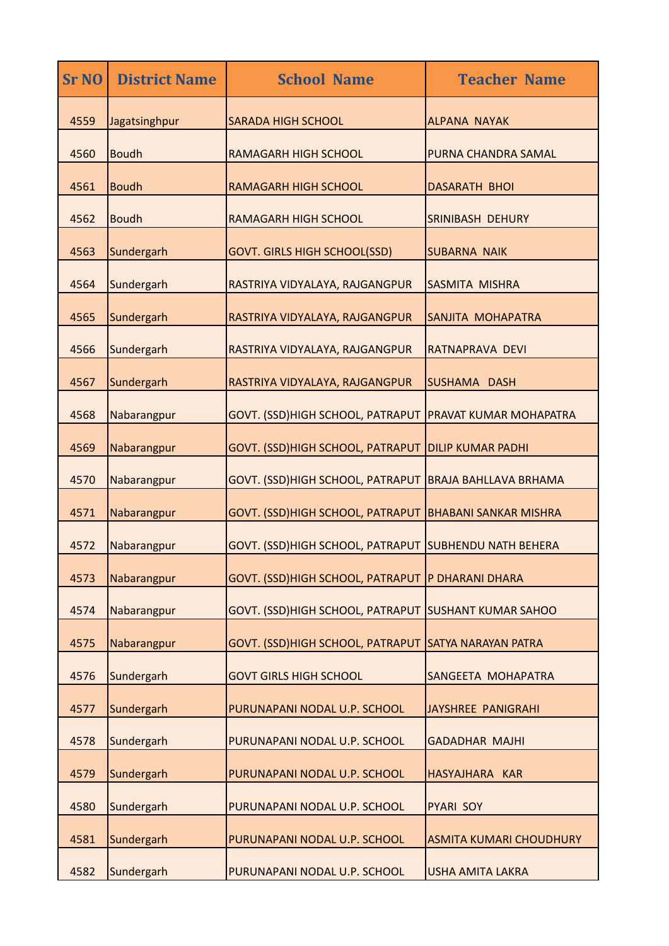| <b>Sr NO</b> | <b>District Name</b> | <b>School Name</b>                                       | <b>Teacher Name</b>            |
|--------------|----------------------|----------------------------------------------------------|--------------------------------|
| 4559         | Jagatsinghpur        | <b>SARADA HIGH SCHOOL</b>                                | <b>ALPANA NAYAK</b>            |
| 4560         | <b>Boudh</b>         | <b>RAMAGARH HIGH SCHOOL</b>                              | PURNA CHANDRA SAMAL            |
| 4561         | <b>Boudh</b>         | <b>RAMAGARH HIGH SCHOOL</b>                              | <b>DASARATH BHOI</b>           |
| 4562         | <b>Boudh</b>         | <b>RAMAGARH HIGH SCHOOL</b>                              | <b>SRINIBASH DEHURY</b>        |
| 4563         | Sundergarh           | <b>GOVT. GIRLS HIGH SCHOOL(SSD)</b>                      | <b>SUBARNA NAIK</b>            |
| 4564         | Sundergarh           | RASTRIYA VIDYALAYA, RAJGANGPUR                           | SASMITA MISHRA                 |
| 4565         | Sundergarh           | RASTRIYA VIDYALAYA, RAJGANGPUR                           | SANJITA MOHAPATRA              |
| 4566         | Sundergarh           | RASTRIYA VIDYALAYA, RAJGANGPUR                           | RATNAPRAVA DEVI                |
| 4567         | Sundergarh           | RASTRIYA VIDYALAYA, RAJGANGPUR                           | <b>SUSHAMA DASH</b>            |
| 4568         | Nabarangpur          | GOVT. (SSD) HIGH SCHOOL, PATRAPUT                        | <b>PRAVAT KUMAR MOHAPATRA</b>  |
| 4569         | Nabarangpur          | GOVT. (SSD)HIGH SCHOOL, PATRAPUT DILIP KUMAR PADHI       |                                |
| 4570         | Nabarangpur          | GOVT. (SSD)HIGH SCHOOL, PATRAPUT   BRAJA BAHLLAVA BRHAMA |                                |
| 4571         | Nabarangpur          | GOVT. (SSD)HIGH SCHOOL, PATRAPUT BHABANI SANKAR MISHRA   |                                |
| 4572         | Nabarangpur          | GOVT. (SSD) HIGH SCHOOL, PATRAPUT                        | <b>SUBHENDU NATH BEHERA</b>    |
| 4573         | Nabarangpur          | GOVT. (SSD) HIGH SCHOOL, PATRAPUT                        | P DHARANI DHARA                |
| 4574         | Nabarangpur          | GOVT. (SSD) HIGH SCHOOL, PATRAPUT                        | <b>SUSHANT KUMAR SAHOO</b>     |
| 4575         | Nabarangpur          | GOVT. (SSD) HIGH SCHOOL, PATRAPUT                        | <b>SATYA NARAYAN PATRA</b>     |
| 4576         | Sundergarh           | <b>GOVT GIRLS HIGH SCHOOL</b>                            | SANGEETA MOHAPATRA             |
| 4577         | Sundergarh           | PURUNAPANI NODAL U.P. SCHOOL                             | JAYSHREE PANIGRAHI             |
| 4578         | Sundergarh           | PURUNAPANI NODAL U.P. SCHOOL                             | <b>GADADHAR MAJHI</b>          |
| 4579         | Sundergarh           | PURUNAPANI NODAL U.P. SCHOOL                             | HASYAJHARA KAR                 |
| 4580         | Sundergarh           | PURUNAPANI NODAL U.P. SCHOOL                             | PYARI SOY                      |
| 4581         | Sundergarh           | PURUNAPANI NODAL U.P. SCHOOL                             | <b>ASMITA KUMARI CHOUDHURY</b> |
| 4582         | Sundergarh           | PURUNAPANI NODAL U.P. SCHOOL                             | <b>USHA AMITA LAKRA</b>        |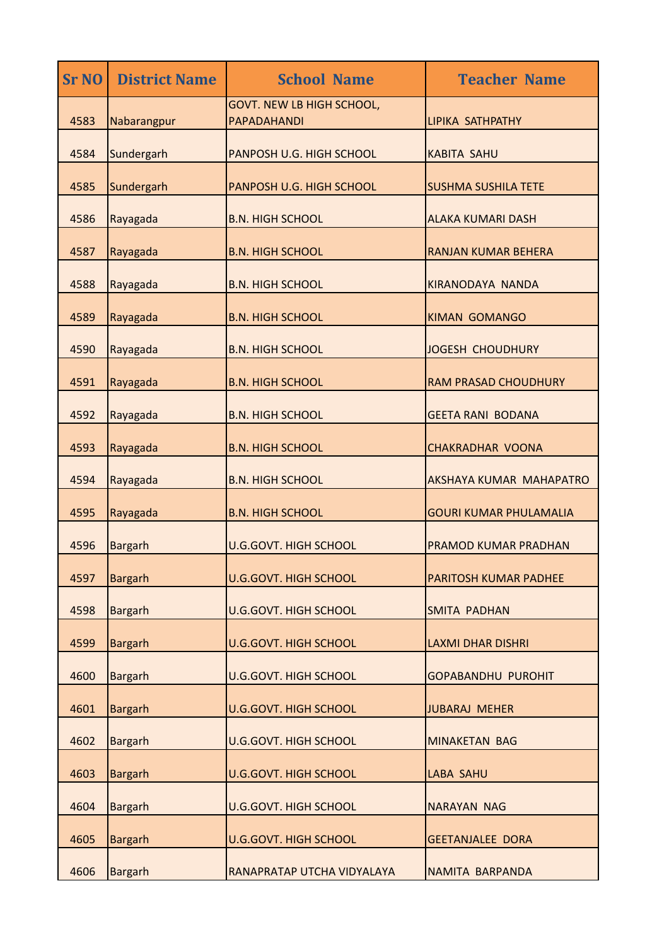| <b>Sr NO</b> | <b>District Name</b> | <b>School Name</b>                                     | <b>Teacher Name</b>           |
|--------------|----------------------|--------------------------------------------------------|-------------------------------|
| 4583         | Nabarangpur          | <b>GOVT. NEW LB HIGH SCHOOL,</b><br><b>PAPADAHANDI</b> | <b>LIPIKA SATHPATHY</b>       |
| 4584         | Sundergarh           | PANPOSH U.G. HIGH SCHOOL                               | <b>KABITA SAHU</b>            |
| 4585         | Sundergarh           | PANPOSH U.G. HIGH SCHOOL                               | <b>SUSHMA SUSHILA TETE</b>    |
| 4586         | Rayagada             | <b>B.N. HIGH SCHOOL</b>                                | <b>ALAKA KUMARI DASH</b>      |
| 4587         | Rayagada             | <b>B.N. HIGH SCHOOL</b>                                | <b>RANJAN KUMAR BEHERA</b>    |
| 4588         | Rayagada             | <b>B.N. HIGH SCHOOL</b>                                | KIRANODAYA NANDA              |
| 4589         | Rayagada             | <b>B.N. HIGH SCHOOL</b>                                | <b>KIMAN GOMANGO</b>          |
| 4590         | Rayagada             | <b>B.N. HIGH SCHOOL</b>                                | <b>JOGESH CHOUDHURY</b>       |
| 4591         | Rayagada             | <b>B.N. HIGH SCHOOL</b>                                | <b>RAM PRASAD CHOUDHURY</b>   |
| 4592         | Rayagada             | <b>B.N. HIGH SCHOOL</b>                                | <b>GEETA RANI BODANA</b>      |
| 4593         | Rayagada             | <b>B.N. HIGH SCHOOL</b>                                | <b>CHAKRADHAR VOONA</b>       |
| 4594         | Rayagada             | <b>B.N. HIGH SCHOOL</b>                                | AKSHAYA KUMAR MAHAPATRO       |
| 4595         | Rayagada             | <b>B.N. HIGH SCHOOL</b>                                | <b>GOURI KUMAR PHULAMALIA</b> |
| 4596         | <b>Bargarh</b>       | <b>U.G.GOVT. HIGH SCHOOL</b>                           | <b>PRAMOD KUMAR PRADHAN</b>   |
| 4597         | <b>Bargarh</b>       | <b>U.G.GOVT. HIGH SCHOOL</b>                           | <b>PARITOSH KUMAR PADHEE</b>  |
| 4598         | <b>Bargarh</b>       | <b>U.G.GOVT. HIGH SCHOOL</b>                           | <b>SMITA PADHAN</b>           |
| 4599         | <b>Bargarh</b>       | <b>U.G.GOVT. HIGH SCHOOL</b>                           | <b>LAXMI DHAR DISHRI</b>      |
| 4600         | <b>Bargarh</b>       | <b>U.G.GOVT. HIGH SCHOOL</b>                           | <b>GOPABANDHU PUROHIT</b>     |
| 4601         | <b>Bargarh</b>       | <b>U.G.GOVT. HIGH SCHOOL</b>                           | <b>JUBARAJ MEHER</b>          |
| 4602         | <b>Bargarh</b>       | <b>U.G.GOVT. HIGH SCHOOL</b>                           | <b>MINAKETAN BAG</b>          |
| 4603         | <b>Bargarh</b>       | <b>U.G.GOVT. HIGH SCHOOL</b>                           | <b>LABA SAHU</b>              |
| 4604         | <b>Bargarh</b>       | <b>U.G.GOVT. HIGH SCHOOL</b>                           | <b>NARAYAN NAG</b>            |
| 4605         | <b>Bargarh</b>       | <b>U.G.GOVT. HIGH SCHOOL</b>                           | <b>GEETANJALEE DORA</b>       |
| 4606         | <b>Bargarh</b>       | RANAPRATAP UTCHA VIDYALAYA                             | NAMITA BARPANDA               |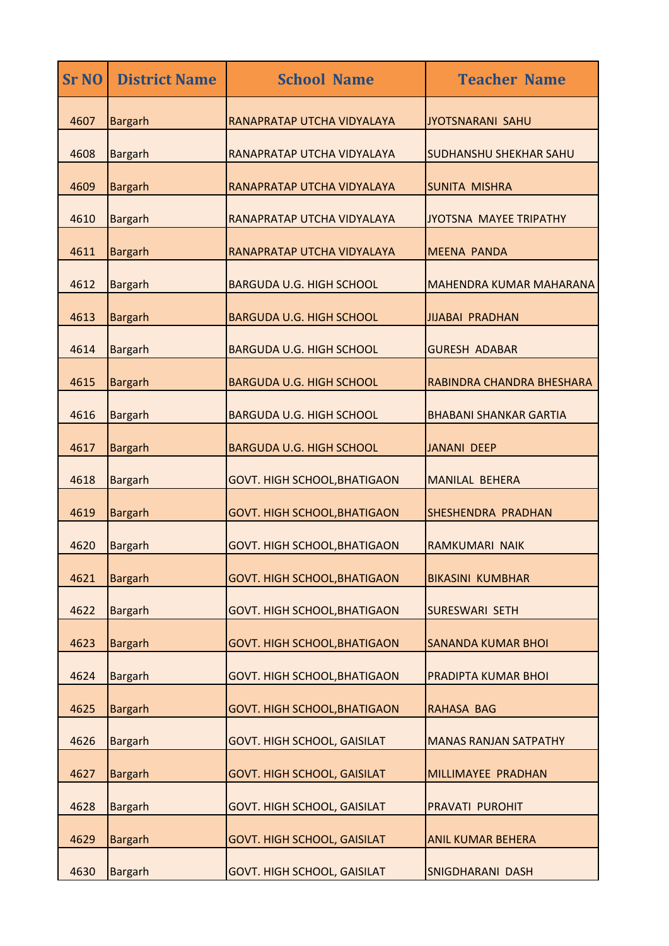| <b>Sr NO</b> | <b>District Name</b> | <b>School Name</b>                  | <b>Teacher Name</b>            |
|--------------|----------------------|-------------------------------------|--------------------------------|
| 4607         | <b>Bargarh</b>       | RANAPRATAP UTCHA VIDYALAYA          | JYOTSNARANI SAHU               |
| 4608         | <b>Bargarh</b>       | RANAPRATAP UTCHA VIDYALAYA          | <b>SUDHANSHU SHEKHAR SAHU</b>  |
| 4609         | <b>Bargarh</b>       | RANAPRATAP UTCHA VIDYALAYA          | <b>SUNITA MISHRA</b>           |
| 4610         | <b>Bargarh</b>       | RANAPRATAP UTCHA VIDYALAYA          | JYOTSNA MAYEE TRIPATHY         |
| 4611         | <b>Bargarh</b>       | RANAPRATAP UTCHA VIDYALAYA          | <b>MEENA PANDA</b>             |
| 4612         | <b>Bargarh</b>       | <b>BARGUDA U.G. HIGH SCHOOL</b>     | <b>MAHENDRA KUMAR MAHARANA</b> |
| 4613         | <b>Bargarh</b>       | <b>BARGUDA U.G. HIGH SCHOOL</b>     | <b>JIJABAI PRADHAN</b>         |
| 4614         | <b>Bargarh</b>       | <b>BARGUDA U.G. HIGH SCHOOL</b>     | <b>GURESH ADABAR</b>           |
| 4615         | <b>Bargarh</b>       | <b>BARGUDA U.G. HIGH SCHOOL</b>     | RABINDRA CHANDRA BHESHARA      |
| 4616         | <b>Bargarh</b>       | <b>BARGUDA U.G. HIGH SCHOOL</b>     | <b>BHABANI SHANKAR GARTIA</b>  |
| 4617         | <b>Bargarh</b>       | <b>BARGUDA U.G. HIGH SCHOOL</b>     | <b>JANANI DEEP</b>             |
| 4618         | <b>Bargarh</b>       | <b>GOVT. HIGH SCHOOL, BHATIGAON</b> | <b>MANILAL BEHERA</b>          |
| 4619         | <b>Bargarh</b>       | <b>GOVT. HIGH SCHOOL, BHATIGAON</b> | SHESHENDRA PRADHAN             |
| 4620         | <b>Bargarh</b>       | <b>GOVT. HIGH SCHOOL, BHATIGAON</b> | RAMKUMARI NAIK                 |
| 4621         | <b>Bargarh</b>       | <b>GOVT. HIGH SCHOOL, BHATIGAON</b> | <b>BIKASINI KUMBHAR</b>        |
| 4622         | <b>Bargarh</b>       | <b>GOVT. HIGH SCHOOL, BHATIGAON</b> | <b>SURESWARI SETH</b>          |
| 4623         | <b>Bargarh</b>       | <b>GOVT. HIGH SCHOOL, BHATIGAON</b> | <b>SANANDA KUMAR BHOI</b>      |
| 4624         | <b>Bargarh</b>       | <b>GOVT. HIGH SCHOOL, BHATIGAON</b> | <b>PRADIPTA KUMAR BHOI</b>     |
| 4625         | <b>Bargarh</b>       | <b>GOVT. HIGH SCHOOL, BHATIGAON</b> | RAHASA BAG                     |
| 4626         | <b>Bargarh</b>       | <b>GOVT. HIGH SCHOOL, GAISILAT</b>  | <b>MANAS RANJAN SATPATHY</b>   |
| 4627         | <b>Bargarh</b>       | <b>GOVT. HIGH SCHOOL, GAISILAT</b>  | MILLIMAYEE PRADHAN             |
| 4628         | <b>Bargarh</b>       | <b>GOVT. HIGH SCHOOL, GAISILAT</b>  | PRAVATI PUROHIT                |
| 4629         | <b>Bargarh</b>       | <b>GOVT. HIGH SCHOOL, GAISILAT</b>  | <b>ANIL KUMAR BEHERA</b>       |
| 4630         | <b>Bargarh</b>       | <b>GOVT. HIGH SCHOOL, GAISILAT</b>  | <b>SNIGDHARANI DASH</b>        |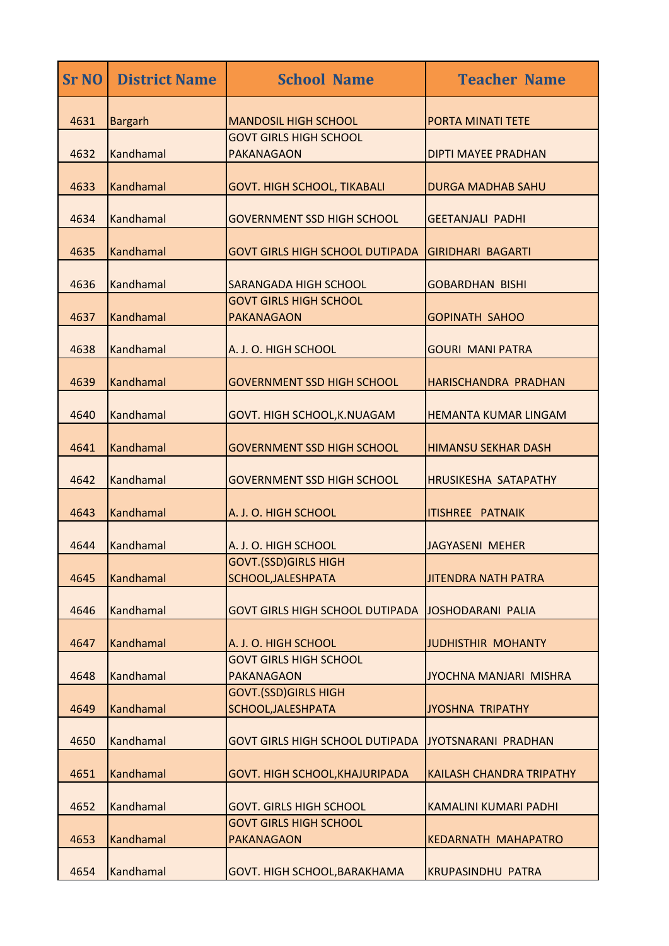| <b>Sr NO</b> | <b>District Name</b> | <b>School Name</b>                                              | <b>Teacher Name</b>             |
|--------------|----------------------|-----------------------------------------------------------------|---------------------------------|
| 4631         | <b>Bargarh</b>       | <b>MANDOSIL HIGH SCHOOL</b>                                     | PORTA MINATI TETE               |
| 4632         | Kandhamal            | <b>GOVT GIRLS HIGH SCHOOL</b><br><b>PAKANAGAON</b>              | <b>DIPTI MAYEE PRADHAN</b>      |
| 4633         | Kandhamal            | <b>GOVT. HIGH SCHOOL, TIKABALI</b>                              | <b>DURGA MADHAB SAHU</b>        |
| 4634         | Kandhamal            | <b>GOVERNMENT SSD HIGH SCHOOL</b>                               | <b>GEETANJALI PADHI</b>         |
| 4635         | Kandhamal            | <b>GOVT GIRLS HIGH SCHOOL DUTIPADA</b>                          | <b>GIRIDHARI BAGARTI</b>        |
| 4636         | Kandhamal            | <b>SARANGADA HIGH SCHOOL</b>                                    | <b>GOBARDHAN BISHI</b>          |
| 4637         | Kandhamal            | <b>GOVT GIRLS HIGH SCHOOL</b><br><b>PAKANAGAON</b>              | <b>GOPINATH SAHOO</b>           |
| 4638         | Kandhamal            | A. J. O. HIGH SCHOOL                                            | <b>GOURI MANI PATRA</b>         |
|              |                      |                                                                 |                                 |
| 4639         | Kandhamal            | <b>GOVERNMENT SSD HIGH SCHOOL</b>                               | HARISCHANDRA PRADHAN            |
| 4640         | Kandhamal            | GOVT. HIGH SCHOOL, K. NUAGAM                                    | <b>HEMANTA KUMAR LINGAM</b>     |
| 4641         | Kandhamal            | <b>GOVERNMENT SSD HIGH SCHOOL</b>                               | <b>HIMANSU SEKHAR DASH</b>      |
| 4642         | Kandhamal            | <b>GOVERNMENT SSD HIGH SCHOOL</b>                               | <b>HRUSIKESHA SATAPATHY</b>     |
| 4643         | Kandhamal            | A. J. O. HIGH SCHOOL                                            | <b>ITISHREE PATNAIK</b>         |
| 4644         | Kandhamal            | A. J. O. HIGH SCHOOL                                            | <b>JAGYASENI MEHER</b>          |
| 4645         | Kandhamal            | <b>GOVT.(SSD)GIRLS HIGH</b><br>SCHOOL, JALESHPATA               | <b>JITENDRA NATH PATRA</b>      |
| 4646         | Kandhamal            | <b>GOVT GIRLS HIGH SCHOOL DUTIPADA</b>                          | JOSHODARANI PALIA               |
| 4647         | Kandhamal            | A. J. O. HIGH SCHOOL                                            | JUDHISTHIR MOHANTY              |
| 4648         | Kandhamal            | <b>GOVT GIRLS HIGH SCHOOL</b><br><b>PAKANAGAON</b>              | <b>JYOCHNA MANJARI MISHRA</b>   |
| 4649         | Kandhamal            | <b>GOVT.(SSD)GIRLS HIGH</b><br>SCHOOL, JALESHPATA               | <b>JYOSHNA TRIPATHY</b>         |
| 4650         | Kandhamal            | <b>GOVT GIRLS HIGH SCHOOL DUTIPADA</b>                          | JYOTSNARANI PRADHAN             |
|              |                      |                                                                 |                                 |
| 4651         | Kandhamal            | <b>GOVT. HIGH SCHOOL, KHAJURIPADA</b>                           | <b>KAILASH CHANDRA TRIPATHY</b> |
| 4652         | Kandhamal            | <b>GOVT. GIRLS HIGH SCHOOL</b><br><b>GOVT GIRLS HIGH SCHOOL</b> | <b>KAMALINI KUMARI PADHI</b>    |
| 4653         | Kandhamal            | <b>PAKANAGAON</b>                                               | <b>KEDARNATH MAHAPATRO</b>      |
| 4654         | Kandhamal            | <b>GOVT. HIGH SCHOOL, BARAKHAMA</b>                             | <b>KRUPASINDHU PATRA</b>        |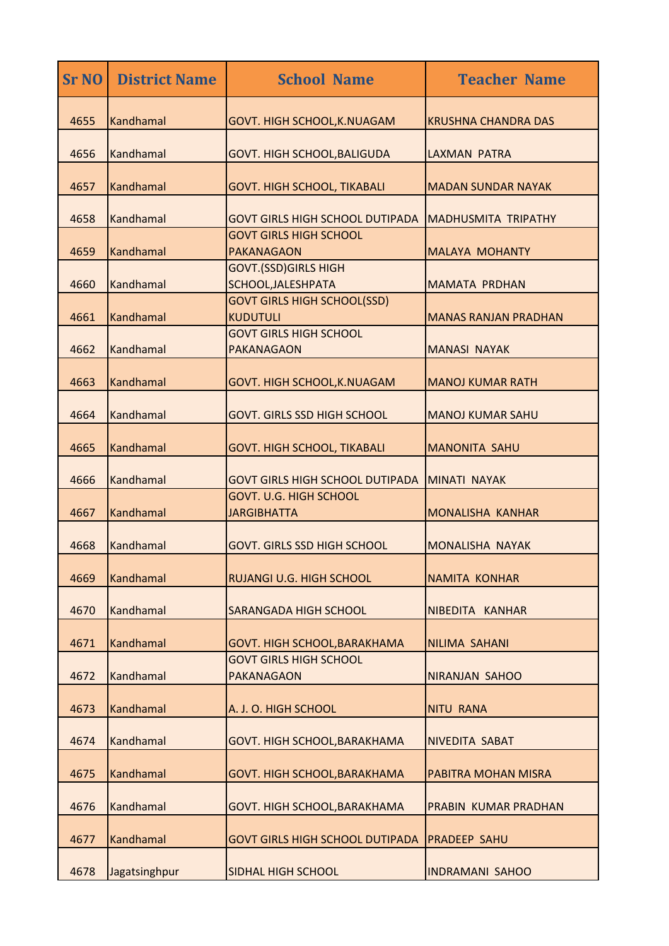| <b>Sr NO</b> | <b>District Name</b> | <b>School Name</b>                                    | <b>Teacher Name</b>         |
|--------------|----------------------|-------------------------------------------------------|-----------------------------|
| 4655         | Kandhamal            | GOVT. HIGH SCHOOL, K. NUAGAM                          | <b>KRUSHNA CHANDRA DAS</b>  |
| 4656         | Kandhamal            | <b>GOVT. HIGH SCHOOL, BALIGUDA</b>                    | <b>LAXMAN PATRA</b>         |
| 4657         | Kandhamal            | <b>GOVT. HIGH SCHOOL, TIKABALI</b>                    | <b>MADAN SUNDAR NAYAK</b>   |
| 4658         | Kandhamal            | <b>GOVT GIRLS HIGH SCHOOL DUTIPADA</b>                | <b>MADHUSMITA TRIPATHY</b>  |
| 4659         | Kandhamal            | <b>GOVT GIRLS HIGH SCHOOL</b><br><b>PAKANAGAON</b>    | <b>MALAYA MOHANTY</b>       |
| 4660         | Kandhamal            | <b>GOVT.(SSD)GIRLS HIGH</b><br>SCHOOL, JALESHPATA     | <b>MAMATA PRDHAN</b>        |
| 4661         | Kandhamal            | <b>GOVT GIRLS HIGH SCHOOL(SSD)</b><br><b>KUDUTULI</b> | <b>MANAS RANJAN PRADHAN</b> |
| 4662         | Kandhamal            | <b>GOVT GIRLS HIGH SCHOOL</b><br>PAKANAGAON           | <b>MANASI NAYAK</b>         |
| 4663         | Kandhamal            | GOVT. HIGH SCHOOL, K. NUAGAM                          | <b>MANOJ KUMAR RATH</b>     |
| 4664         | Kandhamal            | <b>GOVT. GIRLS SSD HIGH SCHOOL</b>                    | <b>MANOJ KUMAR SAHU</b>     |
| 4665         | Kandhamal            | <b>GOVT. HIGH SCHOOL, TIKABALI</b>                    | <b>MANONITA SAHU</b>        |
| 4666         | Kandhamal            | <b>GOVT GIRLS HIGH SCHOOL DUTIPADA</b>                | <b>MINATI NAYAK</b>         |
| 4667         | Kandhamal            | <b>GOVT. U.G. HIGH SCHOOL</b><br><b>JARGIBHATTA</b>   | <b>MONALISHA KANHAR</b>     |
| 4668         | Kandhamal            | <b>GOVT. GIRLS SSD HIGH SCHOOL</b>                    | <b>MONALISHA NAYAK</b>      |
| 4669         | Kandhamal            | <b>RUJANGI U.G. HIGH SCHOOL</b>                       | <b>NAMITA KONHAR</b>        |
| 4670         | Kandhamal            | <b>SARANGADA HIGH SCHOOL</b>                          | NIBEDITA KANHAR             |
| 4671         | <b>Kandhamal</b>     | <b>GOVT. HIGH SCHOOL, BARAKHAMA</b>                   | NILIMA SAHANI               |
| 4672         | Kandhamal            | <b>GOVT GIRLS HIGH SCHOOL</b><br><b>PAKANAGAON</b>    | <b>NIRANJAN SAHOO</b>       |
| 4673         | Kandhamal            | A. J. O. HIGH SCHOOL                                  | <b>NITU RANA</b>            |
| 4674         | Kandhamal            | GOVT. HIGH SCHOOL, BARAKHAMA                          | NIVEDITA SABAT              |
| 4675         | Kandhamal            | GOVT. HIGH SCHOOL, BARAKHAMA                          | PABITRA MOHAN MISRA         |
| 4676         | Kandhamal            | GOVT. HIGH SCHOOL, BARAKHAMA                          | PRABIN KUMAR PRADHAN        |
| 4677         | Kandhamal            | <b>GOVT GIRLS HIGH SCHOOL DUTIPADA</b>                | <b>PRADEEP SAHU</b>         |
| 4678         | Jagatsinghpur        | <b>SIDHAL HIGH SCHOOL</b>                             | <b>INDRAMANI SAHOO</b>      |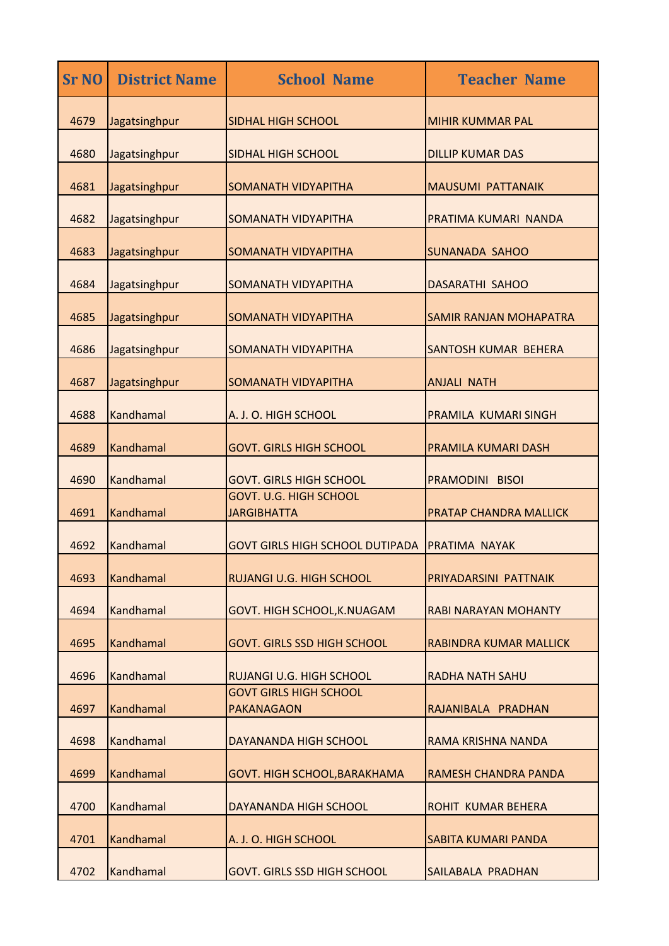| <b>Sr NO</b> | <b>District Name</b> | <b>School Name</b>                                  | <b>Teacher Name</b>           |
|--------------|----------------------|-----------------------------------------------------|-------------------------------|
| 4679         | Jagatsinghpur        | <b>SIDHAL HIGH SCHOOL</b>                           | <b>MIHIR KUMMAR PAL</b>       |
| 4680         | Jagatsinghpur        | <b>SIDHAL HIGH SCHOOL</b>                           | <b>DILLIP KUMAR DAS</b>       |
| 4681         | Jagatsinghpur        | SOMANATH VIDYAPITHA                                 | <b>MAUSUMI PATTANAIK</b>      |
| 4682         | Jagatsinghpur        | <b>SOMANATH VIDYAPITHA</b>                          | PRATIMA KUMARI NANDA          |
| 4683         | Jagatsinghpur        | SOMANATH VIDYAPITHA                                 | <b>SUNANADA SAHOO</b>         |
| 4684         | Jagatsinghpur        | <b>SOMANATH VIDYAPITHA</b>                          | <b>DASARATHI SAHOO</b>        |
| 4685         | Jagatsinghpur        | SOMANATH VIDYAPITHA                                 | <b>SAMIR RANJAN MOHAPATRA</b> |
| 4686         | Jagatsinghpur        | <b>SOMANATH VIDYAPITHA</b>                          | <b>SANTOSH KUMAR BEHERA</b>   |
| 4687         | Jagatsinghpur        | SOMANATH VIDYAPITHA                                 | <b>ANJALI NATH</b>            |
| 4688         | Kandhamal            | A. J. O. HIGH SCHOOL                                | PRAMILA KUMARI SINGH          |
| 4689         | Kandhamal            | <b>GOVT. GIRLS HIGH SCHOOL</b>                      | PRAMILA KUMARI DASH           |
| 4690         | Kandhamal            | <b>GOVT. GIRLS HIGH SCHOOL</b>                      | PRAMODINI BISOI               |
| 4691         | Kandhamal            | <b>GOVT. U.G. HIGH SCHOOL</b><br><b>JARGIBHATTA</b> | <b>PRATAP CHANDRA MALLICK</b> |
| 4692         | Kandhamal            | <b>GOVT GIRLS HIGH SCHOOL DUTIPADA</b>              | <b>PRATIMA NAYAK</b>          |
| 4693         | Kandhamal            | <b>RUJANGI U.G. HIGH SCHOOL</b>                     | PRIYADARSINI PATTNAIK         |
| 4694         | Kandhamal            | GOVT. HIGH SCHOOL, K. NUAGAM                        | <b>RABI NARAYAN MOHANTY</b>   |
| 4695         | Kandhamal            | <b>GOVT. GIRLS SSD HIGH SCHOOL</b>                  | <b>RABINDRA KUMAR MALLICK</b> |
| 4696         | Kandhamal            | <b>RUJANGI U.G. HIGH SCHOOL</b>                     | <b>RADHA NATH SAHU</b>        |
| 4697         | Kandhamal            | <b>GOVT GIRLS HIGH SCHOOL</b><br><b>PAKANAGAON</b>  | RAJANIBALA PRADHAN            |
| 4698         | Kandhamal            | DAYANANDA HIGH SCHOOL                               | <b>RAMA KRISHNA NANDA</b>     |
| 4699         | Kandhamal            | <b>GOVT. HIGH SCHOOL, BARAKHAMA</b>                 | RAMESH CHANDRA PANDA          |
| 4700         | Kandhamal            | DAYANANDA HIGH SCHOOL                               | ROHIT KUMAR BEHERA            |
| 4701         | Kandhamal            | A. J. O. HIGH SCHOOL                                | <b>SABITA KUMARI PANDA</b>    |
| 4702         | Kandhamal            | <b>GOVT. GIRLS SSD HIGH SCHOOL</b>                  | SAILABALA PRADHAN             |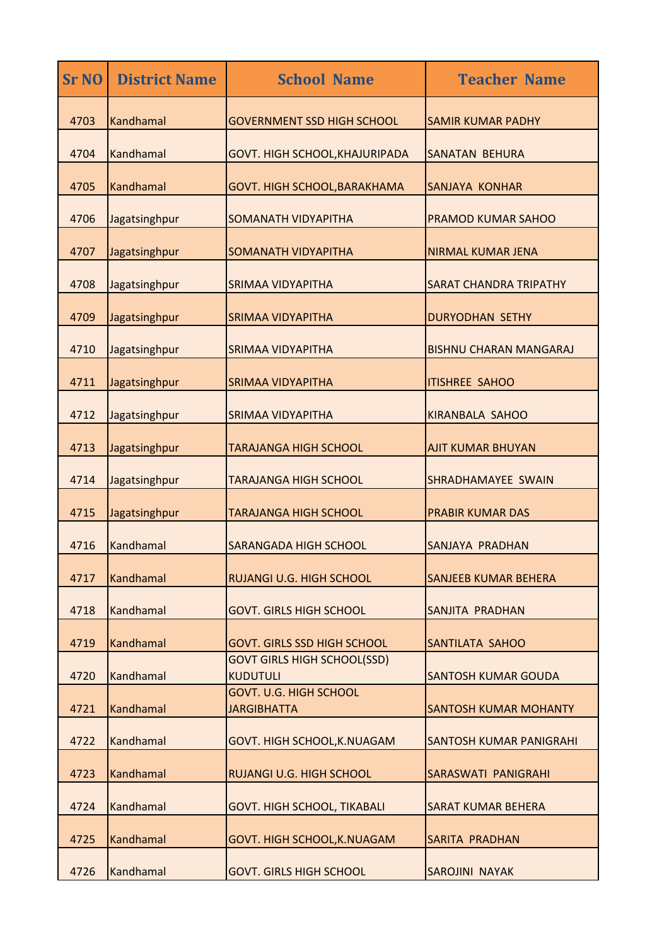| <b>Sr NO</b> | <b>District Name</b> | <b>School Name</b>                                    | <b>Teacher Name</b>            |
|--------------|----------------------|-------------------------------------------------------|--------------------------------|
| 4703         | Kandhamal            | <b>GOVERNMENT SSD HIGH SCHOOL</b>                     | <b>SAMIR KUMAR PADHY</b>       |
| 4704         | Kandhamal            | <b>GOVT. HIGH SCHOOL, KHAJURIPADA</b>                 | <b>SANATAN BEHURA</b>          |
| 4705         | Kandhamal            | GOVT. HIGH SCHOOL, BARAKHAMA                          | <b>SANJAYA KONHAR</b>          |
| 4706         | Jagatsinghpur        | SOMANATH VIDYAPITHA                                   | <b>PRAMOD KUMAR SAHOO</b>      |
| 4707         | Jagatsinghpur        | SOMANATH VIDYAPITHA                                   | <b>NIRMAL KUMAR JENA</b>       |
| 4708         | Jagatsinghpur        | <b>SRIMAA VIDYAPITHA</b>                              | <b>SARAT CHANDRA TRIPATHY</b>  |
| 4709         | Jagatsinghpur        | <b>SRIMAA VIDYAPITHA</b>                              | <b>DURYODHAN SETHY</b>         |
| 4710         | Jagatsinghpur        | <b>SRIMAA VIDYAPITHA</b>                              | <b>BISHNU CHARAN MANGARAJ</b>  |
| 4711         | Jagatsinghpur        | <b>SRIMAA VIDYAPITHA</b>                              | <b>ITISHREE SAHOO</b>          |
| 4712         | Jagatsinghpur        | SRIMAA VIDYAPITHA                                     | <b>KIRANBALA SAHOO</b>         |
| 4713         | Jagatsinghpur        | <b>TARAJANGA HIGH SCHOOL</b>                          | <b>AJIT KUMAR BHUYAN</b>       |
| 4714         | Jagatsinghpur        | <b>TARAJANGA HIGH SCHOOL</b>                          | SHRADHAMAYEE SWAIN             |
| 4715         | Jagatsinghpur        | <b>TARAJANGA HIGH SCHOOL</b>                          | <b>PRABIR KUMAR DAS</b>        |
| 4716         | Kandhamal            | <b>SARANGADA HIGH SCHOOL</b>                          | <b>SANJAYA PRADHAN</b>         |
| 4717         | Kandhamal            | <b>RUJANGI U.G. HIGH SCHOOL</b>                       | <b>SANJEEB KUMAR BEHERA</b>    |
| 4718         | Kandhamal            | <b>GOVT. GIRLS HIGH SCHOOL</b>                        | SANJITA PRADHAN                |
| 4719         | Kandhamal            | <b>GOVT. GIRLS SSD HIGH SCHOOL</b>                    | <b>SANTILATA SAHOO</b>         |
| 4720         | Kandhamal            | <b>GOVT GIRLS HIGH SCHOOL(SSD)</b><br><b>KUDUTULI</b> | <b>SANTOSH KUMAR GOUDA</b>     |
| 4721         | Kandhamal            | <b>GOVT. U.G. HIGH SCHOOL</b><br><b>JARGIBHATTA</b>   | <b>SANTOSH KUMAR MOHANTY</b>   |
| 4722         | Kandhamal            | <b>GOVT. HIGH SCHOOL, K. NUAGAM</b>                   | <b>SANTOSH KUMAR PANIGRAHI</b> |
| 4723         | Kandhamal            | <b>RUJANGI U.G. HIGH SCHOOL</b>                       | SARASWATI PANIGRAHI            |
| 4724         | Kandhamal            | <b>GOVT. HIGH SCHOOL, TIKABALI</b>                    | <b>SARAT KUMAR BEHERA</b>      |
| 4725         | Kandhamal            | GOVT. HIGH SCHOOL, K. NUAGAM                          | <b>SARITA PRADHAN</b>          |
| 4726         | Kandhamal            | <b>GOVT. GIRLS HIGH SCHOOL</b>                        | SAROJINI NAYAK                 |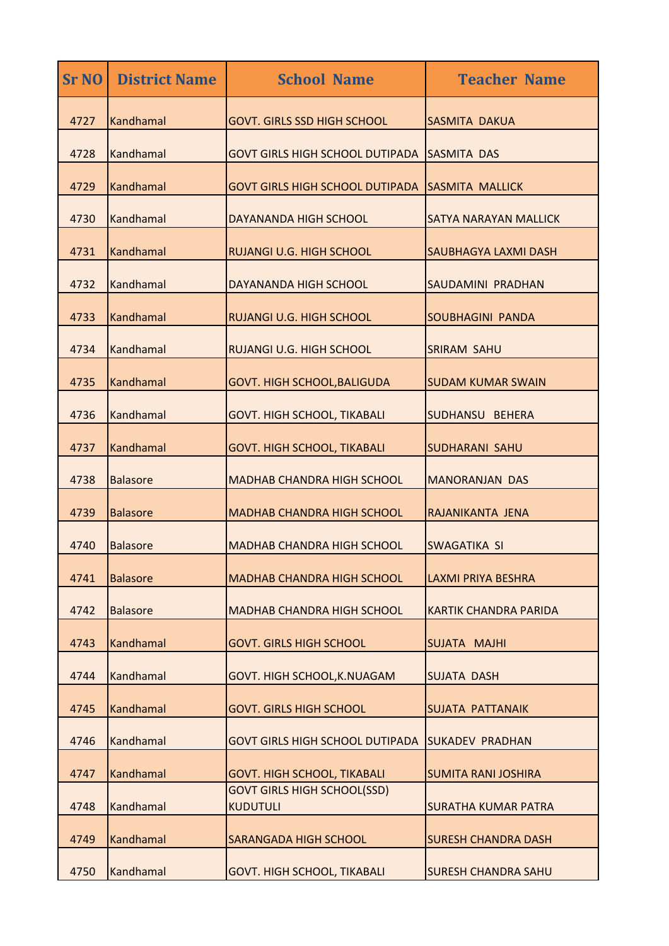| <b>Sr NO</b> | <b>District Name</b> | <b>School Name</b>                                    | <b>Teacher Name</b>          |
|--------------|----------------------|-------------------------------------------------------|------------------------------|
| 4727         | Kandhamal            | <b>GOVT. GIRLS SSD HIGH SCHOOL</b>                    | <b>SASMITA DAKUA</b>         |
| 4728         | Kandhamal            | <b>GOVT GIRLS HIGH SCHOOL DUTIPADA</b>                | <b>SASMITA DAS</b>           |
| 4729         | Kandhamal            | <b>GOVT GIRLS HIGH SCHOOL DUTIPADA</b>                | <b>SASMITA MALLICK</b>       |
| 4730         | Kandhamal            | DAYANANDA HIGH SCHOOL                                 | <b>SATYA NARAYAN MALLICK</b> |
| 4731         | Kandhamal            | <b>RUJANGI U.G. HIGH SCHOOL</b>                       | <b>SAUBHAGYA LAXMI DASH</b>  |
| 4732         | Kandhamal            | DAYANANDA HIGH SCHOOL                                 | SAUDAMINI PRADHAN            |
| 4733         | Kandhamal            | <b>RUJANGI U.G. HIGH SCHOOL</b>                       | <b>SOUBHAGINI PANDA</b>      |
| 4734         | Kandhamal            | <b>RUJANGI U.G. HIGH SCHOOL</b>                       | <b>SRIRAM SAHU</b>           |
| 4735         | Kandhamal            | <b>GOVT. HIGH SCHOOL, BALIGUDA</b>                    | <b>SUDAM KUMAR SWAIN</b>     |
| 4736         | Kandhamal            | <b>GOVT. HIGH SCHOOL, TIKABALI</b>                    | <b>SUDHANSU BEHERA</b>       |
| 4737         | Kandhamal            | <b>GOVT. HIGH SCHOOL, TIKABALI</b>                    | <b>SUDHARANI SAHU</b>        |
| 4738         | <b>Balasore</b>      | <b>MADHAB CHANDRA HIGH SCHOOL</b>                     | <b>MANORANJAN DAS</b>        |
| 4739         | <b>Balasore</b>      | <b>MADHAB CHANDRA HIGH SCHOOL</b>                     | RAJANIKANTA JENA             |
| 4740         | <b>Balasore</b>      | <b>MADHAB CHANDRA HIGH SCHOOL</b>                     | <b>SWAGATIKA SI</b>          |
| 4741         | <b>Balasore</b>      | <b>MADHAB CHANDRA HIGH SCHOOL</b>                     | <b>LAXMI PRIYA BESHRA</b>    |
| 4742         | <b>Balasore</b>      | <b>MADHAB CHANDRA HIGH SCHOOL</b>                     | <b>KARTIK CHANDRA PARIDA</b> |
| 4743         | Kandhamal            | <b>GOVT. GIRLS HIGH SCHOOL</b>                        | <b>SUJATA MAJHI</b>          |
| 4744         | Kandhamal            | GOVT. HIGH SCHOOL, K. NUAGAM                          | <b>SUJATA DASH</b>           |
| 4745         | Kandhamal            | <b>GOVT. GIRLS HIGH SCHOOL</b>                        | <b>SUJATA PATTANAIK</b>      |
| 4746         | Kandhamal            | <b>GOVT GIRLS HIGH SCHOOL DUTIPADA</b>                | <b>SUKADEV PRADHAN</b>       |
| 4747         | Kandhamal            | <b>GOVT. HIGH SCHOOL, TIKABALI</b>                    | <b>SUMITA RANI JOSHIRA</b>   |
| 4748         | Kandhamal            | <b>GOVT GIRLS HIGH SCHOOL(SSD)</b><br><b>KUDUTULI</b> | <b>SURATHA KUMAR PATRA</b>   |
| 4749         | Kandhamal            | <b>SARANGADA HIGH SCHOOL</b>                          | <b>SURESH CHANDRA DASH</b>   |
| 4750         | Kandhamal            | <b>GOVT. HIGH SCHOOL, TIKABALI</b>                    | <b>SURESH CHANDRA SAHU</b>   |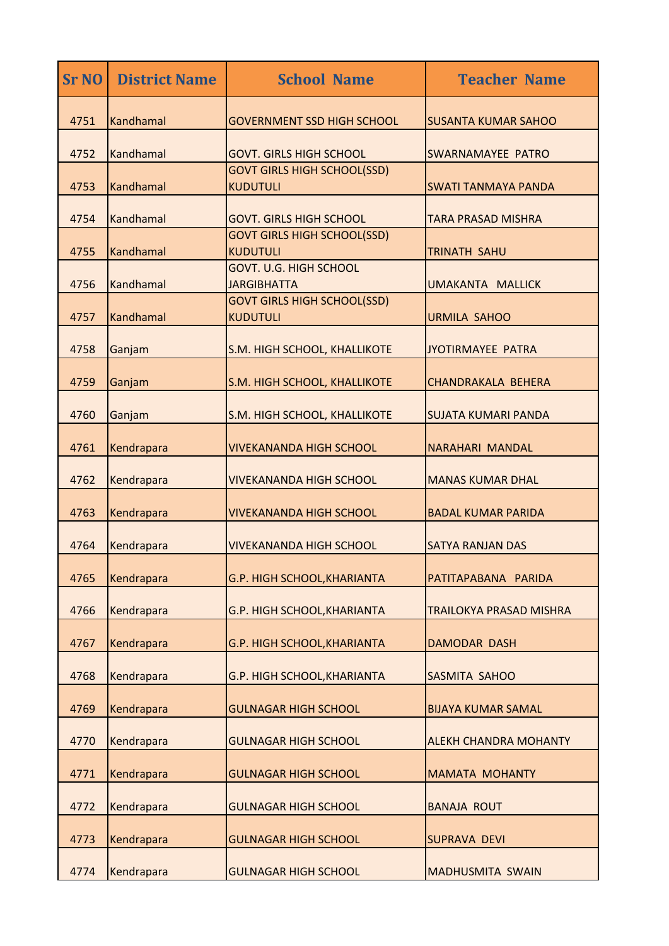| <b>Sr NO</b> | <b>District Name</b> | <b>School Name</b>                                    | <b>Teacher Name</b>            |
|--------------|----------------------|-------------------------------------------------------|--------------------------------|
| 4751         | Kandhamal            | <b>GOVERNMENT SSD HIGH SCHOOL</b>                     | <b>SUSANTA KUMAR SAHOO</b>     |
| 4752         | Kandhamal            | <b>GOVT. GIRLS HIGH SCHOOL</b>                        | <b>SWARNAMAYEE PATRO</b>       |
| 4753         | Kandhamal            | <b>GOVT GIRLS HIGH SCHOOL(SSD)</b><br><b>KUDUTULI</b> | <b>SWATI TANMAYA PANDA</b>     |
| 4754         | Kandhamal            | <b>GOVT. GIRLS HIGH SCHOOL</b>                        | TARA PRASAD MISHRA             |
| 4755         | Kandhamal            | <b>GOVT GIRLS HIGH SCHOOL(SSD)</b><br><b>KUDUTULI</b> | <b>TRINATH SAHU</b>            |
| 4756         | Kandhamal            | <b>GOVT. U.G. HIGH SCHOOL</b><br><b>JARGIBHATTA</b>   | <b>UMAKANTA MALLICK</b>        |
| 4757         | Kandhamal            | <b>GOVT GIRLS HIGH SCHOOL(SSD)</b><br><b>KUDUTULI</b> | <b>URMILA SAHOO</b>            |
| 4758         | Ganjam               | S.M. HIGH SCHOOL, KHALLIKOTE                          | JYOTIRMAYEE PATRA              |
| 4759         | Ganjam               | S.M. HIGH SCHOOL, KHALLIKOTE                          | <b>CHANDRAKALA BEHERA</b>      |
| 4760         | Ganjam               | S.M. HIGH SCHOOL, KHALLIKOTE                          | <b>SUJATA KUMARI PANDA</b>     |
| 4761         | Kendrapara           | <b>VIVEKANANDA HIGH SCHOOL</b>                        | <b>NARAHARI MANDAL</b>         |
| 4762         | Kendrapara           | <b>VIVEKANANDA HIGH SCHOOL</b>                        | <b>MANAS KUMAR DHAL</b>        |
| 4763         | Kendrapara           | <b>VIVEKANANDA HIGH SCHOOL</b>                        | <b>BADAL KUMAR PARIDA</b>      |
| 4764         | Kendrapara           | <b>VIVEKANANDA HIGH SCHOOL</b>                        | <b>SATYA RANJAN DAS</b>        |
| 4765         | Kendrapara           | G.P. HIGH SCHOOL, KHARIANTA                           | PATITAPABANA PARIDA            |
| 4766         | Kendrapara           | G.P. HIGH SCHOOL, KHARIANTA                           | <b>TRAILOKYA PRASAD MISHRA</b> |
| 4767         | Kendrapara           | <b>G.P. HIGH SCHOOL, KHARIANTA</b>                    | <b>DAMODAR DASH</b>            |
| 4768         | Kendrapara           | G.P. HIGH SCHOOL, KHARIANTA                           | SASMITA SAHOO                  |
| 4769         | Kendrapara           | <b>GULNAGAR HIGH SCHOOL</b>                           | <b>BIJAYA KUMAR SAMAL</b>      |
| 4770         | Kendrapara           | <b>GULNAGAR HIGH SCHOOL</b>                           | <b>ALEKH CHANDRA MOHANTY</b>   |
| 4771         | Kendrapara           | <b>GULNAGAR HIGH SCHOOL</b>                           | <b>MAMATA MOHANTY</b>          |
| 4772         | Kendrapara           | <b>GULNAGAR HIGH SCHOOL</b>                           | <b>BANAJA ROUT</b>             |
| 4773         | Kendrapara           | <b>GULNAGAR HIGH SCHOOL</b>                           | <b>SUPRAVA DEVI</b>            |
| 4774         | Kendrapara           | <b>GULNAGAR HIGH SCHOOL</b>                           | <b>MADHUSMITA SWAIN</b>        |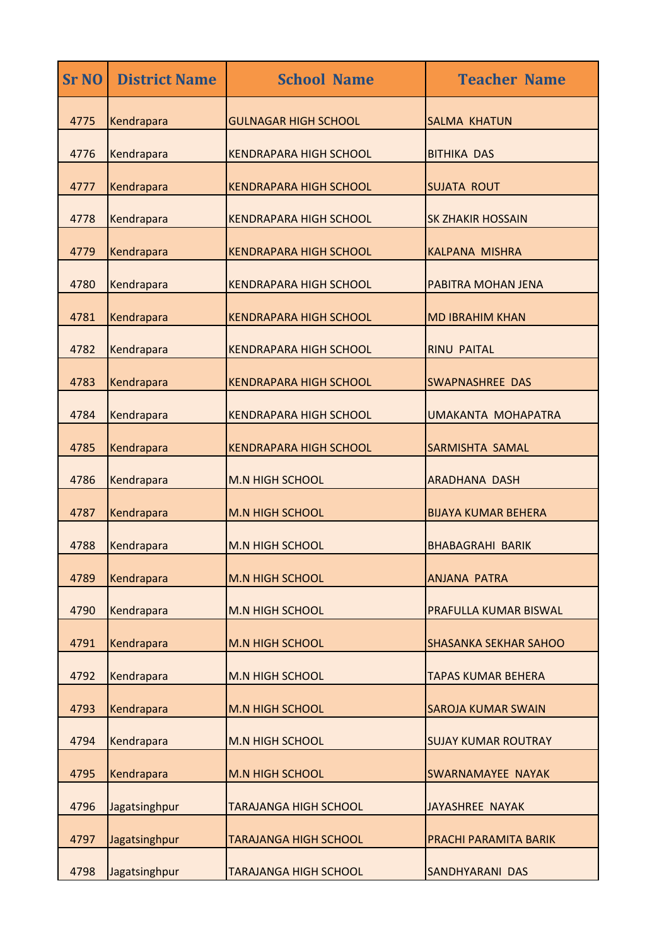| <b>Sr NO</b> | <b>District Name</b> | <b>School Name</b>            | <b>Teacher Name</b>          |
|--------------|----------------------|-------------------------------|------------------------------|
| 4775         | Kendrapara           | <b>GULNAGAR HIGH SCHOOL</b>   | <b>SALMA KHATUN</b>          |
| 4776         | Kendrapara           | <b>KENDRAPARA HIGH SCHOOL</b> | <b>BITHIKA DAS</b>           |
| 4777         | Kendrapara           | <b>KENDRAPARA HIGH SCHOOL</b> | <b>SUJATA ROUT</b>           |
| 4778         | Kendrapara           | <b>KENDRAPARA HIGH SCHOOL</b> | <b>SK ZHAKIR HOSSAIN</b>     |
| 4779         | Kendrapara           | <b>KENDRAPARA HIGH SCHOOL</b> | <b>KALPANA MISHRA</b>        |
| 4780         | Kendrapara           | <b>KENDRAPARA HIGH SCHOOL</b> | <b>PABITRA MOHAN JENA</b>    |
| 4781         | Kendrapara           | <b>KENDRAPARA HIGH SCHOOL</b> | <b>MD IBRAHIM KHAN</b>       |
| 4782         | Kendrapara           | <b>KENDRAPARA HIGH SCHOOL</b> | <b>RINU PAITAL</b>           |
| 4783         | Kendrapara           | <b>KENDRAPARA HIGH SCHOOL</b> | <b>SWAPNASHREE DAS</b>       |
| 4784         | Kendrapara           | <b>KENDRAPARA HIGH SCHOOL</b> | <b>UMAKANTA MOHAPATRA</b>    |
| 4785         | Kendrapara           | <b>KENDRAPARA HIGH SCHOOL</b> | <b>SARMISHTA SAMAL</b>       |
| 4786         | Kendrapara           | <b>M.N HIGH SCHOOL</b>        | <b>ARADHANA DASH</b>         |
| 4787         | Kendrapara           | <b>M.N HIGH SCHOOL</b>        | <b>BIJAYA KUMAR BEHERA</b>   |
| 4788         | Kendrapara           | <b>M.N HIGH SCHOOL</b>        | <b>BHABAGRAHI BARIK</b>      |
| 4789         | Kendrapara           | <b>M.N HIGH SCHOOL</b>        | <b>ANJANA PATRA</b>          |
| 4790         | Kendrapara           | <b>M.N HIGH SCHOOL</b>        | PRAFULLA KUMAR BISWAL        |
| 4791         | Kendrapara           | <b>M.N HIGH SCHOOL</b>        | <b>SHASANKA SEKHAR SAHOO</b> |
| 4792         | Kendrapara           | <b>M.N HIGH SCHOOL</b>        | <b>TAPAS KUMAR BEHERA</b>    |
| 4793         | Kendrapara           | <b>M.N HIGH SCHOOL</b>        | <b>SAROJA KUMAR SWAIN</b>    |
| 4794         | Kendrapara           | <b>M.N HIGH SCHOOL</b>        | <b>SUJAY KUMAR ROUTRAY</b>   |
| 4795         | Kendrapara           | <b>M.N HIGH SCHOOL</b>        | SWARNAMAYEE NAYAK            |
| 4796         | Jagatsinghpur        | <b>TARAJANGA HIGH SCHOOL</b>  | <b>JAYASHREE NAYAK</b>       |
| 4797         | Jagatsinghpur        | <b>TARAJANGA HIGH SCHOOL</b>  | PRACHI PARAMITA BARIK        |
| 4798         | Jagatsinghpur        | <b>TARAJANGA HIGH SCHOOL</b>  | SANDHYARANI DAS              |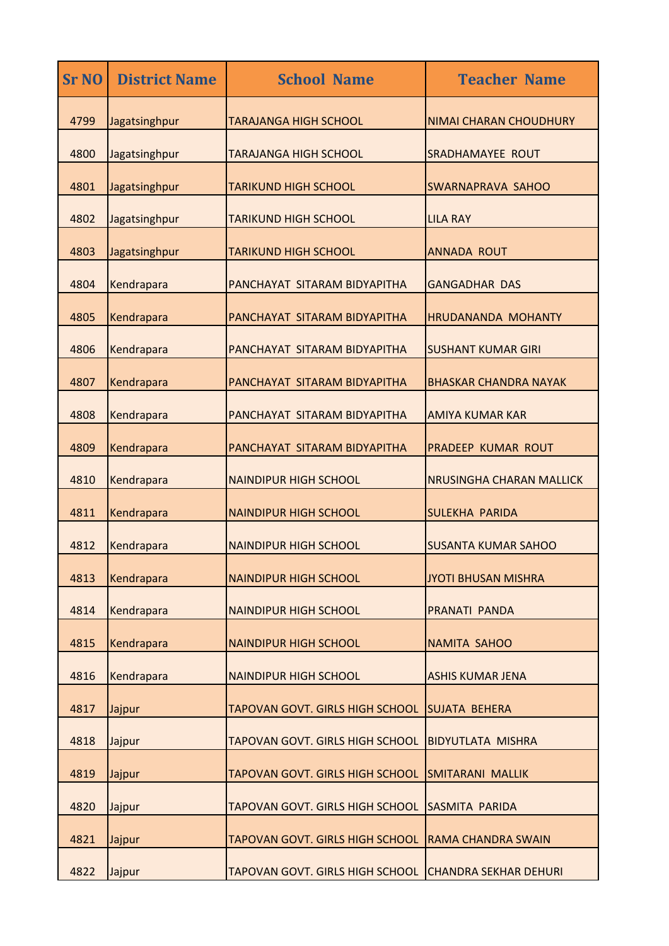| <b>Sr NO</b> | <b>District Name</b> | <b>School Name</b>                     | <b>Teacher Name</b>             |
|--------------|----------------------|----------------------------------------|---------------------------------|
| 4799         | Jagatsinghpur        | <b>TARAJANGA HIGH SCHOOL</b>           | NIMAI CHARAN CHOUDHURY          |
| 4800         | Jagatsinghpur        | <b>TARAJANGA HIGH SCHOOL</b>           | <b>SRADHAMAYEE ROUT</b>         |
| 4801         | Jagatsinghpur        | <b>TARIKUND HIGH SCHOOL</b>            | SWARNAPRAVA SAHOO               |
| 4802         | Jagatsinghpur        | TARIKUND HIGH SCHOOL                   | <b>LILA RAY</b>                 |
| 4803         | Jagatsinghpur        | <b>TARIKUND HIGH SCHOOL</b>            | <b>ANNADA ROUT</b>              |
| 4804         | Kendrapara           | PANCHAYAT SITARAM BIDYAPITHA           | <b>GANGADHAR DAS</b>            |
| 4805         | Kendrapara           | PANCHAYAT SITARAM BIDYAPITHA           | <b>HRUDANANDA MOHANTY</b>       |
| 4806         | Kendrapara           | PANCHAYAT SITARAM BIDYAPITHA           | <b>SUSHANT KUMAR GIRI</b>       |
| 4807         | Kendrapara           | PANCHAYAT SITARAM BIDYAPITHA           | <b>BHASKAR CHANDRA NAYAK</b>    |
| 4808         | Kendrapara           | PANCHAYAT SITARAM BIDYAPITHA           | <b>AMIYA KUMAR KAR</b>          |
| 4809         | Kendrapara           | PANCHAYAT SITARAM BIDYAPITHA           | <b>PRADEEP KUMAR ROUT</b>       |
| 4810         | Kendrapara           | <b>NAINDIPUR HIGH SCHOOL</b>           | <b>NRUSINGHA CHARAN MALLICK</b> |
| 4811         | Kendrapara           | <b>NAINDIPUR HIGH SCHOOL</b>           | <b>SULEKHA PARIDA</b>           |
| 4812         | Kendrapara           | <b>NAINDIPUR HIGH SCHOOL</b>           | <b>SUSANTA KUMAR SAHOO</b>      |
| 4813         | Kendrapara           | <b>NAINDIPUR HIGH SCHOOL</b>           | <b>JYOTI BHUSAN MISHRA</b>      |
| 4814         | Kendrapara           | <b>NAINDIPUR HIGH SCHOOL</b>           | PRANATI PANDA                   |
| 4815         | Kendrapara           | <b>NAINDIPUR HIGH SCHOOL</b>           | <b>NAMITA SAHOO</b>             |
| 4816         | Kendrapara           | <b>NAINDIPUR HIGH SCHOOL</b>           | <b>ASHIS KUMAR JENA</b>         |
| 4817         | Jajpur               | TAPOVAN GOVT. GIRLS HIGH SCHOOL        | <b>SUJATA BEHERA</b>            |
| 4818         | Jajpur               | TAPOVAN GOVT. GIRLS HIGH SCHOOL        | <b>BIDYUTLATA MISHRA</b>        |
| 4819         | Jajpur               | TAPOVAN GOVT. GIRLS HIGH SCHOOL        | <b>SMITARANI MALLIK</b>         |
| 4820         | Jajpur               | TAPOVAN GOVT. GIRLS HIGH SCHOOL        | SASMITA PARIDA                  |
| 4821         | Jajpur               | TAPOVAN GOVT. GIRLS HIGH SCHOOL        | <b>RAMA CHANDRA SWAIN</b>       |
| 4822         | Jajpur               | <b>TAPOVAN GOVT. GIRLS HIGH SCHOOL</b> | <b>CHANDRA SEKHAR DEHURI</b>    |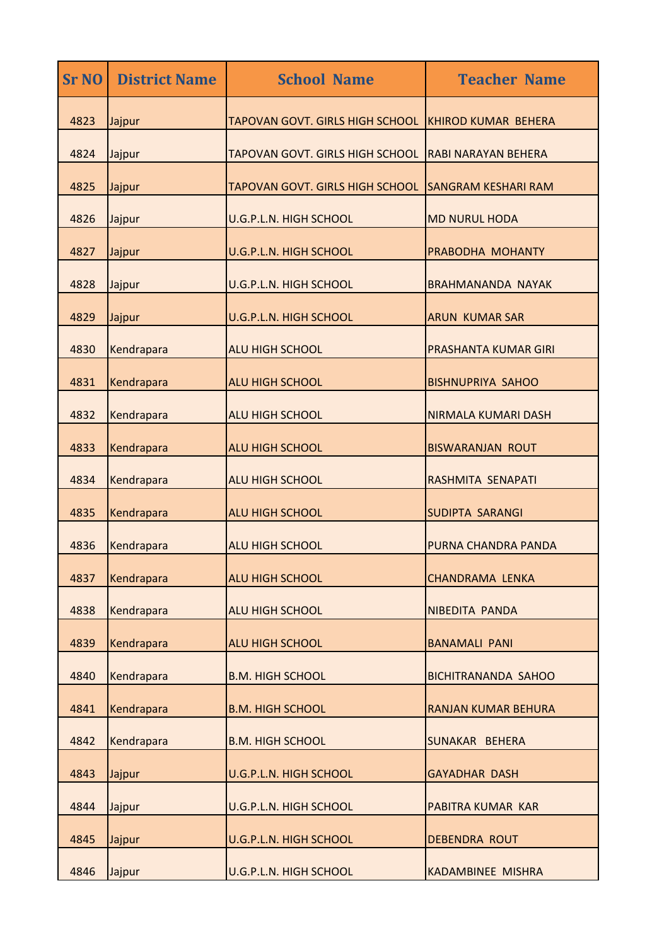| <b>Sr NO</b> | <b>District Name</b> | <b>School Name</b>                     | <b>Teacher Name</b>         |
|--------------|----------------------|----------------------------------------|-----------------------------|
| 4823         | Jajpur               | <b>TAPOVAN GOVT. GIRLS HIGH SCHOOL</b> | <b>KHIROD KUMAR BEHERA</b>  |
| 4824         | Jajpur               | <b>TAPOVAN GOVT. GIRLS HIGH SCHOOL</b> | <b>RABI NARAYAN BEHERA</b>  |
| 4825         | Jajpur               | <b>TAPOVAN GOVT. GIRLS HIGH SCHOOL</b> | <b>SANGRAM KESHARI RAM</b>  |
| 4826         | Jajpur               | <b>U.G.P.L.N. HIGH SCHOOL</b>          | <b>MD NURUL HODA</b>        |
| 4827         | Jajpur               | <b>U.G.P.L.N. HIGH SCHOOL</b>          | PRABODHA MOHANTY            |
| 4828         | Jajpur               | <b>U.G.P.L.N. HIGH SCHOOL</b>          | <b>BRAHMANANDA NAYAK</b>    |
| 4829         | Jajpur               | <b>U.G.P.L.N. HIGH SCHOOL</b>          | <b>ARUN KUMAR SAR</b>       |
| 4830         | Kendrapara           | <b>ALU HIGH SCHOOL</b>                 | <b>PRASHANTA KUMAR GIRI</b> |
| 4831         | Kendrapara           | <b>ALU HIGH SCHOOL</b>                 | <b>BISHNUPRIYA SAHOO</b>    |
| 4832         | Kendrapara           | <b>ALU HIGH SCHOOL</b>                 | NIRMALA KUMARI DASH         |
| 4833         | Kendrapara           | <b>ALU HIGH SCHOOL</b>                 | <b>BISWARANJAN ROUT</b>     |
| 4834         | Kendrapara           | ALU HIGH SCHOOL                        | RASHMITA SENAPATI           |
| 4835         | Kendrapara           | <b>ALU HIGH SCHOOL</b>                 | <b>SUDIPTA SARANGI</b>      |
| 4836         | Kendrapara           | <b>ALU HIGH SCHOOL</b>                 | PURNA CHANDRA PANDA         |
| 4837         | Kendrapara           | ALU HIGH SCHOOL                        | <b>CHANDRAMA LENKA</b>      |
| 4838         | Kendrapara           | ALU HIGH SCHOOL                        | <b>NIBEDITA PANDA</b>       |
| 4839         | Kendrapara           | <b>ALU HIGH SCHOOL</b>                 | <b>BANAMALI PANI</b>        |
| 4840         | Kendrapara           | <b>B.M. HIGH SCHOOL</b>                | <b>BICHITRANANDA SAHOO</b>  |
| 4841         | Kendrapara           | <b>B.M. HIGH SCHOOL</b>                | RANJAN KUMAR BEHURA         |
| 4842         | Kendrapara           | <b>B.M. HIGH SCHOOL</b>                | SUNAKAR BEHERA              |
| 4843         | Jajpur               | <b>U.G.P.L.N. HIGH SCHOOL</b>          | <b>GAYADHAR DASH</b>        |
| 4844         | Jajpur               | U.G.P.L.N. HIGH SCHOOL                 | <b>PABITRA KUMAR KAR</b>    |
| 4845         | Jajpur               | U.G.P.L.N. HIGH SCHOOL                 | <b>DEBENDRA ROUT</b>        |
| 4846         | Jajpur               | U.G.P.L.N. HIGH SCHOOL                 | <b>KADAMBINEE MISHRA</b>    |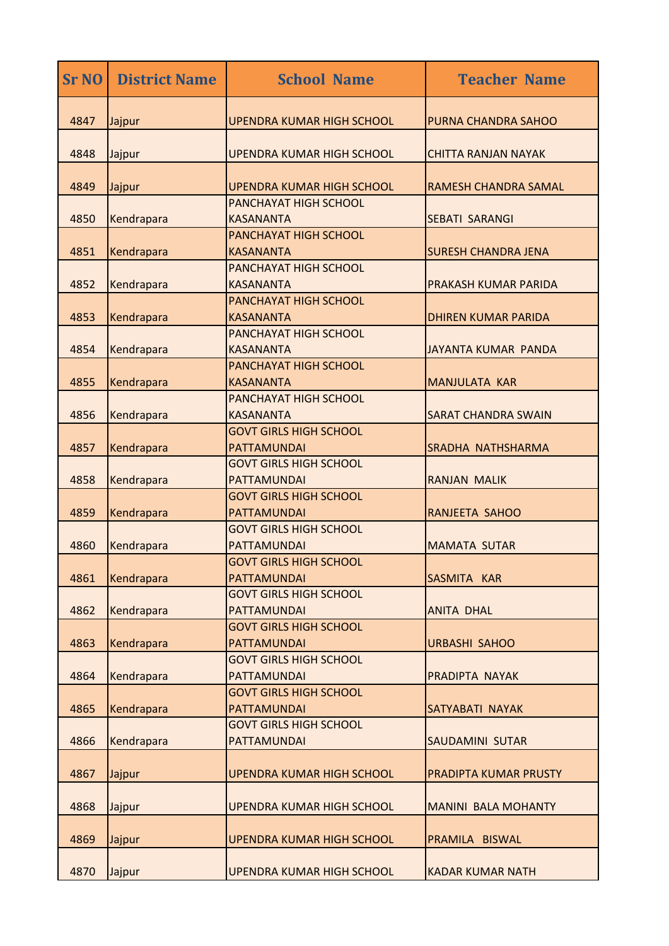| <b>Sr NO</b> | <b>District Name</b> | <b>School Name</b>                                                                   | <b>Teacher Name</b>          |
|--------------|----------------------|--------------------------------------------------------------------------------------|------------------------------|
| 4847         | Jajpur               | <b>UPENDRA KUMAR HIGH SCHOOL</b>                                                     | <b>PURNA CHANDRA SAHOO</b>   |
| 4848         | Jajpur               | UPENDRA KUMAR HIGH SCHOOL                                                            | <b>CHITTA RANJAN NAYAK</b>   |
| 4849         | Jajpur               | UPENDRA KUMAR HIGH SCHOOL                                                            | <b>RAMESH CHANDRA SAMAL</b>  |
| 4850         | Kendrapara           | PANCHAYAT HIGH SCHOOL<br><b>KASANANTA</b>                                            | <b>SEBATI SARANGI</b>        |
| 4851         | Kendrapara           | PANCHAYAT HIGH SCHOOL<br><b>KASANANTA</b>                                            | <b>SURESH CHANDRA JENA</b>   |
| 4852         | Kendrapara           | <b>PANCHAYAT HIGH SCHOOL</b><br><b>KASANANTA</b>                                     | <b>PRAKASH KUMAR PARIDA</b>  |
| 4853         | Kendrapara           | PANCHAYAT HIGH SCHOOL<br><b>KASANANTA</b>                                            | <b>DHIREN KUMAR PARIDA</b>   |
| 4854         | Kendrapara           | <b>PANCHAYAT HIGH SCHOOL</b><br><b>KASANANTA</b>                                     | JAYANTA KUMAR PANDA          |
| 4855         | Kendrapara           | PANCHAYAT HIGH SCHOOL<br><b>KASANANTA</b>                                            | <b>MANJULATA KAR</b>         |
| 4856         | Kendrapara           | PANCHAYAT HIGH SCHOOL<br><b>KASANANTA</b>                                            | <b>SARAT CHANDRA SWAIN</b>   |
| 4857         | Kendrapara           | <b>GOVT GIRLS HIGH SCHOOL</b><br><b>PATTAMUNDAI</b>                                  | SRADHA NATHSHARMA            |
| 4858         | Kendrapara           | <b>GOVT GIRLS HIGH SCHOOL</b><br><b>PATTAMUNDAI</b>                                  | <b>RANJAN MALIK</b>          |
| 4859         | Kendrapara           | <b>GOVT GIRLS HIGH SCHOOL</b><br><b>PATTAMUNDAI</b>                                  | <b>RANJEETA SAHOO</b>        |
| 4860         | Kendrapara           | <b>GOVT GIRLS HIGH SCHOOL</b><br><b>PATTAMUNDAI</b><br><b>GOVT GIRLS HIGH SCHOOL</b> | <b>MAMATA SUTAR</b>          |
| 4861         | Kendrapara           | <b>PATTAMUNDAI</b><br><b>GOVT GIRLS HIGH SCHOOL</b>                                  | SASMITA KAR                  |
| 4862         | Kendrapara           | <b>PATTAMUNDAI</b><br><b>GOVT GIRLS HIGH SCHOOL</b>                                  | <b>ANITA DHAL</b>            |
| 4863         | Kendrapara           | <b>PATTAMUNDAI</b><br><b>GOVT GIRLS HIGH SCHOOL</b>                                  | <b>URBASHI SAHOO</b>         |
| 4864         | Kendrapara           | <b>PATTAMUNDAI</b>                                                                   | PRADIPTA NAYAK               |
| 4865         | Kendrapara           | <b>GOVT GIRLS HIGH SCHOOL</b><br><b>PATTAMUNDAI</b>                                  | SATYABATI NAYAK              |
| 4866         | Kendrapara           | <b>GOVT GIRLS HIGH SCHOOL</b><br><b>PATTAMUNDAI</b>                                  | <b>SAUDAMINI SUTAR</b>       |
| 4867         | Jajpur               | UPENDRA KUMAR HIGH SCHOOL                                                            | <b>PRADIPTA KUMAR PRUSTY</b> |
| 4868         | Jajpur               | <b>UPENDRA KUMAR HIGH SCHOOL</b>                                                     | <b>MANINI BALA MOHANTY</b>   |
| 4869         | Jajpur               | UPENDRA KUMAR HIGH SCHOOL                                                            | PRAMILA BISWAL               |
| 4870         | Jajpur               | <b>UPENDRA KUMAR HIGH SCHOOL</b>                                                     | <b>KADAR KUMAR NATH</b>      |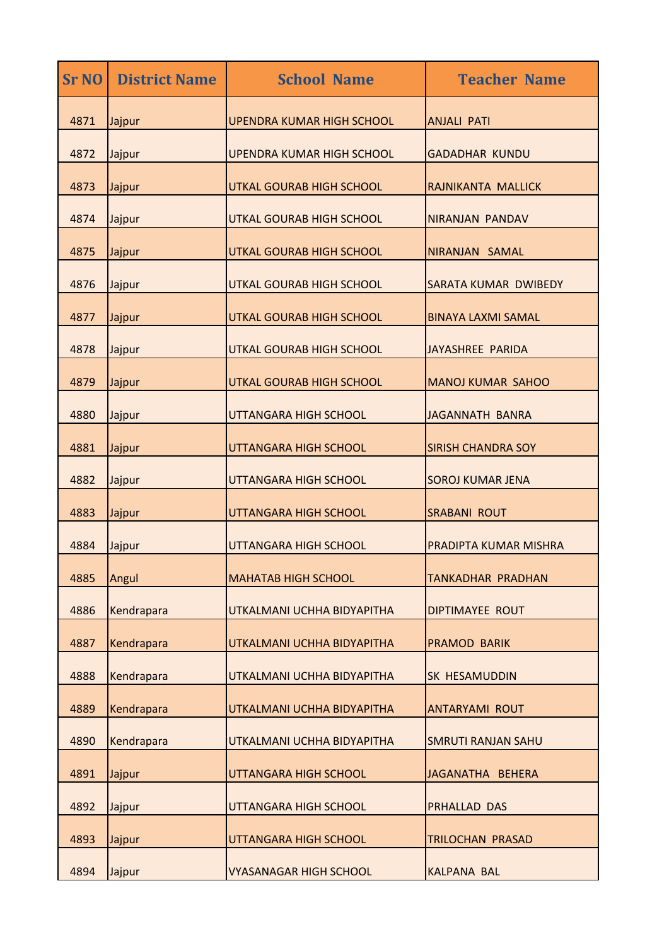| <b>Sr NO</b> | <b>District Name</b> | <b>School Name</b>               | <b>Teacher Name</b>          |
|--------------|----------------------|----------------------------------|------------------------------|
| 4871         | Jajpur               | <b>UPENDRA KUMAR HIGH SCHOOL</b> | <b>ANJALI PATI</b>           |
| 4872         | Jajpur               | <b>UPENDRA KUMAR HIGH SCHOOL</b> | <b>GADADHAR KUNDU</b>        |
| 4873         | Jajpur               | UTKAL GOURAB HIGH SCHOOL         | RAJNIKANTA MALLICK           |
| 4874         | Jajpur               | <b>UTKAL GOURAB HIGH SCHOOL</b>  | <b>NIRANJAN PANDAV</b>       |
| 4875         | Jajpur               | UTKAL GOURAB HIGH SCHOOL         | NIRANJAN SAMAL               |
| 4876         | Jajpur               | UTKAL GOURAB HIGH SCHOOL         | <b>SARATA KUMAR DWIBEDY</b>  |
| 4877         | Jajpur               | UTKAL GOURAB HIGH SCHOOL         | <b>BINAYA LAXMI SAMAL</b>    |
| 4878         | Jajpur               | UTKAL GOURAB HIGH SCHOOL         | <b>JAYASHREE PARIDA</b>      |
| 4879         | Jajpur               | UTKAL GOURAB HIGH SCHOOL         | <b>MANOJ KUMAR SAHOO</b>     |
| 4880         | Jajpur               | UTTANGARA HIGH SCHOOL            | <b>JAGANNATH BANRA</b>       |
| 4881         | Jajpur               | UTTANGARA HIGH SCHOOL            | <b>SIRISH CHANDRA SOY</b>    |
| 4882         | Jajpur               | UTTANGARA HIGH SCHOOL            | <b>SOROJ KUMAR JENA</b>      |
| 4883         | Jajpur               | UTTANGARA HIGH SCHOOL            | <b>SRABANI ROUT</b>          |
| 4884         | Jajpur               | UTTANGARA HIGH SCHOOL            | <b>PRADIPTA KUMAR MISHRA</b> |
| 4885         | Angul                | <b>MAHATAB HIGH SCHOOL</b>       | TANKADHAR PRADHAN            |
| 4886         | Kendrapara           | UTKALMANI UCHHA BIDYAPITHA       | <b>DIPTIMAYEE ROUT</b>       |
| 4887         | Kendrapara           | UTKALMANI UCHHA BIDYAPITHA       | <b>PRAMOD BARIK</b>          |
| 4888         | Kendrapara           | UTKALMANI UCHHA BIDYAPITHA       | <b>SK HESAMUDDIN</b>         |
| 4889         | Kendrapara           | UTKALMANI UCHHA BIDYAPITHA       | <b>ANTARYAMI ROUT</b>        |
| 4890         | Kendrapara           | UTKALMANI UCHHA BIDYAPITHA       | <b>SMRUTI RANJAN SAHU</b>    |
| 4891         | Jajpur               | UTTANGARA HIGH SCHOOL            | JAGANATHA BEHERA             |
| 4892         | Jajpur               | UTTANGARA HIGH SCHOOL            | <b>PRHALLAD DAS</b>          |
| 4893         | Jajpur               | UTTANGARA HIGH SCHOOL            | TRILOCHAN PRASAD             |
| 4894         | Jajpur               | <b>VYASANAGAR HIGH SCHOOL</b>    | <b>KALPANA BAL</b>           |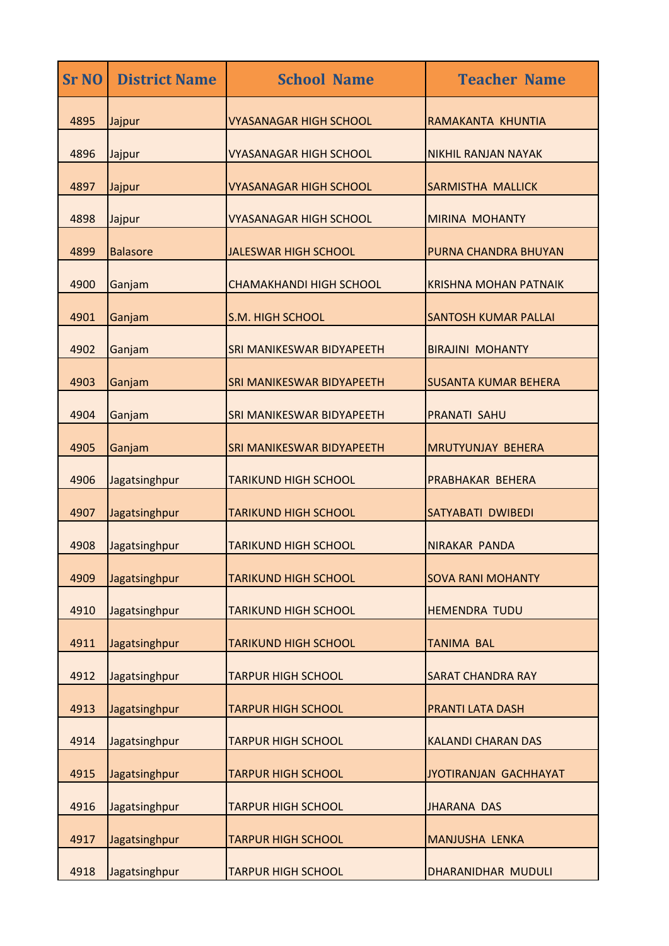| <b>Sr NO</b> | <b>District Name</b> | <b>School Name</b>             | <b>Teacher Name</b>          |
|--------------|----------------------|--------------------------------|------------------------------|
| 4895         | Jajpur               | <b>VYASANAGAR HIGH SCHOOL</b>  | RAMAKANTA KHUNTIA            |
| 4896         | Jajpur               | <b>VYASANAGAR HIGH SCHOOL</b>  | <b>NIKHIL RANJAN NAYAK</b>   |
| 4897         | Jajpur               | <b>VYASANAGAR HIGH SCHOOL</b>  | <b>SARMISTHA MALLICK</b>     |
| 4898         | Jajpur               | VYASANAGAR HIGH SCHOOL         | <b>MIRINA MOHANTY</b>        |
| 4899         | <b>Balasore</b>      | <b>JALESWAR HIGH SCHOOL</b>    | PURNA CHANDRA BHUYAN         |
| 4900         | Ganjam               | <b>CHAMAKHANDI HIGH SCHOOL</b> | <b>KRISHNA MOHAN PATNAIK</b> |
| 4901         | Ganjam               | <b>S.M. HIGH SCHOOL</b>        | <b>SANTOSH KUMAR PALLAI</b>  |
| 4902         | Ganjam               | SRI MANIKESWAR BIDYAPEETH      | <b>BIRAJINI MOHANTY</b>      |
| 4903         | Ganjam               | SRI MANIKESWAR BIDYAPEETH      | <b>SUSANTA KUMAR BEHERA</b>  |
| 4904         | Ganjam               | SRI MANIKESWAR BIDYAPEETH      | <b>PRANATI SAHU</b>          |
| 4905         | Ganjam               | SRI MANIKESWAR BIDYAPEETH      | <b>MRUTYUNJAY BEHERA</b>     |
| 4906         | Jagatsinghpur        | <b>TARIKUND HIGH SCHOOL</b>    | PRABHAKAR BEHERA             |
| 4907         | Jagatsinghpur        | <b>TARIKUND HIGH SCHOOL</b>    | SATYABATI DWIBEDI            |
| 4908         | Jagatsinghpur        | <b>TARIKUND HIGH SCHOOL</b>    | <b>NIRAKAR PANDA</b>         |
| 4909         | Jagatsinghpur        | <b>TARIKUND HIGH SCHOOL</b>    | <b>SOVA RANI MOHANTY</b>     |
| 4910         | Jagatsinghpur        | <b>TARIKUND HIGH SCHOOL</b>    | <b>HEMENDRA TUDU</b>         |
| 4911         | Jagatsinghpur        | <b>TARIKUND HIGH SCHOOL</b>    | <b>TANIMA BAL</b>            |
| 4912         | Jagatsinghpur        | <b>TARPUR HIGH SCHOOL</b>      | <b>SARAT CHANDRA RAY</b>     |
| 4913         | Jagatsinghpur        | <b>TARPUR HIGH SCHOOL</b>      | <b>PRANTI LATA DASH</b>      |
| 4914         | Jagatsinghpur        | <b>TARPUR HIGH SCHOOL</b>      | <b>KALANDI CHARAN DAS</b>    |
| 4915         | Jagatsinghpur        | <b>TARPUR HIGH SCHOOL</b>      | JYOTIRANJAN GACHHAYAT        |
| 4916         | Jagatsinghpur        | <b>TARPUR HIGH SCHOOL</b>      | <b>JHARANA DAS</b>           |
| 4917         | Jagatsinghpur        | <b>TARPUR HIGH SCHOOL</b>      | <b>MANJUSHA LENKA</b>        |
| 4918         | Jagatsinghpur        | <b>TARPUR HIGH SCHOOL</b>      | DHARANIDHAR MUDULI           |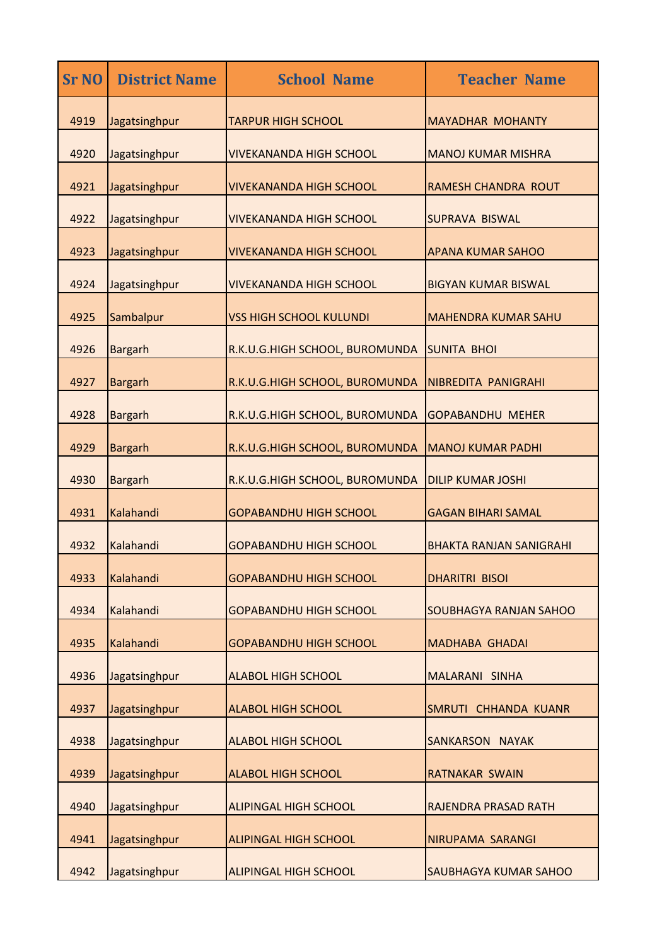| <b>Sr NO</b> | <b>District Name</b> | <b>School Name</b>             | <b>Teacher Name</b>            |
|--------------|----------------------|--------------------------------|--------------------------------|
| 4919         | Jagatsinghpur        | <b>TARPUR HIGH SCHOOL</b>      | <b>MAYADHAR MOHANTY</b>        |
| 4920         | Jagatsinghpur        | <b>VIVEKANANDA HIGH SCHOOL</b> | <b>MANOJ KUMAR MISHRA</b>      |
| 4921         | Jagatsinghpur        | <b>VIVEKANANDA HIGH SCHOOL</b> | <b>RAMESH CHANDRA ROUT</b>     |
| 4922         | Jagatsinghpur        | <b>VIVEKANANDA HIGH SCHOOL</b> | <b>SUPRAVA BISWAL</b>          |
| 4923         | Jagatsinghpur        | <b>VIVEKANANDA HIGH SCHOOL</b> | <b>APANA KUMAR SAHOO</b>       |
| 4924         | Jagatsinghpur        | <b>VIVEKANANDA HIGH SCHOOL</b> | <b>BIGYAN KUMAR BISWAL</b>     |
| 4925         | Sambalpur            | <b>VSS HIGH SCHOOL KULUNDI</b> | <b>MAHENDRA KUMAR SAHU</b>     |
| 4926         | <b>Bargarh</b>       | R.K.U.G.HIGH SCHOOL, BUROMUNDA | <b>SUNITA BHOI</b>             |
| 4927         | <b>Bargarh</b>       | R.K.U.G.HIGH SCHOOL, BUROMUNDA | NIBREDITA PANIGRAHI            |
| 4928         | <b>Bargarh</b>       | R.K.U.G.HIGH SCHOOL, BUROMUNDA | <b>GOPABANDHU MEHER</b>        |
| 4929         | <b>Bargarh</b>       | R.K.U.G.HIGH SCHOOL, BUROMUNDA | <b>MANOJ KUMAR PADHI</b>       |
| 4930         | <b>Bargarh</b>       | R.K.U.G.HIGH SCHOOL, BUROMUNDA | <b>DILIP KUMAR JOSHI</b>       |
| 4931         | Kalahandi            | <b>GOPABANDHU HIGH SCHOOL</b>  | <b>GAGAN BIHARI SAMAL</b>      |
| 4932         | Kalahandi            | <b>GOPABANDHU HIGH SCHOOL</b>  | <b>BHAKTA RANJAN SANIGRAHI</b> |
| 4933         | Kalahandi            | <b>GOPABANDHU HIGH SCHOOL</b>  | <b>DHARITRI BISOI</b>          |
| 4934         | Kalahandi            | <b>GOPABANDHU HIGH SCHOOL</b>  | SOUBHAGYA RANJAN SAHOO         |
| 4935         | Kalahandi            | <b>GOPABANDHU HIGH SCHOOL</b>  | <b>MADHABA GHADAI</b>          |
| 4936         | Jagatsinghpur        | <b>ALABOL HIGH SCHOOL</b>      | MALARANI SINHA                 |
| 4937         | Jagatsinghpur        | <b>ALABOL HIGH SCHOOL</b>      | SMRUTI CHHANDA KUANR           |
| 4938         | Jagatsinghpur        | <b>ALABOL HIGH SCHOOL</b>      | SANKARSON NAYAK                |
| 4939         | Jagatsinghpur        | <b>ALABOL HIGH SCHOOL</b>      | <b>RATNAKAR SWAIN</b>          |
| 4940         | Jagatsinghpur        | <b>ALIPINGAL HIGH SCHOOL</b>   | RAJENDRA PRASAD RATH           |
| 4941         | Jagatsinghpur        | <b>ALIPINGAL HIGH SCHOOL</b>   | NIRUPAMA SARANGI               |
| 4942         | Jagatsinghpur        | <b>ALIPINGAL HIGH SCHOOL</b>   | SAUBHAGYA KUMAR SAHOO          |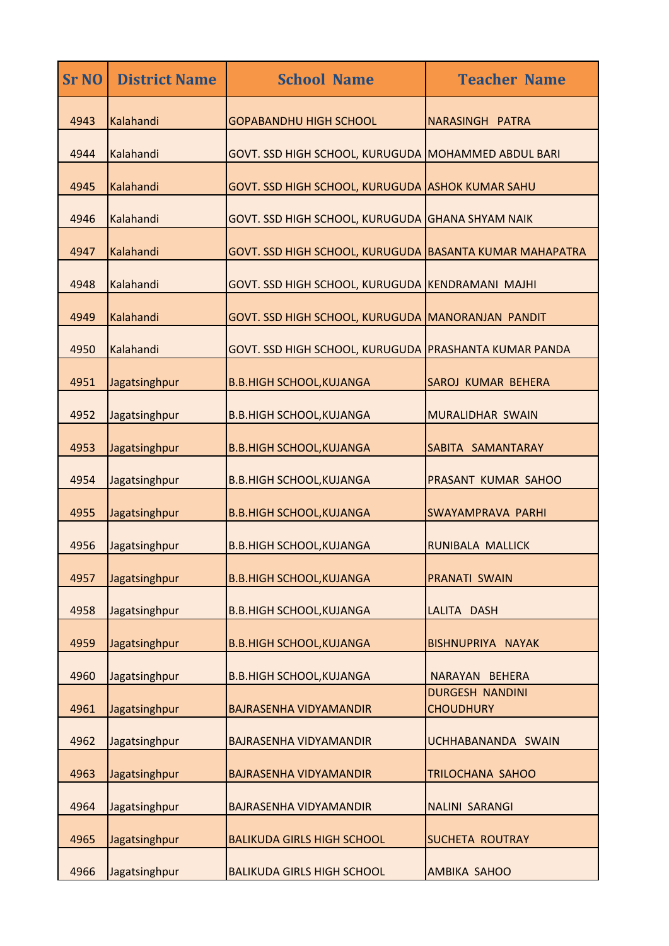| <b>Sr NO</b> | <b>District Name</b> | <b>School Name</b>                                      | <b>Teacher Name</b>                        |
|--------------|----------------------|---------------------------------------------------------|--------------------------------------------|
| 4943         | Kalahandi            | <b>GOPABANDHU HIGH SCHOOL</b>                           | NARASINGH PATRA                            |
| 4944         | Kalahandi            | GOVT. SSD HIGH SCHOOL, KURUGUDA MOHAMMED ABDUL BARI     |                                            |
| 4945         | Kalahandi            | GOVT. SSD HIGH SCHOOL, KURUGUDA ASHOK KUMAR SAHU        |                                            |
| 4946         | Kalahandi            | GOVT. SSD HIGH SCHOOL, KURUGUDA GHANA SHYAM NAIK        |                                            |
| 4947         | Kalahandi            | GOVT. SSD HIGH SCHOOL, KURUGUDA BASANTA KUMAR MAHAPATRA |                                            |
| 4948         | Kalahandi            | GOVT. SSD HIGH SCHOOL, KURUGUDA KENDRAMANI MAJHI        |                                            |
| 4949         | Kalahandi            | GOVT. SSD HIGH SCHOOL, KURUGUDA MANORANJAN PANDIT       |                                            |
| 4950         | Kalahandi            | GOVT. SSD HIGH SCHOOL, KURUGUDA PRASHANTA KUMAR PANDA   |                                            |
| 4951         | Jagatsinghpur        | <b>B.B.HIGH SCHOOL, KUJANGA</b>                         | SAROJ KUMAR BEHERA                         |
| 4952         | Jagatsinghpur        | <b>B.B.HIGH SCHOOL, KUJANGA</b>                         | <b>MURALIDHAR SWAIN</b>                    |
| 4953         | Jagatsinghpur        | <b>B.B.HIGH SCHOOL, KUJANGA</b>                         | SABITA SAMANTARAY                          |
| 4954         | Jagatsinghpur        | <b>B.B.HIGH SCHOOL, KUJANGA</b>                         | PRASANT KUMAR SAHOO                        |
| 4955         | Jagatsinghpur        | <b>B.B.HIGH SCHOOL, KUJANGA</b>                         | <b>SWAYAMPRAVA PARHI</b>                   |
| 4956         | Jagatsinghpur        | <b>B.B.HIGH SCHOOL, KUJANGA</b>                         | RUNIBALA MALLICK                           |
| 4957         | Jagatsinghpur        | <b>B.B.HIGH SCHOOL, KUJANGA</b>                         | <b>PRANATI SWAIN</b>                       |
| 4958         | Jagatsinghpur        | <b>B.B.HIGH SCHOOL, KUJANGA</b>                         | LALITA DASH                                |
| 4959         | Jagatsinghpur        | <b>B.B.HIGH SCHOOL, KUJANGA</b>                         | BISHNUPRIYA NAYAK                          |
| 4960         | Jagatsinghpur        | <b>B.B.HIGH SCHOOL, KUJANGA</b>                         | NARAYAN BEHERA                             |
| 4961         | Jagatsinghpur        | <b>BAJRASENHA VIDYAMANDIR</b>                           | <b>DURGESH NANDINI</b><br><b>CHOUDHURY</b> |
| 4962         | Jagatsinghpur        | <b>BAJRASENHA VIDYAMANDIR</b>                           | UCHHABANANDA SWAIN                         |
| 4963         | Jagatsinghpur        | <b>BAJRASENHA VIDYAMANDIR</b>                           | TRILOCHANA SAHOO                           |
| 4964         | Jagatsinghpur        | <b>BAJRASENHA VIDYAMANDIR</b>                           | <b>NALINI SARANGI</b>                      |
| 4965         | Jagatsinghpur        | <b>BALIKUDA GIRLS HIGH SCHOOL</b>                       | <b>SUCHETA ROUTRAY</b>                     |
| 4966         | Jagatsinghpur        | <b>BALIKUDA GIRLS HIGH SCHOOL</b>                       | <b>AMBIKA SAHOO</b>                        |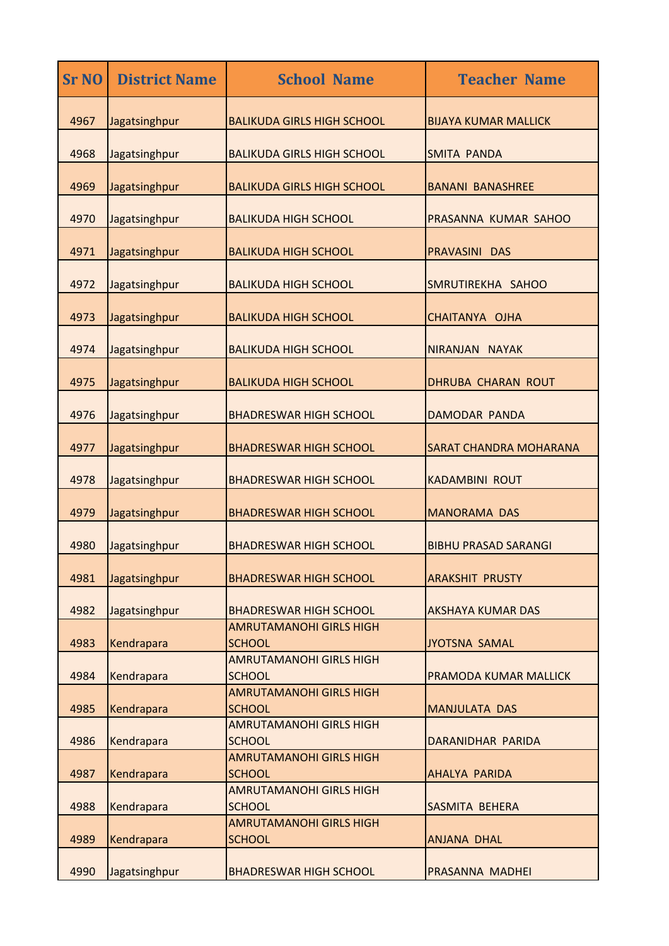| <b>Sr NO</b> | <b>District Name</b> | <b>School Name</b>                              | <b>Teacher Name</b>           |
|--------------|----------------------|-------------------------------------------------|-------------------------------|
| 4967         | Jagatsinghpur        | <b>BALIKUDA GIRLS HIGH SCHOOL</b>               | <b>BIJAYA KUMAR MALLICK</b>   |
| 4968         | Jagatsinghpur        | <b>BALIKUDA GIRLS HIGH SCHOOL</b>               | <b>SMITA PANDA</b>            |
| 4969         | Jagatsinghpur        | <b>BALIKUDA GIRLS HIGH SCHOOL</b>               | <b>BANANI BANASHREE</b>       |
| 4970         | Jagatsinghpur        | <b>BALIKUDA HIGH SCHOOL</b>                     | <b>PRASANNA KUMAR SAHOO</b>   |
| 4971         | Jagatsinghpur        | <b>BALIKUDA HIGH SCHOOL</b>                     | PRAVASINI DAS                 |
| 4972         | Jagatsinghpur        | <b>BALIKUDA HIGH SCHOOL</b>                     | SMRUTIREKHA SAHOO             |
| 4973         | Jagatsinghpur        | <b>BALIKUDA HIGH SCHOOL</b>                     | CHAITANYA OJHA                |
| 4974         | Jagatsinghpur        | <b>BALIKUDA HIGH SCHOOL</b>                     | NIRANJAN NAYAK                |
| 4975         | Jagatsinghpur        | <b>BALIKUDA HIGH SCHOOL</b>                     | DHRUBA CHARAN ROUT            |
| 4976         | Jagatsinghpur        | <b>BHADRESWAR HIGH SCHOOL</b>                   | <b>DAMODAR PANDA</b>          |
| 4977         | Jagatsinghpur        | <b>BHADRESWAR HIGH SCHOOL</b>                   | <b>SARAT CHANDRA MOHARANA</b> |
| 4978         | Jagatsinghpur        | <b>BHADRESWAR HIGH SCHOOL</b>                   | <b>KADAMBINI ROUT</b>         |
| 4979         | Jagatsinghpur        | <b>BHADRESWAR HIGH SCHOOL</b>                   | <b>MANORAMA DAS</b>           |
| 4980         | Jagatsinghpur        | <b>BHADRESWAR HIGH SCHOOL</b>                   | <b>BIBHU PRASAD SARANGI</b>   |
| 4981         | Jagatsinghpur        | <b>BHADRESWAR HIGH SCHOOL</b>                   | <b>ARAKSHIT PRUSTY</b>        |
| 4982         | Jagatsinghpur        | <b>BHADRESWAR HIGH SCHOOL</b>                   | <b>AKSHAYA KUMAR DAS</b>      |
| 4983         | Kendrapara           | <b>AMRUTAMANOHI GIRLS HIGH</b><br><b>SCHOOL</b> | <b>JYOTSNA SAMAL</b>          |
| 4984         | Kendrapara           | <b>AMRUTAMANOHI GIRLS HIGH</b><br><b>SCHOOL</b> | PRAMODA KUMAR MALLICK         |
| 4985         | Kendrapara           | <b>AMRUTAMANOHI GIRLS HIGH</b><br><b>SCHOOL</b> | <b>MANJULATA DAS</b>          |
| 4986         | Kendrapara           | <b>AMRUTAMANOHI GIRLS HIGH</b><br><b>SCHOOL</b> | DARANIDHAR PARIDA             |
| 4987         | Kendrapara           | <b>AMRUTAMANOHI GIRLS HIGH</b><br><b>SCHOOL</b> | <b>AHALYA PARIDA</b>          |
| 4988         | Kendrapara           | <b>AMRUTAMANOHI GIRLS HIGH</b><br><b>SCHOOL</b> | SASMITA BEHERA                |
| 4989         | Kendrapara           | <b>AMRUTAMANOHI GIRLS HIGH</b><br><b>SCHOOL</b> | ANJANA DHAL                   |
| 4990         | Jagatsinghpur        | <b>BHADRESWAR HIGH SCHOOL</b>                   | PRASANNA MADHEI               |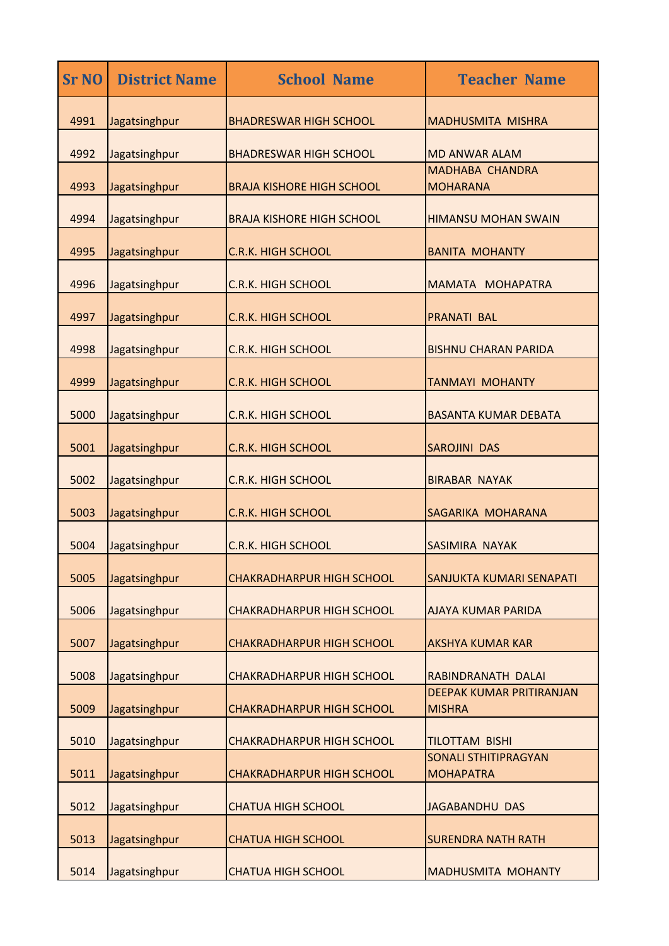| <b>Sr NO</b> | <b>District Name</b> | <b>School Name</b>               | <b>Teacher Name</b>                             |
|--------------|----------------------|----------------------------------|-------------------------------------------------|
| 4991         | Jagatsinghpur        | <b>BHADRESWAR HIGH SCHOOL</b>    | <b>MADHUSMITA MISHRA</b>                        |
| 4992         | Jagatsinghpur        | <b>BHADRESWAR HIGH SCHOOL</b>    | <b>MD ANWAR ALAM</b>                            |
| 4993         | Jagatsinghpur        | <b>BRAJA KISHORE HIGH SCHOOL</b> | <b>MADHABA CHANDRA</b><br><b>MOHARANA</b>       |
| 4994         | Jagatsinghpur        | <b>BRAJA KISHORE HIGH SCHOOL</b> | <b>HIMANSU MOHAN SWAIN</b>                      |
| 4995         | Jagatsinghpur        | <b>C.R.K. HIGH SCHOOL</b>        | <b>BANITA MOHANTY</b>                           |
| 4996         | Jagatsinghpur        | <b>C.R.K. HIGH SCHOOL</b>        | MAMATA MOHAPATRA                                |
| 4997         | Jagatsinghpur        | <b>C.R.K. HIGH SCHOOL</b>        | <b>PRANATI BAL</b>                              |
| 4998         | Jagatsinghpur        | <b>C.R.K. HIGH SCHOOL</b>        | <b>BISHNU CHARAN PARIDA</b>                     |
| 4999         | Jagatsinghpur        | <b>C.R.K. HIGH SCHOOL</b>        | <b>TANMAYI MOHANTY</b>                          |
| 5000         | Jagatsinghpur        | <b>C.R.K. HIGH SCHOOL</b>        | <b>BASANTA KUMAR DEBATA</b>                     |
| 5001         | Jagatsinghpur        | <b>C.R.K. HIGH SCHOOL</b>        | <b>SAROJINI DAS</b>                             |
| 5002         | Jagatsinghpur        | <b>C.R.K. HIGH SCHOOL</b>        | <b>BIRABAR NAYAK</b>                            |
| 5003         | Jagatsinghpur        | <b>C.R.K. HIGH SCHOOL</b>        | SAGARIKA MOHARANA                               |
| 5004         | Jagatsinghpur        | <b>C.R.K. HIGH SCHOOL</b>        | SASIMIRA NAYAK                                  |
| 5005         | Jagatsinghpur        | <b>CHAKRADHARPUR HIGH SCHOOL</b> | SANJUKTA KUMARI SENAPATI                        |
| 5006         | Jagatsinghpur        | <b>CHAKRADHARPUR HIGH SCHOOL</b> | <b>AJAYA KUMAR PARIDA</b>                       |
| 5007         | Jagatsinghpur        | <b>CHAKRADHARPUR HIGH SCHOOL</b> | <b>AKSHYA KUMAR KAR</b>                         |
| 5008         | Jagatsinghpur        | <b>CHAKRADHARPUR HIGH SCHOOL</b> | RABINDRANATH DALAI                              |
| 5009         | Jagatsinghpur        | CHAKRADHARPUR HIGH SCHOOL        | DEEPAK KUMAR PRITIRANJAN<br><b>MISHRA</b>       |
| 5010         | Jagatsinghpur        | <b>CHAKRADHARPUR HIGH SCHOOL</b> | <b>TILOTTAM BISHI</b>                           |
| 5011         | Jagatsinghpur        | <b>CHAKRADHARPUR HIGH SCHOOL</b> | <b>SONALI STHITIPRAGYAN</b><br><b>MOHAPATRA</b> |
| 5012         | Jagatsinghpur        | <b>CHATUA HIGH SCHOOL</b>        | <b>JAGABANDHU DAS</b>                           |
| 5013         | Jagatsinghpur        | <b>CHATUA HIGH SCHOOL</b>        | <b>SURENDRA NATH RATH</b>                       |
| 5014         | Jagatsinghpur        | <b>CHATUA HIGH SCHOOL</b>        | <b>MADHUSMITA MOHANTY</b>                       |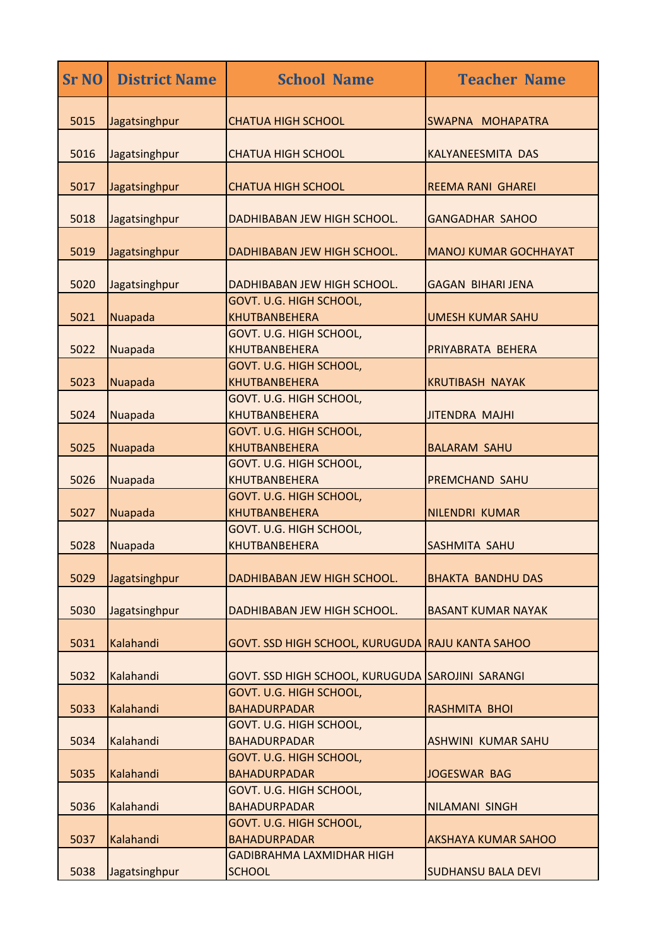| <b>Sr NO</b> | <b>District Name</b> | <b>School Name</b>                               | <b>Teacher Name</b>          |
|--------------|----------------------|--------------------------------------------------|------------------------------|
| 5015         | Jagatsinghpur        | <b>CHATUA HIGH SCHOOL</b>                        | SWAPNA MOHAPATRA             |
| 5016         | Jagatsinghpur        | <b>CHATUA HIGH SCHOOL</b>                        | <b>KALYANEESMITA DAS</b>     |
|              |                      |                                                  |                              |
| 5017         | Jagatsinghpur        | <b>CHATUA HIGH SCHOOL</b>                        | <b>REEMA RANI GHAREI</b>     |
| 5018         | Jagatsinghpur        | DADHIBABAN JEW HIGH SCHOOL.                      | <b>GANGADHAR SAHOO</b>       |
| 5019         | Jagatsinghpur        | DADHIBABAN JEW HIGH SCHOOL.                      | <b>MANOJ KUMAR GOCHHAYAT</b> |
| 5020         | Jagatsinghpur        | DADHIBABAN JEW HIGH SCHOOL.                      | <b>GAGAN BIHARI JENA</b>     |
|              |                      | GOVT. U.G. HIGH SCHOOL,                          |                              |
| 5021         | Nuapada              | <b>KHUTBANBEHERA</b>                             | <b>UMESH KUMAR SAHU</b>      |
| 5022         |                      | GOVT. U.G. HIGH SCHOOL,<br><b>KHUTBANBEHERA</b>  | PRIYABRATA BEHERA            |
|              | Nuapada              | GOVT. U.G. HIGH SCHOOL,                          |                              |
| 5023         | Nuapada              | <b>KHUTBANBEHERA</b>                             | <b>KRUTIBASH NAYAK</b>       |
|              |                      | GOVT. U.G. HIGH SCHOOL,                          |                              |
| 5024         | Nuapada              | <b>KHUTBANBEHERA</b>                             | <b>JITENDRA MAJHI</b>        |
|              |                      | GOVT. U.G. HIGH SCHOOL,                          |                              |
| 5025         | Nuapada              | <b>KHUTBANBEHERA</b>                             | <b>BALARAM SAHU</b>          |
|              |                      | GOVT. U.G. HIGH SCHOOL,                          |                              |
| 5026         | Nuapada              | <b>KHUTBANBEHERA</b>                             | <b>PREMCHAND SAHU</b>        |
| 5027         |                      | GOVT. U.G. HIGH SCHOOL,<br><b>KHUTBANBEHERA</b>  | <b>NILENDRI KUMAR</b>        |
|              | Nuapada              | GOVT. U.G. HIGH SCHOOL,                          |                              |
| 5028         | Nuapada              | KHUTBANBEHERA                                    | SASHMITA SAHU                |
|              |                      |                                                  |                              |
| 5029         | Jagatsinghpur        | <b>DADHIBABAN JEW HIGH SCHOOL.</b>               | <b>BHAKTA BANDHU DAS</b>     |
| 5030         | Jagatsinghpur        | DADHIBABAN JEW HIGH SCHOOL.                      | <b>BASANT KUMAR NAYAK</b>    |
|              |                      |                                                  |                              |
| 5031         | Kalahandi            | GOVT. SSD HIGH SCHOOL, KURUGUDA RAJU KANTA SAHOO |                              |
| 5032         | Kalahandi            | GOVT. SSD HIGH SCHOOL, KURUGUDA SAROJINI SARANGI |                              |
|              |                      | <b>GOVT. U.G. HIGH SCHOOL,</b>                   |                              |
| 5033         | Kalahandi            | <b>BAHADURPADAR</b>                              | RASHMITA BHOI                |
| 5034         | Kalahandi            | GOVT. U.G. HIGH SCHOOL,<br><b>BAHADURPADAR</b>   | <b>ASHWINI KUMAR SAHU</b>    |
|              |                      | GOVT. U.G. HIGH SCHOOL,                          |                              |
| 5035         | Kalahandi            | <b>BAHADURPADAR</b>                              | <b>JOGESWAR BAG</b>          |
| 5036         | Kalahandi            | GOVT. U.G. HIGH SCHOOL,<br><b>BAHADURPADAR</b>   | NILAMANI SINGH               |
|              |                      | GOVT. U.G. HIGH SCHOOL,                          |                              |
| 5037         | Kalahandi            | <b>BAHADURPADAR</b>                              | <b>AKSHAYA KUMAR SAHOO</b>   |
|              |                      | GADIBRAHMA LAXMIDHAR HIGH                        |                              |
| 5038         | Jagatsinghpur        | <b>SCHOOL</b>                                    | <b>SUDHANSU BALA DEVI</b>    |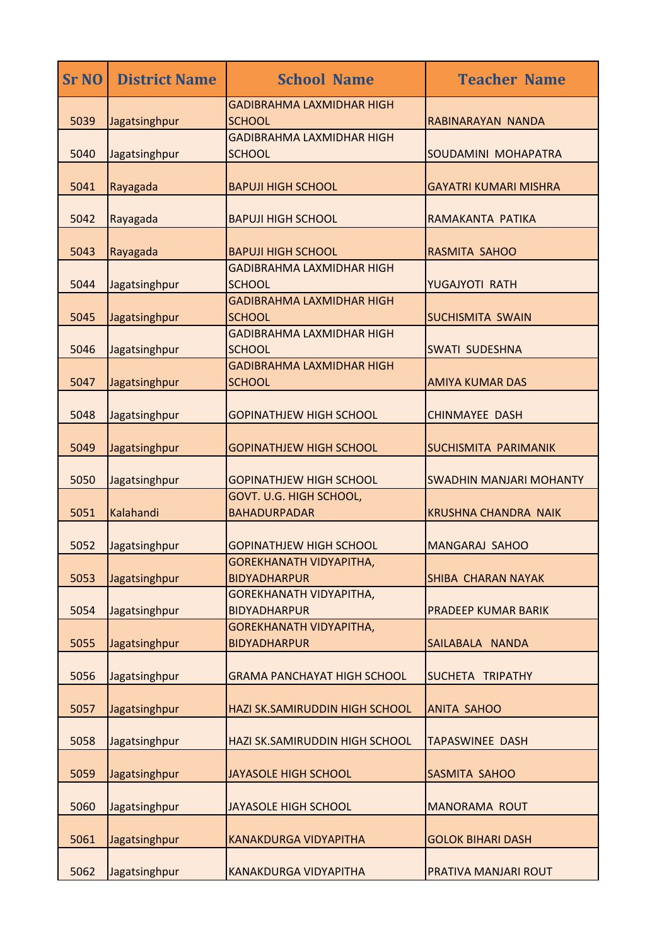| <b>Sr NO</b> | <b>District Name</b> | <b>School Name</b>                                    | <b>Teacher Name</b>            |
|--------------|----------------------|-------------------------------------------------------|--------------------------------|
| 5039         | Jagatsinghpur        | GADIBRAHMA LAXMIDHAR HIGH<br><b>SCHOOL</b>            | RABINARAYAN NANDA              |
| 5040         | Jagatsinghpur        | <b>GADIBRAHMA LAXMIDHAR HIGH</b><br><b>SCHOOL</b>     | SOUDAMINI MOHAPATRA            |
| 5041         | Rayagada             | <b>BAPUJI HIGH SCHOOL</b>                             | <b>GAYATRI KUMARI MISHRA</b>   |
| 5042         | Rayagada             | <b>BAPUJI HIGH SCHOOL</b>                             | RAMAKANTA PATIKA               |
| 5043         | Rayagada             | <b>BAPUJI HIGH SCHOOL</b>                             | RASMITA SAHOO                  |
| 5044         | Jagatsinghpur        | GADIBRAHMA LAXMIDHAR HIGH<br><b>SCHOOL</b>            | YUGAJYOTI RATH                 |
| 5045         | Jagatsinghpur        | <b>GADIBRAHMA LAXMIDHAR HIGH</b><br><b>SCHOOL</b>     | <b>SUCHISMITA SWAIN</b>        |
| 5046         | Jagatsinghpur        | <b>GADIBRAHMA LAXMIDHAR HIGH</b><br><b>SCHOOL</b>     | <b>SWATI SUDESHNA</b>          |
| 5047         | Jagatsinghpur        | GADIBRAHMA LAXMIDHAR HIGH<br><b>SCHOOL</b>            | <b>AMIYA KUMAR DAS</b>         |
| 5048         | Jagatsinghpur        | <b>GOPINATHJEW HIGH SCHOOL</b>                        | <b>CHINMAYEE DASH</b>          |
| 5049         | Jagatsinghpur        | <b>GOPINATHJEW HIGH SCHOOL</b>                        | <b>SUCHISMITA PARIMANIK</b>    |
| 5050         | Jagatsinghpur        | <b>GOPINATHJEW HIGH SCHOOL</b>                        | <b>SWADHIN MANJARI MOHANTY</b> |
| 5051         | Kalahandi            | <b>GOVT. U.G. HIGH SCHOOL,</b><br><b>BAHADURPADAR</b> | <b>KRUSHNA CHANDRA NAIK</b>    |
| 5052         | Jagatsinghpur        | <b>GOPINATHJEW HIGH SCHOOL</b>                        | <b>MANGARAJ SAHOO</b>          |
| 5053         | Jagatsinghpur        | <b>GOREKHANATH VIDYAPITHA,</b><br><b>BIDYADHARPUR</b> | <b>SHIBA CHARAN NAYAK</b>      |
| 5054         | Jagatsinghpur        | <b>GOREKHANATH VIDYAPITHA,</b><br><b>BIDYADHARPUR</b> | <b>PRADEEP KUMAR BARIK</b>     |
| 5055         | Jagatsinghpur        | <b>GOREKHANATH VIDYAPITHA,</b><br><b>BIDYADHARPUR</b> | SAILABALA NANDA                |
| 5056         | Jagatsinghpur        | <b>GRAMA PANCHAYAT HIGH SCHOOL</b>                    | <b>SUCHETA TRIPATHY</b>        |
| 5057         | Jagatsinghpur        | HAZI SK.SAMIRUDDIN HIGH SCHOOL                        | <b>ANITA SAHOO</b>             |
| 5058         | Jagatsinghpur        | HAZI SK.SAMIRUDDIN HIGH SCHOOL                        | <b>TAPASWINEE DASH</b>         |
| 5059         | Jagatsinghpur        | <b>JAYASOLE HIGH SCHOOL</b>                           | SASMITA SAHOO                  |
| 5060         | Jagatsinghpur        | JAYASOLE HIGH SCHOOL                                  | <b>MANORAMA ROUT</b>           |
| 5061         | Jagatsinghpur        | <b>KANAKDURGA VIDYAPITHA</b>                          | <b>GOLOK BIHARI DASH</b>       |
| 5062         | Jagatsinghpur        | <b>KANAKDURGA VIDYAPITHA</b>                          | PRATIVA MANJARI ROUT           |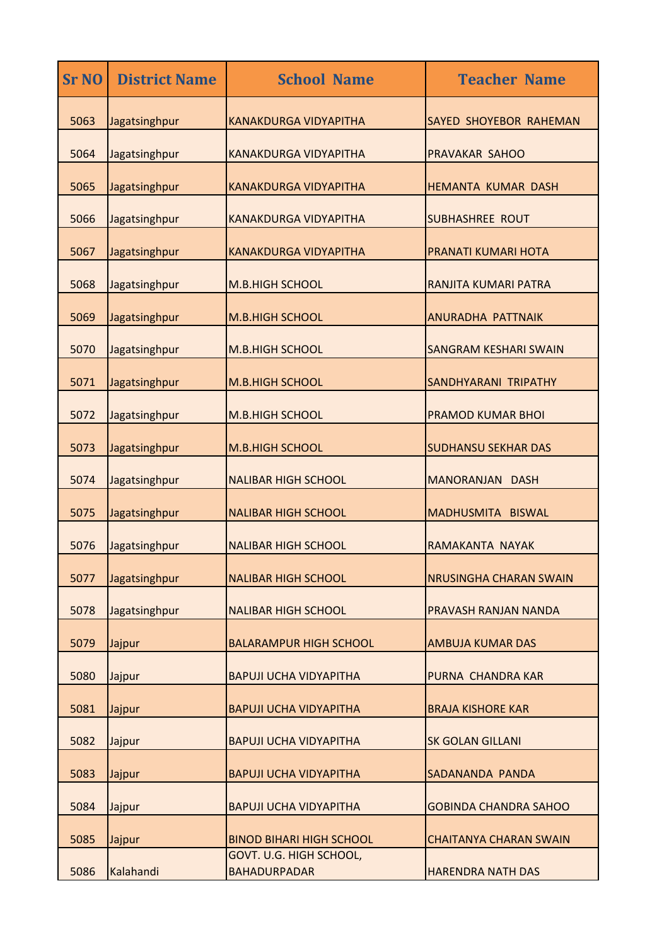| <b>Sr NO</b> | <b>District Name</b> | <b>School Name</b>                             | <b>Teacher Name</b>              |
|--------------|----------------------|------------------------------------------------|----------------------------------|
| 5063         | Jagatsinghpur        | <b>KANAKDURGA VIDYAPITHA</b>                   | <b>SAYED SHOYEBOR RAHEMAN</b>    |
| 5064         | Jagatsinghpur        | <b>KANAKDURGA VIDYAPITHA</b>                   | <b>PRAVAKAR SAHOO</b>            |
| 5065         | Jagatsinghpur        | <b>KANAKDURGA VIDYAPITHA</b>                   | <b>HEMANTA KUMAR DASH</b>        |
| 5066         | Jagatsinghpur        | <b>KANAKDURGA VIDYAPITHA</b>                   | <b>SUBHASHREE ROUT</b>           |
| 5067         | Jagatsinghpur        | <b>KANAKDURGA VIDYAPITHA</b>                   | <b>PRANATI KUMARI HOTA</b>       |
| 5068         | Jagatsinghpur        | <b>M.B.HIGH SCHOOL</b>                         | RANJITA KUMARI PATRA             |
| 5069         | Jagatsinghpur        | <b>M.B.HIGH SCHOOL</b>                         | <b>ANURADHA PATTNAIK</b>         |
| 5070         | Jagatsinghpur        | <b>M.B.HIGH SCHOOL</b>                         | <b>SANGRAM KESHARI SWAIN</b>     |
| 5071         | Jagatsinghpur        | <b>M.B.HIGH SCHOOL</b>                         | SANDHYARANI TRIPATHY             |
| 5072         | Jagatsinghpur        | <b>M.B.HIGH SCHOOL</b>                         | <b>PRAMOD KUMAR BHOI</b>         |
| 5073         | Jagatsinghpur        | <b>M.B.HIGH SCHOOL</b>                         | <b>SUDHANSU SEKHAR DAS</b>       |
| 5074         | Jagatsinghpur        | <b>NALIBAR HIGH SCHOOL</b>                     | <b>MANORANJAN</b><br><b>DASH</b> |
| 5075         | Jagatsinghpur        | <b>NALIBAR HIGH SCHOOL</b>                     | MADHUSMITA BISWAL                |
| 5076         | Jagatsinghpur        | <b>NALIBAR HIGH SCHOOL</b>                     | RAMAKANTA NAYAK                  |
| 5077         | Jagatsinghpur        | <b>NALIBAR HIGH SCHOOL</b>                     | <b>NRUSINGHA CHARAN SWAIN</b>    |
| 5078         | Jagatsinghpur        | <b>NALIBAR HIGH SCHOOL</b>                     | <b>PRAVASH RANJAN NANDA</b>      |
| 5079         | Jajpur               | <b>BALARAMPUR HIGH SCHOOL</b>                  | <b>AMBUJA KUMAR DAS</b>          |
| 5080         | Jajpur               | <b>BAPUJI UCHA VIDYAPITHA</b>                  | PURNA CHANDRA KAR                |
| 5081         | Jajpur               | <b>BAPUJI UCHA VIDYAPITHA</b>                  | <b>BRAJA KISHORE KAR</b>         |
| 5082         | Jajpur               | <b>BAPUJI UCHA VIDYAPITHA</b>                  | <b>SK GOLAN GILLANI</b>          |
| 5083         | Jajpur               | <b>BAPUJI UCHA VIDYAPITHA</b>                  | SADANANDA PANDA                  |
| 5084         | Jajpur               | <b>BAPUJI UCHA VIDYAPITHA</b>                  | <b>GOBINDA CHANDRA SAHOO</b>     |
| 5085         | Jajpur               | <b>BINOD BIHARI HIGH SCHOOL</b>                | <b>CHAITANYA CHARAN SWAIN</b>    |
| 5086         | Kalahandi            | GOVT. U.G. HIGH SCHOOL,<br><b>BAHADURPADAR</b> | <b>HARENDRA NATH DAS</b>         |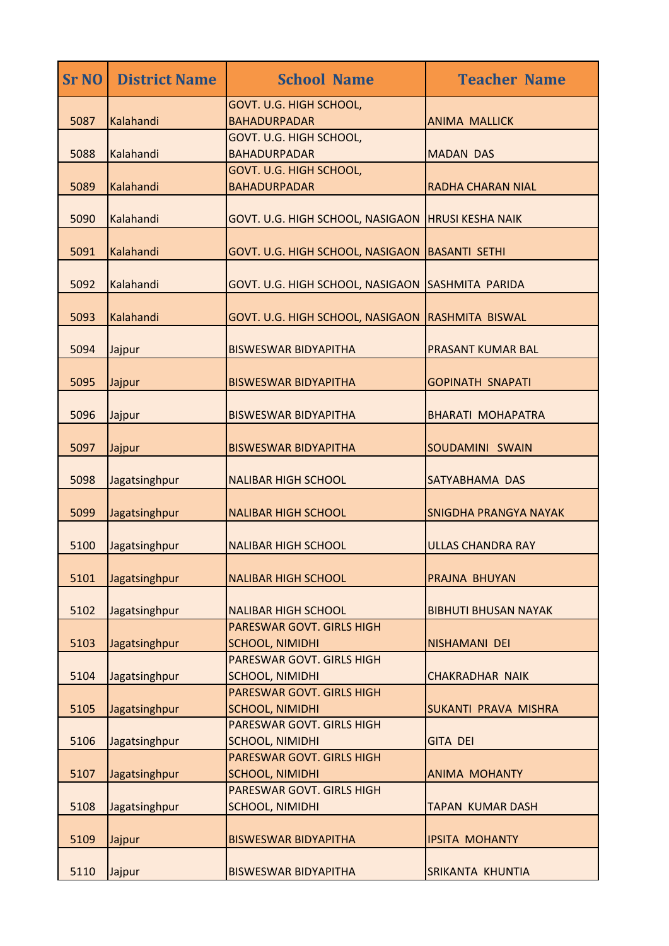| <b>Sr NO</b> | <b>District Name</b> | <b>School Name</b>                                  | <b>Teacher Name</b>          |
|--------------|----------------------|-----------------------------------------------------|------------------------------|
| 5087         | Kalahandi            | GOVT. U.G. HIGH SCHOOL,<br><b>BAHADURPADAR</b>      | <b>ANIMA MALLICK</b>         |
| 5088         | Kalahandi            | GOVT. U.G. HIGH SCHOOL,<br><b>BAHADURPADAR</b>      | <b>MADAN DAS</b>             |
| 5089         | Kalahandi            | GOVT. U.G. HIGH SCHOOL,<br><b>BAHADURPADAR</b>      | <b>RADHA CHARAN NIAL</b>     |
| 5090         | Kalahandi            | GOVT. U.G. HIGH SCHOOL, NASIGAON HRUSI KESHA NAIK   |                              |
| 5091         | Kalahandi            | GOVT. U.G. HIGH SCHOOL, NASIGAON                    | <b>BASANTI SETHI</b>         |
| 5092         | Kalahandi            | GOVT. U.G. HIGH SCHOOL, NASIGAON SASHMITA PARIDA    |                              |
| 5093         | Kalahandi            | GOVT. U.G. HIGH SCHOOL, NASIGAON                    | <b>RASHMITA BISWAL</b>       |
| 5094         | Jajpur               | <b>BISWESWAR BIDYAPITHA</b>                         | <b>PRASANT KUMAR BAL</b>     |
| 5095         | Jajpur               | <b>BISWESWAR BIDYAPITHA</b>                         | <b>GOPINATH SNAPATI</b>      |
| 5096         | Jajpur               | <b>BISWESWAR BIDYAPITHA</b>                         | <b>BHARATI MOHAPATRA</b>     |
| 5097         | Jajpur               | <b>BISWESWAR BIDYAPITHA</b>                         | SOUDAMINI SWAIN              |
| 5098         | Jagatsinghpur        | <b>NALIBAR HIGH SCHOOL</b>                          | SATYABHAMA DAS               |
| 5099         | Jagatsinghpur        | <b>NALIBAR HIGH SCHOOL</b>                          | <b>SNIGDHA PRANGYA NAYAK</b> |
| 5100         | Jagatsinghpur        | <b>NALIBAR HIGH SCHOOL</b>                          | <b>ULLAS CHANDRA RAY</b>     |
| 5101         | Jagatsinghpur        | <b>NALIBAR HIGH SCHOOL</b>                          | PRAJNA BHUYAN                |
| 5102         | Jagatsinghpur        | <b>NALIBAR HIGH SCHOOL</b>                          | <b>BIBHUTI BHUSAN NAYAK</b>  |
| 5103         | Jagatsinghpur        | PARESWAR GOVT. GIRLS HIGH<br><b>SCHOOL, NIMIDHI</b> | NISHAMANI DEI                |
| 5104         | Jagatsinghpur        | PARESWAR GOVT. GIRLS HIGH<br><b>SCHOOL, NIMIDHI</b> | <b>CHAKRADHAR NAIK</b>       |
| 5105         | Jagatsinghpur        | PARESWAR GOVT. GIRLS HIGH<br><b>SCHOOL, NIMIDHI</b> | SUKANTI PRAVA MISHRA         |
| 5106         | Jagatsinghpur        | PARESWAR GOVT. GIRLS HIGH<br><b>SCHOOL, NIMIDHI</b> | <b>GITA DEI</b>              |
| 5107         | Jagatsinghpur        | PARESWAR GOVT. GIRLS HIGH<br><b>SCHOOL, NIMIDHI</b> | <b>ANIMA MOHANTY</b>         |
| 5108         | Jagatsinghpur        | PARESWAR GOVT. GIRLS HIGH<br><b>SCHOOL, NIMIDHI</b> | TAPAN KUMAR DASH             |
| 5109         | Jajpur               | <b>BISWESWAR BIDYAPITHA</b>                         | <b>IPSITA MOHANTY</b>        |
| 5110         | Jajpur               | <b>BISWESWAR BIDYAPITHA</b>                         | <b>SRIKANTA KHUNTIA</b>      |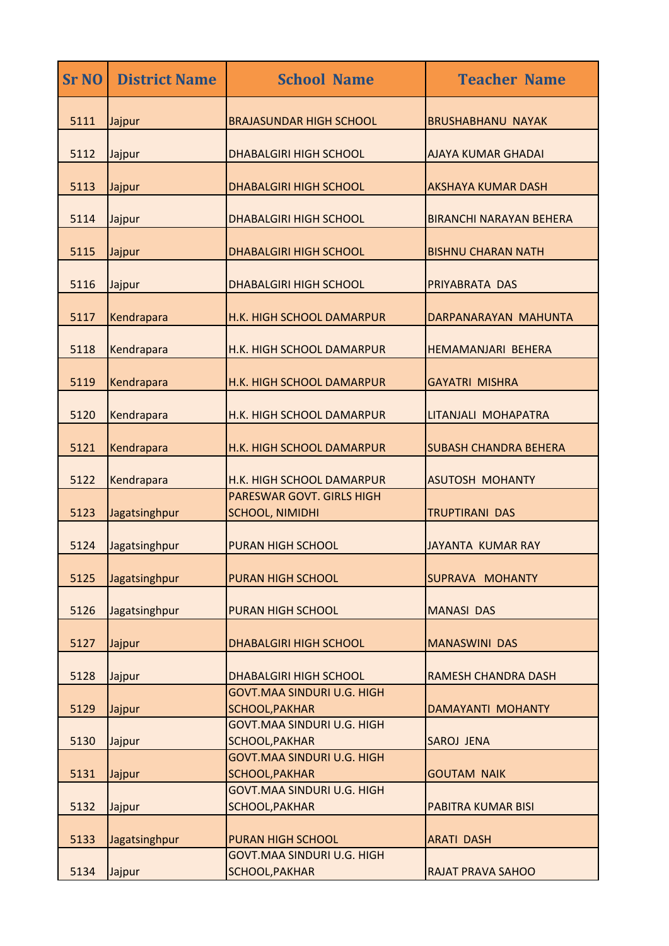| <b>Sr NO</b> | <b>District Name</b> | <b>School Name</b>                                  | <b>Teacher Name</b>            |
|--------------|----------------------|-----------------------------------------------------|--------------------------------|
| 5111         | Jajpur               | <b>BRAJASUNDAR HIGH SCHOOL</b>                      | <b>BRUSHABHANU NAYAK</b>       |
| 5112         | Jajpur               | <b>DHABALGIRI HIGH SCHOOL</b>                       | <b>AJAYA KUMAR GHADAI</b>      |
| 5113         | Jajpur               | <b>DHABALGIRI HIGH SCHOOL</b>                       | <b>AKSHAYA KUMAR DASH</b>      |
| 5114         | Jajpur               | <b>DHABALGIRI HIGH SCHOOL</b>                       | <b>BIRANCHI NARAYAN BEHERA</b> |
| 5115         | Jajpur               | <b>DHABALGIRI HIGH SCHOOL</b>                       | <b>BISHNU CHARAN NATH</b>      |
| 5116         | Jajpur               | <b>DHABALGIRI HIGH SCHOOL</b>                       | PRIYABRATA DAS                 |
| 5117         | Kendrapara           | H.K. HIGH SCHOOL DAMARPUR                           | DARPANARAYAN MAHUNTA           |
| 5118         | Kendrapara           | H.K. HIGH SCHOOL DAMARPUR                           | HEMAMANJARI BEHERA             |
| 5119         | Kendrapara           | H.K. HIGH SCHOOL DAMARPUR                           | <b>GAYATRI MISHRA</b>          |
| 5120         | Kendrapara           | H.K. HIGH SCHOOL DAMARPUR                           | LITANJALI MOHAPATRA            |
| 5121         | Kendrapara           | H.K. HIGH SCHOOL DAMARPUR                           | <b>SUBASH CHANDRA BEHERA</b>   |
| 5122         | Kendrapara           | <b>H.K. HIGH SCHOOL DAMARPUR</b>                    | <b>ASUTOSH MOHANTY</b>         |
| 5123         | Jagatsinghpur        | PARESWAR GOVT. GIRLS HIGH<br><b>SCHOOL, NIMIDHI</b> | <b>TRUPTIRANI DAS</b>          |
| 5124         | Jagatsinghpur        | <b>PURAN HIGH SCHOOL</b>                            | <b>JAYANTA KUMAR RAY</b>       |
| 5125         | Jagatsinghpur        | <b>PURAN HIGH SCHOOL</b>                            | SUPRAVA MOHANTY                |
| 5126         | Jagatsinghpur        | <b>PURAN HIGH SCHOOL</b>                            | <b>MANASI DAS</b>              |
| 5127         | Jajpur               | <b>DHABALGIRI HIGH SCHOOL</b>                       | <b>MANASWINI DAS</b>           |
| 5128         | Jajpur               | <b>DHABALGIRI HIGH SCHOOL</b>                       | <b>RAMESH CHANDRA DASH</b>     |
| 5129         | Jajpur               | <b>GOVT.MAA SINDURI U.G. HIGH</b><br>SCHOOL, PAKHAR | DAMAYANTI MOHANTY              |
| 5130         | Jajpur               | <b>GOVT.MAA SINDURI U.G. HIGH</b><br>SCHOOL, PAKHAR | <b>SAROJ JENA</b>              |
| 5131         | Jajpur               | <b>GOVT.MAA SINDURI U.G. HIGH</b><br>SCHOOL, PAKHAR | <b>GOUTAM NAIK</b>             |
| 5132         | Jajpur               | <b>GOVT.MAA SINDURI U.G. HIGH</b><br>SCHOOL, PAKHAR | <b>PABITRA KUMAR BISI</b>      |
| 5133         | Jagatsinghpur        | <b>PURAN HIGH SCHOOL</b>                            | <b>ARATI DASH</b>              |
| 5134         | Jajpur               | <b>GOVT.MAA SINDURI U.G. HIGH</b><br>SCHOOL, PAKHAR | <b>RAJAT PRAVA SAHOO</b>       |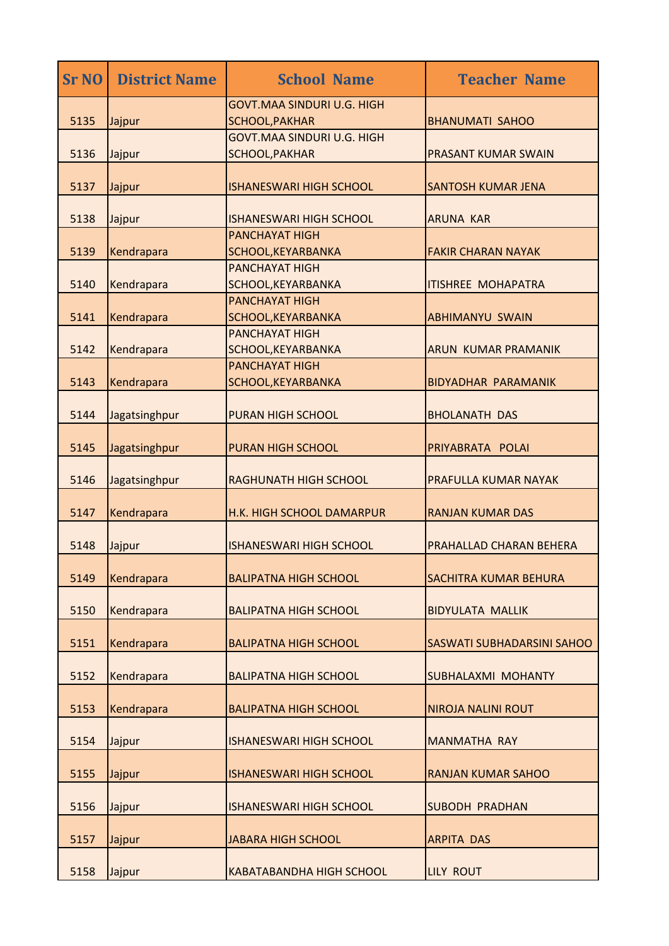| <b>Sr NO</b> | <b>District Name</b> | <b>School Name</b>                                         | <b>Teacher Name</b>          |
|--------------|----------------------|------------------------------------------------------------|------------------------------|
| 5135         | Jajpur               | <b>GOVT.MAA SINDURI U.G. HIGH</b><br><b>SCHOOL, PAKHAR</b> | <b>BHANUMATI SAHOO</b>       |
| 5136         | Jajpur               | <b>GOVT.MAA SINDURI U.G. HIGH</b><br>SCHOOL, PAKHAR        | <b>PRASANT KUMAR SWAIN</b>   |
| 5137         | Jajpur               | <b>ISHANESWARI HIGH SCHOOL</b>                             | <b>SANTOSH KUMAR JENA</b>    |
| 5138         | Jajpur               | <b>ISHANESWARI HIGH SCHOOL</b>                             | <b>ARUNA KAR</b>             |
| 5139         | Kendrapara           | <b>PANCHAYAT HIGH</b><br>SCHOOL, KEYARBANKA                | <b>FAKIR CHARAN NAYAK</b>    |
| 5140         | Kendrapara           | <b>PANCHAYAT HIGH</b><br>SCHOOL, KEYARBANKA                | <b>ITISHREE MOHAPATRA</b>    |
| 5141         | Kendrapara           | <b>PANCHAYAT HIGH</b><br>SCHOOL, KEYARBANKA                | <b>ABHIMANYU SWAIN</b>       |
| 5142         | Kendrapara           | <b>PANCHAYAT HIGH</b><br>SCHOOL, KEYARBANKA                | <b>ARUN KUMAR PRAMANIK</b>   |
| 5143         | Kendrapara           | <b>PANCHAYAT HIGH</b><br>SCHOOL, KEYARBANKA                | <b>BIDYADHAR PARAMANIK</b>   |
| 5144         | Jagatsinghpur        | <b>PURAN HIGH SCHOOL</b>                                   | <b>BHOLANATH DAS</b>         |
| 5145         | Jagatsinghpur        | <b>PURAN HIGH SCHOOL</b>                                   | PRIYABRATA POLAI             |
| 5146         | Jagatsinghpur        | <b>RAGHUNATH HIGH SCHOOL</b>                               | <b>PRAFULLA KUMAR NAYAK</b>  |
| 5147         | Kendrapara           | H.K. HIGH SCHOOL DAMARPUR                                  | <b>RANJAN KUMAR DAS</b>      |
| 5148         | Jajpur               | <b>ISHANESWARI HIGH SCHOOL</b>                             | PRAHALLAD CHARAN BEHERA      |
| 5149         | Kendrapara           | <b>BALIPATNA HIGH SCHOOL</b>                               | <b>SACHITRA KUMAR BEHURA</b> |
| 5150         | Kendrapara           | <b>BALIPATNA HIGH SCHOOL</b>                               | <b>BIDYULATA MALLIK</b>      |
| 5151         | Kendrapara           | <b>BALIPATNA HIGH SCHOOL</b>                               | SASWATI SUBHADARSINI SAHOO   |
| 5152         | Kendrapara           | <b>BALIPATNA HIGH SCHOOL</b>                               | <b>SUBHALAXMI MOHANTY</b>    |
| 5153         | Kendrapara           | <b>BALIPATNA HIGH SCHOOL</b>                               | <b>NIROJA NALINI ROUT</b>    |
| 5154         | Jajpur               | <b>ISHANESWARI HIGH SCHOOL</b>                             | <b>MANMATHA RAY</b>          |
| 5155         | Jajpur               | <b>ISHANESWARI HIGH SCHOOL</b>                             | <b>RANJAN KUMAR SAHOO</b>    |
| 5156         | Jajpur               | <b>ISHANESWARI HIGH SCHOOL</b>                             | <b>SUBODH PRADHAN</b>        |
| 5157         | Jajpur               | <b>JABARA HIGH SCHOOL</b>                                  | <b>ARPITA DAS</b>            |
| 5158         | Jajpur               | <b>KABATABANDHA HIGH SCHOOL</b>                            | LILY ROUT                    |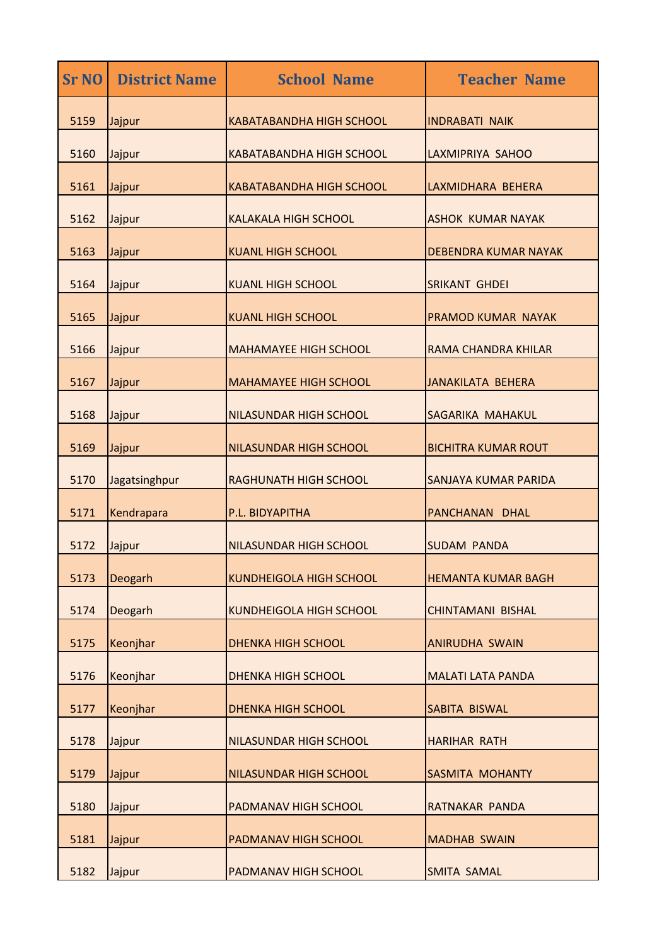| <b>Sr NO</b> | <b>District Name</b> | <b>School Name</b>              | <b>Teacher Name</b>         |
|--------------|----------------------|---------------------------------|-----------------------------|
| 5159         | Jajpur               | <b>KABATABANDHA HIGH SCHOOL</b> | <b>INDRABATI NAIK</b>       |
| 5160         | Jajpur               | <b>KABATABANDHA HIGH SCHOOL</b> | LAXMIPRIYA SAHOO            |
| 5161         | Jajpur               | <b>KABATABANDHA HIGH SCHOOL</b> | LAXMIDHARA BEHERA           |
| 5162         | Jajpur               | <b>KALAKALA HIGH SCHOOL</b>     | <b>ASHOK KUMAR NAYAK</b>    |
| 5163         | Jajpur               | <b>KUANL HIGH SCHOOL</b>        | <b>DEBENDRA KUMAR NAYAK</b> |
| 5164         | Jajpur               | <b>KUANL HIGH SCHOOL</b>        | <b>SRIKANT GHDEI</b>        |
| 5165         | Jajpur               | <b>KUANL HIGH SCHOOL</b>        | <b>PRAMOD KUMAR NAYAK</b>   |
| 5166         | Jajpur               | <b>MAHAMAYEE HIGH SCHOOL</b>    | <b>RAMA CHANDRA KHILAR</b>  |
| 5167         | Jajpur               | <b>MAHAMAYEE HIGH SCHOOL</b>    | <b>JANAKILATA BEHERA</b>    |
| 5168         | Jajpur               | <b>NILASUNDAR HIGH SCHOOL</b>   | <b>SAGARIKA MAHAKUL</b>     |
| 5169         | Jajpur               | <b>NILASUNDAR HIGH SCHOOL</b>   | <b>BICHITRA KUMAR ROUT</b>  |
| 5170         | Jagatsinghpur        | <b>RAGHUNATH HIGH SCHOOL</b>    | <b>SANJAYA KUMAR PARIDA</b> |
| 5171         | Kendrapara           | P.L. BIDYAPITHA                 | PANCHANAN DHAL              |
| 5172         | Jajpur               | <b>NILASUNDAR HIGH SCHOOL</b>   | <b>SUDAM PANDA</b>          |
| 5173         | Deogarh              | <b>KUNDHEIGOLA HIGH SCHOOL</b>  | <b>HEMANTA KUMAR BAGH</b>   |
| 5174         | Deogarh              | <b>KUNDHEIGOLA HIGH SCHOOL</b>  | <b>CHINTAMANI BISHAL</b>    |
| 5175         | Keonjhar             | <b>DHENKA HIGH SCHOOL</b>       | <b>ANIRUDHA SWAIN</b>       |
| 5176         | Keonjhar             | <b>DHENKA HIGH SCHOOL</b>       | <b>MALATI LATA PANDA</b>    |
| 5177         | Keonjhar             | <b>DHENKA HIGH SCHOOL</b>       | <b>SABITA BISWAL</b>        |
| 5178         | Jajpur               | <b>NILASUNDAR HIGH SCHOOL</b>   | <b>HARIHAR RATH</b>         |
| 5179         | Jajpur               | <b>NILASUNDAR HIGH SCHOOL</b>   | <b>SASMITA MOHANTY</b>      |
| 5180         | Jajpur               | PADMANAV HIGH SCHOOL            | RATNAKAR PANDA              |
| 5181         | Jajpur               | PADMANAV HIGH SCHOOL            | <b>MADHAB SWAIN</b>         |
| 5182         | Jajpur               | PADMANAV HIGH SCHOOL            | <b>SMITA SAMAL</b>          |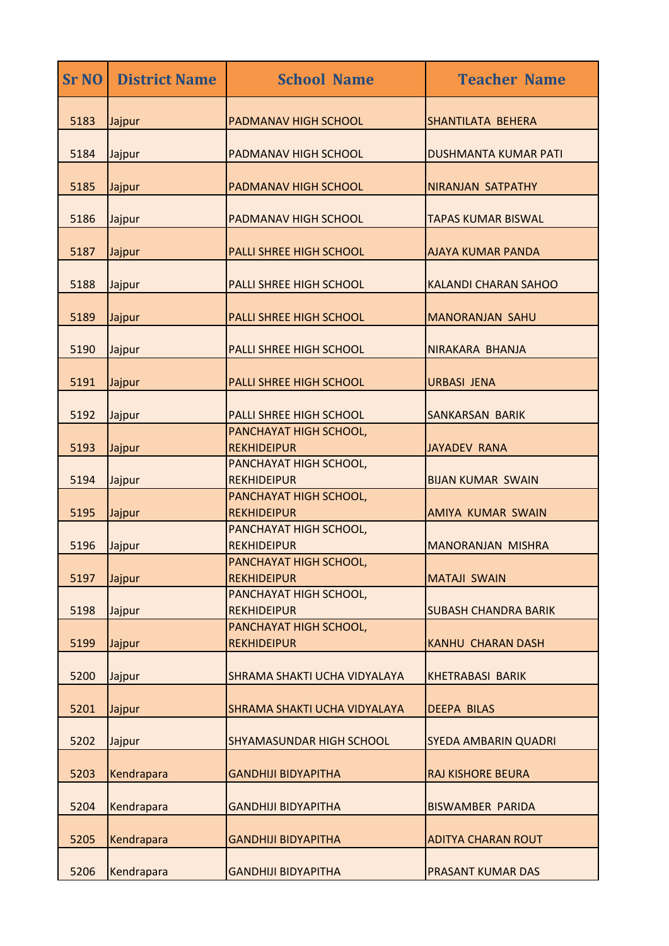| <b>Sr NO</b> | <b>District Name</b> | <b>School Name</b>                                       | <b>Teacher Name</b>         |
|--------------|----------------------|----------------------------------------------------------|-----------------------------|
| 5183         | Jajpur               | PADMANAV HIGH SCHOOL                                     | <b>SHANTILATA BEHERA</b>    |
| 5184         | Jajpur               | PADMANAV HIGH SCHOOL                                     | <b>DUSHMANTA KUMAR PATI</b> |
| 5185         | Jajpur               | PADMANAV HIGH SCHOOL                                     | <b>NIRANJAN SATPATHY</b>    |
| 5186         | Jajpur               | PADMANAV HIGH SCHOOL                                     | <b>TAPAS KUMAR BISWAL</b>   |
| 5187         | Jajpur               | PALLI SHREE HIGH SCHOOL                                  | <b>AJAYA KUMAR PANDA</b>    |
| 5188         | Jajpur               | <b>PALLI SHREE HIGH SCHOOL</b>                           | <b>KALANDI CHARAN SAHOO</b> |
| 5189         | Jajpur               | <b>PALLI SHREE HIGH SCHOOL</b>                           | <b>MANORANJAN SAHU</b>      |
| 5190         | Jajpur               | <b>PALLI SHREE HIGH SCHOOL</b>                           | NIRAKARA BHANJA             |
| 5191         | Jajpur               | <b>PALLI SHREE HIGH SCHOOL</b>                           | <b>URBASI JENA</b>          |
| 5192         | Jajpur               | <b>PALLI SHREE HIGH SCHOOL</b><br>PANCHAYAT HIGH SCHOOL, | <b>SANKARSAN BARIK</b>      |
| 5193         | Jajpur               | <b>REKHIDEIPUR</b><br>PANCHAYAT HIGH SCHOOL,             | <b>JAYADEV RANA</b>         |
| 5194         | Jajpur               | <b>REKHIDEIPUR</b><br>PANCHAYAT HIGH SCHOOL,             | <b>BIJAN KUMAR SWAIN</b>    |
| 5195         | Jajpur               | <b>REKHIDEIPUR</b><br>PANCHAYAT HIGH SCHOOL,             | <b>AMIYA KUMAR SWAIN</b>    |
| 5196         | Jajpur               | <b>REKHIDEIPUR</b><br>PANCHAYAT HIGH SCHOOL,             | <b>MANORANJAN MISHRA</b>    |
| 5197         | Jajpur               | <b>REKHIDEIPUR</b><br>PANCHAYAT HIGH SCHOOL,             | <b>MATAJI SWAIN</b>         |
| 5198         | Jajpur               | <b>REKHIDEIPUR</b><br>PANCHAYAT HIGH SCHOOL,             | <b>SUBASH CHANDRA BARIK</b> |
| 5199         | Jajpur               | <b>REKHIDEIPUR</b>                                       | <b>KANHU CHARAN DASH</b>    |
| 5200         | Jajpur               | SHRAMA SHAKTI UCHA VIDYALAYA                             | <b>KHETRABASI BARIK</b>     |
| 5201         | Jajpur               | SHRAMA SHAKTI UCHA VIDYALAYA                             | <b>DEEPA BILAS</b>          |
| 5202         | Jajpur               | <b>SHYAMASUNDAR HIGH SCHOOL</b>                          | <b>SYEDA AMBARIN QUADRI</b> |
| 5203         | Kendrapara           | <b>GANDHIJI BIDYAPITHA</b>                               | <b>RAJ KISHORE BEURA</b>    |
| 5204         | Kendrapara           | <b>GANDHIJI BIDYAPITHA</b>                               | <b>BISWAMBER PARIDA</b>     |
| 5205         | Kendrapara           | <b>GANDHIJI BIDYAPITHA</b>                               | <b>ADITYA CHARAN ROUT</b>   |
| 5206         | Kendrapara           | <b>GANDHIJI BIDYAPITHA</b>                               | <b>PRASANT KUMAR DAS</b>    |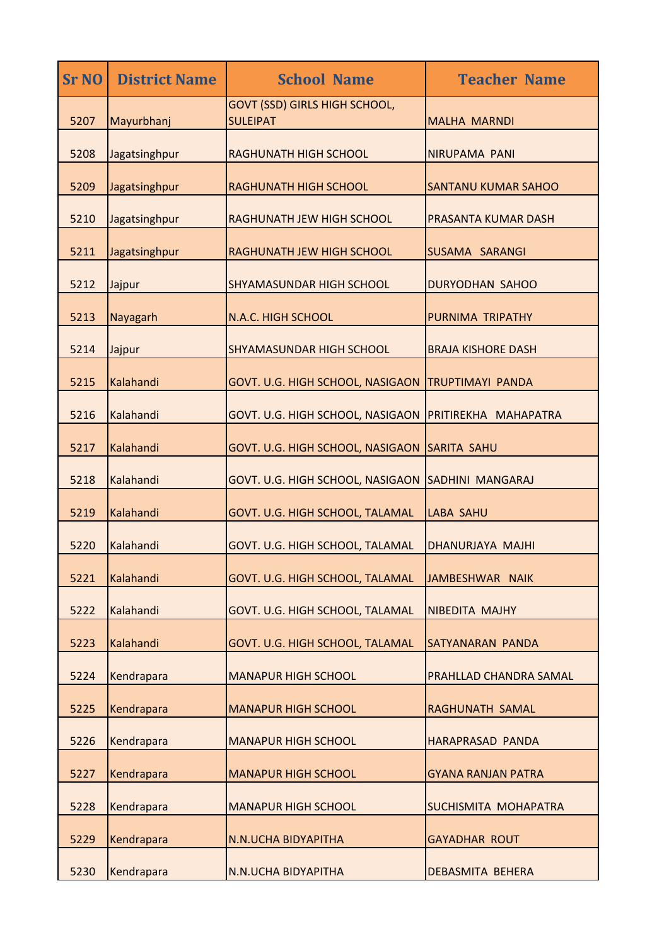| <b>Sr NO</b> | <b>District Name</b> | <b>School Name</b>                                      | <b>Teacher Name</b>        |
|--------------|----------------------|---------------------------------------------------------|----------------------------|
| 5207         | Mayurbhanj           | <b>GOVT (SSD) GIRLS HIGH SCHOOL,</b><br><b>SULEIPAT</b> | <b>MALHA MARNDI</b>        |
| 5208         | Jagatsinghpur        | <b>RAGHUNATH HIGH SCHOOL</b>                            | NIRUPAMA PANI              |
| 5209         | Jagatsinghpur        | <b>RAGHUNATH HIGH SCHOOL</b>                            | <b>SANTANU KUMAR SAHOO</b> |
| 5210         | Jagatsinghpur        | RAGHUNATH JEW HIGH SCHOOL                               | PRASANTA KUMAR DASH        |
| 5211         | Jagatsinghpur        | RAGHUNATH JEW HIGH SCHOOL                               | <b>SUSAMA SARANGI</b>      |
| 5212         | Jajpur               | <b>SHYAMASUNDAR HIGH SCHOOL</b>                         | <b>DURYODHAN SAHOO</b>     |
| 5213         | Nayagarh             | N.A.C. HIGH SCHOOL                                      | PURNIMA TRIPATHY           |
| 5214         | Jajpur               | <b>SHYAMASUNDAR HIGH SCHOOL</b>                         | <b>BRAJA KISHORE DASH</b>  |
| 5215         | Kalahandi            | GOVT. U.G. HIGH SCHOOL, NASIGAON                        | <b>TRUPTIMAYI PANDA</b>    |
| 5216         | Kalahandi            | GOVT. U.G. HIGH SCHOOL, NASIGAON                        | PRITIREKHA MAHAPATRA       |
| 5217         | Kalahandi            | GOVT. U.G. HIGH SCHOOL, NASIGAON                        | <b>SARITA SAHU</b>         |
| 5218         | Kalahandi            | GOVT. U.G. HIGH SCHOOL, NASIGAON                        | <b>SADHINI MANGARAJ</b>    |
| 5219         | Kalahandi            | GOVT. U.G. HIGH SCHOOL, TALAMAL                         | <b>LABA SAHU</b>           |
| 5220         | Kalahandi            | GOVT. U.G. HIGH SCHOOL, TALAMAL                         | DHANURJAYA MAJHI           |
| 5221         | Kalahandi            | GOVT. U.G. HIGH SCHOOL, TALAMAL                         | JAMBESHWAR NAIK            |
| 5222         | Kalahandi            | GOVT. U.G. HIGH SCHOOL, TALAMAL                         | NIBEDITA MAJHY             |
| 5223         | Kalahandi            | GOVT. U.G. HIGH SCHOOL, TALAMAL                         | SATYANARAN PANDA           |
| 5224         | Kendrapara           | <b>MANAPUR HIGH SCHOOL</b>                              | PRAHLLAD CHANDRA SAMAL     |
| 5225         | Kendrapara           | <b>MANAPUR HIGH SCHOOL</b>                              | RAGHUNATH SAMAL            |
| 5226         | Kendrapara           | <b>MANAPUR HIGH SCHOOL</b>                              | HARAPRASAD PANDA           |
| 5227         | Kendrapara           | <b>MANAPUR HIGH SCHOOL</b>                              | <b>GYANA RANJAN PATRA</b>  |
| 5228         | Kendrapara           | <b>MANAPUR HIGH SCHOOL</b>                              | SUCHISMITA MOHAPATRA       |
| 5229         | Kendrapara           | N.N.UCHA BIDYAPITHA                                     | <b>GAYADHAR ROUT</b>       |
| 5230         | Kendrapara           | N.N.UCHA BIDYAPITHA                                     | <b>DEBASMITA BEHERA</b>    |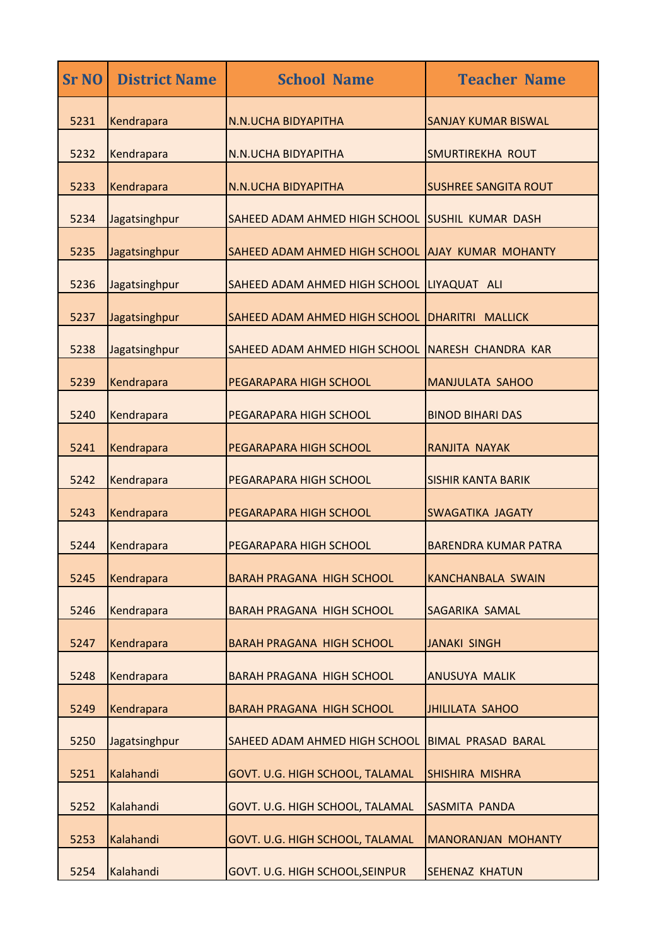| <b>Sr NO</b> | <b>District Name</b> | <b>School Name</b>                               | <b>Teacher Name</b>         |
|--------------|----------------------|--------------------------------------------------|-----------------------------|
| 5231         | Kendrapara           | N.N.UCHA BIDYAPITHA                              | <b>SANJAY KUMAR BISWAL</b>  |
| 5232         | Kendrapara           | N.N.UCHA BIDYAPITHA                              | <b>SMURTIREKHA ROUT</b>     |
| 5233         | Kendrapara           | N.N.UCHA BIDYAPITHA                              | <b>SUSHREE SANGITA ROUT</b> |
| 5234         | Jagatsinghpur        | SAHEED ADAM AHMED HIGH SCHOOL SUSHIL KUMAR DASH  |                             |
| 5235         | Jagatsinghpur        | SAHEED ADAM AHMED HIGH SCHOOL AJAY KUMAR MOHANTY |                             |
| 5236         | Jagatsinghpur        | SAHEED ADAM AHMED HIGH SCHOOL LIYAQUAT ALI       |                             |
| 5237         | Jagatsinghpur        | SAHEED ADAM AHMED HIGH SCHOOL DHARITRI MALLICK   |                             |
| 5238         | Jagatsinghpur        | SAHEED ADAM AHMED HIGH SCHOOL NARESH CHANDRA KAR |                             |
| 5239         | Kendrapara           | PEGARAPARA HIGH SCHOOL                           | <b>MANJULATA SAHOO</b>      |
| 5240         | Kendrapara           | PEGARAPARA HIGH SCHOOL                           | <b>BINOD BIHARI DAS</b>     |
| 5241         | Kendrapara           | PEGARAPARA HIGH SCHOOL                           | RANJITA NAYAK               |
| 5242         | Kendrapara           | PEGARAPARA HIGH SCHOOL                           | <b>SISHIR KANTA BARIK</b>   |
| 5243         | Kendrapara           | PEGARAPARA HIGH SCHOOL                           | <b>SWAGATIKA JAGATY</b>     |
| 5244         | Kendrapara           | PEGARAPARA HIGH SCHOOL                           | <b>BARENDRA KUMAR PATRA</b> |
| 5245         | Kendrapara           | <b>BARAH PRAGANA HIGH SCHOOL</b>                 | <b>KANCHANBALA SWAIN</b>    |
| 5246         | Kendrapara           | <b>BARAH PRAGANA HIGH SCHOOL</b>                 | <b>SAGARIKA SAMAL</b>       |
| 5247         | Kendrapara           | <b>BARAH PRAGANA HIGH SCHOOL</b>                 | <b>JANAKI SINGH</b>         |
| 5248         | Kendrapara           | <b>BARAH PRAGANA HIGH SCHOOL</b>                 | <b>ANUSUYA MALIK</b>        |
| 5249         | Kendrapara           | <b>BARAH PRAGANA HIGH SCHOOL</b>                 | <b>JHILILATA SAHOO</b>      |
| 5250         | Jagatsinghpur        | SAHEED ADAM AHMED HIGH SCHOOL                    | <b>BIMAL PRASAD BARAL</b>   |
| 5251         | Kalahandi            | GOVT. U.G. HIGH SCHOOL, TALAMAL                  | SHISHIRA MISHRA             |
| 5252         | Kalahandi            | GOVT. U.G. HIGH SCHOOL, TALAMAL                  | SASMITA PANDA               |
| 5253         | Kalahandi            | GOVT. U.G. HIGH SCHOOL, TALAMAL                  | <b>MANORANJAN MOHANTY</b>   |
| 5254         | Kalahandi            | GOVT. U.G. HIGH SCHOOL, SEINPUR                  | <b>SEHENAZ KHATUN</b>       |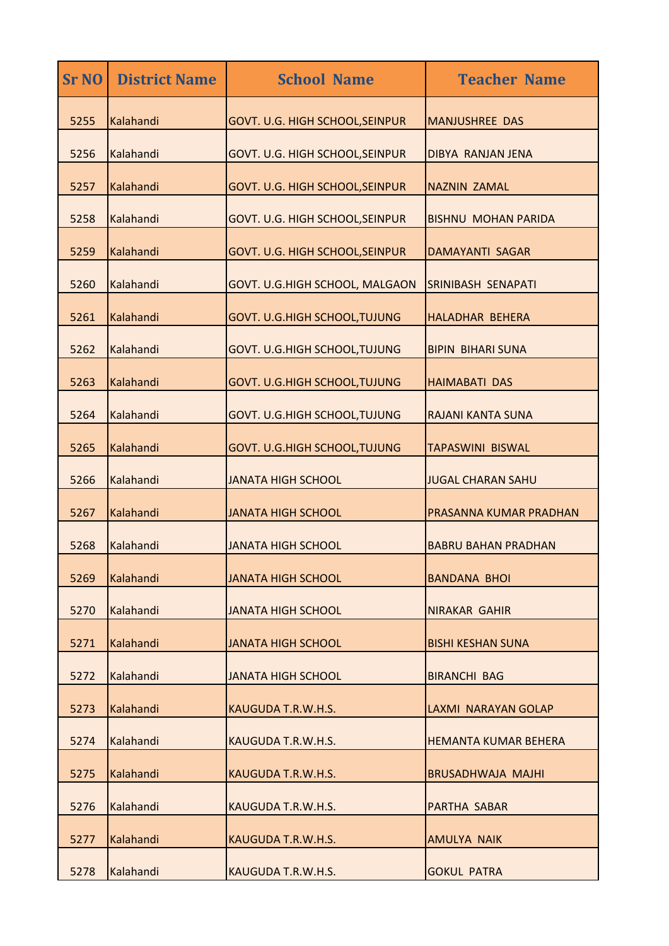| <b>Sr NO</b> | <b>District Name</b> | <b>School Name</b>                   | <b>Teacher Name</b>           |
|--------------|----------------------|--------------------------------------|-------------------------------|
| 5255         | Kalahandi            | GOVT. U.G. HIGH SCHOOL, SEINPUR      | <b>MANJUSHREE DAS</b>         |
| 5256         | Kalahandi            | GOVT. U.G. HIGH SCHOOL, SEINPUR      | <b>DIBYA RANJAN JENA</b>      |
| 5257         | Kalahandi            | GOVT. U.G. HIGH SCHOOL, SEINPUR      | <b>NAZNIN ZAMAL</b>           |
| 5258         | Kalahandi            | GOVT. U.G. HIGH SCHOOL, SEINPUR      | <b>BISHNU MOHAN PARIDA</b>    |
| 5259         | Kalahandi            | GOVT. U.G. HIGH SCHOOL, SEINPUR      | <b>DAMAYANTI SAGAR</b>        |
| 5260         | Kalahandi            | GOVT. U.G.HIGH SCHOOL, MALGAON       | <b>SRINIBASH SENAPATI</b>     |
| 5261         | Kalahandi            | GOVT. U.G.HIGH SCHOOL, TUJUNG        | <b>HALADHAR BEHERA</b>        |
| 5262         | Kalahandi            | <b>GOVT. U.G.HIGH SCHOOL, TUJUNG</b> | <b>BIPIN BIHARI SUNA</b>      |
| 5263         | Kalahandi            | GOVT. U.G.HIGH SCHOOL, TUJUNG        | <b>HAIMABATI DAS</b>          |
| 5264         | Kalahandi            | <b>GOVT. U.G.HIGH SCHOOL, TUJUNG</b> | RAJANI KANTA SUNA             |
| 5265         | Kalahandi            | GOVT. U.G.HIGH SCHOOL, TUJUNG        | TAPASWINI BISWAL              |
| 5266         | Kalahandi            | <b>JANATA HIGH SCHOOL</b>            | <b>JUGAL CHARAN SAHU</b>      |
| 5267         | Kalahandi            | <b>JANATA HIGH SCHOOL</b>            | <b>PRASANNA KUMAR PRADHAN</b> |
| 5268         | Kalahandi            | <b>JANATA HIGH SCHOOL</b>            | <b>BABRU BAHAN PRADHAN</b>    |
| 5269         | Kalahandi            | <b>JANATA HIGH SCHOOL</b>            | <b>BANDANA BHOI</b>           |
| 5270         | Kalahandi            | <b>JANATA HIGH SCHOOL</b>            | <b>NIRAKAR GAHIR</b>          |
| 5271         | Kalahandi            | <b>JANATA HIGH SCHOOL</b>            | <b>BISHI KESHAN SUNA</b>      |
| 5272         | Kalahandi            | <b>JANATA HIGH SCHOOL</b>            | <b>BIRANCHI BAG</b>           |
| 5273         | Kalahandi            | KAUGUDA T.R.W.H.S.                   | LAXMI NARAYAN GOLAP           |
| 5274         | Kalahandi            | KAUGUDA T.R.W.H.S.                   | <b>HEMANTA KUMAR BEHERA</b>   |
| 5275         | Kalahandi            | KAUGUDA T.R.W.H.S.                   | <b>BRUSADHWAJA MAJHI</b>      |
| 5276         | Kalahandi            | KAUGUDA T.R.W.H.S.                   | <b>PARTHA SABAR</b>           |
| 5277         | Kalahandi            | KAUGUDA T.R.W.H.S.                   | <b>AMULYA NAIK</b>            |
| 5278         | Kalahandi            | KAUGUDA T.R.W.H.S.                   | <b>GOKUL PATRA</b>            |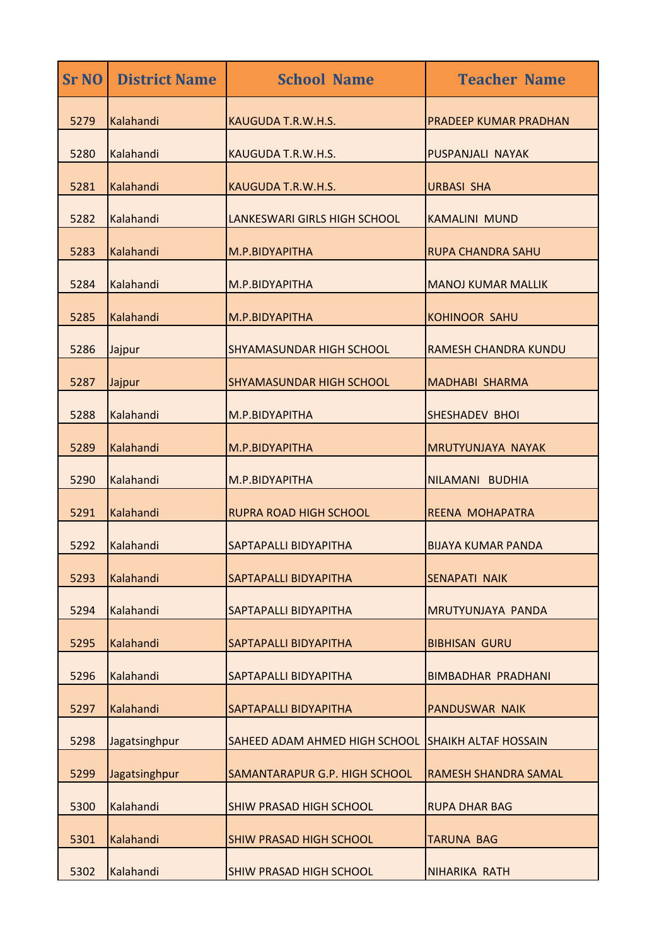| <b>Sr NO</b> | <b>District Name</b> | <b>School Name</b>              | <b>Teacher Name</b>          |
|--------------|----------------------|---------------------------------|------------------------------|
| 5279         | Kalahandi            | KAUGUDA T.R.W.H.S.              | <b>PRADEEP KUMAR PRADHAN</b> |
| 5280         | Kalahandi            | KAUGUDA T.R.W.H.S.              | PUSPANJALI NAYAK             |
| 5281         | Kalahandi            | KAUGUDA T.R.W.H.S.              | <b>URBASI SHA</b>            |
| 5282         | Kalahandi            | LANKESWARI GIRLS HIGH SCHOOL    | KAMALINI MUND                |
| 5283         | Kalahandi            | M.P.BIDYAPITHA                  | <b>RUPA CHANDRA SAHU</b>     |
| 5284         | Kalahandi            | M.P.BIDYAPITHA                  | <b>MANOJ KUMAR MALLIK</b>    |
| 5285         | Kalahandi            | M.P.BIDYAPITHA                  | <b>KOHINOOR SAHU</b>         |
| 5286         | Jajpur               | <b>SHYAMASUNDAR HIGH SCHOOL</b> | <b>RAMESH CHANDRA KUNDU</b>  |
| 5287         | Jajpur               | <b>SHYAMASUNDAR HIGH SCHOOL</b> | <b>MADHABI SHARMA</b>        |
| 5288         | Kalahandi            | M.P.BIDYAPITHA                  | <b>SHESHADEV BHOI</b>        |
| 5289         | Kalahandi            | M.P.BIDYAPITHA                  | <b>MRUTYUNJAYA NAYAK</b>     |
| 5290         | Kalahandi            | M.P.BIDYAPITHA                  | NILAMANI BUDHIA              |
| 5291         | Kalahandi            | <b>RUPRA ROAD HIGH SCHOOL</b>   | <b>REENA MOHAPATRA</b>       |
| 5292         | Kalahandi            | SAPTAPALLI BIDYAPITHA           | <b>BIJAYA KUMAR PANDA</b>    |
| 5293         | Kalahandi            | SAPTAPALLI BIDYAPITHA           | <b>SENAPATI NAIK</b>         |
| 5294         | Kalahandi            | SAPTAPALLI BIDYAPITHA           | MRUTYUNJAYA PANDA            |
| 5295         | Kalahandi            | SAPTAPALLI BIDYAPITHA           | <b>BIBHISAN GURU</b>         |
| 5296         | Kalahandi            | SAPTAPALLI BIDYAPITHA           | <b>BIMBADHAR PRADHANI</b>    |
| 5297         | Kalahandi            | SAPTAPALLI BIDYAPITHA           | PANDUSWAR NAIK               |
| 5298         | Jagatsinghpur        | SAHEED ADAM AHMED HIGH SCHOOL   | <b>SHAIKH ALTAF HOSSAIN</b>  |
| 5299         | Jagatsinghpur        | SAMANTARAPUR G.P. HIGH SCHOOL   | <b>RAMESH SHANDRA SAMAL</b>  |
| 5300         | Kalahandi            | <b>SHIW PRASAD HIGH SCHOOL</b>  | <b>RUPA DHAR BAG</b>         |
| 5301         | Kalahandi            | <b>SHIW PRASAD HIGH SCHOOL</b>  | <b>TARUNA BAG</b>            |
| 5302         | Kalahandi            | <b>SHIW PRASAD HIGH SCHOOL</b>  | <b>NIHARIKA RATH</b>         |